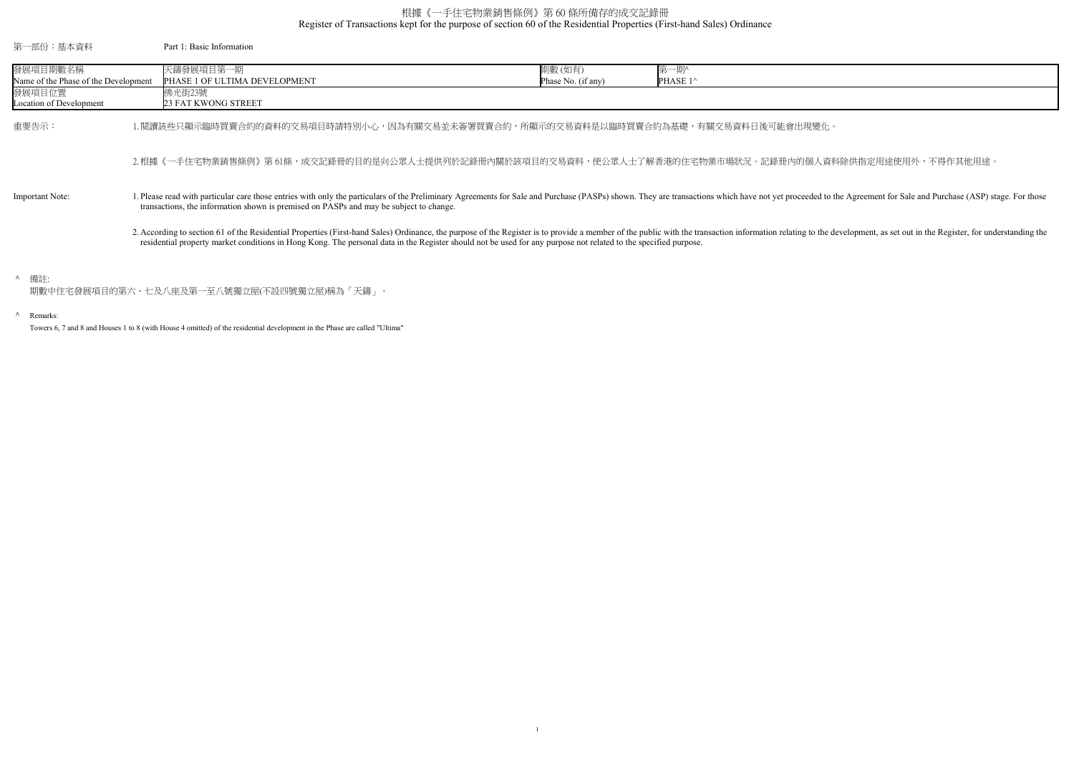Register of Transactions kept for the purpose of section 60 of the Residential Properties (First-hand Sales) Ordinance

## ^ Remarks:

Towers 6, 7 and 8 and Houses 1 to 8 (with House 4 omitted) of the residential development in the Phase are called "Ultima"

個人資料除供指定用途使用外,不得作其他用途。

eded to the Agreement for Sale and Purchase (ASP) stage. For those

to the development, as set out in the Register, for understanding the

## 根據《一手住宅物業銷售條例》第 60 條所備存的成交記錄冊

| 第一部份:基本資料                                        | Part 1: Basic Information                                                                                                                                                                                                                                                                                                                                                      |                              |                              |  |
|--------------------------------------------------|--------------------------------------------------------------------------------------------------------------------------------------------------------------------------------------------------------------------------------------------------------------------------------------------------------------------------------------------------------------------------------|------------------------------|------------------------------|--|
| 發展項目期數名稱<br>Name of the Phase of the Development | 天鑄發展項目第一期<br>PHASE 1 OF ULTIMA DEVELOPMENT                                                                                                                                                                                                                                                                                                                                     | 期數(如有)<br>Phase No. (if any) | 第一期^<br>PHASE 1 <sup>^</sup> |  |
| 發展項目位置<br>Location of Development                | 佛光街23號<br>23 FAT KWONG STREET                                                                                                                                                                                                                                                                                                                                                  |                              |                              |  |
| 重要告示:                                            | 閱讀該些只顯示臨時買賣合約的資料的交易項目時請特別小心,因為有關交易並未簽署買賣合約,所顯示的交易資料是以臨時買賣合約為基礎,有關交易資料日後可能會出現變化。                                                                                                                                                                                                                                                                                                |                              |                              |  |
|                                                  | 2.根據《一手住宅物業銷售條例》第 61條,成交記錄冊的目的是向公眾人士提供列於記錄冊內關於該項目的交易資料,使公眾人士了解香港的住宅物業市場狀況。記錄冊內的個人資料                                                                                                                                                                                                                                                                                            |                              |                              |  |
| Important Note:                                  | 1. Please read with particular care those entries with only the particulars of the Preliminary Agreements for Sale and Purchase (PASPs) shown. They are transactions which have not yet proceeded to the<br>transactions, the information shown is premised on PASPs and may be subject to change.                                                                             |                              |                              |  |
|                                                  | 2. According to section 61 of the Residential Properties (First-hand Sales) Ordinance, the purpose of the Register is to provide a member of the public with the transaction information relating to the de<br>residential property market conditions in Hong Kong. The personal data in the Register should not be used for any purpose not related to the specified purpose. |                              |                              |  |
| ^ 備註:                                            | 期數中住宅發展項目的第六、七及八座及第一至八號獨立屋(不設四號獨立屋)稱為「天鑄」。                                                                                                                                                                                                                                                                                                                                     |                              |                              |  |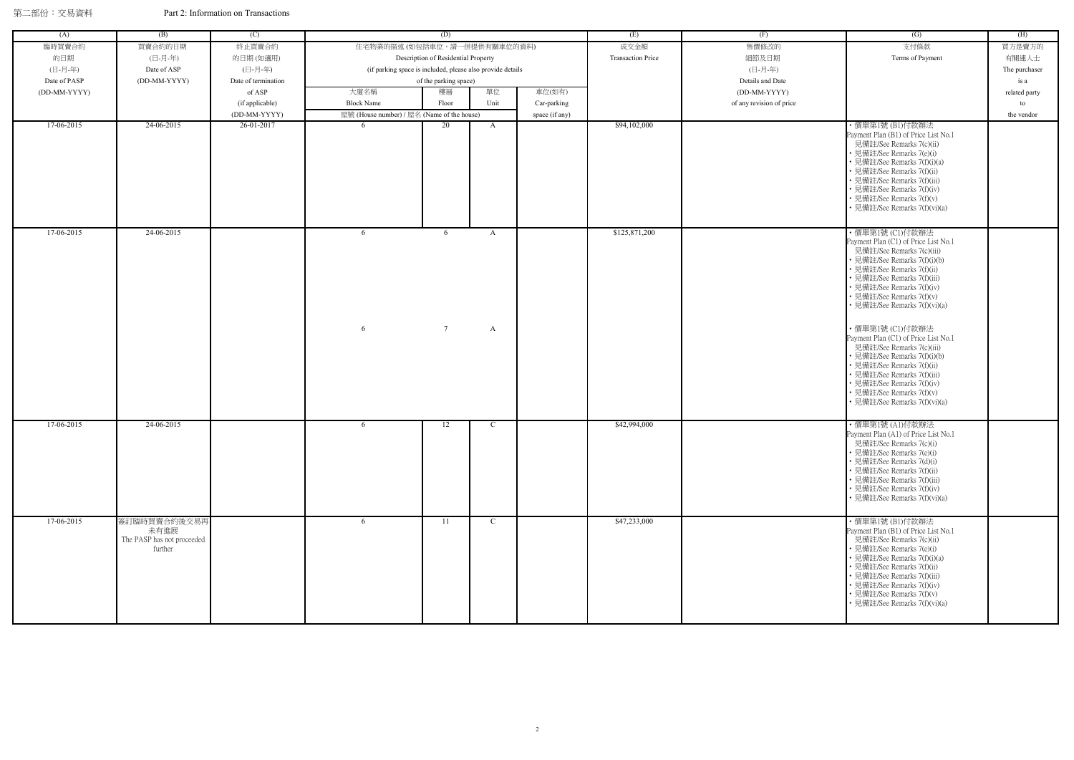| (A)          | (B)                                                           | (C)                 |                                                            | (D)                                 |               |                | (E)                      | (F)                      | (G)                                                                                                                                                                                                                                                                                                                                                                                                                                                                                              | (H)           |
|--------------|---------------------------------------------------------------|---------------------|------------------------------------------------------------|-------------------------------------|---------------|----------------|--------------------------|--------------------------|--------------------------------------------------------------------------------------------------------------------------------------------------------------------------------------------------------------------------------------------------------------------------------------------------------------------------------------------------------------------------------------------------------------------------------------------------------------------------------------------------|---------------|
| 臨時買賣合約       | 買賣合約的日期                                                       | 終止買賣合約              | 住宅物業的描述 (如包括車位,請一併提供有關車位的資料)                               |                                     |               |                | 成交金額                     | 售價修改的                    | 支付條款                                                                                                                                                                                                                                                                                                                                                                                                                                                                                             | 買方是賣方的        |
| 的日期          | (日-月-年)                                                       | 的日期(如適用)            |                                                            | Description of Residential Property |               |                | <b>Transaction Price</b> | 細節及日期                    | Terms of Payment                                                                                                                                                                                                                                                                                                                                                                                                                                                                                 | 有關連人士         |
| (日-月-年)      | Date of ASP                                                   | (日-月-年)             | (if parking space is included, please also provide details |                                     |               |                |                          | (日-月-年)                  |                                                                                                                                                                                                                                                                                                                                                                                                                                                                                                  | The purchaser |
| Date of PASP | (DD-MM-YYYY)                                                  | Date of termination |                                                            | of the parking space)               |               |                |                          | Details and Date         |                                                                                                                                                                                                                                                                                                                                                                                                                                                                                                  | is a          |
| (DD-MM-YYYY) |                                                               | of ASP              | 大廈名稱                                                       | 樓層                                  | 單位            | 車位(如有)         |                          | (DD-MM-YYYY)             |                                                                                                                                                                                                                                                                                                                                                                                                                                                                                                  | related party |
|              |                                                               | (if applicable)     | <b>Block Name</b>                                          | Floor                               | Unit          | Car-parking    |                          | of any revision of price |                                                                                                                                                                                                                                                                                                                                                                                                                                                                                                  | to            |
|              |                                                               | (DD-MM-YYYY)        | 屋號 (House number) / 屋名 (Name of the house)                 |                                     |               | space (if any) |                          |                          |                                                                                                                                                                                                                                                                                                                                                                                                                                                                                                  | the vendor    |
| 17-06-2015   | 24-06-2015                                                    | 26-01-2017          |                                                            | 20                                  | $\mathbf{A}$  |                | \$94,102,000             |                          | ・價單第1號 (B1)付款辦法<br>Payment Plan (B1) of Price List No.1<br>見備註/See Remarks 7(c)(ii)<br>• 見備註/See Remarks 7(e)(i)<br>• 見備註/See Remarks 7(f)(i)(a)<br>· 見備註/See Remarks 7(f)(ii)<br>• 見備註/See Remarks 7(f)(iii)<br>• 見備註/See Remarks 7(f)(iv)<br>• 見備註/See Remarks 7(f)(v)<br>• 見備註/See Remarks 7(f)(vi)(a)                                                                                                                                                                                        |               |
| 17-06-2015   | 24-06-2015                                                    |                     | 6<br>6                                                     | 6<br>$7\overline{ }$                | A<br>A        |                | \$125,871,200            |                          | ·價單第1號 (Cl)付款辦法<br>Payment Plan (C1) of Price List No.1<br>見備註/See Remarks 7(c)(iii)<br>· 見備註/See Remarks 7(f)(i)(b)<br>• 見備註/See Remarks 7(f)(ii)<br>• 見備註/See Remarks 7(f)(iii)<br>• 見備註/See Remarks 7(f)(iv)<br>• 見備註/See Remarks 7(f)(v)<br>• 見備註/See Remarks 7(f)(vi)(a)<br>・價單第1號 (C1)付款辦法<br>Payment Plan (C1) of Price List No.1<br>見備註/See Remarks 7(c)(iii)<br>· 見備註/See Remarks 7(f)(i)(b)<br>· 見備註/See Remarks 7(f)(ii)<br>• 見備註/See Remarks 7(f)(iii)<br>• 見備註/See Remarks 7(f)(iv) |               |
| 17-06-2015   | 24-06-2015                                                    |                     | 6                                                          | 12                                  | $\mathbf C$   |                | \$42,994,000             |                          | • 見備註/See Remarks 7(f)(v)<br>• 見備註/See Remarks 7(f)(vi)(a)<br>· 價單第1號 (A1)付款辦法                                                                                                                                                                                                                                                                                                                                                                                                                   |               |
|              |                                                               |                     |                                                            |                                     |               |                |                          |                          | Payment Plan (A1) of Price List No.1<br>見備註/See Remarks 7(c)(i)<br>• 見備註/See Remarks 7(e)(i)<br>• 見備註/See Remarks 7(d)(i)<br>• 見備註/See Remarks 7(f)(ii)<br>• 見備註/See Remarks 7(f)(iii)<br>• 見備註/See Remarks 7(f)(iv)<br>• 見備註/See Remarks 7(f)(vi)(a)                                                                                                                                                                                                                                            |               |
| 17-06-2015   | 簽訂臨時買賣合約後交易再<br>未有進展<br>The PASP has not proceeded<br>further |                     | 6                                                          | 11                                  | $\mathcal{C}$ |                | \$47,233,000             |                          | ・價單第1號 (B1)付款辦法<br>Payment Plan (B1) of Price List No.1<br>見備註/See Remarks 7(c)(ii)<br>• 見備註/See Remarks 7(e)(i)<br>• 見備註/See Remarks 7(f)(i)(a)<br>• 見備註/See Remarks 7(f)(ii)<br>• 見備註/See Remarks 7(f)(iii)<br>• 見備註/See Remarks 7(f)(iv)<br>• 見備註/See Remarks 7(f)(v)<br>• 見備註/See Remarks 7(f)(vi)(a)                                                                                                                                                                                        |               |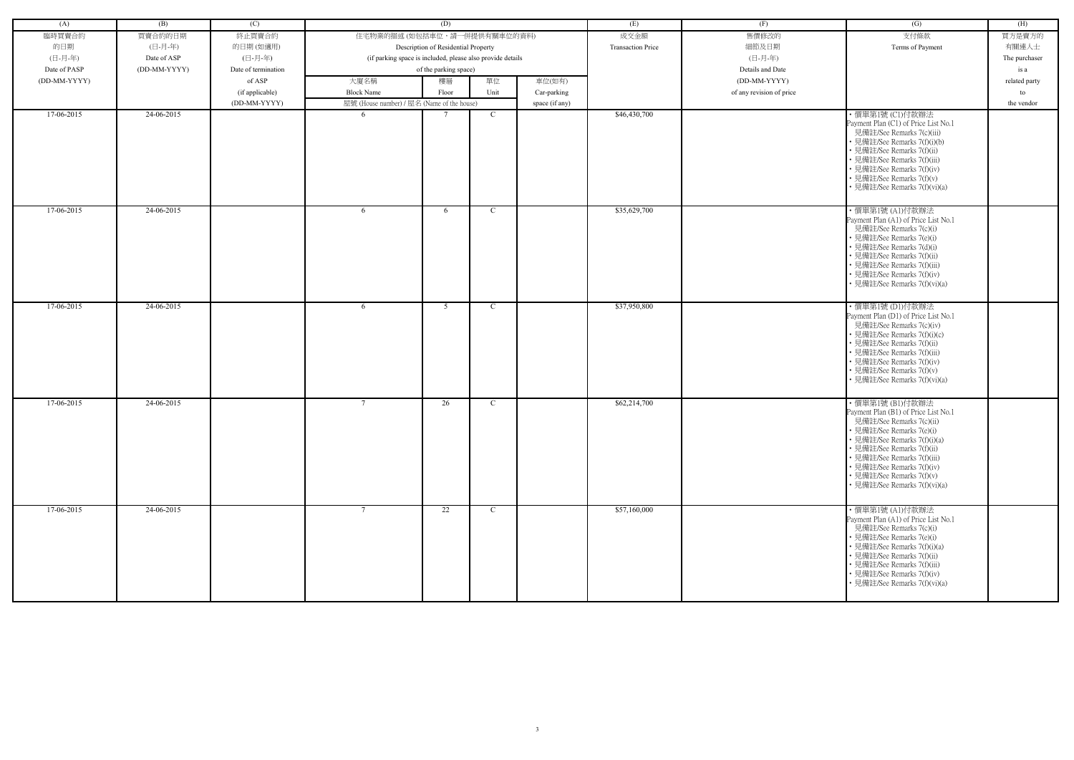| (A)          | (B)          | (C)                 |                                                            | (D)                                 |               |                | (E)                      | (F)                      | (G)                                                                                                                                                                                                                                                                                                       | (H)           |
|--------------|--------------|---------------------|------------------------------------------------------------|-------------------------------------|---------------|----------------|--------------------------|--------------------------|-----------------------------------------------------------------------------------------------------------------------------------------------------------------------------------------------------------------------------------------------------------------------------------------------------------|---------------|
| 臨時買賣合約       | 買賣合約的日期      | 終止買賣合約              | 住宅物業的描述 (如包括車位,請一併提供有關車位的資料)                               |                                     |               |                | 成交金額                     | 售價修改的                    | 支付條款                                                                                                                                                                                                                                                                                                      | 買方是賣方的        |
| 的日期          | (日-月-年)      |                     |                                                            |                                     |               |                | <b>Transaction Price</b> | 細節及日期                    |                                                                                                                                                                                                                                                                                                           | 有關連人士         |
|              |              | 的日期(如適用)<br>(日-月-年) |                                                            | Description of Residential Property |               |                |                          |                          | Terms of Payment                                                                                                                                                                                                                                                                                          |               |
| (日-月-年)      | Date of ASP  |                     | (if parking space is included, please also provide details |                                     |               |                |                          | (日-月-年)                  |                                                                                                                                                                                                                                                                                                           | The purchaser |
| Date of PASP | (DD-MM-YYYY) | Date of termination |                                                            | of the parking space)               |               |                |                          | Details and Date         |                                                                                                                                                                                                                                                                                                           | is a          |
| (DD-MM-YYYY) |              | of ASP              | 大廈名稱                                                       | 樓層                                  | 單位            | 車位(如有)         |                          | (DD-MM-YYYY)             |                                                                                                                                                                                                                                                                                                           | related party |
|              |              | (if applicable)     | <b>Block Name</b>                                          | Floor                               | Unit          | Car-parking    |                          | of any revision of price |                                                                                                                                                                                                                                                                                                           | to            |
|              |              | (DD-MM-YYYY)        | 屋號 (House number) / 屋名 (Name of the house)                 |                                     |               | space (if any) |                          |                          |                                                                                                                                                                                                                                                                                                           | the vendor    |
| 17-06-2015   | $24-06-2015$ |                     | -6                                                         |                                     | $\mathcal{C}$ |                | \$46,430,700             |                          | ·價單第1號 (C1)付款辦法<br>Payment Plan (C1) of Price List No.1<br>見備註/See Remarks 7(c)(iii)<br>• 見備註/See Remarks 7(f)(i)(b)<br>• 見備註/See Remarks 7(f)(ii)<br>• 見備註/See Remarks 7(f)(iii)<br>• 見備註/See Remarks 7(f)(iv)<br>• 見備註/See Remarks 7(f)(v)<br>• 見備註/See Remarks 7(f)(vi)(a)                             |               |
| 17-06-2015   | 24-06-2015   |                     | 6                                                          | 6                                   | $\mathcal{C}$ |                | \$35,629,700             |                          | ・價單第1號 (A1)付款辦法<br>Payment Plan (A1) of Price List No.1<br>見備註/See Remarks 7(c)(i)<br>• 見備註/See Remarks 7(e)(i)<br>• 見備註/See Remarks 7(d)(i)<br>• 見備註/See Remarks 7(f)(ii)<br>• 見備註/See Remarks 7(f)(iii)<br>• 見備註/See Remarks 7(f)(iv)<br>• 見備註/See Remarks 7(f)(vi)(a)                                  |               |
| 17-06-2015   | 24-06-2015   |                     | 6                                                          | 5                                   | $\mathcal{C}$ |                | \$37,950,800             |                          | ・價單第1號 (D1)付款辦法<br>Payment Plan (D1) of Price List No.1<br>見備註/See Remarks 7(c)(iv)<br>• 見備註/See Remarks 7(f)(i)(c)<br>• 見備註/See Remarks 7(f)(ii)<br>• 見備註/See Remarks 7(f)(iii)<br>• 見備註/See Remarks 7(f)(iv)<br>• 見備註/See Remarks 7(f)(v)<br>• 見備註/See Remarks 7(f)(vi)(a)                              |               |
| 17-06-2015   | 24-06-2015   |                     | $7\phantom{.0}$                                            | 26                                  | C             |                | \$62,214,700             |                          | ・價單第1號 (B1)付款辦法<br>Payment Plan (B1) of Price List No.1<br>見備註/See Remarks 7(c)(ii)<br>• 見備註/See Remarks 7(e)(i)<br>• 見備註/See Remarks 7(f)(i)(a)<br>• 見備註/See Remarks 7(f)(ii)<br>• 見備註/See Remarks 7(f)(iii)<br>• 見備註/See Remarks 7(f)(iv)<br>• 見備註/See Remarks 7(f)(v)<br>• 見備註/See Remarks 7(f)(vi)(a) |               |
| 17-06-2015   | 24-06-2015   |                     | $7\phantom{.0}$                                            | 22                                  | C             |                | \$57,160,000             |                          | ・價單第1號 (A1)付款辦法<br>Payment Plan (A1) of Price List No.1<br>見備註/See Remarks 7(c)(i)<br>• 見備註/See Remarks 7(e)(i)<br>• 見備註/See Remarks 7(f)(i)(a)<br>• 見備註/See Remarks 7(f)(ii)<br>• 見備註/See Remarks 7(f)(iii)<br>• 見備註/See Remarks 7(f)(iv)<br>• 見備註/See Remarks 7(f)(vi)(a)                               |               |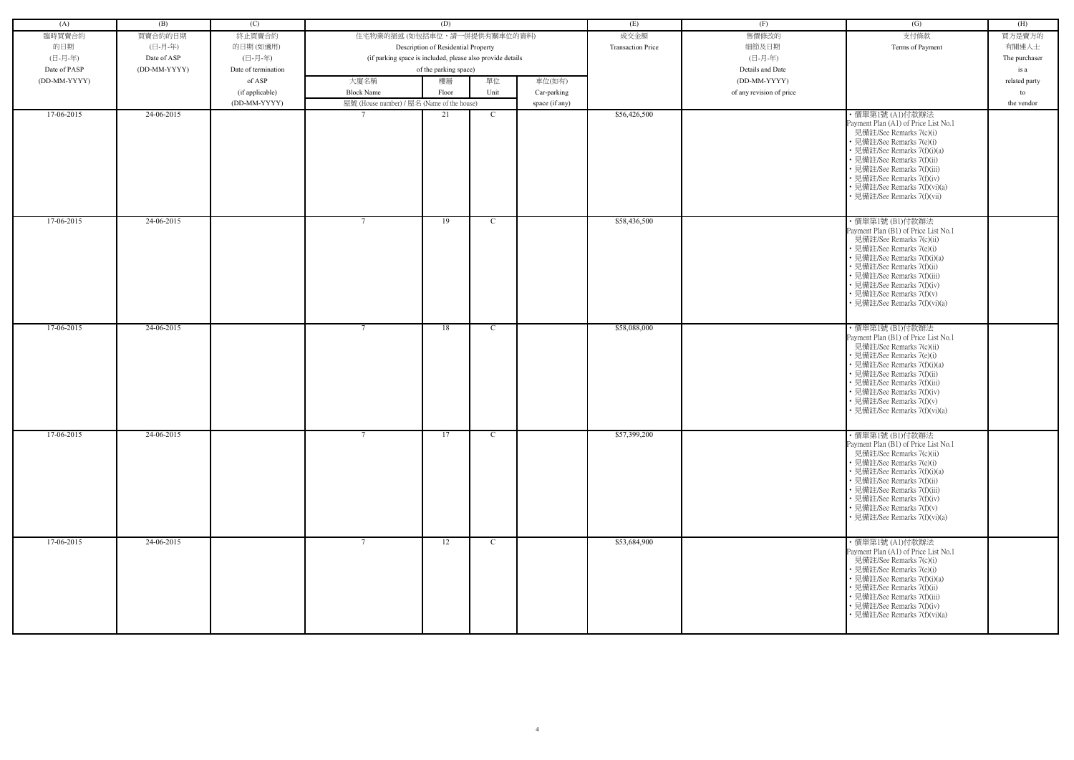| (A)          | (B)          | (C)                 |                                                            | (D)                                 |              |                | (E)                      | (F)                      | (G)                                                                                                                                                                                                                                                                                                        | (H)           |
|--------------|--------------|---------------------|------------------------------------------------------------|-------------------------------------|--------------|----------------|--------------------------|--------------------------|------------------------------------------------------------------------------------------------------------------------------------------------------------------------------------------------------------------------------------------------------------------------------------------------------------|---------------|
| 臨時買賣合約       | 買賣合約的日期      | 終止買賣合約              | 住宅物業的描述 (如包括車位,請一併提供有關車位的資料)                               |                                     |              |                | 成交金額                     | 售價修改的                    | 支付條款                                                                                                                                                                                                                                                                                                       | 買方是賣方的        |
|              | (日-月-年)      |                     |                                                            |                                     |              |                | <b>Transaction Price</b> | 細節及日期                    | Terms of Payment                                                                                                                                                                                                                                                                                           | 有關連人士         |
| 的日期          |              | 的日期(如適用)            |                                                            | Description of Residential Property |              |                |                          |                          |                                                                                                                                                                                                                                                                                                            |               |
| (日-月-年)      | Date of ASP  | (日-月-年)             | (if parking space is included, please also provide details |                                     |              |                |                          | (日-月-年)                  |                                                                                                                                                                                                                                                                                                            | The purchaser |
| Date of PASP | (DD-MM-YYYY) | Date of termination |                                                            | of the parking space)               |              |                |                          | Details and Date         |                                                                                                                                                                                                                                                                                                            | is a          |
| (DD-MM-YYYY) |              | of ASP              | 大廈名稱                                                       | 樓層                                  | 單位           | 車位(如有)         |                          | (DD-MM-YYYY)             |                                                                                                                                                                                                                                                                                                            | related party |
|              |              | (if applicable)     | <b>Block Name</b>                                          | Floor                               | Unit         | Car-parking    |                          | of any revision of price |                                                                                                                                                                                                                                                                                                            | to            |
|              |              | (DD-MM-YYYY)        | 屋號 (House number) / 屋名 (Name of the house)                 |                                     |              | space (if any) |                          |                          |                                                                                                                                                                                                                                                                                                            | the vendor    |
| 17-06-2015   | 24-06-2015   |                     |                                                            | 21                                  | C.           |                | \$56,426,500             |                          | ・價單第1號 (A1)付款辦法<br>Payment Plan (A1) of Price List No.1<br>見備註/See Remarks 7(c)(i)<br>• 見備註/See Remarks 7(e)(i)<br>• 見備註/See Remarks 7(f)(i)(a)<br>• 見備註/See Remarks 7(f)(ii)<br>• 見備註/See Remarks 7(f)(iii)<br>• 見備註/See Remarks 7(f)(iv)<br>• 見備註/See Remarks 7(f)(vi)(a)<br>· 見備註/See Remarks 7(f)(vii) |               |
| 17-06-2015   | 24-06-2015   |                     | $7\phantom{.0}$                                            | 19                                  | C.           |                | \$58,436,500             |                          | ・價單第1號 (B1)付款辦法<br>Payment Plan (B1) of Price List No.1<br>見備註/See Remarks 7(c)(ii)<br>• 見備註/See Remarks 7(e)(i)<br>• 見備註/See Remarks 7(f)(i)(a)<br>• 見備註/See Remarks 7(f)(ii)<br>• 見備註/See Remarks 7(f)(iii)<br>• 見備註/See Remarks 7(f)(iv)<br>• 見備註/See Remarks 7(f)(v)<br>• 見備註/See Remarks 7(f)(vi)(a)  |               |
| 17-06-2015   | 24-06-2015   |                     | $7\phantom{.0}$                                            | 18                                  | - C          |                | \$58,088,000             |                          | ・價單第1號 (B1)付款辦法<br>Payment Plan (B1) of Price List No.1                                                                                                                                                                                                                                                    |               |
|              |              |                     |                                                            |                                     |              |                |                          |                          | 見備註/See Remarks 7(c)(ii)<br>• 見備註/See Remarks 7(e)(i)<br>• 見備註/See Remarks 7(f)(i)(a)<br>• 見備註/See Remarks 7(f)(ii)<br>• 見備註/See Remarks 7(f)(iii)<br>• 見備註/See Remarks 7(f)(iv)<br>• 見備註/See Remarks 7(f)(v)<br>• 見備註/See Remarks 7(f)(vi)(a)                                                             |               |
| 17-06-2015   | 24-06-2015   |                     | $\mathcal{I}$                                              | 17                                  | $\mathbf{C}$ |                | \$57,399,200             |                          | ・價單第1號 (B1)付款辦法<br>Payment Plan (B1) of Price List No.1<br>見備註/See Remarks 7(c)(ii)<br>• 見備註/See Remarks 7(e)(i)<br>• 見備註/See Remarks 7(f)(i)(a)<br>• 見備註/See Remarks 7(f)(ii)<br>• 見備註/See Remarks 7(f)(iii)<br>• 見備註/See Remarks 7(f)(iv)<br>• 見備註/See Remarks 7(f)(v)<br>• 見備註/See Remarks 7(f)(vi)(a)  |               |
| 17-06-2015   | 24-06-2015   |                     | $\overline{7}$                                             | 12                                  | $\mathbf{C}$ |                | \$53,684,900             |                          | ・價單第1號 (A1)付款辦法<br>Payment Plan (A1) of Price List No.1<br>見備註/See Remarks 7(c)(i)<br>• 見備註/See Remarks 7(e)(i)<br>• 見備註/See Remarks 7(f)(i)(a)<br>• 見備註/See Remarks 7(f)(ii)<br>• 見備註/See Remarks 7(f)(iii)<br>• 見備註/See Remarks 7(f)(iv)<br>• 見備註/See Remarks 7(f)(vi)(a)                                |               |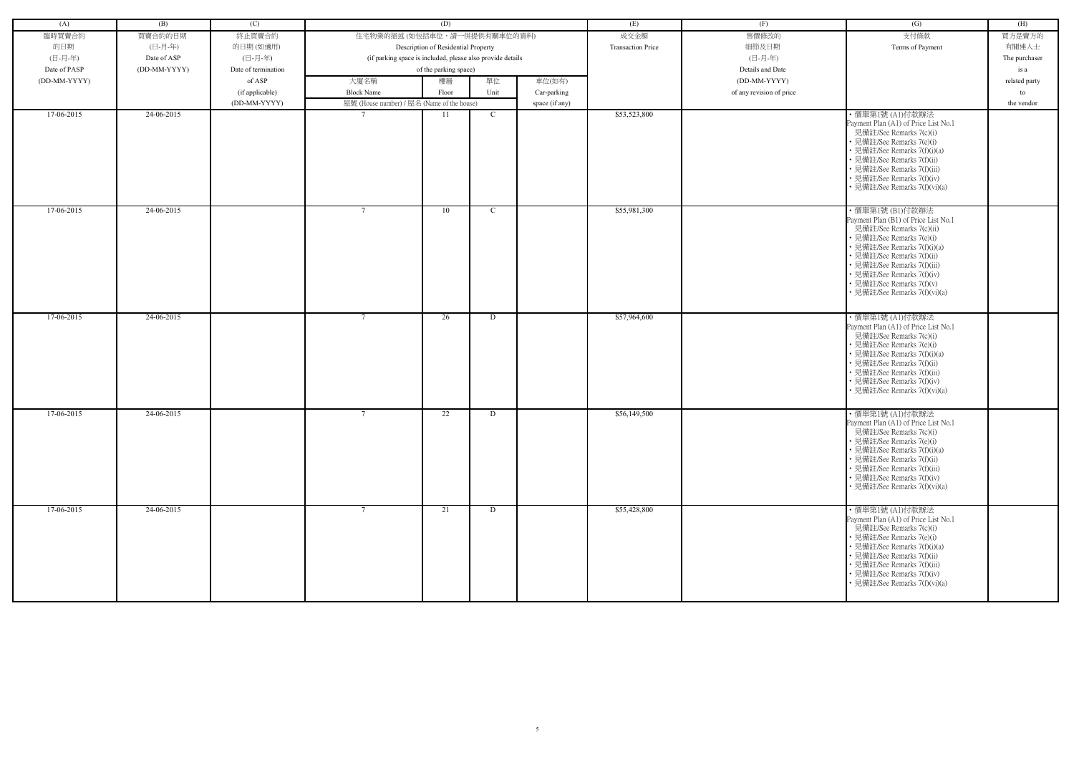| (A)          | (B)          | (C)                 |                                                            | (D)                                 |               |                | (E)                      | (F)                      | (G)                                                                                                                                                                                                                                                                                                       | (H)           |
|--------------|--------------|---------------------|------------------------------------------------------------|-------------------------------------|---------------|----------------|--------------------------|--------------------------|-----------------------------------------------------------------------------------------------------------------------------------------------------------------------------------------------------------------------------------------------------------------------------------------------------------|---------------|
| 臨時買賣合約       | 買賣合約的日期      | 終止買賣合約              | 住宅物業的描述 (如包括車位,請一併提供有關車位的資料)                               |                                     |               |                | 成交金額                     | 售價修改的                    | 支付條款                                                                                                                                                                                                                                                                                                      | 買方是賣方的        |
| 的日期          | (日-月-年)      | 的日期(如適用)            |                                                            | Description of Residential Property |               |                | <b>Transaction Price</b> | 細節及日期                    | Terms of Payment                                                                                                                                                                                                                                                                                          | 有關連人士         |
| (日-月-年)      | Date of ASP  | (日-月-年)             | (if parking space is included, please also provide details |                                     |               |                |                          | (日-月-年)                  |                                                                                                                                                                                                                                                                                                           | The purchaser |
| Date of PASP | (DD-MM-YYYY) | Date of termination |                                                            | of the parking space)               |               |                |                          | Details and Date         |                                                                                                                                                                                                                                                                                                           | is a          |
| (DD-MM-YYYY) |              | of ASP              | 大廈名稱                                                       | 樓層                                  | 單位            | 車位(如有)         |                          | (DD-MM-YYYY)             |                                                                                                                                                                                                                                                                                                           | related party |
|              |              | (if applicable)     | <b>Block Name</b>                                          | Floor                               | Unit          | Car-parking    |                          | of any revision of price |                                                                                                                                                                                                                                                                                                           | to            |
|              |              | (DD-MM-YYYY)        | 屋號 (House number) / 屋名 (Name of the house)                 |                                     |               | space (if any) |                          |                          |                                                                                                                                                                                                                                                                                                           | the vendor    |
| 17-06-2015   | 24-06-2015   |                     | $\overline{7}$                                             | 11                                  | $\mathbf{C}$  |                | \$53,523,800             |                          | · 價單第1號 (A1)付款辦法<br>Payment Plan (A1) of Price List No.1<br>見備註/See Remarks 7(c)(i)<br>• 見備註/See Remarks 7(e)(i)<br>• 見備註/See Remarks 7(f)(i)(a)<br>• 見備註/See Remarks 7(f)(ii)<br>• 見備註/See Remarks 7(f)(iii)<br>• 見備註/See Remarks 7(f)(iv)<br>• 見備註/See Remarks 7(f)(vi)(a)                              |               |
| 17-06-2015   | 24-06-2015   |                     | $7\phantom{.0}$                                            | 10                                  | $\mathcal{C}$ |                | \$55,981,300             |                          | ・價單第1號 (B1)付款辦法<br>Payment Plan (B1) of Price List No.1<br>見備註/See Remarks 7(c)(ii)<br>• 見備註/See Remarks 7(e)(i)<br>• 見備註/See Remarks 7(f)(i)(a)<br>• 見備註/See Remarks 7(f)(ii)<br>• 見備註/See Remarks 7(f)(iii)<br>• 見備註/See Remarks 7(f)(iv)<br>• 見備註/See Remarks 7(f)(v)<br>• 見備註/See Remarks 7(f)(vi)(a) |               |
| 17-06-2015   | 24-06-2015   |                     | $7\phantom{.0}$                                            | 26                                  | D             |                | \$57,964,600             |                          | ・價單第1號 (A1)付款辦法<br>Payment Plan (A1) of Price List No.1<br>見備註/See Remarks 7(c)(i)<br>• 見備註/See Remarks 7(e)(i)<br>• 見備註/See Remarks 7(f)(i)(a)<br>• 見備註/See Remarks 7(f)(ii)<br>• 見備註/See Remarks 7(f)(iii)<br>• 見備註/See Remarks 7(f)(iv)<br>• 見備註/See Remarks 7(f)(vi)(a)                               |               |
| 17-06-2015   | 24-06-2015   |                     | $7\phantom{0}$                                             | 22                                  | D             |                | \$56,149,500             |                          | ・價單第1號 (A1)付款辦法<br>Payment Plan (A1) of Price List No.1<br>見備註/See Remarks 7(c)(i)<br>• 見備註/See Remarks 7(e)(i)<br>• 見備註/See Remarks 7(f)(i)(a)<br>• 見備註/See Remarks 7(f)(ii)<br>• 見備註/See Remarks 7(f)(iii)<br>• 見備註/See Remarks 7(f)(iv)<br>• 見備註/See Remarks 7(f)(vi)(a)                               |               |
| 17-06-2015   | 24-06-2015   |                     | $7\phantom{.0}$                                            | 21                                  | D             |                | \$55,428,800             |                          | ・價單第1號 (A1)付款辦法<br>Payment Plan (A1) of Price List No.1<br>見備註/See Remarks 7(c)(i)<br>• 見備註/See Remarks 7(e)(i)<br>• 見備註/See Remarks 7(f)(i)(a)<br>• 見備註/See Remarks 7(f)(ii)<br>• 見備註/See Remarks 7(f)(iii)<br>• 見備註/See Remarks 7(f)(iv)<br>• 見備註/See Remarks 7(f)(vi)(a)                               |               |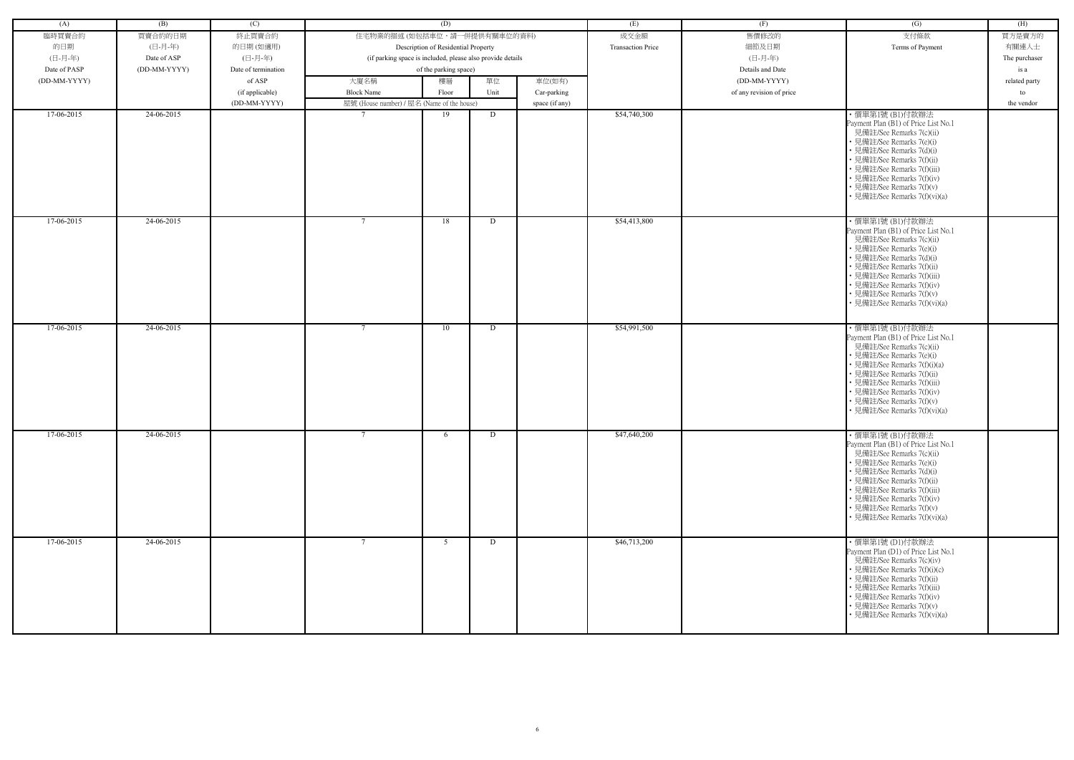| (A)          | (B)          | (C)                 |                                                            | (D)                                 |      |                | (E)                      | (F)                      | (G)                                                                                                                                                                                                                                                                                                    | (H)           |
|--------------|--------------|---------------------|------------------------------------------------------------|-------------------------------------|------|----------------|--------------------------|--------------------------|--------------------------------------------------------------------------------------------------------------------------------------------------------------------------------------------------------------------------------------------------------------------------------------------------------|---------------|
| 臨時買賣合約       | 買賣合約的日期      | 終止買賣合約              | 住宅物業的描述 (如包括車位,請一併提供有關車位的資料)                               |                                     |      |                | 成交金額                     | 售價修改的                    | 支付條款                                                                                                                                                                                                                                                                                                   | 買方是賣方的        |
| 的日期          | (日-月-年)      |                     |                                                            |                                     |      |                | <b>Transaction Price</b> | 細節及日期                    | Terms of Payment                                                                                                                                                                                                                                                                                       | 有關連人士         |
|              |              | 的日期(如適用)            |                                                            | Description of Residential Property |      |                |                          |                          |                                                                                                                                                                                                                                                                                                        |               |
| (日-月-年)      | Date of ASP  | (日-月-年)             | (if parking space is included, please also provide details |                                     |      |                |                          | (日-月-年)                  |                                                                                                                                                                                                                                                                                                        | The purchaser |
| Date of PASP | (DD-MM-YYYY) | Date of termination |                                                            | of the parking space)               |      |                |                          | Details and Date         |                                                                                                                                                                                                                                                                                                        | is a          |
| (DD-MM-YYYY) |              | of ASP              | 大廈名稱                                                       | 樓層                                  | 單位   | 車位(如有)         |                          | (DD-MM-YYYY)             |                                                                                                                                                                                                                                                                                                        | related party |
|              |              | (if applicable)     | <b>Block Name</b>                                          | Floor                               | Unit | Car-parking    |                          | of any revision of price |                                                                                                                                                                                                                                                                                                        | to            |
|              |              | (DD-MM-YYYY)        | 屋號 (House number) / 屋名 (Name of the house)                 |                                     |      | space (if any) |                          |                          |                                                                                                                                                                                                                                                                                                        | the vendor    |
| 17-06-2015   | 24-06-2015   |                     |                                                            | 19                                  | D    |                | \$54,740,300             |                          | ・價單第1號 (B1)付款辦法<br>Payment Plan (B1) of Price List No.1<br>見備註/See Remarks 7(c)(ii)<br>• 見備註/See Remarks 7(e)(i)<br>• 見備註/See Remarks 7(d)(i)<br>• 見備註/See Remarks 7(f)(ii)<br>• 見備註/See Remarks 7(f)(iii)<br>• 見備註/See Remarks 7(f)(iv)<br>• 見備註/See Remarks 7(f)(v)<br>· 見備註/See Remarks 7(f)(vi)(a) |               |
| 17-06-2015   | 24-06-2015   |                     | $7\phantom{.0}$                                            | 18                                  | D    |                | \$54,413,800             |                          | ・價單第1號 (B1)付款辦法<br>Payment Plan (B1) of Price List No.1<br>見備註/See Remarks 7(c)(ii)<br>• 見備註/See Remarks 7(e)(i)<br>• 見備註/See Remarks 7(d)(i)<br>• 見備註/See Remarks 7(f)(ii)<br>• 見備註/See Remarks 7(f)(iii)<br>• 見備註/See Remarks 7(f)(iv)<br>• 見備註/See Remarks 7(f)(v)<br>• 見備註/See Remarks 7(f)(vi)(a) |               |
| 17-06-2015   | 24-06-2015   |                     | $7\phantom{.0}$                                            | 10                                  | D    |                | \$54,991,500             |                          | ・價單第1號 (B1)付款辦法<br>Payment Plan (B1) of Price List No.1                                                                                                                                                                                                                                                |               |
|              |              |                     |                                                            |                                     |      |                |                          |                          | 見備註/See Remarks 7(c)(ii)<br>• 見備註/See Remarks 7(e)(i)<br>• 見備註/See Remarks 7(f)(i)(a)<br>• 見備註/See Remarks 7(f)(ii)<br>• 見備註/See Remarks 7(f)(iii)<br>• 見備註/See Remarks 7(f)(iv)<br>• 見備註/See Remarks 7(f)(v)<br>• 見備註/See Remarks 7(f)(vi)(a)                                                         |               |
| 17-06-2015   | 24-06-2015   |                     | $\mathcal{I}$                                              | 6                                   | D    |                | \$47,640,200             |                          | ・價單第1號 (B1)付款辦法<br>Payment Plan (B1) of Price List No.1<br>見備註/See Remarks 7(c)(ii)<br>• 見備註/See Remarks 7(e)(i)<br>• 見備註/See Remarks 7(d)(i)<br>• 見備註/See Remarks 7(f)(ii)<br>• 見備註/See Remarks 7(f)(iii)<br>• 見備註/See Remarks 7(f)(iv)<br>• 見備註/See Remarks 7(f)(v)<br>• 見備註/See Remarks 7(f)(vi)(a) |               |
| 17-06-2015   | 24-06-2015   |                     |                                                            | 5 <sup>5</sup>                      | D    |                | \$46,713,200             |                          | ・價單第1號 (D1)付款辦法<br>Payment Plan (D1) of Price List No.1<br>見備註/See Remarks 7(c)(iv)<br>• 見備註/See Remarks 7(f)(i)(c)<br>• 見備註/See Remarks 7(f)(ii)<br>• 見備註/See Remarks 7(f)(iii)<br>• 見備註/See Remarks 7(f)(iv)<br>• 見備註/See Remarks 7(f)(v)<br>• 見備註/See Remarks 7(f)(vi)(a)                           |               |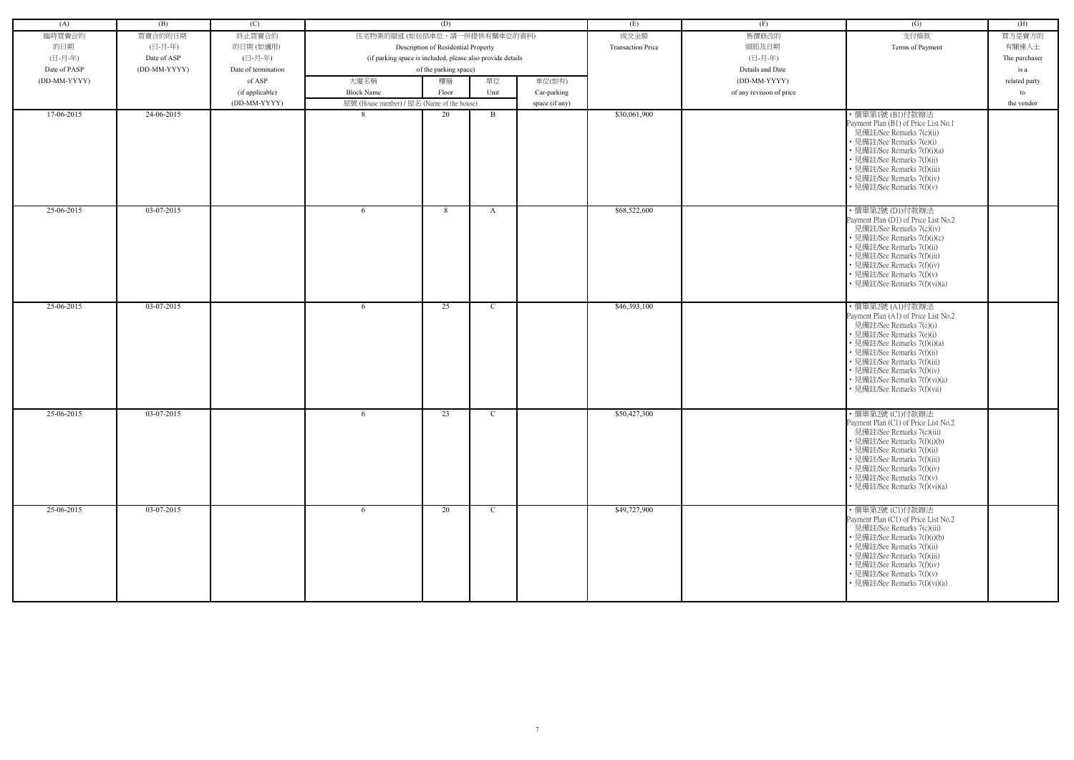| (A)          | (B)          | (C)                 |                                                            | (D)                                 |              |                | (E)                      | (F)                      | (G)                                                                                                                                                                                                                                                                                                       | (H)           |
|--------------|--------------|---------------------|------------------------------------------------------------|-------------------------------------|--------------|----------------|--------------------------|--------------------------|-----------------------------------------------------------------------------------------------------------------------------------------------------------------------------------------------------------------------------------------------------------------------------------------------------------|---------------|
| 臨時買賣合約       | 買賣合約的日期      | 終止買賣合約              | 住宅物業的描述 (如包括車位,請一併提供有關車位的資料)                               |                                     |              |                | 成交金額                     | 售價修改的                    | 支付條款                                                                                                                                                                                                                                                                                                      | 買方是賣方的        |
| 的日期          | (日-月-年)      | 的日期(如適用)            |                                                            | Description of Residential Property |              |                | <b>Transaction Price</b> | 細節及日期                    | Terms of Payment                                                                                                                                                                                                                                                                                          | 有關連人士         |
| (日-月-年)      | Date of ASP  | (日-月-年)             | (if parking space is included, please also provide details |                                     |              |                |                          | (日-月-年)                  |                                                                                                                                                                                                                                                                                                           | The purchaser |
| Date of PASP | (DD-MM-YYYY) | Date of termination |                                                            | of the parking space)               |              |                |                          | Details and Date         |                                                                                                                                                                                                                                                                                                           | is a          |
| (DD-MM-YYYY) |              | of ASP              | 大廈名稱                                                       | 樓層                                  | 單位           | 車位(如有)         |                          | (DD-MM-YYYY)             |                                                                                                                                                                                                                                                                                                           | related party |
|              |              | (if applicable)     | <b>Block Name</b>                                          | Floor                               | Unit         | Car-parking    |                          | of any revision of price |                                                                                                                                                                                                                                                                                                           | to            |
|              |              | (DD-MM-YYYY)        | 屋號 (House number) / 屋名 (Name of the house)                 |                                     |              | space (if any) |                          |                          |                                                                                                                                                                                                                                                                                                           | the vendor    |
| $17-06-2015$ | 24-06-2015   |                     | 8                                                          | 20                                  | B            |                | \$30,061,900             |                          | ・價單第1號 (B1)付款辦法<br>Payment Plan (B1) of Price List No.1<br>見備註/See Remarks 7(c)(ii)<br>• 見備註/See Remarks 7(e)(i)<br>• 見備註/See Remarks 7(f)(i)(a)<br>• 見備註/See Remarks 7(f)(ii)<br>• 見備註/See Remarks 7(f)(iii)<br>• 見備註/See Remarks 7(f)(iv)<br>• 見備註/See Remarks 7(f)(v)                                  |               |
| 25-06-2015   | 03-07-2015   |                     | 6                                                          | 8                                   | A            |                | \$68,522,600             |                          | ・價單第2號 (D1)付款辦法<br>Payment Plan (D1) of Price List No.2<br>見備註/See Remarks 7(c)(iv)<br>• 見備註/See Remarks 7(f)(i)(c)<br>• 見備註/See Remarks 7(f)(ii)<br>• 見備註/See Remarks 7(f)(iii)<br>• 見備註/See Remarks 7(f)(iv)<br>• 見備註/See Remarks 7(f)(v)<br>• 見備註/See Remarks 7(f)(vi)(a)                              |               |
| 25-06-2015   | 03-07-2015   |                     | 6                                                          | 25                                  | C            |                | \$46,393,100             |                          | ·價單第2號(A1)付款辦法<br>Payment Plan (A1) of Price List No.2<br>見備註/See Remarks 7(c)(i)<br>• 見備註/See Remarks 7(e)(i)<br>• 見備註/See Remarks 7(f)(i)(a)<br>• 見備註/See Remarks 7(f)(ii)<br>• 見備註/See Remarks 7(f)(iii)<br>· 見備註/See Remarks 7(f)(iv)<br>• 見備註/See Remarks 7(f)(vi)(a)<br>• 見備註/See Remarks 7(f)(vii) |               |
| 25-06-2015   | 03-07-2015   |                     | 6                                                          | 23                                  | $\mathbf{C}$ |                | \$50,427,300             |                          | ・價單第2號 (C1)付款辦法<br>Payment Plan (C1) of Price List No.2<br>見備註/See Remarks 7(c)(iii)<br>• 見備註/See Remarks 7(f)(i)(b)<br>• 見備註/See Remarks 7(f)(ii)<br>• 見備註/See Remarks 7(f)(iii)<br>• 見備註/See Remarks 7(f)(iv)<br>• 見備註/See Remarks 7(f)(v)<br>• 見備註/See Remarks 7(f)(vi)(a)                             |               |
| 25-06-2015   | 03-07-2015   |                     | 6                                                          | 20                                  | $\mathbf{C}$ |                | \$49,727,900             |                          | ・價單第2號 (C1)付款辦法<br>Payment Plan (C1) of Price List No.2<br>見備註/See Remarks 7(c)(iii)<br>• 見備註/See Remarks 7(f)(i)(b)<br>• 見備註/See Remarks 7(f)(ii)<br>• 見備註/See Remarks 7(f)(iii)<br>• 見備註/See Remarks 7(f)(iv)<br>• 見備註/See Remarks 7(f)(v)<br>• 見備註/See Remarks 7(f)(vi)(a)                             |               |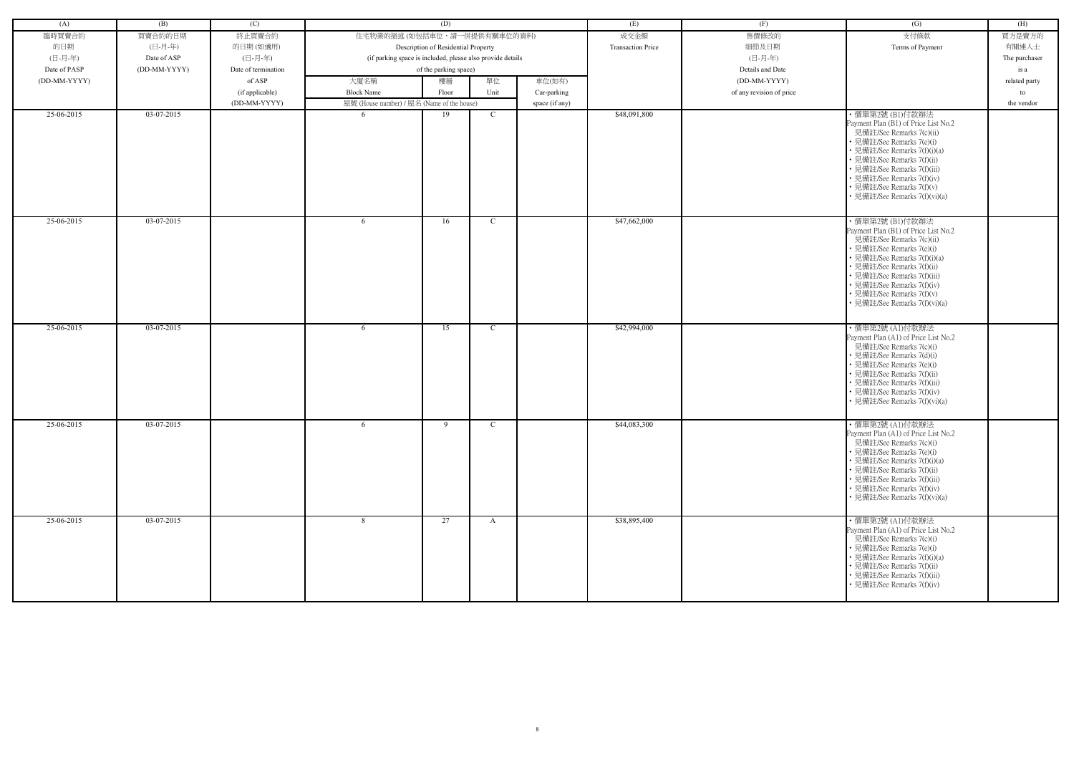| (A)          | (B)          | (C)                 |                                                            | (D)                                 |              |                | (E)                      | (F)                      | (G)                                                                                                                                                                                                                                                                                                       | (H)           |
|--------------|--------------|---------------------|------------------------------------------------------------|-------------------------------------|--------------|----------------|--------------------------|--------------------------|-----------------------------------------------------------------------------------------------------------------------------------------------------------------------------------------------------------------------------------------------------------------------------------------------------------|---------------|
| 臨時買賣合約       | 買賣合約的日期      | 終止買賣合約              | 住宅物業的描述 (如包括車位,請一併提供有關車位的資料)                               |                                     |              |                | 成交金額                     | 售價修改的                    | 支付條款                                                                                                                                                                                                                                                                                                      | 買方是賣方的        |
| 的日期          | (日-月-年)      | 的日期(如適用)            |                                                            | Description of Residential Property |              |                | <b>Transaction Price</b> | 細節及日期                    | Terms of Payment                                                                                                                                                                                                                                                                                          | 有關連人士         |
| (日-月-年)      | Date of ASP  | (日-月-年)             | (if parking space is included, please also provide details |                                     |              |                |                          | (日-月-年)                  |                                                                                                                                                                                                                                                                                                           | The purchaser |
| Date of PASP | (DD-MM-YYYY) | Date of termination |                                                            | of the parking space)               |              |                |                          | Details and Date         |                                                                                                                                                                                                                                                                                                           | is a          |
| (DD-MM-YYYY) |              | of ASP              | 大廈名稱                                                       | 樓層                                  | 單位           | 車位(如有)         |                          | (DD-MM-YYYY)             |                                                                                                                                                                                                                                                                                                           | related party |
|              |              | (if applicable)     | <b>Block Name</b>                                          | Floor                               | Unit         | Car-parking    |                          | of any revision of price |                                                                                                                                                                                                                                                                                                           | to            |
|              |              | (DD-MM-YYYY)        | 屋號 (House number) / 屋名 (Name of the house)                 |                                     |              | space (if any) |                          |                          |                                                                                                                                                                                                                                                                                                           | the vendor    |
| 25-06-2015   | 03-07-2015   |                     | -6                                                         | 19                                  | $\mathbf C$  |                | \$48,091,800             |                          | ・價單第2號 (B1)付款辦法<br>Payment Plan (B1) of Price List No.2<br>見備註/See Remarks 7(c)(ii)<br>• 見備註/See Remarks 7(e)(i)<br>• 見備註/See Remarks 7(f)(i)(a)<br>• 見備註/See Remarks 7(f)(ii)<br>• 見備註/See Remarks 7(f)(iii)<br>• 見備註/See Remarks 7(f)(iv)<br>• 見備註/See Remarks 7(f)(v)<br>• 見備註/See Remarks 7(f)(vi)(a) |               |
| 25-06-2015   | 03-07-2015   |                     | 6                                                          | 16                                  | $\mathbf C$  |                | \$47,662,000             |                          | ・價單第2號 (B1)付款辦法<br>Payment Plan (B1) of Price List No.2<br>見備註/See Remarks 7(c)(ii)<br>• 見備註/See Remarks 7(e)(i)<br>• 見備註/See Remarks 7(f)(i)(a)<br>• 見備註/See Remarks 7(f)(ii)<br>• 見備註/See Remarks 7(f)(iii)<br>• 見備註/See Remarks 7(f)(iv)<br>• 見備註/See Remarks 7(f)(v)<br>• 見備註/See Remarks 7(f)(vi)(a) |               |
| 25-06-2015   | 03-07-2015   |                     | 6                                                          | 15                                  | C            |                | \$42,994,000             |                          | · 價單第2號 (A1)付款辦法<br>Payment Plan (A1) of Price List No.2<br>見備註/See Remarks 7(c)(i)<br>• 見備註/See Remarks 7(d)(i)<br>• 見備註/See Remarks 7(e)(i)<br>• 見備註/See Remarks 7(f)(ii)<br>• 見備註/See Remarks 7(f)(iii)<br>• 見備註/See Remarks 7(f)(iv)<br>• 見備註/See Remarks 7(f)(vi)(a)                                 |               |
| 25-06-2015   | 03-07-2015   |                     | 6                                                          | 9                                   | $\mathbf{C}$ |                | \$44,083,300             |                          | ・價單第2號 (A1)付款辦法<br>Payment Plan (A1) of Price List No.2<br>見備註/See Remarks 7(c)(i)<br>• 見備註/See Remarks 7(e)(i)<br>• 見備註/See Remarks 7(f)(i)(a)<br>• 見備註/See Remarks 7(f)(ii)<br>• 見備註/See Remarks 7(f)(iii)<br>• 見備註/See Remarks 7(f)(iv)<br>• 見備註/See Remarks 7(f)(vi)(a)                               |               |
| 25-06-2015   | 03-07-2015   |                     | 8                                                          | 27                                  | $\mathbf{A}$ |                | \$38,895,400             |                          | ・價單第2號 (A1)付款辦法<br>Payment Plan (A1) of Price List No.2<br>見備註/See Remarks 7(c)(i)<br>• 見備註/See Remarks 7(e)(i)<br>• 見備註/See Remarks 7(f)(i)(a)<br>• 見備註/See Remarks 7(f)(ii)<br>• 見備註/See Remarks 7(f)(iii)<br>• 見備註/See Remarks 7(f)(iv)                                                                |               |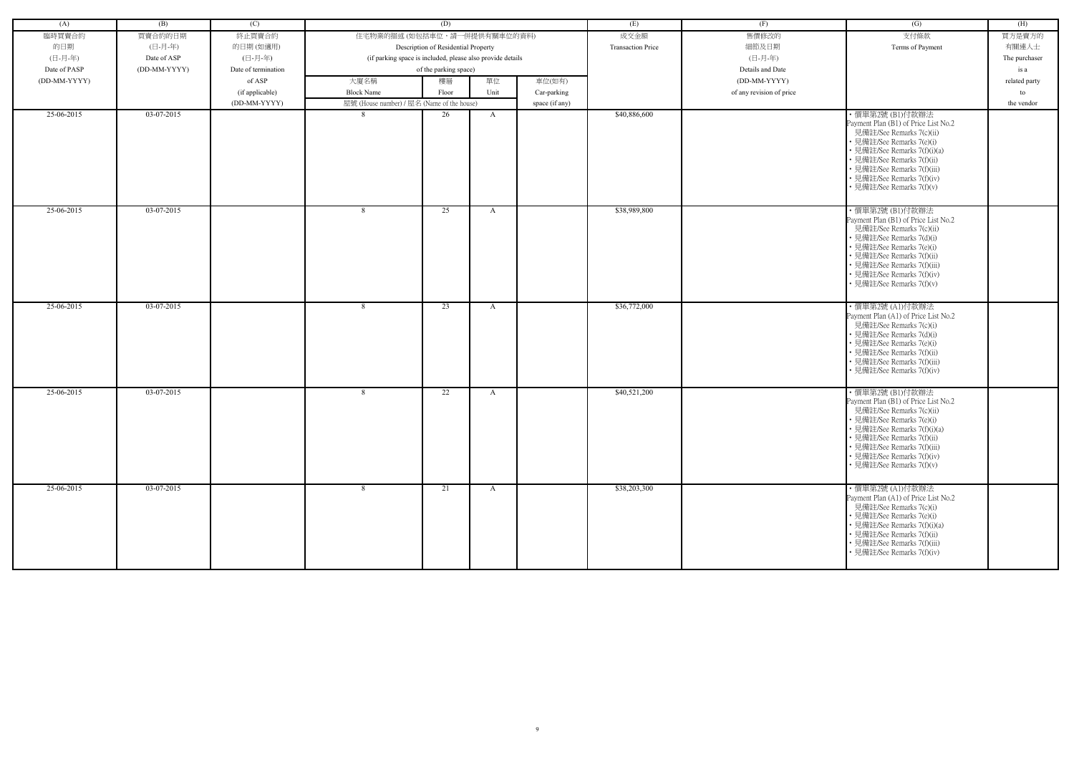| (A)          | (B)          | (C)                 |                                                            | (D)                                 |              |                | (E)                      | (F)                      | (G)                                                                                                                                                                                                                                                                      | (H)           |
|--------------|--------------|---------------------|------------------------------------------------------------|-------------------------------------|--------------|----------------|--------------------------|--------------------------|--------------------------------------------------------------------------------------------------------------------------------------------------------------------------------------------------------------------------------------------------------------------------|---------------|
| 臨時買賣合約       | 買賣合約的日期      | 終止買賣合約              | 住宅物業的描述 (如包括車位,請一併提供有關車位的資料)                               |                                     |              |                | 成交金額                     | 售價修改的                    | 支付條款                                                                                                                                                                                                                                                                     | 買方是賣方的        |
| 的日期          | (日-月-年)      | 的日期(如適用)            |                                                            | Description of Residential Property |              |                | <b>Transaction Price</b> | 細節及日期                    | Terms of Payment                                                                                                                                                                                                                                                         | 有關連人士         |
| (日-月-年)      | Date of ASP  | (日-月-年)             | (if parking space is included, please also provide details |                                     |              |                |                          | (日-月-年)                  |                                                                                                                                                                                                                                                                          | The purchaser |
| Date of PASP | (DD-MM-YYYY) | Date of termination |                                                            | of the parking space)               |              |                |                          | Details and Date         |                                                                                                                                                                                                                                                                          | is a          |
| (DD-MM-YYYY) |              | of ASP              | 大廈名稱                                                       | 樓層                                  | 單位           | 車位(如有)         |                          | (DD-MM-YYYY)             |                                                                                                                                                                                                                                                                          | related party |
|              |              | (if applicable)     | <b>Block Name</b>                                          | Floor                               | Unit         | Car-parking    |                          | of any revision of price |                                                                                                                                                                                                                                                                          | to            |
|              |              | (DD-MM-YYYY)        | 屋號 (House number) / 屋名 (Name of the house)                 |                                     |              | space (if any) |                          |                          |                                                                                                                                                                                                                                                                          | the vendor    |
| 25-06-2015   | 03-07-2015   |                     | -8                                                         | 26                                  | $\mathbf{A}$ |                | \$40,886,600             |                          | ・價單第2號 (B1)付款辦法<br>Payment Plan (B1) of Price List No.2<br>見備註/See Remarks 7(c)(ii)<br>• 見備註/See Remarks 7(e)(i)<br>• 見備註/See Remarks 7(f)(i)(a)<br>• 見備註/See Remarks 7(f)(ii)<br>• 見備註/See Remarks 7(f)(iii)<br>• 見備註/See Remarks 7(f)(iv)<br>• 見備註/See Remarks 7(f)(v) |               |
| 25-06-2015   | 03-07-2015   |                     | -8                                                         | 25                                  | A            |                | \$38,989,800             |                          | ・價單第2號 (B1)付款辦法<br>Payment Plan (B1) of Price List No.2<br>見備註/See Remarks 7(c)(ii)<br>• 見備註/See Remarks 7(d)(i)<br>• 見備註/See Remarks 7(e)(i)<br>• 見備註/See Remarks 7(f)(ii)<br>• 見備註/See Remarks 7(f)(iii)<br>• 見備註/See Remarks 7(f)(iv)<br>· 見備註/See Remarks 7(f)(v)    |               |
| $25-06-2015$ | $03-07-2015$ |                     | 8                                                          | 23                                  | A            |                | \$36,772,000             |                          | ・價單第2號 (A1)付款辦法<br>Payment Plan (A1) of Price List No.2<br>見備註/See Remarks 7(c)(i)<br>• 見備註/See Remarks 7(d)(i)<br>• 見備註/See Remarks 7(e)(i)<br>• 見備註/See Remarks 7(f)(ii)<br>• 見備註/See Remarks 7(f)(iii)<br>· 見備註/See Remarks 7(f)(iv)                                  |               |
| 25-06-2015   | $03-07-2015$ |                     | 8                                                          | 22                                  | A            |                | \$40,521,200             |                          | ・價單第2號 (B1)付款辦法<br>Payment Plan (B1) of Price List No.2<br>見備註/See Remarks 7(c)(ii)<br>· 見備註/See Remarks 7(e)(i)<br>• 見備註/See Remarks 7(f)(i)(a)<br>• 見備註/See Remarks 7(f)(ii)<br>• 見備註/See Remarks 7(f)(iii)<br>• 見備註/See Remarks 7(f)(iv)<br>• 見備註/See Remarks 7(f)(v) |               |
| 25-06-2015   | 03-07-2015   |                     | 8                                                          | 21                                  | $\mathbf{A}$ |                | \$38,203,300             |                          | ・價單第2號 (A1)付款辦法<br>Payment Plan (A1) of Price List No.2<br>見備註/See Remarks 7(c)(i)<br>• 見備註/See Remarks 7(e)(i)<br>• 見備註/See Remarks 7(f)(i)(a)<br>• 見備註/See Remarks 7(f)(ii)<br>• 見備註/See Remarks 7(f)(iii)<br>• 見備註/See Remarks 7(f)(iv)                               |               |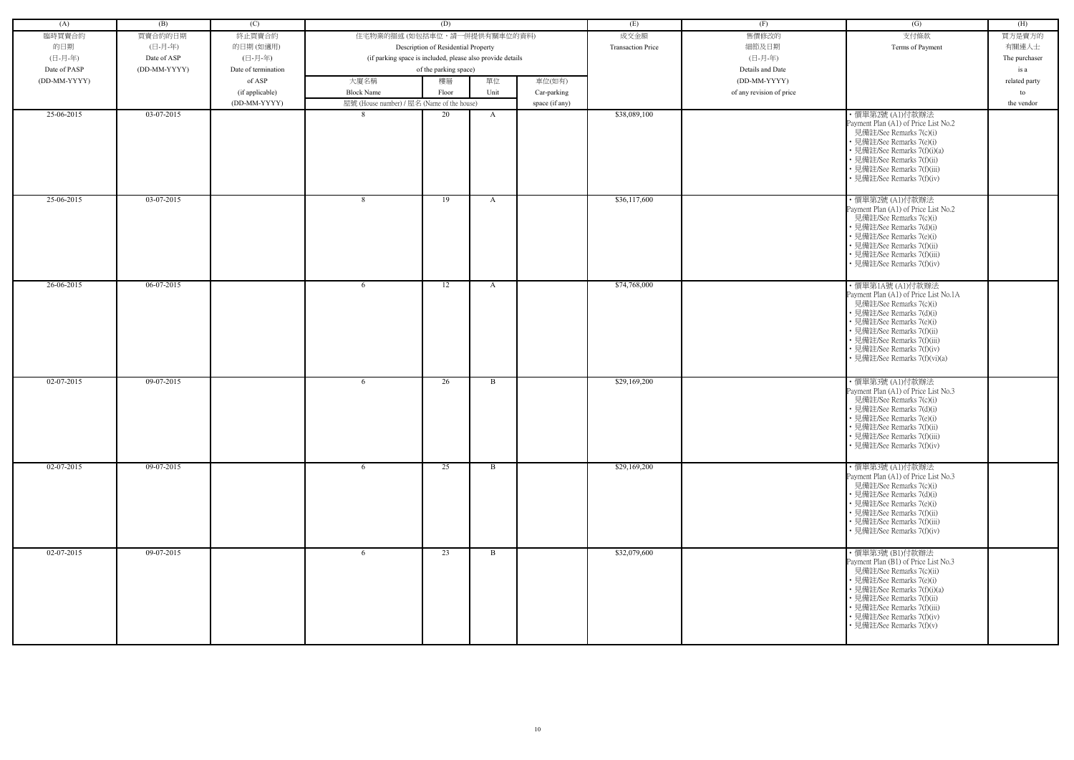| (A)          | (B)          | (C)                 |                                                            | (D)                                 |              |                | (E)                      | (F)                      | (G)                                                                                                                                                                                                                                                                        | (H)           |
|--------------|--------------|---------------------|------------------------------------------------------------|-------------------------------------|--------------|----------------|--------------------------|--------------------------|----------------------------------------------------------------------------------------------------------------------------------------------------------------------------------------------------------------------------------------------------------------------------|---------------|
| 臨時買賣合約       | 買賣合約的日期      | 終止買賣合約              | 住宅物業的描述 (如包括車位,請一併提供有關車位的資料)                               |                                     |              |                | 成交金額                     | 售價修改的                    | 支付條款                                                                                                                                                                                                                                                                       | 買方是賣方的        |
| 的日期          | (日-月-年)      | 的日期(如適用)            |                                                            | Description of Residential Property |              |                | <b>Transaction Price</b> | 細節及日期                    | Terms of Payment                                                                                                                                                                                                                                                           | 有關連人士         |
| (日-月-年)      | Date of ASP  | (日-月-年)             | (if parking space is included, please also provide details |                                     |              |                |                          | (日-月-年)                  |                                                                                                                                                                                                                                                                            | The purchaser |
| Date of PASP | (DD-MM-YYYY) | Date of termination |                                                            | of the parking space)               |              |                |                          | Details and Date         |                                                                                                                                                                                                                                                                            | is a          |
| (DD-MM-YYYY) |              | of ASP              | 大廈名稱                                                       | 樓層                                  | 單位           | 車位(如有)         |                          | (DD-MM-YYYY)             |                                                                                                                                                                                                                                                                            |               |
|              |              |                     |                                                            |                                     |              |                |                          |                          |                                                                                                                                                                                                                                                                            | related party |
|              |              | (if applicable)     | <b>Block Name</b>                                          | Floor                               | Unit         | Car-parking    |                          | of any revision of price |                                                                                                                                                                                                                                                                            | to            |
|              |              | (DD-MM-YYYY)        | 屋號 (House number) / 屋名 (Name of the house)                 |                                     |              | space (if any) |                          |                          |                                                                                                                                                                                                                                                                            | the vendor    |
| 25-06-2015   | $03-07-2015$ |                     |                                                            | 20                                  | A            |                | \$38,089,100             |                          | ・價單第2號 (A1)付款辦法<br>Payment Plan (A1) of Price List No.2<br>見備註/See Remarks 7(c)(i)<br>• 見備註/See Remarks 7(e)(i)<br>• 見備註/See Remarks 7(f)(i)(a)<br>• 見備註/See Remarks 7(f)(ii)<br>• 見備註/See Remarks 7(f)(iii)<br>• 見備註/See Remarks 7(f)(iv)                                 |               |
| 25-06-2015   | 03-07-2015   |                     | - 8                                                        | 19                                  | A            |                | \$36,117,600             |                          | · 價單第2號 (A1)付款辦法<br>Payment Plan (A1) of Price List No.2<br>見備註/See Remarks 7(c)(i)<br>• 見備註/See Remarks 7(d)(i)<br>· 見備註/See Remarks 7(e)(i)<br>• 見備註/See Remarks 7(f)(ii)<br>• 見備註/See Remarks 7(f)(iii)<br>· 見備註/See Remarks 7(f)(iv)                                   |               |
| 26-06-2015   | 06-07-2015   |                     | -6                                                         | 12                                  | A            |                | \$74,768,000             |                          | ・價單第1A號 (A1)付款辦法<br>Payment Plan (A1) of Price List No.1A<br>見備註/See Remarks 7(c)(i)<br>• 見備註/See Remarks 7(d)(i)<br>• 見備註/See Remarks 7(e)(i)<br>• 見備註/See Remarks 7(f)(ii)<br>• 見備註/See Remarks 7(f)(iii)<br>• 見備註/See Remarks 7(f)(iv)<br>• 見備註/See Remarks 7(f)(vi)(a) |               |
| $02-07-2015$ | 09-07-2015   |                     | -6                                                         | 26                                  | B            |                | \$29,169,200             |                          | ・價單第3號 (A1)付款辦法<br>Payment Plan (A1) of Price List No.3<br>見備註/See Remarks 7(c)(i)<br>• 見備註/See Remarks 7(d)(i)<br>• 見備註/See Remarks 7(e)(i)<br>• 見備註/See Remarks 7(f)(ii)<br>• 見備註/See Remarks 7(f)(iii)<br>• 見備註/See Remarks 7(f)(iv)                                    |               |
| $02-07-2015$ | 09-07-2015   |                     | 6                                                          | $\overline{25}$                     | B            |                | \$29,169,200             |                          | ・價單第3號 (A1)付款辦法<br>Payment Plan (A1) of Price List No.3<br>見備註/See Remarks 7(c)(i)<br>• 見備註/See Remarks 7(d)(i)<br>• 見備註/See Remarks 7(e)(i)<br>• 見備註/See Remarks 7(f)(ii)<br>· 見備註/See Remarks 7(f)(iii)<br>• 見備註/See Remarks 7(f)(iv)                                    |               |
| 02-07-2015   | 09-07-2015   |                     | -6                                                         | 23                                  | $\mathbf{B}$ |                | \$32,079,600             |                          | ・價單第3號 (B1)付款辦法<br>Payment Plan (B1) of Price List No.3<br>見備註/See Remarks 7(c)(ii)<br>• 見備註/See Remarks 7(e)(i)<br>• 見備註/See Remarks 7(f)(i)(a)<br>• 見備註/See Remarks 7(f)(ii)<br>· 見備註/See Remarks 7(f)(iii)<br>• 見備註/See Remarks 7(f)(iv)<br>• 見備註/See Remarks 7(f)(v)   |               |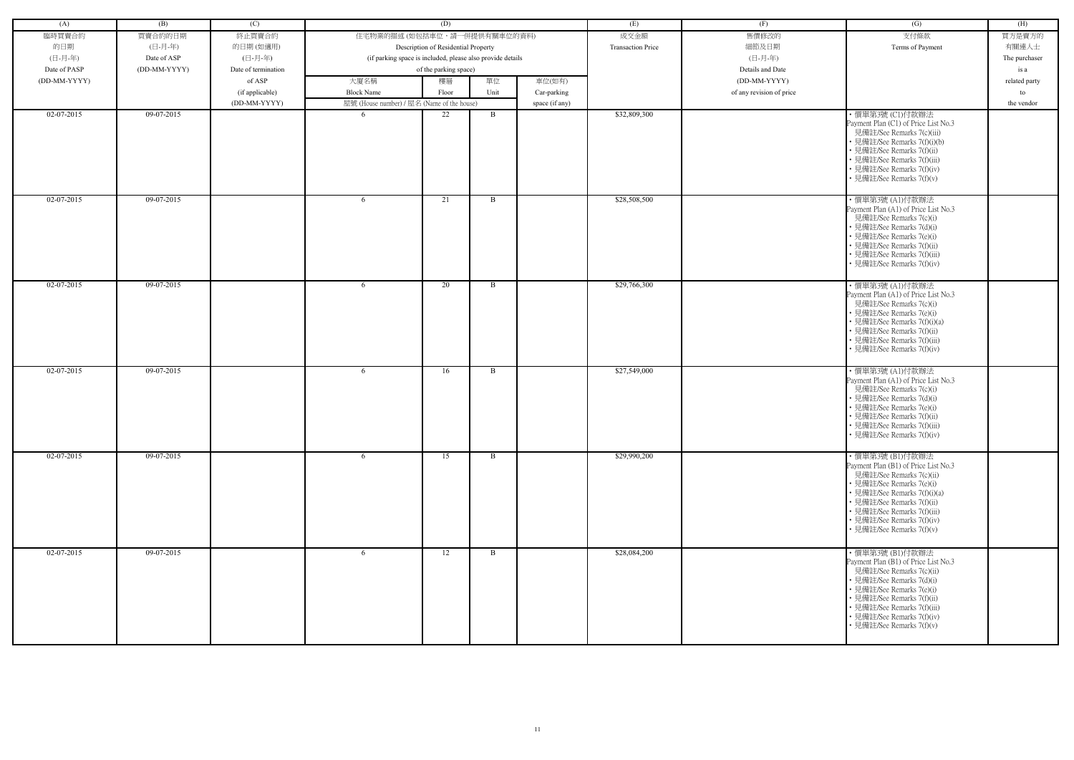| (A)          | (B)          | (C)                 |                                                            | (D)                                 |                |                | (E)                      | (F)                      | (G)                                                                                                                                                                                                                                                                      | (H)           |
|--------------|--------------|---------------------|------------------------------------------------------------|-------------------------------------|----------------|----------------|--------------------------|--------------------------|--------------------------------------------------------------------------------------------------------------------------------------------------------------------------------------------------------------------------------------------------------------------------|---------------|
| 臨時買賣合約       | 買賣合約的日期      | 終止買賣合約              | 住宅物業的描述 (如包括車位,請一併提供有關車位的資料)                               |                                     |                |                | 成交金額                     | 售價修改的                    | 支付條款                                                                                                                                                                                                                                                                     | 買方是賣方的        |
| 的日期          | (日-月-年)      | 的日期(如適用)            |                                                            | Description of Residential Property |                |                | <b>Transaction Price</b> | 細節及日期                    | Terms of Payment                                                                                                                                                                                                                                                         | 有關連人士         |
|              |              |                     |                                                            |                                     |                |                |                          |                          |                                                                                                                                                                                                                                                                          |               |
| (日-月-年)      | Date of ASP  | (日-月-年)             | (if parking space is included, please also provide details |                                     |                |                |                          | (日-月-年)                  |                                                                                                                                                                                                                                                                          | The purchaser |
| Date of PASP | (DD-MM-YYYY) | Date of termination |                                                            | of the parking space)               |                |                |                          | Details and Date         |                                                                                                                                                                                                                                                                          | is a          |
| (DD-MM-YYYY) |              | of ASP              | 大廈名稱                                                       | 樓層                                  | 單位             | 車位(如有)         |                          | (DD-MM-YYYY)             |                                                                                                                                                                                                                                                                          | related party |
|              |              | (if applicable)     | <b>Block Name</b>                                          | Floor                               | Unit           | Car-parking    |                          | of any revision of price |                                                                                                                                                                                                                                                                          | to            |
|              |              | (DD-MM-YYYY)        | 屋號 (House number) / 屋名 (Name of the house)                 |                                     |                | space (if any) |                          |                          |                                                                                                                                                                                                                                                                          | the vendor    |
| $02-07-2015$ | 09-07-2015   |                     |                                                            | 22                                  | B              |                | \$32,809,300             |                          | ・價單第3號 (C1)付款辦法<br>Payment Plan (C1) of Price List No.3<br>見備註/See Remarks 7(c)(iii)<br>• 見備註/See Remarks 7(f)(i)(b)<br>• 見備註/See Remarks 7(f)(ii)<br>• 見備註/See Remarks 7(f)(iii)<br>• 見備註/See Remarks 7(f)(iv)<br>• 見備註/See Remarks 7(f)(v)                             |               |
| $02-07-2015$ | 09-07-2015   |                     | -6                                                         | 21                                  | B              |                | \$28,508,500             |                          | ・價單第3號 (A1)付款辦法<br>Payment Plan (A1) of Price List No.3<br>見備註/See Remarks 7(c)(i)<br>• 見備註/See Remarks 7(d)(i)<br>• 見備註/See Remarks 7(e)(i)<br>• 見備註/See Remarks 7(f)(ii)<br>• 見備註/See Remarks 7(f)(iii)<br>見備註/See Remarks 7(f)(iv)                                    |               |
| 02-07-2015   | 09-07-2015   |                     | -6                                                         | 20                                  | $\overline{B}$ |                | \$29,766,300             |                          | ・價單第3號 (A1)付款辦法<br>Payment Plan (A1) of Price List No.3<br>見備註/See Remarks 7(c)(i)<br>• 見備註/See Remarks 7(e)(i)<br>• 見備註/See Remarks 7(f)(i)(a)<br>• 見備註/See Remarks 7(f)(ii)<br>• 見備註/See Remarks 7(f)(iii)<br>• 見備註/See Remarks 7(f)(iv)                               |               |
| $02-07-2015$ | 09-07-2015   |                     | 6                                                          | 16                                  | B              |                | \$27,549,000             |                          | ・價單第3號 (A1)付款辦法<br>Payment Plan (A1) of Price List No.3<br>見備註/See Remarks 7(c)(i)<br>• 見備註/See Remarks 7(d)(i)<br>• 見備註/See Remarks 7(e)(i)<br>• 見備註/See Remarks 7(f)(ii)<br>• 見備註/See Remarks 7(f)(iii)<br>• 見備註/See Remarks 7(f)(iv)                                  |               |
| 02-07-2015   | 09-07-2015   |                     | 6                                                          | 15                                  | B              |                | \$29,990,200             |                          | ・價單第3號 (B1)付款辦法<br>Payment Plan (B1) of Price List No.3<br>見備註/See Remarks 7(c)(ii)<br>• 見備註/See Remarks 7(e)(i)<br>• 見備註/See Remarks 7(f)(i)(a)<br>• 見備註/See Remarks 7(f)(ii)<br>• 見備註/See Remarks 7(f)(iii)<br>• 見備註/See Remarks 7(f)(iv)<br>• 見備註/See Remarks 7(f)(v) |               |
| 02-07-2015   | 09-07-2015   |                     | 6                                                          | 12                                  | $\mathbf{B}$   |                | \$28,084,200             |                          | ・價單第3號 (B1)付款辦法<br>Payment Plan (B1) of Price List No.3<br>見備註/See Remarks 7(c)(ii)<br>• 見備註/See Remarks 7(d)(i)<br>• 見備註/See Remarks 7(e)(i)<br>• 見備註/See Remarks 7(f)(ii)<br>• 見備註/See Remarks 7(f)(iii)<br>• 見備註/See Remarks 7(f)(iv)<br>• 見備註/See Remarks 7(f)(v)    |               |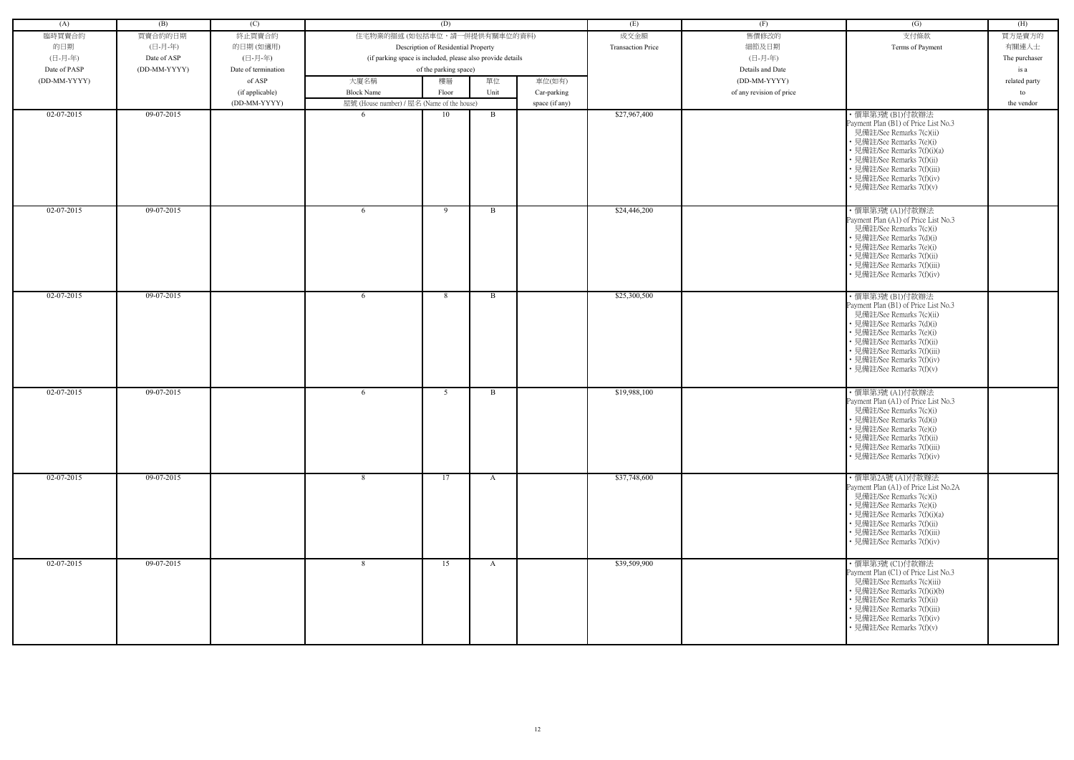| (A)          | (B)          | (C)                 |                                                            | (D)                                 |              |                | (E)                      | (F)                      | (G)                                                                                                                                                                                                                                                                   | (H)           |
|--------------|--------------|---------------------|------------------------------------------------------------|-------------------------------------|--------------|----------------|--------------------------|--------------------------|-----------------------------------------------------------------------------------------------------------------------------------------------------------------------------------------------------------------------------------------------------------------------|---------------|
| 臨時買賣合約       | 買賣合約的日期      | 終止買賣合約              | 住宅物業的描述(如包括車位,請一併提供有關車位的資料)                                |                                     |              |                | 成交金額                     | 售價修改的                    | 支付條款                                                                                                                                                                                                                                                                  | 買方是賣方的        |
| 的日期          | (日-月-年)      | 的日期(如適用)            |                                                            | Description of Residential Property |              |                | <b>Transaction Price</b> | 細節及日期                    | Terms of Payment                                                                                                                                                                                                                                                      | 有關連人士         |
| (日-月-年)      | Date of ASP  | (日-月-年)             | (if parking space is included, please also provide details |                                     |              |                |                          | (日-月-年)                  |                                                                                                                                                                                                                                                                       | The purchaser |
| Date of PASP | (DD-MM-YYYY) | Date of termination |                                                            | of the parking space)               |              |                |                          | Details and Date         |                                                                                                                                                                                                                                                                       | is a          |
| (DD-MM-YYYY) |              | of ASP              | 大廈名稱                                                       | 樓層                                  | 單位           | 車位(如有)         |                          | (DD-MM-YYYY)             |                                                                                                                                                                                                                                                                       | related party |
|              |              | (if applicable)     | <b>Block Name</b>                                          | Floor                               | Unit         | Car-parking    |                          | of any revision of price |                                                                                                                                                                                                                                                                       | to            |
|              |              | (DD-MM-YYYY)        | 屋號 (House number) / 屋名 (Name of the house)                 |                                     |              | space (if any) |                          |                          |                                                                                                                                                                                                                                                                       | the vendor    |
| $02-07-2015$ | 09-07-2015   |                     |                                                            | 10                                  | B            |                | \$27,967,400             |                          | ・價單第3號 (B1)付款辦法<br>Payment Plan (B1) of Price List No.3<br>見備註/See Remarks 7(c)(ii)<br>• 見備註/See Remarks 7(e)(i)<br>• 見備註/See Remarks 7(f)(i)(a)<br>• 見備註/See Remarks 7(f)(ii)<br>• 見備註/See Remarks 7(f)(iii)<br>• 見備註/See Remarks 7(f)(iv)                           |               |
| $02-07-2015$ | $09-07-2015$ |                     | -6                                                         | - 9                                 | B            |                | \$24,446,200             |                          | • 見備註/See Remarks 7(f)(v)<br>・價單第3號 (A1)付款辦法                                                                                                                                                                                                                          |               |
|              |              |                     |                                                            |                                     |              |                |                          |                          | Payment Plan (A1) of Price List No.3<br>見備註/See Remarks 7(c)(i)<br>• 見備註/See Remarks 7(d)(i)<br>· 見備註/See Remarks 7(e)(i)<br>· 見備註/See Remarks 7(f)(ii)<br>• 見備註/See Remarks 7(f)(iii)<br>· 見備註/See Remarks 7(f)(iv)                                                  |               |
| $02-07-2015$ | 09-07-2015   |                     | -6                                                         | 8                                   | <sup>B</sup> |                | \$25,300,500             |                          | ・價單第3號 (B1)付款辦法<br>Payment Plan (B1) of Price List No.3<br>見備註/See Remarks 7(c)(ii)<br>• 見備註/See Remarks 7(d)(i)<br>• 見備註/See Remarks 7(e)(i)<br>• 見備註/See Remarks 7(f)(ii)<br>• 見備註/See Remarks 7(f)(iii)<br>• 見備註/See Remarks 7(f)(iv)<br>• 見備註/See Remarks 7(f)(v) |               |
| 02-07-2015   | 09-07-2015   |                     | 6                                                          | 5                                   | B            |                | \$19,988,100             |                          | ·價單第3號(A1)付款辦法<br>Payment Plan (A1) of Price List No.3<br>見備註/See Remarks 7(c)(i)<br>• 見備註/See Remarks 7(d)(i)<br>• 見備註/See Remarks 7(e)(i)<br>• 見備註/See Remarks 7(f)(ii)<br>• 見備註/See Remarks 7(f)(iii)<br>· 見備註/See Remarks 7(f)(iv)                                |               |
| 02-07-2015   | 09-07-2015   |                     | 8                                                          | 17                                  | A            |                | \$37,748,600             |                          | ・價單第2A號 (A1)付款辦法<br>Payment Plan (A1) of Price List No.2A<br>見備註/See Remarks 7(c)(i)<br>• 見備註/See Remarks 7(e)(i)<br>• 見備註/See Remarks 7(f)(i)(a)<br>• 見備註/See Remarks 7(f)(ii)<br>• 見備註/See Remarks 7(f)(iii)<br>• 見備註/See Remarks 7(f)(iv)                          |               |
| 02-07-2015   | 09-07-2015   |                     | 8                                                          | 15                                  | A            |                | \$39,509,900             |                          | ・價單第3號 (C1)付款辦法<br>Payment Plan (C1) of Price List No.3<br>見備註/See Remarks 7(c)(iii)<br>• 見備註/See Remarks 7(f)(i)(b)<br>・見備註/See Remarks 7(f)(ii)<br>• 見備註/See Remarks 7(f)(iii)<br>• 見備註/See Remarks 7(f)(iv)<br>• 見備註/See Remarks 7(f)(v)                           |               |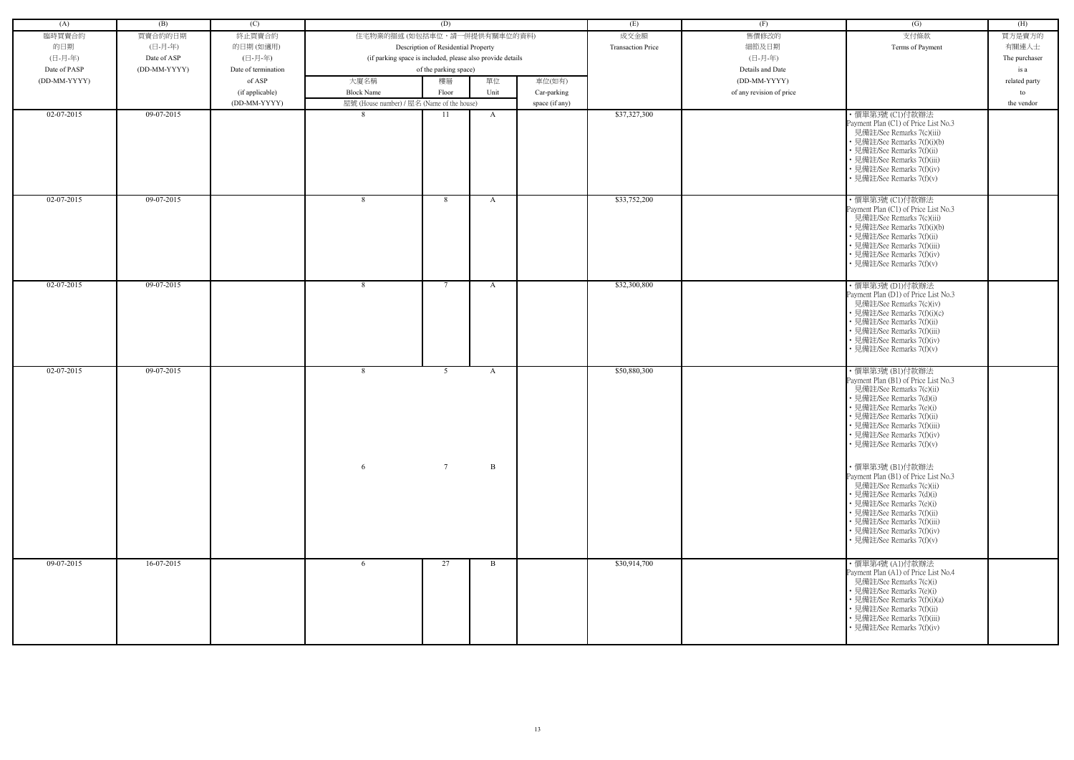| (A)          | (B)          | (C)                 |                                                            | (D)                                 |                   |                | (E)                      | (F)                      | $\left( G\right)$                                                                                                                                                                                                                                                                                                                                                                                                                                                                                               | (H)           |
|--------------|--------------|---------------------|------------------------------------------------------------|-------------------------------------|-------------------|----------------|--------------------------|--------------------------|-----------------------------------------------------------------------------------------------------------------------------------------------------------------------------------------------------------------------------------------------------------------------------------------------------------------------------------------------------------------------------------------------------------------------------------------------------------------------------------------------------------------|---------------|
| 臨時買賣合約       | 買賣合約的日期      | 終止買賣合約              | 住宅物業的描述 (如包括車位,請一併提供有關車位的資料)                               |                                     |                   |                | 成交金額                     | 售價修改的                    | 支付條款                                                                                                                                                                                                                                                                                                                                                                                                                                                                                                            | 買方是賣方的        |
| 的日期          | (日-月-年)      | 的日期(如適用)            |                                                            | Description of Residential Property |                   |                | <b>Transaction Price</b> | 細節及日期                    | Terms of Payment                                                                                                                                                                                                                                                                                                                                                                                                                                                                                                | 有關連人士         |
| (日-月-年)      | Date of ASP  | (日-月-年)             | (if parking space is included, please also provide details |                                     |                   |                |                          | (日-月-年)                  |                                                                                                                                                                                                                                                                                                                                                                                                                                                                                                                 | The purchaser |
| Date of PASP | (DD-MM-YYYY) | Date of termination |                                                            | of the parking space)               |                   |                |                          | Details and Date         |                                                                                                                                                                                                                                                                                                                                                                                                                                                                                                                 | is a          |
| (DD-MM-YYYY) |              | of ASP              | 大廈名稱                                                       | 樓層                                  | 單位                | 車位(如有)         |                          | (DD-MM-YYYY)             |                                                                                                                                                                                                                                                                                                                                                                                                                                                                                                                 | related party |
|              |              | (if applicable)     | <b>Block Name</b>                                          | Floor                               | Unit              | Car-parking    |                          | of any revision of price |                                                                                                                                                                                                                                                                                                                                                                                                                                                                                                                 | to            |
|              |              | (DD-MM-YYYY)        | 屋號 (House number) / 屋名 (Name of the house)                 |                                     |                   | space (if any) |                          |                          |                                                                                                                                                                                                                                                                                                                                                                                                                                                                                                                 | the vendor    |
| 02-07-2015   | 09-07-2015   |                     | $\mathcal{R}$                                              | 11                                  | $\mathbf{A}$      |                | \$37,327,300             |                          | ・價單第3號 (C1)付款辦法                                                                                                                                                                                                                                                                                                                                                                                                                                                                                                 |               |
|              |              |                     |                                                            |                                     |                   |                |                          |                          | Payment Plan (C1) of Price List No.3<br>見備註/See Remarks 7(c)(iii)<br>• 見備註/See Remarks 7(f)(i)(b)<br>• 見備註/See Remarks 7(f)(ii)<br>• 見備註/See Remarks 7(f)(iii)<br>見備註/See Remarks 7(f)(iv)<br>• 見備註/See Remarks 7(f)(v)                                                                                                                                                                                                                                                                                         |               |
| 02-07-2015   | 09-07-2015   |                     | 8                                                          | 8                                   | A                 |                | \$33,752,200             |                          | ・價單第3號 (C1)付款辦法<br>Payment Plan (C1) of Price List No.3<br>見備註/See Remarks 7(c)(iii)<br>• 見備註/See Remarks 7(f)(i)(b)<br>· 見備註/See Remarks 7(f)(ii)<br>見備註/See Remarks 7(f)(iii)<br>• 見備註/See Remarks 7(f)(iv)<br>· 見備註/See Remarks 7(f)(v)                                                                                                                                                                                                                                                                      |               |
| 02-07-2015   | 09-07-2015   |                     | 8                                                          | $\overline{7}$                      | A                 |                | \$32,300,800             |                          | ・價單第3號 (D1)付款辦法<br>Payment Plan (D1) of Price List No.3<br>見備註/See Remarks 7(c)(iv)<br>• 見備註/See Remarks 7(f)(i)(c)<br>• 見備註/See Remarks 7(f)(ii)<br>• 見備註/See Remarks 7(f)(iii)<br>• 見備註/See Remarks 7(f)(iv)<br>· 見備註/See Remarks 7(f)(v)                                                                                                                                                                                                                                                                     |               |
| 02-07-2015   | 09-07-2015   |                     | 8<br>6                                                     | 5<br>$7\overline{ }$                | A<br>$\, {\bf B}$ |                | \$50,880,300             |                          | ・價單第3號 (B1)付款辦法<br>Payment Plan (B1) of Price List No.3<br>見備註/See Remarks 7(c)(ii)<br>見備註/See Remarks 7(d)(i)<br>• 見備註/See Remarks 7(e)(i)<br>• 見備註/See Remarks 7(f)(ii)<br>• 見備註/See Remarks 7(f)(iii)<br>• 見備註/See Remarks 7(f)(iv)<br>• 見備註/See Remarks 7(f)(v)<br>・價單第3號 (B1)付款辦法<br>Payment Plan (B1) of Price List No.3<br>見備註/See Remarks 7(c)(ii)<br>• 見備註/See Remarks 7(d)(i)<br>• 見備註/See Remarks 7(e)(i)<br>• 見備註/See Remarks 7(f)(ii)<br>• 見備註/See Remarks 7(f)(iii)<br>• 見備註/See Remarks 7(f)(iv) |               |
| 09-07-2015   | $16-07-2015$ |                     | 6                                                          | 27                                  | $\mathbf{B}$      |                | \$30,914,700             |                          | • 見備註/See Remarks 7(f)(v)<br>・價單第4號 (A1)付款辦法<br>Payment Plan (A1) of Price List No.4<br>見備註/See Remarks 7(c)(i)<br>• 見備註/See Remarks 7(e)(i)<br>• 見備註/See Remarks 7(f)(i)(a)<br>• 見備註/See Remarks 7(f)(ii)                                                                                                                                                                                                                                                                                                      |               |
|              |              |                     |                                                            |                                     |                   |                |                          |                          | 見備註/See Remarks 7(f)(iii)<br>• 見備註/See Remarks 7(f)(iv)                                                                                                                                                                                                                                                                                                                                                                                                                                                         |               |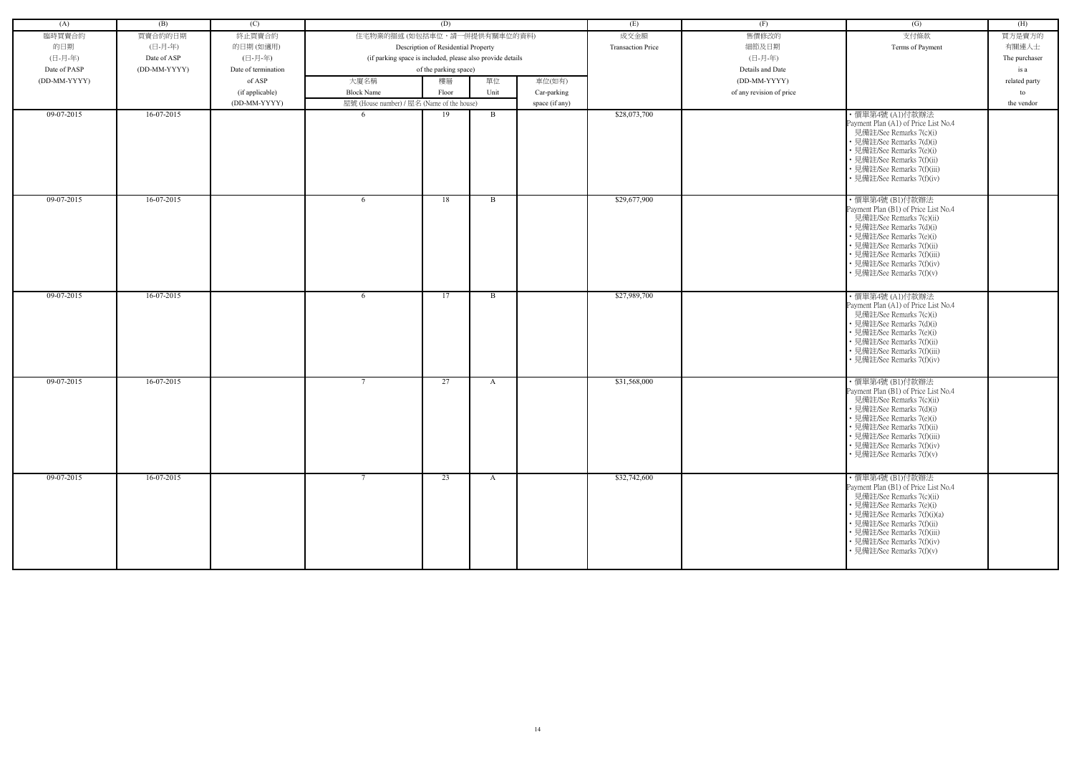| (A)            | (B)          | (C)                 |                                                            | (D)                                 |              |                | (E)                      | (F)                      | (G)                                                                                                                                                                                                                                                                      | (H)           |
|----------------|--------------|---------------------|------------------------------------------------------------|-------------------------------------|--------------|----------------|--------------------------|--------------------------|--------------------------------------------------------------------------------------------------------------------------------------------------------------------------------------------------------------------------------------------------------------------------|---------------|
| 臨時買賣合約         | 買賣合約的日期      | 終止買賣合約              | 住宅物業的描述 (如包括車位,請一併提供有關車位的資料)                               |                                     |              |                | 成交金額                     | 售價修改的                    | 支付條款                                                                                                                                                                                                                                                                     | 買方是賣方的        |
| 的日期            | (日-月-年)      | 的日期(如適用)            |                                                            | Description of Residential Property |              |                | <b>Transaction Price</b> | 細節及日期                    | Terms of Payment                                                                                                                                                                                                                                                         | 有關連人士         |
| (日-月-年)        | Date of ASP  | (日-月-年)             | (if parking space is included, please also provide details |                                     |              |                |                          | (日-月-年)                  |                                                                                                                                                                                                                                                                          | The purchaser |
| Date of PASP   | (DD-MM-YYYY) | Date of termination |                                                            | of the parking space)               |              |                |                          | Details and Date         |                                                                                                                                                                                                                                                                          | is a          |
| $(DD-MM-YYYY)$ |              | of ASP              | 大廈名稱                                                       | 樓層                                  | 單位           | 車位(如有)         |                          | (DD-MM-YYYY)             |                                                                                                                                                                                                                                                                          | related party |
|                |              | (if applicable)     | <b>Block Name</b>                                          | Floor                               | Unit         | Car-parking    |                          | of any revision of price |                                                                                                                                                                                                                                                                          | to            |
|                |              | (DD-MM-YYYY)        | 屋號 (House number) / 屋名 (Name of the house)                 |                                     |              | space (if any) |                          |                          |                                                                                                                                                                                                                                                                          | the vendor    |
| 09-07-2015     | $16-07-2015$ |                     | -6                                                         | 19                                  | $\mathbf{B}$ |                | \$28,073,700             |                          | ・價單第4號 (A1)付款辦法<br>Payment Plan (A1) of Price List No.4<br>見備註/See Remarks 7(c)(i)<br>• 見備註/See Remarks 7(d)(i)<br>• 見備註/See Remarks 7(e)(i)<br>• 見備註/See Remarks 7(f)(ii)<br>• 見備註/See Remarks 7(f)(iii)<br>· 見備註/See Remarks 7(f)(iv)                                  |               |
| 09-07-2015     | $16-07-2015$ |                     | -6                                                         | 18                                  | B            |                | \$29,677,900             |                          | ・價單第4號 (B1)付款辦法<br>Payment Plan (B1) of Price List No.4<br>見備註/See Remarks 7(c)(ii)<br>• 見備註/See Remarks 7(d)(i)<br>• 見備註/See Remarks 7(e)(i)<br>• 見備註/See Remarks 7(f)(ii)<br>• 見備註/See Remarks 7(f)(iii)<br>• 見備註/See Remarks 7(f)(iv)<br>• 見備註/See Remarks 7(f)(v)    |               |
| 09-07-2015     | 16-07-2015   |                     | 6                                                          | 17                                  | B            |                | \$27,989,700             |                          | ・價單第4號 (A1)付款辦法<br>Payment Plan (A1) of Price List No.4<br>見備註/See Remarks 7(c)(i)<br>• 見備註/See Remarks 7(d)(i)<br>• 見備註/See Remarks 7(e)(i)<br>• 見備註/See Remarks 7(f)(ii)<br>• 見備註/See Remarks 7(f)(iii)<br>· 見備註/See Remarks 7(f)(iv)                                  |               |
| $09-07-2015$   | $16-07-2015$ |                     | $7\phantom{.0}$                                            | 27                                  | A            |                | \$31,568,000             |                          | ・價單第4號 (B1)付款辦法<br>Payment Plan (B1) of Price List No.4<br>見備註/See Remarks 7(c)(ii)<br>• 見備註/See Remarks 7(d)(i)<br>• 見備註/See Remarks 7(e)(i)<br>• 見備註/See Remarks 7(f)(ii)<br>• 見備註/See Remarks 7(f)(iii)<br>• 見備註/See Remarks 7(f)(iv)<br>• 見備註/See Remarks 7(f)(v)    |               |
| 09-07-2015     | 16-07-2015   |                     | $7\phantom{.0}$                                            | 23                                  | $\mathbf{A}$ |                | \$32,742,600             |                          | ・價單第4號 (B1)付款辦法<br>Payment Plan (B1) of Price List No.4<br>見備註/See Remarks 7(c)(ii)<br>• 見備註/See Remarks 7(e)(i)<br>• 見備註/See Remarks 7(f)(i)(a)<br>• 見備註/See Remarks 7(f)(ii)<br>• 見備註/See Remarks 7(f)(iii)<br>• 見備註/See Remarks 7(f)(iv)<br>• 見備註/See Remarks 7(f)(v) |               |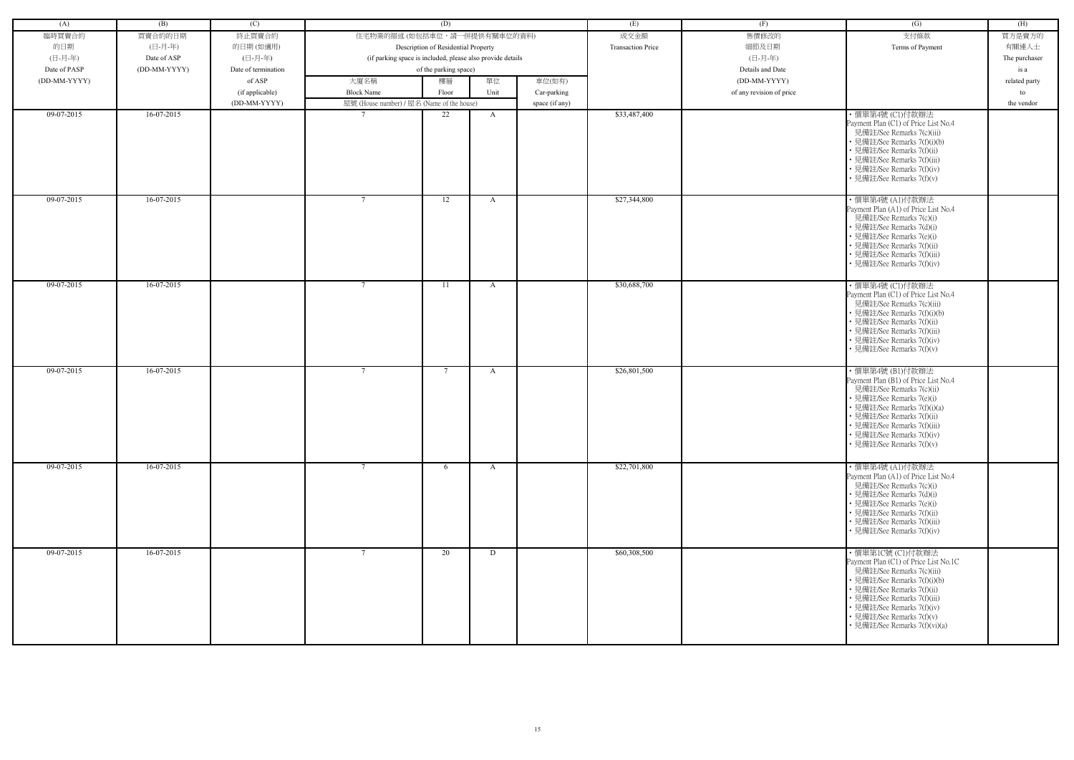| (A)          | (B)          | (C)                 |                                                            | (D)                                 |              |                | (E)                      | (F)                      | (G)                                                                                                                                                                                                                                                                             | (H)           |
|--------------|--------------|---------------------|------------------------------------------------------------|-------------------------------------|--------------|----------------|--------------------------|--------------------------|---------------------------------------------------------------------------------------------------------------------------------------------------------------------------------------------------------------------------------------------------------------------------------|---------------|
| 臨時買賣合約       | 買賣合約的日期      | 終止買賣合約              | 住宅物業的描述 (如包括車位,請一併提供有關車位的資料)                               |                                     |              |                | 成交金額                     | 售價修改的                    | 支付條款                                                                                                                                                                                                                                                                            | 買方是賣方的        |
| 的日期          | (日-月-年)      | 的日期(如適用)            |                                                            | Description of Residential Property |              |                | <b>Transaction Price</b> | 細節及日期                    | Terms of Payment                                                                                                                                                                                                                                                                | 有關連人士         |
| (日-月-年)      | Date of ASP  | (日-月-年)             | (if parking space is included, please also provide details |                                     |              |                |                          | (日-月-年)                  |                                                                                                                                                                                                                                                                                 | The purchaser |
| Date of PASP | (DD-MM-YYYY) | Date of termination |                                                            | of the parking space)               |              |                |                          | Details and Date         |                                                                                                                                                                                                                                                                                 |               |
|              |              |                     |                                                            |                                     |              |                |                          |                          |                                                                                                                                                                                                                                                                                 | is a          |
| (DD-MM-YYYY) |              | of ASP              | 大廈名稱                                                       | 樓層                                  | 單位           | 車位(如有)         |                          | (DD-MM-YYYY)             |                                                                                                                                                                                                                                                                                 | related party |
|              |              | (if applicable)     | <b>Block Name</b>                                          | Floor                               | Unit         | Car-parking    |                          | of any revision of price |                                                                                                                                                                                                                                                                                 | to            |
|              |              | (DD-MM-YYYY)        | 屋號 (House number) / 屋名 (Name of the house)                 |                                     |              | space (if any) |                          |                          |                                                                                                                                                                                                                                                                                 | the vendor    |
| 09-07-2015   | 16-07-2015   |                     |                                                            | 22                                  | A            |                | \$33,487,400             |                          | ・價單第4號 (C1)付款辦法<br>Payment Plan (C1) of Price List No.4<br>見備註/See Remarks 7(c)(iii)<br>· 見備註/See Remarks 7(f)(i)(b)<br>• 見備註/See Remarks 7(f)(ii)<br>• 見備註/See Remarks 7(f)(iii)<br>• 見備註/See Remarks 7(f)(iv)<br>• 見備註/See Remarks 7(f)(v)                                    |               |
| 09-07-2015   | 16-07-2015   |                     | $7\phantom{.0}$                                            | 12                                  | A            |                | \$27,344,800             |                          | · 價單第4號 (A1)付款辦法<br>Payment Plan (A1) of Price List No.4<br>見備註/See Remarks 7(c)(i)<br>• 見備註/See Remarks 7(d)(i)<br>• 見備註/See Remarks 7(e)(i)<br>• 見備註/See Remarks 7(f)(ii)<br>• 見備註/See Remarks 7(f)(iii)<br>· 見備註/See Remarks 7(f)(iv)                                        |               |
| 09-07-2015   | 16-07-2015   |                     | $7\phantom{.0}$                                            | -11                                 | A            |                | \$30,688,700             |                          | ・價單第4號 (C1)付款辦法<br>Payment Plan (C1) of Price List No.4<br>見備註/See Remarks 7(c)(iii)<br>• 見備註/See Remarks 7(f)(i)(b)<br>• 見備註/See Remarks 7(f)(ii)<br>• 見備註/See Remarks 7(f)(iii)<br>• 見備註/See Remarks 7(f)(iv)<br>• 見備註/See Remarks 7(f)(v)                                    |               |
| 09-07-2015   | 16-07-2015   |                     | $7\phantom{.0}$                                            | $\overline{7}$                      | A            |                | \$26,801,500             |                          | ・價單第4號 (B1)付款辦法<br>Payment Plan (B1) of Price List No.4<br>見備註/See Remarks 7(c)(ii)<br>• 見備註/See Remarks 7(e)(i)<br>• 見備註/See Remarks 7(f)(i)(a)<br>• 見備註/See Remarks 7(f)(ii)<br>• 見備註/See Remarks 7(f)(iii)<br>· 見備註/See Remarks 7(f)(iv)<br>• 見備註/See Remarks 7(f)(v)        |               |
| 09-07-2015   | $16-07-2015$ |                     | $7\phantom{.0}$                                            | 6                                   | $\mathbf{A}$ |                | \$22,701,800             |                          | ・價單第4號 (A1)付款辦法<br>Payment Plan (A1) of Price List No.4<br>見備註/See Remarks 7(c)(i)<br>• 見備註/See Remarks 7(d)(i)<br>• 見備註/See Remarks 7(e)(i)<br>• 見備註/See Remarks 7(f)(ii)<br>· 見備註/See Remarks 7(f)(iii)<br>• 見備註/See Remarks 7(f)(iv)                                         |               |
| 09-07-2015   | $16-07-2015$ |                     | $7\phantom{.0}$                                            | 20                                  | D            |                | \$60,308,500             |                          | ・價單第1C號 (C1)付款辦法<br>Payment Plan (C1) of Price List No.1C<br>見備註/See Remarks 7(c)(iii)<br>• 見備註/See Remarks 7(f)(i)(b)<br>• 見備註/See Remarks 7(f)(ii)<br>• 見備註/See Remarks 7(f)(iii)<br>· 見備註/See Remarks 7(f)(iv)<br>• 見備註/See Remarks 7(f)(v)<br>• 見備註/See Remarks 7(f)(vi)(a) |               |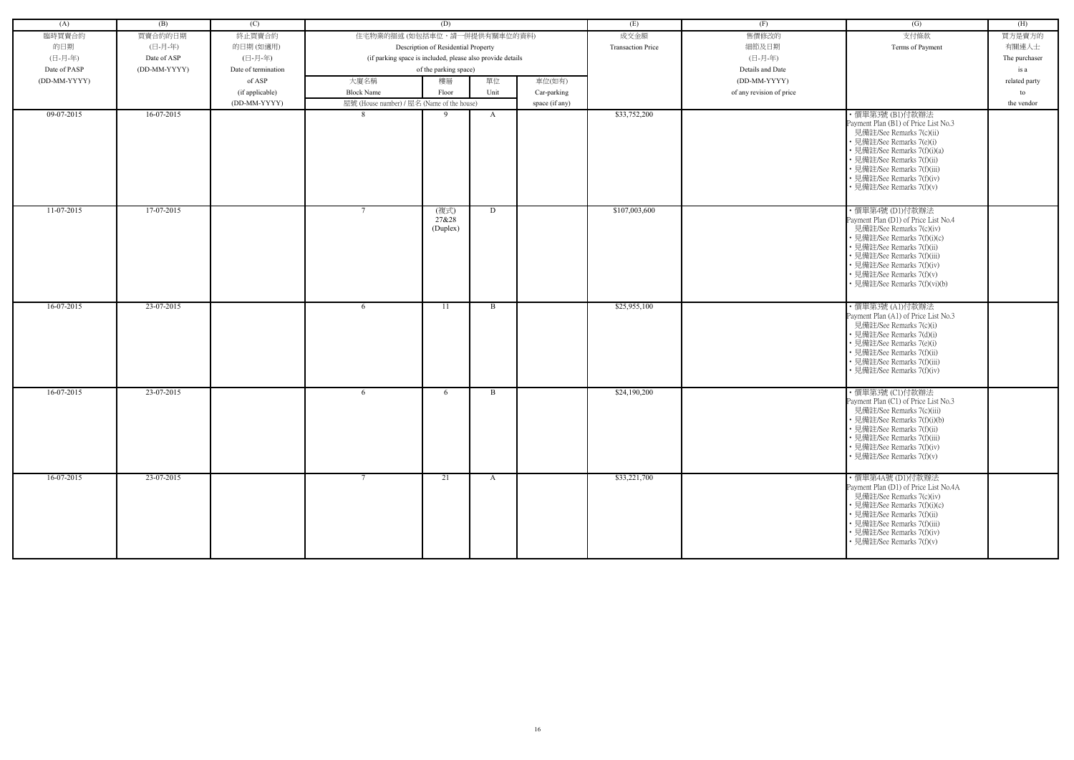| (A)          | (B)          | (C)                 |                                                            | (D)                                 |              |                | (E)                      | (F)                      | $\left( G\right)$                                                                                                                                                                                                                                                            | (H)           |
|--------------|--------------|---------------------|------------------------------------------------------------|-------------------------------------|--------------|----------------|--------------------------|--------------------------|------------------------------------------------------------------------------------------------------------------------------------------------------------------------------------------------------------------------------------------------------------------------------|---------------|
|              |              |                     |                                                            |                                     |              |                |                          |                          |                                                                                                                                                                                                                                                                              |               |
| 臨時買賣合約       | 買賣合約的日期      | 終止買賣合約              | 住宅物業的描述 (如包括車位,請一併提供有關車位的資料)                               |                                     |              |                | 成交金額                     | 售價修改的                    | 支付條款                                                                                                                                                                                                                                                                         | 買方是賣方的        |
| 的日期          | (日-月-年)      | 的日期(如適用)            |                                                            | Description of Residential Property |              |                | <b>Transaction Price</b> | 細節及日期                    | Terms of Payment                                                                                                                                                                                                                                                             | 有關連人士         |
| (日-月-年)      | Date of ASP  | (日-月-年)             | (if parking space is included, please also provide details |                                     |              |                |                          | (日-月-年)                  |                                                                                                                                                                                                                                                                              | The purchaser |
| Date of PASP | (DD-MM-YYYY) | Date of termination |                                                            | of the parking space)               |              |                |                          | Details and Date         |                                                                                                                                                                                                                                                                              | is a          |
| (DD-MM-YYYY) |              | of ASP              | 大廈名稱                                                       | 樓層                                  | 單位           | 車位(如有)         |                          | (DD-MM-YYYY)             |                                                                                                                                                                                                                                                                              | related party |
|              |              | (if applicable)     | <b>Block Name</b>                                          | Floor                               | Unit         | Car-parking    |                          | of any revision of price |                                                                                                                                                                                                                                                                              | to            |
|              |              |                     |                                                            |                                     |              |                |                          |                          |                                                                                                                                                                                                                                                                              |               |
|              |              | (DD-MM-YYYY)        | 屋號 (House number) / 屋名 (Name of the house)                 |                                     |              | space (if any) |                          |                          |                                                                                                                                                                                                                                                                              | the vendor    |
| 09-07-2015   | 16-07-2015   |                     | -8                                                         | -9                                  | $\mathbf{A}$ |                | \$33,752,200             |                          | ・價單第3號 (B1)付款辦法<br>Payment Plan (B1) of Price List No.3<br>見備註/See Remarks 7(c)(ii)<br>• 見備註/See Remarks 7(e)(i)<br>• 見備註/See Remarks 7(f)(i)(a)<br>• 見備註/See Remarks 7(f)(ii)<br>• 見備註/See Remarks 7(f)(iii)<br>• 見備註/See Remarks 7(f)(iv)<br>• 見備註/See Remarks 7(f)(v)     |               |
| $11-07-2015$ | 17-07-2015   |                     |                                                            | (複式)<br>27&28<br>(Duplex)           | D            |                | \$107,003,600            |                          | ·價單第4號 (D1)付款辦法<br>Payment Plan (D1) of Price List No.4<br>見備註/See Remarks 7(c)(iv)<br>• 見備註/See Remarks 7(f)(i)(c)<br>• 見備註/See Remarks 7(f)(ii)<br>• 見備註/See Remarks 7(f)(iii)<br>• 見備註/See Remarks 7(f)(iv)<br>• 見備註/See Remarks 7(f)(v)<br>· 見備註/See Remarks 7(f)(vi)(b) |               |
| $16-07-2015$ | $23-07-2015$ |                     | 6                                                          | 11                                  | B            |                | \$25,955,100             |                          | ・價單第3號 (A1)付款辦法<br>Payment Plan (A1) of Price List No.3<br>見備註/See Remarks 7(c)(i)<br>• 見備註/See Remarks 7(d)(i)<br>• 見備註/See Remarks 7(e)(i)<br>• 見備註/See Remarks 7(f)(ii)<br>• 見備註/See Remarks 7(f)(iii)<br>· 見備註/See Remarks 7(f)(iv)                                      |               |
| 16-07-2015   | 23-07-2015   |                     | 6                                                          | 6                                   | B            |                | \$24,190,200             |                          | ・價單第3號 (C1)付款辦法<br>Payment Plan (C1) of Price List No.3<br>見備註/See Remarks 7(c)(iii)<br>· 見備註/See Remarks 7(f)(i)(b)<br>• 見備註/See Remarks 7(f)(ii)<br>• 見備註/See Remarks 7(f)(iii)<br>• 見備註/See Remarks 7(f)(iv)<br>• 見備註/See Remarks 7(f)(v)                                 |               |
| 16-07-2015   | 23-07-2015   |                     | $7\phantom{.0}$                                            | 21                                  | $\mathbf{A}$ |                | \$33,221,700             |                          | ・價單第4A號 (D1)付款辦法<br>Payment Plan (D1) of Price List No.4A<br>見備註/See Remarks 7(c)(iv)<br>• 見備註/See Remarks 7(f)(i)(c)<br>• 見備註/See Remarks 7(f)(ii)<br>• 見備註/See Remarks 7(f)(iii)<br>• 見備註/See Remarks 7(f)(iv)<br>• 見備註/See Remarks 7(f)(v)                                |               |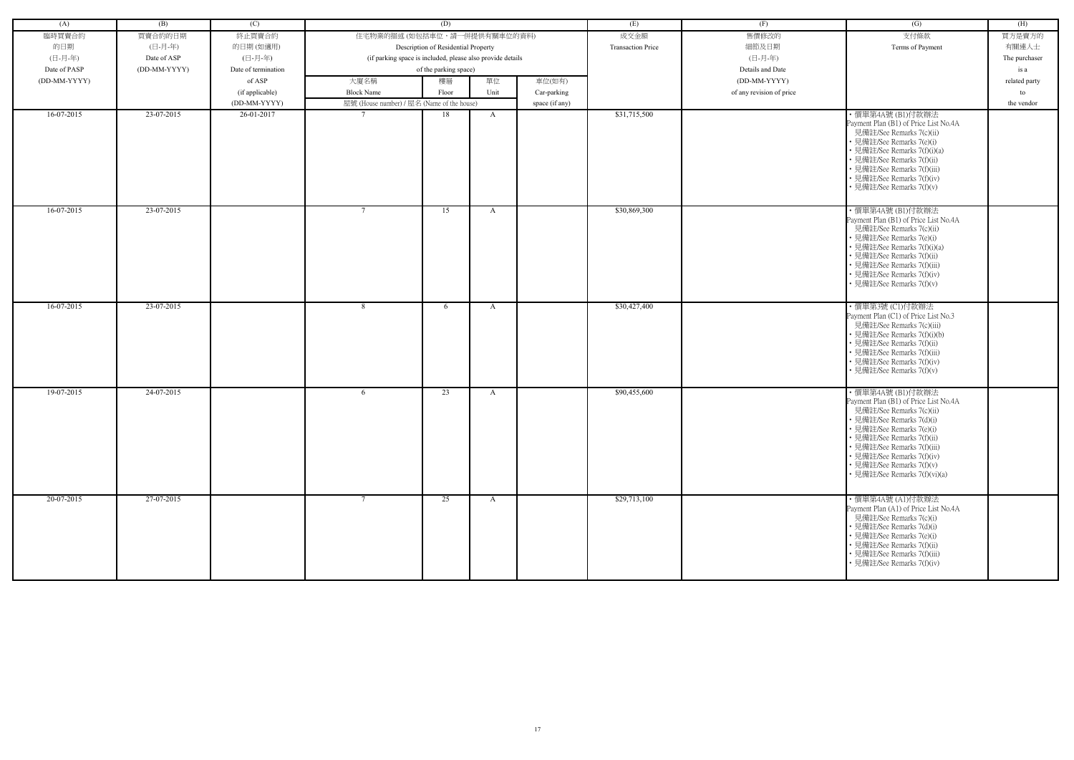| (A)          | (B)          | (C)                 |                                                            | (D)                                 |              |                | (E)                      | (F)                      | (G)                                                                                                                                                                                                                                                                                                    | (H)           |
|--------------|--------------|---------------------|------------------------------------------------------------|-------------------------------------|--------------|----------------|--------------------------|--------------------------|--------------------------------------------------------------------------------------------------------------------------------------------------------------------------------------------------------------------------------------------------------------------------------------------------------|---------------|
| 臨時買賣合約       | 買賣合約的日期      | 終止買賣合約              | 住宅物業的描述 (如包括車位,請一併提供有關車位的資料)                               |                                     |              |                | 成交金額                     | 售價修改的                    | 支付條款                                                                                                                                                                                                                                                                                                   | 買方是賣方的        |
| 的日期          | (日-月-年)      | 的日期(如適用)            |                                                            | Description of Residential Property |              |                | <b>Transaction Price</b> | 細節及日期                    | Terms of Payment                                                                                                                                                                                                                                                                                       | 有關連人士         |
| (日-月-年)      | Date of ASP  | (日-月-年)             | (if parking space is included, please also provide details |                                     |              |                |                          | (日-月-年)                  |                                                                                                                                                                                                                                                                                                        | The purchaser |
| Date of PASP | (DD-MM-YYYY) | Date of termination |                                                            | of the parking space)               |              |                |                          | Details and Date         |                                                                                                                                                                                                                                                                                                        | is a          |
| (DD-MM-YYYY) |              | of ASP              | 大廈名稱                                                       | 樓層                                  | 單位           | 車位(如有)         |                          | (DD-MM-YYYY)             |                                                                                                                                                                                                                                                                                                        | related party |
|              |              | (if applicable)     | <b>Block Name</b>                                          | Floor                               | Unit         | Car-parking    |                          | of any revision of price |                                                                                                                                                                                                                                                                                                        | to            |
|              |              | (DD-MM-YYYY)        | 屋號 (House number) / 屋名 (Name of the house)                 |                                     |              | space (if any) |                          |                          |                                                                                                                                                                                                                                                                                                        | the vendor    |
| $16-07-2015$ | 23-07-2015   | 26-01-2017          | $\overline{7}$                                             | 18                                  | A            |                | \$31,715,500             |                          | ・價單第4A號 (B1)付款辦法<br>Payment Plan (B1) of Price List No.4A<br>見備註/See Remarks 7(c)(ii)<br>• 見備註/See Remarks 7(e)(i)<br>• 見備註/See Remarks 7(f)(i)(a)<br>• 見備註/See Remarks 7(f)(ii)<br>• 見備註/See Remarks 7(f)(iii)<br>• 見備註/See Remarks 7(f)(iv)<br>• 見備註/See Remarks 7(f)(v)                             |               |
| $16-07-2015$ | 23-07-2015   |                     | $7\phantom{.0}$                                            | 15                                  | A            |                | \$30,869,300             |                          | ・價單第4A號 (B1)付款辦法<br>Payment Plan (B1) of Price List No.4A<br>見備註/See Remarks 7(c)(ii)<br>• 見備註/See Remarks 7(e)(i)<br>• 見備註/See Remarks 7(f)(i)(a)<br>• 見備註/See Remarks 7(f)(ii)<br>• 見備註/See Remarks 7(f)(iii)<br>• 見備註/See Remarks 7(f)(iv)<br>• 見備註/See Remarks 7(f)(v)                             |               |
| $16-07-2015$ | $23-07-2015$ |                     | 8                                                          | 6                                   | A            |                | \$30,427,400             |                          | ・價單第3號 (C1)付款辦法<br>Payment Plan (C1) of Price List No.3<br>見備註/See Remarks 7(c)(iii)<br>• 見備註/See Remarks 7(f)(i)(b)<br>• 見備註/See Remarks 7(f)(ii)<br>• 見備註/See Remarks 7(f)(iii)<br>• 見備註/See Remarks 7(f)(iv)<br>· 見備註/See Remarks 7(f)(v)                                                           |               |
| 19-07-2015   | 24-07-2015   |                     | 6                                                          | 23                                  | A            |                | \$90,455,600             |                          | ・價單第4A號 (B1)付款辦法<br>Payment Plan (B1) of Price List No.4A<br>見備註/See Remarks 7(c)(ii)<br>見備註/See Remarks 7(d)(i)<br>• 見備註/See Remarks 7(e)(i)<br>• 見備註/See Remarks 7(f)(ii)<br>• 見備註/See Remarks 7(f)(iii)<br>• 見備註/See Remarks 7(f)(iv)<br>• 見備註/See Remarks 7(f)(v)<br>• 見備註/See Remarks 7(f)(vi)(a) |               |
| $20-07-2015$ | 27-07-2015   |                     | $7\phantom{.0}$                                            | 25                                  | $\mathbf{A}$ |                | \$29,713,100             |                          | ・價單第4A號 (A1)付款辦法<br>Payment Plan (A1) of Price List No.4A<br>見備註/See Remarks 7(c)(i)<br>• 見備註/See Remarks 7(d)(i)<br>• 見備註/See Remarks 7(e)(i)<br>• 見備註/See Remarks 7(f)(ii)<br>• 見備註/See Remarks 7(f)(iii)<br>• 見備註/See Remarks 7(f)(iv)                                                              |               |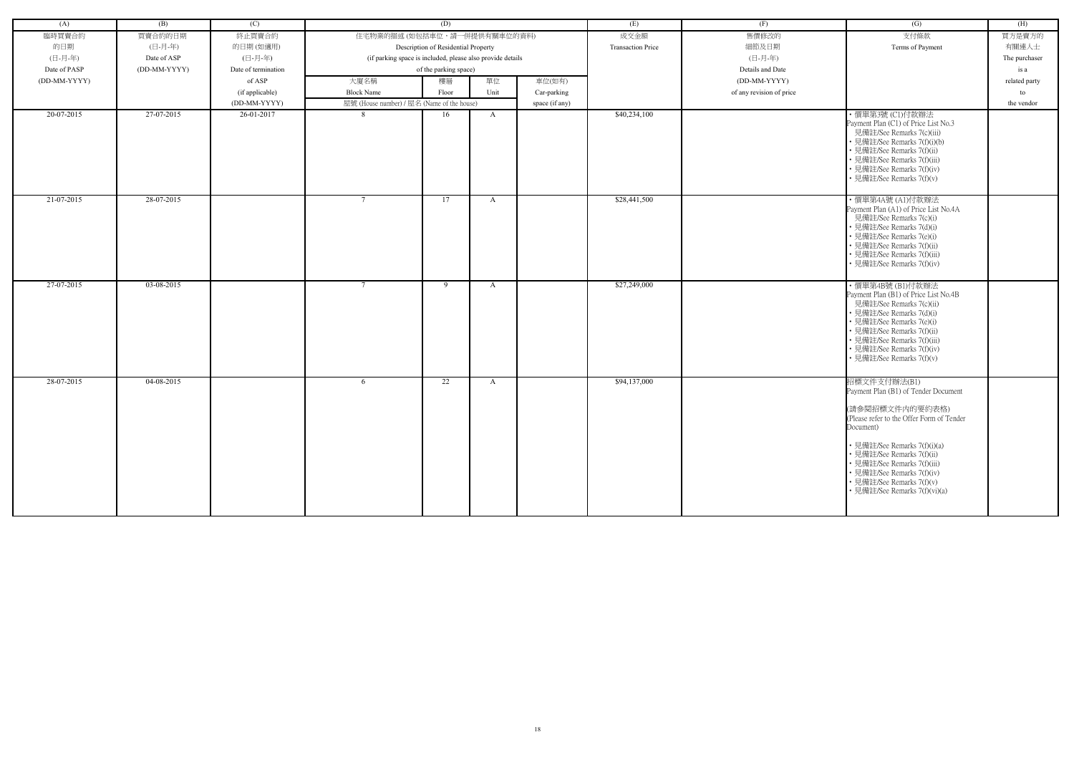| (A)            | (B)          | (C)                 |                                                            | (D)                                 |              |                | (E)                      | (F)                      | (G)                                                                                                                                                                                                                                                                                                                        | (H)           |
|----------------|--------------|---------------------|------------------------------------------------------------|-------------------------------------|--------------|----------------|--------------------------|--------------------------|----------------------------------------------------------------------------------------------------------------------------------------------------------------------------------------------------------------------------------------------------------------------------------------------------------------------------|---------------|
| 臨時買賣合約         | 買賣合約的日期      | 終止買賣合約              | 住宅物業的描述 (如包括車位,請一併提供有關車位的資料)                               |                                     |              |                | 成交金額                     | 售價修改的                    | 支付條款                                                                                                                                                                                                                                                                                                                       | 買方是賣方的        |
| 的日期            | (日-月-年)      | 的日期(如適用)            |                                                            | Description of Residential Property |              |                | <b>Transaction Price</b> | 細節及日期                    | Terms of Payment                                                                                                                                                                                                                                                                                                           | 有關連人士         |
| (日-月-年)        | Date of ASP  | (日-月-年)             | (if parking space is included, please also provide details |                                     |              |                |                          | (日-月-年)                  |                                                                                                                                                                                                                                                                                                                            | The purchaser |
| Date of PASP   | (DD-MM-YYYY) | Date of termination |                                                            | of the parking space)               |              |                |                          | Details and Date         |                                                                                                                                                                                                                                                                                                                            | is a          |
| $(DD-MM-YYYY)$ |              | of ASP              | 大廈名稱                                                       | 樓層                                  | 單位           | 車位(如有)         |                          | (DD-MM-YYYY)             |                                                                                                                                                                                                                                                                                                                            | related party |
|                |              | (if applicable)     | <b>Block Name</b>                                          | Floor                               | Unit         | Car-parking    |                          | of any revision of price |                                                                                                                                                                                                                                                                                                                            | to            |
|                |              | (DD-MM-YYYY)        | 屋號 (House number) / 屋名 (Name of the house)                 |                                     |              | space (if any) |                          |                          |                                                                                                                                                                                                                                                                                                                            | the vendor    |
| 20-07-2015     | 27-07-2015   | 26-01-2017          | 8                                                          | 16                                  | $\mathbf{A}$ |                | \$40,234,100             |                          | ・價單第3號 (C1)付款辦法<br>Payment Plan (C1) of Price List No.3<br>見備註/See Remarks 7(c)(iii)<br>• 見備註/See Remarks 7(f)(i)(b)<br>• 見備註/See Remarks 7(f)(ii)<br>• 見備註/See Remarks 7(f)(iii)<br>• 見備註/See Remarks 7(f)(iv)<br>• 見備註/See Remarks 7(f)(v)                                                                               |               |
| 21-07-2015     | 28-07-2015   |                     | $7\phantom{.0}$                                            | 17                                  | $\mathbf{A}$ |                | \$28,441,500             |                          | ・價單第4A號 (A1)付款辦法<br>Payment Plan (A1) of Price List No.4A<br>見備註/See Remarks 7(c)(i)<br>• 見備註/See Remarks 7(d)(i)<br>• 見備註/See Remarks 7(e)(i)<br>• 見備註/See Remarks 7(f)(ii)<br>• 見備註/See Remarks 7(f)(iii)<br>• 見備註/See Remarks 7(f)(iv)                                                                                  |               |
| 27-07-2015     | 03-08-2015   |                     | $7\phantom{.0}$                                            | 9                                   | A            |                | \$27,249,000             |                          | ・價單第4B號 (B1)付款辦法<br>Payment Plan (B1) of Price List No.4B<br>見備註/See Remarks 7(c)(ii)<br>• 見備註/See Remarks 7(d)(i)<br>• 見備註/See Remarks 7(e)(i)<br>• 見備註/See Remarks 7(f)(ii)<br>• 見備註/See Remarks 7(f)(iii)<br>• 見備註/See Remarks 7(f)(iv)<br>• 見備註/See Remarks 7(f)(v)                                                    |               |
| 28-07-2015     | 04-08-2015   |                     | 6                                                          | 22                                  | A            |                | \$94,137,000             |                          | 招標文件支付辦法(B1)<br>Payment Plan (B1) of Tender Document<br>(請參閱招標文件内的要約表格)<br>(Please refer to the Offer Form of Tender<br>Document)<br>• 見備註/See Remarks 7(f)(i)(a)<br>• 見備註/See Remarks 7(f)(ii)<br>• 見備註/See Remarks 7(f)(iii)<br>• 見備註/See Remarks 7(f)(iv)<br>• 見備註/See Remarks 7(f)(v)<br>• 見備註/See Remarks 7(f)(vi)(a) |               |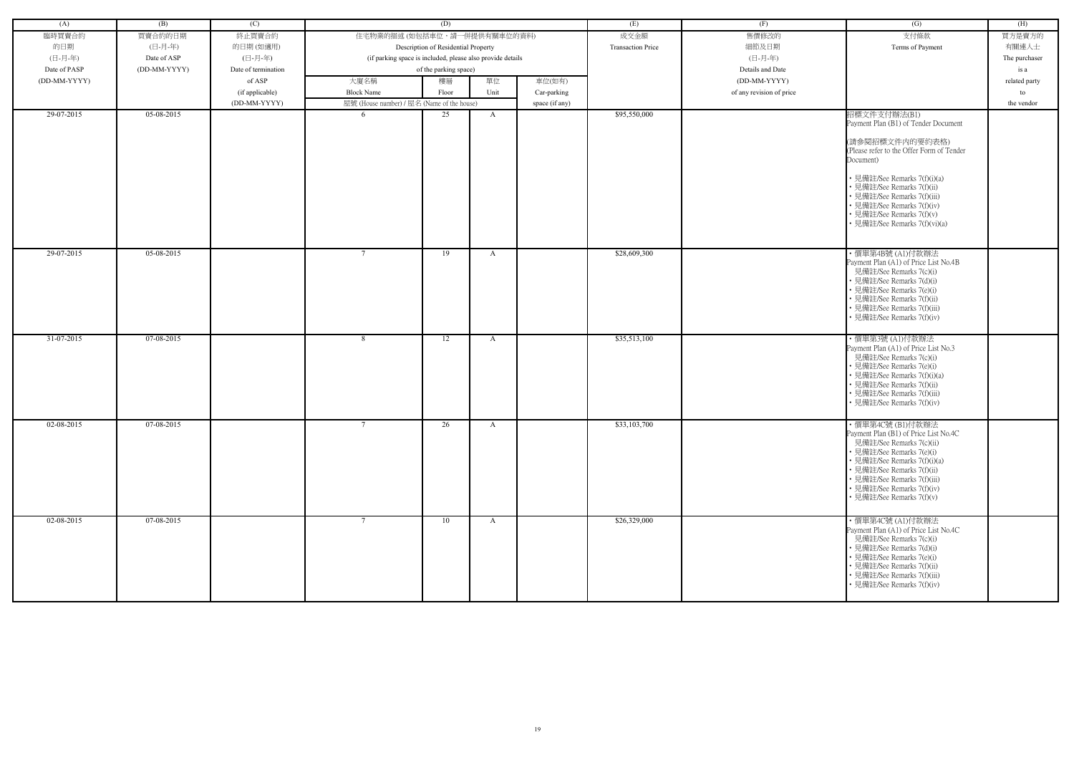| (A)              | (B)          | (C)                 |                                                            | (D)                                 |      |                | (E)                      | (F)                      | (G)                                                          | (H)           |
|------------------|--------------|---------------------|------------------------------------------------------------|-------------------------------------|------|----------------|--------------------------|--------------------------|--------------------------------------------------------------|---------------|
| 臨時買賣合約           | 買賣合約的日期      | 終止買賣合約              | 住宅物業的描述 (如包括車位,請一併提供有關車位的資料)                               |                                     |      |                | 成交金額                     | 售價修改的                    | 支付條款                                                         | 買方是賣方的        |
| 的日期              | (日-月-年)      | 的日期(如適用)            |                                                            | Description of Residential Property |      |                | <b>Transaction Price</b> | 細節及日期                    | Terms of Payment                                             | 有關連人士         |
| (日-月-年)          | Date of ASP  | (日-月-年)             | (if parking space is included, please also provide details |                                     |      |                |                          | (日-月-年)                  |                                                              | The purchaser |
| Date of PASP     | (DD-MM-YYYY) | Date of termination |                                                            | of the parking space)               |      |                |                          | Details and Date         |                                                              | is a          |
| (DD-MM-YYYY)     |              | of ASP              | 大廈名稱                                                       | 樓層                                  | 單位   | 車位(如有)         |                          | (DD-MM-YYYY)             |                                                              | related party |
|                  |              | (if applicable)     | <b>Block Name</b>                                          | Floor                               | Unit | Car-parking    |                          | of any revision of price |                                                              | to            |
|                  |              | (DD-MM-YYYY)        | 屋號 (House number) / 屋名 (Name of the house)                 |                                     |      | space (if any) |                          |                          |                                                              | the vendor    |
| 29-07-2015       | 05-08-2015   |                     | -6                                                         | 25                                  | A    |                | \$95,550,000             |                          | 招標文件支付辦法(B1)                                                 |               |
|                  |              |                     |                                                            |                                     |      |                |                          |                          | Payment Plan (B1) of Tender Document                         |               |
|                  |              |                     |                                                            |                                     |      |                |                          |                          |                                                              |               |
|                  |              |                     |                                                            |                                     |      |                |                          |                          | (請參閱招標文件内的要約表格)<br>(Please refer to the Offer Form of Tender |               |
|                  |              |                     |                                                            |                                     |      |                |                          |                          | Document)                                                    |               |
|                  |              |                     |                                                            |                                     |      |                |                          |                          |                                                              |               |
|                  |              |                     |                                                            |                                     |      |                |                          |                          | • 見備註/See Remarks 7(f)(i)(a)                                 |               |
|                  |              |                     |                                                            |                                     |      |                |                          |                          | 見備註/See Remarks 7(f)(ii)<br>見備註/See Remarks 7(f)(iii)        |               |
|                  |              |                     |                                                            |                                     |      |                |                          |                          | • 見備註/See Remarks 7(f)(iv)                                   |               |
|                  |              |                     |                                                            |                                     |      |                |                          |                          | 見備註/See Remarks 7(f)(v)                                      |               |
|                  |              |                     |                                                            |                                     |      |                |                          |                          | 見備註/See Remarks 7(f)(vi)(a)                                  |               |
|                  |              |                     |                                                            |                                     |      |                |                          |                          |                                                              |               |
| 29-07-2015       | 05-08-2015   |                     | $7\phantom{.0}$                                            | 19                                  | A    |                | \$28,609,300             |                          | ・價單第4B號 (A1)付款辦法                                             |               |
|                  |              |                     |                                                            |                                     |      |                |                          |                          | Payment Plan (A1) of Price List No.4B                        |               |
|                  |              |                     |                                                            |                                     |      |                |                          |                          | 見備註/See Remarks 7(c)(i)                                      |               |
|                  |              |                     |                                                            |                                     |      |                |                          |                          | 見備註/See Remarks 7(d)(i)<br>見備註/See Remarks 7(e)(i)           |               |
|                  |              |                     |                                                            |                                     |      |                |                          |                          | 見備註/See Remarks 7(f)(ii)                                     |               |
|                  |              |                     |                                                            |                                     |      |                |                          |                          | • 見備註/See Remarks 7(f)(iii)                                  |               |
|                  |              |                     |                                                            |                                     |      |                |                          |                          | · 見備註/See Remarks 7(f)(iv)                                   |               |
|                  |              |                     |                                                            |                                     |      |                |                          |                          |                                                              |               |
| 31-07-2015       | 07-08-2015   |                     | 8                                                          | 12                                  | A    |                | \$35,513,100             |                          | ・價單第3號 (A1)付款辦法<br>Payment Plan (A1) of Price List No.3      |               |
|                  |              |                     |                                                            |                                     |      |                |                          |                          | 見備註/See Remarks 7(c)(i)                                      |               |
|                  |              |                     |                                                            |                                     |      |                |                          |                          | 見備註/See Remarks 7(e)(i)                                      |               |
|                  |              |                     |                                                            |                                     |      |                |                          |                          | 見備註/See Remarks 7(f)(i)(a)                                   |               |
|                  |              |                     |                                                            |                                     |      |                |                          |                          | • 見備註/See Remarks 7(f)(ii)<br>· 見備註/See Remarks 7(f)(iii)    |               |
|                  |              |                     |                                                            |                                     |      |                |                          |                          | 見備註/See Remarks 7(f)(iv)                                     |               |
|                  |              |                     |                                                            |                                     |      |                |                          |                          |                                                              |               |
| 02-08-2015       | 07-08-2015   |                     | $7\phantom{.0}$                                            | 26                                  | A    |                | \$33,103,700             |                          | ・價單第4C號 (B1)付款辦法                                             |               |
|                  |              |                     |                                                            |                                     |      |                |                          |                          | Payment Plan (B1) of Price List No.4C                        |               |
|                  |              |                     |                                                            |                                     |      |                |                          |                          | 見備註/See Remarks 7(c)(ii)<br>• 見備註/See Remarks 7(e)(i)        |               |
|                  |              |                     |                                                            |                                     |      |                |                          |                          | 見備註/See Remarks 7(f)(i)(a)                                   |               |
|                  |              |                     |                                                            |                                     |      |                |                          |                          | • 見備註/See Remarks 7(f)(ii)                                   |               |
|                  |              |                     |                                                            |                                     |      |                |                          |                          | • 見備註/See Remarks 7(f)(iii)                                  |               |
|                  |              |                     |                                                            |                                     |      |                |                          |                          | 見備註/See Remarks 7(f)(iv)<br>• 見備註/See Remarks 7(f)(v)        |               |
|                  |              |                     |                                                            |                                     |      |                |                          |                          |                                                              |               |
| $02 - 08 - 2015$ | 07-08-2015   |                     | $\overline{7}$                                             | 10                                  | A    |                | \$26,329,000             |                          | ・價單第4C號 (A1)付款辦法                                             |               |
|                  |              |                     |                                                            |                                     |      |                |                          |                          | Payment Plan (A1) of Price List No.4C                        |               |
|                  |              |                     |                                                            |                                     |      |                |                          |                          | 見備註/See Remarks 7(c)(i)                                      |               |
|                  |              |                     |                                                            |                                     |      |                |                          |                          | · 見備註/See Remarks 7(d)(i)<br>• 見備註/See Remarks 7(e)(i)       |               |
|                  |              |                     |                                                            |                                     |      |                |                          |                          | 見備註/See Remarks 7(f)(ii)                                     |               |
|                  |              |                     |                                                            |                                     |      |                |                          |                          | 見備註/See Remarks 7(f)(iii)                                    |               |
|                  |              |                     |                                                            |                                     |      |                |                          |                          | • 見備註/See Remarks 7(f)(iv)                                   |               |
|                  |              |                     |                                                            |                                     |      |                |                          |                          |                                                              |               |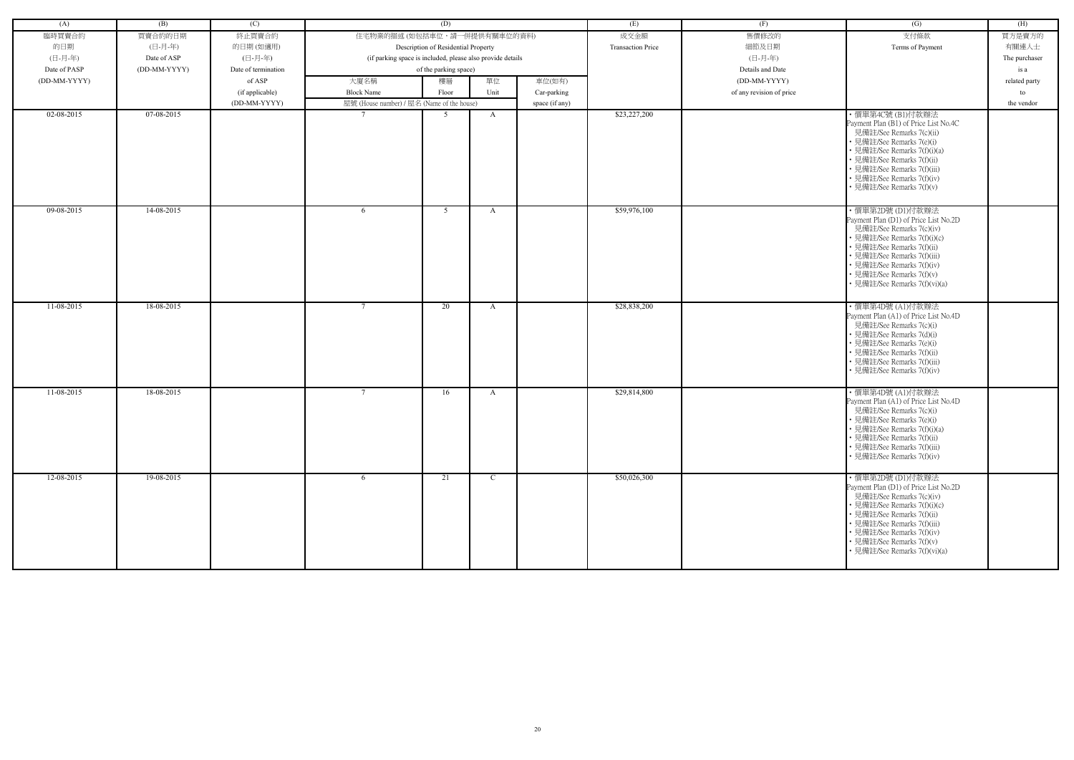| (A)          | (B)          | (C)                 |                                                            | (D)                                 |               |                | (E)                      | (F)                      | $\left( G\right)$                                                 | (H)           |
|--------------|--------------|---------------------|------------------------------------------------------------|-------------------------------------|---------------|----------------|--------------------------|--------------------------|-------------------------------------------------------------------|---------------|
| 臨時買賣合約       | 買賣合約的日期      | 終止買賣合約              | 住宅物業的描述 (如包括車位,請一併提供有關車位的資料)                               |                                     |               |                | 成交金額                     | 售價修改的                    | 支付條款                                                              | 買方是賣方的        |
| 的日期          | (日-月-年)      | 的日期(如適用)            |                                                            | Description of Residential Property |               |                | <b>Transaction Price</b> | 細節及日期                    | Terms of Payment                                                  | 有關連人士         |
| (日-月-年)      | Date of ASP  | (日-月-年)             | (if parking space is included, please also provide details |                                     |               |                |                          | (日-月-年)                  |                                                                   | The purchaser |
| Date of PASP | (DD-MM-YYYY) | Date of termination |                                                            | of the parking space)               |               |                |                          | Details and Date         |                                                                   | is a          |
| (DD-MM-YYYY) |              | of ASP              | 大廈名稱                                                       | 樓層                                  | 單位            | 車位(如有)         |                          | (DD-MM-YYYY)             |                                                                   | related party |
|              |              | (if applicable)     | <b>Block Name</b>                                          | Floor                               | Unit          | Car-parking    |                          | of any revision of price |                                                                   | to            |
|              |              | (DD-MM-YYYY)        | 屋號 (House number) / 屋名 (Name of the house)                 |                                     |               | space (if any) |                          |                          |                                                                   | the vendor    |
| 02-08-2015   | 07-08-2015   |                     | $\overline{7}$                                             | 5                                   | $\mathbf{A}$  |                | \$23,227,200             |                          | ・價單第4C號 (B1)付款辦法                                                  |               |
|              |              |                     |                                                            |                                     |               |                |                          |                          | Payment Plan (B1) of Price List No.4C                             |               |
|              |              |                     |                                                            |                                     |               |                |                          |                          | 見備註/See Remarks 7(c)(ii)<br>• 見備註/See Remarks 7(e)(i)             |               |
|              |              |                     |                                                            |                                     |               |                |                          |                          | • 見備註/See Remarks 7(f)(i)(a)                                      |               |
|              |              |                     |                                                            |                                     |               |                |                          |                          | • 見備註/See Remarks 7(f)(ii)                                        |               |
|              |              |                     |                                                            |                                     |               |                |                          |                          | • 見備註/See Remarks 7(f)(iii)                                       |               |
|              |              |                     |                                                            |                                     |               |                |                          |                          | • 見備註/See Remarks 7(f)(iv)<br>• 見備註/See Remarks 7(f)(v)           |               |
|              |              |                     |                                                            |                                     |               |                |                          |                          |                                                                   |               |
| 09-08-2015   | 14-08-2015   |                     | -6                                                         | 5                                   | A             |                | \$59,976,100             |                          | ・價單第2D號 (D1)付款辦法                                                  |               |
|              |              |                     |                                                            |                                     |               |                |                          |                          | Payment Plan (D1) of Price List No.2D<br>見備註/See Remarks 7(c)(iv) |               |
|              |              |                     |                                                            |                                     |               |                |                          |                          | • 見備註/See Remarks 7(f)(i)(c)                                      |               |
|              |              |                     |                                                            |                                     |               |                |                          |                          | • 見備註/See Remarks 7(f)(ii)                                        |               |
|              |              |                     |                                                            |                                     |               |                |                          |                          | • 見備註/See Remarks 7(f)(iii)                                       |               |
|              |              |                     |                                                            |                                     |               |                |                          |                          | • 見備註/See Remarks 7(f)(iv)<br>• 見備註/See Remarks 7(f)(v)           |               |
|              |              |                     |                                                            |                                     |               |                |                          |                          | · 見備註/See Remarks 7(f)(vi)(a)                                     |               |
|              |              |                     |                                                            |                                     |               |                |                          |                          |                                                                   |               |
| $11-08-2015$ | 18-08-2015   |                     | $7\phantom{.0}$                                            | 20                                  | A             |                | \$28,838,200             |                          | ・價單第4D號 (A1)付款辦法                                                  |               |
|              |              |                     |                                                            |                                     |               |                |                          |                          | Payment Plan (A1) of Price List No.4D<br>見備註/See Remarks 7(c)(i)  |               |
|              |              |                     |                                                            |                                     |               |                |                          |                          | • 見備註/See Remarks 7(d)(i)                                         |               |
|              |              |                     |                                                            |                                     |               |                |                          |                          | • 見備註/See Remarks 7(e)(i)                                         |               |
|              |              |                     |                                                            |                                     |               |                |                          |                          | • 見備註/See Remarks 7(f)(ii)<br>• 見備註/See Remarks 7(f)(iii)         |               |
|              |              |                     |                                                            |                                     |               |                |                          |                          | · 見備註/See Remarks 7(f)(iv)                                        |               |
|              |              |                     |                                                            |                                     |               |                |                          |                          |                                                                   |               |
| 11-08-2015   | 18-08-2015   |                     | $7\phantom{.0}$                                            | 16                                  | A             |                | \$29,814,800             |                          | ・價單第4D號 (A1)付款辦法<br>Payment Plan (A1) of Price List No.4D         |               |
|              |              |                     |                                                            |                                     |               |                |                          |                          | 見備註/See Remarks 7(c)(i)                                           |               |
|              |              |                     |                                                            |                                     |               |                |                          |                          | · 見備註/See Remarks 7(e)(i)                                         |               |
|              |              |                     |                                                            |                                     |               |                |                          |                          | • 見備註/See Remarks 7(f)(i)(a)                                      |               |
|              |              |                     |                                                            |                                     |               |                |                          |                          | • 見備註/See Remarks 7(f)(ii)<br>• 見備註/See Remarks 7(f)(iii)         |               |
|              |              |                     |                                                            |                                     |               |                |                          |                          | • 見備註/See Remarks 7(f)(iv)                                        |               |
|              |              |                     |                                                            |                                     |               |                |                          |                          |                                                                   |               |
| 12-08-2015   | 19-08-2015   |                     | 6                                                          | 21                                  | $\mathcal{C}$ |                | \$50,026,300             |                          | ・價單第2D號 (D1)付款辦法<br>Payment Plan (D1) of Price List No.2D         |               |
|              |              |                     |                                                            |                                     |               |                |                          |                          | 見備註/See Remarks 7(c)(iv)                                          |               |
|              |              |                     |                                                            |                                     |               |                |                          |                          | • 見備註/See Remarks 7(f)(i)(c)                                      |               |
|              |              |                     |                                                            |                                     |               |                |                          |                          | • 見備註/See Remarks 7(f)(ii)                                        |               |
|              |              |                     |                                                            |                                     |               |                |                          |                          | • 見備註/See Remarks 7(f)(iii)<br>• 見備註/See Remarks 7(f)(iv)         |               |
|              |              |                     |                                                            |                                     |               |                |                          |                          | • 見備註/See Remarks 7(f)(v)                                         |               |
|              |              |                     |                                                            |                                     |               |                |                          |                          | • 見備註/See Remarks 7(f)(vi)(a)                                     |               |
|              |              |                     |                                                            |                                     |               |                |                          |                          |                                                                   |               |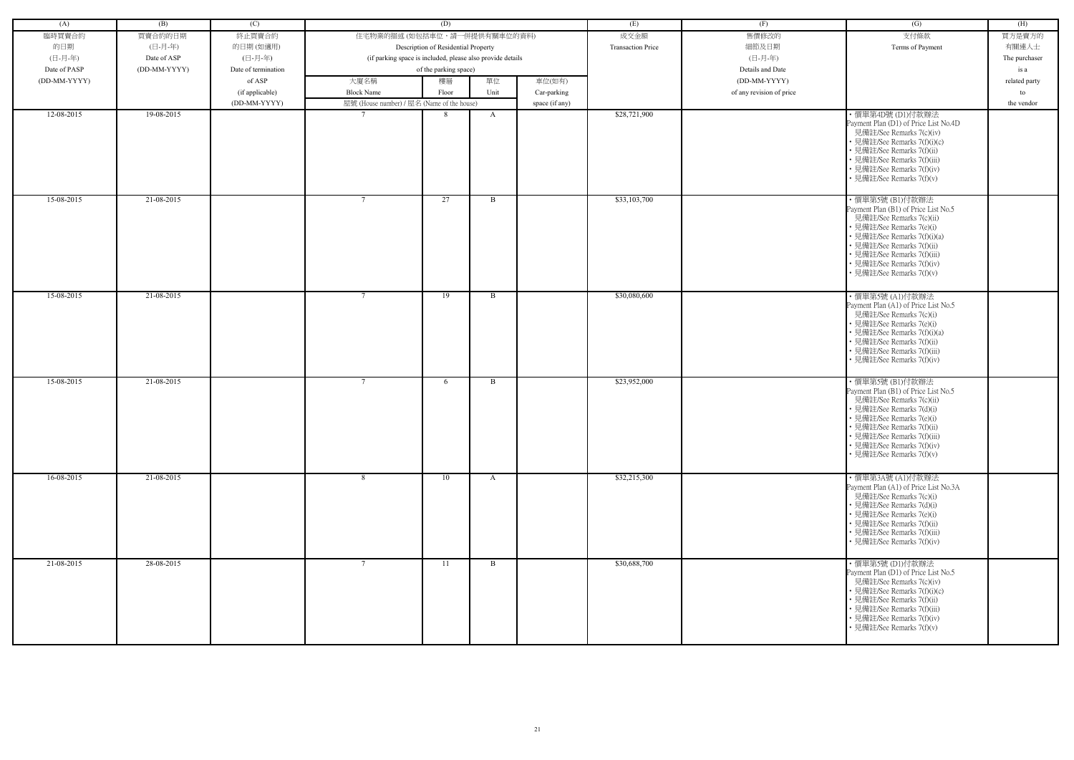| (A)            | (B)          | (C)                 |                                                            | (D)                                 |              |                | (E)                      | (F)                      | (G)                                                                                                                                                                                                                                                                      | (H)           |
|----------------|--------------|---------------------|------------------------------------------------------------|-------------------------------------|--------------|----------------|--------------------------|--------------------------|--------------------------------------------------------------------------------------------------------------------------------------------------------------------------------------------------------------------------------------------------------------------------|---------------|
|                |              |                     |                                                            |                                     |              |                |                          |                          |                                                                                                                                                                                                                                                                          |               |
| 臨時買賣合約         | 買賣合約的日期      | 終止買賣合約              | 住宅物業的描述 (如包括車位,請一併提供有關車位的資料)                               |                                     |              |                | 成交金額                     | 售價修改的                    | 支付條款                                                                                                                                                                                                                                                                     | 買方是賣方的        |
| 的日期            | (日-月-年)      | 的日期(如適用)            |                                                            | Description of Residential Property |              |                | <b>Transaction Price</b> | 細節及日期                    | Terms of Payment                                                                                                                                                                                                                                                         | 有關連人士         |
| (日-月-年)        | Date of ASP  | (日-月-年)             | (if parking space is included, please also provide details |                                     |              |                |                          | (日-月-年)                  |                                                                                                                                                                                                                                                                          | The purchaser |
| Date of PASP   | (DD-MM-YYYY) | Date of termination |                                                            | of the parking space)               |              |                |                          | Details and Date         |                                                                                                                                                                                                                                                                          | is a          |
| $(DD-MM-YYYY)$ |              | of ASP              | 大廈名稱                                                       | 樓層                                  | 單位           | 車位(如有)         |                          | (DD-MM-YYYY)             |                                                                                                                                                                                                                                                                          | related party |
|                |              | (if applicable)     | <b>Block Name</b>                                          | Floor                               | Unit         | Car-parking    |                          | of any revision of price |                                                                                                                                                                                                                                                                          | to            |
|                |              | (DD-MM-YYYY)        | 屋號 (House number) / 屋名 (Name of the house)                 |                                     |              | space (if any) |                          |                          |                                                                                                                                                                                                                                                                          | the vendor    |
| 12-08-2015     | 19-08-2015   |                     |                                                            | -8                                  | A            |                | \$28,721,900             |                          | ・價單第4D號 (D1)付款辦法                                                                                                                                                                                                                                                         |               |
|                |              |                     |                                                            |                                     |              |                |                          |                          | Payment Plan (D1) of Price List No.4D<br>見備註/See Remarks 7(c)(iv)<br>• 見備註/See Remarks 7(f)(i)(c)<br>• 見備註/See Remarks 7(f)(ii)<br>• 見備註/See Remarks 7(f)(iii)<br>• 見備註/See Remarks 7(f)(iv)<br>• 見備註/See Remarks 7(f)(v)                                                |               |
| 15-08-2015     | 21-08-2015   |                     | $7\phantom{.0}$                                            | 27                                  | B            |                | \$33,103,700             |                          | ・價單第5號 (B1)付款辦法<br>Payment Plan (B1) of Price List No.5<br>見備註/See Remarks 7(c)(ii)<br>• 見備註/See Remarks 7(e)(i)<br>• 見備註/See Remarks 7(f)(i)(a)<br>• 見備註/See Remarks 7(f)(ii)<br>• 見備註/See Remarks 7(f)(iii)<br>• 見備註/See Remarks 7(f)(iv)<br>• 見備註/See Remarks 7(f)(v) |               |
| 15-08-2015     | 21-08-2015   |                     | $\overline{7}$                                             | 19                                  | B            |                | \$30,080,600             |                          | ・價單第5號 (A1)付款辦法<br>Payment Plan (A1) of Price List No.5<br>見備註/See Remarks 7(c)(i)<br>• 見備註/See Remarks 7(e)(i)<br>• 見備註/See Remarks 7(f)(i)(a)<br>• 見備註/See Remarks 7(f)(ii)<br>• 見備註/See Remarks 7(f)(iii)<br>• 見備註/See Remarks 7(f)(iv)                               |               |
| 15-08-2015     | 21-08-2015   |                     | $7\phantom{.0}$                                            | 6                                   | B            |                | \$23,952,000             |                          | ·價單第5號(B1)付款辦法<br>Payment Plan (B1) of Price List No.5<br>見備註/See Remarks 7(c)(ii)<br>• 見備註/See Remarks 7(d)(i)<br>• 見備註/See Remarks 7(e)(i)<br>• 見備註/See Remarks 7(f)(ii)<br>• 見備註/See Remarks 7(f)(iii)<br>• 見備註/See Remarks 7(f)(iv)<br>• 見備註/See Remarks 7(f)(v)     |               |
| 16-08-2015     | 21-08-2015   |                     | -8                                                         | 10                                  | A            |                | \$32,215,300             |                          | ・價單第3A號 (A1)付款辦法<br>Payment Plan (A1) of Price List No.3A<br>見備註/See Remarks 7(c)(i)<br>• 見備註/See Remarks 7(d)(i)<br>• 見備註/See Remarks 7(e)(i)<br>• 見備註/See Remarks 7(f)(ii)<br>• 見備註/See Remarks 7(f)(iii)<br>• 見備註/See Remarks 7(f)(iv)                                |               |
| 21-08-2015     | 28-08-2015   |                     | $7\phantom{.0}$                                            | 11                                  | $\mathbf{B}$ |                | \$30,688,700             |                          | ・價單第5號 (D1)付款辦法<br>Payment Plan (D1) of Price List No.5<br>見備註/See Remarks 7(c)(iv)<br>• 見備註/See Remarks 7(f)(i)(c)<br>• 見備註/See Remarks 7(f)(ii)<br>• 見備註/See Remarks 7(f)(iii)<br>• 見備註/See Remarks 7(f)(iv)<br>• 見備註/See Remarks 7(f)(v)                              |               |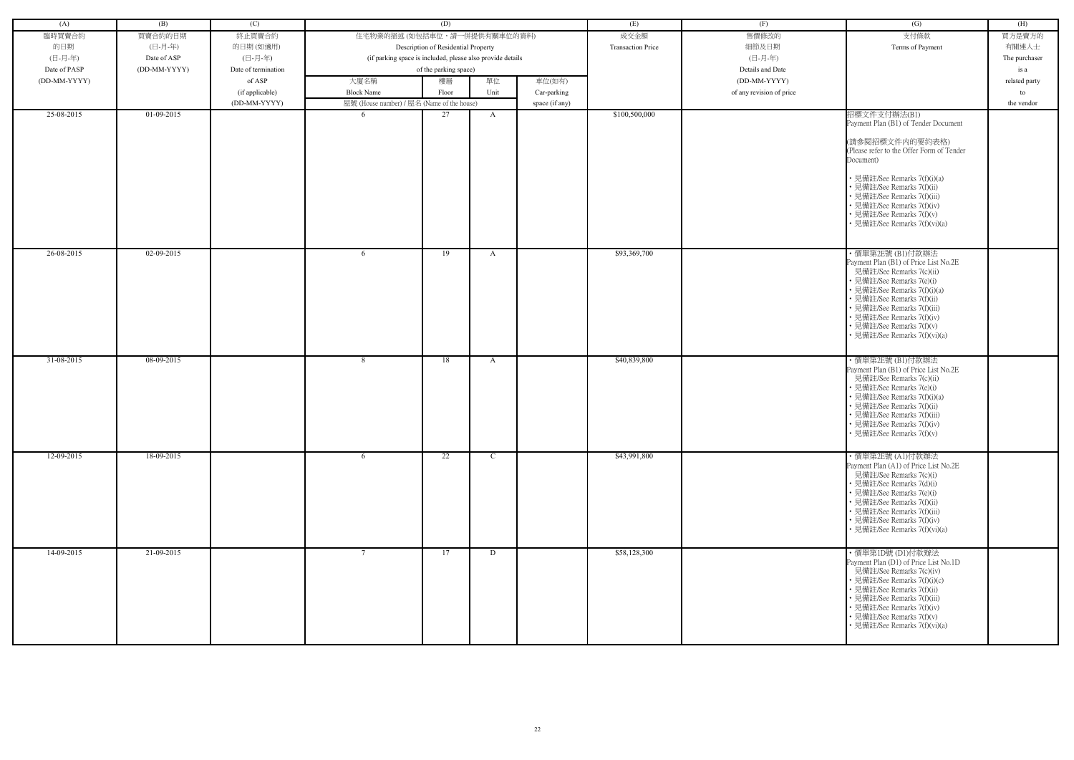| (A)          | (B)          | (C)                 |                                                            | (D)                                 |               |                | (E)                      | (F)                      | (G)                                                               | (H)           |
|--------------|--------------|---------------------|------------------------------------------------------------|-------------------------------------|---------------|----------------|--------------------------|--------------------------|-------------------------------------------------------------------|---------------|
| 臨時買賣合約       | 買賣合約的日期      | 終止買賣合約              | 住宅物業的描述 (如包括車位,請一併提供有關車位的資料)                               |                                     |               |                | 成交金額                     | 售價修改的                    | 支付條款                                                              | 買方是賣方的        |
| 的日期          | (日-月-年)      | 的日期(如適用)            |                                                            | Description of Residential Property |               |                | <b>Transaction Price</b> | 細節及日期                    | Terms of Payment                                                  | 有關連人士         |
| (日-月-年)      | Date of ASP  | (日-月-年)             | (if parking space is included, please also provide details |                                     |               |                |                          | (日-月-年)                  |                                                                   | The purchaser |
| Date of PASP | (DD-MM-YYYY) | Date of termination |                                                            | of the parking space)               |               |                |                          | Details and Date         |                                                                   | is a          |
| (DD-MM-YYYY) |              | of ASP              | 大廈名稱                                                       | 樓層                                  | 單位            | 車位(如有)         |                          | (DD-MM-YYYY)             |                                                                   | related party |
|              |              | (if applicable)     | <b>Block Name</b>                                          | Floor                               | Unit          | Car-parking    |                          | of any revision of price |                                                                   | to            |
|              |              | (DD-MM-YYYY)        | 屋號 (House number) / 屋名 (Name of the house)                 |                                     |               | space (if any) |                          |                          |                                                                   | the vendor    |
| 25-08-2015   | 01-09-2015   |                     | -6                                                         | 27                                  | A             |                | \$100,500,000            |                          | 招標文件支付辦法(B1)                                                      |               |
|              |              |                     |                                                            |                                     |               |                |                          |                          | Payment Plan (B1) of Tender Document                              |               |
|              |              |                     |                                                            |                                     |               |                |                          |                          |                                                                   |               |
|              |              |                     |                                                            |                                     |               |                |                          |                          | (請參閱招標文件内的要約表格)                                                   |               |
|              |              |                     |                                                            |                                     |               |                |                          |                          | (Please refer to the Offer Form of Tender<br>Document)            |               |
|              |              |                     |                                                            |                                     |               |                |                          |                          |                                                                   |               |
|              |              |                     |                                                            |                                     |               |                |                          |                          | • 見備註/See Remarks 7(f)(i)(a)                                      |               |
|              |              |                     |                                                            |                                     |               |                |                          |                          | 見備註/See Remarks 7(f)(ii)                                          |               |
|              |              |                     |                                                            |                                     |               |                |                          |                          | 見備註/See Remarks 7(f)(iii)                                         |               |
|              |              |                     |                                                            |                                     |               |                |                          |                          | 見備註/See Remarks 7(f)(iv)<br>見備註/See Remarks 7(f)(v)               |               |
|              |              |                     |                                                            |                                     |               |                |                          |                          | 見備註/See Remarks 7(f)(vi)(a)                                       |               |
|              |              |                     |                                                            |                                     |               |                |                          |                          |                                                                   |               |
|              |              |                     |                                                            |                                     |               |                |                          |                          |                                                                   |               |
| 26-08-2015   | 02-09-2015   |                     | -6                                                         | 19                                  | A             |                | \$93,369,700             |                          | ・價單第2E號 (B1)付款辦法<br>Payment Plan (B1) of Price List No.2E         |               |
|              |              |                     |                                                            |                                     |               |                |                          |                          | 見備註/See Remarks 7(c)(ii)                                          |               |
|              |              |                     |                                                            |                                     |               |                |                          |                          | 見備註/See Remarks 7(e)(i)                                           |               |
|              |              |                     |                                                            |                                     |               |                |                          |                          | · 見備註/See Remarks 7(f)(i)(a)                                      |               |
|              |              |                     |                                                            |                                     |               |                |                          |                          | 見備註/See Remarks 7(f)(ii)                                          |               |
|              |              |                     |                                                            |                                     |               |                |                          |                          | 見備註/See Remarks 7(f)(iii)<br>見備註/See Remarks 7(f)(iv)             |               |
|              |              |                     |                                                            |                                     |               |                |                          |                          | 見備註/See Remarks 7(f)(v)                                           |               |
|              |              |                     |                                                            |                                     |               |                |                          |                          | · 見備註/See Remarks 7(f)(vi)(a)                                     |               |
|              |              |                     |                                                            |                                     |               |                |                          |                          |                                                                   |               |
| 31-08-2015   | 08-09-2015   |                     | 8                                                          | 18                                  | A             |                | \$40,839,800             |                          | ・價單第2E號 (B1)付款辦法                                                  |               |
|              |              |                     |                                                            |                                     |               |                |                          |                          | Payment Plan (B1) of Price List No.2E<br>見備註/See Remarks 7(c)(ii) |               |
|              |              |                     |                                                            |                                     |               |                |                          |                          | 見備註/See Remarks 7(e)(i)                                           |               |
|              |              |                     |                                                            |                                     |               |                |                          |                          | 見備註/See Remarks 7(f)(i)(a)                                        |               |
|              |              |                     |                                                            |                                     |               |                |                          |                          | • 見備註/See Remarks 7(f)(ii)                                        |               |
|              |              |                     |                                                            |                                     |               |                |                          |                          | • 見備註/See Remarks 7(f)(iii)<br>見備註/See Remarks 7(f)(iv)           |               |
|              |              |                     |                                                            |                                     |               |                |                          |                          | • 見備註/See Remarks 7(f)(v)                                         |               |
|              |              |                     |                                                            |                                     |               |                |                          |                          |                                                                   |               |
| 12-09-2015   | 18-09-2015   |                     | 6                                                          | 22                                  | $\mathcal{C}$ |                | \$43,991,800             |                          | ・價單第2E號 (A1)付款辦法                                                  |               |
|              |              |                     |                                                            |                                     |               |                |                          |                          | Payment Plan (A1) of Price List No.2E                             |               |
|              |              |                     |                                                            |                                     |               |                |                          |                          | 見備註/See Remarks 7(c)(i)                                           |               |
|              |              |                     |                                                            |                                     |               |                |                          |                          | • 見備註/See Remarks 7(d)(i)<br>見備註/See Remarks 7(e)(i)              |               |
|              |              |                     |                                                            |                                     |               |                |                          |                          | 見備註/See Remarks 7(f)(ii)                                          |               |
|              |              |                     |                                                            |                                     |               |                |                          |                          | 見備註/See Remarks 7(f)(iii)                                         |               |
|              |              |                     |                                                            |                                     |               |                |                          |                          | 見備註/See Remarks 7(f)(iv)                                          |               |
|              |              |                     |                                                            |                                     |               |                |                          |                          | • 見備註/See Remarks 7(f)(vi)(a)                                     |               |
| 14-09-2015   | 21-09-2015   |                     | $7\overline{ }$                                            |                                     |               |                |                          |                          |                                                                   |               |
|              |              |                     |                                                            | 17                                  | D             |                | \$58,128,300             |                          | ・價單第1D號 (D1)付款辦法<br>Payment Plan (D1) of Price List No.1D         |               |
|              |              |                     |                                                            |                                     |               |                |                          |                          | 見備註/See Remarks 7(c)(iv)                                          |               |
|              |              |                     |                                                            |                                     |               |                |                          |                          | 見備註/See Remarks 7(f)(i)(c)                                        |               |
|              |              |                     |                                                            |                                     |               |                |                          |                          | · 見備註/See Remarks 7(f)(ii)                                        |               |
|              |              |                     |                                                            |                                     |               |                |                          |                          | · 見備註/See Remarks 7(f)(iii)<br>· 見備註/See Remarks 7(f)(iv)         |               |
|              |              |                     |                                                            |                                     |               |                |                          |                          | • 見備註/See Remarks 7(f)(v)                                         |               |
|              |              |                     |                                                            |                                     |               |                |                          |                          | · 見備註/See Remarks 7(f)(vi)(a)                                     |               |
|              |              |                     |                                                            |                                     |               |                |                          |                          |                                                                   |               |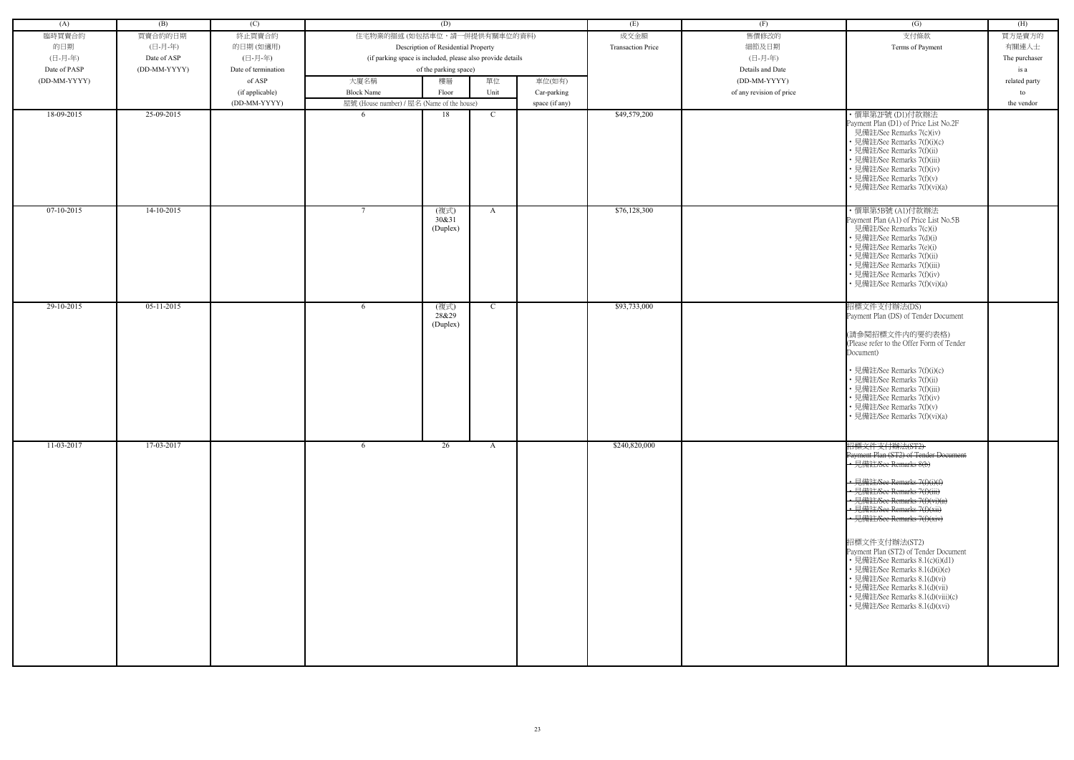| (A)          | (B)          | (C)                             |                                                                     | (D)                       |               |                | (E)                      | (F)                      | $\overline{(G)}$                                                                                                                                                                                                                                                                                                                                                                                                                                                                                                     | (H)              |
|--------------|--------------|---------------------------------|---------------------------------------------------------------------|---------------------------|---------------|----------------|--------------------------|--------------------------|----------------------------------------------------------------------------------------------------------------------------------------------------------------------------------------------------------------------------------------------------------------------------------------------------------------------------------------------------------------------------------------------------------------------------------------------------------------------------------------------------------------------|------------------|
| 臨時買賣合約       | 買賣合約的日期      | 終止買賣合約                          | 住宅物業的描述 (如包括車位,請一併提供有關車位的資料)<br>Description of Residential Property |                           |               |                | 成交金額                     | 售價修改的                    | 支付條款                                                                                                                                                                                                                                                                                                                                                                                                                                                                                                                 | 買方是賣方的           |
| 的日期          | (日-月-年)      | 的日期(如適用)                        |                                                                     |                           |               |                | <b>Transaction Price</b> | 細節及日期                    | Terms of Payment                                                                                                                                                                                                                                                                                                                                                                                                                                                                                                     | 有關連人士            |
| (日-月-年)      | Date of ASP  | (日-月-年)                         | (if parking space is included, please also provide details          |                           |               |                |                          | (日-月-年)                  |                                                                                                                                                                                                                                                                                                                                                                                                                                                                                                                      | The purchaser    |
| Date of PASP | (DD-MM-YYYY) | Date of termination             |                                                                     | of the parking space)     |               |                |                          | Details and Date         |                                                                                                                                                                                                                                                                                                                                                                                                                                                                                                                      | is a             |
| (DD-MM-YYYY) |              | of ASP                          | 大廈名稱                                                                | 樓層                        | 單位            | 車位(如有)         |                          | (DD-MM-YYYY)             |                                                                                                                                                                                                                                                                                                                                                                                                                                                                                                                      | related party    |
|              |              |                                 | <b>Block Name</b>                                                   | Floor                     | Unit          |                |                          | of any revision of price |                                                                                                                                                                                                                                                                                                                                                                                                                                                                                                                      |                  |
|              |              | (if applicable)<br>(DD-MM-YYYY) | 屋號 (House number) / 屋名 (Name of the house)                          |                           |               | Car-parking    |                          |                          |                                                                                                                                                                                                                                                                                                                                                                                                                                                                                                                      | to<br>the vendor |
| 18-09-2015   | 25-09-2015   |                                 | -6                                                                  | 18                        | C             | space (if any) | \$49,579,200             |                          | ・價單第2F號 (D1)付款辦法                                                                                                                                                                                                                                                                                                                                                                                                                                                                                                     |                  |
|              |              |                                 |                                                                     |                           |               |                |                          |                          | Payment Plan (D1) of Price List No.2F<br>見備註/See Remarks 7(c)(iv)<br>· 見備註/See Remarks 7(f)(i)(c)<br>· 見備註/See Remarks 7(f)(ii)<br>• 見備註/See Remarks 7(f)(iii)<br>• 見備註/See Remarks 7(f)(iv)<br>• 見備註/See Remarks 7(f)(v)<br>• 見備註/See Remarks 7(f)(vi)(a)                                                                                                                                                                                                                                                           |                  |
| $07-10-2015$ | $14-10-2015$ |                                 | $\overline{7}$                                                      | (複式)<br>30&31<br>(Duplex) | A             |                | \$76,128,300             |                          | ・價單第5B號 (A1)付款辦法<br>Payment Plan (A1) of Price List No.5B<br>見備註/See Remarks 7(c)(i)<br>• 見備註/See Remarks 7(d)(i)<br>• 見備註/See Remarks 7(e)(i)<br>• 見備註/See Remarks 7(f)(ii)<br>• 見備註/See Remarks 7(f)(iii)<br>• 見備註/See Remarks 7(f)(iv)<br>• 見備註/See Remarks 7(f)(vi)(a)                                                                                                                                                                                                                                           |                  |
| 29-10-2015   | $05-11-2015$ |                                 | -6                                                                  | (複式)<br>28&29<br>(Duplex) | $\mathcal{C}$ |                | \$93,733,000             |                          | 招標文件支付辦法(DS)<br>Payment Plan (DS) of Tender Document<br>(請參閱招標文件内的要約表格)<br>(Please refer to the Offer Form of Tender<br>Document)<br>• 見備註/See Remarks 7(f)(i)(c)<br>• 見備註/See Remarks 7(f)(ii)<br>· 見備註/See Remarks 7(f)(iii)<br>• 見備註/See Remarks 7(f)(iv)<br>• 見備註/See Remarks 7(f)(v)<br>• 見備註/See Remarks 7(f)(vi)(a)                                                                                                                                                                                           |                  |
| 11-03-2017   | 17-03-2017   |                                 | -6                                                                  | 26                        | $\mathbf{A}$  |                | \$240,820,000            |                          | 招標文件支付辦法(ST2)<br>Payment Plan (ST2) of Tender Document<br>• 見備註/See Remarks 8(b)<br>• 見備註/See Remarks 7(f)(i)(f)<br>• 見備註/See Remarks 7(f)(iii)<br>• 見備註/See Remarks 7(f)(vi)(a)<br>• 見備註/See Remarks 7(f)(xii)<br>· 見備註/See Remarks 7(f)(xiv)<br>招標文件支付辦法(ST2)<br>Payment Plan (ST2) of Tender Document<br>• 見備註/See Remarks 8.1(c)(i)(d1)<br>• 見備註/See Remarks 8.1(d)(i)(e)<br>• 見備註/See Remarks 8.1(d)(vi)<br>• 見備註/See Remarks 8.1(d)(vii)<br>• 見備註/See Remarks 8.1(d)(viii)(c)<br>• 見備註/See Remarks 8.1(d)(xvi) |                  |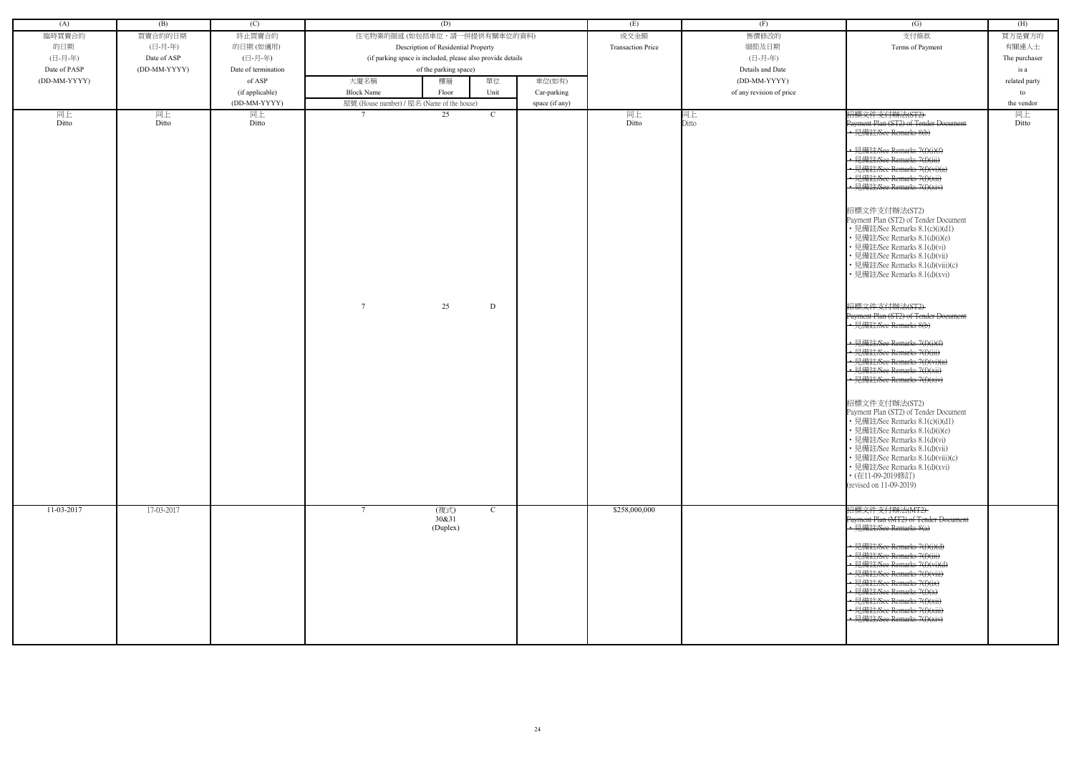| (A)          | (B)          | (C)                 | (D)                                                        |                     | (E)                      | (F)                      | (G)                                                                                                                                                                                                                                                                                                                                                                       | (H)           |
|--------------|--------------|---------------------|------------------------------------------------------------|---------------------|--------------------------|--------------------------|---------------------------------------------------------------------------------------------------------------------------------------------------------------------------------------------------------------------------------------------------------------------------------------------------------------------------------------------------------------------------|---------------|
| 臨時買賣合約       | 買賣合約的日期      | 終止買賣合約              | 住宅物業的描述 (如包括車位,請一併提供有關車位的資料)                               |                     | 成交金額                     | 售價修改的                    | 支付條款                                                                                                                                                                                                                                                                                                                                                                      | 買方是賣方的        |
| 的日期          | (日-月-年)      | 的日期(如適用)            | Description of Residential Property                        |                     | <b>Transaction Price</b> | 細節及日期                    | Terms of Payment                                                                                                                                                                                                                                                                                                                                                          | 有關連人士         |
| (日-月-年)      | Date of ASP  | (日-月-年)             | (if parking space is included, please also provide details |                     |                          | (日-月-年)                  |                                                                                                                                                                                                                                                                                                                                                                           | The purchaser |
| Date of PASP | (DD-MM-YYYY) | Date of termination | of the parking space)                                      |                     |                          | Details and Date         |                                                                                                                                                                                                                                                                                                                                                                           | is a          |
| (DD-MM-YYYY) |              | of ASP              | 大廈名稱<br>樓層                                                 | 單位<br>車位(如有)        |                          | (DD-MM-YYYY)             |                                                                                                                                                                                                                                                                                                                                                                           | related party |
|              |              | (if applicable)     | <b>Block Name</b><br>Floor                                 | Unit<br>Car-parking |                          | of any revision of price |                                                                                                                                                                                                                                                                                                                                                                           | to            |
|              |              | (DD-MM-YYYY)        | 屋號 (House number) / 屋名 (Name of the house)                 | space (if any)      |                          |                          |                                                                                                                                                                                                                                                                                                                                                                           | the vendor    |
| 同上           | 同上           | 同上                  | 25                                                         | $\mathcal{C}$       | 同上                       | 同上                       | 招標文件支付辦法(ST2)                                                                                                                                                                                                                                                                                                                                                             | 同上            |
| Ditto        | Ditto        | Ditto               |                                                            |                     | Ditto                    | Ditto                    | Payment Plan (ST2) of Tender Document<br>• 見備註/See Remarks 8(b)<br>• 見備註/See Remarks 7(f)(i)(f)<br>• 見備註/See Remarks 7(f)(iii)<br>• 見備註/See Remarks 7(f)(vi)(a)<br>• 見備註/See Remarks 7(f)(xii)<br>• 見備註/See Remarks 7(f)(xiv)<br>招標文件支付辦法(ST2)<br>Payment Plan (ST2) of Tender Document<br>• 見備註/See Remarks 8.1(c)(i)(d1)<br>• 見備註/See Remarks 8.1(d)(i)(e)              | Ditto         |
|              |              |                     | $7\phantom{.0}$<br>25                                      | D                   |                          |                          | • 見備註/See Remarks 8.1(d)(vi)<br>· 見備註/See Remarks 8.1(d)(vii)<br>• 見備註/See Remarks 8.1(d)(viii)(c)<br>• 見備註/See Remarks 8.1(d)(xvi)<br>招標文件支付辦法(ST2)<br>Payment Plan (ST2) of Tender Document<br>• 見備註/See Remarks 8(b)                                                                                                                                                   |               |
|              |              |                     |                                                            |                     |                          |                          | • 見備註/See Remarks 7(f)(i)(f)<br>• 見備註/See Remarks 7(f)(iii)<br>• 見備註/See Remarks 7(f)(vi)(a)<br>· 見備註/See Remarks 7(f)(xii)<br>- 見備註/See Remarks 7(f)(xiv)                                                                                                                                                                                                                |               |
|              |              |                     |                                                            |                     |                          |                          | 招標文件支付辦法(ST2)<br>Payment Plan (ST2) of Tender Document<br>• 見備註/See Remarks 8.1(c)(i)(d1)<br>• 見備註/See Remarks 8.1(d)(i)(e)<br>• 見備註/See Remarks 8.1(d)(vi)<br>• 見備註/See Remarks 8.1(d)(vii)<br>• 見備註/See Remarks 8.1(d)(viii)(c)<br>• 見備註/See Remarks 8.1(d)(xvi)<br>• (在11-09-2019修訂)<br>(revised on 11-09-2019)                                                        |               |
| 11-03-2017   | 17-03-2017   |                     | (複式)<br>$\tau$<br>30&31<br>(Duplex)                        | $\mathbf C$         | \$258,000,000            |                          | 招標文件支付辦法(MT2)<br>Payment Plan (MT2) of Tender Document<br>• 見備註/See Remarks 8(a)<br>• 見備註/See Remarks 7(f)(i)(d)<br>• 見備註/See Remarks 7(f)(iii)<br>• 見備註/See Remarks 7(f)(vi)(d)<br>• 見備註/See Remarks 7(f)(viii)<br>• 見備註/See Remarks 7(f)(ix)<br>• 見備註/See Remarks 7(f)(x)<br>• 見備註/See Remarks 7(f)(xii)<br>• 見備註/See Remarks 7(f)(xiii)<br>• 見備註/See Remarks 7(f)(xiv) |               |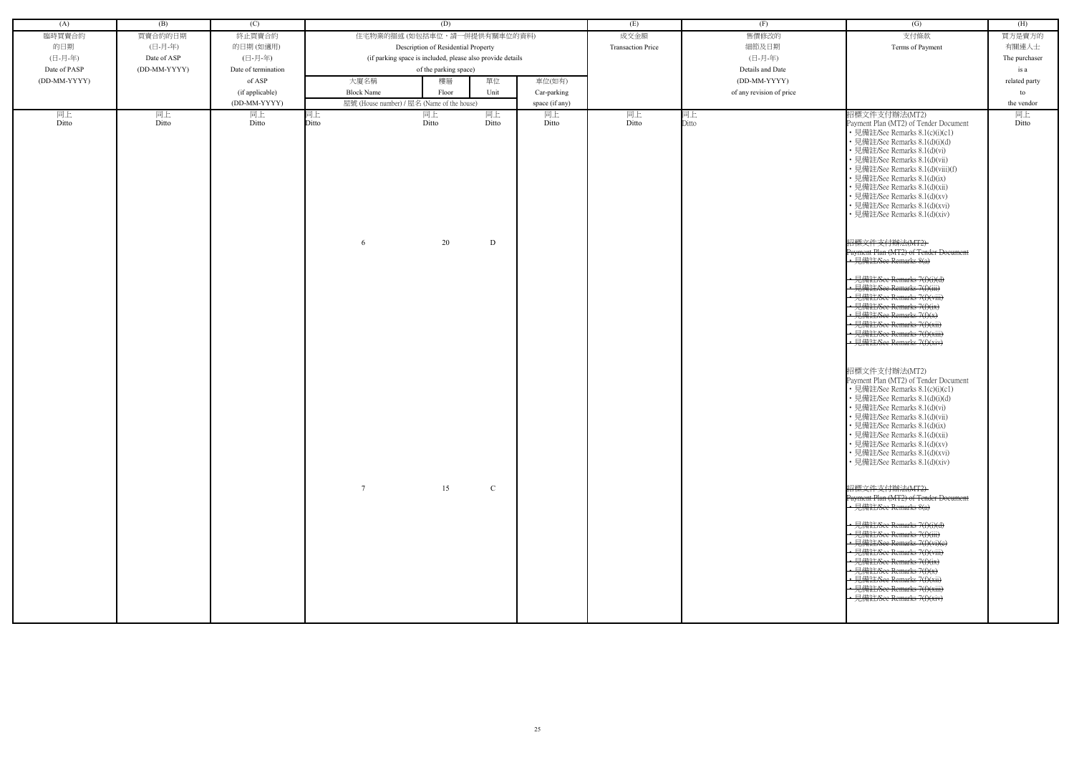| (A)          | (B)          | (C)                 |                   | (D)                                                        |              |                | (E)                      | (F)                      | $\overline{(G)}$                                                                                                                                                                                                                                                                                                                                                                                     | (H)           |
|--------------|--------------|---------------------|-------------------|------------------------------------------------------------|--------------|----------------|--------------------------|--------------------------|------------------------------------------------------------------------------------------------------------------------------------------------------------------------------------------------------------------------------------------------------------------------------------------------------------------------------------------------------------------------------------------------------|---------------|
| 臨時買賣合約       | 買賣合約的日期      | 終止買賣合約              |                   | 住宅物業的描述(如包括車位,請一併提供有關車位的資料)                                |              |                | 成交金額                     | 售價修改的                    | 支付條款                                                                                                                                                                                                                                                                                                                                                                                                 | 買方是賣方的        |
|              |              |                     |                   |                                                            |              |                |                          |                          |                                                                                                                                                                                                                                                                                                                                                                                                      |               |
| 的日期          | (日-月-年)      | 的日期 (如適用)           |                   | Description of Residential Property                        |              |                | <b>Transaction Price</b> | 細節及日期                    | Terms of Payment                                                                                                                                                                                                                                                                                                                                                                                     | 有關連人士         |
| (日-月-年)      | Date of ASP  | (日-月-年)             |                   | (if parking space is included, please also provide details |              |                |                          | (日-月-年)                  |                                                                                                                                                                                                                                                                                                                                                                                                      | The purchaser |
| Date of PASP | (DD-MM-YYYY) | Date of termination |                   | of the parking space)                                      |              |                |                          | Details and Date         |                                                                                                                                                                                                                                                                                                                                                                                                      | is a          |
| (DD-MM-YYYY) |              | of ASP              | 大廈名稱              | 樓層                                                         | 單位           | 車位(如有)         |                          | (DD-MM-YYYY)             |                                                                                                                                                                                                                                                                                                                                                                                                      | related party |
|              |              | (if applicable)     | <b>Block Name</b> | Floor                                                      | Unit         | Car-parking    |                          | of any revision of price |                                                                                                                                                                                                                                                                                                                                                                                                      | to            |
|              |              | (DD-MM-YYYY)        |                   | 屋號 (House number) / 屋名 (Name of the house)                 |              | space (if any) |                          |                          |                                                                                                                                                                                                                                                                                                                                                                                                      | the vendor    |
| 同上<br>Ditto  | 同上<br>Ditto  | 同上<br>Ditto         | 司上<br>Ditto       | 同上<br>Ditto                                                | 同上<br>Ditto  | 同上<br>Ditto    | 同上<br>Ditto              | 司上<br>Ditto              | 招標文件支付辦法(MT2)<br>Payment Plan (MT2) of Tender Document<br>• 見備註/See Remarks 8.1(c)(i)(c1)<br>• 見備註/See Remarks 8.1(d)(i)(d)<br>· 見備註/See Remarks 8.1(d)(vi)<br>· 見備註/See Remarks 8.1(d)(vii)<br>• 見備註/See Remarks 8.1(d)(viii)(f)<br>· 見備註/See Remarks 8.1(d)(ix)<br>· 見備註/See Remarks 8.1(d)(xii)<br>• 見備註/See Remarks 8.1(d)(xv)<br>• 見備註/See Remarks 8.1(d)(xvi)<br>· 見備註/See Remarks 8.1(d)(xiv) | 同上<br>Ditto   |
|              |              |                     | 6                 | 20                                                         | D            |                |                          |                          | 招標文件支付辦法(MT2)<br>Payment Plan (MT2) of Tender Document<br>$\cdot$ 見備註/See Remarks 8(a)                                                                                                                                                                                                                                                                                                               |               |
|              |              |                     |                   |                                                            |              |                |                          |                          | -見備註/See Remarks 7(f)(i)(d)<br>· 見備註/See Remarks 7(f)(iii)<br><u>→ 見備註/See Remarks 7(f)(viii)</u><br>· 見備註/See Remarks 7(f)(ix)<br>• 見備註/See Remarks 7(f)(x)<br>見備註/See Remarks 7(f)(xii)<br>· 見備註/See Remarks 7(f)(xiii)<br>- 見備註/See Remarks 7(f)(xiv)                                                                                                                                             |               |
|              |              |                     |                   |                                                            |              |                |                          |                          | 招標文件支付辦法(MT2)<br>Payment Plan (MT2) of Tender Document<br>• 見備註/See Remarks 8.1(c)(i)(c1)<br>• 見備註/See Remarks 8.1(d)(i)(d)<br>• 見備註/See Remarks 8.1(d)(vi)<br>• 見備註/See Remarks 8.1(d)(vii)<br>見備註/See Remarks 8.1(d)(ix)<br>• 見備註/See Remarks 8.1(d)(xii)<br>• 見備註/See Remarks 8.1(d)(xv)<br>• 見備註/See Remarks 8.1(d)(xvi)<br>• 見備註/See Remarks 8.1(d)(xiv)                                        |               |
|              |              |                     | $\tau$            | 15                                                         | $\mathbf{C}$ |                |                          |                          | 招標文件支付辦法(MT2)<br>Payment Plan (MT2) of Tender Document<br>• 見備註/See Remarks 8(a)<br>• 見備註/See Remarks 7(f)(i)(d)<br>• 見備註/See Remarks 7(f)(iii)<br>• 見備註/See Remarks 7(f)(vi)(e)<br>← 見備註/See Remarks 7(f)(viii)<br>• 見備註/See Remarks 7(f)(ix)<br>• 見備註/See Remarks 7(f)(x)<br>- 見備註/See Remarks 7(f)(xii)<br>• 見備註/See Remarks 7(f)(xiii)<br>• 見備註/See Remarks 7(f)(xiv)                            |               |
|              |              |                     |                   |                                                            |              |                |                          |                          |                                                                                                                                                                                                                                                                                                                                                                                                      |               |

| (G)                                                                                                                                                                                                                                                                                                                                                                                                                                                                                                                                                                                                                                                                                                                                                                                                                                                                                                                                                                                                                                                                                                                                           | (H)                                        |
|-----------------------------------------------------------------------------------------------------------------------------------------------------------------------------------------------------------------------------------------------------------------------------------------------------------------------------------------------------------------------------------------------------------------------------------------------------------------------------------------------------------------------------------------------------------------------------------------------------------------------------------------------------------------------------------------------------------------------------------------------------------------------------------------------------------------------------------------------------------------------------------------------------------------------------------------------------------------------------------------------------------------------------------------------------------------------------------------------------------------------------------------------|--------------------------------------------|
|                                                                                                                                                                                                                                                                                                                                                                                                                                                                                                                                                                                                                                                                                                                                                                                                                                                                                                                                                                                                                                                                                                                                               | 買方是賣方的                                     |
| 支付條款                                                                                                                                                                                                                                                                                                                                                                                                                                                                                                                                                                                                                                                                                                                                                                                                                                                                                                                                                                                                                                                                                                                                          |                                            |
| Terms of Payment                                                                                                                                                                                                                                                                                                                                                                                                                                                                                                                                                                                                                                                                                                                                                                                                                                                                                                                                                                                                                                                                                                                              | 有關連人士                                      |
|                                                                                                                                                                                                                                                                                                                                                                                                                                                                                                                                                                                                                                                                                                                                                                                                                                                                                                                                                                                                                                                                                                                                               | The purchaser                              |
|                                                                                                                                                                                                                                                                                                                                                                                                                                                                                                                                                                                                                                                                                                                                                                                                                                                                                                                                                                                                                                                                                                                                               | is a                                       |
|                                                                                                                                                                                                                                                                                                                                                                                                                                                                                                                                                                                                                                                                                                                                                                                                                                                                                                                                                                                                                                                                                                                                               |                                            |
|                                                                                                                                                                                                                                                                                                                                                                                                                                                                                                                                                                                                                                                                                                                                                                                                                                                                                                                                                                                                                                                                                                                                               | to                                         |
|                                                                                                                                                                                                                                                                                                                                                                                                                                                                                                                                                                                                                                                                                                                                                                                                                                                                                                                                                                                                                                                                                                                                               |                                            |
| 招標文件支付辦法(MT2)<br>Payment Plan (MT2) of Tender Document<br>• 見備註/See Remarks 8.1(c)(i)(c1)<br>• 見備註/See Remarks 8.1(d)(i)(d)<br>• 見備註/See Remarks 8.1(d)(vi)<br>• 見備註/See Remarks 8.1(d)(vii)<br>• 見備註/See Remarks 8.1(d)(viii)(f)<br>• 見備註/See Remarks 8.1(d)(ix)<br>• 見備註/See Remarks 8.1(d)(xii)<br>・見備註/See Remarks 8.1(d)(xv)<br>• 見備註/See Remarks 8.1(d)(xvi)<br>• 見備註/See Remarks 8.1(d)(xiv)<br><del>招標文件支付辦法(MT2)</del><br>Payment Plan (MT2) of Tender Document<br>見備註/See Remarks 8(a)<br><del>菲主/See Remarks 7(f)(i)(d)</del><br><del>靠註/See Remarks 7(f)(iii)</del><br>註/See Remarks 7(f)(viii)<br>註/See Remarks 7(f)(ix)<br><del>備註/See Remarks 7(f)(x)</del><br><del>備註/See Remarks 7(f)(xii)</del><br>.備註/See Remarks 7(f)(xiii)<br>見備註/See Remarks 7(f)(xiv)<br>招標文件支付辦法(MT2)<br>Payment Plan (MT2) of Tender Document<br>• 見備註/See Remarks 8.1(c)(i)(c1)<br>• 見備註/See Remarks 8.1(d)(i)(d)<br>• 見備註/See Remarks 8.1(d)(vi)<br>見備註/See Remarks 8.1(d)(vii)<br>• 見備註/See Remarks 8.1(d)(ix)<br>• 見備註/See Remarks 8.1(d)(xii)<br>• 見備註/See Remarks 8.1(d)(xv)<br>• 見備註/See Remarks 8.1(d)(xvi)<br>• 見備註/See Remarks 8.1(d)(xiv) | related party<br>the vendor<br>同上<br>Ditto |
| <del>招標文件支付辦法(MT2)</del><br>Payment Plan (MT2) of Tender Document<br>見備註/See Remarks 8(a)<br><del>見備註/See Remarks 7(f)(i)(d)</del><br><del>見備註/See Remarks 7(f)(iii)</del><br><del>見備註/See Remarks 7(f)(vi)(e)</del><br><del>見備註/See Remarks 7(f)(viii)</del><br>見備註/See Remarks 7(f)(ix)<br>見備註/See Remarks 7(f)(x)<br><del>見備註/See Remarks 7(f)(xii)</del><br>見備註/See Remarks 7(f)(xiii)<br>見備註/See Remarks 7(f)(xiv)                                                                                                                                                                                                                                                                                                                                                                                                                                                                                                                                                                                                                                                                                                                       |                                            |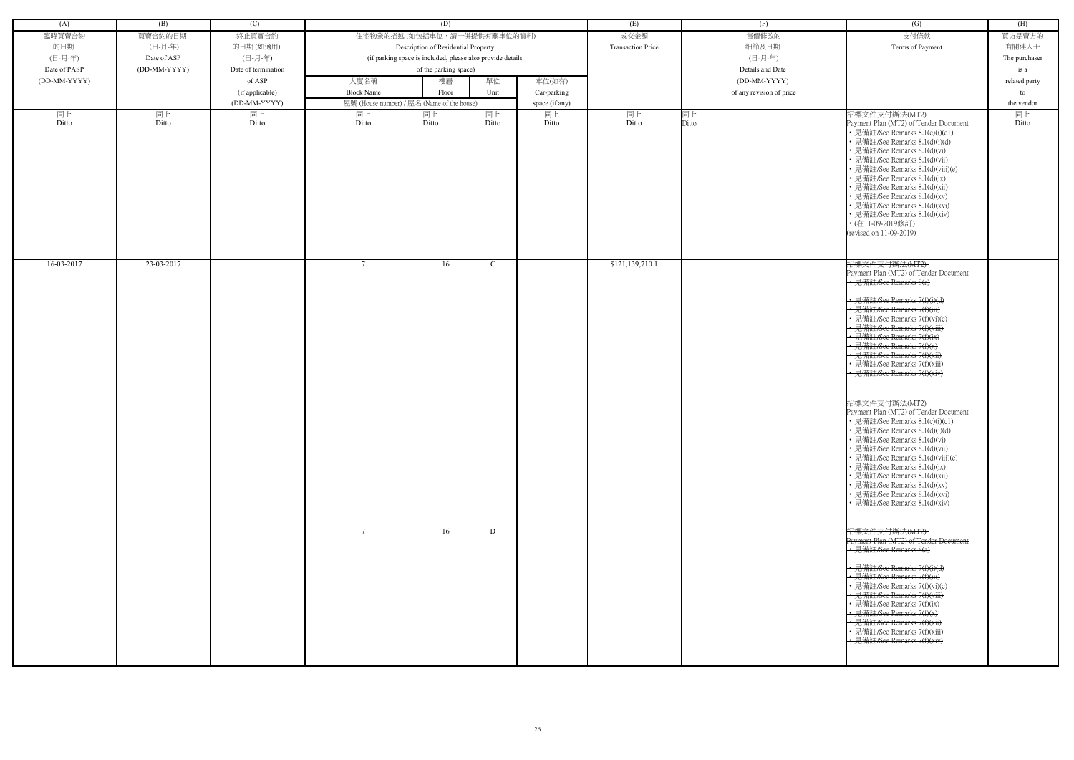| 臨時買賣合約<br>買賣合約的日期<br>終止買賣合約<br>的日期<br>(日-月-年)<br>的日期(如適用)<br>(日-月-年)<br>(日-月-年)<br>Date of ASP<br>Date of PASP<br>(DD-MM-YYYY)<br>Date of termination<br>(DD-MM-YYYY)<br>of ASP<br>大廈名稱 | 住宅物業的描述 (如包括車位,請一併提供有關車位的資料)<br>Description of Residential Property<br>(if parking space is included, please also provide details<br>of the parking space)<br>單位<br>樓層<br>Unit<br>Floor<br>屋號 (House number) / 屋名 (Name of the house) | 車位(如有)         | 成交金額<br><b>Transaction Price</b> | 售價修改的<br>細節及日期<br>(日-月-年)<br>Details and Date | 支付條款<br>Terms of Payment                                                                                                                                                                                                                                                                                                                                                                                                            | 買方是賣方的<br>有關連人士<br>The purchaser |
|-----------------------------------------------------------------------------------------------------------------------------------------------------------------------------------------|---------------------------------------------------------------------------------------------------------------------------------------------------------------------------------------------------------------------------------------|----------------|----------------------------------|-----------------------------------------------|-------------------------------------------------------------------------------------------------------------------------------------------------------------------------------------------------------------------------------------------------------------------------------------------------------------------------------------------------------------------------------------------------------------------------------------|----------------------------------|
|                                                                                                                                                                                         |                                                                                                                                                                                                                                       |                |                                  |                                               |                                                                                                                                                                                                                                                                                                                                                                                                                                     |                                  |
|                                                                                                                                                                                         |                                                                                                                                                                                                                                       |                |                                  |                                               |                                                                                                                                                                                                                                                                                                                                                                                                                                     |                                  |
|                                                                                                                                                                                         |                                                                                                                                                                                                                                       |                |                                  |                                               |                                                                                                                                                                                                                                                                                                                                                                                                                                     |                                  |
|                                                                                                                                                                                         |                                                                                                                                                                                                                                       |                |                                  |                                               |                                                                                                                                                                                                                                                                                                                                                                                                                                     | is a                             |
|                                                                                                                                                                                         |                                                                                                                                                                                                                                       |                |                                  | (DD-MM-YYYY)                                  |                                                                                                                                                                                                                                                                                                                                                                                                                                     | related party                    |
| <b>Block Name</b>                                                                                                                                                                       |                                                                                                                                                                                                                                       | Car-parking    |                                  | of any revision of price                      |                                                                                                                                                                                                                                                                                                                                                                                                                                     | to                               |
| (if applicable)<br>(DD-MM-YYYY)                                                                                                                                                         |                                                                                                                                                                                                                                       | space (if any) |                                  |                                               |                                                                                                                                                                                                                                                                                                                                                                                                                                     | the vendor                       |
| 同上<br>同上<br>同上<br>同上                                                                                                                                                                    | 同上<br>同上                                                                                                                                                                                                                              | 同上             | 同上                               | 同上                                            | 招標文件支付辦法(MT2)                                                                                                                                                                                                                                                                                                                                                                                                                       | 同上                               |
| Ditto<br>Ditto<br>Ditto<br>Ditto                                                                                                                                                        | Ditto<br>Ditto                                                                                                                                                                                                                        | Ditto          | Ditto                            | Ditto                                         | Payment Plan (MT2) of Tender Document<br>• 見備註/See Remarks 8.1(c)(i)(c1)<br>• 見備註/See Remarks 8.1(d)(i)(d)<br>• 見備註/See Remarks 8.1(d)(vi)<br>· 見備註/See Remarks 8.1(d)(vii)<br>• 見備註/See Remarks 8.1(d)(viii)(e)<br>• 見備註/See Remarks 8.1(d)(ix)<br>· 見備註/See Remarks 8.1(d)(xii)<br>• 見備註/See Remarks 8.1(d)(xv)<br>• 見備註/See Remarks 8.1(d)(xvi)<br>• 見備註/See Remarks 8.1(d)(xiv)<br>• (在11-09-2019修訂)<br>(revised on 11-09-2019) | Ditto                            |
| $16-03-2017$<br>23-03-2017<br>$7\phantom{.0}$                                                                                                                                           | 16<br>$\mathcal{C}$                                                                                                                                                                                                                   |                | \$121, 139, 710.1                |                                               | 招標文件支付辦法(MT2)<br>Payment Plan (MT2) of Tender Document<br>• 見備註/See Remarks 8(a)<br>• 見備註/See Remarks 7(f)(i)(d)<br>• 見備註/See Remarks 7(f)(iii)                                                                                                                                                                                                                                                                                     |                                  |
|                                                                                                                                                                                         |                                                                                                                                                                                                                                       |                |                                  |                                               | • 見備註/See Remarks 7(f)(vi)(e)<br>• 見備註/See Remarks 7(f)(viii)<br>• 見備註/See Remarks 7(f)(ix)                                                                                                                                                                                                                                                                                                                                         |                                  |
|                                                                                                                                                                                         |                                                                                                                                                                                                                                       |                |                                  |                                               | • 見備註/See Remarks 7(f)(x)<br>• 見備註/See Remarks 7(f)(xii)<br>• 見備註/See Remarks 7(f)(xiii)<br>• 見備註/See Remarks 7(f)(xiv)                                                                                                                                                                                                                                                                                                             |                                  |
|                                                                                                                                                                                         |                                                                                                                                                                                                                                       |                |                                  |                                               | 招標文件支付辦法(MT2)<br>Payment Plan (MT2) of Tender Document<br>• 見備註/See Remarks 8.1(c)(i)(c1)<br>• 見備註/See Remarks 8.1(d)(i)(d)<br>• 見備註/See Remarks 8.1(d)(vi)<br>• 見備註/See Remarks 8.1(d)(vii)<br>• 見備註/See Remarks 8.1(d)(viii)(e)<br>• 見備註/See Remarks 8.1(d)(ix)<br>• 見備註/See Remarks 8.1(d)(xii)<br>• 見備註/See Remarks 8.1(d)(xv)<br>• 見備註/See Remarks 8.1(d)(xvi)<br>• 見備註/See Remarks 8.1(d)(xiv)                                |                                  |
| $\tau$                                                                                                                                                                                  | 16<br>D                                                                                                                                                                                                                               |                |                                  |                                               | 招標文件支付辦法(MT2)<br>Payment Plan (MT2) of Tender Doeument<br>• 見備註/See Remarks 8(a)                                                                                                                                                                                                                                                                                                                                                    |                                  |
|                                                                                                                                                                                         |                                                                                                                                                                                                                                       |                |                                  |                                               | ← 見備註/See Remarks 7(f)(i)(d)<br>← 見備註/See Remarks 7(f)(iii)<br>← 見備註/See Remarks 7(f)(vi)(e)<br>• 見備註/See Remarks 7(f)(viii)<br>• 見備註/See Remarks 7(f)(ix)<br>• 見備註/See Remarks 7(f)(x)<br>• 見備註/See Remarks 7(f)(xii)<br>· 見備註/See Remarks 7(f)(xiii)<br>• 見備註/See Remarks 7(f)(xiv)                                                                                                                                               |                                  |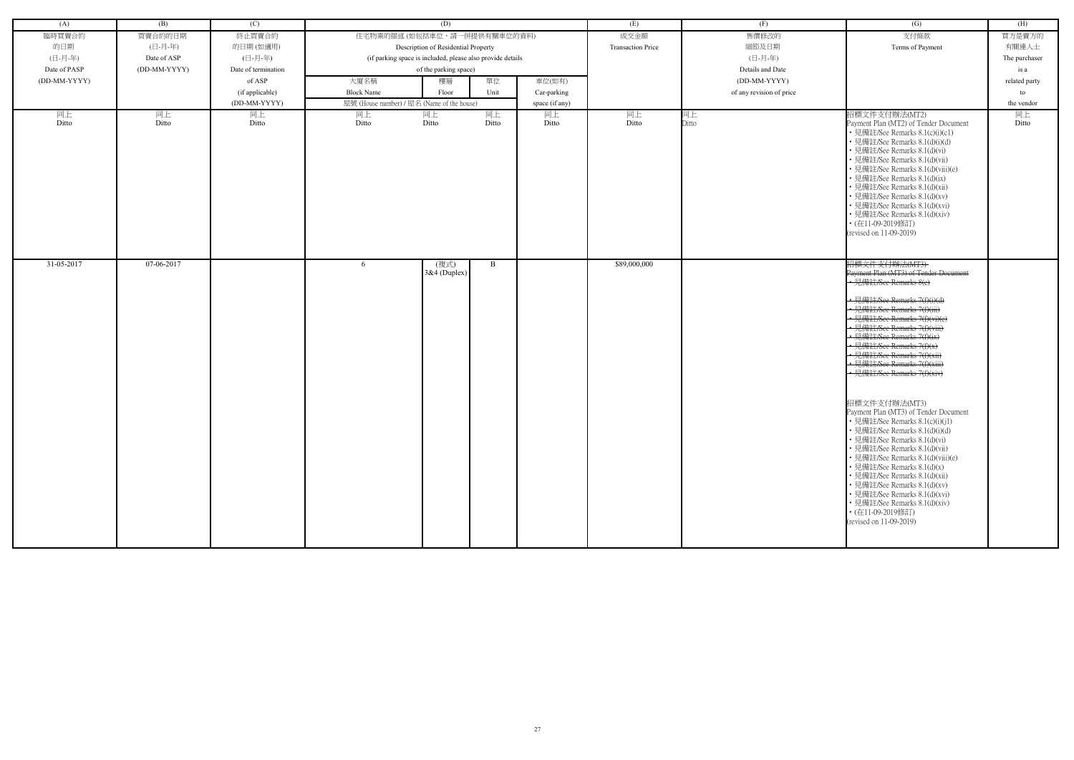| (A)              | (B)          | (C)                 |                   | (D)                                                        |              |                | (E)                      | (F)                      | (G)                                                                                                                                                                                                                                                                                                                                                                                                                                                                                                                                                                                                                                                                                                                                                                                                                              | (H)           |
|------------------|--------------|---------------------|-------------------|------------------------------------------------------------|--------------|----------------|--------------------------|--------------------------|----------------------------------------------------------------------------------------------------------------------------------------------------------------------------------------------------------------------------------------------------------------------------------------------------------------------------------------------------------------------------------------------------------------------------------------------------------------------------------------------------------------------------------------------------------------------------------------------------------------------------------------------------------------------------------------------------------------------------------------------------------------------------------------------------------------------------------|---------------|
| 臨時買賣合約           | 買賣合約的日期      | 終止買賣合約              |                   | 住宅物業的描述 (如包括車位,請一併提供有關車位的資料)                               |              |                | 成交金額                     | 售價修改的                    | 支付條款                                                                                                                                                                                                                                                                                                                                                                                                                                                                                                                                                                                                                                                                                                                                                                                                                             | 買方是賣方的        |
| 的日期              | (日-月-年)      | 的日期(如適用)            |                   | Description of Residential Property                        |              |                | <b>Transaction Price</b> | 細節及日期                    | Terms of Payment                                                                                                                                                                                                                                                                                                                                                                                                                                                                                                                                                                                                                                                                                                                                                                                                                 | 有關連人士         |
| (日-月-年)          | Date of ASP  | (日-月-年)             |                   | (if parking space is included, please also provide details |              |                |                          | (日-月-年)                  |                                                                                                                                                                                                                                                                                                                                                                                                                                                                                                                                                                                                                                                                                                                                                                                                                                  | The purchaser |
| Date of PASP     | (DD-MM-YYYY) | Date of termination |                   | of the parking space)                                      |              |                |                          | Details and Date         |                                                                                                                                                                                                                                                                                                                                                                                                                                                                                                                                                                                                                                                                                                                                                                                                                                  | is a          |
| (DD-MM-YYYY)     |              | of ASP              | 大廈名稱              | 樓層                                                         | 單位           | 車位(如有)         |                          | (DD-MM-YYYY)             |                                                                                                                                                                                                                                                                                                                                                                                                                                                                                                                                                                                                                                                                                                                                                                                                                                  | related party |
|                  |              | (if applicable)     | <b>Block Name</b> | Floor                                                      | Unit         | Car-parking    |                          | of any revision of price |                                                                                                                                                                                                                                                                                                                                                                                                                                                                                                                                                                                                                                                                                                                                                                                                                                  | to            |
|                  |              | (DD-MM-YYYY)        |                   | 屋號 (House number) / 屋名 (Name of the house)                 |              | space (if any) |                          |                          |                                                                                                                                                                                                                                                                                                                                                                                                                                                                                                                                                                                                                                                                                                                                                                                                                                  | the vendor    |
| 同上               | 同上           | 同上                  | 同上                | 同上                                                         | 同上           | 同上             | 同上                       | 同上                       | 招標文件支付辦法(MT2)                                                                                                                                                                                                                                                                                                                                                                                                                                                                                                                                                                                                                                                                                                                                                                                                                    | 同上            |
| Ditto            | Ditto        | Ditto               | Ditto             | Ditto                                                      | Ditto        | Ditto          | Ditto                    | Ditto                    | Payment Plan (MT2) of Tender Document<br>• 見備註/See Remarks 8.1(c)(i)(c1)<br>• 見備註/See Remarks 8.1(d)(i)(d)<br>• 見備註/See Remarks 8.1(d)(vi)<br>• 見備註/See Remarks 8.1(d)(vii)<br>· 見備註/See Remarks 8.1(d)(viii)(e)<br>• 見備註/See Remarks 8.1(d)(ix)<br>• 見備註/See Remarks 8.1(d)(xii)<br>· 見備註/See Remarks 8.1(d)(xv)<br>• 見備註/See Remarks 8.1(d)(xvi)<br>• 見備註/See Remarks 8.1(d)(xiv)<br>• (在11-09-2019修訂)<br>(revised on 11-09-2019)                                                                                                                                                                                                                                                                                                                                                                                              | Ditto         |
| $31 - 05 - 2017$ | 07-06-2017   |                     | 6                 | (複式)<br>$3&4$ (Duplex)                                     | $\mathbf{B}$ |                | \$89,000,000             |                          | 招標文件支付辦法(MT3)<br>Payment Plan (MT3) of Tender Document<br>• 見備註/See Remarks 8(e)<br>• 見備註/See Remarks 7(f)(i)(d)<br>• 見備註/See Remarks 7(f)(iii)<br>• 見備註/See Remarks 7(f)(vi)(e)<br>• 見備註/See Remarks 7(f)(viii)<br>· 見備註/See Remarks 7(f)(ix)<br>• 見備註/See Remarks 7(f)(x)<br>• 見備註/See Remarks 7(f)(xii)<br>• 見備註/See Remarks 7(f)(xiii)<br>• 見備註/See Remarks 7(f)(xiv)<br>招標文件支付辦法(MT3)<br>Payment Plan (MT3) of Tender Document<br>• 見備註/See Remarks 8.1(c)(i)(j1)<br>• 見備註/See Remarks 8.1(d)(i)(d)<br>• 見備註/See Remarks 8.1(d)(vi)<br>• 見備註/See Remarks 8.1(d)(vii)<br>• 見備註/See Remarks 8.1(d)(viii)(e)<br>• 見備註/See Remarks 8.1(d)(x)<br>• 見備註/See Remarks 8.1(d)(xii)<br>• 見備註/See Remarks 8.1(d)(xv)<br>• 見備註/See Remarks 8.1(d)(xvi)<br>• 見備註/See Remarks 8.1(d)(xiv)<br>• (在11-09-2019修訂)<br>(revised on 11-09-2019) |               |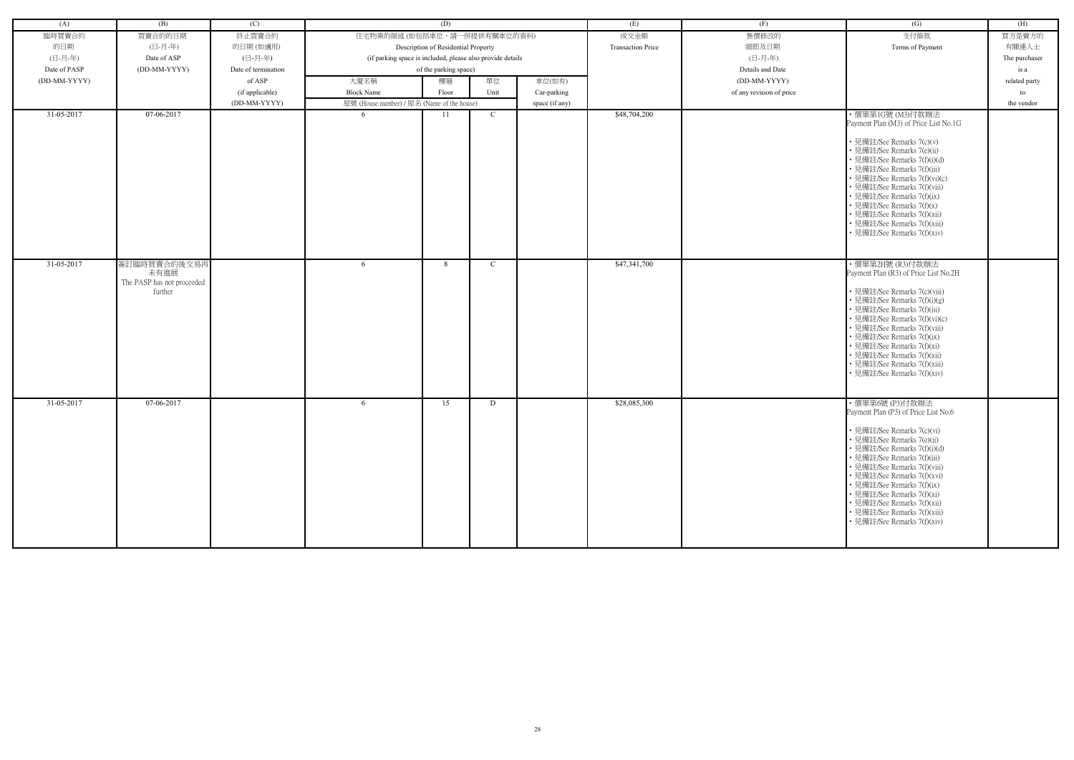| (A)          | (B)                                                           | (C)                 |                                                            | (D)                                 |              |                | (E)                      | (F)                      | (G)                                                                                                                                                                                                                                                                                                                                                                                                         | (H)           |
|--------------|---------------------------------------------------------------|---------------------|------------------------------------------------------------|-------------------------------------|--------------|----------------|--------------------------|--------------------------|-------------------------------------------------------------------------------------------------------------------------------------------------------------------------------------------------------------------------------------------------------------------------------------------------------------------------------------------------------------------------------------------------------------|---------------|
| 臨時買賣合約       | 買賣合約的日期                                                       | 終止買賣合約              | 住宅物業的描述 (如包括車位,請一併提供有關車位的資料)                               |                                     |              |                | 成交金額                     | 售價修改的                    | 支付條款                                                                                                                                                                                                                                                                                                                                                                                                        | 買方是賣方的        |
| 的日期          | (日-月-年)                                                       | 的日期(如適用)            |                                                            | Description of Residential Property |              |                | <b>Transaction Price</b> | 細節及日期                    | Terms of Payment                                                                                                                                                                                                                                                                                                                                                                                            | 有關連人士         |
| (日-月-年)      | Date of ASP                                                   | (日-月-年)             | (if parking space is included, please also provide details |                                     |              |                |                          | (日-月-年)                  |                                                                                                                                                                                                                                                                                                                                                                                                             | The purchaser |
| Date of PASP | (DD-MM-YYYY)                                                  | Date of termination |                                                            | of the parking space)               |              |                |                          | Details and Date         |                                                                                                                                                                                                                                                                                                                                                                                                             | is a          |
| (DD-MM-YYYY) |                                                               | of ASP              | 大廈名稱                                                       | 樓層                                  | 單位           | 車位(如有)         |                          | (DD-MM-YYYY)             |                                                                                                                                                                                                                                                                                                                                                                                                             | related party |
|              |                                                               | (if applicable)     | <b>Block Name</b>                                          | Floor                               | Unit         | Car-parking    |                          | of any revision of price |                                                                                                                                                                                                                                                                                                                                                                                                             | to            |
|              |                                                               | (DD-MM-YYYY)        | 屋號 (House number) / 屋名 (Name of the house)                 |                                     |              | space (if any) |                          |                          |                                                                                                                                                                                                                                                                                                                                                                                                             | the vendor    |
| 31-05-2017   | 07-06-2017                                                    |                     | -6                                                         | 11                                  | $\mathbf{C}$ |                | \$48,704,200             |                          | ・價單第1G號 (M3)付款辦法                                                                                                                                                                                                                                                                                                                                                                                            |               |
|              |                                                               |                     |                                                            |                                     |              |                |                          |                          | Payment Plan (M3) of Price List No.1G<br>• 見備註/See Remarks 7(c)(v)<br>• 見備註/See Remarks 7(e)(ii)<br>• 見備註/See Remarks 7(f)(i)(d)<br>• 見備註/See Remarks 7(f)(iii)<br>• 見備註/See Remarks 7(f)(vi)(c)<br>• 見備註/See Remarks 7(f)(viii)<br>• 見備註/See Remarks 7(f)(ix)<br>• 見備註/See Remarks 7(f)(x)<br>• 見備註/See Remarks 7(f)(xii)<br>• 見備註/See Remarks 7(f)(xiii)<br>• 見備註/See Remarks 7(f)(xiv)                   |               |
| 31-05-2017   | 簽訂臨時買賣合約後交易再<br>未有進展<br>The PASP has not proceeded<br>further |                     | 6                                                          | 8                                   | C            |                | \$47,341,700             |                          | ・價單第2H號 (R3)付款辦法<br>Payment Plan (R3) of Price List No.2H<br>• 見備註/See Remarks 7(c)(viii)<br>• 見備註/See Remarks 7(f)(i)(g)<br>• 見備註/See Remarks 7(f)(iii)<br>• 見備註/See Remarks 7(f)(vi)(c)<br>• 見備註/See Remarks 7(f)(viii)<br>• 見備註/See Remarks 7(f)(ix)<br>• 見備註/See Remarks 7(f)(xi)<br>• 見備註/See Remarks 7(f)(xii)<br>• 見備註/See Remarks 7(f)(xiii)<br>• 見備註/See Remarks 7(f)(xiv)                         |               |
| 31-05-2017   | 07-06-2017                                                    |                     | 6                                                          | 15                                  | D            |                | \$28,085,300             |                          | ・價單第6號 (P3)付款辦法<br>Payment Plan (P3) of Price List No.6<br>• 見備註/See Remarks 7(c)(vi)<br>• 見備註/See Remarks 7(e)(ii)<br>• 見備註/See Remarks 7(f)(i)(d)<br>• 見備註/See Remarks 7(f)(iii)<br>• 見備註/See Remarks 7(f)(viii)<br>• 見備註/See Remarks 7(f)(xvi)<br>• 見備註/See Remarks 7(f)(ix)<br>• 見備註/See Remarks 7(f)(xi)<br>• 見備註/See Remarks 7(f)(xii)<br>• 見備註/See Remarks 7(f)(xiii)<br>• 見備註/See Remarks 7(f)(xiv) |               |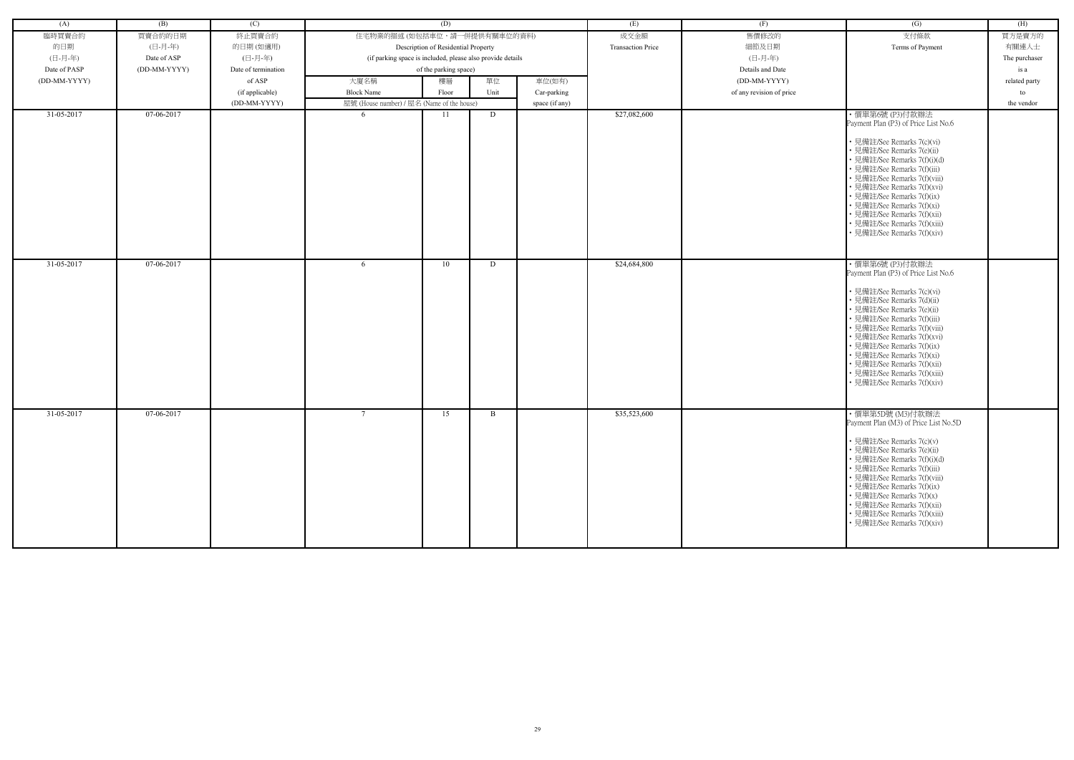| (A)          | (B)          | (C)                 |                                                            | (D)                                 |      |                | (E)                      | (F)                      | (G)                                                                                                                                                                                                                                                                                                                                                                                                         | (H)           |
|--------------|--------------|---------------------|------------------------------------------------------------|-------------------------------------|------|----------------|--------------------------|--------------------------|-------------------------------------------------------------------------------------------------------------------------------------------------------------------------------------------------------------------------------------------------------------------------------------------------------------------------------------------------------------------------------------------------------------|---------------|
| 臨時買賣合約       | 買賣合約的日期      | 終止買賣合約              | 住宅物業的描述 (如包括車位,請一併提供有關車位的資料)                               |                                     |      |                | 成交金額                     | 售價修改的                    | 支付條款                                                                                                                                                                                                                                                                                                                                                                                                        | 買方是賣方的        |
| 的日期          | (日-月-年)      | 的日期(如適用)            |                                                            | Description of Residential Property |      |                | <b>Transaction Price</b> | 細節及日期                    | Terms of Payment                                                                                                                                                                                                                                                                                                                                                                                            | 有關連人士         |
|              |              | (日-月-年)             |                                                            |                                     |      |                |                          |                          |                                                                                                                                                                                                                                                                                                                                                                                                             |               |
| (日-月-年)      | Date of ASP  |                     | (if parking space is included, please also provide details |                                     |      |                |                          | (日-月-年)                  |                                                                                                                                                                                                                                                                                                                                                                                                             | The purchaser |
| Date of PASP | (DD-MM-YYYY) | Date of termination |                                                            | of the parking space)               |      |                |                          | Details and Date         |                                                                                                                                                                                                                                                                                                                                                                                                             | is a          |
| (DD-MM-YYYY) |              | of ASP              | 大廈名稱                                                       | 樓層                                  | 單位   | 車位(如有)         |                          | (DD-MM-YYYY)             |                                                                                                                                                                                                                                                                                                                                                                                                             | related party |
|              |              | (if applicable)     | <b>Block Name</b>                                          | Floor                               | Unit | Car-parking    |                          | of any revision of price |                                                                                                                                                                                                                                                                                                                                                                                                             | to            |
|              |              | (DD-MM-YYYY)        | 屋號 (House number) / 屋名 (Name of the house)                 |                                     |      | space (if any) |                          |                          |                                                                                                                                                                                                                                                                                                                                                                                                             | the vendor    |
| 31-05-2017   | 07-06-2017   |                     | -6                                                         | 11                                  | D    |                | \$27,082,600             |                          | ・價單第6號 (P3)付款辦法<br>Payment Plan (P3) of Price List No.6<br>• 見備註/See Remarks 7(c)(vi)<br>• 見備註/See Remarks 7(e)(ii)<br>• 見備註/See Remarks 7(f)(i)(d)<br>· 見備註/See Remarks 7(f)(iii)<br>• 見備註/See Remarks 7(f)(viii)<br>• 見備註/See Remarks 7(f)(xvi)<br>• 見備註/See Remarks 7(f)(ix)<br>• 見備註/See Remarks 7(f)(xi)<br>• 見備註/See Remarks 7(f)(xii)<br>· 見備註/See Remarks 7(f)(xiii)<br>• 見備註/See Remarks 7(f)(xiv) |               |
| 31-05-2017   | 07-06-2017   |                     | 6                                                          | 10                                  | D    |                | \$24,684,800             |                          | ・價單第6號 (P3)付款辦法<br>Payment Plan (P3) of Price List No.6<br>• 見備註/See Remarks 7(c)(vi)<br>• 見備註/See Remarks 7(d)(ii)<br>• 見備註/See Remarks 7(e)(ii)<br>• 見備註/See Remarks 7(f)(iii)<br>• 見備註/See Remarks 7(f)(viii)<br>• 見備註/See Remarks 7(f)(xvi)<br>• 見備註/See Remarks 7(f)(ix)<br>• 見備註/See Remarks 7(f)(xi)<br>• 見備註/See Remarks 7(f)(xii)<br>• 見備註/See Remarks 7(f)(xiii)<br>• 見備註/See Remarks 7(f)(xiv)   |               |
| 31-05-2017   | 07-06-2017   |                     | $7\phantom{.0}$                                            | 15                                  | B    |                | \$35,523,600             |                          | ・價單第5D號 (M3)付款辦法<br>Payment Plan (M3) of Price List No.5D<br>• 見備註/See Remarks 7(c)(v)<br>• 見備註/See Remarks 7(e)(ii)<br>• 見備註/See Remarks 7(f)(i)(d)<br>• 見備註/See Remarks 7(f)(iii)<br>• 見備註/See Remarks 7(f)(viii)<br>• 見備註/See Remarks 7(f)(ix)<br>• 見備註/See Remarks 7(f)(x)<br>• 見備註/See Remarks 7(f)(xii)<br>• 見備註/See Remarks 7(f)(xiii)<br>• 見備註/See Remarks 7(f)(xiv)                                |               |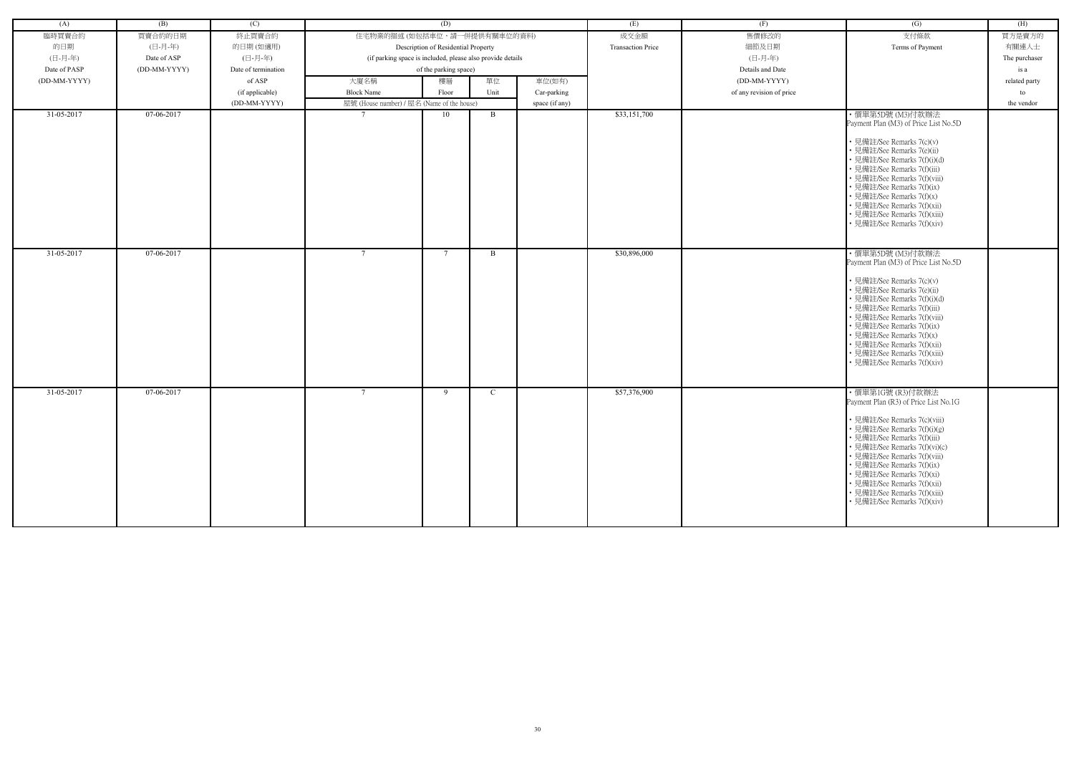| (A)          | (B)          | (C)                 |                                                            | (D)                                 |               |                | (E)                      | (F)                      | $\left( G\right)$                                                                                                                                                                                                                                                                                                                                                                   | (H)           |
|--------------|--------------|---------------------|------------------------------------------------------------|-------------------------------------|---------------|----------------|--------------------------|--------------------------|-------------------------------------------------------------------------------------------------------------------------------------------------------------------------------------------------------------------------------------------------------------------------------------------------------------------------------------------------------------------------------------|---------------|
| 臨時買賣合約       | 買賣合約的日期      | 終止買賣合約              | 住宅物業的描述 (如包括車位,請一併提供有關車位的資料)                               |                                     |               |                | 成交金額                     | 售價修改的                    | 支付條款                                                                                                                                                                                                                                                                                                                                                                                | 買方是賣方的        |
| 的日期          | (日-月-年)      | 的日期(如適用)            |                                                            | Description of Residential Property |               |                | <b>Transaction Price</b> | 細節及日期                    | Terms of Payment                                                                                                                                                                                                                                                                                                                                                                    | 有關連人士         |
| (日-月-年)      | Date of ASP  | (日-月-年)             | (if parking space is included, please also provide details |                                     |               |                |                          | (日-月-年)                  |                                                                                                                                                                                                                                                                                                                                                                                     | The purchaser |
| Date of PASP | (DD-MM-YYYY) | Date of termination |                                                            | of the parking space)               |               |                |                          | Details and Date         |                                                                                                                                                                                                                                                                                                                                                                                     | is a          |
| (DD-MM-YYYY) |              | of ASP              | 大廈名稱                                                       | 樓層                                  | 單位            | 車位(如有)         |                          | (DD-MM-YYYY)             |                                                                                                                                                                                                                                                                                                                                                                                     | related party |
|              |              | (if applicable)     | <b>Block Name</b>                                          | Floor                               | Unit          | Car-parking    |                          | of any revision of price |                                                                                                                                                                                                                                                                                                                                                                                     | to            |
|              |              | (DD-MM-YYYY)        | 屋號 (House number) / 屋名 (Name of the house)                 |                                     |               | space (if any) |                          |                          |                                                                                                                                                                                                                                                                                                                                                                                     | the vendor    |
| 31-05-2017   | 07-06-2017   |                     | $7\phantom{.0}$                                            | 10                                  | B             |                | \$33,151,700             |                          | ・價單第5D號 (M3)付款辦法<br>Payment Plan (M3) of Price List No.5D<br>• 見備註/See Remarks 7(c)(v)<br>• 見備註/See Remarks 7(e)(ii)<br>• 見備註/See Remarks 7(f)(i)(d)<br>• 見備註/See Remarks 7(f)(iii)<br>• 見備註/See Remarks 7(f)(viii)<br>• 見備註/See Remarks 7(f)(ix)<br>• 見備註/See Remarks 7(f)(x)<br>• 見備註/See Remarks 7(f)(xii)<br>• 見備註/See Remarks 7(f)(xiii)<br>• 見備註/See Remarks 7(f)(xiv)        |               |
| 31-05-2017   | 07-06-2017   |                     | $7\phantom{.0}$                                            | -7                                  | B             |                | \$30,896,000             |                          | ・價單第5D號 (M3)付款辦法<br>Payment Plan (M3) of Price List No.5D<br>• 見備註/See Remarks 7(c)(v)<br>• 見備註/See Remarks 7(e)(ii)<br>• 見備註/See Remarks 7(f)(i)(d)<br>• 見備註/See Remarks 7(f)(iii)<br>· 見備註/See Remarks 7(f)(viii)<br>• 見備註/See Remarks 7(f)(ix)<br>• 見備註/See Remarks 7(f)(x)<br>• 見備註/See Remarks 7(f)(xii)<br>• 見備註/See Remarks 7(f)(xiii)<br>· 見備註/See Remarks 7(f)(xiv)        |               |
| 31-05-2017   | 07-06-2017   |                     | $7\phantom{.0}$                                            | 9                                   | $\mathcal{C}$ |                | \$57,376,900             |                          | ・價單第1G號 (R3)付款辦法<br>Payment Plan (R3) of Price List No.1G<br>• 見備註/See Remarks 7(c)(viii)<br>• 見備註/See Remarks 7(f)(i)(g)<br>• 見備註/See Remarks 7(f)(iii)<br>• 見備註/See Remarks 7(f)(vi)(c)<br>• 見備註/See Remarks 7(f)(viii)<br>• 見備註/See Remarks 7(f)(ix)<br>• 見備註/See Remarks 7(f)(xi)<br>• 見備註/See Remarks 7(f)(xii)<br>• 見備註/See Remarks 7(f)(xiii)<br>· 見備註/See Remarks 7(f)(xiv) |               |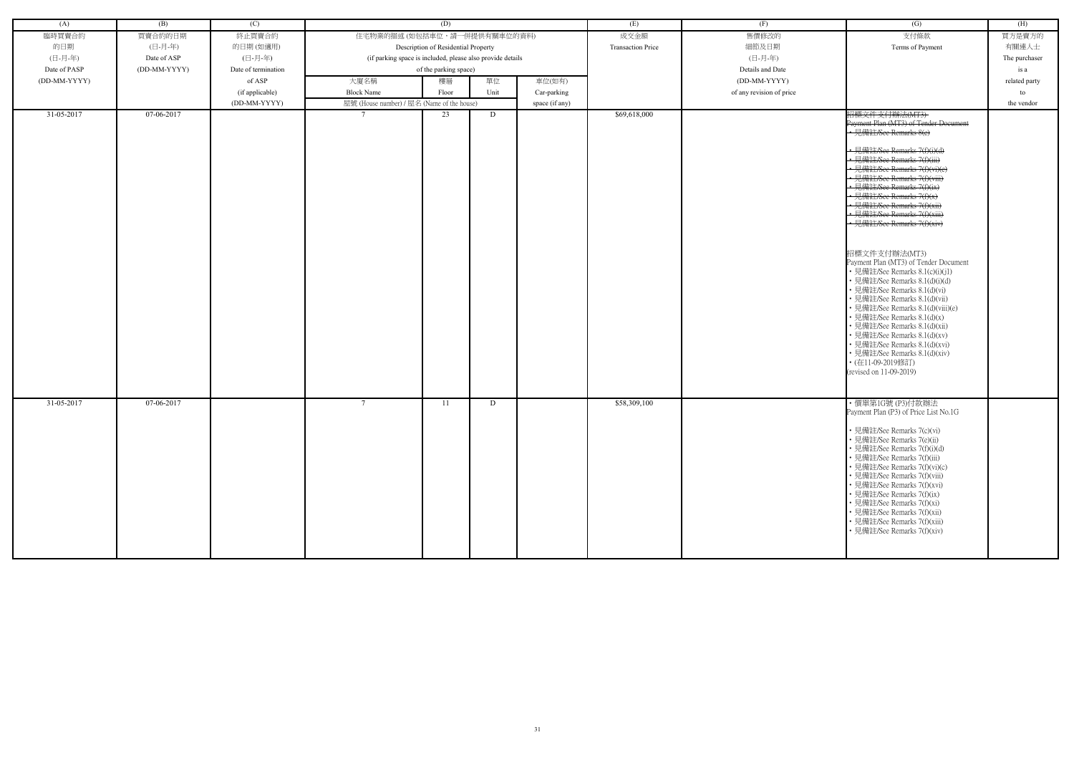| (A)          | (B)          | (C)                 |                                                            | (D)                                 |      |                | (E)                      | (F)                      | (G)                                                                                                                                                                                                                                                                                                                                                                                                                                                                                                                                                                                                                                                                                                                                                                                                         | (H)           |
|--------------|--------------|---------------------|------------------------------------------------------------|-------------------------------------|------|----------------|--------------------------|--------------------------|-------------------------------------------------------------------------------------------------------------------------------------------------------------------------------------------------------------------------------------------------------------------------------------------------------------------------------------------------------------------------------------------------------------------------------------------------------------------------------------------------------------------------------------------------------------------------------------------------------------------------------------------------------------------------------------------------------------------------------------------------------------------------------------------------------------|---------------|
| 臨時買賣合約       | 買賣合約的日期      | 終止買賣合約              | 住宅物業的描述 (如包括車位,請一併提供有關車位的資料)                               |                                     |      |                | 成交金額                     | 售價修改的                    | 支付條款                                                                                                                                                                                                                                                                                                                                                                                                                                                                                                                                                                                                                                                                                                                                                                                                        | 買方是賣方的        |
| 的日期          | (日-月-年)      | 的日期(如適用)            |                                                            | Description of Residential Property |      |                | <b>Transaction Price</b> | 細節及日期                    | Terms of Payment                                                                                                                                                                                                                                                                                                                                                                                                                                                                                                                                                                                                                                                                                                                                                                                            | 有關連人士         |
| (日-月-年)      | Date of ASP  | (日-月-年)             | (if parking space is included, please also provide details |                                     |      |                |                          | (日-月-年)                  |                                                                                                                                                                                                                                                                                                                                                                                                                                                                                                                                                                                                                                                                                                                                                                                                             | The purchaser |
| Date of PASP | (DD-MM-YYYY) | Date of termination |                                                            | of the parking space)               |      |                |                          | Details and Date         |                                                                                                                                                                                                                                                                                                                                                                                                                                                                                                                                                                                                                                                                                                                                                                                                             | is a          |
| (DD-MM-YYYY) |              | of ASP              |                                                            |                                     | 單位   | 車位(如有)         |                          | (DD-MM-YYYY)             |                                                                                                                                                                                                                                                                                                                                                                                                                                                                                                                                                                                                                                                                                                                                                                                                             |               |
|              |              |                     | 大廈名稱                                                       | 樓層                                  |      |                |                          |                          |                                                                                                                                                                                                                                                                                                                                                                                                                                                                                                                                                                                                                                                                                                                                                                                                             | related party |
|              |              | (if applicable)     | <b>Block Name</b>                                          | Floor                               | Unit | Car-parking    |                          | of any revision of price |                                                                                                                                                                                                                                                                                                                                                                                                                                                                                                                                                                                                                                                                                                                                                                                                             | to            |
| 31-05-2017   | 07-06-2017   | (DD-MM-YYYY)        | 屋號 (House number) / 屋名 (Name of the house)                 | 23                                  | D    | space (if any) | \$69,618,000             |                          | 招標文件支付辦法(MT3)                                                                                                                                                                                                                                                                                                                                                                                                                                                                                                                                                                                                                                                                                                                                                                                               | the vendor    |
|              |              |                     |                                                            |                                     |      |                |                          |                          | Payment Plan (MT3) of Tender Document<br>• 見備註/See Remarks 8(c)<br>· 見備註/See Remarks 7(f)(i)(d)<br>· 見備註/See Remarks 7(f)(iii)<br>• 見備註/See Remarks 7(f)(vi)(e)<br>· 見備註/See Remarks 7(f)(viii)<br>• 見備註/See Remarks 7(f)(ix)<br>見備註/See Remarks 7(f)(x)<br>• 見備註/See Remarks 7(f)(xii)<br>• 見備註/See Remarks 7(f)(xiii)<br>見備註/See Remarks 7(f)(xiv)<br>招標文件支付辦法(MT3)<br>Payment Plan (MT3) of Tender Document<br>• 見備註/See Remarks 8.1(c)(i)(j1)<br>• 見備註/See Remarks 8.1(d)(i)(d)<br>• 見備註/See Remarks 8.1(d)(vi)<br>• 見備註/See Remarks 8.1(d)(vii)<br>• 見備註/See Remarks 8.1(d)(viii)(e)<br>• 見備註/See Remarks 8.1(d)(x)<br>• 見備註/See Remarks 8.1(d)(xii)<br>• 見備註/See Remarks 8.1(d)(xv)<br>• 見備註/See Remarks 8.1(d)(xvi)<br>· 見備註/See Remarks 8.1(d)(xiv)<br>• (在11-09-2019修訂)<br>(revised on 11-09-2019) |               |
| 31-05-2017   | 07-06-2017   |                     | -7                                                         | 11                                  | D    |                | \$58,309,100             |                          | ・價單第1G號 (P3)付款辦法<br>Payment Plan (P3) of Price List No.1G                                                                                                                                                                                                                                                                                                                                                                                                                                                                                                                                                                                                                                                                                                                                                   |               |
|              |              |                     |                                                            |                                     |      |                |                          |                          | • 見備註/See Remarks 7(c)(vi)<br>• 見備註/See Remarks 7(e)(ii)<br>• 見備註/See Remarks 7(f)(i)(d)<br>• 見備註/See Remarks 7(f)(iii)<br>• 見備註/See Remarks 7(f)(vi)(c)<br>• 見備註/See Remarks 7(f)(viii)<br>• 見備註/See Remarks 7(f)(xvi)<br>• 見備註/See Remarks 7(f)(ix)<br>• 見備註/See Remarks 7(f)(xi)<br>• 見備註/See Remarks 7(f)(xii)<br>• 見備註/See Remarks 7(f)(xiii)<br>• 見備註/See Remarks 7(f)(xiv)                                                                                                                                                                                                                                                                                                                                                                                                                           |               |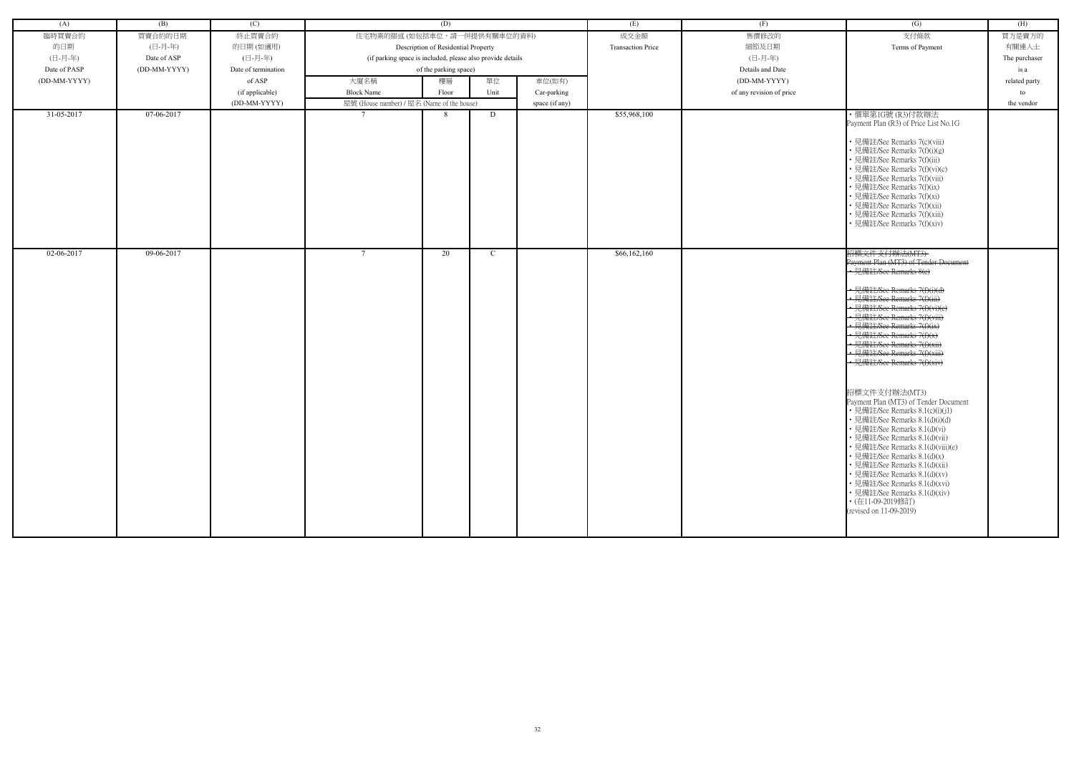| (A)              | (B)          | (C)                 |                                                            | (D)                                 |      |                | (E)                      | (F)                      | (G)                                                                                                                                                                                                                                                                                                                                                                                                                                                                                                                                                                                                                                                                                                                                                                                                                             | (H)           |
|------------------|--------------|---------------------|------------------------------------------------------------|-------------------------------------|------|----------------|--------------------------|--------------------------|---------------------------------------------------------------------------------------------------------------------------------------------------------------------------------------------------------------------------------------------------------------------------------------------------------------------------------------------------------------------------------------------------------------------------------------------------------------------------------------------------------------------------------------------------------------------------------------------------------------------------------------------------------------------------------------------------------------------------------------------------------------------------------------------------------------------------------|---------------|
| 臨時買賣合約           | 買賣合約的日期      | 終止買賣合約              | 住宅物業的描述 (如包括車位,請一併提供有關車位的資料)                               |                                     |      |                | 成交金額                     | 售價修改的                    | 支付條款                                                                                                                                                                                                                                                                                                                                                                                                                                                                                                                                                                                                                                                                                                                                                                                                                            | 買方是賣方的        |
| 的日期              | (日-月-年)      | 的日期(如適用)            |                                                            | Description of Residential Property |      |                | <b>Transaction Price</b> | 細節及日期                    | Terms of Payment                                                                                                                                                                                                                                                                                                                                                                                                                                                                                                                                                                                                                                                                                                                                                                                                                | 有關連人士         |
| (日-月-年)          | Date of ASP  | (日-月-年)             | (if parking space is included, please also provide details |                                     |      |                |                          | (日-月-年)                  |                                                                                                                                                                                                                                                                                                                                                                                                                                                                                                                                                                                                                                                                                                                                                                                                                                 | The purchaser |
| Date of PASP     | (DD-MM-YYYY) | Date of termination |                                                            | of the parking space)               |      |                |                          | Details and Date         |                                                                                                                                                                                                                                                                                                                                                                                                                                                                                                                                                                                                                                                                                                                                                                                                                                 | is a          |
| (DD-MM-YYYY)     |              | of ASP              | 大廈名稱                                                       | 樓層                                  | 單位   | 車位(如有)         |                          | (DD-MM-YYYY)             |                                                                                                                                                                                                                                                                                                                                                                                                                                                                                                                                                                                                                                                                                                                                                                                                                                 | related party |
|                  |              |                     | <b>Block Name</b>                                          | Floor                               | Unit |                |                          | of any revision of price |                                                                                                                                                                                                                                                                                                                                                                                                                                                                                                                                                                                                                                                                                                                                                                                                                                 |               |
|                  |              | (if applicable)     |                                                            |                                     |      | Car-parking    |                          |                          |                                                                                                                                                                                                                                                                                                                                                                                                                                                                                                                                                                                                                                                                                                                                                                                                                                 | to            |
| $31 - 05 - 2017$ | 07-06-2017   | (DD-MM-YYYY)        | 屋號 (House number) / 屋名 (Name of the house)                 | 8                                   | D    | space (if any) | \$55,968,100             |                          | ・價單第1G號 (R3)付款辦法                                                                                                                                                                                                                                                                                                                                                                                                                                                                                                                                                                                                                                                                                                                                                                                                                | the vendor    |
|                  |              |                     |                                                            |                                     |      |                |                          |                          | Payment Plan (R3) of Price List No.1G<br>• 見備註/See Remarks 7(c)(viii)<br>• 見備註/See Remarks 7(f)(i)(g)<br>· 見備註/See Remarks 7(f)(iii)<br>• 見備註/See Remarks 7(f)(vi)(c)<br>• 見備註/See Remarks 7(f)(viii)<br>• 見備註/See Remarks 7(f)(ix)<br>• 見備註/See Remarks 7(f)(xi)<br>· 見備註/See Remarks 7(f)(xii)<br>· 見備註/See Remarks 7(f)(xiii)<br>• 見備註/See Remarks 7(f)(xiv)                                                                                                                                                                                                                                                                                                                                                                                                                                                                 |               |
| 02-06-2017       | 09-06-2017   |                     | $\overline{7}$                                             | 20                                  | C    |                | \$66,162,160             |                          | 招標文件支付辦法(MT3)<br>Payment Plan (MT3) of Tender Document<br>•見備註/See Remarks 8(c)<br>• 見備註/See Remarks 7(f)(i)(d)<br>• 見備註/See Remarks 7(f)(iii)<br>• 見備註/See Remarks 7(f)(vi)(e)<br>· 見備註/See Remarks 7(f)(viii)<br>• 見備註/See Remarks 7(f)(ix)<br>• 見備註/See Remarks 7(f)(x)<br>• 見備註/See Remarks 7(f)(xii)<br>• 見備註/See Remarks 7(f)(xiii)<br>• 見備註/See Remarks 7(f)(xiv)<br>招標文件支付辦法(MT3)<br>Payment Plan (MT3) of Tender Document<br>• 見備註/See Remarks 8.1(c)(i)(j1)<br>• 見備註/See Remarks 8.1(d)(i)(d)<br>• 見備註/See Remarks 8.1(d)(vi)<br>• 見備註/See Remarks 8.1(d)(vii)<br>• 見備註/See Remarks 8.1(d)(viii)(e)<br>• 見備註/See Remarks 8.1(d)(x)<br>• 見備註/See Remarks 8.1(d)(xii)<br>• 見備註/See Remarks 8.1(d)(xv)<br>• 見備註/See Remarks 8.1(d)(xvi)<br>• 見備註/See Remarks 8.1(d)(xiv)<br>• (在11-09-2019修訂)<br>(revised on 11-09-2019) |               |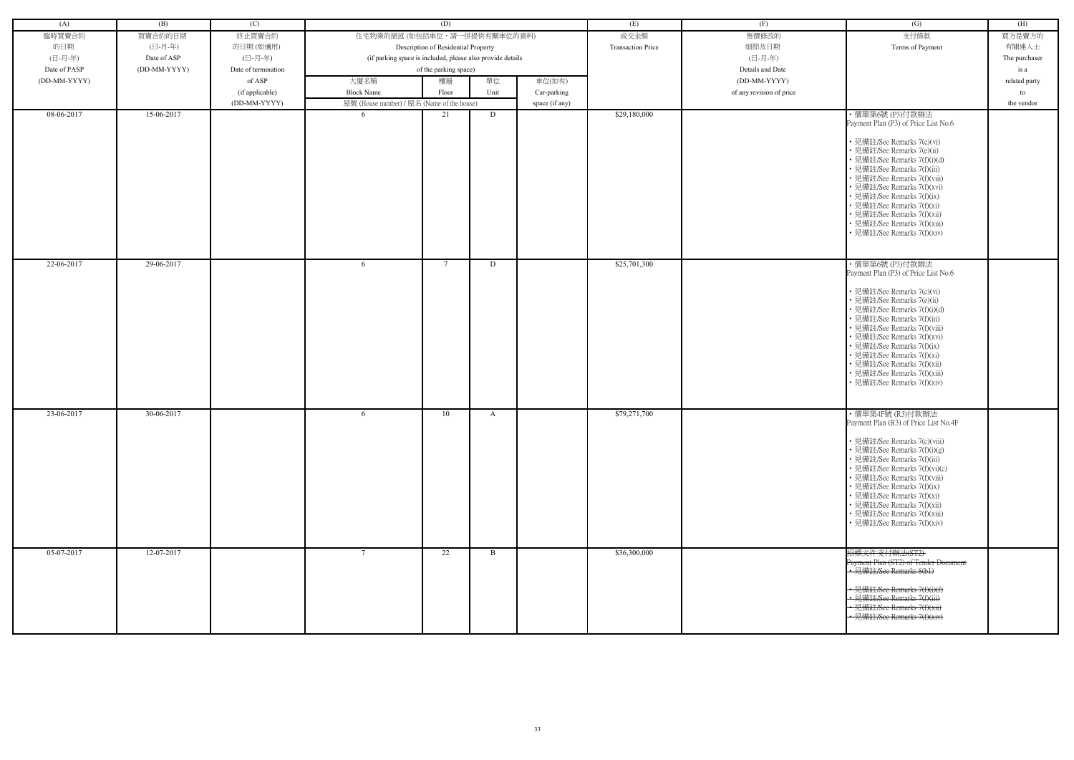| (A)          | (B)          | (C)                 |                                                            | (D)                                 |      |                | (E)                      | (F)                      | (G)                                                                                                                                                                                                                                                                                                                                                                                                         | (H)           |
|--------------|--------------|---------------------|------------------------------------------------------------|-------------------------------------|------|----------------|--------------------------|--------------------------|-------------------------------------------------------------------------------------------------------------------------------------------------------------------------------------------------------------------------------------------------------------------------------------------------------------------------------------------------------------------------------------------------------------|---------------|
| 臨時買賣合約       | 買賣合約的日期      | 終止買賣合約              | 住宅物業的描述 (如包括車位,請一併提供有關車位的資料)                               |                                     |      |                | 成交金額                     | 售價修改的                    | 支付條款                                                                                                                                                                                                                                                                                                                                                                                                        | 買方是賣方的        |
| 的日期          | (日-月-年)      | 的日期(如適用)            |                                                            | Description of Residential Property |      |                | <b>Transaction Price</b> | 細節及日期                    | Terms of Payment                                                                                                                                                                                                                                                                                                                                                                                            | 有關連人士         |
| (日-月-年)      | Date of ASP  | (日-月-年)             | (if parking space is included, please also provide details |                                     |      |                |                          | (日-月-年)                  |                                                                                                                                                                                                                                                                                                                                                                                                             | The purchaser |
| Date of PASP | (DD-MM-YYYY) | Date of termination |                                                            |                                     |      |                |                          | Details and Date         |                                                                                                                                                                                                                                                                                                                                                                                                             |               |
|              |              |                     |                                                            | of the parking space)               |      |                |                          |                          |                                                                                                                                                                                                                                                                                                                                                                                                             | is a          |
| (DD-MM-YYYY) |              | of ASP              | 大廈名稱                                                       | 樓層                                  | 單位   | 車位(如有)         |                          | (DD-MM-YYYY)             |                                                                                                                                                                                                                                                                                                                                                                                                             | related party |
|              |              | (if applicable)     | <b>Block Name</b>                                          | Floor                               | Unit | Car-parking    |                          | of any revision of price |                                                                                                                                                                                                                                                                                                                                                                                                             | to            |
| 08-06-2017   |              | (DD-MM-YYYY)        | 屋號 (House number) / 屋名 (Name of the house)                 |                                     |      | space (if any) |                          |                          |                                                                                                                                                                                                                                                                                                                                                                                                             | the vendor    |
|              | 15-06-2017   |                     | -6                                                         | 21                                  | D    |                | \$29,180,000             |                          | ・價單第6號 (P3)付款辦法<br>Payment Plan (P3) of Price List No.6<br>• 見備註/See Remarks 7(c)(vi)<br>• 見備註/See Remarks 7(e)(ii)<br>• 見備註/See Remarks 7(f)(i)(d)<br>· 見備註/See Remarks 7(f)(iii)<br>• 見備註/See Remarks 7(f)(viii)<br>• 見備註/See Remarks 7(f)(xvi)<br>• 見備註/See Remarks 7(f)(ix)<br>• 見備註/See Remarks 7(f)(xi)<br>• 見備註/See Remarks 7(f)(xii)                                                                |               |
|              |              |                     |                                                            |                                     |      |                |                          |                          | • 見備註/See Remarks 7(f)(xiii)<br>• 見備註/See Remarks 7(f)(xiv)                                                                                                                                                                                                                                                                                                                                                 |               |
| 22-06-2017   | 29-06-2017   |                     | -6                                                         | 7                                   | D    |                | \$25,701,300             |                          | ・價單第6號 (P3)付款辦法<br>Payment Plan (P3) of Price List No.6<br>• 見備註/See Remarks 7(c)(vi)<br>• 見備註/See Remarks 7(e)(ii)<br>· 見備註/See Remarks 7(f)(i)(d)<br>• 見備註/See Remarks 7(f)(iii)<br>· 見備註/See Remarks 7(f)(viii)<br>• 見備註/See Remarks 7(f)(xvi)<br>• 見備註/See Remarks 7(f)(ix)<br>• 見備註/See Remarks 7(f)(xi)<br>· 見備註/See Remarks 7(f)(xii)<br>• 見備註/See Remarks 7(f)(xiii)<br>• 見備註/See Remarks 7(f)(xiv) |               |
| 23-06-2017   | 30-06-2017   |                     | -6                                                         | 10                                  | A    |                | \$79,271,700             |                          | · 價單第4F號 (R3)付款辦法<br>Payment Plan (R3) of Price List No.4F<br>• 見備註/See Remarks 7(c)(viii)<br>• 見備註/See Remarks 7(f)(i)(g)<br>• 見備註/See Remarks 7(f)(iii)<br>• 見備註/See Remarks 7(f)(vi)(c)<br>· 見備註/See Remarks 7(f)(viii)<br>• 見備註/See Remarks 7(f)(ix)<br>• 見備註/See Remarks 7(f)(xi)<br>· 見備註/See Remarks 7(f)(xii)<br>• 見備註/See Remarks 7(f)(xiii)<br>• 見備註/See Remarks 7(f)(xiv)                        |               |
| 05-07-2017   | 12-07-2017   |                     | $\mathcal{L}$                                              | 22                                  | B    |                | \$36,300,000             |                          | 招標文件支付辦法(ST2)<br>Payment Plan (ST2) of Tender Document<br>· 見備註/See Remarks 8(b1)<br>見備註/See Remarks 7(f)(i)(f)<br>· 見備註/See Remarks 7(f)(iii)<br>· 見備註/See Remarks 7(f)(xii)<br>• 見備註/See Remarks 7(f)(xiv)                                                                                                                                                                                                |               |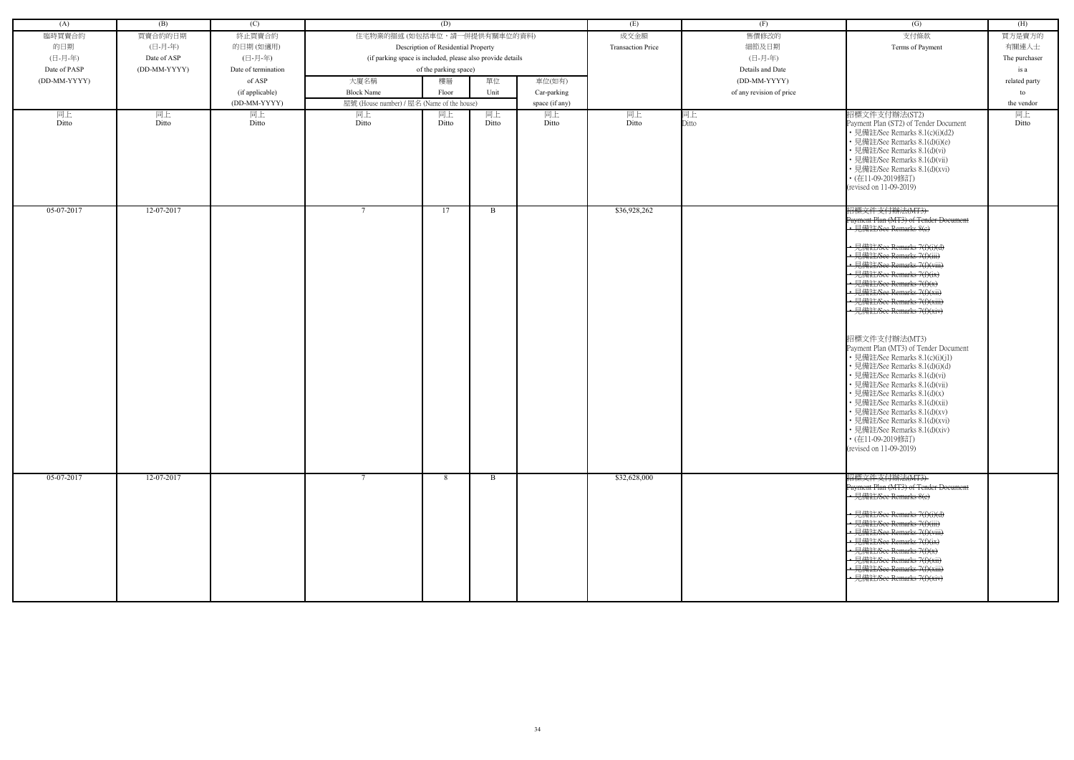| (A)          | (B)          | (C)                 |                                                            | (D)                                 |             |                | (E)                      | (F)                      | (G)                                                                                                                                                                                                                                                                                                                                                                                                            | (H)           |
|--------------|--------------|---------------------|------------------------------------------------------------|-------------------------------------|-------------|----------------|--------------------------|--------------------------|----------------------------------------------------------------------------------------------------------------------------------------------------------------------------------------------------------------------------------------------------------------------------------------------------------------------------------------------------------------------------------------------------------------|---------------|
|              |              |                     |                                                            |                                     |             |                |                          |                          |                                                                                                                                                                                                                                                                                                                                                                                                                |               |
| 臨時買賣合約       | 買賣合約的日期      | 終止買賣合約              | 住宅物業的描述 (如包括車位,請一併提供有關車位的資料)                               |                                     |             |                | 成交金額                     | 售價修改的                    | 支付條款                                                                                                                                                                                                                                                                                                                                                                                                           | 買方是賣方的        |
| 的日期          | (日-月-年)      | 的日期 (如適用)           |                                                            | Description of Residential Property |             |                | <b>Transaction Price</b> | 細節及日期                    | Terms of Payment                                                                                                                                                                                                                                                                                                                                                                                               | 有關連人士         |
| (日-月-年)      | Date of ASP  | (日-月-年)             | (if parking space is included, please also provide details |                                     |             |                |                          | (日-月-年)                  |                                                                                                                                                                                                                                                                                                                                                                                                                | The purchaser |
| Date of PASP | (DD-MM-YYYY) | Date of termination |                                                            | of the parking space)               |             |                |                          | Details and Date         |                                                                                                                                                                                                                                                                                                                                                                                                                | is a          |
| (DD-MM-YYYY) |              | of ASP              | 大廈名稱                                                       | 樓層                                  | 單位          | 車位(如有)         |                          | (DD-MM-YYYY)             |                                                                                                                                                                                                                                                                                                                                                                                                                | related party |
|              |              | (if applicable)     | <b>Block Name</b>                                          | Floor                               | Unit        | Car-parking    |                          | of any revision of price |                                                                                                                                                                                                                                                                                                                                                                                                                | to            |
|              |              | (DD-MM-YYYY)        | 屋號 (House number) / 屋名 (Name of the house)                 |                                     |             | space (if any) |                          |                          |                                                                                                                                                                                                                                                                                                                                                                                                                | the vendor    |
| 同上<br>Ditto  | 同上<br>Ditto  | 同上<br>Ditto         | 同上<br>Ditto                                                | 同上<br>Ditto                         | 同上<br>Ditto | 同上<br>Ditto    | 同上<br>Ditto              | 同上<br>Ditto              | 招標文件支付辦法(ST2)<br>Payment Plan (ST2) of Tender Document<br>• 見備註/See Remarks 8.1(c)(i)(d2)<br>· 見備註/See Remarks 8.1(d)(i)(e)<br>• 見備註/See Remarks 8.1(d)(vi)<br>• 見備註/See Remarks 8.1(d)(vii)<br>• 見備註/See Remarks 8.1(d)(xvi)<br>• (在11-09-2019修訂)<br>(revised on 11-09-2019)                                                                                                                                  | 同上<br>Ditto   |
| 05-07-2017   | 12-07-2017   |                     | $7\phantom{.0}$                                            | 17                                  | B           |                | \$36,928,262             |                          | 招標文件支付辦法(MT3)<br>Payment Plan (MT3) of Tender Document<br>• 見備註/See Remarks 8(e)                                                                                                                                                                                                                                                                                                                               |               |
|              |              |                     |                                                            |                                     |             |                |                          |                          | · 見備註/See Remarks 7(f)(i)(d)<br>• 見備註/See Remarks 7(f)(iii)<br>← 見備註/See Remarks 7(f)(viii)<br>· 見備註/See Remarks 7(f)(ix)<br>→ 見備註/See Remarks 7(f)(x)<br>← 見備註/See Remarks 7(f)(xii)<br>見備註/See Remarks 7(f)(xiii)<br>• 見備註/See Remarks 7(f)(xiv)                                                                                                                                                             |               |
|              |              |                     |                                                            |                                     |             |                |                          |                          | 招標文件支付辦法(MT3)<br>Payment Plan (MT3) of Tender Document<br>• 見備註/See Remarks 8.1(c)(i)(j1)<br>· 見備註/See Remarks 8.1(d)(i)(d)<br>• 見備註/See Remarks 8.1(d)(vi)<br>• 見備註/See Remarks 8.1(d)(vii)<br>• 見備註/See Remarks 8.1(d)(x)<br>• 見備註/See Remarks 8.1(d)(xii)<br>• 見備註/See Remarks 8.1(d)(xv)<br>• 見備註/See Remarks 8.1(d)(xvi)<br>• 見備註/See Remarks 8.1(d)(xiv)<br>• (在11-09-2019修訂)<br>(revised on 11-09-2019) |               |
| 05-07-2017   | 12-07-2017   |                     | $\tau$                                                     | 8                                   | B           |                | \$32,628,000             |                          | 招標文件支付辦法(MT3)<br>Payment Plan (MT3) of Tender Document<br>• 見備註/See Remarks 8(e)<br>→ 見備註/See Remarks 7(f)(i)(d)<br>← 見備註/See Remarks 7(f)(iii)<br>• 見備註/See Remarks 7(f)(viii)<br>• 見備註/See Remarks 7(f)(ix)<br>• 見備註/See Remarks 7(f)(x)<br>• 見備註/See Remarks 7(f)(xii)<br>· 見備註/See Remarks 7(f)(xiii)<br>• 見備註/See Remarks 7(f)(xiv)                                                                       |               |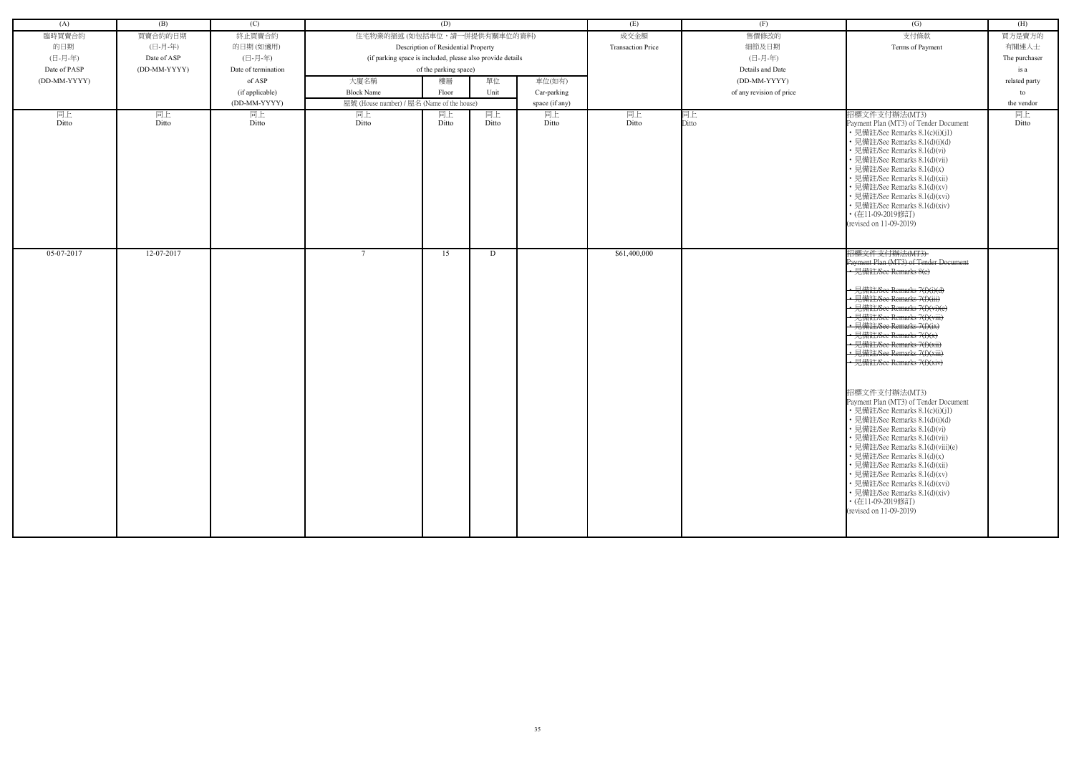| (A)          | (B)          | (C)                 |                                                            | (D)                                 |       |                | (E)                      | (F)                      | (G)                                                                                                                                                                                                                                                                                                                                                                                                                                                                                                                                                                                                                                                                                                                                                                                                                              | (H)           |
|--------------|--------------|---------------------|------------------------------------------------------------|-------------------------------------|-------|----------------|--------------------------|--------------------------|----------------------------------------------------------------------------------------------------------------------------------------------------------------------------------------------------------------------------------------------------------------------------------------------------------------------------------------------------------------------------------------------------------------------------------------------------------------------------------------------------------------------------------------------------------------------------------------------------------------------------------------------------------------------------------------------------------------------------------------------------------------------------------------------------------------------------------|---------------|
| 臨時買賣合約       | 買賣合約的日期      | 終止買賣合約              | 住宅物業的描述 (如包括車位,請一併提供有關車位的資料)                               |                                     |       |                | 成交金額                     | 售價修改的                    | 支付條款                                                                                                                                                                                                                                                                                                                                                                                                                                                                                                                                                                                                                                                                                                                                                                                                                             | 買方是賣方的        |
| 的日期          | (日-月-年)      | 的日期(如適用)            |                                                            | Description of Residential Property |       |                | <b>Transaction Price</b> | 細節及日期                    | Terms of Payment                                                                                                                                                                                                                                                                                                                                                                                                                                                                                                                                                                                                                                                                                                                                                                                                                 | 有關連人士         |
| (日-月-年)      | Date of ASP  | (日-月-年)             | (if parking space is included, please also provide details |                                     |       |                |                          | (日-月-年)                  |                                                                                                                                                                                                                                                                                                                                                                                                                                                                                                                                                                                                                                                                                                                                                                                                                                  | The purchaser |
| Date of PASP | (DD-MM-YYYY) | Date of termination |                                                            | of the parking space)               |       |                |                          | Details and Date         |                                                                                                                                                                                                                                                                                                                                                                                                                                                                                                                                                                                                                                                                                                                                                                                                                                  | is a          |
| (DD-MM-YYYY) |              | of ASP              | 大廈名稱                                                       | 樓層                                  | 單位    | 車位(如有)         |                          | (DD-MM-YYYY)             |                                                                                                                                                                                                                                                                                                                                                                                                                                                                                                                                                                                                                                                                                                                                                                                                                                  | related party |
|              |              | (if applicable)     | <b>Block Name</b>                                          | Floor                               | Unit  | Car-parking    |                          | of any revision of price |                                                                                                                                                                                                                                                                                                                                                                                                                                                                                                                                                                                                                                                                                                                                                                                                                                  | to            |
|              |              | (DD-MM-YYYY)        | 屋號 (House number) / 屋名 (Name of the house)                 |                                     |       | space (if any) |                          |                          |                                                                                                                                                                                                                                                                                                                                                                                                                                                                                                                                                                                                                                                                                                                                                                                                                                  | the vendor    |
| 同上           | 同上           | 同上                  | 同上                                                         | 同上                                  | 同上    | 同上             | 同上                       | 同上                       | 招標文件支付辦法(MT3)                                                                                                                                                                                                                                                                                                                                                                                                                                                                                                                                                                                                                                                                                                                                                                                                                    | 同上            |
| Ditto        | Ditto        | Ditto               | Ditto                                                      | Ditto                               | Ditto | Ditto          | Ditto                    | Ditto                    | Payment Plan (MT3) of Tender Document<br>• 見備註/See Remarks 8.1(c)(i)(j1)<br>• 見備註/See Remarks 8.1(d)(i)(d)<br>• 見備註/See Remarks 8.1(d)(vi)<br>• 見備註/See Remarks 8.1(d)(vii)<br>• 見備註/See Remarks 8.1(d)(x)<br>• 見備註/See Remarks 8.1(d)(xii)<br>• 見備註/See Remarks 8.1(d)(xv)<br>· 見備註/See Remarks 8.1(d)(xvi)<br>• 見備註/See Remarks 8.1(d)(xiv)<br>• (在11-09-2019修訂)<br>(revised on 11-09-2019)                                                                                                                                                                                                                                                                                                                                                                                                                                    | Ditto         |
| 05-07-2017   | 12-07-2017   |                     | $\tau$                                                     | 15                                  | D     |                | \$61,400,000             |                          | 招標文件支付辦法(MT3)<br>Payment Plan (MT3) of Tender Document<br>• 見備註/See Remarks 8(c)<br>• 見備註/See Remarks 7(f)(i)(d)<br>• 見備註/See Remarks 7(f)(iii)<br>• 見備註/See Remarks 7(f)(vi)(e)<br>• 見備註/See Remarks 7(f)(viii)<br>· 見備註/See Remarks 7(f)(ix)<br>見備註/See Remarks $7(f)(x)$<br>• 見備註/See Remarks 7(f)(xii)<br>· 見備註/See Remarks 7(f)(xiii)<br>- 見備註/See Remarks 7(f)(xiv)<br>招標文件支付辦法(MT3)<br>Payment Plan (MT3) of Tender Document<br>• 見備註/See Remarks 8.1(c)(i)(j1)<br>• 見備註/See Remarks 8.1(d)(i)(d)<br>• 見備註/See Remarks 8.1(d)(vi)<br>• 見備註/See Remarks 8.1(d)(vii)<br>• 見備註/See Remarks 8.1(d)(viii)(e)<br>• 見備註/See Remarks 8.1(d)(x)<br>• 見備註/See Remarks 8.1(d)(xii)<br>• 見備註/See Remarks 8.1(d)(xv)<br>• 見備註/See Remarks 8.1(d)(xvi)<br>• 見備註/See Remarks 8.1(d)(xiv)<br>• (在11-09-2019修訂)<br>(revised on 11-09-2019) |               |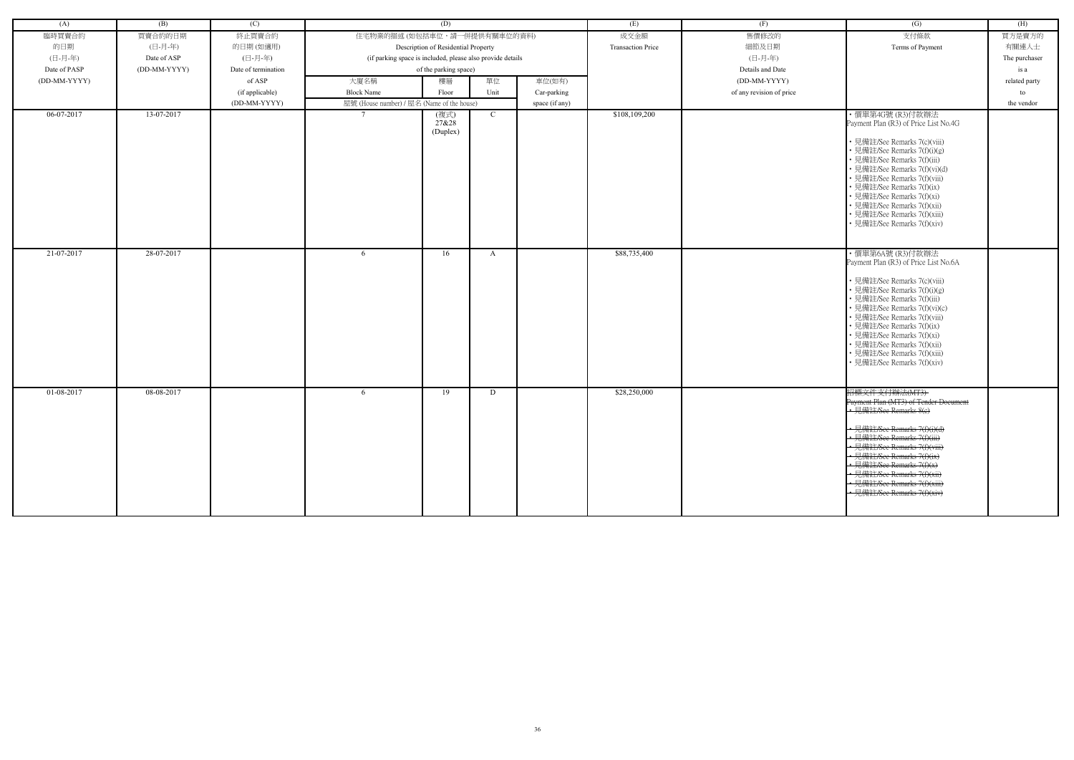| (A)          | (B)          | (C)                 | (D)                                                        |          |              |                | (E)                      | (F)                      | (G)                                                         | (H)           |
|--------------|--------------|---------------------|------------------------------------------------------------|----------|--------------|----------------|--------------------------|--------------------------|-------------------------------------------------------------|---------------|
| 臨時買賣合約       | 買賣合約的日期      | 終止買賣合約              | 住宅物業的描述 (如包括車位,請一併提供有關車位的資料)                               |          |              |                | 成交金額                     | 售價修改的                    | 支付條款                                                        | 買方是賣方的        |
| 的日期          | (日-月-年)      | 的日期(如適用)            | Description of Residential Property                        |          |              |                | <b>Transaction Price</b> | 細節及日期                    | Terms of Payment                                            | 有關連人士         |
| (日-月-年)      | Date of ASP  | (日-月-年)             | (if parking space is included, please also provide details |          |              |                |                          | (日-月-年)                  |                                                             | The purchaser |
| Date of PASP | (DD-MM-YYYY) | Date of termination | of the parking space)                                      |          |              |                |                          | Details and Date         |                                                             | is a          |
| (DD-MM-YYYY) |              | of ASP              | 單位<br>大廈名稱<br>樓層<br>車位(如有)                                 |          |              |                | (DD-MM-YYYY)             |                          | related party                                               |               |
|              |              | (if applicable)     | <b>Block Name</b>                                          | Floor    | Unit         | Car-parking    |                          | of any revision of price |                                                             | to            |
|              |              | (DD-MM-YYYY)        | 屋號 (House number) / 屋名 (Name of the house)                 |          |              | space (if any) |                          |                          |                                                             | the vendor    |
| 06-07-2017   | 13-07-2017   |                     |                                                            | (複式)     | $\mathbf{C}$ |                | \$108,109,200            |                          | ・價單第4G號 (R3)付款辦法                                            |               |
|              |              |                     |                                                            | 27&28    |              |                |                          |                          | Payment Plan (R3) of Price List No.4G                       |               |
|              |              |                     |                                                            | (Duplex) |              |                |                          |                          |                                                             |               |
|              |              |                     |                                                            |          |              |                |                          |                          | • 見備註/See Remarks 7(c)(viii)                                |               |
|              |              |                     |                                                            |          |              |                |                          |                          | • 見備註/See Remarks 7(f)(i)(g)<br>• 見備註/See Remarks 7(f)(iii) |               |
|              |              |                     |                                                            |          |              |                |                          |                          | • 見備註/See Remarks 7(f)(vi)(d)                               |               |
|              |              |                     |                                                            |          |              |                |                          |                          | • 見備註/See Remarks 7(f)(viii)                                |               |
|              |              |                     |                                                            |          |              |                |                          |                          | • 見備註/See Remarks 7(f)(ix)                                  |               |
|              |              |                     |                                                            |          |              |                |                          |                          | • 見備註/See Remarks 7(f)(xi)                                  |               |
|              |              |                     |                                                            |          |              |                |                          |                          | • 見備註/See Remarks 7(f)(xii)                                 |               |
|              |              |                     |                                                            |          |              |                |                          |                          | • 見備註/See Remarks 7(f)(xiii)<br>• 見備註/See Remarks 7(f)(xiv) |               |
|              |              |                     |                                                            |          |              |                |                          |                          |                                                             |               |
|              |              |                     |                                                            |          |              |                |                          |                          |                                                             |               |
| 21-07-2017   | 28-07-2017   |                     | -6                                                         | 16       | A            |                | \$88,735,400             |                          | ・價單第6A號 (R3)付款辦法                                            |               |
|              |              |                     |                                                            |          |              |                |                          |                          | Payment Plan (R3) of Price List No.6A                       |               |
|              |              |                     |                                                            |          |              |                |                          |                          | • 見備註/See Remarks 7(c)(viii)                                |               |
|              |              |                     |                                                            |          |              |                |                          |                          | • 見備註/See Remarks 7(f)(i)(g)                                |               |
|              |              |                     |                                                            |          |              |                |                          |                          | • 見備註/See Remarks 7(f)(iii)                                 |               |
|              |              |                     |                                                            |          |              |                |                          |                          | • 見備註/See Remarks 7(f)(vi)(c)                               |               |
|              |              |                     |                                                            |          |              |                |                          |                          | • 見備註/See Remarks 7(f)(viii)                                |               |
|              |              |                     |                                                            |          |              |                |                          |                          | • 見備註/See Remarks 7(f)(ix)<br>• 見備註/See Remarks 7(f)(xi)    |               |
|              |              |                     |                                                            |          |              |                |                          |                          | • 見備註/See Remarks 7(f)(xii)                                 |               |
|              |              |                     |                                                            |          |              |                |                          |                          | • 見備註/See Remarks 7(f)(xiii)                                |               |
|              |              |                     |                                                            |          |              |                |                          |                          | • 見備註/See Remarks 7(f)(xiv)                                 |               |
|              |              |                     |                                                            |          |              |                |                          |                          |                                                             |               |
| 01-08-2017   | 08-08-2017   |                     | 6                                                          | 19       | D            |                | \$28,250,000             |                          | 招標文件支付辦法(MT3)                                               |               |
|              |              |                     |                                                            |          |              |                |                          |                          | Payment Plan (MT3) of Tender Document                       |               |
|              |              |                     |                                                            |          |              |                |                          |                          | • 見備註/See Remarks 8(c)                                      |               |
|              |              |                     |                                                            |          |              |                |                          |                          |                                                             |               |
|              |              |                     |                                                            |          |              |                |                          |                          | • 見備註/See Remarks 7(f)(i)(d)                                |               |
|              |              |                     |                                                            |          |              |                |                          |                          | • 見備註/See Remarks 7(f)(iii)<br>· 見備註/See Remarks 7(f)(viii) |               |
|              |              |                     |                                                            |          |              |                |                          |                          | • 見備註/See Remarks 7(f)(ix)                                  |               |
|              |              |                     |                                                            |          |              |                |                          |                          | • 見備註/See Remarks 7(f)(x)                                   |               |
|              |              |                     |                                                            |          |              |                |                          |                          | · 見備註/See Remarks 7(f)(xii)                                 |               |
|              |              |                     |                                                            |          |              |                |                          |                          | · 見備註/See Remarks 7(f)(xiii)                                |               |
|              |              |                     |                                                            |          |              |                |                          |                          | 見備註/See Remarks 7(f)(xiv)                                   |               |
|              |              |                     |                                                            |          |              |                |                          |                          |                                                             |               |
|              |              |                     |                                                            |          |              |                |                          |                          |                                                             |               |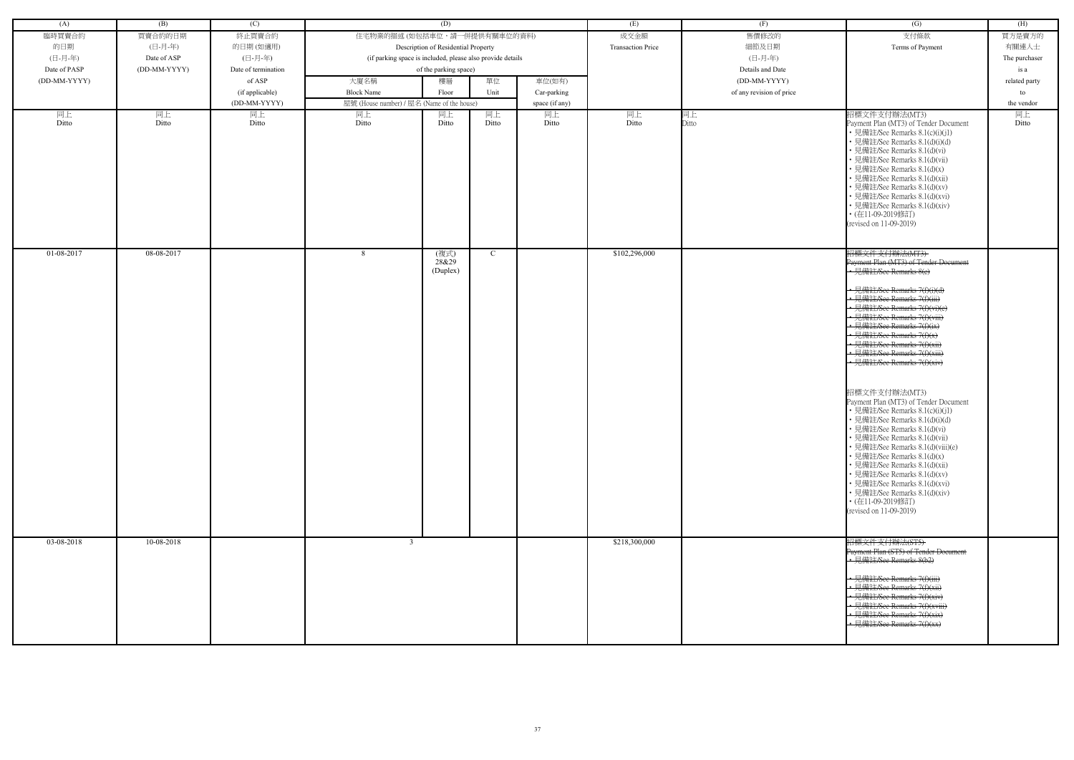| (A)          | (B)          | (C)                 |                                                            | (D)                                 |               |                | (E)                      | (F)                      | (G)                                                                                                                                                                                                                                                                                                                                                                                                            | (H)           |
|--------------|--------------|---------------------|------------------------------------------------------------|-------------------------------------|---------------|----------------|--------------------------|--------------------------|----------------------------------------------------------------------------------------------------------------------------------------------------------------------------------------------------------------------------------------------------------------------------------------------------------------------------------------------------------------------------------------------------------------|---------------|
| 臨時買賣合約       | 買賣合約的日期      | 終止買賣合約              | 住宅物業的描述 (如包括車位,請一併提供有關車位的資料)                               |                                     |               |                | 成交金額                     | 售價修改的                    | 支付條款                                                                                                                                                                                                                                                                                                                                                                                                           | 買方是賣方的        |
| 的日期          | (日-月-年)      | 的日期(如適用)            |                                                            | Description of Residential Property |               |                | <b>Transaction Price</b> | 細節及日期                    | Terms of Payment                                                                                                                                                                                                                                                                                                                                                                                               | 有關連人士         |
| (日-月-年)      | Date of ASP  | (日-月-年)             | (if parking space is included, please also provide details |                                     |               |                |                          | (日-月-年)                  |                                                                                                                                                                                                                                                                                                                                                                                                                | The purchaser |
| Date of PASP | (DD-MM-YYYY) | Date of termination |                                                            | of the parking space)               |               |                |                          | Details and Date         |                                                                                                                                                                                                                                                                                                                                                                                                                | is a          |
|              |              |                     |                                                            |                                     |               |                |                          |                          |                                                                                                                                                                                                                                                                                                                                                                                                                |               |
| (DD-MM-YYYY) |              | of ASP              | 大廈名稱                                                       | 樓層                                  | 單位            | 車位(如有)         |                          | (DD-MM-YYYY)             |                                                                                                                                                                                                                                                                                                                                                                                                                | related party |
|              |              | (if applicable)     | <b>Block Name</b>                                          | Floor                               | Unit          | Car-parking    |                          | of any revision of price |                                                                                                                                                                                                                                                                                                                                                                                                                | to            |
|              |              | (DD-MM-YYYY)        | 屋號 (House number) / 屋名 (Name of the house)                 |                                     |               | space (if any) |                          |                          |                                                                                                                                                                                                                                                                                                                                                                                                                | the vendor    |
| 同上<br>Ditto  | 同上<br>Ditto  | 同上<br>Ditto         | 同上<br>Ditto                                                | 同上<br>Ditto                         | 同上<br>Ditto   | 同上<br>Ditto    | 同上<br>Ditto              | 同上<br>Ditto              | 招標文件支付辦法(MT3)<br>Payment Plan (MT3) of Tender Document<br>• 見備註/See Remarks 8.1(c)(i)(j1)<br>· 見備註/See Remarks 8.1(d)(i)(d)<br>• 見備註/See Remarks 8.1(d)(vi)<br>· 見備註/See Remarks 8.1(d)(vii)<br>• 見備註/See Remarks 8.1(d)(x)<br>· 見備註/See Remarks 8.1(d)(xii)<br>· 見備註/See Remarks 8.1(d)(xv)<br>• 見備註/See Remarks 8.1(d)(xvi)<br>• 見備註/See Remarks 8.1(d)(xiv)<br>• (在11-09-2019修訂)<br>(revised on 11-09-2019) | 同上<br>Ditto   |
| 01-08-2017   | 08-08-2017   |                     | 8                                                          | (複式)<br>28&29<br>(Duplex)           | $\mathcal{C}$ |                | \$102,296,000            |                          | 招標文件支付辦法(MT3)<br>Payment Plan (MT3) of Tender Document<br>• 見備註/See Remarks 8(c)<br>- 見備註/See Remarks 7(f)(i)(d)                                                                                                                                                                                                                                                                                               |               |
|              |              |                     |                                                            |                                     |               |                |                          |                          | · 見備註/See Remarks 7(f)(iii)<br>• 見備註/See Remarks 7(f)(vi)(e)<br>• 見備註/See Remarks 7(f)(viii)<br>· 見備註/See Remarks 7(f)(ix)                                                                                                                                                                                                                                                                                     |               |
|              |              |                     |                                                            |                                     |               |                |                          |                          | • 見備註/See Remarks 7(f)(x)<br>見備註/See Remarks 7(f)(xii)<br>見備註/See Remarks 7(f)(xiii)                                                                                                                                                                                                                                                                                                                           |               |
|              |              |                     |                                                            |                                     |               |                |                          |                          | ← 見備註/See Remarks 7(f)(xiv)                                                                                                                                                                                                                                                                                                                                                                                    |               |
|              |              |                     |                                                            |                                     |               |                |                          |                          | 招標文件支付辦法(MT3)<br>Payment Plan (MT3) of Tender Document<br>• 見備註/See Remarks 8.1(c)(i)(j1)<br>• 見備註/See Remarks 8.1(d)(i)(d)<br>· 見備註/See Remarks 8.1(d)(vi)<br>• 見備註/See Remarks 8.1(d)(vii)<br>• 見備註/See Remarks 8.1(d)(viii)(e)<br>• 見備註/See Remarks 8.1(d)(x)<br>• 見備註/See Remarks 8.1(d)(xii)<br>• 見備註/See Remarks 8.1(d)(xv)                                                                              |               |
|              |              |                     |                                                            |                                     |               |                |                          |                          | • 見備註/See Remarks 8.1(d)(xvi)<br>• 見備註/See Remarks 8.1(d)(xiv)<br>• (在11-09-2019修訂)<br>(revised on 11-09-2019)                                                                                                                                                                                                                                                                                                 |               |
| 03-08-2018   | 10-08-2018   |                     | 3                                                          |                                     |               |                | \$218,300,000            |                          | 招標文件支付辦法(ST5)<br>Payment Plan (ST5) of Tender Document<br>• 見備註/See Remarks 8(b2)                                                                                                                                                                                                                                                                                                                              |               |
|              |              |                     |                                                            |                                     |               |                |                          |                          | • 見備註/See Remarks 7(f)(iii)<br>• 見備註/See Remarks 7(f)(xii)<br>• 見備註/See Remarks 7(f)(xiv)<br>• 見備註/See Remarks 7(f)(xviii)<br>· 見備註/See Remarks 7(f)(xix)<br>見備註/See Remarks 7(f)(xx)                                                                                                                                                                                                                          |               |
|              |              |                     |                                                            |                                     |               |                |                          |                          |                                                                                                                                                                                                                                                                                                                                                                                                                |               |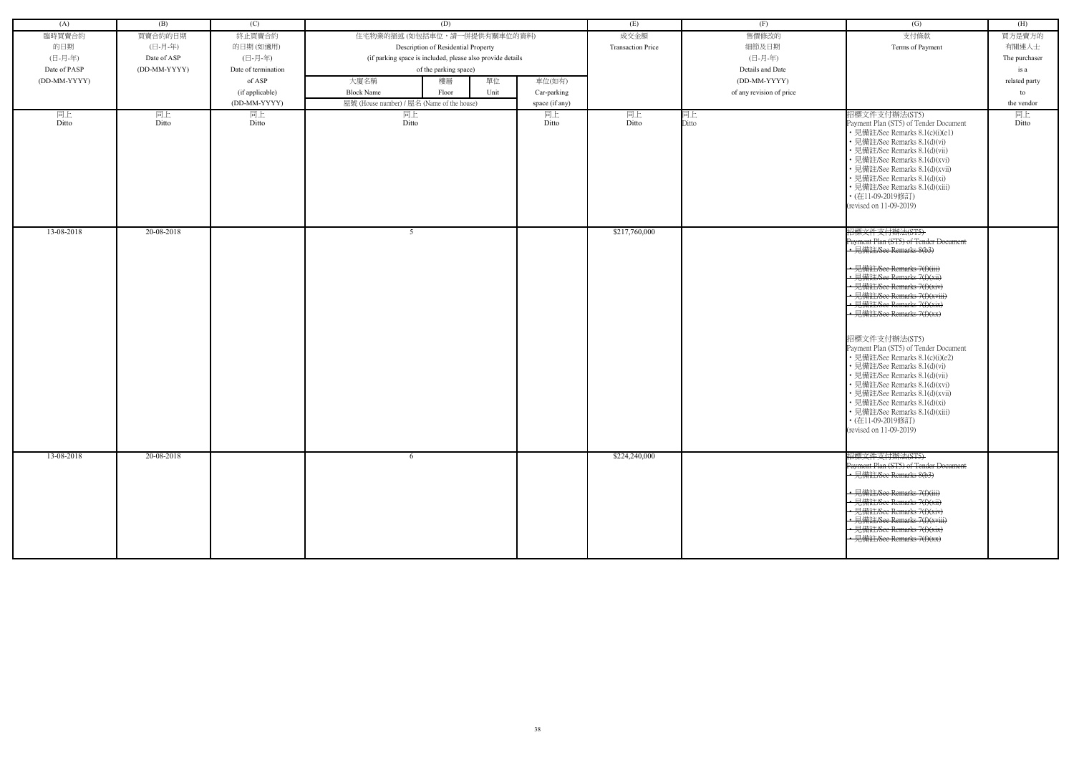| (A)          | (B)          | (C)                 | (D)                                                        |                | (E)                      | (F)                      | (G)                                                                                                                                                                                                                                                                                                                                           | (H)           |
|--------------|--------------|---------------------|------------------------------------------------------------|----------------|--------------------------|--------------------------|-----------------------------------------------------------------------------------------------------------------------------------------------------------------------------------------------------------------------------------------------------------------------------------------------------------------------------------------------|---------------|
| 臨時買賣合約       | 買賣合約的日期      | 終止買賣合約              | 住宅物業的描述 (如包括車位,請一併提供有關車位的資料)                               |                | 成交金額                     | 售價修改的                    | 支付條款                                                                                                                                                                                                                                                                                                                                          | 買方是賣方的        |
| 的日期          | (日-月-年)      | 的日期(如適用)            | Description of Residential Property                        |                | <b>Transaction Price</b> | 細節及日期                    | Terms of Payment                                                                                                                                                                                                                                                                                                                              | 有關連人士         |
| (日-月-年)      | Date of ASP  | (日-月-年)             | (if parking space is included, please also provide details |                |                          | (日-月-年)                  |                                                                                                                                                                                                                                                                                                                                               | The purchaser |
| Date of PASP | (DD-MM-YYYY) | Date of termination | of the parking space)                                      |                |                          | Details and Date         |                                                                                                                                                                                                                                                                                                                                               | is a          |
| (DD-MM-YYYY) |              | of ASP              | 單位<br>大廈名稱<br>樓層                                           | 車位(如有)         |                          | (DD-MM-YYYY)             |                                                                                                                                                                                                                                                                                                                                               | related party |
|              |              | (if applicable)     | <b>Block Name</b><br>Unit<br>Floor                         | Car-parking    |                          | of any revision of price |                                                                                                                                                                                                                                                                                                                                               | to            |
|              |              | (DD-MM-YYYY)        | 屋號 (House number) / 屋名 (Name of the house)                 | space (if any) |                          |                          |                                                                                                                                                                                                                                                                                                                                               | the vendor    |
| 同上           | 同上           | 同上                  | 同上                                                         | 同上             | 同上                       | 同上                       | 招標文件支付辦法(ST5)                                                                                                                                                                                                                                                                                                                                 | 同上            |
| Ditto        | Ditto        | Ditto               | Ditto                                                      | Ditto          | Ditto                    | Ditto                    | Payment Plan (ST5) of Tender Document<br>• 見備註/See Remarks 8.1(c)(i)(e1)<br>• 見備註/See Remarks 8.1(d)(vi)<br>· 見備註/See Remarks 8.1(d)(vii)<br>• 見備註/See Remarks 8.1(d)(xvi)<br>• 見備註/See Remarks 8.1(d)(xvii)<br>• 見備註/See Remarks 8.1(d)(xi)<br>• 見備註/See Remarks 8.1(d)(xiii)<br>• (在11-09-2019修訂)<br>(revised on 11-09-2019)                | Ditto         |
| 13-08-2018   | 20-08-2018   |                     | -5                                                         |                | \$217,760,000            |                          | 招標文件支付辦法(ST5)<br>Payment Plan (ST5) of Tender Document<br>• 見備註/See Remarks 8(b3)                                                                                                                                                                                                                                                             |               |
|              |              |                     |                                                            |                |                          |                          |                                                                                                                                                                                                                                                                                                                                               |               |
|              |              |                     |                                                            |                |                          |                          | • 見備註/See Remarks 7(f)(iii)                                                                                                                                                                                                                                                                                                                   |               |
|              |              |                     |                                                            |                |                          |                          | • 見備註/See Remarks 7(f)(xii)                                                                                                                                                                                                                                                                                                                   |               |
|              |              |                     |                                                            |                |                          |                          | · 見備註/See Remarks 7(f)(xiv)<br>• 見備註/See Remarks 7(f)(xviii)                                                                                                                                                                                                                                                                                  |               |
|              |              |                     |                                                            |                |                          |                          | · 見備註/See Remarks 7(f)(xix)                                                                                                                                                                                                                                                                                                                   |               |
|              |              |                     |                                                            |                |                          |                          | · 見備註/See Remarks 7(f)(xx)                                                                                                                                                                                                                                                                                                                    |               |
|              |              |                     |                                                            |                |                          |                          |                                                                                                                                                                                                                                                                                                                                               |               |
|              |              |                     |                                                            |                |                          |                          | 招標文件支付辦法(ST5)<br>Payment Plan (ST5) of Tender Document<br>• 見備註/See Remarks 8.1(c)(i)(e2)<br>• 見備註/See Remarks 8.1(d)(vi)<br>• 見備註/See Remarks 8.1(d)(vii)<br>• 見備註/See Remarks 8.1(d)(xvi)<br>• 見備註/See Remarks 8.1(d)(xvii)<br>見備註/See Remarks 8.1(d)(xi)<br>• 見備註/See Remarks 8.1(d)(xiii)<br>• (在11-09-2019修訂)<br>(revised on 11-09-2019) |               |
| 13-08-2018   | 20-08-2018   |                     | -6                                                         |                | \$224,240,000            |                          | 招標文件支付辦法(ST5)                                                                                                                                                                                                                                                                                                                                 |               |
|              |              |                     |                                                            |                |                          |                          | Payment Plan (ST5) of Tender Document<br>• 見備註/See Remarks 8(b3)                                                                                                                                                                                                                                                                              |               |
|              |              |                     |                                                            |                |                          |                          |                                                                                                                                                                                                                                                                                                                                               |               |
|              |              |                     |                                                            |                |                          |                          | • 見備註/See Remarks 7(f)(iii)                                                                                                                                                                                                                                                                                                                   |               |
|              |              |                     |                                                            |                |                          |                          | • 見備註/See Remarks 7(f)(xii)                                                                                                                                                                                                                                                                                                                   |               |
|              |              |                     |                                                            |                |                          |                          | • 見備註/See Remarks 7(f)(xiv)                                                                                                                                                                                                                                                                                                                   |               |
|              |              |                     |                                                            |                |                          |                          | • 見備註/See Remarks 7(f)(xviii)<br>· 見備註/See Remarks 7(f)(xix)                                                                                                                                                                                                                                                                                  |               |
|              |              |                     |                                                            |                |                          |                          | · 見備註/See Remarks 7(f)(xx)                                                                                                                                                                                                                                                                                                                    |               |
|              |              |                     |                                                            |                |                          |                          |                                                                                                                                                                                                                                                                                                                                               |               |
|              |              |                     |                                                            |                |                          |                          |                                                                                                                                                                                                                                                                                                                                               |               |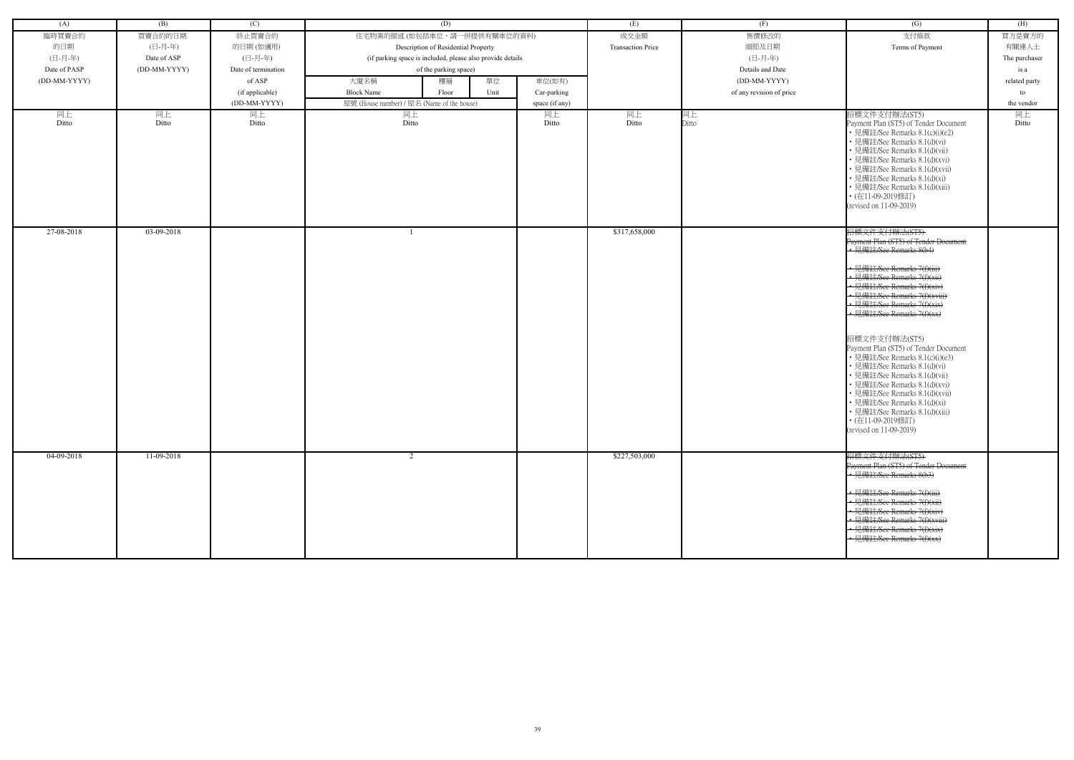| (A)          | (B)          | (C)                 | (D)                                                        |                | (E)                      | (F)                      | (G)                                                                                                                                                                                                                                                                                                                            | (H)           |
|--------------|--------------|---------------------|------------------------------------------------------------|----------------|--------------------------|--------------------------|--------------------------------------------------------------------------------------------------------------------------------------------------------------------------------------------------------------------------------------------------------------------------------------------------------------------------------|---------------|
| 臨時買賣合約       | 買賣合約的日期      | 終止買賣合約              | 住宅物業的描述 (如包括車位,請一併提供有關車位的資料)                               |                | 成交金額                     | 售價修改的                    | 支付條款                                                                                                                                                                                                                                                                                                                           | 買方是賣方的        |
| 的日期          | (日-月-年)      | 的日期(如適用)            | Description of Residential Property                        |                | <b>Transaction Price</b> | 細節及日期                    | Terms of Payment                                                                                                                                                                                                                                                                                                               | 有關連人士         |
| (日-月-年)      | Date of ASP  | (日-月-年)             | (if parking space is included, please also provide details |                |                          | (日-月-年)                  |                                                                                                                                                                                                                                                                                                                                | The purchaser |
| Date of PASP | (DD-MM-YYYY) | Date of termination | of the parking space)                                      |                |                          | Details and Date         |                                                                                                                                                                                                                                                                                                                                | is a          |
| (DD-MM-YYYY) |              | of ASP              | 單位<br>大廈名稱<br>樓層                                           | 車位(如有)         |                          | (DD-MM-YYYY)             |                                                                                                                                                                                                                                                                                                                                | related party |
|              |              | (if applicable)     | <b>Block Name</b><br>Unit<br>Floor                         | Car-parking    |                          | of any revision of price |                                                                                                                                                                                                                                                                                                                                | to            |
|              |              | (DD-MM-YYYY)        | 屋號 (House number) / 屋名 (Name of the house)                 | space (if any) |                          |                          |                                                                                                                                                                                                                                                                                                                                | the vendor    |
| 同上           | 同上           | 同上                  | 同上                                                         | 同上             | 同上                       | 同上                       | 招標文件支付辦法(ST5)                                                                                                                                                                                                                                                                                                                  | 同上            |
| Ditto        | Ditto        | Ditto               | Ditto                                                      | Ditto          | Ditto                    | Ditto                    | Payment Plan (ST5) of Tender Document<br>• 見備註/See Remarks 8.1(c)(i)(e2)<br>• 見備註/See Remarks 8.1(d)(vi)<br>· 見備註/See Remarks 8.1(d)(vii)<br>• 見備註/See Remarks 8.1(d)(xvi)<br>• 見備註/See Remarks 8.1(d)(xvii)<br>• 見備註/See Remarks 8.1(d)(xi)<br>• 見備註/See Remarks 8.1(d)(xiii)<br>• (在11-09-2019修訂)<br>(revised on 11-09-2019) | Ditto         |
| 27-08-2018   | 03-09-2018   |                     |                                                            |                | \$317,658,000            |                          | 招標文件支付辦法(ST5)<br>Payment Plan (ST5) of Tender Document<br>• 見備註/See Remarks 8(b4)                                                                                                                                                                                                                                              |               |
|              |              |                     |                                                            |                |                          |                          |                                                                                                                                                                                                                                                                                                                                |               |
|              |              |                     |                                                            |                |                          |                          | • 見備註/See Remarks 7(f)(iii)                                                                                                                                                                                                                                                                                                    |               |
|              |              |                     |                                                            |                |                          |                          | • 見備註/See Remarks 7(f)(xii)                                                                                                                                                                                                                                                                                                    |               |
|              |              |                     |                                                            |                |                          |                          | · 見備註/See Remarks 7(f)(xiv)<br>• 見備註/See Remarks 7(f)(xviii)                                                                                                                                                                                                                                                                   |               |
|              |              |                     |                                                            |                |                          |                          | • 見備註/See Remarks 7(f)(xix)                                                                                                                                                                                                                                                                                                    |               |
|              |              |                     |                                                            |                |                          |                          | · 見備註/See Remarks 7(f)(xx)                                                                                                                                                                                                                                                                                                     |               |
|              |              |                     |                                                            |                |                          |                          |                                                                                                                                                                                                                                                                                                                                |               |
|              |              |                     |                                                            |                |                          |                          | 招標文件支付辦法(ST5)                                                                                                                                                                                                                                                                                                                  |               |
|              |              |                     |                                                            |                |                          |                          | Payment Plan (ST5) of Tender Document<br>• 見備註/See Remarks 8.1(c)(i)(e3)                                                                                                                                                                                                                                                       |               |
|              |              |                     |                                                            |                |                          |                          | • 見備註/See Remarks 8.1(d)(vi)                                                                                                                                                                                                                                                                                                   |               |
|              |              |                     |                                                            |                |                          |                          | • 見備註/See Remarks 8.1(d)(vii)                                                                                                                                                                                                                                                                                                  |               |
|              |              |                     |                                                            |                |                          |                          | • 見備註/See Remarks 8.1(d)(xvi)                                                                                                                                                                                                                                                                                                  |               |
|              |              |                     |                                                            |                |                          |                          | • 見備註/See Remarks 8.1(d)(xvii)<br>見備註/See Remarks 8.1(d)(xi)                                                                                                                                                                                                                                                                   |               |
|              |              |                     |                                                            |                |                          |                          | • 見備註/See Remarks 8.1(d)(xiii)                                                                                                                                                                                                                                                                                                 |               |
|              |              |                     |                                                            |                |                          |                          | • (在11-09-2019修訂)                                                                                                                                                                                                                                                                                                              |               |
|              |              |                     |                                                            |                |                          |                          | (revised on 11-09-2019)                                                                                                                                                                                                                                                                                                        |               |
|              |              |                     |                                                            |                |                          |                          |                                                                                                                                                                                                                                                                                                                                |               |
| 04-09-2018   | 11-09-2018   |                     | $\mathcal{L}$                                              |                | \$227,503,000            |                          | 招標文件支付辦法(ST5)                                                                                                                                                                                                                                                                                                                  |               |
|              |              |                     |                                                            |                |                          |                          | Payment Plan (ST5) of Tender Document                                                                                                                                                                                                                                                                                          |               |
|              |              |                     |                                                            |                |                          |                          | • 見備註/See Remarks 8(b3)                                                                                                                                                                                                                                                                                                        |               |
|              |              |                     |                                                            |                |                          |                          | • 見備註/See Remarks 7(f)(iii)                                                                                                                                                                                                                                                                                                    |               |
|              |              |                     |                                                            |                |                          |                          | • 見備註/See Remarks 7(f)(xii)                                                                                                                                                                                                                                                                                                    |               |
|              |              |                     |                                                            |                |                          |                          | • 見備註/See Remarks 7(f)(xiv)                                                                                                                                                                                                                                                                                                    |               |
|              |              |                     |                                                            |                |                          |                          | • 見備註/See Remarks 7(f)(xviii)<br>· 見備註/See Remarks 7(f)(xix)                                                                                                                                                                                                                                                                   |               |
|              |              |                     |                                                            |                |                          |                          | · 見備註/See Remarks 7(f)(xx)                                                                                                                                                                                                                                                                                                     |               |
|              |              |                     |                                                            |                |                          |                          |                                                                                                                                                                                                                                                                                                                                |               |
|              |              |                     |                                                            |                |                          |                          |                                                                                                                                                                                                                                                                                                                                |               |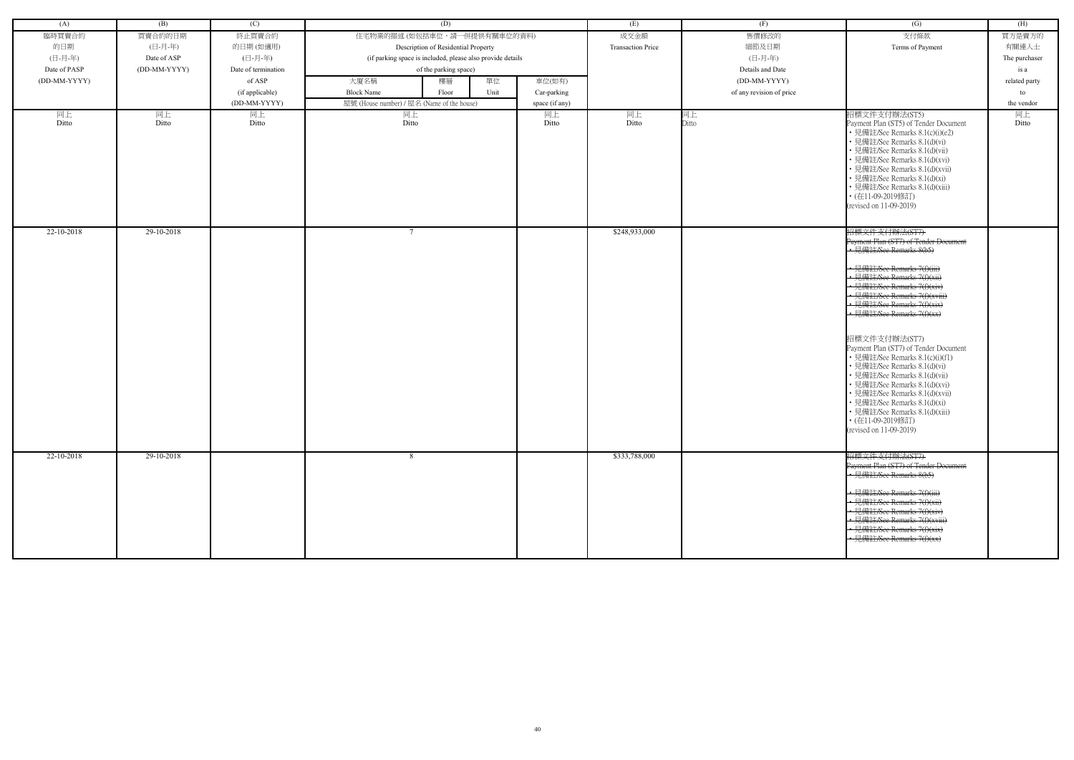| (A)          | (B)          | (C)                 | (D)                                                        |                | (E)                      | (F)                      | (G)                                                                                                                                                                                                                                                                                                                            | (H)           |
|--------------|--------------|---------------------|------------------------------------------------------------|----------------|--------------------------|--------------------------|--------------------------------------------------------------------------------------------------------------------------------------------------------------------------------------------------------------------------------------------------------------------------------------------------------------------------------|---------------|
| 臨時買賣合約       | 買賣合約的日期      | 終止買賣合約              | 住宅物業的描述 (如包括車位,請一併提供有關車位的資料)                               |                | 成交金額                     | 售價修改的                    | 支付條款                                                                                                                                                                                                                                                                                                                           | 買方是賣方的        |
| 的日期          | (日-月-年)      | 的日期(如適用)            | Description of Residential Property                        |                | <b>Transaction Price</b> | 細節及日期                    | Terms of Payment                                                                                                                                                                                                                                                                                                               | 有關連人士         |
| (日-月-年)      | Date of ASP  | (日-月-年)             | (if parking space is included, please also provide details |                |                          | (日-月-年)                  |                                                                                                                                                                                                                                                                                                                                | The purchaser |
| Date of PASP | (DD-MM-YYYY) | Date of termination | of the parking space)                                      |                |                          | Details and Date         |                                                                                                                                                                                                                                                                                                                                | is a          |
| (DD-MM-YYYY) |              | of ASP              | 單位<br>大廈名稱<br>樓層                                           | 車位(如有)         |                          | (DD-MM-YYYY)             |                                                                                                                                                                                                                                                                                                                                | related party |
|              |              | (if applicable)     | <b>Block Name</b><br>Unit<br>Floor                         | Car-parking    |                          | of any revision of price |                                                                                                                                                                                                                                                                                                                                | to            |
|              |              | (DD-MM-YYYY)        | 屋號 (House number) / 屋名 (Name of the house)                 | space (if any) |                          |                          |                                                                                                                                                                                                                                                                                                                                | the vendor    |
| 同上           | 同上           | 同上                  | 同上                                                         | 同上             | 同上                       | 同上                       | 招標文件支付辦法(ST5)                                                                                                                                                                                                                                                                                                                  | 同上            |
| Ditto        | Ditto        | Ditto               | Ditto                                                      | Ditto          | Ditto                    | Ditto                    | Payment Plan (ST5) of Tender Document<br>• 見備註/See Remarks 8.1(c)(i)(e2)<br>• 見備註/See Remarks 8.1(d)(vi)<br>· 見備註/See Remarks 8.1(d)(vii)<br>• 見備註/See Remarks 8.1(d)(xvi)<br>• 見備註/See Remarks 8.1(d)(xvii)<br>• 見備註/See Remarks 8.1(d)(xi)<br>• 見備註/See Remarks 8.1(d)(xiii)<br>• (在11-09-2019修訂)<br>(revised on 11-09-2019) | Ditto         |
| 22-10-2018   | 29-10-2018   |                     |                                                            |                | \$248,933,000            |                          | 招標文件支付辦法(ST7)<br>Payment Plan (ST7) of Tender Document<br>• 見備註/See Remarks 8(b5)                                                                                                                                                                                                                                              |               |
|              |              |                     |                                                            |                |                          |                          |                                                                                                                                                                                                                                                                                                                                |               |
|              |              |                     |                                                            |                |                          |                          | • 見備註/See Remarks 7(f)(iii)                                                                                                                                                                                                                                                                                                    |               |
|              |              |                     |                                                            |                |                          |                          | • 見備註/See Remarks 7(f)(xii)                                                                                                                                                                                                                                                                                                    |               |
|              |              |                     |                                                            |                |                          |                          | · 見備註/See Remarks 7(f)(xiv)<br>• 見備註/See Remarks 7(f)(xviii)                                                                                                                                                                                                                                                                   |               |
|              |              |                     |                                                            |                |                          |                          | • 見備註/See Remarks 7(f)(xix)                                                                                                                                                                                                                                                                                                    |               |
|              |              |                     |                                                            |                |                          |                          | · 見備註/See Remarks 7(f)(xx)                                                                                                                                                                                                                                                                                                     |               |
|              |              |                     |                                                            |                |                          |                          |                                                                                                                                                                                                                                                                                                                                |               |
|              |              |                     |                                                            |                |                          |                          | 招標文件支付辦法(ST7)                                                                                                                                                                                                                                                                                                                  |               |
|              |              |                     |                                                            |                |                          |                          | Payment Plan (ST7) of Tender Document                                                                                                                                                                                                                                                                                          |               |
|              |              |                     |                                                            |                |                          |                          | • 見備註/See Remarks 8.1(c)(i)(f1)                                                                                                                                                                                                                                                                                                |               |
|              |              |                     |                                                            |                |                          |                          | • 見備註/See Remarks 8.1(d)(vi)<br>• 見備註/See Remarks 8.1(d)(vii)                                                                                                                                                                                                                                                                  |               |
|              |              |                     |                                                            |                |                          |                          | • 見備註/See Remarks 8.1(d)(xvi)                                                                                                                                                                                                                                                                                                  |               |
|              |              |                     |                                                            |                |                          |                          | • 見備註/See Remarks 8.1(d)(xvii)                                                                                                                                                                                                                                                                                                 |               |
|              |              |                     |                                                            |                |                          |                          | 見備註/See Remarks 8.1(d)(xi)                                                                                                                                                                                                                                                                                                     |               |
|              |              |                     |                                                            |                |                          |                          | • 見備註/See Remarks 8.1(d)(xiii)                                                                                                                                                                                                                                                                                                 |               |
|              |              |                     |                                                            |                |                          |                          | • (在11-09-2019修訂)<br>(revised on 11-09-2019)                                                                                                                                                                                                                                                                                   |               |
|              |              |                     |                                                            |                |                          |                          |                                                                                                                                                                                                                                                                                                                                |               |
| 22-10-2018   | 29-10-2018   |                     | -8                                                         |                | \$333,788,000            |                          | 招標文件支付辦法(ST7)                                                                                                                                                                                                                                                                                                                  |               |
|              |              |                     |                                                            |                |                          |                          | Payment Plan (ST7) of Tender Document                                                                                                                                                                                                                                                                                          |               |
|              |              |                     |                                                            |                |                          |                          | • 見備註/See Remarks 8(b5)                                                                                                                                                                                                                                                                                                        |               |
|              |              |                     |                                                            |                |                          |                          | • 見備註/See Remarks 7(f)(iii)                                                                                                                                                                                                                                                                                                    |               |
|              |              |                     |                                                            |                |                          |                          | • 見備註/See Remarks 7(f)(xii)                                                                                                                                                                                                                                                                                                    |               |
|              |              |                     |                                                            |                |                          |                          | • 見備註/See Remarks 7(f)(xiv)                                                                                                                                                                                                                                                                                                    |               |
|              |              |                     |                                                            |                |                          |                          | • 見備註/See Remarks 7(f)(xviii)                                                                                                                                                                                                                                                                                                  |               |
|              |              |                     |                                                            |                |                          |                          | · 見備註/See Remarks 7(f)(xix)<br>· 見備註/See Remarks 7(f)(xx)                                                                                                                                                                                                                                                                      |               |
|              |              |                     |                                                            |                |                          |                          |                                                                                                                                                                                                                                                                                                                                |               |
|              |              |                     |                                                            |                |                          |                          |                                                                                                                                                                                                                                                                                                                                |               |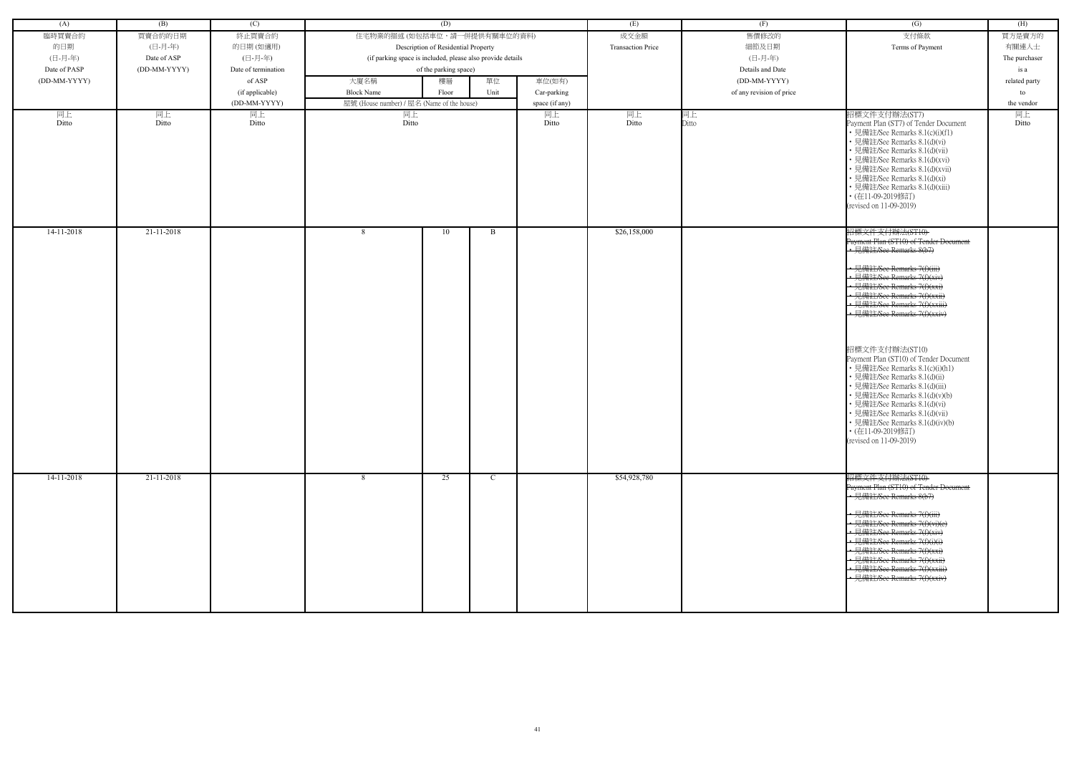| (A)          | (B)          | (C)                 | (D)                                                        |                                            |             |                | (E)                      | (F)                      | $\overline{(G)}$                                                                                                                                                                                                                                                                                                                                                                                                                                                                                                                                                                                                                        | (H)           |
|--------------|--------------|---------------------|------------------------------------------------------------|--------------------------------------------|-------------|----------------|--------------------------|--------------------------|-----------------------------------------------------------------------------------------------------------------------------------------------------------------------------------------------------------------------------------------------------------------------------------------------------------------------------------------------------------------------------------------------------------------------------------------------------------------------------------------------------------------------------------------------------------------------------------------------------------------------------------------|---------------|
| 臨時買賣合約       | 買賣合約的日期      | 終止買賣合約              | 住宅物業的描述 (如包括車位,請一併提供有關車位的資料)                               |                                            |             |                | 成交金額                     | 售價修改的                    | 支付條款                                                                                                                                                                                                                                                                                                                                                                                                                                                                                                                                                                                                                                    | 買方是賣方的        |
| 的日期          | (日-月-年)      | 的日期(如適用)            |                                                            | Description of Residential Property        |             |                | <b>Transaction Price</b> | 細節及日期                    | Terms of Payment                                                                                                                                                                                                                                                                                                                                                                                                                                                                                                                                                                                                                        | 有關連人士         |
| (日-月-年)      | Date of ASP  | (日-月-年)             | (if parking space is included, please also provide details |                                            |             |                |                          | (日-月-年)                  |                                                                                                                                                                                                                                                                                                                                                                                                                                                                                                                                                                                                                                         | The purchaser |
| Date of PASP | (DD-MM-YYYY) | Date of termination |                                                            | of the parking space)                      |             |                |                          | Details and Date         |                                                                                                                                                                                                                                                                                                                                                                                                                                                                                                                                                                                                                                         | is a          |
| (DD-MM-YYYY) |              | of ASP              | 大廈名稱                                                       | 樓層                                         | 單位          | 車位(如有)         |                          | (DD-MM-YYYY)             |                                                                                                                                                                                                                                                                                                                                                                                                                                                                                                                                                                                                                                         | related party |
|              |              | (if applicable)     | <b>Block Name</b>                                          | Floor                                      | Unit        | Car-parking    |                          | of any revision of price |                                                                                                                                                                                                                                                                                                                                                                                                                                                                                                                                                                                                                                         | to            |
|              |              | (DD-MM-YYYY)        |                                                            | 屋號 (House number) / 屋名 (Name of the house) |             | space (if any) |                          |                          |                                                                                                                                                                                                                                                                                                                                                                                                                                                                                                                                                                                                                                         | the vendor    |
|              |              |                     |                                                            |                                            |             |                |                          |                          | 招標文件支付辦法(ST7)                                                                                                                                                                                                                                                                                                                                                                                                                                                                                                                                                                                                                           |               |
| 同上<br>Ditto  | 同上<br>Ditto  | 同上<br>Ditto         | 同上<br>Ditto                                                |                                            |             | 同上<br>Ditto    | 同上<br>Ditto              | 同上<br>Ditto              | Payment Plan (ST7) of Tender Document<br>• 見備註/See Remarks 8.1(c)(i)(f1)<br>• 見備註/See Remarks 8.1(d)(vi)<br>• 見備註/See Remarks 8.1(d)(vii)<br>• 見備註/See Remarks 8.1(d)(xvi)<br>• 見備註/See Remarks 8.1(d)(xvii)<br>• 見備註/See Remarks 8.1(d)(xi)<br>• 見備註/See Remarks 8.1(d)(xiii)<br>• (在11-09-2019修訂)<br>(revised on 11-09-2019)                                                                                                                                                                                                                                                                                                          | 同上<br>Ditto   |
| $14-11-2018$ | 21-11-2018   |                     | 8                                                          | 10                                         | B           |                | \$26,158,000             |                          | 招標文件支付辦法(ST10)<br>Payment Plan (ST10) of Tender Document<br>• 見備註/See Remarks 8(b7)<br>• 見備註/See Remarks 7(f)(iii)<br>• 見備註/See Remarks 7(f)(xiv)<br>• 見備註/See Remarks 7(f)(xxi)<br>• 見備註/See Remarks 7(f)(xxii)<br>• 見備註/See Remarks 7(f)(xxiii)<br>• 見備註/See Remarks 7(f)(xxiv)<br>招標文件支付辦法(ST10)<br>Payment Plan (ST10) of Tender Document<br>• 見備註/See Remarks 8.1(c)(i)(h1)<br>• 見備註/See Remarks 8.1(d)(ii)<br>• 見備註/See Remarks 8.1(d)(iii)<br>• 見備註/See Remarks 8.1(d)(v)(b)<br>• 見備註/See Remarks 8.1(d)(vi)<br>• 見備註/See Remarks 8.1(d)(vii)<br>• 見備註/See Remarks 8.1(d)(iv)(b)<br>• (在11-09-2019修訂)<br>(revised on 11-09-2019) |               |
| 14-11-2018   | 21-11-2018   |                     | 8                                                          | 25                                         | $\mathbf C$ |                | \$54,928,780             |                          | 招標文件支付辦法(ST10)<br>Payment Plan (ST10) of Tender Doeument<br>• 見備註/See Remarks 8(b7)<br>• 見備註/See Remarks 7(f)(iii)<br>• 見備註/See Remarks 7(f)(vi)(e)<br>• 見備註/See Remarks 7(f)(xiv)<br>• 見備註/See Remarks 7(f)(i)(i)<br>• 見備註/See Remarks 7(f)(xxi)<br>• 見備註/See Remarks 7(f)(xxii)<br>• 見備註/See Remarks 7(f)(xxiii)<br>見備註/See Remarks 7(f)(xxiv)                                                                                                                                                                                                                                                                                        |               |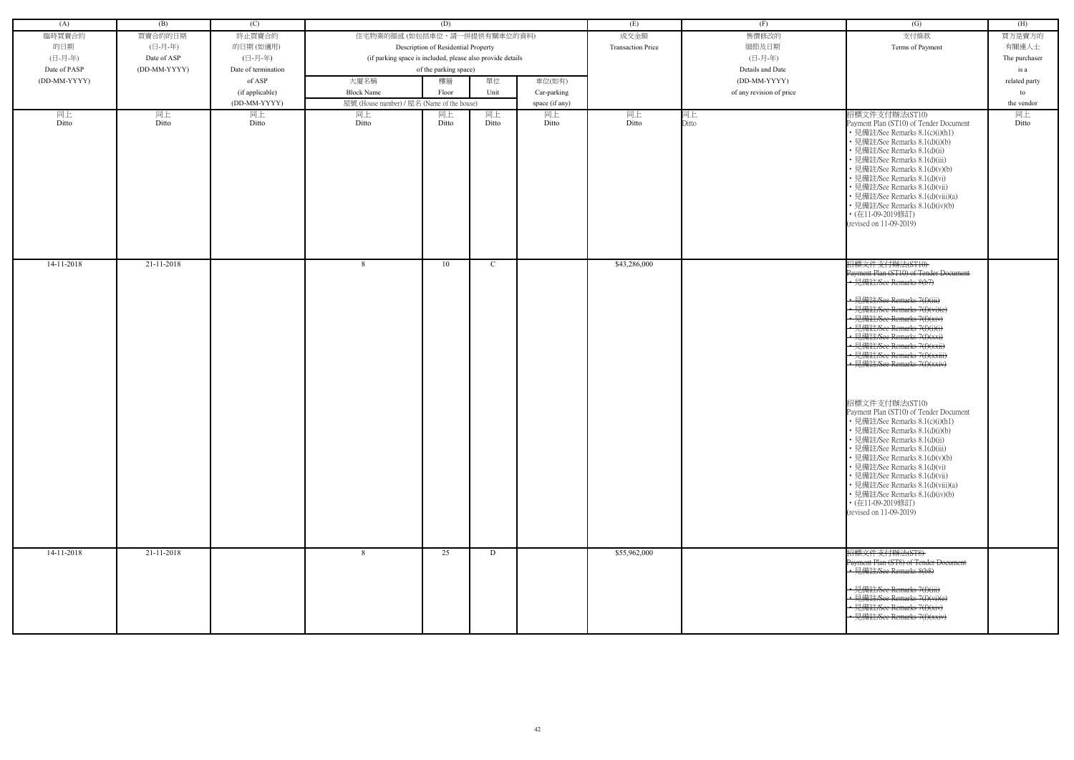| (A)          | (B)          | (C)                 |                                                            | (D)                                 |       |                | (E)                      | (F)                      | (G)                                                                                                                                                                                                                                                                                                                                                                                                                       | (H)           |
|--------------|--------------|---------------------|------------------------------------------------------------|-------------------------------------|-------|----------------|--------------------------|--------------------------|---------------------------------------------------------------------------------------------------------------------------------------------------------------------------------------------------------------------------------------------------------------------------------------------------------------------------------------------------------------------------------------------------------------------------|---------------|
| 臨時買賣合約       | 買賣合約的日期      | 終止買賣合約              | 住宅物業的描述 (如包括車位,請一併提供有關車位的資料)                               |                                     |       |                | 成交金額                     | 售價修改的                    | 支付條款                                                                                                                                                                                                                                                                                                                                                                                                                      | 買方是賣方的        |
| 的日期          | (日-月-年)      | 的日期(如適用)            |                                                            | Description of Residential Property |       |                | <b>Transaction Price</b> | 細節及日期                    | Terms of Payment                                                                                                                                                                                                                                                                                                                                                                                                          | 有關連人士         |
| (日-月-年)      | Date of ASP  | (日-月-年)             | (if parking space is included, please also provide details |                                     |       |                |                          | (日-月-年)                  |                                                                                                                                                                                                                                                                                                                                                                                                                           | The purchaser |
| Date of PASP | (DD-MM-YYYY) | Date of termination |                                                            | of the parking space)               |       |                |                          | Details and Date         |                                                                                                                                                                                                                                                                                                                                                                                                                           | is a          |
| (DD-MM-YYYY) |              | of ASP              | 大廈名稱                                                       | 樓層                                  | 單位    | 車位(如有)         |                          | (DD-MM-YYYY)             |                                                                                                                                                                                                                                                                                                                                                                                                                           | related party |
|              |              | (if applicable)     | <b>Block Name</b>                                          | Floor                               | Unit  | Car-parking    |                          | of any revision of price |                                                                                                                                                                                                                                                                                                                                                                                                                           | to            |
|              |              | (DD-MM-YYYY)        | 屋號 (House number) / 屋名 (Name of the house)                 |                                     |       | space (if any) |                          |                          |                                                                                                                                                                                                                                                                                                                                                                                                                           | the vendor    |
| 同上           | 同上           | 同上                  | 同上                                                         | 同上                                  | 同上    | 同上             | 同上                       | 同上                       | 招標文件支付辦法(ST10)                                                                                                                                                                                                                                                                                                                                                                                                            | 同上            |
| Ditto        | Ditto        | Ditto               | Ditto                                                      | Ditto                               | Ditto | Ditto          | Ditto                    | Ditto                    | Payment Plan (ST10) of Tender Document<br>• 見備註/See Remarks 8.1(c)(i)(h1)<br>· 見備註/See Remarks 8.1(d)(i)(b)<br>• 見備註/See Remarks 8.1(d)(ii)<br>• 見備註/See Remarks 8.1(d)(iii)<br>· 見備註/See Remarks 8.1(d)(v)(b)<br>• 見備註/See Remarks 8.1(d)(vi)<br>· 見備註/See Remarks 8.1(d)(vii)<br>· 見備註/See Remarks 8.1(d)(viii)(a)<br>• 見備註/See Remarks 8.1(d)(iv)(b)<br>• (在11-09-2019修訂)<br>(revised on 11-09-2019)                   | Ditto         |
| 14-11-2018   | 21-11-2018   |                     | 8                                                          | 10                                  | C     |                | \$43,286,000             |                          | 招標文件支付辦法(ST10)<br>Payment Plan (ST10) of Tender Document<br>• 見備註/See Remarks 8(b7)<br>• 見備註/See Remarks 7(f)(iii)<br>• 見備註/See Remarks 7(f)(vi)(e)                                                                                                                                                                                                                                                                       |               |
|              |              |                     |                                                            |                                     |       |                |                          |                          | • 見備註/See Remarks 7(f)(xiv)<br>• 見備註/See Remarks 7(f)(i)(i)<br>• 見備註/See Remarks 7(f)(xxi)<br>• 見備註/See Remarks 7(f)(xxii)<br>· 見備註/See Remarks 7(f)(xxiii)<br>· 見備註/See Remarks 7(f)(xxiv)                                                                                                                                                                                                                               |               |
|              |              |                     |                                                            |                                     |       |                |                          |                          | 招標文件支付辦法(ST10)<br>Payment Plan (ST10) of Tender Document<br>• 見備註/See Remarks 8.1(c)(i)(h1)<br>• 見備註/See Remarks 8.1(d)(i)(b)<br>• 見備註/See Remarks 8.1(d)(ii)<br>• 見備註/See Remarks 8.1(d)(iii)<br>· 見備註/See Remarks 8.1(d)(v)(b)<br>• 見備註/See Remarks 8.1(d)(vi)<br>• 見備註/See Remarks 8.1(d)(vii)<br>• 見備註/See Remarks 8.1(d)(viii)(a)<br>• 見備註/See Remarks 8.1(d)(iv)(b)<br>• (在11-09-2019修訂)<br>(revised on 11-09-2019) |               |
| $14-11-2018$ | 21-11-2018   |                     | $\mathcal{R}$                                              | 25                                  | D     |                | \$55,962,000             |                          | 招標文件支付辦法(ST8)<br>Payment Plan (ST8) of Tender Document<br>· 見備註/See Remarks 8(b8)<br>· 見備註/See Remarks 7(f)(iii)<br>·見備註/See Remarks 7(f)(vi)(e)<br>· 見備註/See Remarks 7(f)(xiv)<br>• 見備註/See Remarks 7(f)(xxiv)                                                                                                                                                                                                           |               |
|              |              |                     |                                                            |                                     |       |                |                          |                          |                                                                                                                                                                                                                                                                                                                                                                                                                           |               |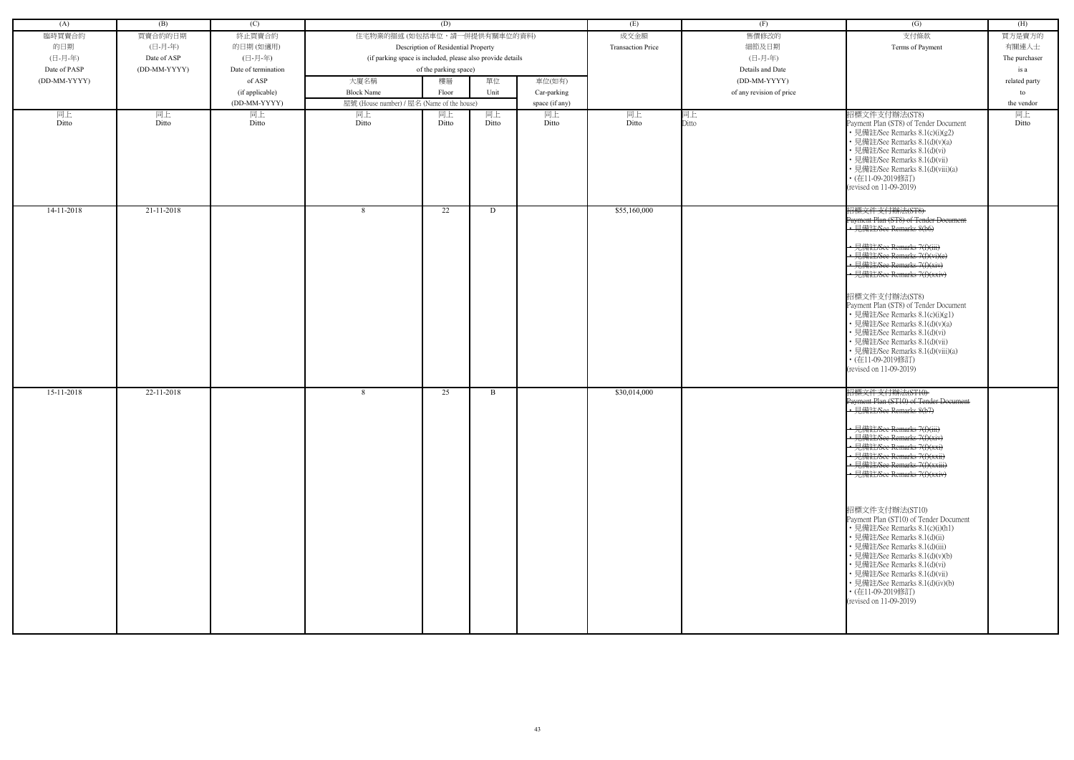| (A)          | (B)          | (C)                 |                                                            | (D)                                 |             |                | (E)                      | (F)                      | (G)                                                                                                                                                                                                                                                                                                                                                                                                                                                                                                                                                                                                                                   | (H)           |
|--------------|--------------|---------------------|------------------------------------------------------------|-------------------------------------|-------------|----------------|--------------------------|--------------------------|---------------------------------------------------------------------------------------------------------------------------------------------------------------------------------------------------------------------------------------------------------------------------------------------------------------------------------------------------------------------------------------------------------------------------------------------------------------------------------------------------------------------------------------------------------------------------------------------------------------------------------------|---------------|
| 臨時買賣合約       | 買賣合約的日期      | 終止買賣合約              | 住宅物業的描述 (如包括車位,請一併提供有關車位的資料)                               |                                     |             | 成交金額           | 售價修改的                    | 支付條款                     | 買方是賣方的                                                                                                                                                                                                                                                                                                                                                                                                                                                                                                                                                                                                                                |               |
| 的日期          | (日-月-年)      | 的日期(如適用)            |                                                            | Description of Residential Property |             |                | <b>Transaction Price</b> | 細節及日期                    | Terms of Payment                                                                                                                                                                                                                                                                                                                                                                                                                                                                                                                                                                                                                      | 有關連人士         |
| (日-月-年)      | Date of ASP  | (日-月-年)             | (if parking space is included, please also provide details |                                     |             |                |                          | (日-月-年)                  |                                                                                                                                                                                                                                                                                                                                                                                                                                                                                                                                                                                                                                       | The purchaser |
| Date of PASP | (DD-MM-YYYY) | Date of termination |                                                            | of the parking space)               |             |                |                          | Details and Date         |                                                                                                                                                                                                                                                                                                                                                                                                                                                                                                                                                                                                                                       | is a          |
| (DD-MM-YYYY) |              | of ASP              | 大廈名稱                                                       | 樓層                                  | 單位          | 車位(如有)         |                          | (DD-MM-YYYY)             |                                                                                                                                                                                                                                                                                                                                                                                                                                                                                                                                                                                                                                       | related party |
|              |              | (if applicable)     | <b>Block Name</b>                                          | Floor                               | Unit        | Car-parking    |                          | of any revision of price |                                                                                                                                                                                                                                                                                                                                                                                                                                                                                                                                                                                                                                       | to            |
|              |              | (DD-MM-YYYY)        | 屋號 (House number) / 屋名 (Name of the house)                 |                                     |             | space (if any) |                          |                          |                                                                                                                                                                                                                                                                                                                                                                                                                                                                                                                                                                                                                                       | the vendor    |
| 同上<br>Ditto  | 同上<br>Ditto  | 同上<br>Ditto         | 同上<br>Ditto                                                | 同上<br>Ditto                         | 同上<br>Ditto | 同上<br>Ditto    | 同上<br>Ditto              | 同上<br>Ditto              | 招標文件支付辦法(ST8)<br>Payment Plan (ST8) of Tender Document<br>• 見備註/See Remarks 8.1(c)(i)(g2)<br>• 見備註/See Remarks 8.1(d)(v)(a)<br>• 見備註/See Remarks 8.1(d)(vi)<br>• 見備註/See Remarks 8.1(d)(vii)<br>• 見備註/See Remarks 8.1(d)(viii)(a)<br>• (在11-09-2019修訂)<br>(revised on 11-09-2019)                                                                                                                                                                                                                                                                                                                                                     | 同上<br>Ditto   |
| $14-11-2018$ | 21-11-2018   |                     | 8                                                          | 22                                  | D           |                | \$55,160,000             |                          | 招標文件支付辦法(ST8)<br>Payment Plan (ST8) of Tender Document<br>• 見備註/See Remarks 8(b6)<br>• 見備註/See Remarks 7(f)(iii)<br>• 見備註/See Remarks 7(f)(vi)(e)<br>• 見備註/See Remarks 7(f)(xiv)<br>· 見備註/See Remarks 7(f)(xxiv)<br>招標文件支付辦法(ST8)<br>Payment Plan (ST8) of Tender Document<br>• 見備註/See Remarks 8.1(c)(i)(g1)<br>• 見備註/See Remarks 8.1(d)(v)(a)<br>• 見備註/See Remarks 8.1(d)(vi)<br>· 見備註/See Remarks 8.1(d)(vii)<br>• 見備註/See Remarks 8.1(d)(viii)(a)<br>• (在11-09-2019修訂)<br>(revised on 11-09-2019)                                                                                                                                 |               |
| 15-11-2018   | 22-11-2018   |                     | -8                                                         | 25                                  | B           |                | \$30,014,000             |                          | 招標文件支付辦法(ST10)<br>Payment Plan (ST10) of Tender Document<br>• 見備註/See Remarks 8(b7)<br>• 見備註/See Remarks 7(f)(iii)<br>• 見備註/See Remarks 7(f)(xiv<br>• 見備註/See Remarks 7(f)(xx<br>• 見備註/See Remarks 7(f)(xxii)<br>• 見備註/See Remarks 7(f)(xxiii)<br>• 見備註/See Remarks $7(f)(xxi)$<br>招標文件支付辦法(ST10)<br>Payment Plan (ST10) of Tender Document<br>• 見備註/See Remarks 8.1(c)(i)(h1)<br>• 見備註/See Remarks 8.1(d)(ii)<br>• 見備註/See Remarks 8.1(d)(iii)<br>• 見備註/See Remarks 8.1(d)(v)(b)<br>• 見備註/See Remarks 8.1(d)(vi)<br>• 見備註/See Remarks 8.1(d)(vii)<br>• 見備註/See Remarks 8.1(d)(iv)(b)<br>• (在11-09-2019修訂)<br>(revised on 11-09-2019) |               |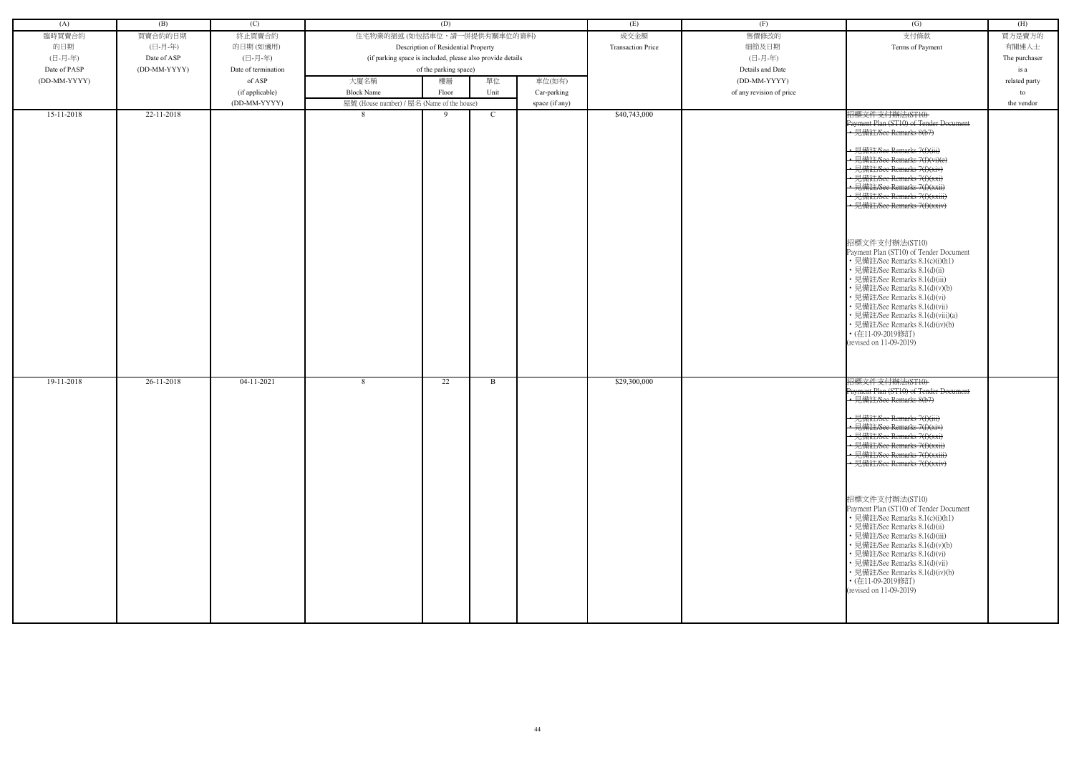| (A)          | (B)          | (C)                 |                                                            | (D)                                 |             |                | (E)                      | (F)                      | $\overline{(G)}$                                                                                                                                                                                                                                                                                                                                                                                                                                                                                                                                                                                                                                                                                              | (H)           |
|--------------|--------------|---------------------|------------------------------------------------------------|-------------------------------------|-------------|----------------|--------------------------|--------------------------|---------------------------------------------------------------------------------------------------------------------------------------------------------------------------------------------------------------------------------------------------------------------------------------------------------------------------------------------------------------------------------------------------------------------------------------------------------------------------------------------------------------------------------------------------------------------------------------------------------------------------------------------------------------------------------------------------------------|---------------|
| 臨時買賣合約       | 買賣合約的日期      | 終止買賣合約              | 住宅物業的描述 (如包括車位,請一併提供有關車位的資料)                               |                                     |             |                | 成交金額                     | 售價修改的                    | 支付條款                                                                                                                                                                                                                                                                                                                                                                                                                                                                                                                                                                                                                                                                                                          | 買方是賣方的        |
| 的日期          | (日-月-年)      | 的日期(如適用)            |                                                            | Description of Residential Property |             |                | <b>Transaction Price</b> | 細節及日期                    | Terms of Payment                                                                                                                                                                                                                                                                                                                                                                                                                                                                                                                                                                                                                                                                                              | 有關連人士         |
| (日-月-年)      | Date of ASP  | (日-月-年)             | (if parking space is included, please also provide details |                                     |             |                |                          | (日-月-年)                  |                                                                                                                                                                                                                                                                                                                                                                                                                                                                                                                                                                                                                                                                                                               | The purchaser |
| Date of PASP | (DD-MM-YYYY) | Date of termination |                                                            | of the parking space)               |             |                |                          | Details and Date         |                                                                                                                                                                                                                                                                                                                                                                                                                                                                                                                                                                                                                                                                                                               | is a          |
| (DD-MM-YYYY) |              | of ASP              | 大廈名稱                                                       | 樓層                                  | 單位          | 車位(如有)         |                          | (DD-MM-YYYY)             |                                                                                                                                                                                                                                                                                                                                                                                                                                                                                                                                                                                                                                                                                                               | related party |
|              |              | (if applicable)     | <b>Block Name</b>                                          | Floor                               | Unit        | Car-parking    |                          | of any revision of price |                                                                                                                                                                                                                                                                                                                                                                                                                                                                                                                                                                                                                                                                                                               | to            |
|              |              | (DD-MM-YYYY)        | 屋號 (House number) / 屋名 (Name of the house)                 |                                     |             | space (if any) |                          |                          |                                                                                                                                                                                                                                                                                                                                                                                                                                                                                                                                                                                                                                                                                                               | the vendor    |
| 15-11-2018   | 22-11-2018   |                     | 8                                                          | 9                                   | $\mathbf C$ |                | \$40,743,000             |                          | 招標文件支付辦法(ST10)<br>Payment Plan (ST10) of Tender Document<br>· 見備註/See Remarks 8(b7)<br>• 見備註/See Remarks 7(f)(iii)<br>• 見備註/See Remarks 7(f)(vi)(e)<br>• 見備註/See Remarks 7(f)(xiv)<br>• 見備註/See Remarks 7(f)(xxi)<br>• 見備註/See Remarks 7(f)(xxii)<br>• 見備註/See Remarks 7(f)(xxiii)<br>• 見備註/See Remarks 7(f)(xxiv)<br>招標文件支付辦法(ST10)<br>Payment Plan (ST10) of Tender Document<br>• 見備註/See Remarks 8.1(c)(i)(h1)<br>• 見備註/See Remarks 8.1(d)(ii)<br>• 見備註/See Remarks 8.1(d)(iii)<br>• 見備註/See Remarks 8.1(d)(v)(b)<br>• 見備註/See Remarks 8.1(d)(vi)<br>• 見備註/See Remarks 8.1(d)(vii)<br>• 見備註/See Remarks 8.1(d)(viii)(a)<br>• 見備註/See Remarks 8.1(d)(iv)(b)<br>• (在11-09-2019修訂)<br>(revised on 11-09-2019) |               |
| 19-11-2018   | 26-11-2018   | $04-11-2021$        | 8                                                          | 22                                  | B           |                | \$29,300,000             |                          | 招標文件支付辦法(ST10)<br>Payment Plan (ST10) of Tender Document<br>• 見備註/See Remarks 8(b7)<br>• 見備註/See Remarks 7(f)(iii)<br>• 見備註/See Remarks 7(f)(xiv)<br>• 見備註/See Remarks $7(f)(xx)$<br>• 見備註/See Remarks 7(f)(xxii)<br>• 見備註/See Remarks 7(f)(xxiii)<br>• 見備註/See Remarks 7(f)(xxiv)<br>招標文件支付辦法(ST10)<br>Payment Plan (ST10) of Tender Document<br>• 見備註/See Remarks 8.1(c)(i)(h1)<br>• 見備註/See Remarks 8.1(d)(ii)<br>• 見備註/See Remarks 8.1(d)(iii)<br>• 見備註/See Remarks 8.1(d)(v)(b)<br>• 見備註/See Remarks 8.1(d)(vi)<br>• 見備註/See Remarks 8.1(d)(vii)<br>• 見備註/See Remarks 8.1(d)(iv)(b)<br>• (在11-09-2019修訂)<br>(revised on 11-09-2019)                                                                      |               |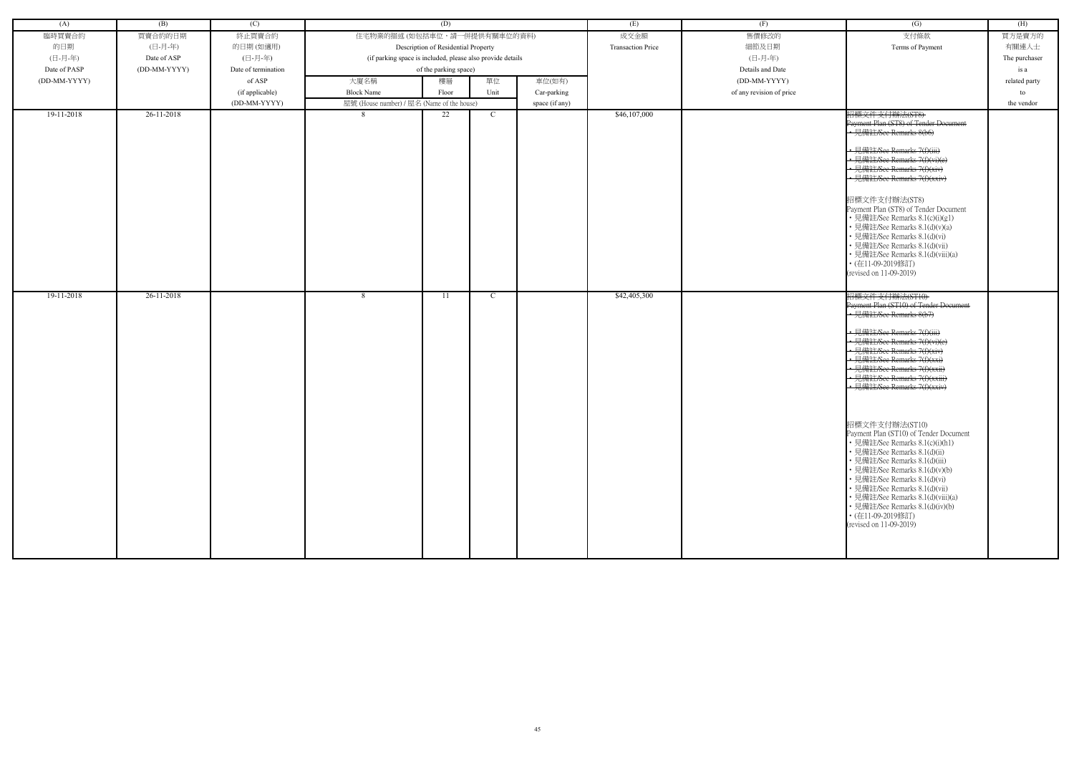| (A)          | (B)          | (C)                 |                                                            | (D)                                 |      |                | (E)                      | (F)                      | $\overline{(G)}$                                                                                                                                                                                                                                                                                                                                                                                                                                                                                                                                                                                                                                                                                                                         | (H)           |
|--------------|--------------|---------------------|------------------------------------------------------------|-------------------------------------|------|----------------|--------------------------|--------------------------|------------------------------------------------------------------------------------------------------------------------------------------------------------------------------------------------------------------------------------------------------------------------------------------------------------------------------------------------------------------------------------------------------------------------------------------------------------------------------------------------------------------------------------------------------------------------------------------------------------------------------------------------------------------------------------------------------------------------------------------|---------------|
| 臨時買賣合約       | 買賣合約的日期      | 終止買賣合約              | 住宅物業的描述 (如包括車位,請一併提供有關車位的資料)                               |                                     |      |                | 成交金額                     | 售價修改的                    | 支付條款                                                                                                                                                                                                                                                                                                                                                                                                                                                                                                                                                                                                                                                                                                                                     | 買方是賣方的        |
| 的日期          | (日-月-年)      | 的日期(如適用)            |                                                            | Description of Residential Property |      |                | <b>Transaction Price</b> | 細節及日期                    | Terms of Payment                                                                                                                                                                                                                                                                                                                                                                                                                                                                                                                                                                                                                                                                                                                         | 有關連人士         |
| (日-月-年)      | Date of ASP  | (日-月-年)             | (if parking space is included, please also provide details |                                     |      |                |                          | (日-月-年)                  |                                                                                                                                                                                                                                                                                                                                                                                                                                                                                                                                                                                                                                                                                                                                          | The purchaser |
| Date of PASP | (DD-MM-YYYY) | Date of termination |                                                            | of the parking space)               |      |                |                          | Details and Date         |                                                                                                                                                                                                                                                                                                                                                                                                                                                                                                                                                                                                                                                                                                                                          | is a          |
| (DD-MM-YYYY) |              | of ASP              | 大廈名稱                                                       | 樓層                                  | 單位   | 車位(如有)         |                          | (DD-MM-YYYY)             |                                                                                                                                                                                                                                                                                                                                                                                                                                                                                                                                                                                                                                                                                                                                          | related party |
|              |              | (if applicable)     | <b>Block Name</b>                                          | Floor                               | Unit | Car-parking    |                          | of any revision of price |                                                                                                                                                                                                                                                                                                                                                                                                                                                                                                                                                                                                                                                                                                                                          | to            |
|              |              | (DD-MM-YYYY)        | 屋號 (House number) / 屋名 (Name of the house)                 |                                     |      | space (if any) |                          |                          |                                                                                                                                                                                                                                                                                                                                                                                                                                                                                                                                                                                                                                                                                                                                          | the vendor    |
| 19-11-2018   | 26-11-2018   |                     | 8                                                          | 22                                  | C    |                | \$46,107,000             |                          | 招標文件支付辦法(ST8)<br>Payment Plan (ST8) of Tender Document<br>• 見備註/See Remarks 8(b6)<br>• 見備註/See Remarks 7(f)(iii)<br>• 見備註/See Remarks 7(f)(vi)(e)<br>• 見備註/See Remarks 7(f)(xiv)<br>• 見備註/See Remarks 7(f)(xxiv)<br>招標文件支付辦法(ST8)<br>Payment Plan (ST8) of Tender Document<br>• 見備註/See Remarks 8.1(c)(i)(g1)<br>• 見備註/See Remarks 8.1(d)(v)(a)<br>• 見備註/See Remarks 8.1(d)(vi)<br>· 見備註/See Remarks 8.1(d)(vii)<br>• 見備註/See Remarks 8.1(d)(viii)(a)<br>• (在11-09-2019修訂)                                                                                                                                                                                                                                                               |               |
| 19-11-2018   | 26-11-2018   |                     | 8                                                          | 11                                  | C    |                | \$42,405,300             |                          | (revised on 11-09-2019)<br>招標文件支付辦法(ST10)<br>Payment Plan (ST10) of Tender Document<br>• 見備註/See Remarks 8(b7)<br>• 見備註/See Remarks 7(f)(iii)<br>• 見備註/See Remarks 7(f)(vi)(e)<br>• 見備註/See Remarks 7(f)(xiv)<br>• 見備註/See Remarks 7(f)(xxi)<br>• 見備註/See Remarks 7(f)(xxii)<br>· 見備註/See Remarks 7(f)(xxiii)<br>· 見備註/See Remarks 7(f)(xxiv)<br>招標文件支付辦法(ST10)<br>Payment Plan (ST10) of Tender Document<br>• 見備註/See Remarks 8.1(c)(i)(h1)<br>• 見備註/See Remarks 8.1(d)(ii)<br>• 見備註/See Remarks 8.1(d)(iii)<br>• 見備註/See Remarks 8.1(d)(v)(b)<br>• 見備註/See Remarks 8.1(d)(vi)<br>• 見備註/See Remarks 8.1(d)(vii)<br>• 見備註/See Remarks 8.1(d)(viii)(a)<br>• 見備註/See Remarks 8.1(d)(iv)(b)<br>• (在11-09-2019修訂)<br>(revised on 11-09-2019) |               |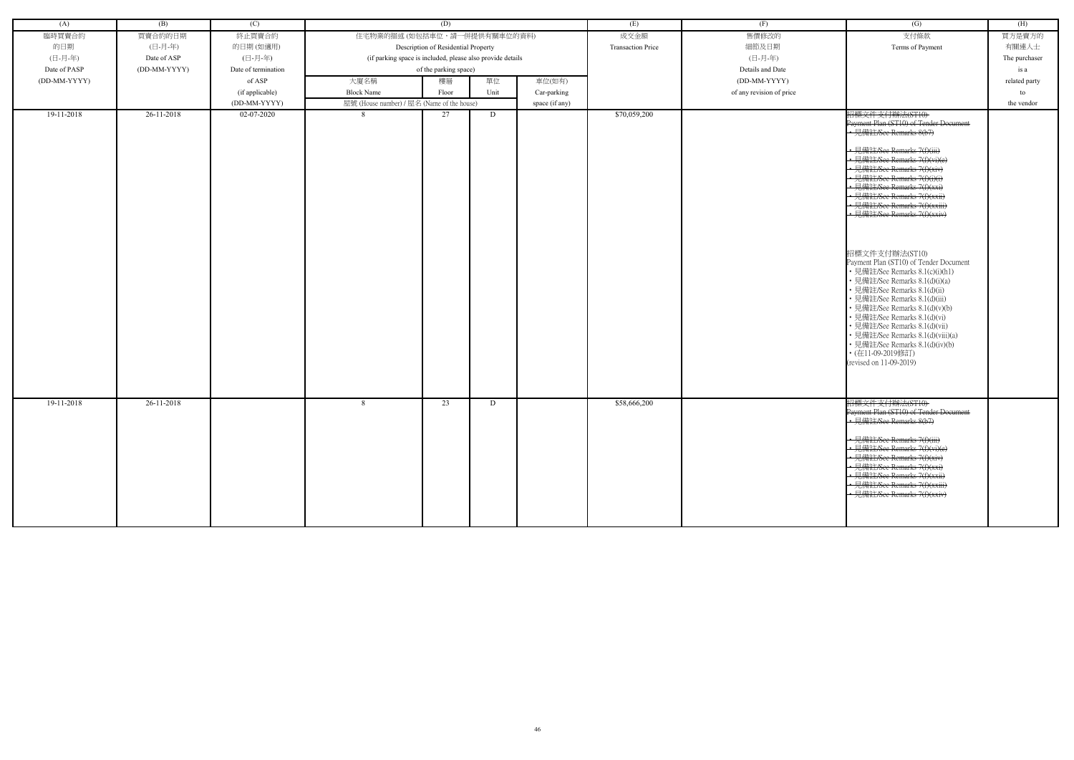| (A)          | (B)          | (C)                 | (D)                                                        |                                     |      | (E)            | (F)                      | (G)                      | (H)                                                                                                                                                                                                                                                                                                                                                                                                                       |               |
|--------------|--------------|---------------------|------------------------------------------------------------|-------------------------------------|------|----------------|--------------------------|--------------------------|---------------------------------------------------------------------------------------------------------------------------------------------------------------------------------------------------------------------------------------------------------------------------------------------------------------------------------------------------------------------------------------------------------------------------|---------------|
| 臨時買賣合約       | 買賣合約的日期      | 終止買賣合約              | 住宅物業的描述 (如包括車位,請一併提供有關車位的資料)                               |                                     |      | 成交金額           | 售價修改的                    | 支付條款                     | 買方是賣方的                                                                                                                                                                                                                                                                                                                                                                                                                    |               |
| 的日期          | (日-月-年)      | 的日期(如適用)            |                                                            | Description of Residential Property |      |                | <b>Transaction Price</b> | 細節及日期                    | Terms of Payment                                                                                                                                                                                                                                                                                                                                                                                                          | 有關連人士         |
| (日-月-年)      | Date of ASP  | (日-月-年)             | (if parking space is included, please also provide details |                                     |      |                |                          | (日-月-年)                  |                                                                                                                                                                                                                                                                                                                                                                                                                           | The purchaser |
| Date of PASP | (DD-MM-YYYY) | Date of termination |                                                            | of the parking space)               |      |                |                          | Details and Date         |                                                                                                                                                                                                                                                                                                                                                                                                                           | is a          |
| (DD-MM-YYYY) |              | of ASP              |                                                            | 單位<br>車位(如有)<br>大廈名稱<br>樓層          |      |                |                          | (DD-MM-YYYY)             |                                                                                                                                                                                                                                                                                                                                                                                                                           | related party |
|              |              | (if applicable)     | <b>Block Name</b>                                          | Floor                               | Unit | Car-parking    |                          | of any revision of price |                                                                                                                                                                                                                                                                                                                                                                                                                           | to            |
|              |              | (DD-MM-YYYY)        | 屋號 (House number) / 屋名 (Name of the house)                 |                                     |      | space (if any) |                          |                          |                                                                                                                                                                                                                                                                                                                                                                                                                           | the vendor    |
| 19-11-2018   | 26-11-2018   | 02-07-2020          | -8                                                         | 27                                  | D    |                | \$70,059,200             |                          | 招標文件支付辦法(ST10)<br>Payment Plan (ST10) of Tender Document<br>• 見備註/See Remarks 8(b7)<br>· 見備註/See Remarks 7(f)(iii)<br>• 見備註/See Remarks 7(f)(vi)(e)<br>• 見備註/See Remarks 7(f)(xiv)<br>• 見備註/See Remarks 7(f)(i)(i)<br>• 見備註/See Remarks 7(f)(xxi)<br>見備註/See Remarks 7(f)(xxii)<br>• 見備註/See Remarks 7(f)(xxiii)<br>- 見備註/See Remarks 7(f)(xxiv)                                                                          |               |
|              |              |                     |                                                            |                                     |      |                |                          |                          | 招標文件支付辦法(ST10)<br>Payment Plan (ST10) of Tender Document<br>• 見備註/See Remarks 8.1(c)(i)(h1)<br>• 見備註/See Remarks 8.1(d)(i)(a)<br>• 見備註/See Remarks 8.1(d)(ii)<br>· 見備註/See Remarks 8.1(d)(iii)<br>• 見備註/See Remarks 8.1(d)(v)(b)<br>• 見備註/See Remarks 8.1(d)(vi)<br>• 見備註/See Remarks 8.1(d)(vii)<br>• 見備註/See Remarks 8.1(d)(viii)(a)<br>• 見備註/See Remarks 8.1(d)(iv)(b)<br>• (在11-09-2019修訂)<br>(revised on 11-09-2019) |               |
| 19-11-2018   | 26-11-2018   |                     | 8                                                          | 23                                  | D    |                | \$58,666,200             |                          | 招標文件支付辦法(ST10)<br>Payment Plan (ST10) of Tender Document<br>• 見備註/See Remarks 8(b7)<br>· 見備註/See Remarks 7(f)(iii)<br>• 見備註/See Remarks 7(f)(vi)(e)<br>見備註/See Remarks 7(f)(xiv)<br>• 見備註/See Remarks 7(f)(xxi)<br>• 見備註/See Remarks 7(f)(xxii)<br>見備註/See Remarks 7(f)(xxiii)<br>· 見備註/See Remarks 7(f)(xxiv)                                                                                                            |               |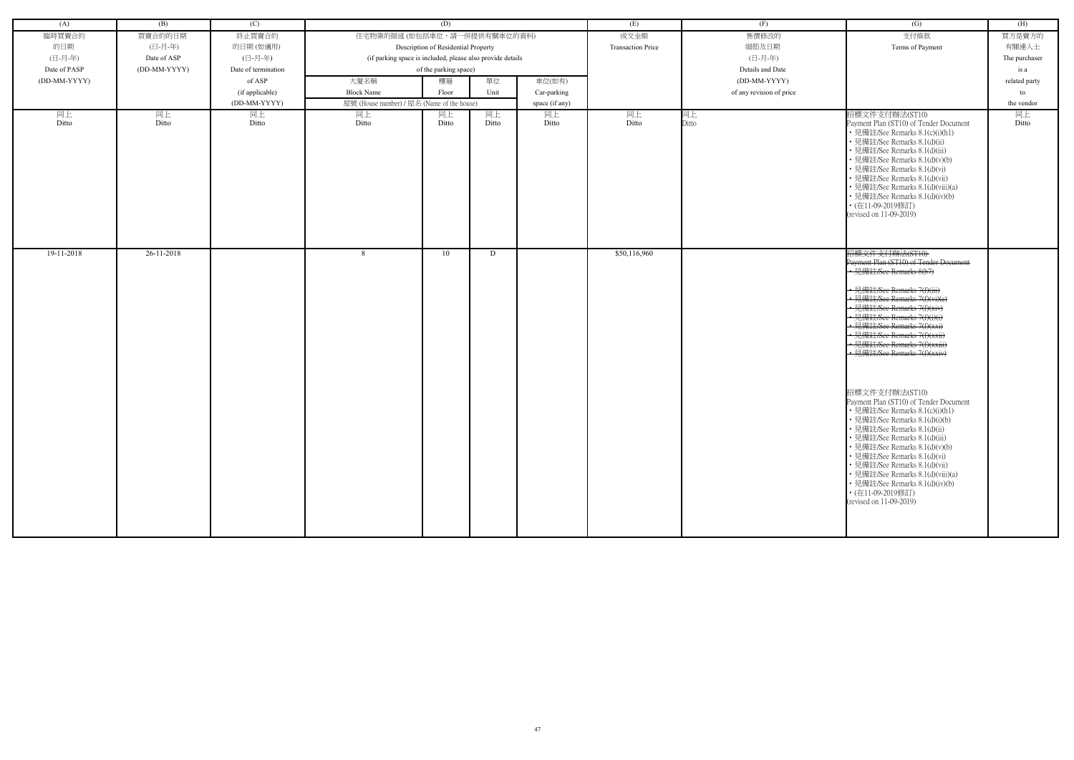| (A)          | (B)          | (C)                 |                                                            | (D)                                 |       |                | (E)                      | (F)                      | (G)                                                                                                                                                                                                                                                                                                                                                                                                                                                                                                                                                                                                                                                                                                                                                                            | (H)           |
|--------------|--------------|---------------------|------------------------------------------------------------|-------------------------------------|-------|----------------|--------------------------|--------------------------|--------------------------------------------------------------------------------------------------------------------------------------------------------------------------------------------------------------------------------------------------------------------------------------------------------------------------------------------------------------------------------------------------------------------------------------------------------------------------------------------------------------------------------------------------------------------------------------------------------------------------------------------------------------------------------------------------------------------------------------------------------------------------------|---------------|
| 臨時買賣合約       | 買賣合約的日期      | 終止買賣合約              | 住宅物業的描述 (如包括車位,請一併提供有關車位的資料)                               |                                     |       |                | 成交金額                     | 售價修改的                    | 支付條款                                                                                                                                                                                                                                                                                                                                                                                                                                                                                                                                                                                                                                                                                                                                                                           | 買方是賣方的        |
| 的日期          | (日-月-年)      | 的日期(如適用)            |                                                            | Description of Residential Property |       |                | <b>Transaction Price</b> | 細節及日期                    | Terms of Payment                                                                                                                                                                                                                                                                                                                                                                                                                                                                                                                                                                                                                                                                                                                                                               | 有關連人士         |
| (日-月-年)      | Date of ASP  | (日-月-年)             | (if parking space is included, please also provide details |                                     |       |                |                          | (日-月-年)                  |                                                                                                                                                                                                                                                                                                                                                                                                                                                                                                                                                                                                                                                                                                                                                                                | The purchaser |
| Date of PASP | (DD-MM-YYYY) | Date of termination |                                                            | of the parking space)               |       |                |                          | Details and Date         |                                                                                                                                                                                                                                                                                                                                                                                                                                                                                                                                                                                                                                                                                                                                                                                | is a          |
| (DD-MM-YYYY) |              | of ASP              | 大廈名稱                                                       | 樓層                                  | 單位    | 車位(如有)         |                          | (DD-MM-YYYY)             |                                                                                                                                                                                                                                                                                                                                                                                                                                                                                                                                                                                                                                                                                                                                                                                | related party |
|              |              | (if applicable)     | <b>Block Name</b>                                          | Floor                               | Unit  | Car-parking    |                          | of any revision of price |                                                                                                                                                                                                                                                                                                                                                                                                                                                                                                                                                                                                                                                                                                                                                                                | to            |
|              |              | (DD-MM-YYYY)        | 屋號 (House number) / 屋名 (Name of the house)                 |                                     |       | space (if any) |                          |                          |                                                                                                                                                                                                                                                                                                                                                                                                                                                                                                                                                                                                                                                                                                                                                                                | the vendor    |
| 同上           | 同上           | 同上                  | 同上                                                         | 同上                                  | 同上    | 同上             | 同上                       | 同上                       | 招標文件支付辦法(ST10)                                                                                                                                                                                                                                                                                                                                                                                                                                                                                                                                                                                                                                                                                                                                                                 | 同上            |
| Ditto        | Ditto        | Ditto               | Ditto                                                      | Ditto                               | Ditto | Ditto          | Ditto                    | Ditto                    | Payment Plan (ST10) of Tender Document<br>• 見備註/See Remarks 8.1(c)(i)(h1)<br>• 見備註/See Remarks 8.1(d)(ii)<br>• 見備註/See Remarks 8.1(d)(iii)<br>· 見備註/See Remarks 8.1(d)(v)(b)<br>• 見備註/See Remarks 8.1(d)(vi)<br>• 見備註/See Remarks 8.1(d)(vii)<br>• 見備註/See Remarks 8.1(d)(viii)(a)<br>• 見備註/See Remarks 8.1(d)(iv)(b)<br>• (在11-09-2019修訂)<br>(revised on 11-09-2019)                                                                                                                                                                                                                                                                                                                                                                                                          | Ditto         |
| 19-11-2018   | 26-11-2018   |                     | 8                                                          | 10                                  | D     |                | \$50,116,960             |                          | 招標文件支付辦法(ST10)<br>Payment Plan (ST10) of Tender Document<br>•見備註/See Remarks 8(b7)<br>• 見備註/See Remarks 7(f)(iii)<br>• 見備註/See Remarks 7(f)(vi)(e)<br>• 見備註/See Remarks 7(f)(xiv)<br>• 見備註/See Remarks 7(f)(i)(i)<br>• 見備註/See Remarks 7(f)(xxi)<br>· 見備註/See Remarks 7(f)(xxii)<br>• 見備註/See Remarks 7(f)(xxiii)<br>• 見備註/See Remarks 7(f)(xxiv)<br>招標文件支付辦法(ST10)<br>Payment Plan (ST10) of Tender Document<br>• 見備註/See Remarks 8.1(c)(i)(h1)<br>· 見備註/See Remarks 8.1(d)(i)(b)<br>• 見備註/See Remarks 8.1(d)(ii)<br>• 見備註/See Remarks 8.1(d)(iii)<br>• 見備註/See Remarks 8.1(d)(v)(b)<br>• 見備註/See Remarks 8.1(d)(vi)<br>• 見備註/See Remarks 8.1(d)(vii)<br>• 見備註/See Remarks 8.1(d)(viii)(a)<br>• 見備註/See Remarks 8.1(d)(iv)(b)<br>• (在11-09-2019修訂)<br>(revised on 11-09-2019) |               |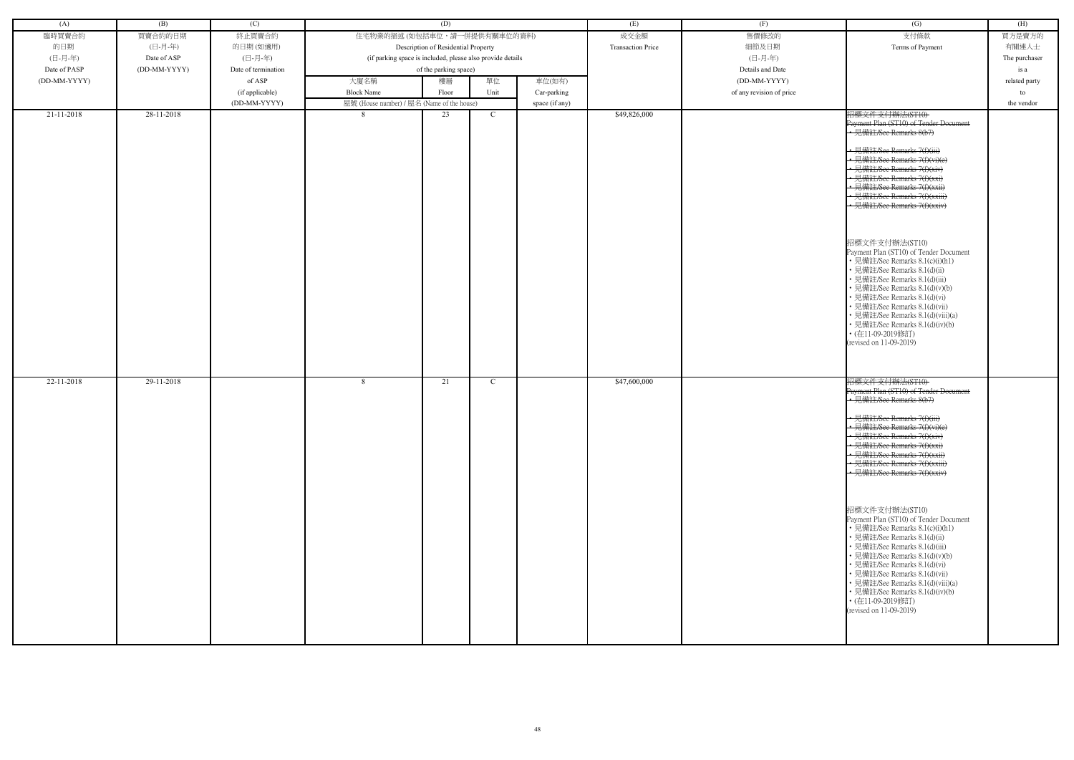| (A)          | (B)          | (C)                 |                                                            | (D)                                 |             |                | (E)                      | (F)                      | $\overline{(G)}$                                                                                                                                                                                                                                                                                                                                                                                                                                                                                                                                                                                                                                                                                              | (H)           |
|--------------|--------------|---------------------|------------------------------------------------------------|-------------------------------------|-------------|----------------|--------------------------|--------------------------|---------------------------------------------------------------------------------------------------------------------------------------------------------------------------------------------------------------------------------------------------------------------------------------------------------------------------------------------------------------------------------------------------------------------------------------------------------------------------------------------------------------------------------------------------------------------------------------------------------------------------------------------------------------------------------------------------------------|---------------|
| 臨時買賣合約       | 買賣合約的日期      | 終止買賣合約              | 住宅物業的描述 (如包括車位,請一併提供有關車位的資料)                               |                                     |             |                | 成交金額                     | 售價修改的                    | 支付條款                                                                                                                                                                                                                                                                                                                                                                                                                                                                                                                                                                                                                                                                                                          | 買方是賣方的        |
| 的日期          | (日-月-年)      | 的日期(如適用)            |                                                            | Description of Residential Property |             |                | <b>Transaction Price</b> | 細節及日期                    | Terms of Payment                                                                                                                                                                                                                                                                                                                                                                                                                                                                                                                                                                                                                                                                                              | 有關連人士         |
|              |              |                     |                                                            |                                     |             |                |                          |                          |                                                                                                                                                                                                                                                                                                                                                                                                                                                                                                                                                                                                                                                                                                               |               |
| (日-月-年)      | Date of ASP  | (日-月-年)             | (if parking space is included, please also provide details |                                     |             |                |                          | (日-月-年)                  |                                                                                                                                                                                                                                                                                                                                                                                                                                                                                                                                                                                                                                                                                                               | The purchaser |
| Date of PASP | (DD-MM-YYYY) | Date of termination |                                                            | of the parking space)               |             |                |                          | Details and Date         |                                                                                                                                                                                                                                                                                                                                                                                                                                                                                                                                                                                                                                                                                                               | is a          |
| (DD-MM-YYYY) |              | of ASP              | 大廈名稱                                                       | 樓層                                  | 單位          | 車位(如有)         |                          | (DD-MM-YYYY)             |                                                                                                                                                                                                                                                                                                                                                                                                                                                                                                                                                                                                                                                                                                               | related party |
|              |              | (if applicable)     | <b>Block Name</b>                                          | Floor                               | Unit        | Car-parking    |                          | of any revision of price |                                                                                                                                                                                                                                                                                                                                                                                                                                                                                                                                                                                                                                                                                                               | to            |
|              |              | (DD-MM-YYYY)        |                                                            |                                     |             |                |                          |                          |                                                                                                                                                                                                                                                                                                                                                                                                                                                                                                                                                                                                                                                                                                               | the vendor    |
|              |              |                     | 屋號 (House number) / 屋名 (Name of the house)                 |                                     |             | space (if any) |                          |                          |                                                                                                                                                                                                                                                                                                                                                                                                                                                                                                                                                                                                                                                                                                               |               |
| 21-11-2018   | 28-11-2018   |                     | 8                                                          | 23                                  | $\mathbf C$ |                | \$49,826,000             |                          | 招標文件支付辦法(ST10)<br>Payment Plan (ST10) of Tender Document<br>• 見備註/See Remarks 8(b7)<br>· 見備註/See Remarks 7(f)(iii)<br>• 見備註/See Remarks 7(f)(vi)(e)<br>見備註/See Remarks 7(f)(xiv)<br>• 見備註/See Remarks 7(f)(xxi)<br>見備註/See Remarks 7(f)(xxii)<br>· 見備註/See Remarks 7(f)(xxiii)<br>• 見備註/See Remarks 7(f)(xxiv)<br>招標文件支付辦法(ST10)<br>Payment Plan (ST10) of Tender Document<br>• 見備註/See Remarks 8.1(c)(i)(h1)<br>• 見備註/See Remarks 8.1(d)(ii)<br>見備註/See Remarks 8.1(d)(iii)<br>見備註/See Remarks 8.1(d)(v)(b)<br>見備註/See Remarks 8.1(d)(vi)<br>見備註/See Remarks 8.1(d)(vii)<br>見備註/See Remarks 8.1(d)(viii)(a)<br>• 見備註/See Remarks 8.1(d)(iv)(b)<br>• (在11-09-2019修訂)<br>(revised on 11-09-2019)               |               |
| 22-11-2018   | 29-11-2018   |                     | 8                                                          | 21                                  | C           |                | \$47,600,000             |                          | 招標文件支付辦法(ST10)<br>Payment Plan (ST10) of Tender Document<br>• 見備註/See Remarks 8(b7)<br>• 見備註/See Remarks 7(f)(iii)<br>• 見備註/See Remarks 7(f)(vi)(e)<br>• 見備註/See Remarks 7(f)(xiv)<br>· 見備註/See Remarks 7(f)(xxi)<br>• 見備註/See Remarks 7(f)(xxii)<br>• 見備註/See Remarks 7(f)(xxiii)<br>• 見備註/See Remarks 7(f)(xxiv)<br>招標文件支付辦法(ST10)<br>Payment Plan (ST10) of Tender Document<br>• 見備註/See Remarks 8.1(c)(i)(h1)<br>• 見備註/See Remarks 8.1(d)(ii)<br>· 見備註/See Remarks 8.1(d)(iii)<br>• 見備註/See Remarks 8.1(d)(v)(b)<br>• 見備註/See Remarks 8.1(d)(vi)<br>• 見備註/See Remarks 8.1(d)(vii)<br>• 見備註/See Remarks 8.1(d)(viii)(a)<br>• 見備註/See Remarks 8.1(d)(iv)(b)<br>• (在11-09-2019修訂)<br>(revised on 11-09-2019) |               |

| (G)                                                                                                                                                                                                                                                                                                                                                                                                                                                                                                                                                                                                               | (H)           |
|-------------------------------------------------------------------------------------------------------------------------------------------------------------------------------------------------------------------------------------------------------------------------------------------------------------------------------------------------------------------------------------------------------------------------------------------------------------------------------------------------------------------------------------------------------------------------------------------------------------------|---------------|
| 支付條款                                                                                                                                                                                                                                                                                                                                                                                                                                                                                                                                                                                                              | 買方是賣方的        |
| Terms of Payment                                                                                                                                                                                                                                                                                                                                                                                                                                                                                                                                                                                                  | 有關連人士         |
|                                                                                                                                                                                                                                                                                                                                                                                                                                                                                                                                                                                                                   | The purchaser |
|                                                                                                                                                                                                                                                                                                                                                                                                                                                                                                                                                                                                                   | is a          |
|                                                                                                                                                                                                                                                                                                                                                                                                                                                                                                                                                                                                                   | related party |
|                                                                                                                                                                                                                                                                                                                                                                                                                                                                                                                                                                                                                   | to            |
|                                                                                                                                                                                                                                                                                                                                                                                                                                                                                                                                                                                                                   | the vendor    |
| 招標文件支付辦法(ST10)<br>Payment Plan (ST10) of Tender Document<br>-見備註/See Remarks 8(b7)<br><del>詳社/See Remarks 7(f)(iii)</del><br>註/See Remarks 7(f)(xiv)<br><del>註/See Remarks 7(f)(xxi)</del><br><del>肯註/See Remarks 7(f)(xxii)</del><br><del>備註/See Remarks 7(f)(xxiii)</del><br>見備註/See Remarks 7(f)(xxiv)<br>招標文件支付辦法(ST10)<br>Payment Plan (ST10) of Tender Document<br>• 見備註/See Remarks 8.1(c)(i)(h1)<br>• 見備註/See Remarks 8.1(d)(ii)<br>• 見備註/See Remarks 8.1(d)(iii)<br>• 見備註/See Remarks 8.1(d)(v)(b)<br>• 見備註/See Remarks 8.1(d)(vi)<br>• 見備註/See Remarks 8.1(d)(vii)<br>• 見備註/See Remarks 8.1(d)(viii)(a) |               |
| • 見備註/See Remarks 8.1(d)(iv)(b)<br>・(在11-09-2019修訂)<br>(revised on 11-09-2019)                                                                                                                                                                                                                                                                                                                                                                                                                                                                                                                                    |               |
| 招標文件支付辦法(ST10)<br>Payment Plan (ST10) of Tender Doeument<br>見備註/See Remarks 8(b7)                                                                                                                                                                                                                                                                                                                                                                                                                                                                                                                                 |               |
| $H$ $H$ $\rightarrow$ $\rightarrow$ $H$<br><del>l.備註/See Remarks 7(f)(iii)</del><br>註/See Remarks 7(f)(vi)(e)<br>註/See Remarks 7(f)(xiv)<br><del>E/See Remarks 7(f)(xxi)</del><br><del>王/See Remarks 7(f)(xxii)</del><br><del>E/See Remarks 7(f)(xxiii)</del><br><del><b>靠註/See Remarks 7(f)(xxiv)</b></del>                                                                                                                                                                                                                                                                                                      |               |
| 招標文件支付辦法(ST10)<br>Payment Plan (ST10) of Tender Document<br>• 見備註/See Remarks 8.1(c)(i)(h1)<br>・見備註/See Remarks 8.1(d)(ii)<br>• 見備註/See Remarks 8.1(d)(iii)<br>• 見備註/See Remarks 8.1(d)(v)(b)<br>• 見備註/See Remarks 8.1(d)(vi)<br>• 見備註/See Remarks 8.1(d)(vii)<br>• 見備註/See Remarks 8.1(d)(viii)(a)<br>• 見備註/See Remarks 8.1(d)(iv)(b)<br>・(在11-09-2019修訂)<br>(revised on 11-09-2019)                                                                                                                                                                                                                             |               |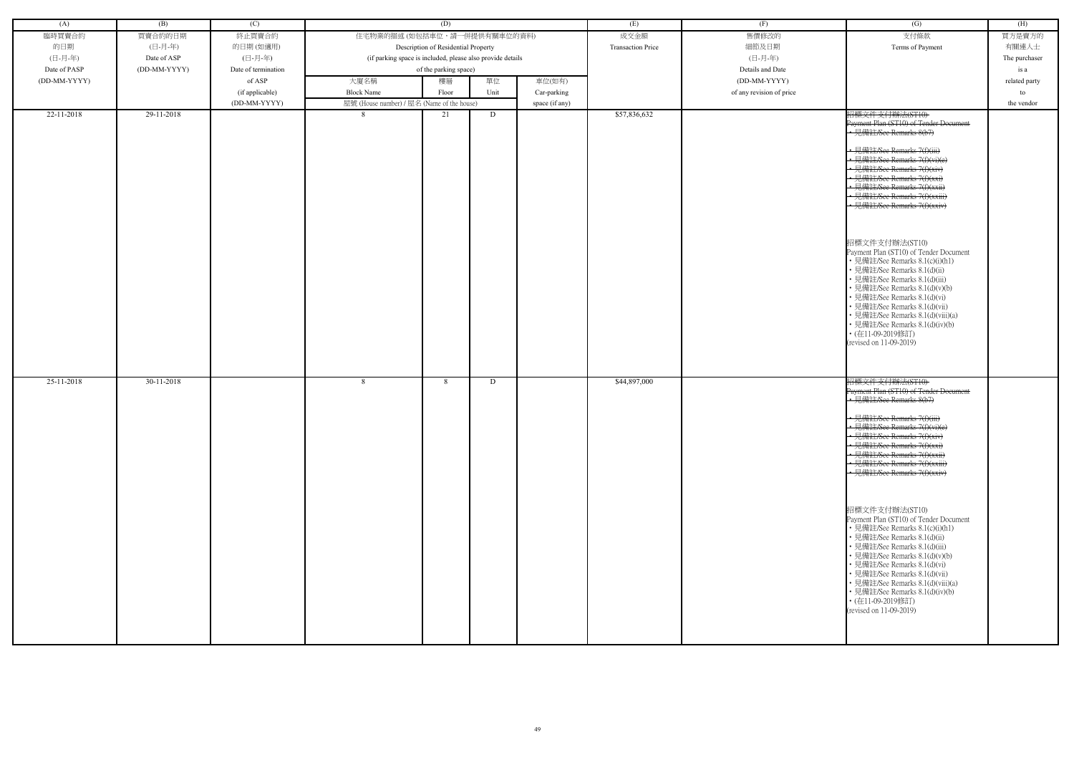| (A)          | (B)          | (C)                 |                                                            | (D)                                 |      |                | (E)                      | (F)                      | $\overline{(G)}$                                                                                                                                                                                                                                                                                                                                                                                                                                                                                                                                                                                                                                                                                             | (H)           |
|--------------|--------------|---------------------|------------------------------------------------------------|-------------------------------------|------|----------------|--------------------------|--------------------------|--------------------------------------------------------------------------------------------------------------------------------------------------------------------------------------------------------------------------------------------------------------------------------------------------------------------------------------------------------------------------------------------------------------------------------------------------------------------------------------------------------------------------------------------------------------------------------------------------------------------------------------------------------------------------------------------------------------|---------------|
| 臨時買賣合約       | 買賣合約的日期      | 終止買賣合約              | 住宅物業的描述 (如包括車位,請一併提供有關車位的資料)                               |                                     |      |                | 成交金額                     | 售價修改的                    | 支付條款                                                                                                                                                                                                                                                                                                                                                                                                                                                                                                                                                                                                                                                                                                         | 買方是賣方的        |
| 的日期          | (日-月-年)      | 的日期(如適用)            |                                                            | Description of Residential Property |      |                | <b>Transaction Price</b> | 細節及日期                    | Terms of Payment                                                                                                                                                                                                                                                                                                                                                                                                                                                                                                                                                                                                                                                                                             | 有關連人士         |
| (日-月-年)      | Date of ASP  | (日-月-年)             | (if parking space is included, please also provide details |                                     |      |                |                          | (日-月-年)                  |                                                                                                                                                                                                                                                                                                                                                                                                                                                                                                                                                                                                                                                                                                              | The purchaser |
| Date of PASP | (DD-MM-YYYY) | Date of termination |                                                            | of the parking space)               |      |                |                          | Details and Date         |                                                                                                                                                                                                                                                                                                                                                                                                                                                                                                                                                                                                                                                                                                              | is a          |
| (DD-MM-YYYY) |              | of ASP              | 大廈名稱                                                       | 樓層                                  | 單位   | 車位(如有)         |                          | (DD-MM-YYYY)             |                                                                                                                                                                                                                                                                                                                                                                                                                                                                                                                                                                                                                                                                                                              | related party |
|              |              |                     |                                                            |                                     |      |                |                          |                          |                                                                                                                                                                                                                                                                                                                                                                                                                                                                                                                                                                                                                                                                                                              |               |
|              |              | (if applicable)     | <b>Block Name</b>                                          | Floor                               | Unit | Car-parking    |                          | of any revision of price |                                                                                                                                                                                                                                                                                                                                                                                                                                                                                                                                                                                                                                                                                                              | to            |
|              |              | (DD-MM-YYYY)        | 屋號 (House number) / 屋名 (Name of the house)                 |                                     |      | space (if any) |                          |                          |                                                                                                                                                                                                                                                                                                                                                                                                                                                                                                                                                                                                                                                                                                              | the vendor    |
| 22-11-2018   | 29-11-2018   |                     | 8                                                          | 21                                  | D    |                | \$57,836,632             |                          | 招標文件支付辦法(ST10)<br>Payment Plan (ST10) of Tender Document<br>• 見備註/See Remarks 8(b7)<br>• 見備註/See Remarks 7(f)(iii)<br>• 見備註/See Remarks 7(f)(vi)(e)<br>見備註/See Remarks 7(f)(xiv)<br>· 見備註/See Remarks 7(f)(xxi)<br>見備註/See Remarks 7(f)(xxii)<br>• 見備註/See Remarks 7(f)(xxiii)<br>見備註/See Remarks 7(f)(xxiv)<br>招標文件支付辦法(ST10)<br>Payment Plan (ST10) of Tender Document<br>• 見備註/See Remarks 8.1(c)(i)(h1)<br>• 見備註/See Remarks 8.1(d)(ii)<br>見備註/See Remarks 8.1(d)(iii)<br>• 見備註/See Remarks 8.1(d)(v)(b)<br>• 見備註/See Remarks 8.1(d)(vi)<br>見備註/See Remarks 8.1(d)(vii)<br>• 見備註/See Remarks 8.1(d)(viii)(a)<br>· 見備註/See Remarks 8.1(d)(iv)(b)<br>• (在11-09-2019修訂)<br>(revised on 11-09-2019)          |               |
| 25-11-2018   | $30-11-2018$ |                     | 8                                                          | 8                                   | D    |                | \$44,897,000             |                          | 招標文件支付辦法(ST10)<br>Payment Plan (ST10) of Tender Document<br>· 見備註/See Remarks 8(b7)<br>• 見備註/See Remarks 7(f)(iii)<br>· 見備註/See Remarks 7(f)(vi)(e)<br>• 見備註/See Remarks 7(f)(xiv)<br>• 見備註/See Remarks 7(f)(xxi)<br>· 見備註/See Remarks 7(f)(xxii)<br>• 見備註/See Remarks 7(f)(xxiii)<br>• 見備註/See Remarks 7(f)(xxiv)<br>招標文件支付辦法(ST10)<br>Payment Plan (ST10) of Tender Document<br>• 見備註/See Remarks 8.1(c)(i)(h1)<br>• 見備註/See Remarks 8.1(d)(ii)<br>· 見備註/See Remarks 8.1(d)(iii)<br>• 見備註/See Remarks 8.1(d)(v)(b)<br>• 見備註/See Remarks 8.1(d)(vi)<br>· 見備註/See Remarks 8.1(d)(vii)<br>• 見備註/See Remarks 8.1(d)(viii)(a)<br>• 見備註/See Remarks 8.1(d)(iv)(b)<br>・(在11-09-2019修訂)<br>(revised on 11-09-2019) |               |

| (G)                                                                                                                                                                                                                                                                                                                                                                                                                                                                                                                                                                                                               | (H)           |
|-------------------------------------------------------------------------------------------------------------------------------------------------------------------------------------------------------------------------------------------------------------------------------------------------------------------------------------------------------------------------------------------------------------------------------------------------------------------------------------------------------------------------------------------------------------------------------------------------------------------|---------------|
| 支付條款                                                                                                                                                                                                                                                                                                                                                                                                                                                                                                                                                                                                              | 買方是賣方的        |
| Terms of Payment                                                                                                                                                                                                                                                                                                                                                                                                                                                                                                                                                                                                  | 有關連人士         |
|                                                                                                                                                                                                                                                                                                                                                                                                                                                                                                                                                                                                                   | The purchaser |
|                                                                                                                                                                                                                                                                                                                                                                                                                                                                                                                                                                                                                   | is a          |
|                                                                                                                                                                                                                                                                                                                                                                                                                                                                                                                                                                                                                   | related party |
|                                                                                                                                                                                                                                                                                                                                                                                                                                                                                                                                                                                                                   | to            |
|                                                                                                                                                                                                                                                                                                                                                                                                                                                                                                                                                                                                                   | the vendor    |
| 招標文件支付辦法(ST10)<br>Payment Plan (ST10) of Tender Document<br>-見備註/See Remarks 8(b7)<br><del>詳社/See Remarks 7(f)(iii)</del><br>註/See Remarks 7(f)(xiv)<br><del>註/See Remarks 7(f)(xxi)</del><br><del>肯註/See Remarks 7(f)(xxii)</del><br><del>備註/See Remarks 7(f)(xxiii)</del><br>見備註/See Remarks 7(f)(xxiv)<br>招標文件支付辦法(ST10)<br>Payment Plan (ST10) of Tender Document<br>• 見備註/See Remarks 8.1(c)(i)(h1)<br>• 見備註/See Remarks 8.1(d)(ii)<br>• 見備註/See Remarks 8.1(d)(iii)<br>• 見備註/See Remarks 8.1(d)(v)(b)<br>• 見備註/See Remarks 8.1(d)(vi)<br>• 見備註/See Remarks 8.1(d)(vii)<br>• 見備註/See Remarks 8.1(d)(viii)(a) |               |
| • 見備註/See Remarks 8.1(d)(iv)(b)<br>・(在11-09-2019修訂)<br>(revised on 11-09-2019)                                                                                                                                                                                                                                                                                                                                                                                                                                                                                                                                    |               |
| 招標文件支付辦法(ST10)<br>Payment Plan (ST10) of Tender Doeument<br>見備註/See Remarks 8(b7)                                                                                                                                                                                                                                                                                                                                                                                                                                                                                                                                 |               |
| $H$ $H$ $\rightarrow$ $\rightarrow$ $H$<br><del>l.備註/See Remarks 7(f)(iii)</del><br>註/See Remarks 7(f)(vi)(e)<br>註/See Remarks 7(f)(xiv)<br><del>E/See Remarks 7(f)(xxi)</del><br><del>王/See Remarks 7(f)(xxii)</del><br><del>E/See Remarks 7(f)(xxiii)</del><br><del><b>靠註/See Remarks 7(f)(xxiv)</b></del>                                                                                                                                                                                                                                                                                                      |               |
| 招標文件支付辦法(ST10)<br>Payment Plan (ST10) of Tender Document<br>• 見備註/See Remarks 8.1(c)(i)(h1)<br>・見備註/See Remarks 8.1(d)(ii)<br>• 見備註/See Remarks 8.1(d)(iii)<br>• 見備註/See Remarks 8.1(d)(v)(b)<br>• 見備註/See Remarks 8.1(d)(vi)<br>• 見備註/See Remarks 8.1(d)(vii)<br>• 見備註/See Remarks 8.1(d)(viii)(a)<br>• 見備註/See Remarks 8.1(d)(iv)(b)<br>・(在11-09-2019修訂)<br>(revised on 11-09-2019)                                                                                                                                                                                                                             |               |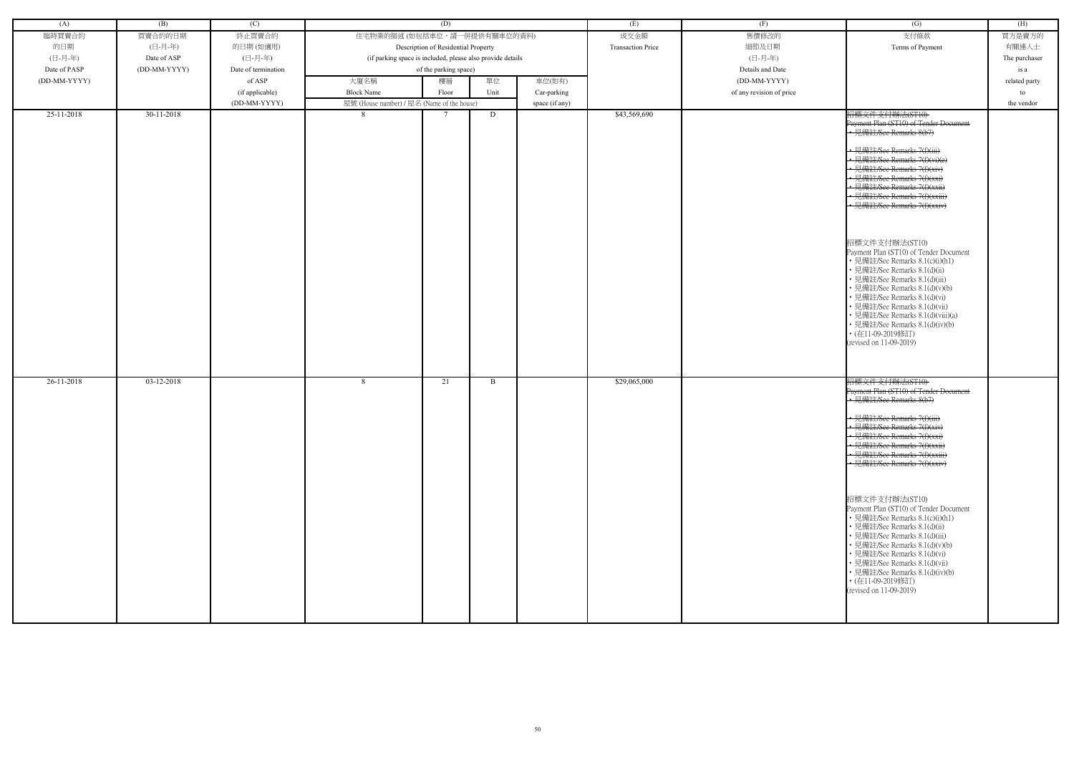| (A)          | (B)          | (C)                 |                                                            | (D)                                 |      |                | (E)                      | (F)                      | $\overline{(G)}$                                                                                                                                                                                                                                                                                                                                                                                                                                                                                                                                                                                                                                                                                              | (H)           |
|--------------|--------------|---------------------|------------------------------------------------------------|-------------------------------------|------|----------------|--------------------------|--------------------------|---------------------------------------------------------------------------------------------------------------------------------------------------------------------------------------------------------------------------------------------------------------------------------------------------------------------------------------------------------------------------------------------------------------------------------------------------------------------------------------------------------------------------------------------------------------------------------------------------------------------------------------------------------------------------------------------------------------|---------------|
| 臨時買賣合約       | 買賣合約的日期      | 終止買賣合約              | 住宅物業的描述 (如包括車位,請一併提供有關車位的資料)                               |                                     |      |                | 成交金額                     | 售價修改的                    | 支付條款                                                                                                                                                                                                                                                                                                                                                                                                                                                                                                                                                                                                                                                                                                          | 買方是賣方的        |
| 的日期          | (日-月-年)      | 的日期(如適用)            |                                                            | Description of Residential Property |      |                | <b>Transaction Price</b> | 細節及日期                    | Terms of Payment                                                                                                                                                                                                                                                                                                                                                                                                                                                                                                                                                                                                                                                                                              | 有關連人士         |
| (日-月-年)      | Date of ASP  | (日-月-年)             | (if parking space is included, please also provide details |                                     |      |                |                          | (日-月-年)                  |                                                                                                                                                                                                                                                                                                                                                                                                                                                                                                                                                                                                                                                                                                               | The purchaser |
| Date of PASP | (DD-MM-YYYY) | Date of termination |                                                            | of the parking space)               |      |                |                          | Details and Date         |                                                                                                                                                                                                                                                                                                                                                                                                                                                                                                                                                                                                                                                                                                               | is a          |
| (DD-MM-YYYY) |              | of ASP              | 大廈名稱                                                       | 樓層                                  | 單位   | 車位(如有)         |                          | (DD-MM-YYYY)             |                                                                                                                                                                                                                                                                                                                                                                                                                                                                                                                                                                                                                                                                                                               | related party |
|              |              | (if applicable)     | <b>Block Name</b>                                          | Floor                               | Unit | Car-parking    |                          | of any revision of price |                                                                                                                                                                                                                                                                                                                                                                                                                                                                                                                                                                                                                                                                                                               | to            |
|              |              | (DD-MM-YYYY)        | 屋號 (House number) / 屋名 (Name of the house)                 |                                     |      | space (if any) |                          |                          |                                                                                                                                                                                                                                                                                                                                                                                                                                                                                                                                                                                                                                                                                                               | the vendor    |
| 25-11-2018   | 30-11-2018   |                     | 8                                                          |                                     | D    |                | \$43,569,690             |                          |                                                                                                                                                                                                                                                                                                                                                                                                                                                                                                                                                                                                                                                                                                               |               |
|              |              |                     |                                                            |                                     |      |                |                          |                          | 招標文件支付辦法(ST10)<br>Payment Plan (ST10) of Tender Document<br>· 見備註/See Remarks 8(b7)<br>• 見備註/See Remarks 7(f)(iii)<br>• 見備註/See Remarks 7(f)(vi)(e)<br>• 見備註/See Remarks 7(f)(xiv)<br>• 見備註/See Remarks 7(f)(xxi)<br>• 見備註/See Remarks 7(f)(xxii)<br>• 見備註/See Remarks 7(f)(xxiii)<br>• 見備註/See Remarks 7(f)(xxiv)<br>招標文件支付辦法(ST10)<br>Payment Plan (ST10) of Tender Document<br>• 見備註/See Remarks 8.1(c)(i)(h1)<br>• 見備註/See Remarks 8.1(d)(ii)<br>• 見備註/See Remarks 8.1(d)(iii)<br>• 見備註/See Remarks 8.1(d)(v)(b)<br>• 見備註/See Remarks 8.1(d)(vi)<br>• 見備註/See Remarks 8.1(d)(vii)<br>• 見備註/See Remarks 8.1(d)(viii)(a)<br>• 見備註/See Remarks 8.1(d)(iv)(b)<br>• (在11-09-2019修訂)<br>(revised on 11-09-2019) |               |
| 26-11-2018   | 03-12-2018   |                     | 8                                                          | 21                                  | B    |                | \$29,065,000             |                          | 招標文件支付辦法(ST10)                                                                                                                                                                                                                                                                                                                                                                                                                                                                                                                                                                                                                                                                                                |               |
|              |              |                     |                                                            |                                     |      |                |                          |                          | Payment Plan (ST10) of Tender Document<br>• 見備註/See Remarks 8(b7)<br>• 見備註/See Remarks 7(f)(iii)<br>• 見備註/See Remarks 7(f)(xiv)<br>• 見備註/See Remarks $7(f)(xx)$<br>• 見備註/See Remarks 7(f)(xxii)<br>• 見備註/See Remarks 7(f)(xxiii)<br>• 見備註/See Remarks 7(f)(xxiv)<br>招標文件支付辦法(ST10)<br>Payment Plan (ST10) of Tender Document<br>• 見備註/See Remarks 8.1(c)(i)(h1)<br>• 見備註/See Remarks 8.1(d)(ii)<br>• 見備註/See Remarks 8.1(d)(iii)<br>• 見備註/See Remarks 8.1(d)(v)(b)<br>• 見備註/See Remarks 8.1(d)(vi)<br>• 見備註/See Remarks 8.1(d)(vii)<br>• 見備註/See Remarks 8.1(d)(iv)(b)<br>• (在11-09-2019修訂)<br>(revised on 11-09-2019)                                                                                        |               |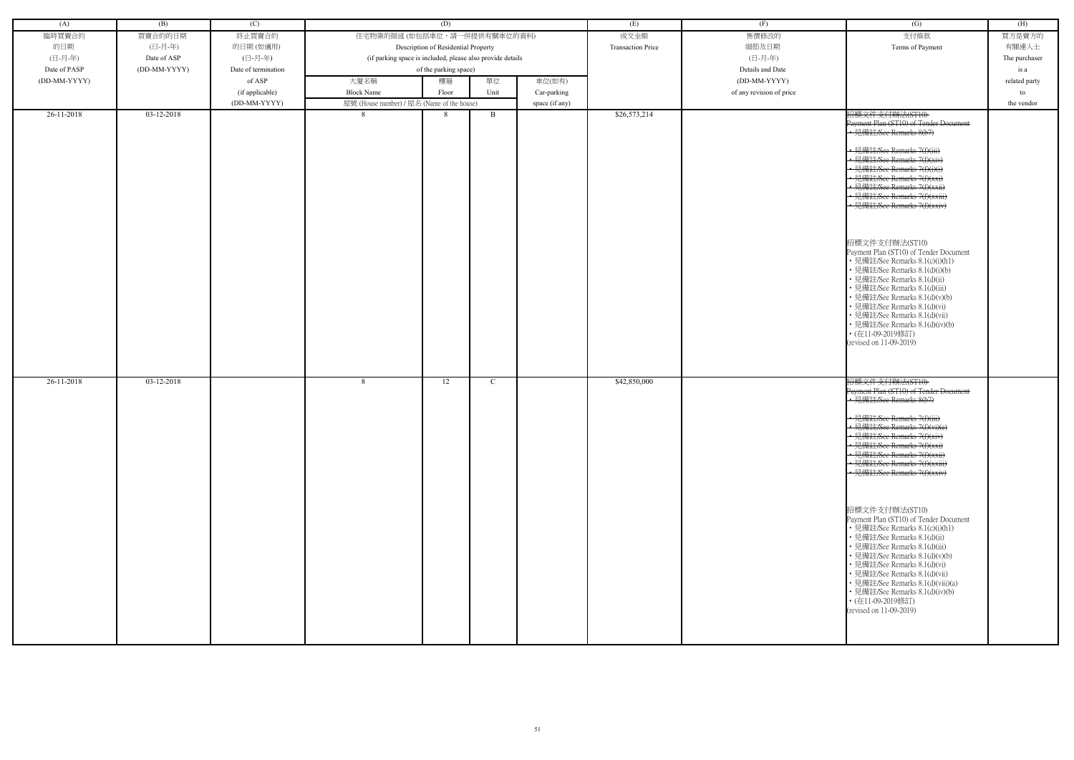| (A)          | (B)          | (C)                 |                                                            | (D)                                 |      |                | (E)                      | (F)                      | $\overline{(G)}$                                                                                                                                                                                                                                                                                                                                                                                                                                                                                                                                                                                                                                                                                              | (H)           |
|--------------|--------------|---------------------|------------------------------------------------------------|-------------------------------------|------|----------------|--------------------------|--------------------------|---------------------------------------------------------------------------------------------------------------------------------------------------------------------------------------------------------------------------------------------------------------------------------------------------------------------------------------------------------------------------------------------------------------------------------------------------------------------------------------------------------------------------------------------------------------------------------------------------------------------------------------------------------------------------------------------------------------|---------------|
| 臨時買賣合約       | 買賣合約的日期      | 終止買賣合約              | 住宅物業的描述 (如包括車位,請一併提供有關車位的資料)                               |                                     |      |                | 成交金額                     | 售價修改的                    | 支付條款                                                                                                                                                                                                                                                                                                                                                                                                                                                                                                                                                                                                                                                                                                          | 買方是賣方的        |
| 的日期          | (日-月-年)      | 的日期(如適用)            |                                                            | Description of Residential Property |      |                | <b>Transaction Price</b> | 細節及日期                    | Terms of Payment                                                                                                                                                                                                                                                                                                                                                                                                                                                                                                                                                                                                                                                                                              | 有關連人士         |
| (日-月-年)      | Date of ASP  | (日-月-年)             | (if parking space is included, please also provide details |                                     |      |                |                          | (日-月-年)                  |                                                                                                                                                                                                                                                                                                                                                                                                                                                                                                                                                                                                                                                                                                               | The purchaser |
| Date of PASP | (DD-MM-YYYY) | Date of termination |                                                            |                                     |      |                |                          | Details and Date         |                                                                                                                                                                                                                                                                                                                                                                                                                                                                                                                                                                                                                                                                                                               |               |
|              |              |                     |                                                            | of the parking space)               |      |                |                          |                          |                                                                                                                                                                                                                                                                                                                                                                                                                                                                                                                                                                                                                                                                                                               | is a          |
| (DD-MM-YYYY) |              | of ASP              | 大廈名稱                                                       | 樓層                                  | 單位   | 車位(如有)         |                          | (DD-MM-YYYY)             |                                                                                                                                                                                                                                                                                                                                                                                                                                                                                                                                                                                                                                                                                                               | related party |
|              |              | (if applicable)     | <b>Block Name</b>                                          | Floor                               | Unit | Car-parking    |                          | of any revision of price |                                                                                                                                                                                                                                                                                                                                                                                                                                                                                                                                                                                                                                                                                                               | to            |
|              |              | (DD-MM-YYYY)        | 屋號 (House number) / 屋名 (Name of the house)                 |                                     |      | space (if any) |                          |                          |                                                                                                                                                                                                                                                                                                                                                                                                                                                                                                                                                                                                                                                                                                               | the vendor    |
| 26-11-2018   | $03-12-2018$ |                     | 8                                                          | 8                                   | B    |                | \$26,573,214             |                          | 招標文件支付辦法(ST10)<br>Payment Plan (ST10) of Tender Document<br>• 見備註/See Remarks 8(b7)<br>• 見備註/See Remarks 7(f)(iii)<br>• 見備註/See Remarks 7(f)(xiv)<br>• 見備註/See Remarks 7(f)(i)(i)<br>見備註/See Remarks 7(f)(xxi)<br>• 見備註/See Remarks 7(f)(xxii)<br>見備註/See Remarks 7(f)(xxiii)<br>· 見備註/See Remarks 7(f)(xxiv)<br>招標文件支付辦法(ST10)<br>Payment Plan (ST10) of Tender Document<br>• 見備註/See Remarks 8.1(c)(i)(h1)<br>· 見備註/See Remarks 8.1(d)(i)(b)<br>· 見備註/See Remarks 8.1(d)(ii)<br>· 見備註/See Remarks 8.1(d)(iii)<br>見備註/See Remarks 8.1(d)(v)(b)<br>見備註/See Remarks 8.1(d)(vi)<br>見備註/See Remarks 8.1(d)(vii)<br>· 見備註/See Remarks 8.1(d)(iv)(b)<br>• (在11-09-2019修訂)<br>(revised on 11-09-2019)               |               |
| 26-11-2018   | 03-12-2018   |                     | 8                                                          | 12                                  | C    |                | \$42,850,000             |                          | 招標文件支付辦法(ST10)<br>Payment Plan (ST10) of Tender Doeument<br>• 見備註/See Remarks 8(b7)<br>→ 見備註/See Remarks 7(f)(iii)<br>· 見備註/See Remarks 7(f)(vi)(e)<br>• 見備註/See Remarks 7(f)(xiv)<br>• 見備註/See Remarks 7(f)(xxi)<br>· 見備註/See Remarks 7(f)(xxii)<br>• 見備註/See Remarks 7(f)(xxiii)<br>- 見備註/See Remarks 7(f)(xxiv)<br>招標文件支付辦法(ST10)<br>Payment Plan (ST10) of Tender Document<br>• 見備註/See Remarks 8.1(c)(i)(h1)<br>• 見備註/See Remarks 8.1(d)(ii)<br>• 見備註/See Remarks 8.1(d)(iii)<br>• 見備註/See Remarks 8.1(d)(v)(b)<br>• 見備註/See Remarks 8.1(d)(vi)<br>· 見備註/See Remarks 8.1(d)(vii)<br>• 見備註/See Remarks 8.1(d)(viii)(a)<br>• 見備註/See Remarks 8.1(d)(iv)(b)<br>• (在11-09-2019修訂)<br>(revised on 11-09-2019) |               |

| (G)                                                                                                                                                                                                                                                                                                                                                                                                                                                                                                                                                                                           | (H)           |
|-----------------------------------------------------------------------------------------------------------------------------------------------------------------------------------------------------------------------------------------------------------------------------------------------------------------------------------------------------------------------------------------------------------------------------------------------------------------------------------------------------------------------------------------------------------------------------------------------|---------------|
| 支付條款                                                                                                                                                                                                                                                                                                                                                                                                                                                                                                                                                                                          | 買方是賣方的        |
| Terms of Payment                                                                                                                                                                                                                                                                                                                                                                                                                                                                                                                                                                              | 有關連人士         |
|                                                                                                                                                                                                                                                                                                                                                                                                                                                                                                                                                                                               | The purchaser |
|                                                                                                                                                                                                                                                                                                                                                                                                                                                                                                                                                                                               | is a          |
|                                                                                                                                                                                                                                                                                                                                                                                                                                                                                                                                                                                               | related party |
|                                                                                                                                                                                                                                                                                                                                                                                                                                                                                                                                                                                               | to            |
|                                                                                                                                                                                                                                                                                                                                                                                                                                                                                                                                                                                               | the vendor    |
| Payment Plan (ST10) of Tender Document<br>-見備註/See Remarks 8(b7)<br><del>詳社/See Remarks 7(f)(iii)</del><br>註/See Remarks 7(f)(i)(i)<br><del>註/See Remarks 7(f)(xxi)</del><br><del>肯註/See Remarks 7(f)(xxii)</del><br>備註/See Remarks 7(f)(xxiii)<br><del>見備註/See Remarks 7(f)(xxiv)</del><br>招標文件支付辦法(ST10)<br>Payment Plan (ST10) of Tender Document<br>• 見備註/See Remarks 8.1(c)(i)(h1)<br>• 見備註/See Remarks 8.1(d)(i)(b)<br>• 見備註/See Remarks 8.1(d)(ii)<br>• 見備註/See Remarks 8.1(d)(iii)<br>• 見備註/See Remarks 8.1(d)(v)(b)<br>• 見備註/See Remarks 8.1(d)(vi)<br>• 見備註/See Remarks 8.1(d)(vii) |               |
| • 見備註/See Remarks 8.1(d)(iv)(b)<br>・(在11-09-2019修訂)<br>(revised on 11-09-2019)<br>招標文件支付辦法(ST10)                                                                                                                                                                                                                                                                                                                                                                                                                                                                                              |               |
| Payment Plan (ST10) of Tender Doeument<br>見備註/See Remarks 8(b7)                                                                                                                                                                                                                                                                                                                                                                                                                                                                                                                               |               |
| $H \leftrightarrow H$<br><del>l.備註/See Remarks 7(f)(iii)</del><br>註/See Remarks 7(f)(vi)(e)<br>註/See Remarks 7(f)(xiv)<br><del>E/See Remarks 7(f)(xxi)</del><br><del>王/See Remarks 7(f)(xxii)</del><br><del>E/See Remarks 7(f)(xxiii)</del><br><del><b>靠註/See Remarks 7(f)(xxiv)</b></del>                                                                                                                                                                                                                                                                                                    |               |
| 招標文件支付辦法(ST10)<br>Payment Plan (ST10) of Tender Document<br>• 見備註/See Remarks 8.1(c)(i)(h1)<br>・見備註/See Remarks 8.1(d)(ii)<br>• 見備註/See Remarks 8.1(d)(iii)<br>• 見備註/See Remarks 8.1(d)(v)(b)<br>• 見備註/See Remarks 8.1(d)(vi)<br>• 見備註/See Remarks 8.1(d)(vii)<br>• 見備註/See Remarks 8.1(d)(viii)(a)<br>• 見備註/See Remarks 8.1(d)(iv)(b)<br>・(在11-09-2019修訂)<br>(revised on 11-09-2019)                                                                                                                                                                                                         |               |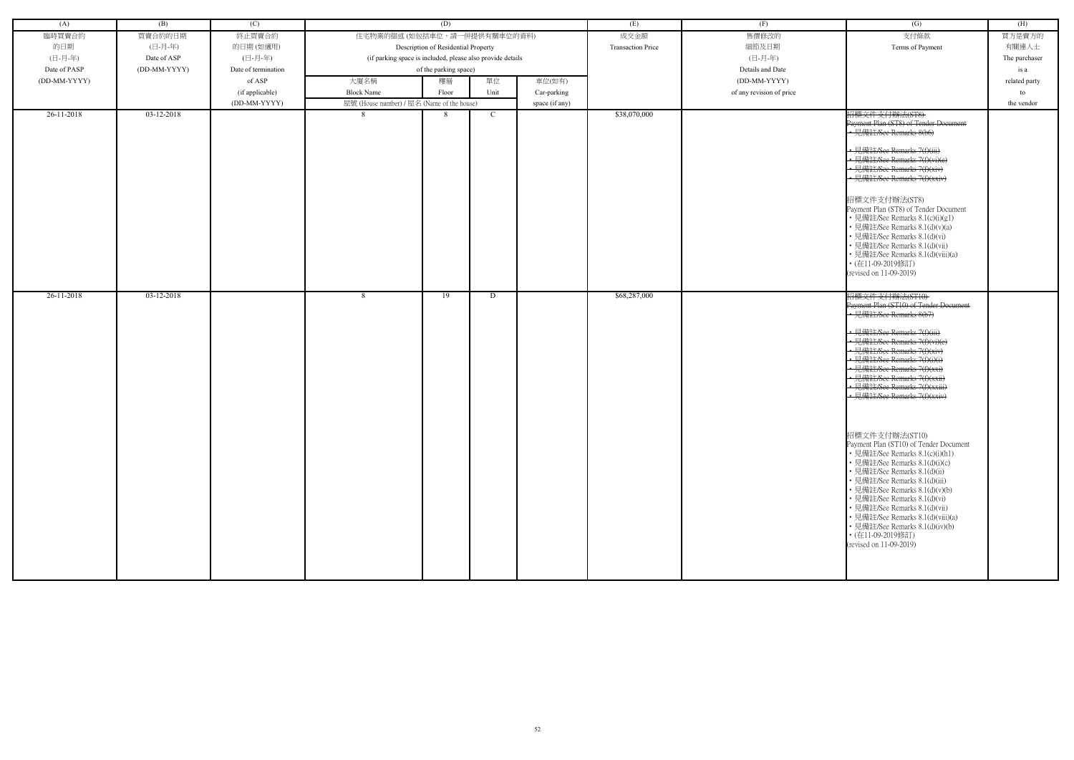| (A)          | (B)          | (C)                 |                                                            | (D)                                 |               |                | (E)                      | (F)                      | (G)                                                                                                                                                                                                                                                                                                                                                                                                                                                                                                                                                                                                                                                                                                                                                                               | (H)           |
|--------------|--------------|---------------------|------------------------------------------------------------|-------------------------------------|---------------|----------------|--------------------------|--------------------------|-----------------------------------------------------------------------------------------------------------------------------------------------------------------------------------------------------------------------------------------------------------------------------------------------------------------------------------------------------------------------------------------------------------------------------------------------------------------------------------------------------------------------------------------------------------------------------------------------------------------------------------------------------------------------------------------------------------------------------------------------------------------------------------|---------------|
| 臨時買賣合約       | 買賣合約的日期      | 終止買賣合約              | 住宅物業的描述 (如包括車位,請一併提供有關車位的資料)                               |                                     |               |                | 成交金額                     | 售價修改的                    | 支付條款                                                                                                                                                                                                                                                                                                                                                                                                                                                                                                                                                                                                                                                                                                                                                                              | 買方是賣方的        |
| 的日期          | (日-月-年)      | 的日期(如適用)            |                                                            | Description of Residential Property |               |                | <b>Transaction Price</b> | 細節及日期                    | Terms of Payment                                                                                                                                                                                                                                                                                                                                                                                                                                                                                                                                                                                                                                                                                                                                                                  | 有關連人士         |
| (日-月-年)      | Date of ASP  | (日-月-年)             | (if parking space is included, please also provide details |                                     |               |                |                          | (日-月-年)                  |                                                                                                                                                                                                                                                                                                                                                                                                                                                                                                                                                                                                                                                                                                                                                                                   | The purchaser |
| Date of PASP | (DD-MM-YYYY) | Date of termination |                                                            | of the parking space)               |               |                |                          | Details and Date         |                                                                                                                                                                                                                                                                                                                                                                                                                                                                                                                                                                                                                                                                                                                                                                                   | is a          |
| (DD-MM-YYYY) |              | of ASP              | 大廈名稱                                                       | 樓層                                  | 單位            | 車位(如有)         |                          | (DD-MM-YYYY)             |                                                                                                                                                                                                                                                                                                                                                                                                                                                                                                                                                                                                                                                                                                                                                                                   | related party |
|              |              | (if applicable)     | <b>Block Name</b>                                          | Floor                               | Unit          | Car-parking    |                          | of any revision of price |                                                                                                                                                                                                                                                                                                                                                                                                                                                                                                                                                                                                                                                                                                                                                                                   | to            |
|              |              | (DD-MM-YYYY)        | 屋號 (House number) / 屋名 (Name of the house)                 |                                     |               | space (if any) |                          |                          |                                                                                                                                                                                                                                                                                                                                                                                                                                                                                                                                                                                                                                                                                                                                                                                   | the vendor    |
| $26-11-2018$ | 03-12-2018   |                     | 8                                                          | 8                                   | $\mathcal{C}$ |                | \$38,070,000             |                          | 招標文件支付辦法(ST8)<br>Payment Plan (ST8) of Tender Document<br>• 見備註/See Remarks 8(b6)<br>• 見備註/See Remarks 7(f)(iii)<br>· 見備註/See Remarks 7(f)(vi)(e)<br>• 見備註/See Remarks 7(f)(xiv)<br>• 見備註/See Remarks 7(f)(xxiv)<br>招標文件支付辦法(ST8)<br>Payment Plan (ST8) of Tender Document<br>• 見備註/See Remarks 8.1(c)(i)(g1)<br>• 見備註/See Remarks 8.1(d)(v)(a)<br>• 見備註/See Remarks 8.1(d)(vi)<br>• 見備註/See Remarks 8.1(d)(vii)<br>• 見備註/See Remarks 8.1(d)(viii)(a)<br>• (在11-09-2019修訂)<br>(revised on 11-09-2019)                                                                                                                                                                                                                                                                             |               |
| 26-11-2018   | 03-12-2018   |                     | 8                                                          | 19                                  | D             |                | \$68,287,000             |                          | 招標文件支付辦法(ST10)<br>Payment Plan (ST10) of Tender Document<br>• 見備註/See Remarks 8(b7)<br>• 見備註/See Remarks 7(f)(iii)<br>• 見備註/See Remarks 7(f)(vi)(e)<br>• 見備註/See Remarks 7(f)(xiv)<br>• 見備註/See Remarks 7(f)(i)(i)<br>• 見備註/See Remarks 7(f)(xxi)<br>• 見備註/See Remarks 7(f)(xxii)<br>· 見備註/See Remarks 7(f)(xxiii)<br>- 見備註/See Remarks 7(f)(xxiv)<br>招標文件支付辦法(ST10)<br>Payment Plan (ST10) of Tender Document<br>• 見備註/See Remarks 8.1(c)(i)(h1)<br>• 見備註/See Remarks 8.1(d)(i)(c)<br>• 見備註/See Remarks 8.1(d)(ii)<br>• 見備註/See Remarks 8.1(d)(iii)<br>• 見備註/See Remarks 8.1(d)(v)(b)<br>• 見備註/See Remarks 8.1(d)(vi)<br>• 見備註/See Remarks 8.1(d)(vii)<br>• 見備註/See Remarks 8.1(d)(viii)(a)<br>• 見備註/See Remarks 8.1(d)(iv)(b)<br>・(在11-09-2019修訂)<br>(revised on $11-09-2019$ ) |               |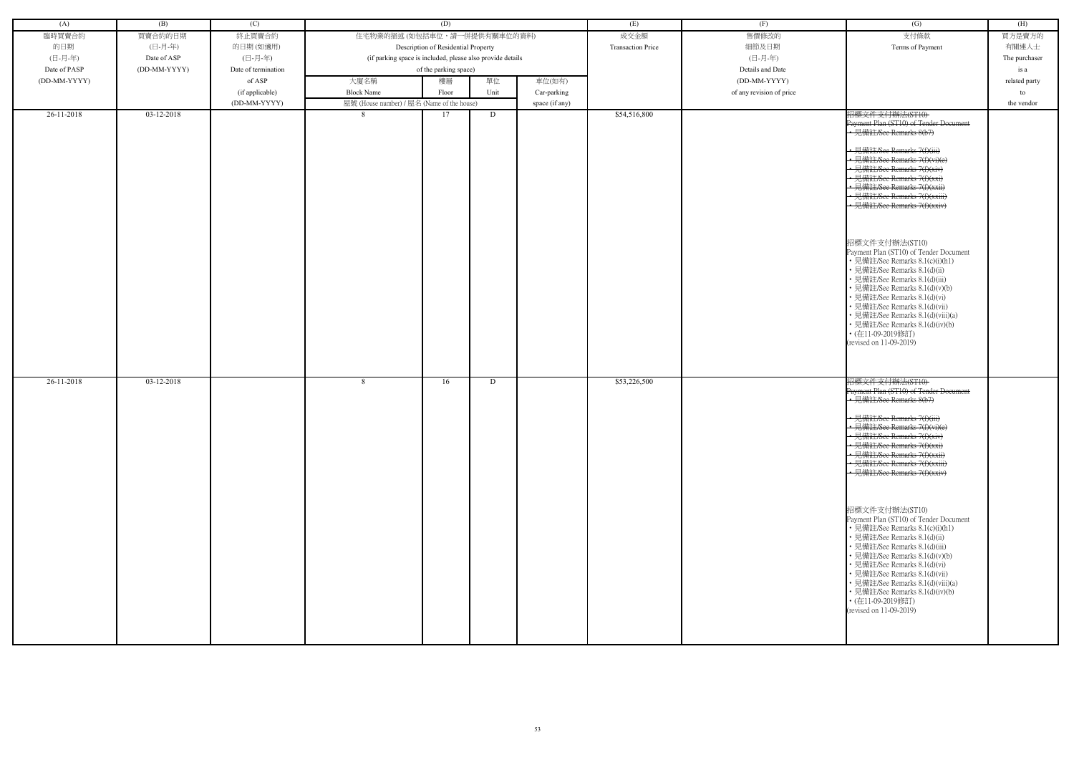| (A)          | (B)          | (C)                 |                                                            | (D)                                 |      |                | (E)                      | (F)                      | $\overline{(G)}$                                                                                                                                                                                                                                                                                                                                                                                                                                                                                                                                                                                                                                                                                                   | (H)           |
|--------------|--------------|---------------------|------------------------------------------------------------|-------------------------------------|------|----------------|--------------------------|--------------------------|--------------------------------------------------------------------------------------------------------------------------------------------------------------------------------------------------------------------------------------------------------------------------------------------------------------------------------------------------------------------------------------------------------------------------------------------------------------------------------------------------------------------------------------------------------------------------------------------------------------------------------------------------------------------------------------------------------------------|---------------|
| 臨時買賣合約       | 買賣合約的日期      | 終止買賣合約              | 住宅物業的描述 (如包括車位,請一併提供有關車位的資料)                               |                                     |      |                | 成交金額                     | 售價修改的                    | 支付條款                                                                                                                                                                                                                                                                                                                                                                                                                                                                                                                                                                                                                                                                                                               | 買方是賣方的        |
| 的日期          | (日-月-年)      | 的日期(如適用)            |                                                            | Description of Residential Property |      |                | <b>Transaction Price</b> | 細節及日期                    | Terms of Payment                                                                                                                                                                                                                                                                                                                                                                                                                                                                                                                                                                                                                                                                                                   | 有關連人士         |
|              |              |                     |                                                            |                                     |      |                |                          |                          |                                                                                                                                                                                                                                                                                                                                                                                                                                                                                                                                                                                                                                                                                                                    |               |
| (日-月-年)      | Date of ASP  | (日-月-年)             | (if parking space is included, please also provide details |                                     |      |                |                          | (日-月-年)                  |                                                                                                                                                                                                                                                                                                                                                                                                                                                                                                                                                                                                                                                                                                                    | The purchaser |
| Date of PASP | (DD-MM-YYYY) | Date of termination |                                                            | of the parking space)               |      |                |                          | Details and Date         |                                                                                                                                                                                                                                                                                                                                                                                                                                                                                                                                                                                                                                                                                                                    | is a          |
| (DD-MM-YYYY) |              | of ASP              | 大廈名稱                                                       | 樓層                                  | 單位   | 車位(如有)         |                          | (DD-MM-YYYY)             |                                                                                                                                                                                                                                                                                                                                                                                                                                                                                                                                                                                                                                                                                                                    | related party |
|              |              | (if applicable)     | <b>Block Name</b>                                          | Floor                               | Unit | Car-parking    |                          | of any revision of price |                                                                                                                                                                                                                                                                                                                                                                                                                                                                                                                                                                                                                                                                                                                    | to            |
|              |              | (DD-MM-YYYY)        |                                                            |                                     |      |                |                          |                          |                                                                                                                                                                                                                                                                                                                                                                                                                                                                                                                                                                                                                                                                                                                    | the vendor    |
|              |              |                     | 屋號 (House number) / 屋名 (Name of the house)                 |                                     |      | space (if any) |                          |                          |                                                                                                                                                                                                                                                                                                                                                                                                                                                                                                                                                                                                                                                                                                                    |               |
| 26-11-2018   | 03-12-2018   |                     | 8                                                          | 17                                  | D    |                | \$54,516,800             |                          | 招標文件支付辦法(ST10)<br>Payment Plan (ST10) of Tender Document<br>• 見備註/See Remarks 8(b7)<br>· 見備註/See Remarks 7(f)(iii)<br>• 見備註/See Remarks 7(f)(vi)(e)<br>見備註/See Remarks 7(f)(xiv)<br>• 見備註/See Remarks 7(f)(xxi)<br>見備註/See Remarks 7(f)(xxii)<br>· 見備註/See Remarks 7(f)(xxiii)<br>• 見備註/See Remarks 7(f)(xxiv)<br>招標文件支付辦法(ST10)<br>Payment Plan (ST10) of Tender Document<br>• 見備註/See Remarks 8.1(c)(i)(h1)<br>• 見備註/See Remarks 8.1(d)(ii)<br>見備註/See Remarks 8.1(d)(iii)<br>見備註/See Remarks 8.1(d)(v)(b)<br>見備註/See Remarks 8.1(d)(vi)<br>見備註/See Remarks 8.1(d)(vii)<br>見備註/See Remarks 8.1(d)(viii)(a)<br>• 見備註/See Remarks 8.1(d)(iv)(b)<br>• (在11-09-2019修訂)<br>(revised on 11-09-2019)                    |               |
| 26-11-2018   | 03-12-2018   |                     | 8                                                          | 16                                  | D    |                | \$53,226,500             |                          | 招標文件支付辦法(ST10)<br>Payment Plan (ST10) of Tender Document<br>.<br>• 見備註/See Remarks 8(b7)<br>• 見備註/See Remarks 7(f)(iii)<br>• 見備註/See Remarks 7(f)(vi)(e)<br>• 見備註/See Remarks 7(f)(xiv)<br>· 見備註/See Remarks 7(f)(xxi)<br>• 見備註/See Remarks 7(f)(xxii)<br>• 見備註/See Remarks 7(f)(xxiii)<br>• 見備註/See Remarks 7(f)(xxiv)<br>招標文件支付辦法(ST10)<br>Payment Plan (ST10) of Tender Document<br>• 見備註/See Remarks 8.1(c)(i)(h1)<br>• 見備註/See Remarks 8.1(d)(ii)<br>· 見備註/See Remarks 8.1(d)(iii)<br>• 見備註/See Remarks 8.1(d)(v)(b)<br>• 見備註/See Remarks 8.1(d)(vi)<br>• 見備註/See Remarks 8.1(d)(vii)<br>• 見備註/See Remarks 8.1(d)(viii)(a)<br>• 見備註/See Remarks 8.1(d)(iv)(b)<br>• (在11-09-2019修訂)<br>(revised on 11-09-2019) |               |

| (G)                                                                                                                                                                                                                                                                                                                                                                                                                                                                                                                                                                                                               | (H)           |
|-------------------------------------------------------------------------------------------------------------------------------------------------------------------------------------------------------------------------------------------------------------------------------------------------------------------------------------------------------------------------------------------------------------------------------------------------------------------------------------------------------------------------------------------------------------------------------------------------------------------|---------------|
| 支付條款                                                                                                                                                                                                                                                                                                                                                                                                                                                                                                                                                                                                              | 買方是賣方的        |
| Terms of Payment                                                                                                                                                                                                                                                                                                                                                                                                                                                                                                                                                                                                  | 有關連人士         |
|                                                                                                                                                                                                                                                                                                                                                                                                                                                                                                                                                                                                                   | The purchaser |
|                                                                                                                                                                                                                                                                                                                                                                                                                                                                                                                                                                                                                   | is a          |
|                                                                                                                                                                                                                                                                                                                                                                                                                                                                                                                                                                                                                   | related party |
|                                                                                                                                                                                                                                                                                                                                                                                                                                                                                                                                                                                                                   | to            |
|                                                                                                                                                                                                                                                                                                                                                                                                                                                                                                                                                                                                                   | the vendor    |
| 招標文件支付辦法(ST10)<br>Payment Plan (ST10) of Tender Document<br>-見備註/See Remarks 8(b7)<br><del>詳社/See Remarks 7(f)(iii)</del><br>註/See Remarks 7(f)(xiv)<br><del>註/See Remarks 7(f)(xxi)</del><br><del>肯註/See Remarks 7(f)(xxii)</del><br><del>備註/See Remarks 7(f)(xxiii)</del><br>見備註/See Remarks 7(f)(xxiv)<br>招標文件支付辦法(ST10)<br>Payment Plan (ST10) of Tender Document<br>• 見備註/See Remarks 8.1(c)(i)(h1)<br>• 見備註/See Remarks 8.1(d)(ii)<br>• 見備註/See Remarks 8.1(d)(iii)<br>• 見備註/See Remarks 8.1(d)(v)(b)<br>• 見備註/See Remarks 8.1(d)(vi)<br>• 見備註/See Remarks 8.1(d)(vii)<br>• 見備註/See Remarks 8.1(d)(viii)(a) |               |
| • 見備註/See Remarks 8.1(d)(iv)(b)<br>・(在11-09-2019修訂)<br>(revised on 11-09-2019)                                                                                                                                                                                                                                                                                                                                                                                                                                                                                                                                    |               |
| 招標文件支付辦法(ST10)<br>Payment Plan (ST10) of Tender Doeument<br>見備註/See Remarks 8(b7)                                                                                                                                                                                                                                                                                                                                                                                                                                                                                                                                 |               |
| $H$ $H$ $\rightarrow$ $\rightarrow$ $H$<br><del>l.備註/See Remarks 7(f)(iii)</del><br>註/See Remarks 7(f)(vi)(e)<br>註/See Remarks 7(f)(xiv)<br><del>E/See Remarks 7(f)(xxi)</del><br><del>王/See Remarks 7(f)(xxii)</del><br><del>E/See Remarks 7(f)(xxiii)</del><br><del><b>靠註/See Remarks 7(f)(xxiv)</b></del>                                                                                                                                                                                                                                                                                                      |               |
| 招標文件支付辦法(ST10)<br>Payment Plan (ST10) of Tender Document<br>• 見備註/See Remarks 8.1(c)(i)(h1)<br>・見備註/See Remarks 8.1(d)(ii)<br>• 見備註/See Remarks 8.1(d)(iii)<br>• 見備註/See Remarks 8.1(d)(v)(b)<br>• 見備註/See Remarks 8.1(d)(vi)<br>• 見備註/See Remarks 8.1(d)(vii)<br>• 見備註/See Remarks 8.1(d)(viii)(a)<br>• 見備註/See Remarks 8.1(d)(iv)(b)<br>・(在11-09-2019修訂)<br>(revised on 11-09-2019)                                                                                                                                                                                                                             |               |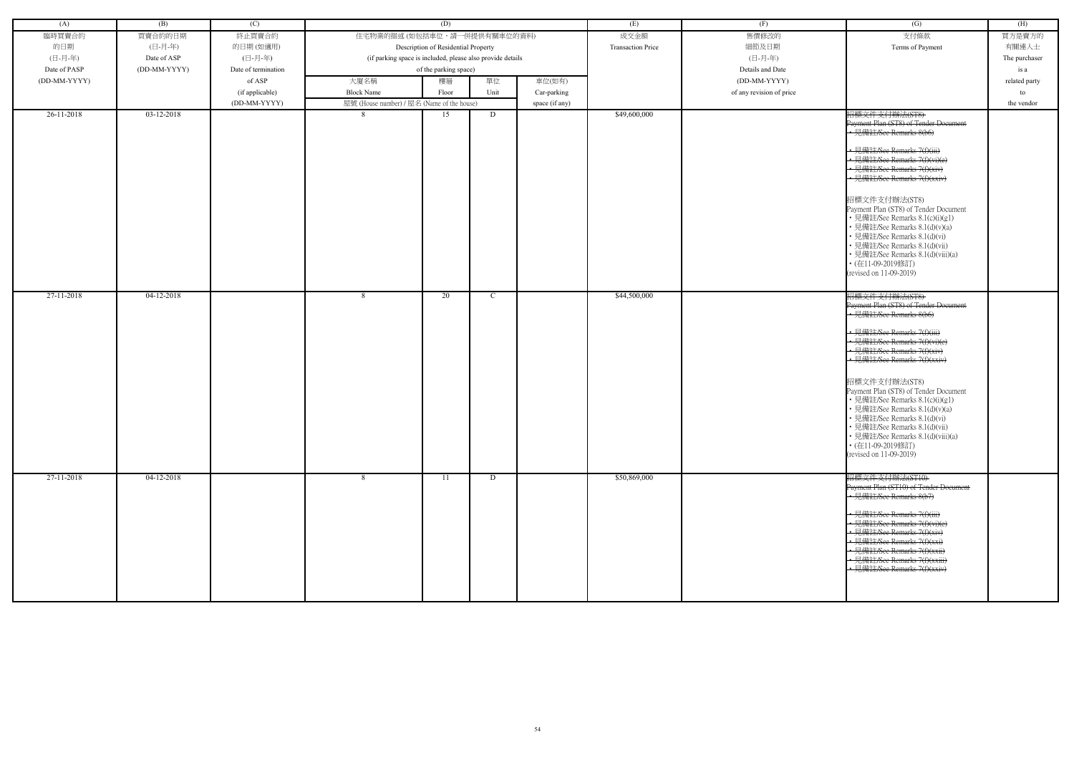| (A)                      | (B)                        | (C)                 |                                                            | (D)                                 |        |                | (E)                          | (F)                      | (G)                                                                                                                                                                                                                                                                                                                                                                                                                                                                                                                     | (H)           |
|--------------------------|----------------------------|---------------------|------------------------------------------------------------|-------------------------------------|--------|----------------|------------------------------|--------------------------|-------------------------------------------------------------------------------------------------------------------------------------------------------------------------------------------------------------------------------------------------------------------------------------------------------------------------------------------------------------------------------------------------------------------------------------------------------------------------------------------------------------------------|---------------|
| 臨時買賣合約                   | 買賣合約的日期                    | 終止買賣合約              | 住宅物業的描述 (如包括車位,請一併提供有關車位的資料)                               |                                     |        |                | 成交金額                         | 售價修改的                    | 支付條款                                                                                                                                                                                                                                                                                                                                                                                                                                                                                                                    | 買方是賣方的        |
| 的日期                      | (日-月-年)                    | 的日期(如適用)            |                                                            | Description of Residential Property |        |                | <b>Transaction Price</b>     | 細節及日期                    | Terms of Payment                                                                                                                                                                                                                                                                                                                                                                                                                                                                                                        | 有關連人士         |
| (日-月-年)                  | Date of ASP                | (日-月-年)             | (if parking space is included, please also provide details |                                     |        |                |                              | (日-月-年)                  |                                                                                                                                                                                                                                                                                                                                                                                                                                                                                                                         | The purchaser |
| Date of PASP             | (DD-MM-YYYY)               | Date of termination |                                                            | of the parking space)               |        |                |                              | Details and Date         |                                                                                                                                                                                                                                                                                                                                                                                                                                                                                                                         | is a          |
| (DD-MM-YYYY)             |                            | of ASP              | 大廈名稱                                                       | 樓層                                  | 單位     | 車位(如有)         |                              | (DD-MM-YYYY)             |                                                                                                                                                                                                                                                                                                                                                                                                                                                                                                                         | related party |
|                          |                            | (if applicable)     | <b>Block Name</b>                                          | Floor                               | Unit   | Car-parking    |                              | of any revision of price |                                                                                                                                                                                                                                                                                                                                                                                                                                                                                                                         | to            |
|                          |                            | (DD-MM-YYYY)        | 屋號 (House number) / 屋名 (Name of the house)                 |                                     |        | space (if any) |                              |                          |                                                                                                                                                                                                                                                                                                                                                                                                                                                                                                                         | the vendor    |
| $26-11-2018$             | $03-12-2018$               |                     | 8                                                          | 15                                  | D      |                | \$49,600,000                 |                          | 招標文件支付辦法(ST8)<br>Payment Plan (ST8) of Tender Document<br>• 見備註/See Remarks 8(b6)<br>← 見備註/See Remarks 7(f)(iii)<br>· 見備註/See Remarks 7(f)(vi)(e)<br>• 見備註/See Remarks 7(f)(xiv)<br>• 見備註/See Remarks 7(f)(xxiv)<br>招標文件支付辦法(ST8)<br>Payment Plan (ST8) of Tender Document<br>• 見備註/See Remarks 8.1(c)(i)(g1)<br>• 見備註/See Remarks 8.1(d)(v)(a)<br>· 見備註/See Remarks 8.1(d)(vi)<br>• 見備註/See Remarks 8.1(d)(vii)<br>• 見備註/See Remarks 8.1(d)(viii)(a)<br>• (在11-09-2019修訂)<br>(revised on 11-09-2019)                   |               |
| 27-11-2018<br>27-11-2018 | 04-12-2018<br>$04-12-2018$ |                     | 8                                                          | 20                                  | C<br>D |                | \$44,500,000<br>\$50,869,000 |                          | 招標文件支付辦法(ST8)<br>Payment Plan (ST8) of Tender Document<br>• 見備註/See Remarks 8(b6)<br>• 見備註/See Remarks 7(f)(iii)<br>• 見備註/See Remarks 7(f)(vi)(e)<br>• 見備註/See Remarks 7(f)(xiv)<br>• 見備註/See Remarks 7(f)(xxiv)<br>招標文件支付辦法(ST8)<br>Payment Plan (ST8) of Tender Document<br>• 見備註/See Remarks 8.1(c)(i)(g1)<br>• 見備註/See Remarks 8.1(d)(v)(a)<br>• 見備註/See Remarks 8.1(d)(vi)<br>• 見備註/See Remarks 8.1(d)(vii)<br>• 見備註/See Remarks 8.1(d)(viii)(a)<br>• (在11-09-2019修訂)<br>(revised on 11-09-2019)<br>招標文件支付辦法(ST10) |               |
|                          |                            |                     | 8                                                          | 11                                  |        |                |                              |                          | Payment Plan (ST10) of Tender Document<br>• 見備註/See Remarks 8(b7)<br>← 見備註/See Remarks 7(f)(iii)<br>← 見備註/See Remarks 7(f)(vi)(e)<br>• 見備註/See Remarks 7(f)(xiv)<br>• 見備註/See Remarks 7(f)(xxi)<br>• 見備註/See Remarks 7(f)(xxii)<br>• 見備註/See Remarks 7(f)(xxiii)<br>• 見備註/See Remarks 7(f)(xxiv)                                                                                                                                                                                                                        |               |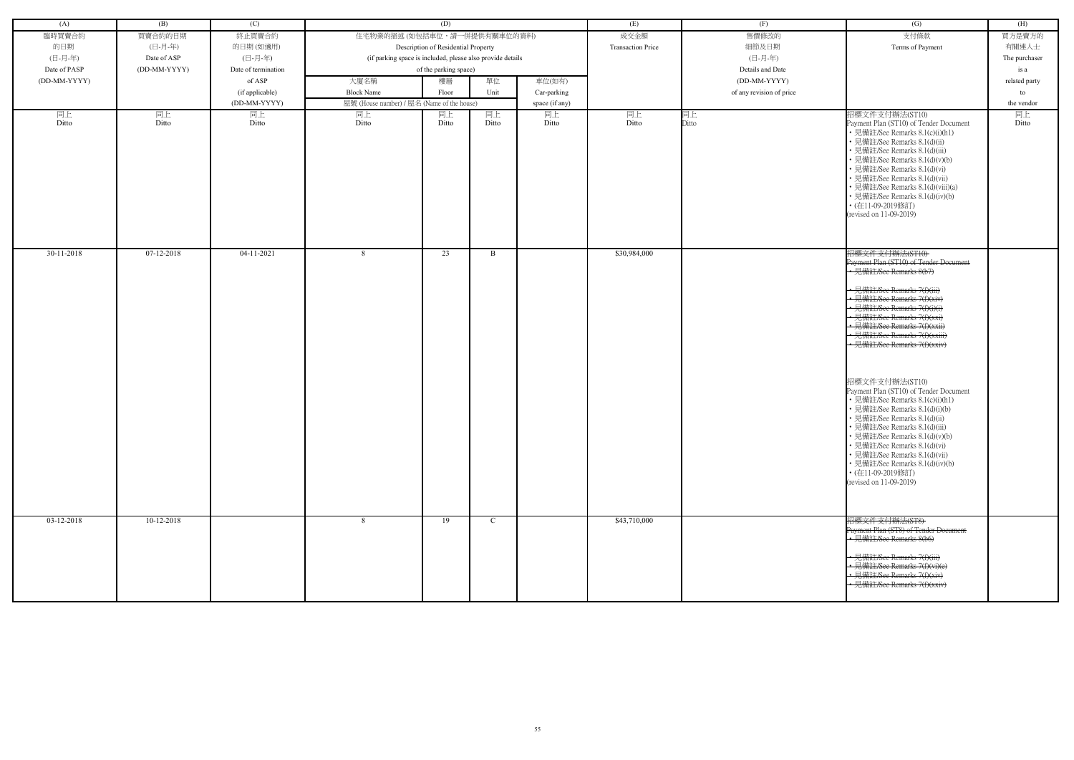| (A)          | (B)          | (C)                 |                                                            | (D)                                 |               |                | (E)                      | (F)                      | (G)                                                                                                                                                                                                                                                                                                                                                                                                                                                                                                                                                                                                                                                                                                       | (H)           |
|--------------|--------------|---------------------|------------------------------------------------------------|-------------------------------------|---------------|----------------|--------------------------|--------------------------|-----------------------------------------------------------------------------------------------------------------------------------------------------------------------------------------------------------------------------------------------------------------------------------------------------------------------------------------------------------------------------------------------------------------------------------------------------------------------------------------------------------------------------------------------------------------------------------------------------------------------------------------------------------------------------------------------------------|---------------|
| 臨時買賣合約       | 買賣合約的日期      | 終止買賣合約              | 住宅物業的描述 (如包括車位,請一併提供有關車位的資料)                               |                                     |               |                | 成交金額                     | 售價修改的                    | 支付條款                                                                                                                                                                                                                                                                                                                                                                                                                                                                                                                                                                                                                                                                                                      | 買方是賣方的        |
| 的日期          | (日-月-年)      | 的日期(如適用)            |                                                            | Description of Residential Property |               |                | <b>Transaction Price</b> | 細節及日期                    | Terms of Payment                                                                                                                                                                                                                                                                                                                                                                                                                                                                                                                                                                                                                                                                                          | 有關連人士         |
| (日-月-年)      | Date of ASP  | (日-月-年)             | (if parking space is included, please also provide details |                                     |               |                |                          | (日-月-年)                  |                                                                                                                                                                                                                                                                                                                                                                                                                                                                                                                                                                                                                                                                                                           | The purchaser |
| Date of PASP | (DD-MM-YYYY) | Date of termination |                                                            | of the parking space)               |               |                |                          | Details and Date         |                                                                                                                                                                                                                                                                                                                                                                                                                                                                                                                                                                                                                                                                                                           | is a          |
| (DD-MM-YYYY) |              | of ASP              | 大廈名稱                                                       | 樓層                                  | 單位            | 車位(如有)         |                          | (DD-MM-YYYY)             |                                                                                                                                                                                                                                                                                                                                                                                                                                                                                                                                                                                                                                                                                                           | related party |
|              |              | (if applicable)     | <b>Block Name</b>                                          | Floor                               | Unit          | Car-parking    |                          | of any revision of price |                                                                                                                                                                                                                                                                                                                                                                                                                                                                                                                                                                                                                                                                                                           | to            |
|              |              | (DD-MM-YYYY)        | 屋號 (House number) / 屋名 (Name of the house)                 |                                     |               | space (if any) |                          |                          |                                                                                                                                                                                                                                                                                                                                                                                                                                                                                                                                                                                                                                                                                                           | the vendor    |
| 同上           | 同上           | 同上                  | 同上                                                         | 同上                                  | 同上            | 同上             | 同上                       | 同上                       | 招標文件支付辦法(ST10)                                                                                                                                                                                                                                                                                                                                                                                                                                                                                                                                                                                                                                                                                            | 同上            |
| Ditto        | Ditto        | Ditto               | Ditto                                                      | Ditto                               | Ditto         | Ditto          | Ditto                    | Ditto                    | Payment Plan (ST10) of Tender Document<br>• 見備註/See Remarks 8.1(c)(i)(h1)<br>• 見備註/See Remarks 8.1(d)(ii)<br>· 見備註/See Remarks 8.1(d)(iii)<br>• 見備註/See Remarks 8.1(d)(v)(b)<br>• 見備註/See Remarks 8.1(d)(vi)<br>• 見備註/See Remarks 8.1(d)(vii)<br>• 見備註/See Remarks 8.1(d)(viii)(a)<br>• 見備註/See Remarks 8.1(d)(iv)(b)<br>• (在11-09-2019修訂)<br>(revised on 11-09-2019)                                                                                                                                                                                                                                                                                                                                     | Ditto         |
| $30-11-2018$ | 07-12-2018   | $04-11-2021$        | 8                                                          | 23                                  | B             |                | \$30,984,000             |                          | 招標文件支付辦法(ST10)<br>Payment Plan (ST10) of Tender Document<br>• 見備註/See Remarks 8(b7)<br>• 見備註/See Remarks 7(f)(iii)<br>• 見備註/See Remarks 7(f)(xiv)<br>• 見備註/See Remarks 7(f)(i)(i)<br>• 見備註/See Remarks 7(f)(xxi)<br>• 見備註/See Remarks 7(f)(xxii)<br>· 見備註/See Remarks 7(f)(xxiii)<br>• 見備註/See Remarks 7(f)(xxiv)<br>招標文件支付辦法(ST10)<br>Payment Plan (ST10) of Tender Document<br>• 見備註/See Remarks 8.1(c)(i)(h1)<br>• 見備註/See Remarks 8.1(d)(i)(b)<br>• 見備註/See Remarks 8.1(d)(ii)<br>· 見備註/See Remarks 8.1(d)(iii)<br>• 見備註/See Remarks 8.1(d)(v)(b)<br>• 見備註/See Remarks 8.1(d)(vi)<br>• 見備註/See Remarks 8.1(d)(vii)<br>• 見備註/See Remarks 8.1(d)(iv)(b)<br>• (在11-09-2019修訂)<br>(revised on 11-09-2019) |               |
| $03-12-2018$ | $10-12-2018$ |                     | -8                                                         | 19                                  | $\mathcal{C}$ |                | \$43,710,000             |                          | 招標文件支付辦法(ST8)<br>Payment Plan (ST8) of Tender Document<br>+ 見備註/See Remarks 8(b6)<br>• 見備註/See Remarks 7(f)(iii)<br>• 見備註/See Remarks 7(f)(vi)(e)<br>· 見備註/See Remarks 7(f)(xiv)<br>• 見備註/See Remarks 7(f)(xxiv)                                                                                                                                                                                                                                                                                                                                                                                                                                                                                          |               |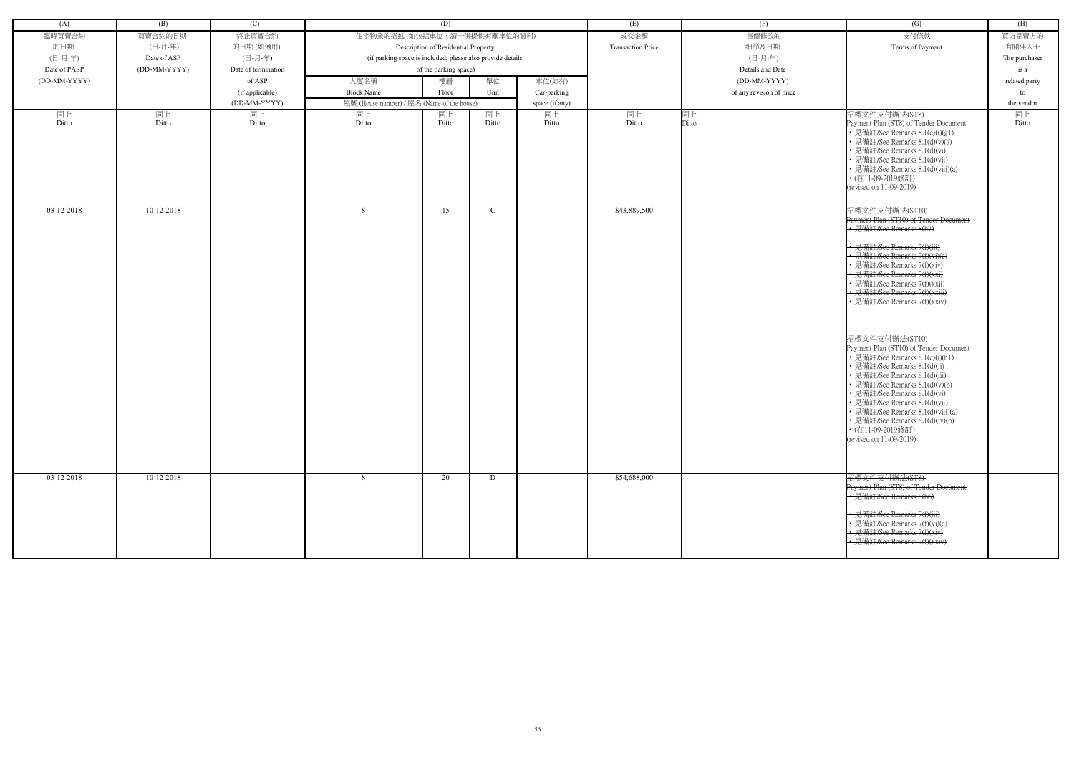| 買賣合約的日期<br>住宅物業的描述 (如包括車位,請一併提供有關車位的資料)<br>成交金額<br>售價修改的<br>支付條款<br>臨時買賣合約<br>終止買賣合約<br>買方是賣方的<br>的日期<br>(日-月-年)<br>Description of Residential Property<br><b>Transaction Price</b><br>細節及日期<br>Terms of Payment<br>有關連人士<br>的日期(如適用)<br>(日-月-年)<br>(日-月-年)<br>(日-月-年)<br>(if parking space is included, please also provide details<br>Date of ASP<br>The purchaser<br>Date of PASP<br>$(DD-MM-YYYY)$<br>Details and Date<br>Date of termination<br>of the parking space)<br>is a<br>大廈名稱<br>單位<br>車位(如有)<br>(DD-MM-YYYY)<br>of ASP<br>樓層<br>(DD-MM-YYYY)<br>related party<br><b>Block Name</b><br>Unit<br>of any revision of price<br>(if applicable)<br>Floor<br>Car-parking<br>to<br>(DD-MM-YYYY)<br>屋號 (House number) / 屋名 (Name of the house)<br>space (if any)<br>the vendor<br>同上<br>同上<br>同上<br>同上<br>招標文件支付辦法(ST8)<br>同上<br>同上<br>同上<br>同上<br>同上<br>同上<br>Ditto<br>Ditto<br>Ditto<br>Ditto<br>Ditto<br>Ditto<br>Ditto<br>Ditto<br>Ditto<br>Payment Plan (ST8) of Tender Document<br>Ditto<br>• 見備註/See Remarks 8.1(c)(i)(g1)<br>• 見備註/See Remarks 8.1(d)(v)(a)<br>• 見備註/See Remarks 8.1(d)(vi)<br>• 見備註/See Remarks 8.1(d)(vii)<br>• 見備註/See Remarks 8.1(d)(viii)(a)<br>• (在11-09-2019修訂)<br>(revised on 11-09-2019)<br>招標文件支付辦法(ST10)<br>$10-12-2018$<br>\$43,889,500<br>$03-12-2018$<br>8<br>15<br>C<br>Payment Plan (ST10) of Tender Document<br>· 見備註/See Remarks 8(b7)<br>見備註/See Remarks 7(f)(iii)<br>• 見備註/See Remarks 7(f)(vi)(e)<br>← 見備註/See Remarks 7(f)(xiv)<br>-見備註/See Remarks 7(f)(xxi)<br>• 見備註/See Remarks 7(f)(xxii)<br>• 見備註/See Remarks 7(f)(xxiii)<br>· 見備註/See Remarks 7(f)(xxiv)<br>招標文件支付辦法(ST10)<br>Payment Plan (ST10) of Tender Document<br>• 見備註/See Remarks 8.1(c)(i)(h1)<br>• 見備註/See Remarks 8.1(d)(ii)<br>• 見備註/See Remarks 8.1(d)(iii)<br>• 見備註/See Remarks 8.1(d)(v)(b)<br>• 見備註/See Remarks 8.1(d)(vi)<br>• 見備註/See Remarks 8.1(d)(vii)<br>• 見備註/See Remarks 8.1(d)(viii)(a)<br>• 見備註/See Remarks 8.1(d)(iv)(b)<br>• (在11-09-2019修訂)<br>(revised on 11-09-2019)<br>招標文件支付辦法(ST8)<br>03-12-2018<br>10-12-2018<br>\$54,688,000<br>20<br>D<br>8<br>Payment Plan (ST8) of Tender Document<br>• 見備註/See Remarks 8(b6)<br>• 見備註/See Remarks 7(f)(iii) | (A) | (B) | (C) | (D) |  | (E) | (F) | (G)                           | (H) |
|----------------------------------------------------------------------------------------------------------------------------------------------------------------------------------------------------------------------------------------------------------------------------------------------------------------------------------------------------------------------------------------------------------------------------------------------------------------------------------------------------------------------------------------------------------------------------------------------------------------------------------------------------------------------------------------------------------------------------------------------------------------------------------------------------------------------------------------------------------------------------------------------------------------------------------------------------------------------------------------------------------------------------------------------------------------------------------------------------------------------------------------------------------------------------------------------------------------------------------------------------------------------------------------------------------------------------------------------------------------------------------------------------------------------------------------------------------------------------------------------------------------------------------------------------------------------------------------------------------------------------------------------------------------------------------------------------------------------------------------------------------------------------------------------------------------------------------------------------------------------------------------------------------------------------------------------------------------------------------------------------------------------------------------------------------------------------------------------------------------------------------------------------------------------------------------------|-----|-----|-----|-----|--|-----|-----|-------------------------------|-----|
|                                                                                                                                                                                                                                                                                                                                                                                                                                                                                                                                                                                                                                                                                                                                                                                                                                                                                                                                                                                                                                                                                                                                                                                                                                                                                                                                                                                                                                                                                                                                                                                                                                                                                                                                                                                                                                                                                                                                                                                                                                                                                                                                                                                              |     |     |     |     |  |     |     |                               |     |
|                                                                                                                                                                                                                                                                                                                                                                                                                                                                                                                                                                                                                                                                                                                                                                                                                                                                                                                                                                                                                                                                                                                                                                                                                                                                                                                                                                                                                                                                                                                                                                                                                                                                                                                                                                                                                                                                                                                                                                                                                                                                                                                                                                                              |     |     |     |     |  |     |     |                               |     |
|                                                                                                                                                                                                                                                                                                                                                                                                                                                                                                                                                                                                                                                                                                                                                                                                                                                                                                                                                                                                                                                                                                                                                                                                                                                                                                                                                                                                                                                                                                                                                                                                                                                                                                                                                                                                                                                                                                                                                                                                                                                                                                                                                                                              |     |     |     |     |  |     |     |                               |     |
|                                                                                                                                                                                                                                                                                                                                                                                                                                                                                                                                                                                                                                                                                                                                                                                                                                                                                                                                                                                                                                                                                                                                                                                                                                                                                                                                                                                                                                                                                                                                                                                                                                                                                                                                                                                                                                                                                                                                                                                                                                                                                                                                                                                              |     |     |     |     |  |     |     |                               |     |
|                                                                                                                                                                                                                                                                                                                                                                                                                                                                                                                                                                                                                                                                                                                                                                                                                                                                                                                                                                                                                                                                                                                                                                                                                                                                                                                                                                                                                                                                                                                                                                                                                                                                                                                                                                                                                                                                                                                                                                                                                                                                                                                                                                                              |     |     |     |     |  |     |     |                               |     |
|                                                                                                                                                                                                                                                                                                                                                                                                                                                                                                                                                                                                                                                                                                                                                                                                                                                                                                                                                                                                                                                                                                                                                                                                                                                                                                                                                                                                                                                                                                                                                                                                                                                                                                                                                                                                                                                                                                                                                                                                                                                                                                                                                                                              |     |     |     |     |  |     |     |                               |     |
|                                                                                                                                                                                                                                                                                                                                                                                                                                                                                                                                                                                                                                                                                                                                                                                                                                                                                                                                                                                                                                                                                                                                                                                                                                                                                                                                                                                                                                                                                                                                                                                                                                                                                                                                                                                                                                                                                                                                                                                                                                                                                                                                                                                              |     |     |     |     |  |     |     |                               |     |
|                                                                                                                                                                                                                                                                                                                                                                                                                                                                                                                                                                                                                                                                                                                                                                                                                                                                                                                                                                                                                                                                                                                                                                                                                                                                                                                                                                                                                                                                                                                                                                                                                                                                                                                                                                                                                                                                                                                                                                                                                                                                                                                                                                                              |     |     |     |     |  |     |     |                               |     |
|                                                                                                                                                                                                                                                                                                                                                                                                                                                                                                                                                                                                                                                                                                                                                                                                                                                                                                                                                                                                                                                                                                                                                                                                                                                                                                                                                                                                                                                                                                                                                                                                                                                                                                                                                                                                                                                                                                                                                                                                                                                                                                                                                                                              |     |     |     |     |  |     |     |                               |     |
|                                                                                                                                                                                                                                                                                                                                                                                                                                                                                                                                                                                                                                                                                                                                                                                                                                                                                                                                                                                                                                                                                                                                                                                                                                                                                                                                                                                                                                                                                                                                                                                                                                                                                                                                                                                                                                                                                                                                                                                                                                                                                                                                                                                              |     |     |     |     |  |     |     |                               |     |
|                                                                                                                                                                                                                                                                                                                                                                                                                                                                                                                                                                                                                                                                                                                                                                                                                                                                                                                                                                                                                                                                                                                                                                                                                                                                                                                                                                                                                                                                                                                                                                                                                                                                                                                                                                                                                                                                                                                                                                                                                                                                                                                                                                                              |     |     |     |     |  |     |     |                               |     |
|                                                                                                                                                                                                                                                                                                                                                                                                                                                                                                                                                                                                                                                                                                                                                                                                                                                                                                                                                                                                                                                                                                                                                                                                                                                                                                                                                                                                                                                                                                                                                                                                                                                                                                                                                                                                                                                                                                                                                                                                                                                                                                                                                                                              |     |     |     |     |  |     |     |                               |     |
|                                                                                                                                                                                                                                                                                                                                                                                                                                                                                                                                                                                                                                                                                                                                                                                                                                                                                                                                                                                                                                                                                                                                                                                                                                                                                                                                                                                                                                                                                                                                                                                                                                                                                                                                                                                                                                                                                                                                                                                                                                                                                                                                                                                              |     |     |     |     |  |     |     |                               |     |
|                                                                                                                                                                                                                                                                                                                                                                                                                                                                                                                                                                                                                                                                                                                                                                                                                                                                                                                                                                                                                                                                                                                                                                                                                                                                                                                                                                                                                                                                                                                                                                                                                                                                                                                                                                                                                                                                                                                                                                                                                                                                                                                                                                                              |     |     |     |     |  |     |     |                               |     |
|                                                                                                                                                                                                                                                                                                                                                                                                                                                                                                                                                                                                                                                                                                                                                                                                                                                                                                                                                                                                                                                                                                                                                                                                                                                                                                                                                                                                                                                                                                                                                                                                                                                                                                                                                                                                                                                                                                                                                                                                                                                                                                                                                                                              |     |     |     |     |  |     |     |                               |     |
|                                                                                                                                                                                                                                                                                                                                                                                                                                                                                                                                                                                                                                                                                                                                                                                                                                                                                                                                                                                                                                                                                                                                                                                                                                                                                                                                                                                                                                                                                                                                                                                                                                                                                                                                                                                                                                                                                                                                                                                                                                                                                                                                                                                              |     |     |     |     |  |     |     |                               |     |
|                                                                                                                                                                                                                                                                                                                                                                                                                                                                                                                                                                                                                                                                                                                                                                                                                                                                                                                                                                                                                                                                                                                                                                                                                                                                                                                                                                                                                                                                                                                                                                                                                                                                                                                                                                                                                                                                                                                                                                                                                                                                                                                                                                                              |     |     |     |     |  |     |     |                               |     |
|                                                                                                                                                                                                                                                                                                                                                                                                                                                                                                                                                                                                                                                                                                                                                                                                                                                                                                                                                                                                                                                                                                                                                                                                                                                                                                                                                                                                                                                                                                                                                                                                                                                                                                                                                                                                                                                                                                                                                                                                                                                                                                                                                                                              |     |     |     |     |  |     |     |                               |     |
|                                                                                                                                                                                                                                                                                                                                                                                                                                                                                                                                                                                                                                                                                                                                                                                                                                                                                                                                                                                                                                                                                                                                                                                                                                                                                                                                                                                                                                                                                                                                                                                                                                                                                                                                                                                                                                                                                                                                                                                                                                                                                                                                                                                              |     |     |     |     |  |     |     |                               |     |
|                                                                                                                                                                                                                                                                                                                                                                                                                                                                                                                                                                                                                                                                                                                                                                                                                                                                                                                                                                                                                                                                                                                                                                                                                                                                                                                                                                                                                                                                                                                                                                                                                                                                                                                                                                                                                                                                                                                                                                                                                                                                                                                                                                                              |     |     |     |     |  |     |     |                               |     |
|                                                                                                                                                                                                                                                                                                                                                                                                                                                                                                                                                                                                                                                                                                                                                                                                                                                                                                                                                                                                                                                                                                                                                                                                                                                                                                                                                                                                                                                                                                                                                                                                                                                                                                                                                                                                                                                                                                                                                                                                                                                                                                                                                                                              |     |     |     |     |  |     |     |                               |     |
|                                                                                                                                                                                                                                                                                                                                                                                                                                                                                                                                                                                                                                                                                                                                                                                                                                                                                                                                                                                                                                                                                                                                                                                                                                                                                                                                                                                                                                                                                                                                                                                                                                                                                                                                                                                                                                                                                                                                                                                                                                                                                                                                                                                              |     |     |     |     |  |     |     |                               |     |
|                                                                                                                                                                                                                                                                                                                                                                                                                                                                                                                                                                                                                                                                                                                                                                                                                                                                                                                                                                                                                                                                                                                                                                                                                                                                                                                                                                                                                                                                                                                                                                                                                                                                                                                                                                                                                                                                                                                                                                                                                                                                                                                                                                                              |     |     |     |     |  |     |     |                               |     |
|                                                                                                                                                                                                                                                                                                                                                                                                                                                                                                                                                                                                                                                                                                                                                                                                                                                                                                                                                                                                                                                                                                                                                                                                                                                                                                                                                                                                                                                                                                                                                                                                                                                                                                                                                                                                                                                                                                                                                                                                                                                                                                                                                                                              |     |     |     |     |  |     |     |                               |     |
|                                                                                                                                                                                                                                                                                                                                                                                                                                                                                                                                                                                                                                                                                                                                                                                                                                                                                                                                                                                                                                                                                                                                                                                                                                                                                                                                                                                                                                                                                                                                                                                                                                                                                                                                                                                                                                                                                                                                                                                                                                                                                                                                                                                              |     |     |     |     |  |     |     |                               |     |
|                                                                                                                                                                                                                                                                                                                                                                                                                                                                                                                                                                                                                                                                                                                                                                                                                                                                                                                                                                                                                                                                                                                                                                                                                                                                                                                                                                                                                                                                                                                                                                                                                                                                                                                                                                                                                                                                                                                                                                                                                                                                                                                                                                                              |     |     |     |     |  |     |     |                               |     |
|                                                                                                                                                                                                                                                                                                                                                                                                                                                                                                                                                                                                                                                                                                                                                                                                                                                                                                                                                                                                                                                                                                                                                                                                                                                                                                                                                                                                                                                                                                                                                                                                                                                                                                                                                                                                                                                                                                                                                                                                                                                                                                                                                                                              |     |     |     |     |  |     |     |                               |     |
|                                                                                                                                                                                                                                                                                                                                                                                                                                                                                                                                                                                                                                                                                                                                                                                                                                                                                                                                                                                                                                                                                                                                                                                                                                                                                                                                                                                                                                                                                                                                                                                                                                                                                                                                                                                                                                                                                                                                                                                                                                                                                                                                                                                              |     |     |     |     |  |     |     |                               |     |
|                                                                                                                                                                                                                                                                                                                                                                                                                                                                                                                                                                                                                                                                                                                                                                                                                                                                                                                                                                                                                                                                                                                                                                                                                                                                                                                                                                                                                                                                                                                                                                                                                                                                                                                                                                                                                                                                                                                                                                                                                                                                                                                                                                                              |     |     |     |     |  |     |     |                               |     |
|                                                                                                                                                                                                                                                                                                                                                                                                                                                                                                                                                                                                                                                                                                                                                                                                                                                                                                                                                                                                                                                                                                                                                                                                                                                                                                                                                                                                                                                                                                                                                                                                                                                                                                                                                                                                                                                                                                                                                                                                                                                                                                                                                                                              |     |     |     |     |  |     |     |                               |     |
|                                                                                                                                                                                                                                                                                                                                                                                                                                                                                                                                                                                                                                                                                                                                                                                                                                                                                                                                                                                                                                                                                                                                                                                                                                                                                                                                                                                                                                                                                                                                                                                                                                                                                                                                                                                                                                                                                                                                                                                                                                                                                                                                                                                              |     |     |     |     |  |     |     |                               |     |
|                                                                                                                                                                                                                                                                                                                                                                                                                                                                                                                                                                                                                                                                                                                                                                                                                                                                                                                                                                                                                                                                                                                                                                                                                                                                                                                                                                                                                                                                                                                                                                                                                                                                                                                                                                                                                                                                                                                                                                                                                                                                                                                                                                                              |     |     |     |     |  |     |     |                               |     |
|                                                                                                                                                                                                                                                                                                                                                                                                                                                                                                                                                                                                                                                                                                                                                                                                                                                                                                                                                                                                                                                                                                                                                                                                                                                                                                                                                                                                                                                                                                                                                                                                                                                                                                                                                                                                                                                                                                                                                                                                                                                                                                                                                                                              |     |     |     |     |  |     |     |                               |     |
|                                                                                                                                                                                                                                                                                                                                                                                                                                                                                                                                                                                                                                                                                                                                                                                                                                                                                                                                                                                                                                                                                                                                                                                                                                                                                                                                                                                                                                                                                                                                                                                                                                                                                                                                                                                                                                                                                                                                                                                                                                                                                                                                                                                              |     |     |     |     |  |     |     |                               |     |
|                                                                                                                                                                                                                                                                                                                                                                                                                                                                                                                                                                                                                                                                                                                                                                                                                                                                                                                                                                                                                                                                                                                                                                                                                                                                                                                                                                                                                                                                                                                                                                                                                                                                                                                                                                                                                                                                                                                                                                                                                                                                                                                                                                                              |     |     |     |     |  |     |     |                               |     |
|                                                                                                                                                                                                                                                                                                                                                                                                                                                                                                                                                                                                                                                                                                                                                                                                                                                                                                                                                                                                                                                                                                                                                                                                                                                                                                                                                                                                                                                                                                                                                                                                                                                                                                                                                                                                                                                                                                                                                                                                                                                                                                                                                                                              |     |     |     |     |  |     |     |                               |     |
|                                                                                                                                                                                                                                                                                                                                                                                                                                                                                                                                                                                                                                                                                                                                                                                                                                                                                                                                                                                                                                                                                                                                                                                                                                                                                                                                                                                                                                                                                                                                                                                                                                                                                                                                                                                                                                                                                                                                                                                                                                                                                                                                                                                              |     |     |     |     |  |     |     |                               |     |
|                                                                                                                                                                                                                                                                                                                                                                                                                                                                                                                                                                                                                                                                                                                                                                                                                                                                                                                                                                                                                                                                                                                                                                                                                                                                                                                                                                                                                                                                                                                                                                                                                                                                                                                                                                                                                                                                                                                                                                                                                                                                                                                                                                                              |     |     |     |     |  |     |     |                               |     |
|                                                                                                                                                                                                                                                                                                                                                                                                                                                                                                                                                                                                                                                                                                                                                                                                                                                                                                                                                                                                                                                                                                                                                                                                                                                                                                                                                                                                                                                                                                                                                                                                                                                                                                                                                                                                                                                                                                                                                                                                                                                                                                                                                                                              |     |     |     |     |  |     |     |                               |     |
|                                                                                                                                                                                                                                                                                                                                                                                                                                                                                                                                                                                                                                                                                                                                                                                                                                                                                                                                                                                                                                                                                                                                                                                                                                                                                                                                                                                                                                                                                                                                                                                                                                                                                                                                                                                                                                                                                                                                                                                                                                                                                                                                                                                              |     |     |     |     |  |     |     |                               |     |
|                                                                                                                                                                                                                                                                                                                                                                                                                                                                                                                                                                                                                                                                                                                                                                                                                                                                                                                                                                                                                                                                                                                                                                                                                                                                                                                                                                                                                                                                                                                                                                                                                                                                                                                                                                                                                                                                                                                                                                                                                                                                                                                                                                                              |     |     |     |     |  |     |     |                               |     |
|                                                                                                                                                                                                                                                                                                                                                                                                                                                                                                                                                                                                                                                                                                                                                                                                                                                                                                                                                                                                                                                                                                                                                                                                                                                                                                                                                                                                                                                                                                                                                                                                                                                                                                                                                                                                                                                                                                                                                                                                                                                                                                                                                                                              |     |     |     |     |  |     |     |                               |     |
|                                                                                                                                                                                                                                                                                                                                                                                                                                                                                                                                                                                                                                                                                                                                                                                                                                                                                                                                                                                                                                                                                                                                                                                                                                                                                                                                                                                                                                                                                                                                                                                                                                                                                                                                                                                                                                                                                                                                                                                                                                                                                                                                                                                              |     |     |     |     |  |     |     | • 見備註/See Remarks 7(f)(vi)(e) |     |
| • 見備註/See Remarks 7(f)(xiv)<br>見備註/See Remarks 7(f)(xxiv)                                                                                                                                                                                                                                                                                                                                                                                                                                                                                                                                                                                                                                                                                                                                                                                                                                                                                                                                                                                                                                                                                                                                                                                                                                                                                                                                                                                                                                                                                                                                                                                                                                                                                                                                                                                                                                                                                                                                                                                                                                                                                                                                    |     |     |     |     |  |     |     |                               |     |
|                                                                                                                                                                                                                                                                                                                                                                                                                                                                                                                                                                                                                                                                                                                                                                                                                                                                                                                                                                                                                                                                                                                                                                                                                                                                                                                                                                                                                                                                                                                                                                                                                                                                                                                                                                                                                                                                                                                                                                                                                                                                                                                                                                                              |     |     |     |     |  |     |     |                               |     |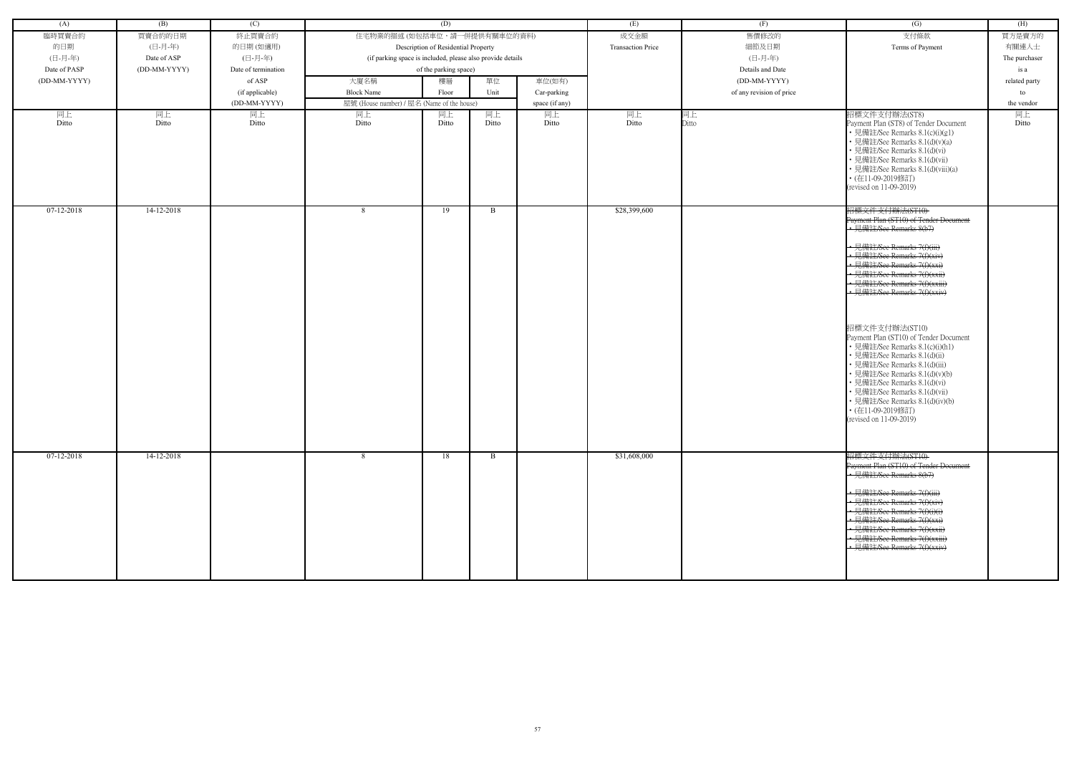| (A)          | (B)          | (C)                 |                                                            | (D)                                 |       |                | (E)                      | (F)                      | (G)                                                                                                                                                                                                                                                                                                                                                                                                                 | (H)           |
|--------------|--------------|---------------------|------------------------------------------------------------|-------------------------------------|-------|----------------|--------------------------|--------------------------|---------------------------------------------------------------------------------------------------------------------------------------------------------------------------------------------------------------------------------------------------------------------------------------------------------------------------------------------------------------------------------------------------------------------|---------------|
| 臨時買賣合約       | 買賣合約的日期      | 終止買賣合約              | 住宅物業的描述 (如包括車位,請一併提供有關車位的資料)                               |                                     |       |                | 成交金額                     | 售價修改的                    | 支付條款                                                                                                                                                                                                                                                                                                                                                                                                                | 買方是賣方的        |
| 的日期          | (日-月-年)      | 的日期(如適用)            |                                                            | Description of Residential Property |       |                | <b>Transaction Price</b> | 細節及日期                    | Terms of Payment                                                                                                                                                                                                                                                                                                                                                                                                    | 有關連人士         |
| (日-月-年)      | Date of ASP  | (日-月-年)             | (if parking space is included, please also provide details |                                     |       |                |                          | (日-月-年)                  |                                                                                                                                                                                                                                                                                                                                                                                                                     | The purchaser |
| Date of PASP | (DD-MM-YYYY) | Date of termination |                                                            | of the parking space)               |       |                |                          | Details and Date         |                                                                                                                                                                                                                                                                                                                                                                                                                     | is a          |
| (DD-MM-YYYY) |              | of ASP              | 大廈名稱                                                       | 樓層                                  | 單位    | 車位(如有)         |                          | (DD-MM-YYYY)             |                                                                                                                                                                                                                                                                                                                                                                                                                     | related party |
|              |              | (if applicable)     | <b>Block Name</b>                                          | Floor                               | Unit  | Car-parking    |                          | of any revision of price |                                                                                                                                                                                                                                                                                                                                                                                                                     | to            |
|              |              | (DD-MM-YYYY)        | 屋號 (House number) / 屋名 (Name of the house)                 |                                     |       | space (if any) |                          |                          |                                                                                                                                                                                                                                                                                                                                                                                                                     | the vendor    |
| 同上           | 同上           | 同上                  | 同上                                                         | 同上                                  | 同上    | 同上             | 同上                       | 同上                       | 招標文件支付辦法(ST8)                                                                                                                                                                                                                                                                                                                                                                                                       | 同上            |
| Ditto        | Ditto        | Ditto               | Ditto                                                      | Ditto                               | Ditto | Ditto          | Ditto                    | Ditto                    | Payment Plan (ST8) of Tender Document<br>• 見備註/See Remarks 8.1(c)(i)(g1)<br>• 見備註/See Remarks 8.1(d)(v)(a)<br>• 見備註/See Remarks 8.1(d)(vi)<br>• 見備註/See Remarks 8.1(d)(vii)<br>• 見備註/See Remarks 8.1(d)(viii)(a)<br>• (在11-09-2019修訂)<br>(revised on 11-09-2019)                                                                                                                                                    | Ditto         |
| 07-12-2018   | $14-12-2018$ |                     | 8                                                          | 19                                  | B     |                | \$28,399,600             |                          | 招標文件支付辦法(ST10)<br>Payment Plan (ST10) of Tender Document<br>• 見備註/See Remarks 8(b7)<br>• 見備註/See Remarks 7(f)(iii)<br>• 見備註/See Remarks 7(f)(xiv)<br>• 見備註/See Remarks 7(f)(xxi)<br>· 見備註/See Remarks 7(f)(xxii)                                                                                                                                                                                                    |               |
|              |              |                     |                                                            |                                     |       |                |                          |                          | • 見備註/See Remarks 7(f)(xxiii)<br>• 見備註/See Remarks 7(f)(xxiv)<br>招標文件支付辦法(ST10)<br>Payment Plan (ST10) of Tender Document<br>• 見備註/See Remarks 8.1(c)(i)(h1)<br>• 見備註/See Remarks 8.1(d)(ii)<br>• 見備註/See Remarks 8.1(d)(iii)<br>• 見備註/See Remarks 8.1(d)(v)(b)<br>• 見備註/See Remarks 8.1(d)(vi)<br>• 見備註/See Remarks 8.1(d)(vii)<br>• 見備註/See Remarks 8.1(d)(iv)(b)<br>• (在11-09-2019修訂)<br>(revised on 11-09-2019) |               |
| 07-12-2018   | 14-12-2018   |                     | 8                                                          | 18                                  | B     |                | \$31,608,000             |                          | 招標文件支付辦法(ST10)<br>Payment Plan (ST10) of Tender Document<br>見備註/See Remarks 8(b7)<br>• 見備註/See Remarks 7(f)(iii)<br>• 見備註/See Remarks 7(f)(xiv)<br>• 見備註/See Remarks 7(f)(i)(i)<br>見備註/See Remarks 7(f)(xxi)<br>• 見備註/See Remarks 7(f)(xxii)<br>• 見備註/See Remarks 7(f)(xxiii)<br>· 見備註/See Remarks 7(f)(xxiv)                                                                                                       |               |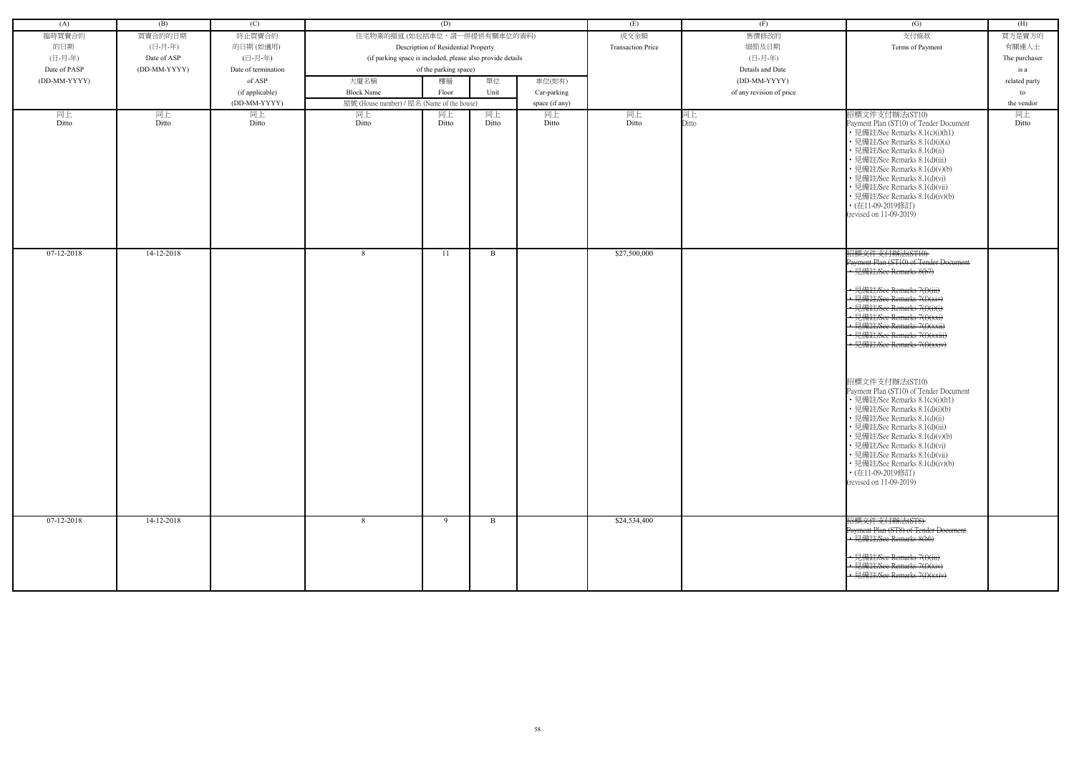| (A)              | (B)          | (C)                 |                                                            | (D)                                 |             |                | (E)                      | (F)                      | (G)                                                                                                                                                                                                                                                                                                                                                                                                                                                                                                                                                                                                                                                                                                     | (H)           |
|------------------|--------------|---------------------|------------------------------------------------------------|-------------------------------------|-------------|----------------|--------------------------|--------------------------|---------------------------------------------------------------------------------------------------------------------------------------------------------------------------------------------------------------------------------------------------------------------------------------------------------------------------------------------------------------------------------------------------------------------------------------------------------------------------------------------------------------------------------------------------------------------------------------------------------------------------------------------------------------------------------------------------------|---------------|
|                  |              |                     |                                                            |                                     |             |                |                          |                          |                                                                                                                                                                                                                                                                                                                                                                                                                                                                                                                                                                                                                                                                                                         |               |
| 臨時買賣合約           | 買賣合約的日期      | 終止買賣合約              | 住宅物業的描述 (如包括車位,請一併提供有關車位的資料)                               |                                     |             |                | 成交金額                     | 售價修改的                    | 支付條款                                                                                                                                                                                                                                                                                                                                                                                                                                                                                                                                                                                                                                                                                                    | 買方是賣方的        |
| 的日期              | (日-月-年)      | 的日期(如適用)            |                                                            | Description of Residential Property |             |                | <b>Transaction Price</b> | 細節及日期                    | Terms of Payment                                                                                                                                                                                                                                                                                                                                                                                                                                                                                                                                                                                                                                                                                        | 有關連人士         |
| (日-月-年)          | Date of ASP  | (日-月-年)             | (if parking space is included, please also provide details |                                     |             |                |                          | (日-月-年)                  |                                                                                                                                                                                                                                                                                                                                                                                                                                                                                                                                                                                                                                                                                                         | The purchaser |
| Date of PASP     | (DD-MM-YYYY) | Date of termination |                                                            | of the parking space)               |             |                |                          | Details and Date         |                                                                                                                                                                                                                                                                                                                                                                                                                                                                                                                                                                                                                                                                                                         | is a          |
| (DD-MM-YYYY)     |              | of ASP              | 大廈名稱                                                       | 樓層                                  | 單位          | 車位(如有)         |                          | (DD-MM-YYYY)             |                                                                                                                                                                                                                                                                                                                                                                                                                                                                                                                                                                                                                                                                                                         | related party |
|                  |              | (if applicable)     | <b>Block Name</b>                                          | Floor                               | Unit        | Car-parking    |                          | of any revision of price |                                                                                                                                                                                                                                                                                                                                                                                                                                                                                                                                                                                                                                                                                                         | to            |
|                  |              | (DD-MM-YYYY)        | 屋號 (House number) / 屋名 (Name of the house)                 |                                     |             | space (if any) |                          |                          |                                                                                                                                                                                                                                                                                                                                                                                                                                                                                                                                                                                                                                                                                                         | the vendor    |
| 同上<br>Ditto      | 同上<br>Ditto  | 同上<br>Ditto         | 同上<br>Ditto                                                | 同上<br>Ditto                         | 同上<br>Ditto | 同上<br>Ditto    | 同上<br>Ditto              | 同上<br>Ditto              | 招標文件支付辦法(ST10)<br>Payment Plan (ST10) of Tender Document<br>• 見備註/See Remarks 8.1(c)(i)(h1)<br>• 見備註/See Remarks 8.1(d)(i)(a)<br>• 見備註/See Remarks 8.1(d)(ii)<br>• 見備註/See Remarks 8.1(d)(iii)<br>· 見備註/See Remarks 8.1(d)(v)(b)<br>• 見備註/See Remarks 8.1(d)(vi)<br>• 見備註/See Remarks 8.1(d)(vii)<br>• 見備註/See Remarks 8.1(d)(iv)(b)<br>• (在11-09-2019修訂)<br>(revised on 11-09-2019)                                                                                                                                                                                                                                                                                                                    | 同上<br>Ditto   |
| $07 - 12 - 2018$ | 14-12-2018   |                     | 8                                                          | 11                                  | B           |                | \$27,500,000             |                          | 招標文件支付辦法(ST10)<br>Payment Plan (ST10) of Tender Document<br>• 見備註/See Remarks 8(b7)<br>← 見備註/See Remarks 7(f)(iii)<br>• 見備註/See Remarks 7(f)(xiv)<br>← 見備註/See Remarks 7(f)(i)(i)<br>• 見備註/See Remarks 7(f)(xxi)<br>見備註/See Remarks 7(f)(xxii)<br>• 見備註/See Remarks 7(f)(xxiii)<br>· 見備註/See Remarks 7(f)(xxiv)<br>招標文件支付辦法(ST10)<br>Payment Plan (ST10) of Tender Document<br>• 見備註/See Remarks 8.1(c)(i)(h1)<br>• 見備註/See Remarks 8.1(d)(i)(b)<br>• 見備註/See Remarks 8.1(d)(ii)<br>• 見備註/See Remarks 8.1(d)(iii)<br>• 見備註/See Remarks 8.1(d)(v)(b)<br>• 見備註/See Remarks 8.1(d)(vi)<br>• 見備註/See Remarks 8.1(d)(vii)<br>• 見備註/See Remarks 8.1(d)(iv)(b)<br>• (在11-09-2019修訂)<br>(revised on 11-09-2019) |               |
| 07-12-2018       | 14-12-2018   |                     | 8                                                          | 9                                   | B           |                | \$24,534,400             |                          | 招標文件支付辦法(ST8)<br>Payment Plan (ST8) of Tender Document<br>• 見備註/See Remarks 8(b6)<br>• 見備註/See Remarks 7(f)(iii)<br>見備註/See Remarks 7(f)(xiv)<br>• 見備註/See Remarks 7(f)(xxiv)                                                                                                                                                                                                                                                                                                                                                                                                                                                                                                                           |               |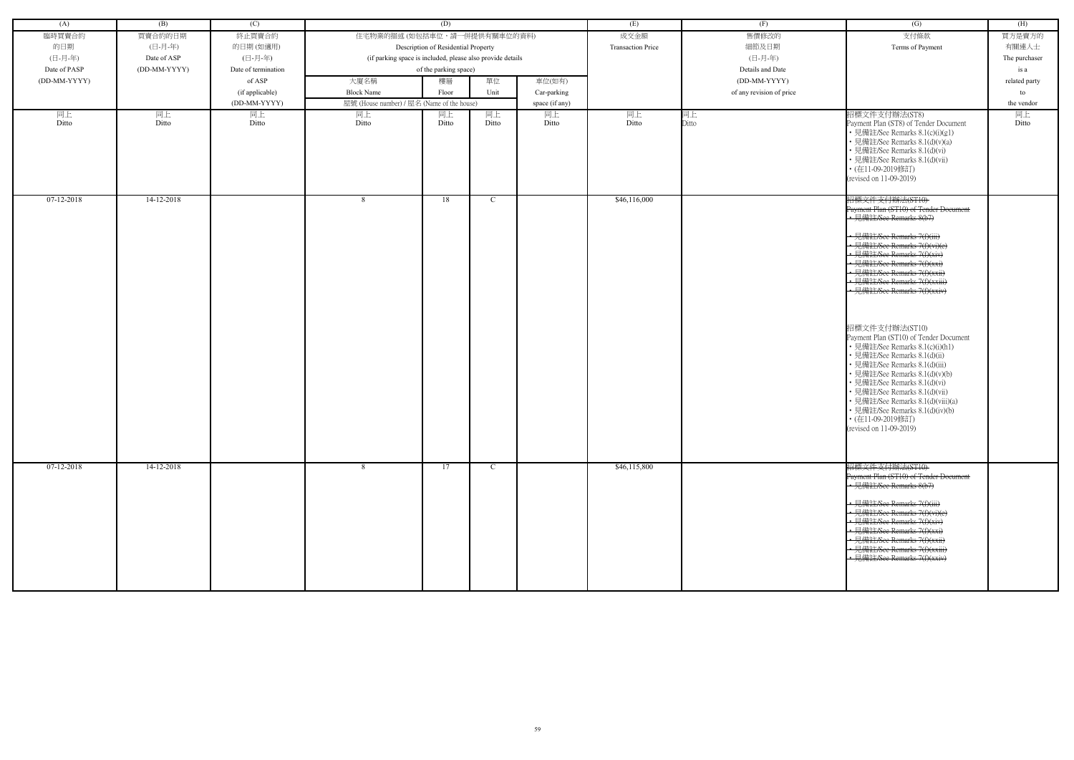| (A)          | (B)          | (C)                 |                                                            | (D)                                 |               |                | (E)                      | (F)                      | (G)                                                                                                                                                                                                                                                                                                                                                                                                                                                                                                                                                                                                                                                                                                            | (H)           |
|--------------|--------------|---------------------|------------------------------------------------------------|-------------------------------------|---------------|----------------|--------------------------|--------------------------|----------------------------------------------------------------------------------------------------------------------------------------------------------------------------------------------------------------------------------------------------------------------------------------------------------------------------------------------------------------------------------------------------------------------------------------------------------------------------------------------------------------------------------------------------------------------------------------------------------------------------------------------------------------------------------------------------------------|---------------|
| 臨時買賣合約       | 買賣合約的日期      | 終止買賣合約              | 住宅物業的描述(如包括車位,請一併提供有關車位的資料)                                |                                     |               |                | 成交金額                     | 售價修改的                    | 支付條款                                                                                                                                                                                                                                                                                                                                                                                                                                                                                                                                                                                                                                                                                                           | 買方是賣方的        |
| 的日期          | (日-月-年)      | 的日期(如適用)            |                                                            | Description of Residential Property |               |                | <b>Transaction Price</b> | 細節及日期                    | Terms of Payment                                                                                                                                                                                                                                                                                                                                                                                                                                                                                                                                                                                                                                                                                               | 有關連人士         |
| (日-月-年)      | Date of ASP  | (日-月-年)             | (if parking space is included, please also provide details |                                     |               |                |                          | (日-月-年)                  |                                                                                                                                                                                                                                                                                                                                                                                                                                                                                                                                                                                                                                                                                                                | The purchaser |
| Date of PASP | (DD-MM-YYYY) | Date of termination |                                                            | of the parking space)               |               |                |                          | Details and Date         |                                                                                                                                                                                                                                                                                                                                                                                                                                                                                                                                                                                                                                                                                                                | is a          |
| (DD-MM-YYYY) |              | of ASP              | 大廈名稱                                                       | 樓層                                  | 單位            | 車位(如有)         |                          | (DD-MM-YYYY)             |                                                                                                                                                                                                                                                                                                                                                                                                                                                                                                                                                                                                                                                                                                                | related party |
|              |              |                     |                                                            |                                     |               |                |                          |                          |                                                                                                                                                                                                                                                                                                                                                                                                                                                                                                                                                                                                                                                                                                                |               |
|              |              | (if applicable)     | <b>Block Name</b>                                          | Floor                               | Unit          | Car-parking    |                          | of any revision of price |                                                                                                                                                                                                                                                                                                                                                                                                                                                                                                                                                                                                                                                                                                                | to            |
|              |              | (DD-MM-YYYY)        | 屋號 (House number) / 屋名 (Name of the house)                 |                                     |               | space (if any) |                          |                          |                                                                                                                                                                                                                                                                                                                                                                                                                                                                                                                                                                                                                                                                                                                | the vendor    |
| 同上<br>Ditto  | 同上<br>Ditto  | 同上<br>Ditto         | 同上<br>Ditto                                                | 同上<br>Ditto                         | 同上<br>Ditto   | 同上<br>Ditto    | 同上<br>Ditto              | 同上<br>Ditto              | 招標文件支付辦法(ST8)<br>Payment Plan (ST8) of Tender Document<br>• 見備註/See Remarks 8.1(c)(i)(g1)<br>• 見備註/See Remarks 8.1(d)(v)(a)<br>• 見備註/See Remarks 8.1(d)(vi)<br>• 見備註/See Remarks 8.1(d)(vii)<br>• (在11-09-2019修訂)<br>(revised on 11-09-2019)                                                                                                                                                                                                                                                                                                                                                                                                                                                                   | 同上<br>Ditto   |
| $07-12-2018$ | 14-12-2018   |                     | 8                                                          | 18                                  | C             |                | \$46,116,000             |                          | 招標文件支付辦法(ST10)<br>Payment Plan (ST10) of Tender Document<br>• 見備註/See Remarks 8(b7)<br>• 見備註/See Remarks 7(f)(iii)<br>• 見備註/See Remarks 7(f)(vi)(e)<br>• 見備註/See Remarks 7(f)(xiv)<br>· 見備註/See Remarks 7(f)(xxi)<br>• 見備註/See Remarks 7(f)(xxii)<br>· 見備註/See Remarks 7(f)(xxiii)<br>• 見備註/See Remarks $7(f)(xxi)$<br>招標文件支付辦法(ST10)<br>Payment Plan (ST10) of Tender Document<br>• 見備註/See Remarks 8.1(c)(i)(h1)<br>• 見備註/See Remarks 8.1(d)(ii)<br>· 見備註/See Remarks 8.1(d)(iii)<br>• 見備註/See Remarks 8.1(d)(v)(b)<br>• 見備註/See Remarks 8.1(d)(vi)<br>• 見備註/See Remarks 8.1(d)(vii)<br>• 見備註/See Remarks 8.1(d)(viii)(a)<br>• 見備註/See Remarks 8.1(d)(iv)(b)<br>• (在11-09-2019修訂)<br>(revised on 11-09-2019) |               |
| 07-12-2018   | 14-12-2018   |                     | -8                                                         | 17                                  | $\mathcal{C}$ |                | \$46,115,800             |                          | 招標文件支付辦法(ST10)<br>Payment Plan (ST10) of Tender Document<br>• 見備註/See Remarks 8(b7)<br>• 見備註/See Remarks 7(f)(iii)<br>• 見備註/See Remarks 7(f)(vi)(e)<br>• 見備註/See Remarks 7(f)(xiv)<br>• 見備註/See Remarks 7(f)(xxi)<br>· 見備註/See Remarks 7(f)(xxii)<br>• 見備註/See Remarks 7(f)(xxiii)<br>· 見備註/See Remarks 7(f)(xxiv)                                                                                                                                                                                                                                                                                                                                                                                             |               |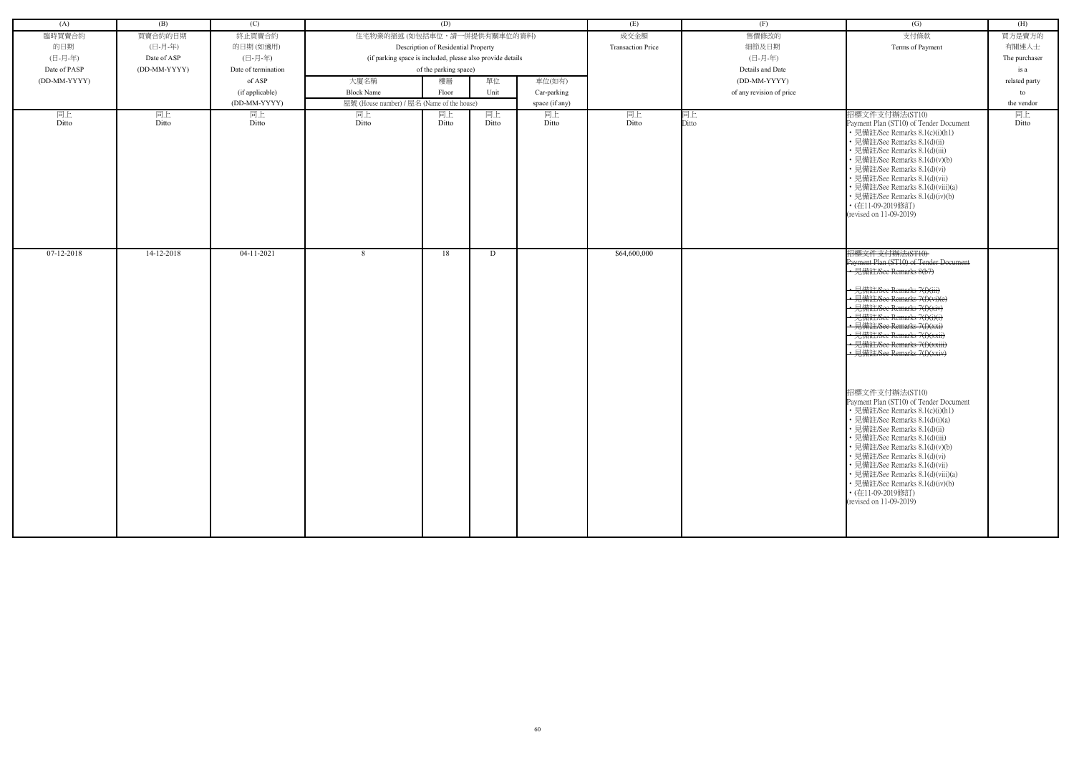| (A)          | (B)          | (C)                 |                                                            | (D)                                 |       |                | (E)                      | (F)                      | (G)                                                                                                                                                                                                                                                                                                                                                                                                                                                                                                                                                                                                                                                                                                                                                                             | (H)           |
|--------------|--------------|---------------------|------------------------------------------------------------|-------------------------------------|-------|----------------|--------------------------|--------------------------|---------------------------------------------------------------------------------------------------------------------------------------------------------------------------------------------------------------------------------------------------------------------------------------------------------------------------------------------------------------------------------------------------------------------------------------------------------------------------------------------------------------------------------------------------------------------------------------------------------------------------------------------------------------------------------------------------------------------------------------------------------------------------------|---------------|
| 臨時買賣合約       | 買賣合約的日期      | 終止買賣合約              | 住宅物業的描述 (如包括車位,請一併提供有關車位的資料)                               |                                     |       |                | 成交金額                     | 售價修改的                    | 支付條款                                                                                                                                                                                                                                                                                                                                                                                                                                                                                                                                                                                                                                                                                                                                                                            | 買方是賣方的        |
| 的日期          | (日-月-年)      | 的日期(如適用)            |                                                            | Description of Residential Property |       |                | <b>Transaction Price</b> | 細節及日期                    | Terms of Payment                                                                                                                                                                                                                                                                                                                                                                                                                                                                                                                                                                                                                                                                                                                                                                | 有關連人士         |
| (日-月-年)      | Date of ASP  | (日-月-年)             | (if parking space is included, please also provide details |                                     |       |                |                          | (日-月-年)                  |                                                                                                                                                                                                                                                                                                                                                                                                                                                                                                                                                                                                                                                                                                                                                                                 | The purchaser |
| Date of PASP | (DD-MM-YYYY) | Date of termination |                                                            | of the parking space)               |       |                |                          | Details and Date         |                                                                                                                                                                                                                                                                                                                                                                                                                                                                                                                                                                                                                                                                                                                                                                                 | is a          |
| (DD-MM-YYYY) |              | of ASP              | 大廈名稱                                                       | 樓層                                  | 單位    | 車位(如有)         |                          | (DD-MM-YYYY)             |                                                                                                                                                                                                                                                                                                                                                                                                                                                                                                                                                                                                                                                                                                                                                                                 | related party |
|              |              | (if applicable)     | <b>Block Name</b>                                          | Floor                               | Unit  | Car-parking    |                          | of any revision of price |                                                                                                                                                                                                                                                                                                                                                                                                                                                                                                                                                                                                                                                                                                                                                                                 | to            |
|              |              | (DD-MM-YYYY)        | 屋號 (House number) / 屋名 (Name of the house)                 |                                     |       | space (if any) |                          |                          |                                                                                                                                                                                                                                                                                                                                                                                                                                                                                                                                                                                                                                                                                                                                                                                 | the vendor    |
| 同上           | 同上           | 同上                  | 同上                                                         | 同上                                  | 同上    | 同上             | 同上                       | 同上                       | 招標文件支付辦法(ST10)                                                                                                                                                                                                                                                                                                                                                                                                                                                                                                                                                                                                                                                                                                                                                                  | 同上            |
| Ditto        | Ditto        | Ditto               | Ditto                                                      | Ditto                               | Ditto | Ditto          | Ditto                    | Ditto                    | Payment Plan (ST10) of Tender Document<br>• 見備註/See Remarks 8.1(c)(i)(h1)<br>• 見備註/See Remarks 8.1(d)(ii)<br>見備註/See Remarks 8.1(d)(iii)<br>• 見備註/See Remarks 8.1(d)(v)(b)<br>• 見備註/See Remarks 8.1(d)(vi)<br>• 見備註/See Remarks 8.1(d)(vii)<br>• 見備註/See Remarks 8.1(d)(viii)(a)<br>• 見備註/See Remarks 8.1(d)(iv)(b)<br>• (在11-09-2019修訂)<br>(revised on 11-09-2019)                                                                                                                                                                                                                                                                                                                                                                                                             | Ditto         |
| 07-12-2018   | 14-12-2018   | $04-11-2021$        | -8                                                         | 18                                  | D     |                | \$64,600,000             |                          | 招標文件支付辦法(ST10)<br>Payment Plan (ST10) of Tender Document<br>• 見備註/See Remarks 8(b7)<br>• 見備註/See Remarks 7(f)(iii)<br>• 見備註/See Remarks 7(f)(vi)(e)<br>· 見備註/See Remarks 7(f)(xiv)<br>• 見備註/See Remarks 7(f)(i)(i)<br>• 見備註/See Remarks 7(f)(xxi)<br>• 見備註/See Remarks 7(f)(xxii)<br>• 見備註/See Remarks 7(f)(xxiii)<br>• 見備註/See Remarks 7(f)(xxiv)<br>招標文件支付辦法(ST10)<br>Payment Plan (ST10) of Tender Document<br>• 見備註/See Remarks 8.1(c)(i)(h1)<br>• 見備註/See Remarks 8.1(d)(i)(a)<br>• 見備註/See Remarks 8.1(d)(ii)<br>• 見備註/See Remarks 8.1(d)(iii)<br>• 見備註/See Remarks 8.1(d)(v)(b)<br>• 見備註/See Remarks 8.1(d)(vi)<br>• 見備註/See Remarks 8.1(d)(vii)<br>• 見備註/See Remarks 8.1(d)(viii)(a)<br>• 見備註/See Remarks 8.1(d)(iv)(b)<br>• (在11-09-2019修訂)<br>(revised on 11-09-2019) |               |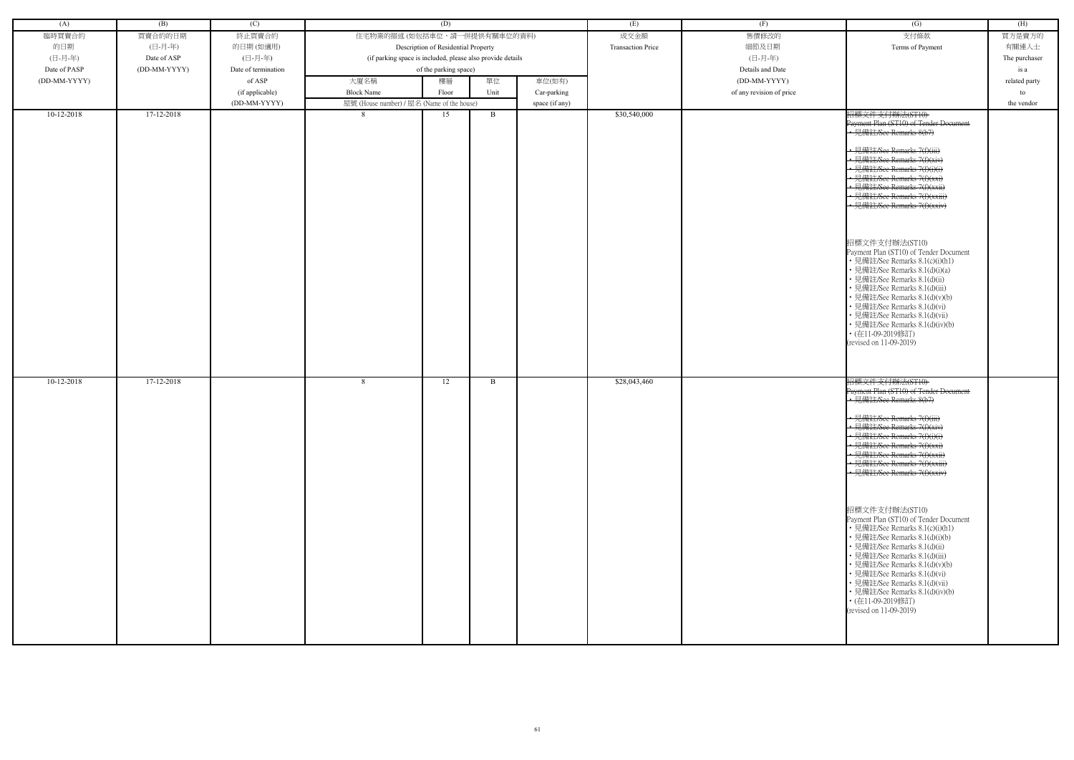| (A)          | (B)          | (C)                 |                                                            | (D)                                 |              |                | (E)                      | (F)                      | $\overline{(G)}$                                                                                                                                                                                                                                                                                                                                                                                                                                                                                                                                                                                                                                                                                          | (H)           |
|--------------|--------------|---------------------|------------------------------------------------------------|-------------------------------------|--------------|----------------|--------------------------|--------------------------|-----------------------------------------------------------------------------------------------------------------------------------------------------------------------------------------------------------------------------------------------------------------------------------------------------------------------------------------------------------------------------------------------------------------------------------------------------------------------------------------------------------------------------------------------------------------------------------------------------------------------------------------------------------------------------------------------------------|---------------|
| 臨時買賣合約       | 買賣合約的日期      | 終止買賣合約              | 住宅物業的描述 (如包括車位,請一併提供有關車位的資料)                               |                                     |              |                | 成交金額                     | 售價修改的                    | 支付條款                                                                                                                                                                                                                                                                                                                                                                                                                                                                                                                                                                                                                                                                                                      | 買方是賣方的        |
| 的日期          | (日-月-年)      | 的日期(如適用)            |                                                            | Description of Residential Property |              |                | <b>Transaction Price</b> | 細節及日期                    | Terms of Payment                                                                                                                                                                                                                                                                                                                                                                                                                                                                                                                                                                                                                                                                                          | 有關連人士         |
| (日-月-年)      | Date of ASP  | (日-月-年)             | (if parking space is included, please also provide details |                                     |              |                |                          | (日-月-年)                  |                                                                                                                                                                                                                                                                                                                                                                                                                                                                                                                                                                                                                                                                                                           | The purchaser |
|              |              |                     |                                                            |                                     |              |                |                          |                          |                                                                                                                                                                                                                                                                                                                                                                                                                                                                                                                                                                                                                                                                                                           |               |
| Date of PASP | (DD-MM-YYYY) | Date of termination |                                                            | of the parking space)               |              |                |                          | Details and Date         |                                                                                                                                                                                                                                                                                                                                                                                                                                                                                                                                                                                                                                                                                                           | is a          |
| (DD-MM-YYYY) |              | of ASP              | 大廈名稱                                                       | 樓層                                  | 單位           | 車位(如有)         |                          | (DD-MM-YYYY)             |                                                                                                                                                                                                                                                                                                                                                                                                                                                                                                                                                                                                                                                                                                           | related party |
|              |              | (if applicable)     | <b>Block Name</b>                                          | Floor                               | Unit         | Car-parking    |                          | of any revision of price |                                                                                                                                                                                                                                                                                                                                                                                                                                                                                                                                                                                                                                                                                                           | to            |
|              |              | (DD-MM-YYYY)        | 屋號 (House number) / 屋名 (Name of the house)                 |                                     |              | space (if any) |                          |                          |                                                                                                                                                                                                                                                                                                                                                                                                                                                                                                                                                                                                                                                                                                           | the vendor    |
| $10-12-2018$ | 17-12-2018   |                     | 8                                                          | 15                                  | B            |                | \$30,540,000             |                          | 招標文件支付辦法(ST10)                                                                                                                                                                                                                                                                                                                                                                                                                                                                                                                                                                                                                                                                                            |               |
|              |              |                     |                                                            |                                     |              |                |                          |                          | Payment Plan (ST10) of Tender Document<br>• 見備註/See Remarks 8(b7)<br>• 見備註/See Remarks 7(f)(iii)<br>• 見備註/See Remarks 7(f)(xiv)<br>• 見備註/See Remarks 7(f)(i)(i)<br>見備註/See Remarks 7(f)(xxi)<br>• 見備註/See Remarks 7(f)(xxii)<br>見備註/See Remarks 7(f)(xxiii)<br>· 見備註/See Remarks 7(f)(xxiv)<br>招標文件支付辦法(ST10)<br>Payment Plan (ST10) of Tender Document<br>• 見備註/See Remarks 8.1(c)(i)(h1)<br>• 見備註/See Remarks 8.1(d)(i)(a)<br>· 見備註/See Remarks 8.1(d)(ii)<br>· 見備註/See Remarks 8.1(d)(iii)<br>見備註/See Remarks 8.1(d)(v)(b)<br>見備註/See Remarks 8.1(d)(vi)<br>見備註/See Remarks 8.1(d)(vii)<br>· 見備註/See Remarks 8.1(d)(iv)(b)<br>• (在11-09-2019修訂)<br>(revised on 11-09-2019)                             |               |
| $10-12-2018$ | 17-12-2018   |                     | 8                                                          | 12                                  | $\mathbf{B}$ |                | \$28,043,460             |                          | 招標文件支付辦法(ST10)<br>Payment Plan (ST10) of Tender Doeument<br>• 見備註/See Remarks 8(b7)<br>→ 見備註/See Remarks 7(f)(iii)<br>· 見備註/See Remarks 7(f)(xiv)<br>• 見備註/See Remarks 7(f)(i)(i)<br>• 見備註/See Remarks 7(f)(xxi)<br>• 見備註/See Remarks 7(f)(xxii)<br>• 見備註/See Remarks 7(f)(xxiii)<br>- 見備註/See Remarks 7(f)(xxiv)<br>招標文件支付辦法(ST10)<br>Payment Plan (ST10) of Tender Document<br>• 見備註/See Remarks 8.1(c)(i)(h1)<br>• 見備註/See Remarks 8.1(d)(i)(b)<br>• 見備註/See Remarks 8.1(d)(ii)<br>· 見備註/See Remarks 8.1(d)(iii)<br>• 見備註/See Remarks 8.1(d)(v)(b)<br>• 見備註/See Remarks 8.1(d)(vi)<br>• 見備註/See Remarks 8.1(d)(vii)<br>• 見備註/See Remarks 8.1(d)(iv)(b)<br>• (在11-09-2019修訂)<br>(revised on 11-09-2019) |               |

| (G)                                                                         | (H)           |
|-----------------------------------------------------------------------------|---------------|
| 支付條款                                                                        | 買方是賣方的        |
| Terms of Payment                                                            | 有關連人士         |
|                                                                             | The purchaser |
|                                                                             | is a          |
|                                                                             |               |
|                                                                             | related party |
|                                                                             | to            |
|                                                                             | the vendor    |
| <del>招標文件支付辦法(ST10)</del><br>Payment Plan (ST10) of Tender Document         |               |
| 見備註/See Remarks 8(b7)                                                       |               |
|                                                                             |               |
| <del>靖註/See Remarks 7(f)(iii)</del>                                         |               |
| 見備註/See Remarks 7(f)(xiv)                                                   |               |
| <del>有註/See Remarks 7(f)(i)(i)</del>                                        |               |
| <del>菲主/See Remarks 7(f)(xxi)</del><br><del>有註/See Remarks 7(f)(xxii)</del> |               |
| <del>見備註/See Remarks 7(f)(xxiii)</del>                                      |               |
| 見備註/See Remarks 7(f)(xxiv)                                                  |               |
|                                                                             |               |
|                                                                             |               |
|                                                                             |               |
| 招標文件支付辦法(ST10)<br>Payment Plan (ST10) of Tender Document                    |               |
| • 見備註/See Remarks 8.1(c)(i)(h1)                                             |               |
| • 見備註/See Remarks 8.1(d)(i)(a)                                              |               |
| • 見備註/See Remarks 8.1(d)(ii)                                                |               |
| • 見備註/See Remarks 8.1(d)(iii)                                               |               |
| • 見備註/See Remarks 8.1(d)(v)(b)                                              |               |
| • 見備註/See Remarks 8.1(d)(vi)<br>• 見備註/See Remarks 8.1(d)(vii)               |               |
| • 見備註/See Remarks 8.1(d)(iv)(b)                                             |               |
| ・(在11-09-2019修訂)                                                            |               |
| (revised on 11-09-2019)                                                     |               |
|                                                                             |               |
|                                                                             |               |
| <del>招標文件支付辦法(ST10)</del>                                                   |               |
| Payment Plan (ST10) of Tender Doeument                                      |               |
| <del>見備註/See Remarks 8(b7)</del>                                            |               |
|                                                                             |               |
| $H \nleftrightarrow_H \omega$ n<br>註/See Remarks 7(f)(iii)                  |               |
| <del>註/See Remarks 7(t)(xiv)</del>                                          |               |
| 註/See Remarks 7(f)(i)(i)<br><del>See Remarks 7(f)(xxi)</del>                |               |
| <del>E/See Remarks 7(f)(xxii)</del>                                         |               |
| <del>靠註/See Remarks 7(f)(xxiii)</del>                                       |               |
| 註/See Remarks 7(f)(xxiv)                                                    |               |
|                                                                             |               |
|                                                                             |               |
| 招標文件支付辦法(ST10)                                                              |               |
| Payment Plan (ST10) of Tender Document                                      |               |
| • 見備註/See Remarks 8.1(c)(i)(h1)                                             |               |
| • 見備註/See Remarks 8.1(d)(i)(b)                                              |               |
| ・見備註/See Remarks 8.1(d)(ii)                                                 |               |
| • 見備註/See Remarks 8.1(d)(iii)                                               |               |
| • 見備註/See Remarks 8.1(d)(v)(b)<br>• 見備註/See Remarks 8.1(d)(vi)              |               |
| • 見備註/See Remarks 8.1(d)(vii)                                               |               |
| • 見備註/See Remarks 8.1(d)(iv)(b)                                             |               |
| ・(在11-09-2019修訂)                                                            |               |
| (revised on 11-09-2019)                                                     |               |
|                                                                             |               |
|                                                                             |               |
|                                                                             |               |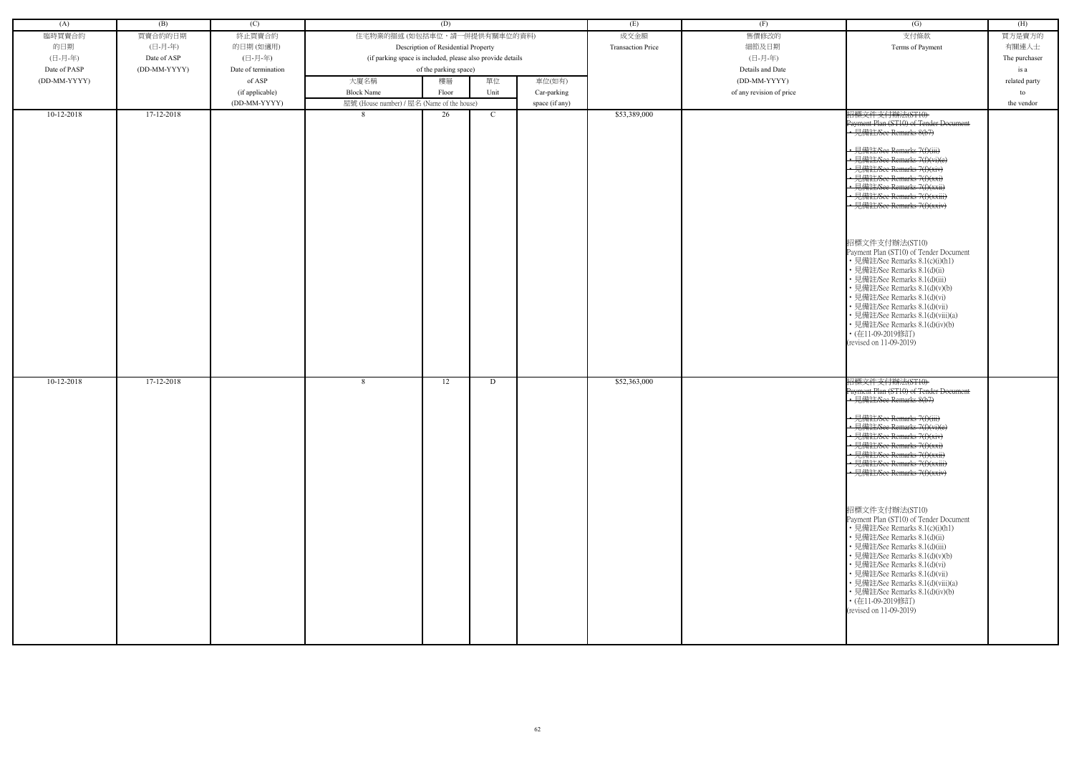| (A)          | (B)          | (C)                 |                                                            | (D)                                 |             |                | (E)                      | (F)                      | $\overline{(G)}$                                                                                                                                                                                                                                                                                                                                                                                                                                                                                                                                                                                                                                                                                                   | (H)           |
|--------------|--------------|---------------------|------------------------------------------------------------|-------------------------------------|-------------|----------------|--------------------------|--------------------------|--------------------------------------------------------------------------------------------------------------------------------------------------------------------------------------------------------------------------------------------------------------------------------------------------------------------------------------------------------------------------------------------------------------------------------------------------------------------------------------------------------------------------------------------------------------------------------------------------------------------------------------------------------------------------------------------------------------------|---------------|
| 臨時買賣合約       | 買賣合約的日期      | 終止買賣合約              | 住宅物業的描述 (如包括車位,請一併提供有關車位的資料)                               |                                     |             |                | 成交金額                     | 售價修改的                    | 支付條款                                                                                                                                                                                                                                                                                                                                                                                                                                                                                                                                                                                                                                                                                                               | 買方是賣方的        |
| 的日期          | (日-月-年)      | 的日期(如適用)            |                                                            | Description of Residential Property |             |                | <b>Transaction Price</b> | 細節及日期                    | Terms of Payment                                                                                                                                                                                                                                                                                                                                                                                                                                                                                                                                                                                                                                                                                                   | 有關連人士         |
|              |              |                     |                                                            |                                     |             |                |                          |                          |                                                                                                                                                                                                                                                                                                                                                                                                                                                                                                                                                                                                                                                                                                                    |               |
| (日-月-年)      | Date of ASP  | (日-月-年)             | (if parking space is included, please also provide details |                                     |             |                |                          | (日-月-年)                  |                                                                                                                                                                                                                                                                                                                                                                                                                                                                                                                                                                                                                                                                                                                    | The purchaser |
| Date of PASP | (DD-MM-YYYY) | Date of termination |                                                            | of the parking space)               |             |                |                          | Details and Date         |                                                                                                                                                                                                                                                                                                                                                                                                                                                                                                                                                                                                                                                                                                                    | is a          |
| (DD-MM-YYYY) |              | of ASP              | 大廈名稱                                                       | 樓層                                  | 單位          | 車位(如有)         |                          | (DD-MM-YYYY)             |                                                                                                                                                                                                                                                                                                                                                                                                                                                                                                                                                                                                                                                                                                                    | related party |
|              |              | (if applicable)     | <b>Block Name</b>                                          | Floor                               | Unit        | Car-parking    |                          | of any revision of price |                                                                                                                                                                                                                                                                                                                                                                                                                                                                                                                                                                                                                                                                                                                    | to            |
|              |              | (DD-MM-YYYY)        | 屋號 (House number) / 屋名 (Name of the house)                 |                                     |             | space (if any) |                          |                          |                                                                                                                                                                                                                                                                                                                                                                                                                                                                                                                                                                                                                                                                                                                    | the vendor    |
|              |              |                     |                                                            |                                     |             |                |                          |                          |                                                                                                                                                                                                                                                                                                                                                                                                                                                                                                                                                                                                                                                                                                                    |               |
| $10-12-2018$ | 17-12-2018   |                     | 8                                                          | 26                                  | $\mathbf C$ |                | \$53,389,000             |                          | 招標文件支付辦法(ST10)<br>Payment Plan (ST10) of Tender Document<br>• 見備註/See Remarks 8(b7)<br>· 見備註/See Remarks 7(f)(iii)<br>• 見備註/See Remarks 7(f)(vi)(e)<br>見備註/See Remarks 7(f)(xiv)<br>• 見備註/See Remarks 7(f)(xxi)<br>見備註/See Remarks 7(f)(xxii)<br>· 見備註/See Remarks 7(f)(xxiii)<br>• 見備註/See Remarks 7(f)(xxiv)<br>招標文件支付辦法(ST10)<br>Payment Plan (ST10) of Tender Document<br>• 見備註/See Remarks 8.1(c)(i)(h1)<br>見備註/See Remarks 8.1(d)(ii)<br>見備註/See Remarks 8.1(d)(iii)<br>見備註/See Remarks 8.1(d)(v)(b)<br>見備註/See Remarks 8.1(d)(vi)<br>見備註/See Remarks 8.1(d)(vii)<br>見備註/See Remarks 8.1(d)(viii)(a)<br>• 見備註/See Remarks 8.1(d)(iv)(b)<br>• (在11-09-2019修訂)<br>(revised on 11-09-2019)                      |               |
| $10-12-2018$ | 17-12-2018   |                     | 8                                                          | 12                                  | D           |                | \$52,363,000             |                          | 招標文件支付辦法(ST10)<br>Payment Plan (ST10) of Tender Document<br>.<br>• 見備註/See Remarks 8(b7)<br>• 見備註/See Remarks 7(f)(iii)<br>• 見備註/See Remarks 7(f)(vi)(e)<br>• 見備註/See Remarks 7(f)(xiv)<br>· 見備註/See Remarks 7(f)(xxi)<br>• 見備註/See Remarks 7(f)(xxii)<br>• 見備註/See Remarks 7(f)(xxiii)<br>• 見備註/See Remarks 7(f)(xxiv)<br>招標文件支付辦法(ST10)<br>Payment Plan (ST10) of Tender Document<br>• 見備註/See Remarks 8.1(c)(i)(h1)<br>• 見備註/See Remarks 8.1(d)(ii)<br>· 見備註/See Remarks 8.1(d)(iii)<br>• 見備註/See Remarks 8.1(d)(v)(b)<br>• 見備註/See Remarks 8.1(d)(vi)<br>• 見備註/See Remarks 8.1(d)(vii)<br>• 見備註/See Remarks 8.1(d)(viii)(a)<br>• 見備註/See Remarks 8.1(d)(iv)(b)<br>• (在11-09-2019修訂)<br>(revised on 11-09-2019) |               |

| (G)                                                                                                                                                                                                                                                                                                                                                                                                                                                                                                                                                                                                               | (H)           |
|-------------------------------------------------------------------------------------------------------------------------------------------------------------------------------------------------------------------------------------------------------------------------------------------------------------------------------------------------------------------------------------------------------------------------------------------------------------------------------------------------------------------------------------------------------------------------------------------------------------------|---------------|
| 支付條款                                                                                                                                                                                                                                                                                                                                                                                                                                                                                                                                                                                                              | 買方是賣方的        |
| Terms of Payment                                                                                                                                                                                                                                                                                                                                                                                                                                                                                                                                                                                                  | 有關連人士         |
|                                                                                                                                                                                                                                                                                                                                                                                                                                                                                                                                                                                                                   | The purchaser |
|                                                                                                                                                                                                                                                                                                                                                                                                                                                                                                                                                                                                                   | is a          |
|                                                                                                                                                                                                                                                                                                                                                                                                                                                                                                                                                                                                                   | related party |
|                                                                                                                                                                                                                                                                                                                                                                                                                                                                                                                                                                                                                   | to            |
|                                                                                                                                                                                                                                                                                                                                                                                                                                                                                                                                                                                                                   | the vendor    |
| 招標文件支付辦法(ST10)<br>Payment Plan (ST10) of Tender Document<br>-見備註/See Remarks 8(b7)<br><del>詳社/See Remarks 7(f)(iii)</del><br>註/See Remarks 7(f)(xiv)<br><del>註/See Remarks 7(f)(xxi)</del><br><del>肯註/See Remarks 7(f)(xxii)</del><br><del>備註/See Remarks 7(f)(xxiii)</del><br>見備註/See Remarks 7(f)(xxiv)<br>招標文件支付辦法(ST10)<br>Payment Plan (ST10) of Tender Document<br>• 見備註/See Remarks 8.1(c)(i)(h1)<br>• 見備註/See Remarks 8.1(d)(ii)<br>• 見備註/See Remarks 8.1(d)(iii)<br>• 見備註/See Remarks 8.1(d)(v)(b)<br>• 見備註/See Remarks 8.1(d)(vi)<br>• 見備註/See Remarks 8.1(d)(vii)<br>• 見備註/See Remarks 8.1(d)(viii)(a) |               |
| • 見備註/See Remarks 8.1(d)(iv)(b)<br>・(在11-09-2019修訂)<br>(revised on 11-09-2019)                                                                                                                                                                                                                                                                                                                                                                                                                                                                                                                                    |               |
| 招標文件支付辦法(ST10)<br>Payment Plan (ST10) of Tender Doeument<br>見備註/See Remarks 8(b7)                                                                                                                                                                                                                                                                                                                                                                                                                                                                                                                                 |               |
| $H$ $H$ $\rightarrow$ $\rightarrow$ $H$<br><del>l.備註/See Remarks 7(f)(iii)</del><br>註/See Remarks 7(f)(vi)(e)<br>註/See Remarks 7(f)(xiv)<br><del>E/See Remarks 7(f)(xxi)</del><br><del>王/See Remarks 7(f)(xxii)</del><br><del>E/See Remarks 7(f)(xxiii)</del><br><del><b>靠註/See Remarks 7(f)(xxiv)</b></del>                                                                                                                                                                                                                                                                                                      |               |
| 招標文件支付辦法(ST10)<br>Payment Plan (ST10) of Tender Document<br>• 見備註/See Remarks 8.1(c)(i)(h1)<br>・見備註/See Remarks 8.1(d)(ii)<br>• 見備註/See Remarks 8.1(d)(iii)<br>• 見備註/See Remarks 8.1(d)(v)(b)<br>• 見備註/See Remarks 8.1(d)(vi)<br>• 見備註/See Remarks 8.1(d)(vii)<br>• 見備註/See Remarks 8.1(d)(viii)(a)<br>• 見備註/See Remarks 8.1(d)(iv)(b)<br>・(在11-09-2019修訂)<br>(revised on 11-09-2019)                                                                                                                                                                                                                             |               |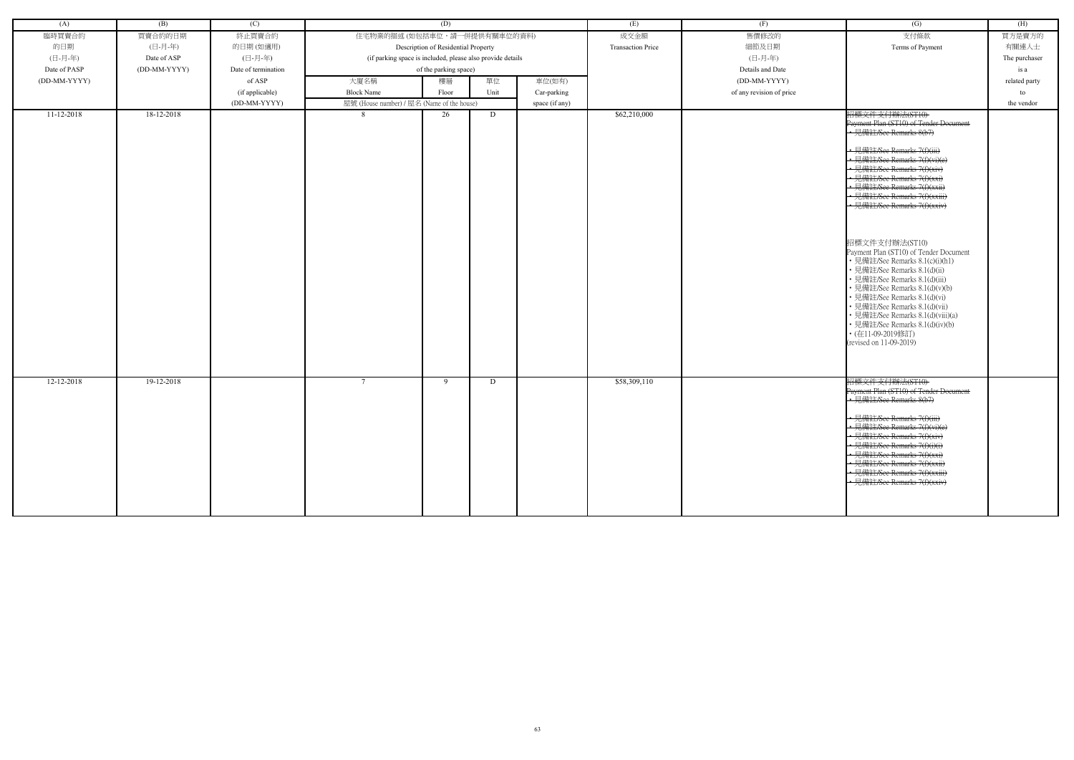| (A)              | (B)          | (C)                 |                                                            | (D)                                 |      |                | (E)                      | (F)                      | $\overline{(G)}$                                                                                                                                                                                                                                                                                                                                                                                                                                                                                                                                                                                                                                                                                          | (H)           |
|------------------|--------------|---------------------|------------------------------------------------------------|-------------------------------------|------|----------------|--------------------------|--------------------------|-----------------------------------------------------------------------------------------------------------------------------------------------------------------------------------------------------------------------------------------------------------------------------------------------------------------------------------------------------------------------------------------------------------------------------------------------------------------------------------------------------------------------------------------------------------------------------------------------------------------------------------------------------------------------------------------------------------|---------------|
| 臨時買賣合約           | 買賣合約的日期      | 終止買賣合約              | 住宅物業的描述 (如包括車位,請一併提供有關車位的資料)                               |                                     |      |                | 成交金額                     | 售價修改的                    | 支付條款                                                                                                                                                                                                                                                                                                                                                                                                                                                                                                                                                                                                                                                                                                      | 買方是賣方的        |
| 的日期              | (日-月-年)      | 的日期(如適用)            |                                                            | Description of Residential Property |      |                | <b>Transaction Price</b> | 細節及日期                    | Terms of Payment                                                                                                                                                                                                                                                                                                                                                                                                                                                                                                                                                                                                                                                                                          | 有關連人士         |
| (日-月-年)          | Date of ASP  | (日-月-年)             | (if parking space is included, please also provide details |                                     |      |                |                          | (日-月-年)                  |                                                                                                                                                                                                                                                                                                                                                                                                                                                                                                                                                                                                                                                                                                           | The purchaser |
| Date of PASP     | (DD-MM-YYYY) | Date of termination |                                                            | of the parking space)               |      |                |                          | Details and Date         |                                                                                                                                                                                                                                                                                                                                                                                                                                                                                                                                                                                                                                                                                                           | is a          |
| (DD-MM-YYYY)     |              | of ASP              | 大廈名稱                                                       | 樓層                                  | 單位   | 車位(如有)         |                          | (DD-MM-YYYY)             |                                                                                                                                                                                                                                                                                                                                                                                                                                                                                                                                                                                                                                                                                                           | related party |
|                  |              | (if applicable)     | <b>Block Name</b>                                          | Floor                               | Unit | Car-parking    |                          | of any revision of price |                                                                                                                                                                                                                                                                                                                                                                                                                                                                                                                                                                                                                                                                                                           | to            |
|                  |              | (DD-MM-YYYY)        | 屋號 (House number) / 屋名 (Name of the house)                 |                                     |      | space (if any) |                          |                          |                                                                                                                                                                                                                                                                                                                                                                                                                                                                                                                                                                                                                                                                                                           | the vendor    |
| $11 - 12 - 2018$ | 18-12-2018   |                     | 8                                                          | 26                                  | D    |                | \$62,210,000             |                          | 招標文件支付辦法(ST10)<br>Payment Plan (ST10) of Tender Document<br>• 見備註/See Remarks 8(b7)<br>• 見備註/See Remarks 7(f)(iii)<br>• 見備註/See Remarks 7(f)(vi)(e)<br>見備註/See Remarks 7(f)(xiv)<br>• 見備註/See Remarks 7(f)(xxi)<br>見備註/See Remarks 7(f)(xxii)<br>• 見備註/See Remarks 7(f)(xxiii)<br>· 見備註/See Remarks 7(f)(xxiv)<br>招標文件支付辦法(ST10)<br>Payment Plan (ST10) of Tender Document<br>• 見備註/See Remarks 8.1(c)(i)(h1)<br>• 見備註/See Remarks 8.1(d)(ii)<br>• 見備註/See Remarks 8.1(d)(iii)<br>• 見備註/See Remarks 8.1(d)(v)(b)<br>• 見備註/See Remarks 8.1(d)(vi)<br>• 見備註/See Remarks 8.1(d)(vii)<br>• 見備註/See Remarks 8.1(d)(viii)(a)<br>• 見備註/See Remarks 8.1(d)(iv)(b)<br>• (在11-09-2019修訂)<br>(revised on 11-09-2019) |               |
| 12-12-2018       | 19-12-2018   |                     | $7\phantom{.0}$                                            | - 9                                 | D    |                | \$58,309,110             |                          | 招標文件支付辦法(ST10)<br>Payment Plan (ST10) of Tender Document<br>• 見備註/See Remarks 8(b7)<br>• 見備註/See Remarks 7(f)(iii)<br>• 見備註/See Remarks 7(f)(vi)(e)<br>· 見備註/See Remarks 7(f)(xiv)<br>• 見備註/See Remarks 7(f)(i)(i)<br><u>• 見備註/See Remarks 7(f)(xxi)</u><br>• 見備註/See Remarks 7(f)(xxii)<br>• 見備註/See Remarks 7(f)(xxiii)<br>見備註/See Remarks 7(f)(xxiv)                                                                                                                                                                                                                                                                                                                                                   |               |

| (G)                                                                | (H)           |
|--------------------------------------------------------------------|---------------|
| 支付條款                                                               | 買方是賣方的        |
| Terms of Payment                                                   | 有關連人士         |
|                                                                    | The purchaser |
|                                                                    | is a          |
|                                                                    | related party |
|                                                                    | to            |
|                                                                    | the vendor    |
| 招標文件支付辦法(ST10)                                                     |               |
| Payment Plan (ST10) of Tender Document                             |               |
| <del>見備註/See Remarks 8(b7)</del>                                   |               |
|                                                                    |               |
| <del>靠註/See Remarks 7(f)(iii)</del>                                |               |
| 備註/See Remarks 7(f)(vi)(e)                                         |               |
| <del>甭註/See Remarks 7(f)(xiv)</del><br>註/See Remarks 7(f)(xxi)     |               |
| 見備註/See Remarks 7(f)(xxii)                                         |               |
| <del>見備註/See Remarks 7(f)(xxiii)</del>                             |               |
| 見備註/See Remarks 7(f)(xxiv)                                         |               |
|                                                                    |               |
|                                                                    |               |
|                                                                    |               |
| 招標文件支付辦法(ST10)<br>Payment Plan (ST10) of Tender Document           |               |
| • 見備註/See Remarks 8.1(c)(i)(h1)                                    |               |
| • 見備註/See Remarks 8.1(d)(ii)                                       |               |
| • 見備註/See Remarks 8.1(d)(iii)                                      |               |
| • 見備註/See Remarks 8.1(d)(v)(b)                                     |               |
| • 見備註/See Remarks 8.1(d)(vi)                                       |               |
| • 見備註/See Remarks 8.1(d)(vii)<br>• 見備註/See Remarks 8.1(d)(viii)(a) |               |
| • 見備註/See Remarks 8.1(d)(iv)(b)                                    |               |
| ・(在11-09-2019修訂)                                                   |               |
| (revised on 11-09-2019)                                            |               |
|                                                                    |               |
|                                                                    |               |
|                                                                    |               |
| 招標文件支付辦法(ST10)<br>Payment Plan (ST10) of Tender Document           |               |
| 見備註/See Remarks 8(b7)                                              |               |
|                                                                    |               |
| 見備註/See Remarks 7(f)(iii)                                          |               |
| 見備註/See Remarks 7(f)(vi)(e)                                        |               |
| 見備註/See Remarks 7(f)(xiv)                                          |               |
| 見備註/See Remarks 7(f)(i)(i)<br>見備註/See Remarks 7(f)(xxi)            |               |
| 見備註/See Remarks 7(f)(xxii)                                         |               |
| 見備註/See Remarks 7(f)(xxiii)                                        |               |
| 見備註/See Remarks 7(f)(xxiv)                                         |               |
|                                                                    |               |
|                                                                    |               |
|                                                                    |               |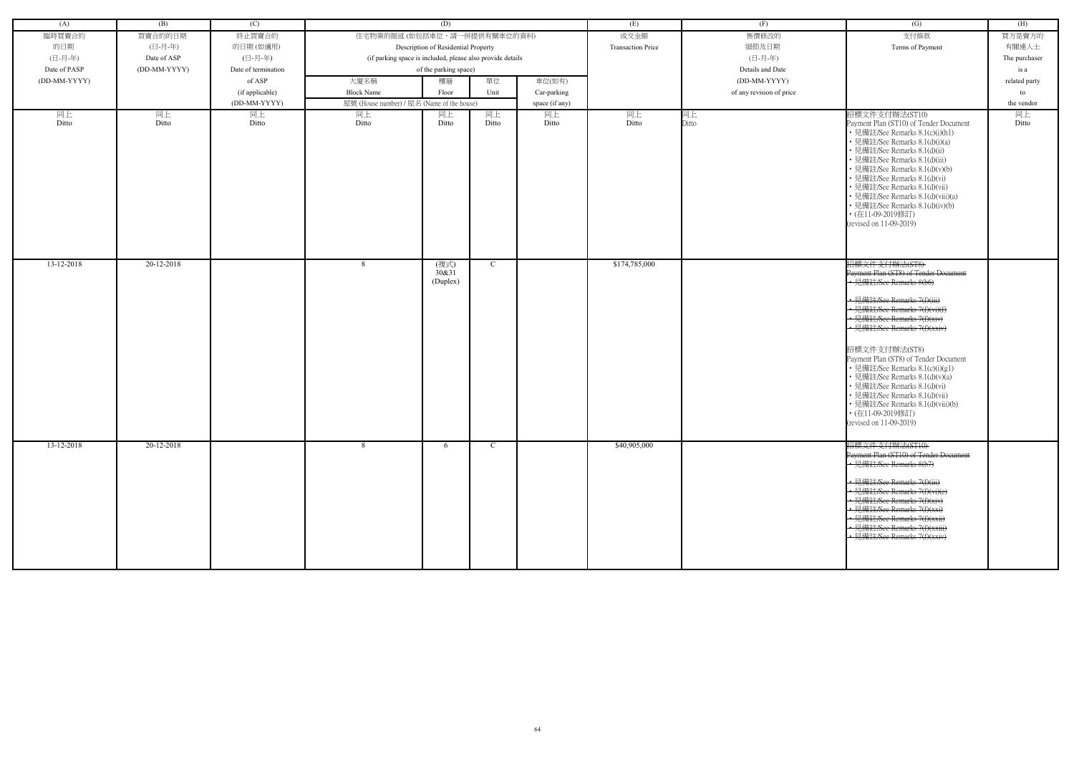| (A)          | (B)          | (C)                 |                                                            | (D)                                 |               |                | (E)                      | (F)                      | (G)                                                                                                                                                                                                                                                                                                                                                                                                                                                                                                 | (H)           |
|--------------|--------------|---------------------|------------------------------------------------------------|-------------------------------------|---------------|----------------|--------------------------|--------------------------|-----------------------------------------------------------------------------------------------------------------------------------------------------------------------------------------------------------------------------------------------------------------------------------------------------------------------------------------------------------------------------------------------------------------------------------------------------------------------------------------------------|---------------|
| 臨時買賣合約       | 買賣合約的日期      | 終止買賣合約              | 住宅物業的描述 (如包括車位,請一併提供有關車位的資料)                               |                                     |               |                | 成交金額                     | 售價修改的                    | 支付條款                                                                                                                                                                                                                                                                                                                                                                                                                                                                                                | 買方是賣方的        |
| 的日期          | (日-月-年)      | 的日期(如適用)            |                                                            | Description of Residential Property |               |                | <b>Transaction Price</b> | 細節及日期                    | Terms of Payment                                                                                                                                                                                                                                                                                                                                                                                                                                                                                    | 有關連人士         |
| (日-月-年)      | Date of ASP  | (日-月-年)             | (if parking space is included, please also provide details |                                     |               |                |                          | (日-月-年)                  |                                                                                                                                                                                                                                                                                                                                                                                                                                                                                                     | The purchaser |
| Date of PASP | (DD-MM-YYYY) | Date of termination |                                                            | of the parking space)               |               |                |                          | Details and Date         |                                                                                                                                                                                                                                                                                                                                                                                                                                                                                                     | is a          |
| (DD-MM-YYYY) |              | of ASP              | 大廈名稱                                                       | 樓層                                  | 單位            | 車位(如有)         |                          | (DD-MM-YYYY)             |                                                                                                                                                                                                                                                                                                                                                                                                                                                                                                     | related party |
|              |              |                     |                                                            |                                     |               |                |                          |                          |                                                                                                                                                                                                                                                                                                                                                                                                                                                                                                     |               |
|              |              | (if applicable)     | <b>Block Name</b>                                          | Floor                               | Unit          | Car-parking    |                          | of any revision of price |                                                                                                                                                                                                                                                                                                                                                                                                                                                                                                     | to            |
|              |              | (DD-MM-YYYY)        | 屋號 (House number) / 屋名 (Name of the house)                 |                                     |               | space (if any) |                          |                          |                                                                                                                                                                                                                                                                                                                                                                                                                                                                                                     | the vendor    |
| 同上<br>Ditto  | 同上<br>Ditto  | 同上<br>Ditto         | 同上<br>Ditto                                                | 同上<br>Ditto                         | 同上<br>Ditto   | 同上<br>Ditto    | 同上<br>Ditto              | 同上<br>Ditto              | 招標文件支付辦法(ST10)<br>Payment Plan (ST10) of Tender Document<br>• 見備註/See Remarks 8.1(c)(i)(h1)<br>• 見備註/See Remarks 8.1(d)(i)(a)<br>• 見備註/See Remarks 8.1(d)(ii)<br>• 見備註/See Remarks 8.1(d)(iii)<br>• 見備註/See Remarks 8.1(d)(v)(b)<br>• 見備註/See Remarks 8.1(d)(vi)<br>• 見備註/See Remarks 8.1(d)(vii)<br>· 見備註/See Remarks 8.1(d)(viii)(a)<br>• 見備註/See Remarks 8.1(d)(iv)(b)<br>• (在11-09-2019修訂)<br>(revised on 11-09-2019)                                                                           | 同上<br>Ditto   |
| 13-12-2018   | 20-12-2018   |                     | -8                                                         | (複式)<br>30&31<br>(Duplex)           | $\mathcal{C}$ |                | \$174,785,000            |                          | 招標文件支付辦法(ST8)<br>Payment Plan (ST8) of Tender Document<br>• 見備註/See Remarks 8(b6)<br>· 見備註/See Remarks 7(f)(iii)<br>• 見備註/See Remarks 7(f)(vi)(f)<br>見備註/See Remarks 7(f)(xiv)<br>• 見備註/See Remarks 7(f)(xxiv)<br>招標文件支付辦法(ST8)<br>Payment Plan (ST8) of Tender Document<br>• 見備註/See Remarks 8.1(c)(i)(g1)<br>• 見備註/See Remarks 8.1(d)(v)(a)<br>· 見備註/See Remarks 8.1(d)(vi)<br>• 見備註/See Remarks 8.1(d)(vii)<br>• 見備註/See Remarks 8.1(d)(viii)(b)<br>• (在11-09-2019修訂)<br>(revised on 11-09-2019) |               |
| 13-12-2018   | 20-12-2018   |                     | -8                                                         | 6                                   | C             |                | \$40,905,000             |                          | 招標文件支付辦法(ST10)<br>Payment Plan (ST10) of Tender Document<br>見備註/See Remarks 8(b7)<br>• 見備註/See Remarks 7(f)(iii)<br>· 見備註/See Remarks 7(f)(vi)(e)<br>· 見備註/See Remarks 7(f)(xiv)<br>· 見備註/See Remarks 7(f)(xxi)<br>• 見備註/See Remarks 7(f)(xxii)<br>見備註/See Remarks 7(f)(xxiii)<br>見備註/See Remarks 7(f)(xxiv)                                                                                                                                                                                        |               |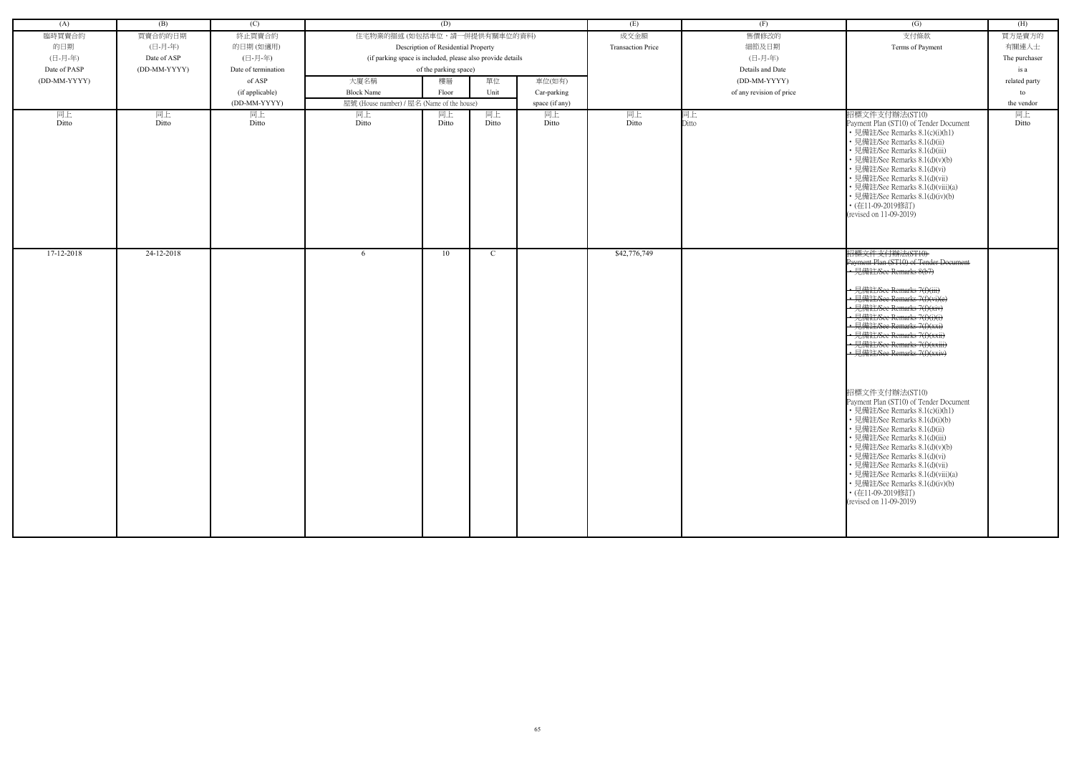| (A)          | (B)          | (C)                 |                                                            | (D)                                 |       |                | (E)                      | (F)                      | (G)                                                                                                                                                                                                                                                                                                                                                                                                                                                                                                                                                                                                                                                                                                                                                                            | (H)           |
|--------------|--------------|---------------------|------------------------------------------------------------|-------------------------------------|-------|----------------|--------------------------|--------------------------|--------------------------------------------------------------------------------------------------------------------------------------------------------------------------------------------------------------------------------------------------------------------------------------------------------------------------------------------------------------------------------------------------------------------------------------------------------------------------------------------------------------------------------------------------------------------------------------------------------------------------------------------------------------------------------------------------------------------------------------------------------------------------------|---------------|
| 臨時買賣合約       | 買賣合約的日期      | 終止買賣合約              | 住宅物業的描述 (如包括車位,請一併提供有關車位的資料)                               |                                     |       |                | 成交金額                     | 售價修改的                    | 支付條款                                                                                                                                                                                                                                                                                                                                                                                                                                                                                                                                                                                                                                                                                                                                                                           | 買方是賣方的        |
| 的日期          | (日-月-年)      | 的日期(如適用)            |                                                            | Description of Residential Property |       |                | <b>Transaction Price</b> | 細節及日期                    | Terms of Payment                                                                                                                                                                                                                                                                                                                                                                                                                                                                                                                                                                                                                                                                                                                                                               | 有關連人士         |
| (日-月-年)      | Date of ASP  | (日-月-年)             | (if parking space is included, please also provide details |                                     |       |                |                          | (日-月-年)                  |                                                                                                                                                                                                                                                                                                                                                                                                                                                                                                                                                                                                                                                                                                                                                                                | The purchaser |
| Date of PASP | (DD-MM-YYYY) | Date of termination |                                                            | of the parking space)               |       |                |                          | Details and Date         |                                                                                                                                                                                                                                                                                                                                                                                                                                                                                                                                                                                                                                                                                                                                                                                | is a          |
| (DD-MM-YYYY) |              | of ASP              | 大廈名稱                                                       | 樓層                                  | 單位    | 車位(如有)         |                          | (DD-MM-YYYY)             |                                                                                                                                                                                                                                                                                                                                                                                                                                                                                                                                                                                                                                                                                                                                                                                | related party |
|              |              | (if applicable)     | <b>Block Name</b>                                          | Floor                               | Unit  | Car-parking    |                          | of any revision of price |                                                                                                                                                                                                                                                                                                                                                                                                                                                                                                                                                                                                                                                                                                                                                                                | to            |
|              |              | (DD-MM-YYYY)        | 屋號 (House number) / 屋名 (Name of the house)                 |                                     |       | space (if any) |                          |                          |                                                                                                                                                                                                                                                                                                                                                                                                                                                                                                                                                                                                                                                                                                                                                                                | the vendor    |
| 同上           | 同上           | 同上                  | 同上                                                         | 同上                                  | 同上    | 同上             | 同上                       | 同上                       | 招標文件支付辦法(ST10)                                                                                                                                                                                                                                                                                                                                                                                                                                                                                                                                                                                                                                                                                                                                                                 | 同上            |
| Ditto        | Ditto        | Ditto               | Ditto                                                      | Ditto                               | Ditto | Ditto          | Ditto                    | Ditto                    | Payment Plan (ST10) of Tender Document<br>• 見備註/See Remarks 8.1(c)(i)(h1)<br>• 見備註/See Remarks 8.1(d)(ii)<br>• 見備註/See Remarks 8.1(d)(iii)<br>· 見備註/See Remarks 8.1(d)(v)(b)<br>• 見備註/See Remarks 8.1(d)(vi)<br>• 見備註/See Remarks 8.1(d)(vii)<br>• 見備註/See Remarks 8.1(d)(viii)(a)<br>• 見備註/See Remarks 8.1(d)(iv)(b)<br>• (在11-09-2019修訂)<br>(revised on 11-09-2019)                                                                                                                                                                                                                                                                                                                                                                                                          | Ditto         |
| 17-12-2018   | 24-12-2018   |                     | -6                                                         | 10                                  | C     |                | \$42,776,749             |                          | 招標文件支付辦法(ST10)<br>Payment Plan (ST10) of Tender Document<br>•見備註/See Remarks 8(b7)<br>• 見備註/See Remarks 7(f)(iii)<br>• 見備註/See Remarks 7(f)(vi)(e)<br>• 見備註/See Remarks 7(f)(xiv)<br>• 見備註/See Remarks 7(f)(i)(i)<br>• 見備註/See Remarks 7(f)(xxi)<br>· 見備註/See Remarks 7(f)(xxii)<br>• 見備註/See Remarks 7(f)(xxiii)<br>• 見備註/See Remarks 7(f)(xxiv)<br>招標文件支付辦法(ST10)<br>Payment Plan (ST10) of Tender Document<br>• 見備註/See Remarks 8.1(c)(i)(h1)<br>· 見備註/See Remarks 8.1(d)(i)(b)<br>• 見備註/See Remarks 8.1(d)(ii)<br>• 見備註/See Remarks 8.1(d)(iii)<br>• 見備註/See Remarks 8.1(d)(v)(b)<br>• 見備註/See Remarks 8.1(d)(vi)<br>• 見備註/See Remarks 8.1(d)(vii)<br>• 見備註/See Remarks 8.1(d)(viii)(a)<br>• 見備註/See Remarks 8.1(d)(iv)(b)<br>• (在11-09-2019修訂)<br>(revised on 11-09-2019) |               |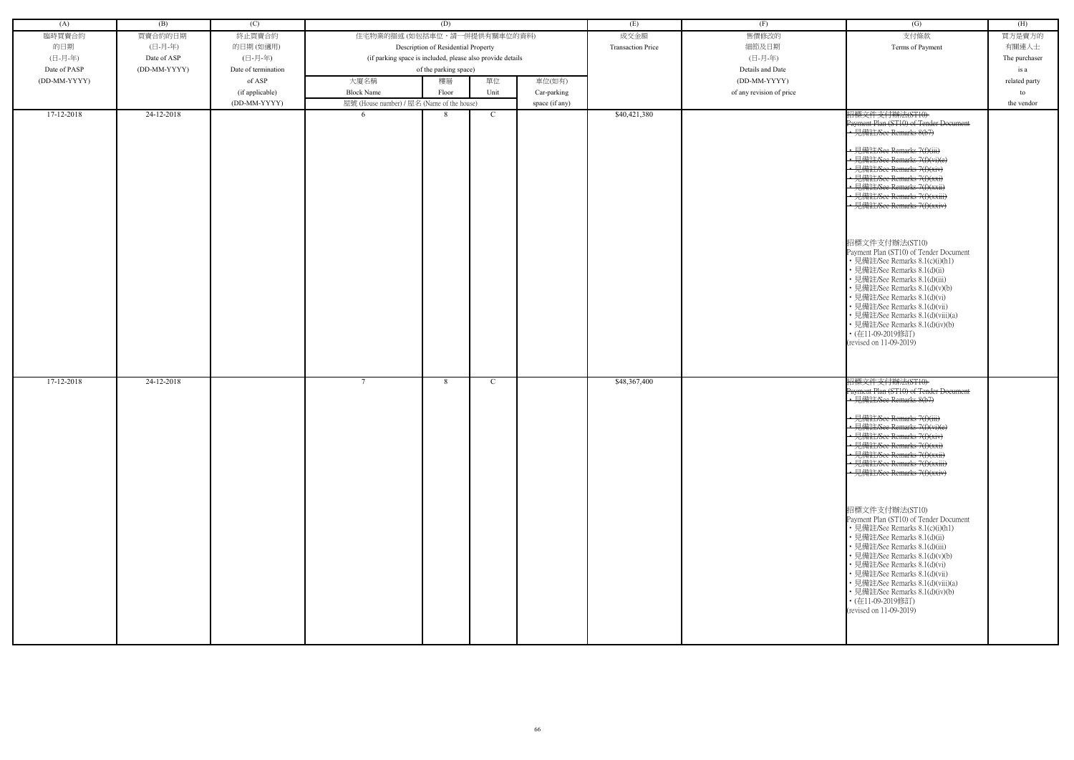| (A)          | (B)          | (C)                 | (D)                                        |                                                            |             |                          | (E)              | (F)                      | $\overline{(G)}$                                                                                                                                                                                                                                                                                                                                                                                                                                                                                                                                                                                                                                                                                | (H)           |
|--------------|--------------|---------------------|--------------------------------------------|------------------------------------------------------------|-------------|--------------------------|------------------|--------------------------|-------------------------------------------------------------------------------------------------------------------------------------------------------------------------------------------------------------------------------------------------------------------------------------------------------------------------------------------------------------------------------------------------------------------------------------------------------------------------------------------------------------------------------------------------------------------------------------------------------------------------------------------------------------------------------------------------|---------------|
| 臨時買賣合約       | 買賣合約的日期      | 終止買賣合約              | 住宅物業的描述 (如包括車位,請一併提供有關車位的資料)               |                                                            |             |                          | 成交金額             | 售價修改的                    | 支付條款                                                                                                                                                                                                                                                                                                                                                                                                                                                                                                                                                                                                                                                                                            | 買方是賣方的        |
| 的日期          | (日-月-年)      | 的日期(如適用)            | Description of Residential Property        |                                                            |             | <b>Transaction Price</b> | 細節及日期            | Terms of Payment         | 有關連人士                                                                                                                                                                                                                                                                                                                                                                                                                                                                                                                                                                                                                                                                                           |               |
|              |              |                     |                                            |                                                            |             |                          |                  |                          |                                                                                                                                                                                                                                                                                                                                                                                                                                                                                                                                                                                                                                                                                                 |               |
| (日-月-年)      | Date of ASP  | (日-月-年)             |                                            | (if parking space is included, please also provide details |             |                          | (日-月-年)          |                          | The purchaser                                                                                                                                                                                                                                                                                                                                                                                                                                                                                                                                                                                                                                                                                   |               |
| Date of PASP | (DD-MM-YYYY) | Date of termination |                                            | of the parking space)                                      |             |                          | Details and Date |                          | is a                                                                                                                                                                                                                                                                                                                                                                                                                                                                                                                                                                                                                                                                                            |               |
| (DD-MM-YYYY) |              | of ASP              | 大廈名稱                                       | 樓層                                                         | 單位          | 車位(如有)                   |                  | (DD-MM-YYYY)             |                                                                                                                                                                                                                                                                                                                                                                                                                                                                                                                                                                                                                                                                                                 | related party |
|              |              | (if applicable)     | <b>Block Name</b>                          | Floor                                                      | Unit        | Car-parking              |                  | of any revision of price |                                                                                                                                                                                                                                                                                                                                                                                                                                                                                                                                                                                                                                                                                                 | to            |
|              |              | (DD-MM-YYYY)        |                                            |                                                            |             |                          |                  |                          |                                                                                                                                                                                                                                                                                                                                                                                                                                                                                                                                                                                                                                                                                                 | the vendor    |
|              |              |                     | 屋號 (House number) / 屋名 (Name of the house) |                                                            |             | space (if any)           |                  |                          |                                                                                                                                                                                                                                                                                                                                                                                                                                                                                                                                                                                                                                                                                                 |               |
| 17-12-2018   | 24-12-2018   |                     | 6                                          | 8                                                          | $\mathbf C$ |                          | \$40,421,380     |                          | 招標文件支付辦法(ST10)<br>Payment Plan (ST10) of Tender Document<br>• 見備註/See Remarks 8(b7)<br>· 見備註/See Remarks 7(f)(iii)<br>• 見備註/See Remarks 7(f)(vi)(e)<br>見備註/See Remarks 7(f)(xiv)<br>• 見備註/See Remarks 7(f)(xxi)<br>見備註/See Remarks 7(f)(xxii)<br>· 見備註/See Remarks 7(f)(xxiii)<br>• 見備註/See Remarks 7(f)(xxiv)<br>招標文件支付辦法(ST10)<br>Payment Plan (ST10) of Tender Document<br>• 見備註/See Remarks 8.1(c)(i)(h1)<br>• 見備註/See Remarks 8.1(d)(ii)<br>見備註/See Remarks 8.1(d)(iii)<br>見備註/See Remarks 8.1(d)(v)(b)<br>見備註/See Remarks 8.1(d)(vi)<br>見備註/See Remarks 8.1(d)(vii)<br>見備註/See Remarks 8.1(d)(viii)(a)<br>• 見備註/See Remarks 8.1(d)(iv)(b)<br>• (在11-09-2019修訂)<br>(revised on 11-09-2019) |               |
| 17-12-2018   | 24-12-2018   |                     | $7\overline{ }$                            | 8                                                          | C           |                          | \$48,367,400     |                          | 招標文件支付辦法(ST10)<br>Payment Plan (ST10) of Tender Document                                                                                                                                                                                                                                                                                                                                                                                                                                                                                                                                                                                                                                        |               |
|              |              |                     |                                            |                                                            |             |                          |                  |                          | .<br>• 見備註/See Remarks 8(b7)                                                                                                                                                                                                                                                                                                                                                                                                                                                                                                                                                                                                                                                                    |               |
|              |              |                     |                                            |                                                            |             |                          |                  |                          | • 見備註/See Remarks 7(f)(iii)<br>• 見備註/See Remarks 7(f)(vi)(e)<br>• 見備註/See Remarks 7(f)(xiv)<br>· 見備註/See Remarks 7(f)(xxi)<br>• 見備註/See Remarks 7(f)(xxii)<br>• 見備註/See Remarks 7(f)(xxiii)<br>• 見備註/See Remarks 7(f)(xxiv)                                                                                                                                                                                                                                                                                                                                                                                                                                                                     |               |
|              |              |                     |                                            |                                                            |             |                          |                  |                          | 招標文件支付辦法(ST10)<br>Payment Plan (ST10) of Tender Document<br>• 見備註/See Remarks 8.1(c)(i)(h1)<br>• 見備註/See Remarks 8.1(d)(ii)<br>· 見備註/See Remarks 8.1(d)(iii)<br>• 見備註/See Remarks 8.1(d)(v)(b)<br>• 見備註/See Remarks 8.1(d)(vi)<br>• 見備註/See Remarks 8.1(d)(vii)<br>• 見備註/See Remarks 8.1(d)(viii)(a)<br>• 見備註/See Remarks 8.1(d)(iv)(b)<br>• (在11-09-2019修訂)<br>(revised on 11-09-2019)                                                                                                                                                                                                                                                                                                         |               |

| (G)                                                                                                                                                                                                                                                                                                                                                                                                                                                                                                                                         | (H)           |
|---------------------------------------------------------------------------------------------------------------------------------------------------------------------------------------------------------------------------------------------------------------------------------------------------------------------------------------------------------------------------------------------------------------------------------------------------------------------------------------------------------------------------------------------|---------------|
| 支付條款                                                                                                                                                                                                                                                                                                                                                                                                                                                                                                                                        | 買方是賣方的        |
| Terms of Payment                                                                                                                                                                                                                                                                                                                                                                                                                                                                                                                            | 有關連人士         |
|                                                                                                                                                                                                                                                                                                                                                                                                                                                                                                                                             | The purchaser |
|                                                                                                                                                                                                                                                                                                                                                                                                                                                                                                                                             | is a          |
|                                                                                                                                                                                                                                                                                                                                                                                                                                                                                                                                             | related party |
|                                                                                                                                                                                                                                                                                                                                                                                                                                                                                                                                             | to            |
|                                                                                                                                                                                                                                                                                                                                                                                                                                                                                                                                             | the vendor    |
| 招標文件支付辦法(ST10)<br>Payment Plan (ST10) of Tender Document<br>-見備註/See Remarks 8(b7)<br><del>詳社/See Remarks 7(f)(iii)</del><br>註/See Remarks 7(f)(xiv)<br><del>註/See Remarks 7(f)(xxi)</del><br><del>肯註/See Remarks 7(f)(xxii)</del><br><del>備註/See Remarks 7(f)(xxiii)</del><br>見備註/See Remarks 7(f)(xxiv)<br>招標文件支付辦法(ST10)<br>Payment Plan (ST10) of Tender Document<br>• 見備註/See Remarks 8.1(c)(i)(h1)<br>• 見備註/See Remarks 8.1(d)(ii)<br>• 見備註/See Remarks 8.1(d)(iii)<br>• 見備註/See Remarks 8.1(d)(v)(b)<br>• 見備註/See Remarks 8.1(d)(vi) |               |
| • 見備註/See Remarks 8.1(d)(vii)<br>• 見備註/See Remarks 8.1(d)(viii)(a)<br>• 見備註/See Remarks 8.1(d)(iv)(b)<br>・(在11-09-2019修訂)<br>(revised on 11-09-2019)                                                                                                                                                                                                                                                                                                                                                                                        |               |
| 招標文件支付辦法(ST10)<br>Payment Plan (ST10) of Tender Doeument<br>見備註/See Remarks 8(b7)                                                                                                                                                                                                                                                                                                                                                                                                                                                           |               |
| $H$ $H$ $\rightarrow$ $\rightarrow$ $H$<br><del>l.備註/See Remarks 7(f)(iii)</del><br>註/See Remarks 7(f)(vi)(e)<br>註/See Remarks 7(f)(xiv)<br><del>E/See Remarks 7(f)(xxi)</del><br><del>王/See Remarks 7(f)(xxii)</del><br><del>E/See Remarks 7(f)(xxiii)</del><br><del><b>靠註/See Remarks 7(f)(xxiv)</b></del>                                                                                                                                                                                                                                |               |
| 招標文件支付辦法(ST10)<br>Payment Plan (ST10) of Tender Document<br>• 見備註/See Remarks 8.1(c)(i)(h1)<br>・見備註/See Remarks 8.1(d)(ii)<br>• 見備註/See Remarks 8.1(d)(iii)<br>• 見備註/See Remarks 8.1(d)(v)(b)<br>• 見備註/See Remarks 8.1(d)(vi)<br>• 見備註/See Remarks 8.1(d)(vii)<br>• 見備註/See Remarks 8.1(d)(viii)(a)<br>• 見備註/See Remarks 8.1(d)(iv)(b)<br>・(在11-09-2019修訂)<br>(revised on 11-09-2019)                                                                                                                                                       |               |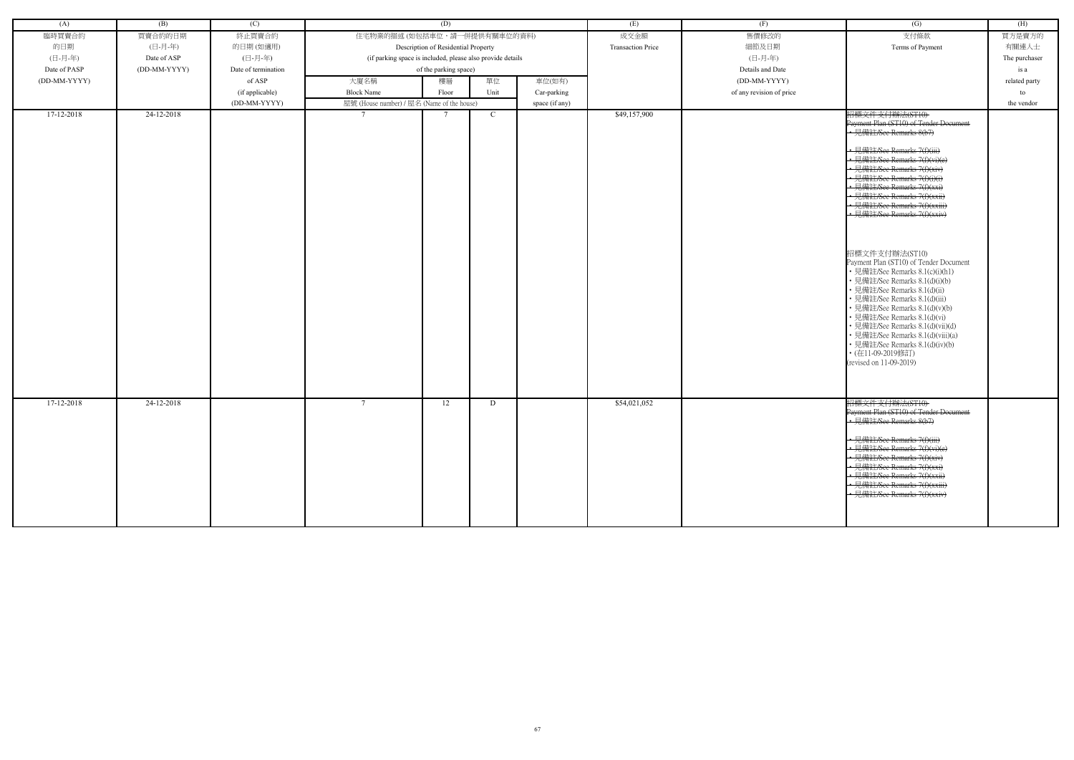| (A)          | (B)          | (C)                 | (D)                                                        |                                     |      |                | (E)                      | (F)                      | (G)                                                                                                                                                                                                                                                                                                                                                                                                                                                                                                                                                                                                                                                                                                                                                                              | (H)           |
|--------------|--------------|---------------------|------------------------------------------------------------|-------------------------------------|------|----------------|--------------------------|--------------------------|----------------------------------------------------------------------------------------------------------------------------------------------------------------------------------------------------------------------------------------------------------------------------------------------------------------------------------------------------------------------------------------------------------------------------------------------------------------------------------------------------------------------------------------------------------------------------------------------------------------------------------------------------------------------------------------------------------------------------------------------------------------------------------|---------------|
| 臨時買賣合約       | 買賣合約的日期      | 終止買賣合約              |                                                            | 住宅物業的描述 (如包括車位,請一併提供有關車位的資料)        |      |                | 成交金額                     | 售價修改的                    | 支付條款                                                                                                                                                                                                                                                                                                                                                                                                                                                                                                                                                                                                                                                                                                                                                                             | 買方是賣方的        |
| 的日期          | (日-月-年)      | 的日期(如適用)            |                                                            | Description of Residential Property |      |                | <b>Transaction Price</b> | 細節及日期                    | Terms of Payment                                                                                                                                                                                                                                                                                                                                                                                                                                                                                                                                                                                                                                                                                                                                                                 | 有關連人士         |
| (日-月-年)      | Date of ASP  | (日-月-年)             | (if parking space is included, please also provide details |                                     |      |                | (日-月-年)                  |                          | The purchaser                                                                                                                                                                                                                                                                                                                                                                                                                                                                                                                                                                                                                                                                                                                                                                    |               |
| Date of PASP | (DD-MM-YYYY) | Date of termination |                                                            | of the parking space)               |      |                | Details and Date         |                          | is a                                                                                                                                                                                                                                                                                                                                                                                                                                                                                                                                                                                                                                                                                                                                                                             |               |
| (DD-MM-YYYY) |              | of ASP              | 大廈名稱                                                       | 樓層                                  | 單位   | 車位(如有)         |                          | (DD-MM-YYYY)             |                                                                                                                                                                                                                                                                                                                                                                                                                                                                                                                                                                                                                                                                                                                                                                                  | related party |
|              |              | (if applicable)     | <b>Block Name</b>                                          | Floor                               | Unit | Car-parking    |                          | of any revision of price |                                                                                                                                                                                                                                                                                                                                                                                                                                                                                                                                                                                                                                                                                                                                                                                  | to            |
|              |              | (DD-MM-YYYY)        | 屋號 (House number) / 屋名 (Name of the house)                 |                                     |      | space (if any) |                          |                          |                                                                                                                                                                                                                                                                                                                                                                                                                                                                                                                                                                                                                                                                                                                                                                                  | the vendor    |
| 17-12-2018   | 24-12-2018   |                     |                                                            |                                     | C    |                | \$49,157,900             |                          | 招標文件支付辦法(ST10)<br>Payment Plan (ST10) of Tender Document<br>• 見備註/See Remarks 8(b7)<br>· 見備註/See Remarks 7(f)(iii)<br>• 見備註/See Remarks 7(f)(vi)(e)<br>• 見備註/See Remarks 7(f)(xiv)<br>• 見備註/See Remarks 7(f)(i)(i)<br>• 見備註/See Remarks 7(f)(xxi)<br>見備註/See Remarks 7(f)(xxii)<br>• 見備註/See Remarks 7(f)(xxiii)<br>- 見備註/See Remarks 7(f)(xxiv)<br>招標文件支付辦法(ST10)<br>Payment Plan (ST10) of Tender Document<br>• 見備註/See Remarks 8.1(c)(i)(h1)<br>· 見備註/See Remarks 8.1(d)(i)(b)<br>• 見備註/See Remarks 8.1(d)(ii)<br>· 見備註/See Remarks 8.1(d)(iii)<br>• 見備註/See Remarks 8.1(d)(v)(b)<br>• 見備註/See Remarks 8.1(d)(vi)<br>• 見備註/See Remarks 8.1(d)(vii)(d)<br>• 見備註/See Remarks 8.1(d)(viii)(a)<br>• 見備註/See Remarks 8.1(d)(iv)(b)<br>• (在11-09-2019修訂)<br>(revised on 11-09-2019) |               |
| 17-12-2018   | 24-12-2018   |                     | $7\phantom{.0}$                                            | 12                                  | D    |                | \$54,021,052             |                          | 招標文件支付辦法(ST10)<br>Payment Plan (ST10) of Tender Document<br>• 見備註/See Remarks 8(b7)<br>· 見備註/See Remarks 7(f)(iii)<br>• 見備註/See Remarks 7(f)(vi)(e)<br>見備註/See Remarks 7(f)(xiv)<br>• 見備註/See Remarks 7(f)(xxi)<br>• 見備註/See Remarks 7(f)(xxii)<br>見備註/See Remarks 7(f)(xxiii)<br>· 見備註/See Remarks 7(f)(xxiv)                                                                                                                                                                                                                                                                                                                                                                                                                                                                   |               |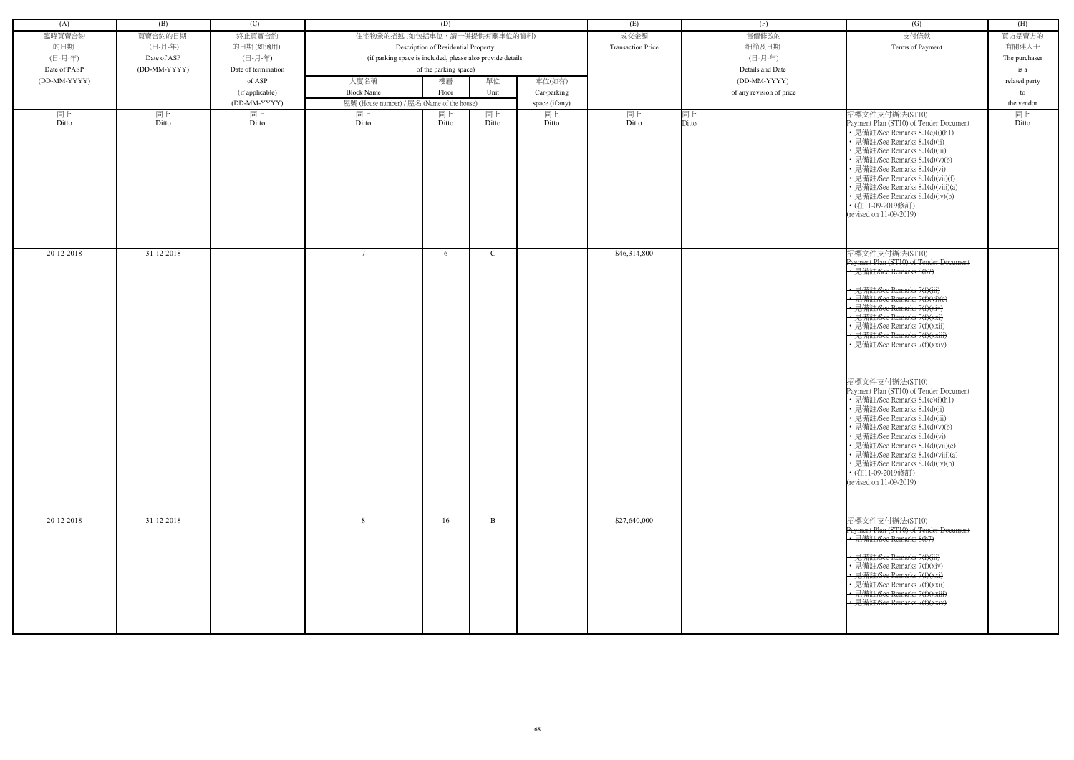| (A)          | (B)          | (C)                 | (D)                                                        |                                     |              |                | (E)                      | (F)                      | (G)                                                                                                                                                                                                                                                                                                                                                                                                                                                                                                                                                                                                                                                                                                              | (H)           |
|--------------|--------------|---------------------|------------------------------------------------------------|-------------------------------------|--------------|----------------|--------------------------|--------------------------|------------------------------------------------------------------------------------------------------------------------------------------------------------------------------------------------------------------------------------------------------------------------------------------------------------------------------------------------------------------------------------------------------------------------------------------------------------------------------------------------------------------------------------------------------------------------------------------------------------------------------------------------------------------------------------------------------------------|---------------|
| 臨時買賣合約       | 買賣合約的日期      | 終止買賣合約              | 住宅物業的描述 (如包括車位,請一併提供有關車位的資料)                               |                                     |              |                | 成交金額                     | 售價修改的                    | 支付條款                                                                                                                                                                                                                                                                                                                                                                                                                                                                                                                                                                                                                                                                                                             | 買方是賣方的        |
| 的日期          | (日-月-年)      | 的日期(如適用)            |                                                            | Description of Residential Property |              |                | <b>Transaction Price</b> | 細節及日期                    | Terms of Payment                                                                                                                                                                                                                                                                                                                                                                                                                                                                                                                                                                                                                                                                                                 | 有關連人士         |
| (日-月-年)      | Date of ASP  | (日-月-年)             | (if parking space is included, please also provide details |                                     |              |                |                          | (日-月-年)                  |                                                                                                                                                                                                                                                                                                                                                                                                                                                                                                                                                                                                                                                                                                                  | The purchaser |
| Date of PASP | (DD-MM-YYYY) | Date of termination |                                                            | of the parking space)               |              |                |                          | Details and Date         |                                                                                                                                                                                                                                                                                                                                                                                                                                                                                                                                                                                                                                                                                                                  | is a          |
| (DD-MM-YYYY) |              | of ASP              | 大廈名稱                                                       | 樓層                                  | 單位           | 車位(如有)         |                          | (DD-MM-YYYY)             |                                                                                                                                                                                                                                                                                                                                                                                                                                                                                                                                                                                                                                                                                                                  | related party |
|              |              | (if applicable)     | <b>Block Name</b>                                          | Floor                               | Unit         | Car-parking    |                          | of any revision of price |                                                                                                                                                                                                                                                                                                                                                                                                                                                                                                                                                                                                                                                                                                                  | to            |
|              |              | (DD-MM-YYYY)        | 屋號 (House number) / 屋名 (Name of the house)                 |                                     |              | space (if any) |                          |                          |                                                                                                                                                                                                                                                                                                                                                                                                                                                                                                                                                                                                                                                                                                                  | the vendor    |
| 同上<br>Ditto  | 同上<br>Ditto  | 同上<br>Ditto         | 同上<br>Ditto                                                | 同上<br>Ditto                         | 同上<br>Ditto  | 同上<br>Ditto    | 同上<br>Ditto              | 同上<br>Ditto              | 招標文件支付辦法(ST10)<br>Payment Plan (ST10) of Tender Document<br>• 見備註/See Remarks 8.1(c)(i)(h1)<br>• 見備註/See Remarks 8.1(d)(ii)<br>• 見備註/See Remarks 8.1(d)(iii)<br>• 見備註/See Remarks 8.1(d)(v)(b)<br>• 見備註/See Remarks 8.1(d)(vi)<br>• 見備註/See Remarks 8.1(d)(vii)(f)<br>• 見備註/See Remarks 8.1(d)(viii)(a)<br>• 見備註/See Remarks 8.1(d)(iv)(b)<br>• (在11-09-2019修訂)<br>(revised on 11-09-2019)                                                                                                                                                                                                                                                                                                                       | 同上<br>Ditto   |
| 20-12-2018   | 31-12-2018   |                     | $7\phantom{.0}$                                            | 6                                   | C            |                | \$46,314,800             |                          | 招標文件支付辦法(ST10)<br>Payment Plan (ST10) of Tender Document<br>• 見備註/See Remarks 8(b7)<br>← 見備註/See Remarks 7(f)(iii)<br>• 見備註/See Remarks 7(f)(vi)(e)<br>• 見備註/See Remarks 7(f)(xiv)<br>• 見備註/See Remarks 7(f)(xxi)<br>- 見備註/See Remarks 7(f)(xxii)<br>• 見備註/See Remarks 7(f)(xxiii)<br>· 見備註/See Remarks 7(f)(xxiv)<br>招標文件支付辦法(ST10)<br>Payment Plan (ST10) of Tender Document<br>• 見備註/See Remarks 8.1(c)(i)(h1)<br>• 見備註/See Remarks 8.1(d)(ii)<br>• 見備註/See Remarks 8.1(d)(iii)<br>• 見備註/See Remarks 8.1(d)(v)(b)<br>• 見備註/See Remarks 8.1(d)(vi)<br>• 見備註/See Remarks 8.1(d)(vii)(e)<br>• 見備註/See Remarks 8.1(d)(viii)(a)<br>• 見備註/See Remarks 8.1(d)(iv)(b)<br>• (在11-09-2019修訂)<br>(revised on 11-09-2019) |               |
| 20-12-2018   | 31-12-2018   |                     | 8                                                          | 16                                  | $\mathbf{B}$ |                | \$27,640,000             |                          | 招標文件支付辦法(ST10)<br>Payment Plan (ST10) of Tender Document<br>• 見備註/See Remarks 8(b7)<br>• 見備註/See Remarks 7(f)(iii)<br>• 見備註/See Remarks 7(f)(xiv)<br>• 見備註/See Remarks 7(f)(xxi)<br><u>• 見備註/See Remarks 7(f)(xxii)</u><br>· 見備註/See Remarks 7(f)(xxiii)<br>• 見備註/See Remarks 7(f)(xxiv)                                                                                                                                                                                                                                                                                                                                                                                                                         |               |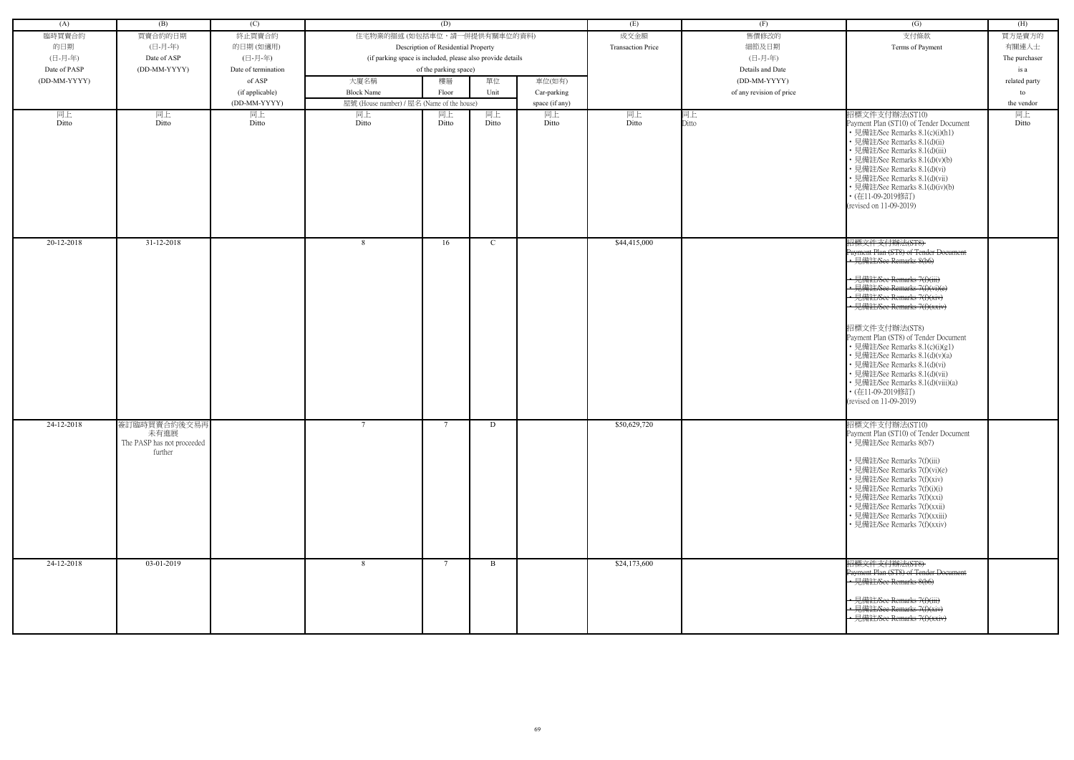| (A)          | (B)                                           | (C)                 |                                                            | (D)                                 |             |                | (E)                      | (F)                              | (G)                                                                                                                                                                                                                                                                                                                                                                                                                                                                                                    | (H)           |
|--------------|-----------------------------------------------|---------------------|------------------------------------------------------------|-------------------------------------|-------------|----------------|--------------------------|----------------------------------|--------------------------------------------------------------------------------------------------------------------------------------------------------------------------------------------------------------------------------------------------------------------------------------------------------------------------------------------------------------------------------------------------------------------------------------------------------------------------------------------------------|---------------|
| 臨時買賣合約       | 買賣合約的日期                                       | 終止買賣合約              | 住宅物業的描述 (如包括車位,請一併提供有關車位的資料)                               |                                     |             |                | 成交金額                     | 售價修改的                            | 支付條款                                                                                                                                                                                                                                                                                                                                                                                                                                                                                                   | 買方是賣方的        |
| 的日期          | (日-月-年)                                       | 的日期(如適用)            |                                                            | Description of Residential Property |             |                | <b>Transaction Price</b> | 細節及日期                            | Terms of Payment                                                                                                                                                                                                                                                                                                                                                                                                                                                                                       | 有關連人士         |
| (日-月-年)      | Date of ASP                                   | (日-月-年)             | (if parking space is included, please also provide details |                                     |             |                |                          | (日-月-年)                          |                                                                                                                                                                                                                                                                                                                                                                                                                                                                                                        | The purchaser |
| Date of PASP | (DD-MM-YYYY)                                  | Date of termination |                                                            |                                     |             |                |                          |                                  |                                                                                                                                                                                                                                                                                                                                                                                                                                                                                                        |               |
|              |                                               |                     |                                                            | of the parking space)               |             |                |                          | Details and Date<br>(DD-MM-YYYY) |                                                                                                                                                                                                                                                                                                                                                                                                                                                                                                        | is a          |
| (DD-MM-YYYY) |                                               | of ASP              | 大廈名稱                                                       | 樓層                                  | 單位          | 車位(如有)         |                          |                                  |                                                                                                                                                                                                                                                                                                                                                                                                                                                                                                        | related party |
|              |                                               | (if applicable)     | <b>Block Name</b>                                          | Floor                               | Unit        | Car-parking    |                          | of any revision of price         |                                                                                                                                                                                                                                                                                                                                                                                                                                                                                                        | to            |
|              |                                               | (DD-MM-YYYY)        | 屋號 (House number) / 屋名 (Name of the house)                 |                                     |             | space (if any) |                          |                                  |                                                                                                                                                                                                                                                                                                                                                                                                                                                                                                        | the vendor    |
| 同上<br>Ditto  | 同上<br>Ditto                                   | 同上<br>Ditto         | 同上<br>Ditto                                                | 同上<br>Ditto                         | 同上<br>Ditto | 同上<br>Ditto    | 同上<br>Ditto              | 同上<br>Ditto                      | 招標文件支付辦法(ST10)<br>Payment Plan (ST10) of Tender Document<br>• 見備註/See Remarks 8.1(c)(i)(h1)<br>· 見備註/See Remarks 8.1(d)(ii)<br>見備註/See Remarks 8.1(d)(iii)<br>見備註/See Remarks 8.1(d)(v)(b)<br>· 見備註/See Remarks 8.1(d)(vi)<br>· 見備註/See Remarks 8.1(d)(vii)<br>• 見備註/See Remarks 8.1(d)(iv)(b)<br>• (在11-09-2019修訂)<br>(revised on 11-09-2019)                                                                                                                                                         | 同上<br>Ditto   |
| 20-12-2018   | $31 - 12 - 2018$                              |                     | 8                                                          | 16                                  | C           |                | \$44,415,000             |                                  | 招標文件支付辦法(ST8)                                                                                                                                                                                                                                                                                                                                                                                                                                                                                          |               |
| 24-12-2018   | 簽訂臨時買賣合約後交易再                                  |                     | $\tau$                                                     | $\mathcal{I}$                       | D           |                | \$50,629,720             |                                  | Payment Plan (ST8) of Tender Document<br>• 見備註/See Remarks 8(b6)<br>· 見備註/See Remarks 7(f)(iii)<br>• 見備註/See Remarks 7(f)(vi)(e)<br>• 見備註/See Remarks 7(f)(xiv)<br>· 見備註/See Remarks 7(f)(xxiv)<br>招標文件支付辦法(ST8)<br>Payment Plan (ST8) of Tender Document<br>• 見備註/See Remarks 8.1(c)(i)(g1)<br>· 見備註/See Remarks 8.1(d)(v)(a)<br>· 見備註/See Remarks 8.1(d)(vi)<br>· 見備註/See Remarks 8.1(d)(vii)<br>· 見備註/See Remarks 8.1(d)(viii)(a)<br>• (在11-09-2019修訂)<br>(revised on 11-09-2019)<br>招標文件支付辦法(ST10) |               |
|              | 未有進展<br>The PASP has not proceeded<br>further |                     |                                                            |                                     |             |                |                          |                                  | Payment Plan (ST10) of Tender Document<br>• 見備註/See Remarks 8(b7)<br>見備註/See Remarks 7(f)(iii)<br>· 見備註/See Remarks 7(f)(vi)(e)<br>見備註/See Remarks 7(f)(xiv)<br>見備註/See Remarks 7(f)(i)(i)<br>見備註/See Remarks 7(f)(xxi)<br>· 見備註/See Remarks 7(f)(xxii)<br>見備註/See Remarks 7(f)(xxiii)<br>• 見備註/See Remarks 7(f)(xxiv)                                                                                                                                                                                 |               |
| 24-12-2018   | 03-01-2019                                    |                     | 8                                                          | - 7                                 | B           |                | \$24,173,600             |                                  | 招標文件支付辦法(ST8)                                                                                                                                                                                                                                                                                                                                                                                                                                                                                          |               |
|              |                                               |                     |                                                            |                                     |             |                |                          |                                  | Payment Plan (ST8) of Tender Document<br>• 見備註/See Remarks 8(b6)<br>· 見備註/See Remarks 7(f)(iii)<br>· 見備註/See Remarks 7(f)(xiv)<br>· 見備註/See Remarks 7(f)(xxiv)                                                                                                                                                                                                                                                                                                                                         |               |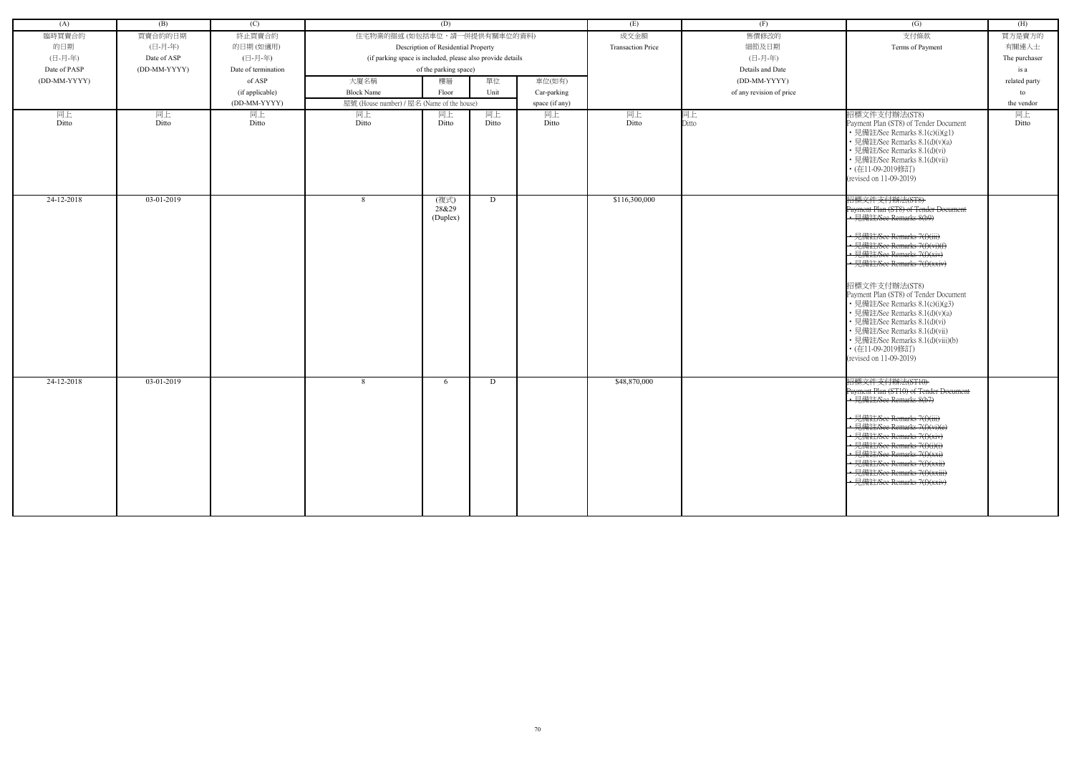| (A)          | (B)          | (C)                 |                                                            | (D)                       |       |                | (E)                      | (F)                      | (G)                                                                                                                                                                                                                                                                                                                                                                                                                                                                                                   | (H)           |
|--------------|--------------|---------------------|------------------------------------------------------------|---------------------------|-------|----------------|--------------------------|--------------------------|-------------------------------------------------------------------------------------------------------------------------------------------------------------------------------------------------------------------------------------------------------------------------------------------------------------------------------------------------------------------------------------------------------------------------------------------------------------------------------------------------------|---------------|
| 臨時買賣合約       | 買賣合約的日期      | 終止買賣合約              | 住宅物業的描述 (如包括車位,請一併提供有關車位的資料)                               |                           |       |                | 成交金額                     | 售價修改的                    | 支付條款                                                                                                                                                                                                                                                                                                                                                                                                                                                                                                  | 買方是賣方的        |
| 的日期          | (日-月-年)      | 的日期(如適用)            | Description of Residential Property                        |                           |       |                | <b>Transaction Price</b> | 細節及日期                    | Terms of Payment                                                                                                                                                                                                                                                                                                                                                                                                                                                                                      | 有關連人士         |
| (日-月-年)      | Date of ASP  | (日-月-年)             | (if parking space is included, please also provide details |                           |       |                |                          | (日-月-年)                  |                                                                                                                                                                                                                                                                                                                                                                                                                                                                                                       | The purchaser |
| Date of PASP | (DD-MM-YYYY) | Date of termination | of the parking space)                                      |                           |       |                |                          | Details and Date         |                                                                                                                                                                                                                                                                                                                                                                                                                                                                                                       | is a          |
| (DD-MM-YYYY) |              | of ASP              | 大廈名稱                                                       | 樓層                        | 單位    | 車位(如有)         |                          | (DD-MM-YYYY)             |                                                                                                                                                                                                                                                                                                                                                                                                                                                                                                       | related party |
|              |              | (if applicable)     | <b>Block Name</b>                                          | Floor                     | Unit  | Car-parking    |                          | of any revision of price |                                                                                                                                                                                                                                                                                                                                                                                                                                                                                                       | to            |
|              |              | (DD-MM-YYYY)        | 屋號 (House number) / 屋名 (Name of the house)                 |                           |       | space (if any) |                          |                          |                                                                                                                                                                                                                                                                                                                                                                                                                                                                                                       | the vendor    |
| 同上           | 同上           | 同上                  | 同上                                                         | 同上                        | 同上    | 同上             | 同上                       | 同上                       | 招標文件支付辦法(ST8)                                                                                                                                                                                                                                                                                                                                                                                                                                                                                         | 同上            |
| Ditto        | Ditto        | Ditto               | Ditto                                                      | Ditto                     | Ditto | Ditto          | Ditto                    | Ditto                    | Payment Plan (ST8) of Tender Document<br>• 見備註/See Remarks 8.1(c)(i)(g1)<br>• 見備註/See Remarks 8.1(d)(v)(a)<br>• 見備註/See Remarks 8.1(d)(vi)<br>• 見備註/See Remarks 8.1(d)(vii)<br>• (在11-09-2019修訂)<br>(revised on 11-09-2019)                                                                                                                                                                                                                                                                           | Ditto         |
| 24-12-2018   | 03-01-2019   |                     | -8                                                         | (複式)<br>28&29<br>(Duplex) | D     |                | \$116,300,000            |                          | 招標文件支付辦法(ST8)<br>Payment Plan (ST8) of Tender Document<br>• 見備註/See Remarks 8(b9)<br>• 見備註/See Remarks 7(f)(iii)<br>• 見備註/See Remarks 7(f)(vi)(f)<br>• 見備註/See Remarks 7(f)(xiv)<br>· 見備註/See Remarks 7(f)(xxiv)<br>招標文件支付辦法(ST8)<br>Payment Plan (ST8) of Tender Document<br>• 見備註/See Remarks 8.1(c)(i)(g3)<br>• 見備註/See Remarks 8.1(d)(v)(a)<br>· 見備註/See Remarks 8.1(d)(vi)<br>• 見備註/See Remarks 8.1(d)(vii)<br>• 見備註/See Remarks 8.1(d)(viii)(b)<br>• (在11-09-2019修訂)<br>(revised on 11-09-2019) |               |
| 24-12-2018   | 03-01-2019   |                     | 8                                                          | 6                         | D     |                | \$48,870,000             |                          | 招標文件支付辦法(ST10)<br>Payment Plan (ST10) of Tender Document<br>- 見備註/See Remarks 8(b7)<br>• 見備註/See Remarks 7(f)(iii)<br>見備註/See Remarks 7(f)(vi)(e)<br>• 見備註/See Remarks 7(f)(xiv)<br>• 見備註/See Remarks 7(f)(i)(i)<br>見備註/See Remarks 7(f)(xxi)<br>• 見備註/See Remarks 7(f)(xxii)<br>· 見備註/See Remarks 7(f)(xxiii)<br>見備註/See Remarks 7(f)(xxiv)                                                                                                                                                          |               |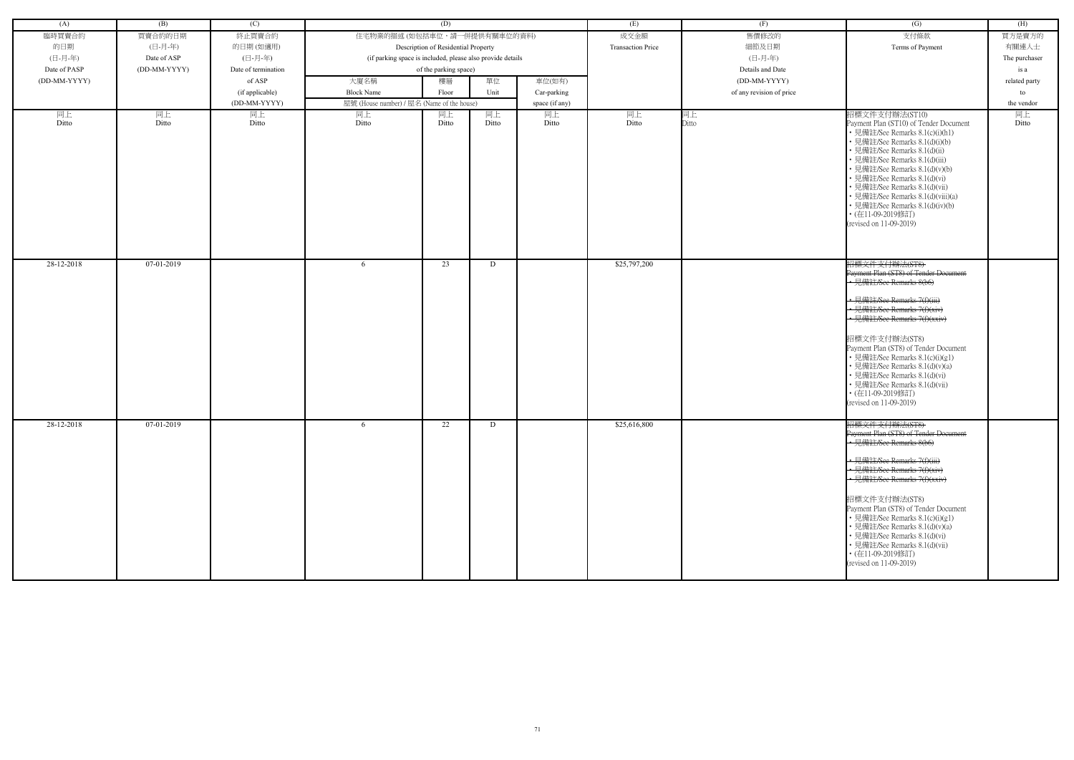| (A)          | (B)          | (C)                 |                                            | (D)                                                        |       |                | (E)                      | (F)                      | (G)                                                                                                                                                                                                                                                                                                                                                                                                                             | (H)           |
|--------------|--------------|---------------------|--------------------------------------------|------------------------------------------------------------|-------|----------------|--------------------------|--------------------------|---------------------------------------------------------------------------------------------------------------------------------------------------------------------------------------------------------------------------------------------------------------------------------------------------------------------------------------------------------------------------------------------------------------------------------|---------------|
| 臨時買賣合約       | 買賣合約的日期      | 終止買賣合約              | 住宅物業的描述 (如包括車位,請一併提供有關車位的資料)               |                                                            |       |                | 成交金額                     | 售價修改的                    | 支付條款                                                                                                                                                                                                                                                                                                                                                                                                                            | 買方是賣方的        |
| 的日期          | (日-月-年)      | 的日期(如適用)            |                                            | Description of Residential Property                        |       |                | <b>Transaction Price</b> | 細節及日期                    | Terms of Payment                                                                                                                                                                                                                                                                                                                                                                                                                | 有關連人士         |
| (日-月-年)      | Date of ASP  | (日-月-年)             |                                            | (if parking space is included, please also provide details |       |                |                          | (日-月-年)                  |                                                                                                                                                                                                                                                                                                                                                                                                                                 | The purchaser |
| Date of PASP | (DD-MM-YYYY) | Date of termination | of the parking space)                      |                                                            |       |                |                          | Details and Date         |                                                                                                                                                                                                                                                                                                                                                                                                                                 | is a          |
| (DD-MM-YYYY) |              | of ASP              | 大廈名稱                                       | 單位<br>樓層                                                   |       | 車位(如有)         |                          | (DD-MM-YYYY)             |                                                                                                                                                                                                                                                                                                                                                                                                                                 | related party |
|              |              | (if applicable)     | <b>Block Name</b>                          | Floor                                                      | Unit  | Car-parking    |                          | of any revision of price |                                                                                                                                                                                                                                                                                                                                                                                                                                 | to            |
|              |              | (DD-MM-YYYY)        | 屋號 (House number) / 屋名 (Name of the house) |                                                            |       | space (if any) |                          |                          |                                                                                                                                                                                                                                                                                                                                                                                                                                 | the vendor    |
| 同上           | 同上           | 同上                  | 同上                                         | 同上                                                         | 同上    | 同上             | 同上                       | 同上                       | 招標文件支付辦法(ST10)                                                                                                                                                                                                                                                                                                                                                                                                                  | 同上            |
| Ditto        | Ditto        | Ditto               | Ditto                                      | Ditto                                                      | Ditto | Ditto          | Ditto                    | Ditto                    | Payment Plan (ST10) of Tender Document<br>• 見備註/See Remarks 8.1(c)(i)(h1)<br>• 見備註/See Remarks 8.1(d)(i)(b)<br>• 見備註/See Remarks 8.1(d)(ii)<br>• 見備註/See Remarks 8.1(d)(iii)<br>· 見備註/See Remarks 8.1(d)(v)(b)<br>• 見備註/See Remarks 8.1(d)(vi)<br>• 見備註/See Remarks 8.1(d)(vii)<br>• 見備註/See Remarks 8.1(d)(viii)(a)<br>• 見備註/See Remarks 8.1(d)(iv)(b)<br>• (在11-09-2019修訂)<br>(revised on 11-09-2019)                         | Ditto         |
| 28-12-2018   | 07-01-2019   |                     | -6                                         | 23                                                         | D     |                | \$25,797,200             |                          | 招標文件支付辦法(ST8)<br>Payment Plan (ST8) of Tender Document<br>• 見備註/See Remarks 8(b6)<br>· 見備註/See Remarks 7(f)(iii)<br>• 見備註/See Remarks 7(f)(xiv)<br>· 見備註/See Remarks 7(f)(xxiv)<br>招標文件支付辦法(ST8)<br>Payment Plan (ST8) of Tender Document<br>• 見備註/See Remarks 8.1(c)(i)(g1)<br>• 見備註/See Remarks 8.1(d)(v)(a)<br>• 見備註/See Remarks 8.1(d)(vi)<br>• 見備註/See Remarks 8.1(d)(vii)<br>• (在11-09-2019修訂)<br>(revised on 11-09-2019) |               |
| 28-12-2018   | 07-01-2019   |                     | -6                                         | 22                                                         | D     |                | \$25,616,800             |                          | 招標文件支付辦法(ST8)<br>Payment Plan (ST8) of Tender Document<br>• 見備註/See Remarks 8(b6)<br>← 見備註/See Remarks 7(f)(iii)<br>· 見備註/See Remarks 7(f)(xiv)<br>• 見備註/See Remarks 7(f)(xxiv)<br>招標文件支付辦法(ST8)<br>Payment Plan (ST8) of Tender Document<br>• 見備註/See Remarks 8.1(c)(i)(g1)<br>• 見備註/See Remarks 8.1(d)(v)(a)<br>• 見備註/See Remarks 8.1(d)(vi)<br>• 見備註/See Remarks 8.1(d)(vii)<br>• (在11-09-2019修訂)<br>(revised on 11-09-2019) |               |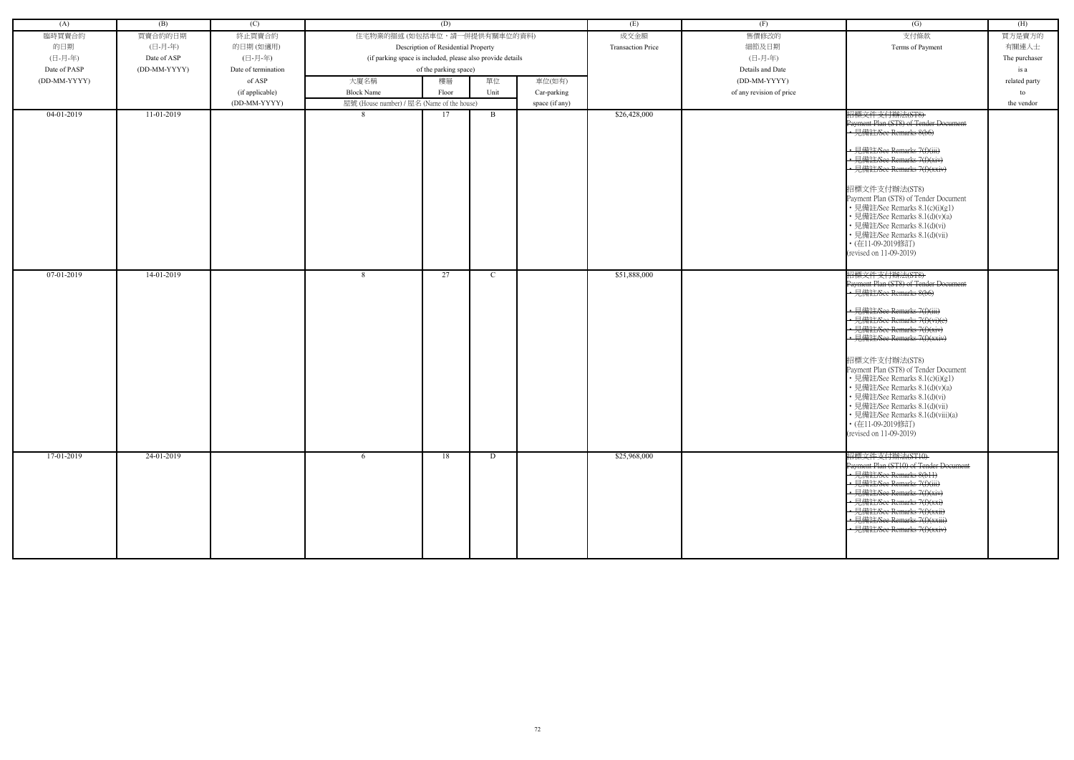| (A)          | (B)          | (C)                 |                                                            | (D)                                 |               |                | (E)                      | (F)                         | (G)                                                               | (H)           |
|--------------|--------------|---------------------|------------------------------------------------------------|-------------------------------------|---------------|----------------|--------------------------|-----------------------------|-------------------------------------------------------------------|---------------|
| 臨時買賣合約       | 買賣合約的日期      | 終止買賣合約              | 住宅物業的描述 (如包括車位,請一併提供有關車位的資料)                               |                                     |               |                | 成交金額                     | 售價修改的                       | 支付條款                                                              | 買方是賣方的        |
| 的日期          | (日-月-年)      | 的日期(如適用)            |                                                            | Description of Residential Property |               |                | <b>Transaction Price</b> | 細節及日期                       | Terms of Payment                                                  | 有關連人士         |
| (日-月-年)      | Date of ASP  | (日-月-年)             | (if parking space is included, please also provide details |                                     |               |                |                          | (日-月-年)<br>Details and Date |                                                                   | The purchaser |
| Date of PASP | (DD-MM-YYYY) | Date of termination |                                                            | of the parking space)               |               |                |                          |                             |                                                                   | is a          |
| (DD-MM-YYYY) |              | of ASP              | 大廈名稱                                                       | 樓層                                  | 單位            | 車位(如有)         |                          | (DD-MM-YYYY)                |                                                                   | related party |
|              |              | (if applicable)     | <b>Block Name</b>                                          | Floor                               | Unit          | Car-parking    |                          | of any revision of price    |                                                                   | to            |
|              |              | (DD-MM-YYYY)        | 屋號 (House number) / 屋名 (Name of the house)                 |                                     |               | space (if any) |                          |                             |                                                                   | the vendor    |
| $04-01-2019$ | 11-01-2019   |                     |                                                            | 17                                  | B             |                | \$26,428,000             |                             | 招標文件支付辦法(ST8)<br>Payment Plan (ST8) of Tender Document            |               |
|              |              |                     |                                                            |                                     |               |                |                          |                             | • 見備註/See Remarks 8(b6)                                           |               |
|              |              |                     |                                                            |                                     |               |                |                          |                             | • 見備註/See Remarks 7(f)(iii)                                       |               |
|              |              |                     |                                                            |                                     |               |                |                          |                             | · 見備註/See Remarks 7(f)(xiv)<br>· 見備註/See Remarks 7(f)(xxiv)       |               |
|              |              |                     |                                                            |                                     |               |                |                          |                             |                                                                   |               |
|              |              |                     |                                                            |                                     |               |                |                          |                             | 招標文件支付辦法(ST8)                                                     |               |
|              |              |                     |                                                            |                                     |               |                |                          |                             | Payment Plan (ST8) of Tender Document                             |               |
|              |              |                     |                                                            |                                     |               |                |                          |                             | • 見備註/See Remarks 8.1(c)(i)(g1)                                   |               |
|              |              |                     |                                                            |                                     |               |                |                          |                             | • 見備註/See Remarks 8.1(d)(v)(a)                                    |               |
|              |              |                     |                                                            |                                     |               |                |                          |                             | • 見備註/See Remarks 8.1(d)(vi)<br>• 見備註/See Remarks 8.1(d)(vii)     |               |
|              |              |                     |                                                            |                                     |               |                |                          |                             | • (在11-09-2019修訂)                                                 |               |
|              |              |                     |                                                            |                                     |               |                |                          |                             | (revised on 11-09-2019)                                           |               |
|              |              |                     |                                                            |                                     |               |                |                          |                             |                                                                   |               |
| 07-01-2019   | 14-01-2019   |                     | 8                                                          | 27                                  | $\mathcal{C}$ |                | \$51,888,000             |                             | 招標文件支付辦法(ST8)                                                     |               |
|              |              |                     |                                                            |                                     |               |                |                          |                             | Payment Plan (ST8) of Tender Document                             |               |
|              |              |                     |                                                            |                                     |               |                |                          |                             | • 見備註/See Remarks 8(b6)                                           |               |
|              |              |                     |                                                            |                                     |               |                |                          |                             | • 見備註/See Remarks 7(f)(iii)                                       |               |
|              |              |                     |                                                            |                                     |               |                |                          |                             | • 見備註/See Remarks 7(f)(vi)(e)                                     |               |
|              |              |                     |                                                            |                                     |               |                |                          |                             | • 見備註/See Remarks 7(f)(xiv)                                       |               |
|              |              |                     |                                                            |                                     |               |                |                          |                             | • 見備註/See Remarks 7(f)(xxiv)                                      |               |
|              |              |                     |                                                            |                                     |               |                |                          |                             | 招標文件支付辦法(ST8)                                                     |               |
|              |              |                     |                                                            |                                     |               |                |                          |                             | Payment Plan (ST8) of Tender Document                             |               |
|              |              |                     |                                                            |                                     |               |                |                          |                             | • 見備註/See Remarks 8.1(c)(i)(g1)<br>• 見備註/See Remarks 8.1(d)(v)(a) |               |
|              |              |                     |                                                            |                                     |               |                |                          |                             | • 見備註/See Remarks 8.1(d)(vi)                                      |               |
|              |              |                     |                                                            |                                     |               |                |                          |                             | • 見備註/See Remarks 8.1(d)(vii)                                     |               |
|              |              |                     |                                                            |                                     |               |                |                          |                             | • 見備註/See Remarks 8.1(d)(viii)(a)                                 |               |
|              |              |                     |                                                            |                                     |               |                |                          |                             | • (在11-09-2019修訂)                                                 |               |
|              |              |                     |                                                            |                                     |               |                |                          |                             | (revised on 11-09-2019)                                           |               |
| 17-01-2019   | 24-01-2019   |                     | -6                                                         | 18                                  | D             |                | \$25,968,000             |                             | 招標文件支付辦法(ST10)                                                    |               |
|              |              |                     |                                                            |                                     |               |                |                          |                             | Payment Plan (ST10) of Tender Document                            |               |
|              |              |                     |                                                            |                                     |               |                |                          |                             | • 見備註/See Remarks 8(b11)                                          |               |
|              |              |                     |                                                            |                                     |               |                |                          |                             | • 見備註/See Remarks 7(f)(iii)                                       |               |
|              |              |                     |                                                            |                                     |               |                |                          |                             | • 見備註/See Remarks 7(f)(xiv)                                       |               |
|              |              |                     |                                                            |                                     |               |                |                          |                             | • 見備註/See Remarks 7(f)(xxi)<br>• 見備註/See Remarks 7(f)(xxii)       |               |
|              |              |                     |                                                            |                                     |               |                |                          |                             | • 見備註/See Remarks 7(f)(xxiii)                                     |               |
|              |              |                     |                                                            |                                     |               |                |                          |                             | · 見備註/See Remarks 7(f)(xxiv)                                      |               |
|              |              |                     |                                                            |                                     |               |                |                          |                             |                                                                   |               |
|              |              |                     |                                                            |                                     |               |                |                          |                             |                                                                   |               |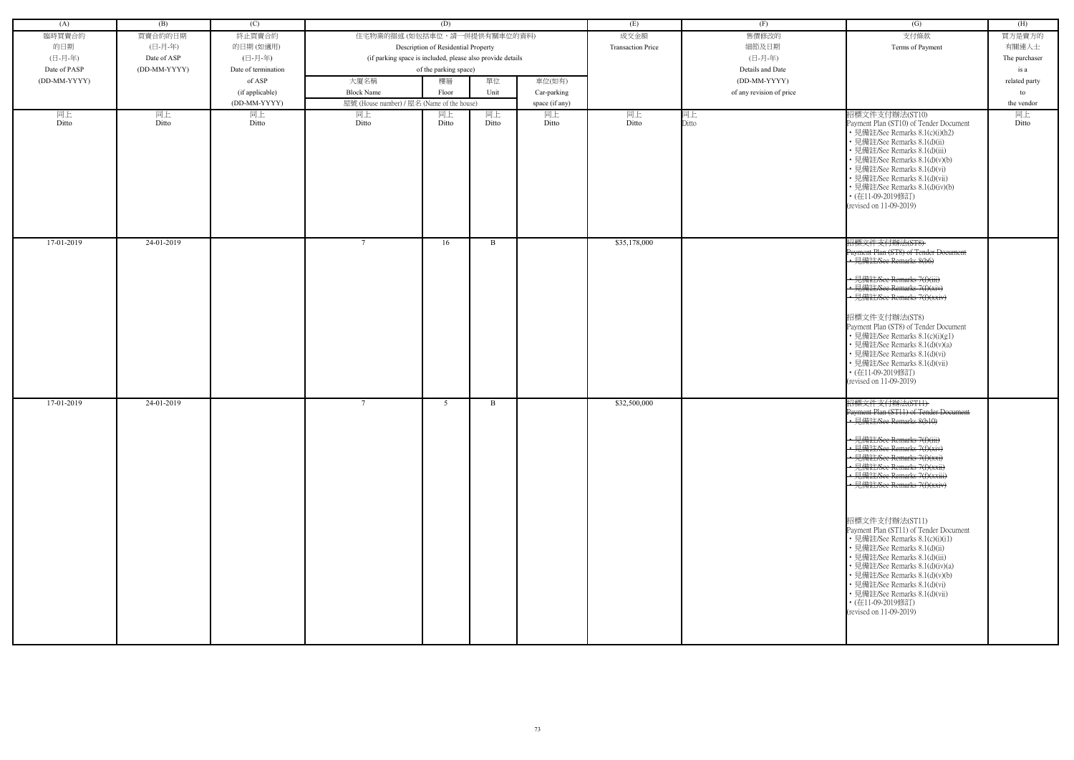| (A)          | (B)          | (C)                 |                                                            | (D)                                 |       |                  | (E)                      | (F)                      | (G)                                                                                                                                                                                                                                                                                                                                                                                                              | (H)           |
|--------------|--------------|---------------------|------------------------------------------------------------|-------------------------------------|-------|------------------|--------------------------|--------------------------|------------------------------------------------------------------------------------------------------------------------------------------------------------------------------------------------------------------------------------------------------------------------------------------------------------------------------------------------------------------------------------------------------------------|---------------|
| 臨時買賣合約       | 買賣合約的日期      | 終止買賣合約              | 住宅物業的描述(如包括車位,請一併提供有關車位的資料)                                |                                     |       |                  | 成交金額                     | 售價修改的                    | 支付條款                                                                                                                                                                                                                                                                                                                                                                                                             | 買方是賣方的        |
| 的日期          | (日-月-年)      | 的日期(如適用)            |                                                            | Description of Residential Property |       |                  | <b>Transaction Price</b> | 細節及日期                    | Terms of Payment                                                                                                                                                                                                                                                                                                                                                                                                 | 有關連人士         |
| (日-月-年)      | Date of ASP  | (日-月-年)             | (if parking space is included, please also provide details |                                     |       |                  |                          | (日-月-年)                  |                                                                                                                                                                                                                                                                                                                                                                                                                  | The purchaser |
| Date of PASP | (DD-MM-YYYY) | Date of termination | of the parking space)                                      |                                     |       | Details and Date |                          | is a                     |                                                                                                                                                                                                                                                                                                                                                                                                                  |               |
| (DD-MM-YYYY) |              | of ASP              | 大廈名稱                                                       | 樓層                                  | 單位    | 車位(如有)           |                          | (DD-MM-YYYY)             |                                                                                                                                                                                                                                                                                                                                                                                                                  | related party |
|              |              | (if applicable)     | <b>Block Name</b>                                          | Floor                               | Unit  | Car-parking      |                          | of any revision of price |                                                                                                                                                                                                                                                                                                                                                                                                                  | to            |
|              |              | (DD-MM-YYYY)        | 屋號 (House number) / 屋名 (Name of the house)                 |                                     |       | space (if any)   |                          |                          |                                                                                                                                                                                                                                                                                                                                                                                                                  | the vendor    |
| 同上           | 同上           | 同上                  | 同上                                                         | 同上                                  | 同上    | 同上               | 同上                       | 同上                       | 招標文件支付辦法(ST10)                                                                                                                                                                                                                                                                                                                                                                                                   | 同上            |
| Ditto        | Ditto        | Ditto               | Ditto                                                      | Ditto                               | Ditto | Ditto            | Ditto                    | Ditto                    | Payment Plan (ST10) of Tender Document<br>• 見備註/See Remarks 8.1(c)(i)(h2)<br>• 見備註/See Remarks 8.1(d)(ii)<br>• 見備註/See Remarks 8.1(d)(iii)<br>· 見備註/See Remarks 8.1(d)(v)(b)<br>• 見備註/See Remarks 8.1(d)(vi)<br>• 見備註/See Remarks 8.1(d)(vii)<br>• 見備註/See Remarks 8.1(d)(iv)(b)<br>• (在11-09-2019修訂)<br>(revised on 11-09-2019)                                                                                 | Ditto         |
| 17-01-2019   | 24-01-2019   |                     |                                                            | 16                                  | B.    |                  | \$35,178,000             |                          | 招標文件支付辦法(ST8)<br>Payment Plan (ST8) of Tender Document<br>• 見備註/See Remarks 8(b6)<br>• 見備註/See Remarks 7(f)(iii)<br>• 見備註/See Remarks 7(f)(xiv)<br>• 見備註/See Remarks 7(f)(xxiv)                                                                                                                                                                                                                                  |               |
|              |              |                     |                                                            |                                     |       |                  |                          |                          | 招標文件支付辦法(ST8)<br>Payment Plan (ST8) of Tender Document<br>• 見備註/See Remarks 8.1(c)(i)(g1)<br>• 見備註/See Remarks 8.1(d)(v)(a)<br>• 見備註/See Remarks 8.1(d)(vi)<br>• 見備註/See Remarks 8.1(d)(vii)<br>• (在11-09-2019修訂)<br>(revised on 11-09-2019)                                                                                                                                                                     |               |
| 17-01-2019   | 24-01-2019   |                     | $7\phantom{.0}$                                            | 5                                   | B.    |                  | \$32,500,000             |                          | 招標文件支付辦法(ST11)<br>Payment Plan (ST11) of Tender Document<br>• 見備註/See Remarks 8(b10)<br>• 見備註/See Remarks 7(f)(iii)<br>• 見備註/See Remarks 7(f)(xiv<br>• 見備註/See Remarks 7(f)(xxi)<br>• 見備註/See Remarks 7(f)(xxii)<br>• 見備註/See Remarks 7(f)(xxiii)<br>← 見備註/See Remarks 7(f)(xxiv)<br>招標文件支付辦法(ST11)<br>Payment Plan (ST11) of Tender Document<br>• 見備註/See Remarks 8.1(c)(i)(i1)<br>• 見備註/See Remarks 8.1(d)(ii) |               |
|              |              |                     |                                                            |                                     |       |                  |                          |                          | • 見備註/See Remarks 8.1(d)(iii)<br>• 見備註/See Remarks 8.1(d)(iv)(a)<br>• 見備註/See Remarks 8.1(d)(v)(b)<br>• 見備註/See Remarks 8.1(d)(vi)<br>• 見備註/See Remarks 8.1(d)(vii)<br>• (在11-09-2019修訂)<br>(revised on 11-09-2019)                                                                                                                                                                                              |               |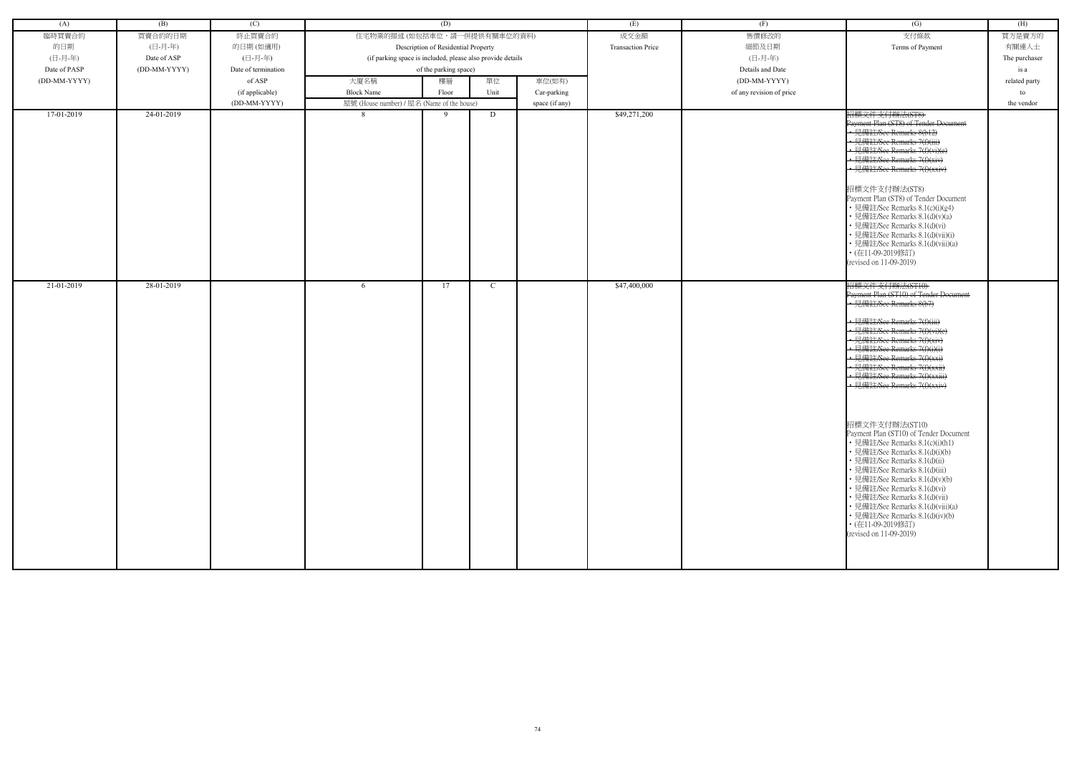| (A)          | (B)          | (C)                 |                                                            | (D)                                 |      |                | (E)                      | (F)                      | $\overline{(G)}$                                                                                                                                                                                                                                                                                                                                                                                                                                                                                                                                                                                                                                                                                                                                                                  | (H)           |
|--------------|--------------|---------------------|------------------------------------------------------------|-------------------------------------|------|----------------|--------------------------|--------------------------|-----------------------------------------------------------------------------------------------------------------------------------------------------------------------------------------------------------------------------------------------------------------------------------------------------------------------------------------------------------------------------------------------------------------------------------------------------------------------------------------------------------------------------------------------------------------------------------------------------------------------------------------------------------------------------------------------------------------------------------------------------------------------------------|---------------|
| 臨時買賣合約       | 買賣合約的日期      | 終止買賣合約              | 住宅物業的描述 (如包括車位,請一併提供有關車位的資料)                               |                                     |      |                | 成交金額                     | 售價修改的                    | 支付條款                                                                                                                                                                                                                                                                                                                                                                                                                                                                                                                                                                                                                                                                                                                                                                              | 買方是賣方的        |
| 的日期          | (日-月-年)      | 的日期(如適用)            |                                                            | Description of Residential Property |      |                | <b>Transaction Price</b> | 細節及日期                    | Terms of Payment                                                                                                                                                                                                                                                                                                                                                                                                                                                                                                                                                                                                                                                                                                                                                                  | 有關連人士         |
| (日-月-年)      | Date of ASP  | (日-月-年)             | (if parking space is included, please also provide details |                                     |      |                |                          | (日-月-年)                  |                                                                                                                                                                                                                                                                                                                                                                                                                                                                                                                                                                                                                                                                                                                                                                                   | The purchaser |
| Date of PASP | (DD-MM-YYYY) | Date of termination |                                                            | of the parking space)               |      |                |                          | Details and Date         |                                                                                                                                                                                                                                                                                                                                                                                                                                                                                                                                                                                                                                                                                                                                                                                   | is a          |
| (DD-MM-YYYY) |              | of ASP              | 大廈名稱                                                       | 樓層                                  | 單位   | 車位(如有)         |                          | (DD-MM-YYYY)             |                                                                                                                                                                                                                                                                                                                                                                                                                                                                                                                                                                                                                                                                                                                                                                                   | related party |
|              |              | (if applicable)     | <b>Block Name</b>                                          | Floor                               | Unit | Car-parking    |                          | of any revision of price |                                                                                                                                                                                                                                                                                                                                                                                                                                                                                                                                                                                                                                                                                                                                                                                   | to            |
|              |              | (DD-MM-YYYY)        | 屋號 (House number) / 屋名 (Name of the house)                 |                                     |      | space (if any) |                          |                          |                                                                                                                                                                                                                                                                                                                                                                                                                                                                                                                                                                                                                                                                                                                                                                                   | the vendor    |
| 17-01-2019   | 24-01-2019   |                     | 8                                                          | 9                                   | D    |                | \$49,271,200             |                          | 招標文件支付辦法(ST8)<br>Payment Plan (ST8) of Tender Document<br>· 見備註/See Remarks 8(b12)<br>• 見備註/See Remarks 7(f)(iii)<br>• 見備註/See Remarks 7(f)(vi)(e)<br>· 見備註/See Remarks 7(f)(xiv)<br>· 見備註/See Remarks 7(f)(xxiv)<br>招標文件支付辦法(ST8)<br>Payment Plan (ST8) of Tender Document<br>• 見備註/See Remarks 8.1(c)(i)(g4)<br>• 見備註/See Remarks 8.1(d)(v)(a)<br>• 見備註/See Remarks 8.1(d)(vi)<br>• 見備註/See Remarks 8.1(d)(vii)(i)<br>• 見備註/See Remarks 8.1(d)(viii)(a)<br>• (在11-09-2019修訂)<br>(revised on 11-09-2019)                                                                                                                                                                                                                                                                         |               |
| 21-01-2019   | 28-01-2019   |                     | 6                                                          | 17                                  | C    |                | \$47,400,000             |                          | 招標文件支付辦法(ST10)<br>Payment Plan (ST10) of Tender Document<br>• 見備註/See Remarks 8(b7)<br>· 見備註/See Remarks 7(f)(iii)<br>• 見備註/See Remarks 7(f)(vi)(e)<br>• 見備註/See Remarks 7(f)(xiv)<br>• 見備註/See Remarks 7(f)(i)(i)<br>• 見備註/See Remarks 7(f)(xxi)<br>• 見備註/See Remarks $7(f)(xxii)$<br>· 見備註/See Remarks 7(f)(xxiii)<br>· 見備註/See Remarks 7(f)(xxiv)<br>招標文件支付辦法(ST10)<br>Payment Plan (ST10) of Tender Document<br>• 見備註/See Remarks 8.1(c)(i)(h1)<br>• 見備註/See Remarks 8.1(d)(i)(b)<br>• 見備註/See Remarks 8.1(d)(ii)<br>• 見備註/See Remarks 8.1(d)(iii)<br>• 見備註/See Remarks 8.1(d)(v)(b)<br>• 見備註/See Remarks 8.1(d)(vi)<br>• 見備註/See Remarks 8.1(d)(vii)<br>• 見備註/See Remarks 8.1(d)(viii)(a)<br>• 見備註/See Remarks 8.1(d)(iv)(b)<br>• (在11-09-2019修訂)<br>(revised on 11-09-2019) |               |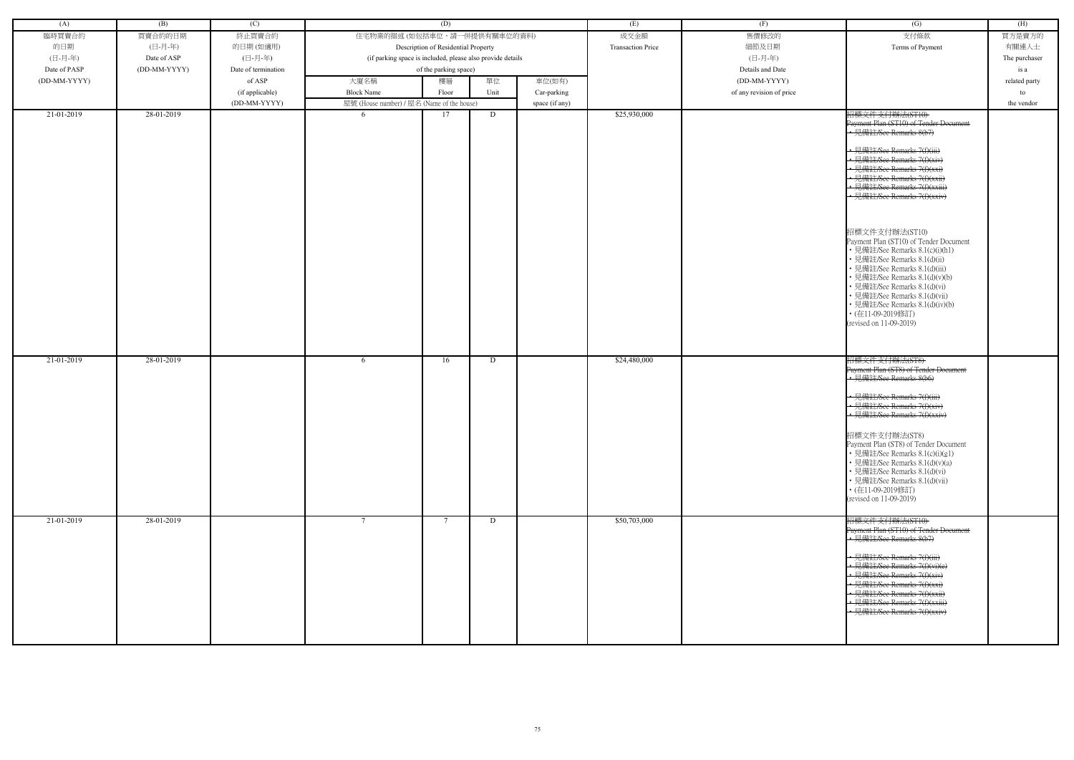| (A)          | (B)          | (C)                 |                                                            | (D)                                 |      |                | (E)                      | (F)                      | (G)                                                                                                                                                                                                                                                                                                                                                                                                                                                                                                                                                                                                                                  | (H)           |
|--------------|--------------|---------------------|------------------------------------------------------------|-------------------------------------|------|----------------|--------------------------|--------------------------|--------------------------------------------------------------------------------------------------------------------------------------------------------------------------------------------------------------------------------------------------------------------------------------------------------------------------------------------------------------------------------------------------------------------------------------------------------------------------------------------------------------------------------------------------------------------------------------------------------------------------------------|---------------|
| 臨時買賣合約       | 買賣合約的日期      | 終止買賣合約              | 住宅物業的描述 (如包括車位,請一併提供有關車位的資料)                               |                                     |      |                | 成交金額                     | 售價修改的                    | 支付條款                                                                                                                                                                                                                                                                                                                                                                                                                                                                                                                                                                                                                                 | 買方是賣方的        |
| 的日期          | (日-月-年)      | 的日期(如適用)            |                                                            | Description of Residential Property |      |                | <b>Transaction Price</b> | 細節及日期                    | Terms of Payment                                                                                                                                                                                                                                                                                                                                                                                                                                                                                                                                                                                                                     | 有關連人士         |
| (日-月-年)      | Date of ASP  | (日-月-年)             | (if parking space is included, please also provide details |                                     |      |                |                          | (日-月-年)                  |                                                                                                                                                                                                                                                                                                                                                                                                                                                                                                                                                                                                                                      | The purchaser |
| Date of PASP | (DD-MM-YYYY) | Date of termination |                                                            | of the parking space)               |      |                |                          | Details and Date         |                                                                                                                                                                                                                                                                                                                                                                                                                                                                                                                                                                                                                                      | is a          |
| (DD-MM-YYYY) |              | of ASP              | 大廈名稱                                                       | 樓層                                  | 單位   | 車位(如有)         |                          | (DD-MM-YYYY)             |                                                                                                                                                                                                                                                                                                                                                                                                                                                                                                                                                                                                                                      | related party |
|              |              | (if applicable)     | <b>Block Name</b>                                          | Floor                               | Unit | Car-parking    |                          | of any revision of price |                                                                                                                                                                                                                                                                                                                                                                                                                                                                                                                                                                                                                                      | to            |
|              |              | (DD-MM-YYYY)        | 屋號 (House number) / 屋名 (Name of the house)                 |                                     |      | space (if any) |                          |                          |                                                                                                                                                                                                                                                                                                                                                                                                                                                                                                                                                                                                                                      | the vendor    |
| 21-01-2019   | 28-01-2019   |                     | -6                                                         | 17                                  | D    |                | \$25,930,000             |                          | 招標文件支付辦法(ST10)<br>Payment Plan (ST10) of Tender Document<br>• 見備註/See Remarks 8(b7)<br>• 見備註/See Remarks 7(f)(iii)<br>• 見備註/See Remarks 7(f)(xiv)<br>• 見備註/See Remarks 7(f)(xxi<br>• 見備註/See Remarks 7(f)(xxii)<br>見備註/See Remarks 7(f)(xxiii)<br>· 見備註/See Remarks 7(f)(xxiv)<br>招標文件支付辦法(ST10)<br>Payment Plan (ST10) of Tender Document<br>• 見備註/See Remarks 8.1(c)(i)(h1)<br>• 見備註/See Remarks 8.1(d)(ii)<br>• 見備註/See Remarks 8.1(d)(iii)<br>· 見備註/See Remarks 8.1(d)(v)(b)<br>• 見備註/See Remarks 8.1(d)(vi)<br>• 見備註/See Remarks 8.1(d)(vii)<br>• 見備註/See Remarks 8.1(d)(iv)(b)<br>• (在11-09-2019修訂)<br>(revised on 11-09-2019) |               |
| 21-01-2019   | 28-01-2019   |                     | 6                                                          | 16                                  | D    |                | \$24,480,000             |                          | 招標文件支付辦法(ST8)<br>Payment Plan (ST8) of Tender Doeument<br>見備註/See Remarks 8(b6)<br>· 見備註/See Remarks 7(f)(iii)<br>• 見備註/See Remarks 7(f)(xiv)<br>← 見備註/See Remarks 7(f)(xxiv)<br>招標文件支付辦法(ST8)<br>Payment Plan (ST8) of Tender Document<br>• 見備註/See Remarks 8.1(c)(i)(g1)<br>• 見備註/See Remarks 8.1(d)(v)(a)<br>• 見備註/See Remarks 8.1(d)(vi)<br>• 見備註/See Remarks 8.1(d)(vii)<br>• (在11-09-2019修訂)<br>(revised on 11-09-2019)                                                                                                                                                                                                        |               |
| 21-01-2019   | 28-01-2019   |                     | $\tau$                                                     | -7                                  | D    |                | \$50,703,000             |                          | 招標文件支付辦法(ST10)<br>Payment Plan (ST10) of Tender Document<br>• 見備註/See Remarks 8(b7)<br>• 見備註/See Remarks 7(f)(iii)<br>• 見備註/See Remarks 7(f)(vi)(e)<br>• 見備註/See Remarks 7(f)(xiv)<br>• 見備註/See Remarks 7(f)(xxi)<br>← 見備註/See Remarks 7(f)(xxii)<br>- 見備註/See Remarks 7(f)(xxiii)<br>• 見備註/See Remarks 7(f)(xxiv)                                                                                                                                                                                                                                                                                                                   |               |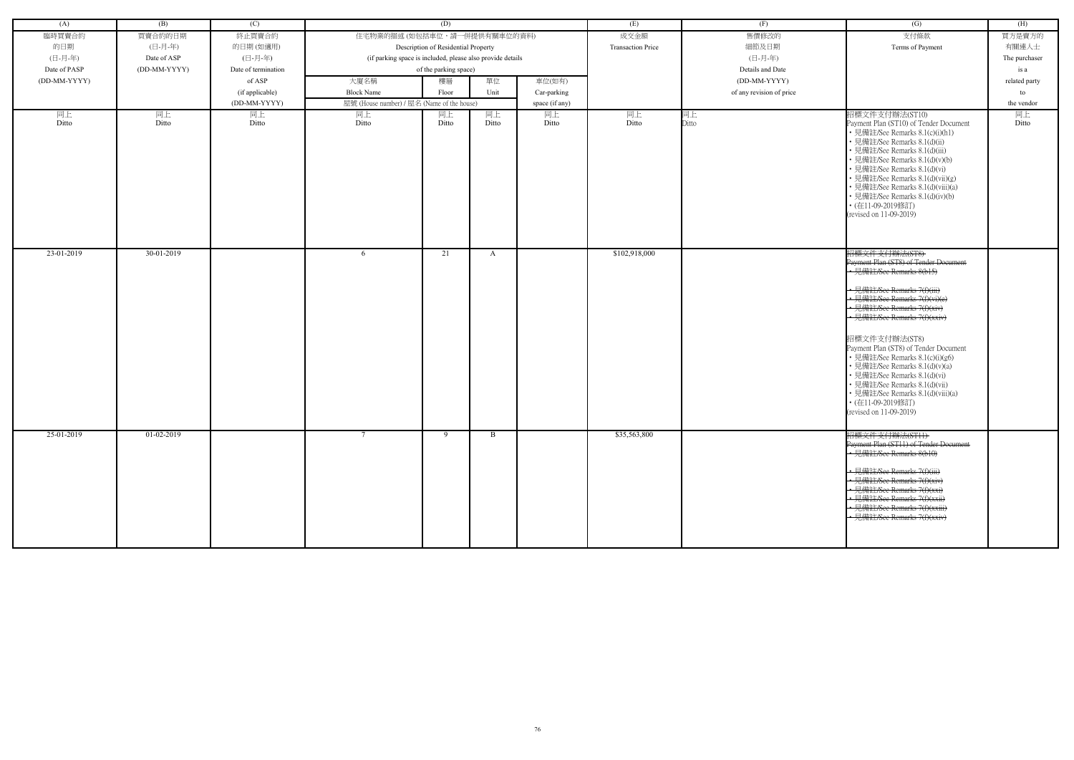| (A)          | (B)          | (C)                 |                                                            | (D)                                 |              |                | (E)                      | (F)                      | (G)                                                                                                                                                                                                                                                                                                                                                                                                                                                                                                    | (H)           |
|--------------|--------------|---------------------|------------------------------------------------------------|-------------------------------------|--------------|----------------|--------------------------|--------------------------|--------------------------------------------------------------------------------------------------------------------------------------------------------------------------------------------------------------------------------------------------------------------------------------------------------------------------------------------------------------------------------------------------------------------------------------------------------------------------------------------------------|---------------|
| 臨時買賣合約       | 買賣合約的日期      | 終止買賣合約              | 住宅物業的描述 (如包括車位,請一併提供有關車位的資料)                               |                                     |              |                | 成交金額                     | 售價修改的                    | 支付條款                                                                                                                                                                                                                                                                                                                                                                                                                                                                                                   | 買方是賣方的        |
| 的日期          | (日-月-年)      | 的日期(如適用)            |                                                            | Description of Residential Property |              |                | <b>Transaction Price</b> | 細節及日期                    | Terms of Payment                                                                                                                                                                                                                                                                                                                                                                                                                                                                                       | 有關連人士         |
| (日-月-年)      | Date of ASP  | (日-月-年)             | (if parking space is included, please also provide details |                                     |              |                |                          | (日-月-年)                  |                                                                                                                                                                                                                                                                                                                                                                                                                                                                                                        | The purchaser |
| Date of PASP | (DD-MM-YYYY) | Date of termination |                                                            | of the parking space)               |              |                |                          | Details and Date         |                                                                                                                                                                                                                                                                                                                                                                                                                                                                                                        | is a          |
| (DD-MM-YYYY) |              | of ASP              | 大廈名稱                                                       | 樓層                                  | 單位           | 車位(如有)         |                          | $(DD-MM-YYYY)$           |                                                                                                                                                                                                                                                                                                                                                                                                                                                                                                        |               |
|              |              |                     |                                                            |                                     |              |                |                          |                          |                                                                                                                                                                                                                                                                                                                                                                                                                                                                                                        | related party |
|              |              | (if applicable)     | <b>Block Name</b>                                          | Floor                               | Unit         | Car-parking    |                          | of any revision of price |                                                                                                                                                                                                                                                                                                                                                                                                                                                                                                        | to            |
|              |              | (DD-MM-YYYY)        | 屋號 (House number) / 屋名 (Name of the house)                 |                                     |              | space (if any) |                          |                          |                                                                                                                                                                                                                                                                                                                                                                                                                                                                                                        | the vendor    |
| 同上<br>Ditto  | 同上<br>Ditto  | 同上<br>Ditto         | 同上<br>Ditto                                                | 同上<br>Ditto                         | 同上<br>Ditto  | 同上<br>Ditto    | 同上<br>Ditto              | 同上<br>Ditto              | 招標文件支付辦法(ST10)<br>Payment Plan (ST10) of Tender Document<br>• 見備註/See Remarks 8.1(c)(i)(h1)<br>• 見備註/See Remarks 8.1(d)(ii)<br>• 見備註/See Remarks 8.1(d)(iii)<br>• 見備註/See Remarks 8.1(d)(v)(b)<br>• 見備註/See Remarks 8.1(d)(vi)<br>• 見備註/See Remarks 8.1(d)(vii)(g)<br>• 見備註/See Remarks 8.1(d)(viii)(a)<br>• 見備註/See Remarks 8.1(d)(iv)(b)<br>• (在11-09-2019修訂)<br>(revised on 11-09-2019)                                                                                                             | 同上<br>Ditto   |
| 23-01-2019   | 30-01-2019   |                     | -6                                                         | 21                                  | A            |                | \$102,918,000            |                          | 招標文件支付辦法(ST8)<br>Payment Plan (ST8) of Tender Document<br>• 見備註/See Remarks 8(b15)<br>• 見備註/See Remarks 7(f)(iii)<br>• 見備註/See Remarks 7(f)(vi)(e)<br>• 見備註/See Remarks 7(f)(xiv)<br>• 見備註/See Remarks 7(f)(xxiv)<br>招標文件支付辦法(ST8)<br>Payment Plan (ST8) of Tender Document<br>• 見備註/See Remarks 8.1(c)(i)(g6)<br>• 見備註/See Remarks 8.1(d)(v)(a)<br>• 見備註/See Remarks 8.1(d)(vi)<br>• 見備註/See Remarks 8.1(d)(vii)<br>• 見備註/See Remarks 8.1(d)(viii)(a)<br>• (在11-09-2019修訂)<br>(revised on 11-09-2019) |               |
| 25-01-2019   | 01-02-2019   |                     |                                                            | - 9                                 | <sup>B</sup> |                | \$35,563,800             |                          | 招標文件支付辦法(STH)<br>Payment Plan (ST11) of Tender Document<br>• 見備註/See Remarks 8(b10)<br>見備註/See Remarks 7(f)(iii)<br>• 見備註/See Remarks 7(f)(xiv)<br>• 見備註/See Remarks 7(f)(xxi)<br>-見備註/See Remarks 7(f)(xxii)<br>· 見備註/See Remarks 7(f)(xxiii)<br>• 見備註/See Remarks 7(f)(xxiv)                                                                                                                                                                                                                         |               |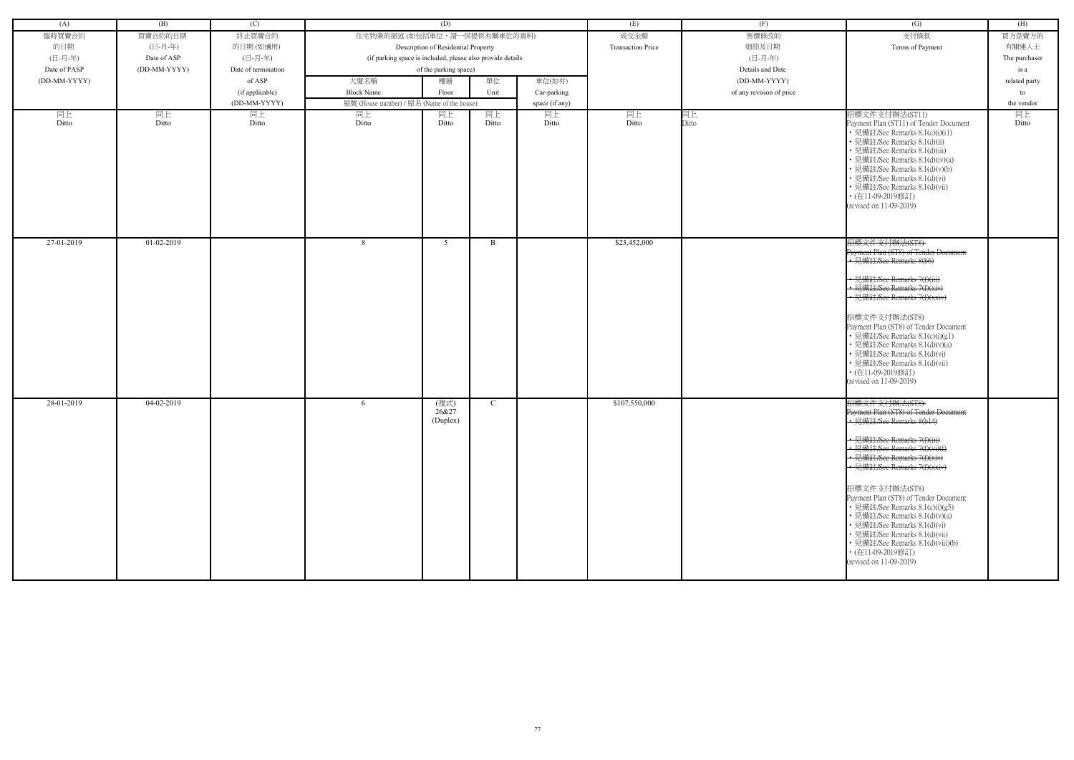| (A)          | (B)          | (C)                 |                                                            | (D)                                 |             |                | (E)                      | (F)                      | (G)                                                                                                                                                                                                                                                                                                                                                                                                                                                                                                    | (H)           |
|--------------|--------------|---------------------|------------------------------------------------------------|-------------------------------------|-------------|----------------|--------------------------|--------------------------|--------------------------------------------------------------------------------------------------------------------------------------------------------------------------------------------------------------------------------------------------------------------------------------------------------------------------------------------------------------------------------------------------------------------------------------------------------------------------------------------------------|---------------|
| 臨時買賣合約       | 買賣合約的日期      | 終止買賣合約              | 住宅物業的描述(如包括車位,請一併提供有關車位的資料)                                |                                     |             |                | 成交金額                     | 售價修改的                    | 支付條款                                                                                                                                                                                                                                                                                                                                                                                                                                                                                                   | 買方是賣方的        |
| 的日期          | (日-月-年)      | 的日期(如適用)            |                                                            | Description of Residential Property |             |                | <b>Transaction Price</b> | 細節及日期                    | Terms of Payment                                                                                                                                                                                                                                                                                                                                                                                                                                                                                       | 有關連人士         |
| (日-月-年)      | Date of ASP  | (日-月-年)             | (if parking space is included, please also provide details |                                     |             |                |                          | (日-月-年)                  |                                                                                                                                                                                                                                                                                                                                                                                                                                                                                                        | The purchaser |
| Date of PASP | (DD-MM-YYYY) | Date of termination |                                                            | of the parking space)               |             |                |                          | Details and Date         |                                                                                                                                                                                                                                                                                                                                                                                                                                                                                                        | is a          |
| (DD-MM-YYYY) |              | of ASP              | 大廈名稱                                                       | 樓層                                  | 單位          | 車位(如有)         |                          | (DD-MM-YYYY)             |                                                                                                                                                                                                                                                                                                                                                                                                                                                                                                        | related party |
|              |              | (if applicable)     | <b>Block Name</b>                                          | Floor                               | Unit        | Car-parking    |                          | of any revision of price |                                                                                                                                                                                                                                                                                                                                                                                                                                                                                                        | to            |
|              |              | (DD-MM-YYYY)        | 屋號 (House number) / 屋名 (Name of the house)                 |                                     |             | space (if any) |                          |                          |                                                                                                                                                                                                                                                                                                                                                                                                                                                                                                        | the vendor    |
| 同上<br>Ditto  | 同上<br>Ditto  | 同上<br>Ditto         | 同上<br>Ditto                                                | 同上<br>Ditto                         | 同上<br>Ditto | 同上<br>Ditto    | 同上<br>Ditto              | 同上<br>Ditto              | 招標文件支付辦法(ST11)<br>Payment Plan (ST11) of Tender Document<br>• 見備註/See Remarks 8.1(c)(i)(i1)<br>• 見備註/See Remarks 8.1(d)(ii)<br>· 見備註/See Remarks 8.1(d)(iii)<br>· 見備註/See Remarks 8.1(d)(iv)(a)<br>• 見備註/See Remarks 8.1(d)(v)(b)<br>• 見備註/See Remarks 8.1(d)(vi)<br>• 見備註/See Remarks 8.1(d)(vii)<br>• (在11-09-2019修訂)<br>(revised on 11-09-2019)                                                                                                                                                     | 同上<br>Ditto   |
| 27-01-2019   | 01-02-2019   |                     | 8                                                          | -5                                  | B.          |                | \$23,452,000             |                          | 招標文件支付辦法(ST8)<br>Payment Plan (ST8) of Tender Document<br>• 見備註/See Remarks 8(b6)<br>· 見備註/See Remarks 7(f)(iii)<br>• 見備註/See Remarks 7(f)(xiv)<br>• 見備註/See Remarks 7(f)(xxiv)<br>招標文件支付辦法(ST8)<br>Payment Plan (ST8) of Tender Document<br>• 見備註/See Remarks 8.1(c)(i)(g1)<br>• 見備註/See Remarks 8.1(d)(v)(a)<br>• 見備註/See Remarks 8.1(d)(vi)<br>• 見備註/See Remarks 8.1(d)(vii)<br>• (在11-09-2019修訂)<br>(revised on 11-09-2019)                                                                        |               |
| 28-01-2019   | 04-02-2019   |                     | 6                                                          | (複式)<br>26&27<br>(Duplex)           | C           |                | \$107,550,000            |                          | 招標文件支付辦法(ST8)<br>Payment Plan (ST8) of Tender Document<br>• 見備註/See Remarks 8(b14)<br>• 見備註/See Remarks 7(f)(iii)<br>• 見備註/See Remarks 7(f)(vi)(f)<br>• 見備註/See Remarks 7(f)(xiv)<br>• 見備註/See Remarks 7(f)(xxiv)<br>招標文件支付辦法(ST8)<br>Payment Plan (ST8) of Tender Document<br>• 見備註/See Remarks 8.1(c)(i)(g5)<br>• 見備註/See Remarks 8.1(d)(v)(a)<br>• 見備註/See Remarks 8.1(d)(vi)<br>• 見備註/See Remarks 8.1(d)(vii)<br>• 見備註/See Remarks 8.1(d)(viii)(b)<br>• (在11-09-2019修訂)<br>(revised on 11-09-2019) |               |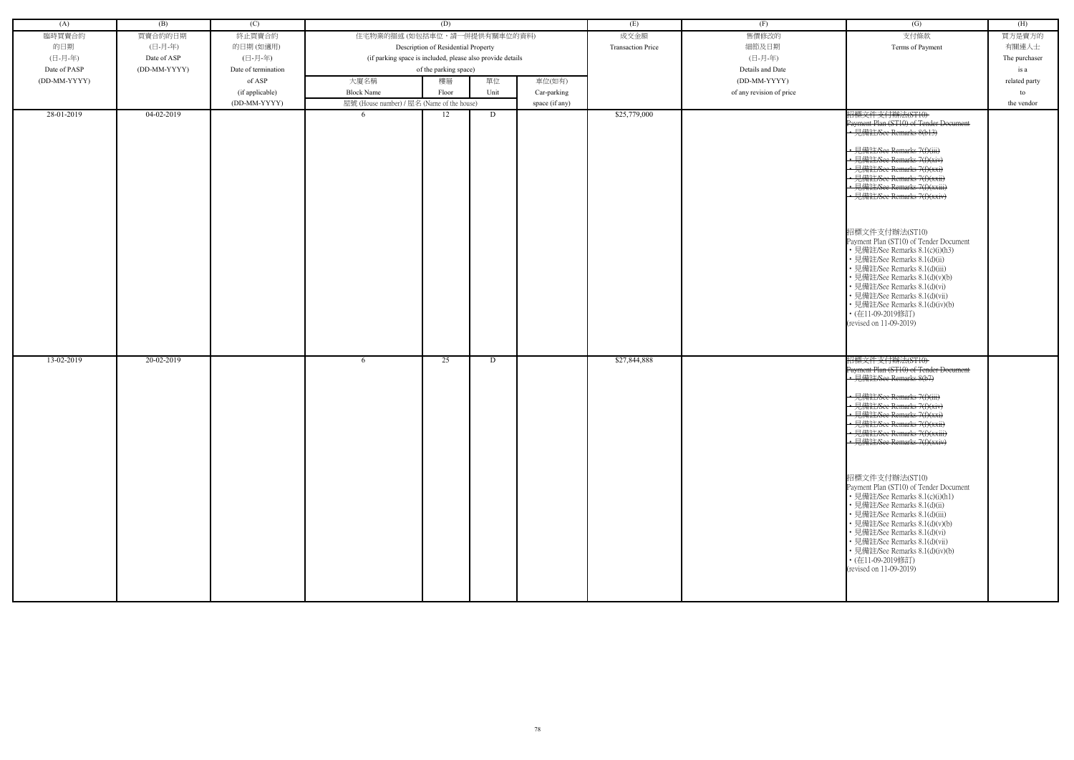| (A)          | (B)          | (C)                 |                                                            | (D)                                 |      |                | (E)                      | (F)                      | (G)                                                                                                                                                                                                                                                                                                                                                                                                                                                                                                                                                                                                                                            | (H)              |
|--------------|--------------|---------------------|------------------------------------------------------------|-------------------------------------|------|----------------|--------------------------|--------------------------|------------------------------------------------------------------------------------------------------------------------------------------------------------------------------------------------------------------------------------------------------------------------------------------------------------------------------------------------------------------------------------------------------------------------------------------------------------------------------------------------------------------------------------------------------------------------------------------------------------------------------------------------|------------------|
| 臨時買賣合約       | 買賣合約的日期      | 終止買賣合約              | 住宅物業的描述 (如包括車位,請一併提供有關車位的資料)                               |                                     |      |                | 成交金額                     | 售價修改的                    | 支付條款                                                                                                                                                                                                                                                                                                                                                                                                                                                                                                                                                                                                                                           | 買方是賣方的           |
| 的日期          | (日-月-年)      | 的日期(如適用)            |                                                            | Description of Residential Property |      |                | <b>Transaction Price</b> | 細節及日期                    | Terms of Payment                                                                                                                                                                                                                                                                                                                                                                                                                                                                                                                                                                                                                               | 有關連人士            |
| (日-月-年)      | Date of ASP  | (日-月-年)             | (if parking space is included, please also provide details |                                     |      |                |                          | (日-月-年)                  |                                                                                                                                                                                                                                                                                                                                                                                                                                                                                                                                                                                                                                                | The purchaser    |
| Date of PASP | (DD-MM-YYYY) | Date of termination |                                                            | of the parking space)               |      |                |                          | Details and Date         |                                                                                                                                                                                                                                                                                                                                                                                                                                                                                                                                                                                                                                                | is a             |
| (DD-MM-YYYY) |              | of ASP              | 大廈名稱                                                       | 樓層                                  | 單位   | 車位(如有)         |                          | (DD-MM-YYYY)             |                                                                                                                                                                                                                                                                                                                                                                                                                                                                                                                                                                                                                                                |                  |
|              |              | (if applicable)     | <b>Block Name</b>                                          | Floor                               | Unit | Car-parking    |                          | of any revision of price |                                                                                                                                                                                                                                                                                                                                                                                                                                                                                                                                                                                                                                                | related party    |
|              |              | (DD-MM-YYYY)        | 屋號 (House number) / 屋名 (Name of the house)                 |                                     |      | space (if any) |                          |                          |                                                                                                                                                                                                                                                                                                                                                                                                                                                                                                                                                                                                                                                | to<br>the vendor |
| 28-01-2019   | $04-02-2019$ |                     | -6                                                         | 12                                  | D    |                | \$25,779,000             |                          |                                                                                                                                                                                                                                                                                                                                                                                                                                                                                                                                                                                                                                                |                  |
|              |              |                     |                                                            |                                     |      |                |                          |                          | 招標文件支付辦法(ST10)<br>Payment Plan (ST10) of Tender Document<br>• 見備註/See Remarks 8(b13)<br>· 見備註/See Remarks 7(f)(iii)<br>← 見備註/See Remarks 7(f)(xiv)<br>• 見備註/See Remarks 7(f)(xxi)<br>• 見備註/See Remarks 7(f)(xxii)<br>• 見備註/See Remarks 7(f)(xxiii)<br>• 見備註/See Remarks 7(f)(xxiv)<br>招標文件支付辦法(ST10)<br>Payment Plan (ST10) of Tender Document<br>• 見備註/See Remarks 8.1(c)(i)(h3)<br>• 見備註/See Remarks 8.1(d)(ii)<br>• 見備註/See Remarks 8.1(d)(iii)<br>• 見備註/See Remarks 8.1(d)(v)(b)<br>• 見備註/See Remarks 8.1(d)(vi)<br>• 見備註/See Remarks 8.1(d)(vii)<br>• 見備註/See Remarks 8.1(d)(iv)(b)<br>• (在11-09-2019修訂)<br>(revised on 11-09-2019)       |                  |
| 13-02-2019   | 20-02-2019   |                     | 6                                                          | 25                                  | D    |                | \$27,844,888             |                          | 招標文件支付辦法(ST10)<br>Payment Plan (ST10) of Tender Document<br>• 見備註/See Remarks 8(b7)<br>• 見備註/See Remarks 7(f)(iii)<br><u>• 見備註/See Remarks 7(f)(xiv)</u><br>• 見備註/See Remarks 7(f)(xxi)<br>• 見備註/See Remarks 7(f)(xxii)<br>• 見備註/See Remarks 7(f)(xxiii)<br>• 見備註/See Remarks 7(f)(xxiv)<br>招標文件支付辦法(ST10)<br>Payment Plan (ST10) of Tender Document<br>• 見備註/See Remarks 8.1(c)(i)(h1)<br>• 見備註/See Remarks 8.1(d)(ii)<br>• 見備註/See Remarks 8.1(d)(iii)<br>• 見備註/See Remarks 8.1(d)(v)(b)<br>• 見備註/See Remarks 8.1(d)(vi)<br>• 見備註/See Remarks 8.1(d)(vii)<br>• 見備註/See Remarks 8.1(d)(iv)(b)<br>• (在11-09-2019修訂)<br>(revised on 11-09-2019) |                  |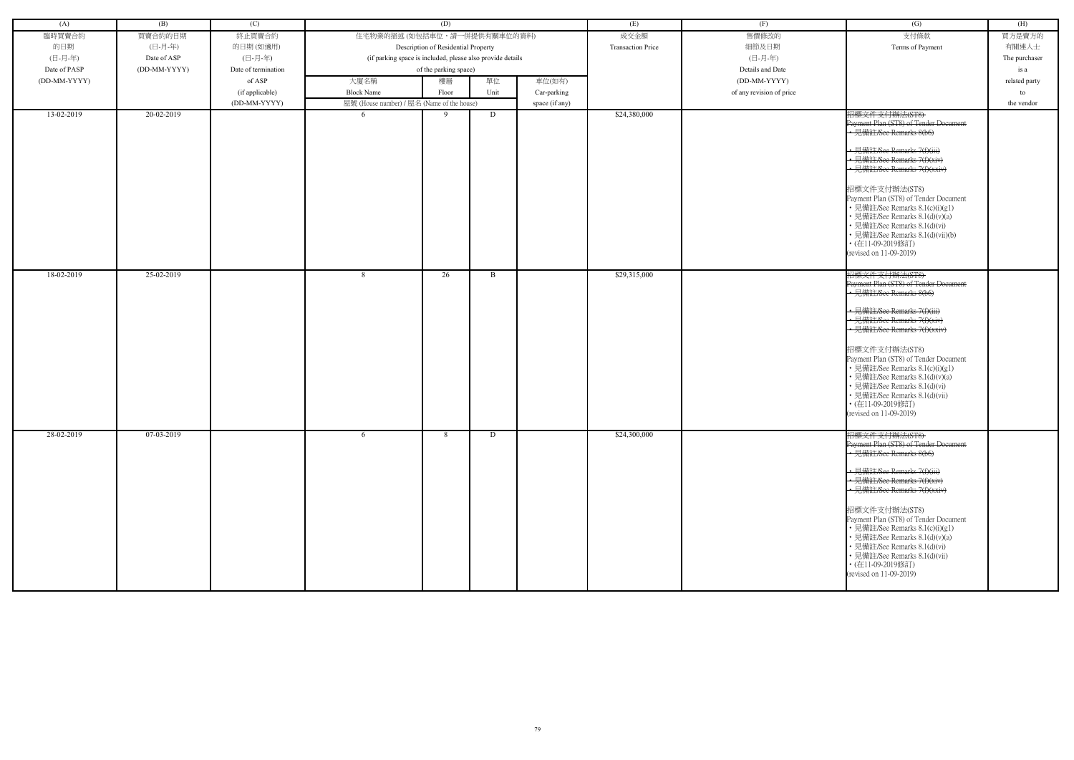| (A)                      | (B)                      | (C)                 |                                                            | (D)                                 |        |                | (E)                          | (F)                      | (G)                                                                                                                                                                                                                                                                                                                                                                                                                                                                         | (H)           |
|--------------------------|--------------------------|---------------------|------------------------------------------------------------|-------------------------------------|--------|----------------|------------------------------|--------------------------|-----------------------------------------------------------------------------------------------------------------------------------------------------------------------------------------------------------------------------------------------------------------------------------------------------------------------------------------------------------------------------------------------------------------------------------------------------------------------------|---------------|
| 臨時買賣合約                   | 買賣合約的日期                  | 終止買賣合約              | 住宅物業的描述 (如包括車位,請一併提供有關車位的資料)                               |                                     |        |                | 成交金額                         | 售價修改的                    | 支付條款                                                                                                                                                                                                                                                                                                                                                                                                                                                                        | 買方是賣方的        |
| 的日期                      | (日-月-年)                  | 的日期(如適用)            |                                                            | Description of Residential Property |        |                | <b>Transaction Price</b>     | 細節及日期                    | Terms of Payment                                                                                                                                                                                                                                                                                                                                                                                                                                                            | 有關連人士         |
| (日-月-年)                  | Date of ASP              | (日-月-年)             | (if parking space is included, please also provide details |                                     |        |                |                              | (日-月-年)                  |                                                                                                                                                                                                                                                                                                                                                                                                                                                                             | The purchaser |
| Date of PASP             | (DD-MM-YYYY)             | Date of termination |                                                            | of the parking space)               |        |                |                              | Details and Date         |                                                                                                                                                                                                                                                                                                                                                                                                                                                                             | is a          |
| (DD-MM-YYYY)             |                          | of ASP              | 大廈名稱                                                       | 樓層                                  | 單位     | 車位(如有)         |                              | (DD-MM-YYYY)             |                                                                                                                                                                                                                                                                                                                                                                                                                                                                             | related party |
|                          |                          | (if applicable)     | <b>Block Name</b>                                          | Floor                               | Unit   | Car-parking    |                              | of any revision of price |                                                                                                                                                                                                                                                                                                                                                                                                                                                                             | to            |
|                          |                          | (DD-MM-YYYY)        | 屋號 (House number) / 屋名 (Name of the house)                 |                                     |        | space (if any) |                              |                          |                                                                                                                                                                                                                                                                                                                                                                                                                                                                             | the vendor    |
| 13-02-2019               | 20-02-2019               |                     | -6                                                         | -9                                  | D      |                | \$24,380,000                 |                          | 招標文件支付辦法(ST8)<br>Payment Plan (ST8) of Tender Document<br>• 見備註/See Remarks 8(b6)<br>• 見備註/See Remarks 7(f)(iii)<br>• 見備註/See Remarks 7(f)(xiv)<br>· 見備註/See Remarks 7(f)(xxiv)<br>招標文件支付辦法(ST8)<br>Payment Plan (ST8) of Tender Document<br>• 見備註/See Remarks 8.1(c)(i)(g1)<br>• 見備註/See Remarks 8.1(d)(v)(a)<br>· 見備註/See Remarks 8.1(d)(vi)<br>· 見備註/See Remarks 8.1(d)(vii)(b)<br>• (在11-09-2019修訂)                                                                     |               |
| 18-02-2019<br>28-02-2019 | 25-02-2019<br>07-03-2019 |                     | 8<br>-6                                                    | 26<br>8                             | B<br>D |                | \$29,315,000<br>\$24,300,000 |                          | (revised on 11-09-2019)<br>招標文件支付辦法(ST8)<br>Payment Plan (ST8) of Tender Document<br>• 見備註/See Remarks 8(b6)<br>• 見備註/See Remarks 7(f)(iii)<br>• 見備註/See Remarks 7(f)(xiv)<br>• 見備註/See Remarks 7(f)(xxiv)<br>招標文件支付辦法(ST8)<br>Payment Plan (ST8) of Tender Document<br>• 見備註/See Remarks 8.1(c)(i)(g1)<br>· 見備註/See Remarks 8.1(d)(v)(a)<br>• 見備註/See Remarks 8.1(d)(vi)<br>• 見備註/See Remarks 8.1(d)(vii)<br>• (在11-09-2019修訂)<br>(revised on 11-09-2019)<br>招標文件支付辦法(ST8) |               |
|                          |                          |                     |                                                            |                                     |        |                |                              |                          | Payment Plan (ST8) of Tender Document<br>• 見備註/See Remarks 8(b6)<br>• 見備註/See Remarks 7(f)(iii)<br>· 見備註/See Remarks 7(f)(xiv)<br>· 見備註/See Remarks 7(f)(xxiv)<br>招標文件支付辦法(ST8)<br>Payment Plan (ST8) of Tender Document<br>• 見備註/See Remarks 8.1(c)(i)(g1)<br>• 見備註/See Remarks 8.1(d)(v)(a)<br>• 見備註/See Remarks 8.1(d)(vi)<br>• 見備註/See Remarks 8.1(d)(vii)<br>• (在11-09-2019修訂)<br>(revised on 11-09-2019)                                                              |               |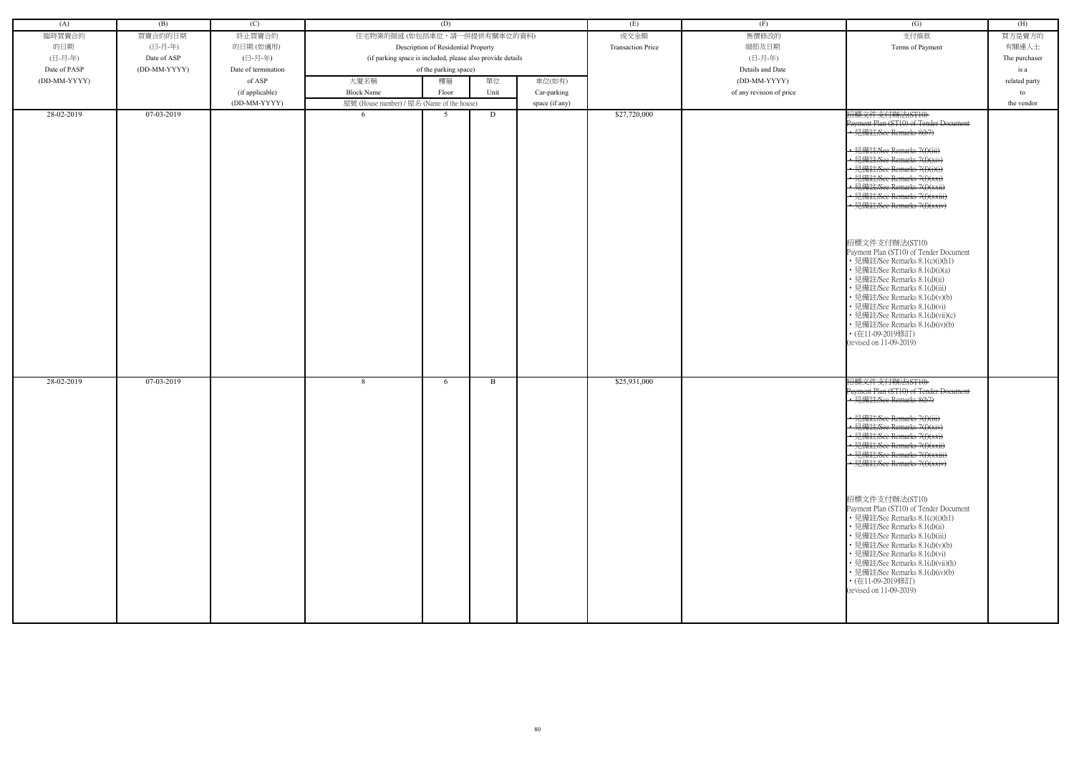| (A)          | (B)          | (C)                 |                                                            | (D)                                 |      |                | (E)                      | (F)                      | (G)                                                                                                                                                                                                                                                                                                                                                                                                                                                                                                                                                                                                                                                                                                         | (H)           |
|--------------|--------------|---------------------|------------------------------------------------------------|-------------------------------------|------|----------------|--------------------------|--------------------------|-------------------------------------------------------------------------------------------------------------------------------------------------------------------------------------------------------------------------------------------------------------------------------------------------------------------------------------------------------------------------------------------------------------------------------------------------------------------------------------------------------------------------------------------------------------------------------------------------------------------------------------------------------------------------------------------------------------|---------------|
| 臨時買賣合約       | 買賣合約的日期      | 終止買賣合約              | 住宅物業的描述 (如包括車位,請一併提供有關車位的資料)                               |                                     |      |                | 成交金額                     | 售價修改的                    | 支付條款                                                                                                                                                                                                                                                                                                                                                                                                                                                                                                                                                                                                                                                                                                        | 買方是賣方的        |
| 的日期          | (日-月-年)      | 的日期(如適用)            |                                                            | Description of Residential Property |      |                | <b>Transaction Price</b> | 細節及日期                    | Terms of Payment                                                                                                                                                                                                                                                                                                                                                                                                                                                                                                                                                                                                                                                                                            | 有關連人士         |
| (日-月-年)      | Date of ASP  | (日-月-年)             | (if parking space is included, please also provide details |                                     |      |                |                          | (日-月-年)                  |                                                                                                                                                                                                                                                                                                                                                                                                                                                                                                                                                                                                                                                                                                             | The purchaser |
| Date of PASP | (DD-MM-YYYY) | Date of termination |                                                            | of the parking space)               |      |                |                          | Details and Date         |                                                                                                                                                                                                                                                                                                                                                                                                                                                                                                                                                                                                                                                                                                             | is a          |
| (DD-MM-YYYY) |              | of ASP              | 大廈名稱                                                       | 樓層                                  | 單位   | 車位(如有)         |                          | (DD-MM-YYYY)             |                                                                                                                                                                                                                                                                                                                                                                                                                                                                                                                                                                                                                                                                                                             | related party |
|              |              | (if applicable)     | <b>Block Name</b>                                          | Floor                               | Unit | Car-parking    |                          | of any revision of price |                                                                                                                                                                                                                                                                                                                                                                                                                                                                                                                                                                                                                                                                                                             | to            |
|              |              | (DD-MM-YYYY)        | 屋號 (House number) / 屋名 (Name of the house)                 |                                     |      | space (if any) |                          |                          |                                                                                                                                                                                                                                                                                                                                                                                                                                                                                                                                                                                                                                                                                                             | the vendor    |
| 28-02-2019   | 07-03-2019   |                     | -6                                                         | .5                                  | D    |                | \$27,720,000             |                          | 招標文件支付辦法(ST10)<br>Payment Plan (ST10) of Tender Document<br>• 見備註/See Remarks 8(b7)<br>· 見備註/See Remarks 7(f)(iii)<br>• 見備註/See Remarks 7(f)(xiv)<br>• 見備註/See Remarks 7(f)(i)(i<br>• 見備註/See Remarks 7(f)(xxi)<br>· 見備註/See Remarks 7(f)(xxii)<br>· 見備註/See Remarks 7(f)(xxiii)<br>• 見備註/See Remarks 7(f)(xxiv)<br>招標文件支付辦法(ST10)<br>Payment Plan (ST10) of Tender Document<br>• 見備註/See Remarks 8.1(c)(i)(h1)<br>• 見備註/See Remarks 8.1(d)(i)(a)<br>• 見備註/See Remarks 8.1(d)(ii)<br>• 見備註/See Remarks 8.1(d)(iii)<br>• 見備註/See Remarks 8.1(d)(v)(b)<br>• 見備註/See Remarks 8.1(d)(vi)<br>• 見備註/See Remarks 8.1(d)(vii)(c)<br>• 見備註/See Remarks 8.1(d)(iv)(b)<br>• (在11-09-2019修訂)<br>(revised on 11-09-2019) |               |
| 28-02-2019   | 07-03-2019   |                     | 8                                                          | 6                                   | B    |                | \$25,931,000             |                          | 招標文件支付辦法(ST10)<br>Payment Plan (ST10) of Tender Document                                                                                                                                                                                                                                                                                                                                                                                                                                                                                                                                                                                                                                                    |               |
|              |              |                     |                                                            |                                     |      |                |                          |                          | · 見備註/See Remarks 8(b7)<br>• 見備註/See Remarks 7(f)(iii)<br>• 見備註/See Remarks 7(f)(xiv)<br>• 見備註/See Remarks $7(f)(xx)$<br>• 見備註/See Remarks 7(f)(xxii)<br>• 見備註/See Remarks 7(f)(xxiii)<br>• 見備註/See Remarks 7(f)(xxiv)<br>招標文件支付辦法(ST10)<br>Payment Plan (ST10) of Tender Document<br>• 見備註/See Remarks 8.1(c)(i)(h1)<br>• 見備註/See Remarks 8.1(d)(ii)<br>• 見備註/See Remarks 8.1(d)(iii)<br>• 見備註/See Remarks 8.1(d)(v)(b)<br>• 見備註/See Remarks 8.1(d)(vi)<br>• 見備註/See Remarks 8.1(d)(vii)(h)<br>• 見備註/See Remarks 8.1(d)(iv)(b)<br>• (在11-09-2019修訂)<br>(revised on 11-09-2019)                                                                                                                             |               |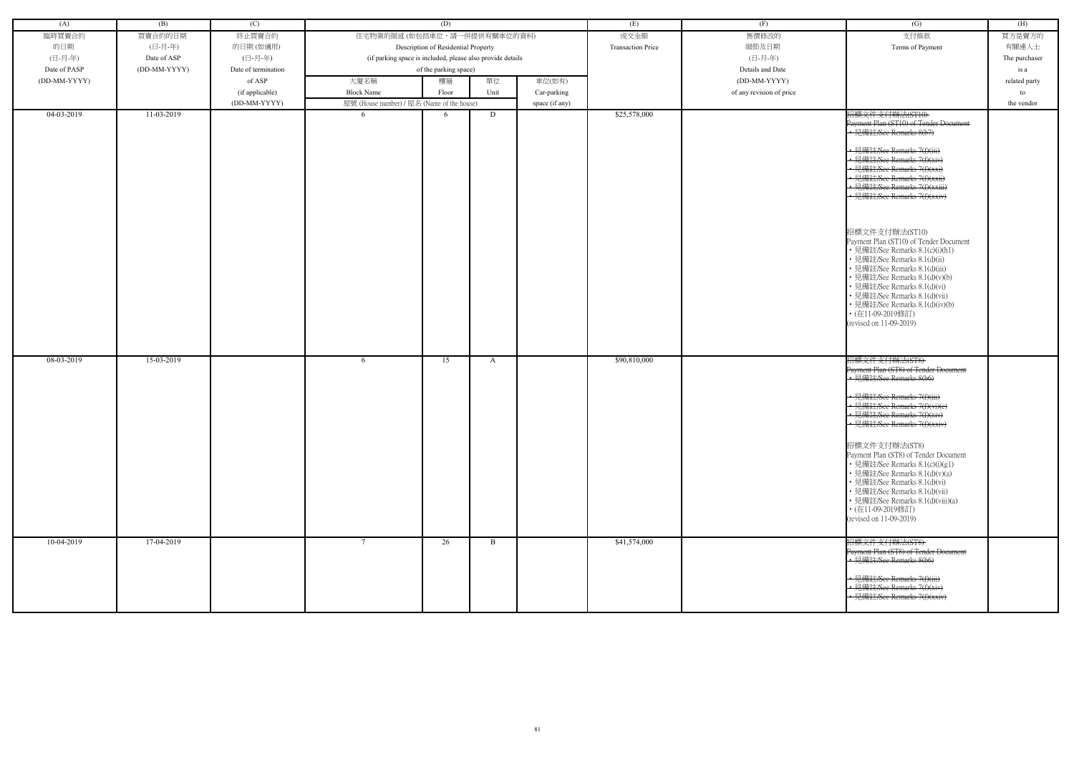| (A)          | (B)          | (C)                 |                                                            | (D)                                 |            |                | (E)                      | (F)                      | (G)                                                                                                                                                                                                                                                                                                                                                                                                                                                               | (H)           |
|--------------|--------------|---------------------|------------------------------------------------------------|-------------------------------------|------------|----------------|--------------------------|--------------------------|-------------------------------------------------------------------------------------------------------------------------------------------------------------------------------------------------------------------------------------------------------------------------------------------------------------------------------------------------------------------------------------------------------------------------------------------------------------------|---------------|
|              | 買賣合約的日期      |                     | 住宅物業的描述 (如包括車位,請一併提供有關車位的資料)                               |                                     |            |                |                          | 售價修改的                    |                                                                                                                                                                                                                                                                                                                                                                                                                                                                   |               |
| 臨時買賣合約       |              | 終止買賣合約              |                                                            |                                     |            |                | 成交金額                     |                          | 支付條款                                                                                                                                                                                                                                                                                                                                                                                                                                                              | 買方是賣方的        |
| 的日期          | (日-月-年)      | 的日期(如適用)            |                                                            | Description of Residential Property |            |                | <b>Transaction Price</b> | 細節及日期                    | Terms of Payment                                                                                                                                                                                                                                                                                                                                                                                                                                                  | 有關連人士         |
| (日-月-年)      | Date of ASP  | (日-月-年)             | (if parking space is included, please also provide details |                                     |            |                |                          | (日-月-年)                  |                                                                                                                                                                                                                                                                                                                                                                                                                                                                   | The purchaser |
| Date of PASP | (DD-MM-YYYY) | Date of termination |                                                            | of the parking space)               |            |                |                          | Details and Date         |                                                                                                                                                                                                                                                                                                                                                                                                                                                                   | is a          |
| (DD-MM-YYYY) |              | of ASP              | 大廈名稱<br><b>Block Name</b>                                  | 樓層                                  | 單位<br>Unit | 車位(如有)         |                          | (DD-MM-YYYY)             |                                                                                                                                                                                                                                                                                                                                                                                                                                                                   | related party |
|              |              | (if applicable)     |                                                            | Floor                               |            | Car-parking    |                          | of any revision of price |                                                                                                                                                                                                                                                                                                                                                                                                                                                                   | to            |
| 04-03-2019   | 11-03-2019   | (DD-MM-YYYY)        | 屋號 (House number) / 屋名 (Name of the house)<br>-6           | 6                                   | D          | space (if any) | \$25,578,000             |                          | 招標文件支付辦法(ST10)                                                                                                                                                                                                                                                                                                                                                                                                                                                    | the vendor    |
|              |              |                     |                                                            |                                     |            |                |                          |                          | Payment Plan (ST10) of Tender Document<br>• 見備註/See Remarks 8(b7)<br>• 見備註/See Remarks 7(f)(iii)<br>• 見備註/See Remarks 7(f)(xiv)<br>· 見備註/See Remarks 7(f)(xxi)<br>• 見備註/See Remarks 7(f)(xxii)<br>• 見備註/See Remarks 7(f)(xxiii)<br>· 見備註/See Remarks 7(f)(xxiv)<br>招標文件支付辦法(ST10)<br>Payment Plan (ST10) of Tender Document<br>• 見備註/See Remarks 8.1(c)(i)(h1)<br>• 見備註/See Remarks 8.1(d)(ii)<br>• 見備註/See Remarks 8.1(d)(iii)<br>· 見備註/See Remarks 8.1(d)(v)(b) |               |
| 08-03-2019   | 15-03-2019   |                     | -6                                                         | 15                                  | A          |                | \$90,810,000             |                          | • 見備註/See Remarks 8.1(d)(vi)<br>· 見備註/See Remarks 8.1(d)(vii)<br>• 見備註/See Remarks 8.1(d)(iv)(b)<br>• (在11-09-2019修訂)<br>(revised on 11-09-2019)<br>招標文件支付辦法(ST8)                                                                                                                                                                                                                                                                                                 |               |
|              |              |                     |                                                            |                                     |            |                |                          |                          | Payment Plan (ST8) of Tender Document<br>• 見備註/See Remarks 8(b6)<br>• 見備註/See Remarks 7(f)(iii)<br>• 見備註/See Remarks 7(f)(vi)(e)<br>• 見備註/See Remarks 7(f)(xiv)<br>• 見備註/See Remarks 7(f)(xxiv)                                                                                                                                                                                                                                                                   |               |
|              |              |                     |                                                            |                                     |            |                |                          |                          | 招標文件支付辦法(ST8)<br>Payment Plan (ST8) of Tender Document<br>• 見備註/See Remarks 8.1(c)(i)(g1)<br>• 見備註/See Remarks 8.1(d)(v)(a)<br>• 見備註/See Remarks 8.1(d)(vi)<br>• 見備註/See Remarks 8.1(d)(vii)<br>• 見備註/See Remarks 8.1(d)(viii)(a)<br>• (在11-09-2019修訂)<br>(revised on 11-09-2019)                                                                                                                                                                                 |               |
| 10-04-2019   | 17-04-2019   |                     |                                                            | 26                                  | B          |                | \$41,574,000             |                          | 招標文件支付辦法(ST8)<br>Payment Plan (ST8) of Tender Document<br>• 見備註/See Remarks 8(b6)<br>• 見備註/See Remarks 7(f)(iii)<br>• 見備註/See Remarks 7(f)(xiv)<br>見備註/See Remarks 7(f)(xxiv)                                                                                                                                                                                                                                                                                     |               |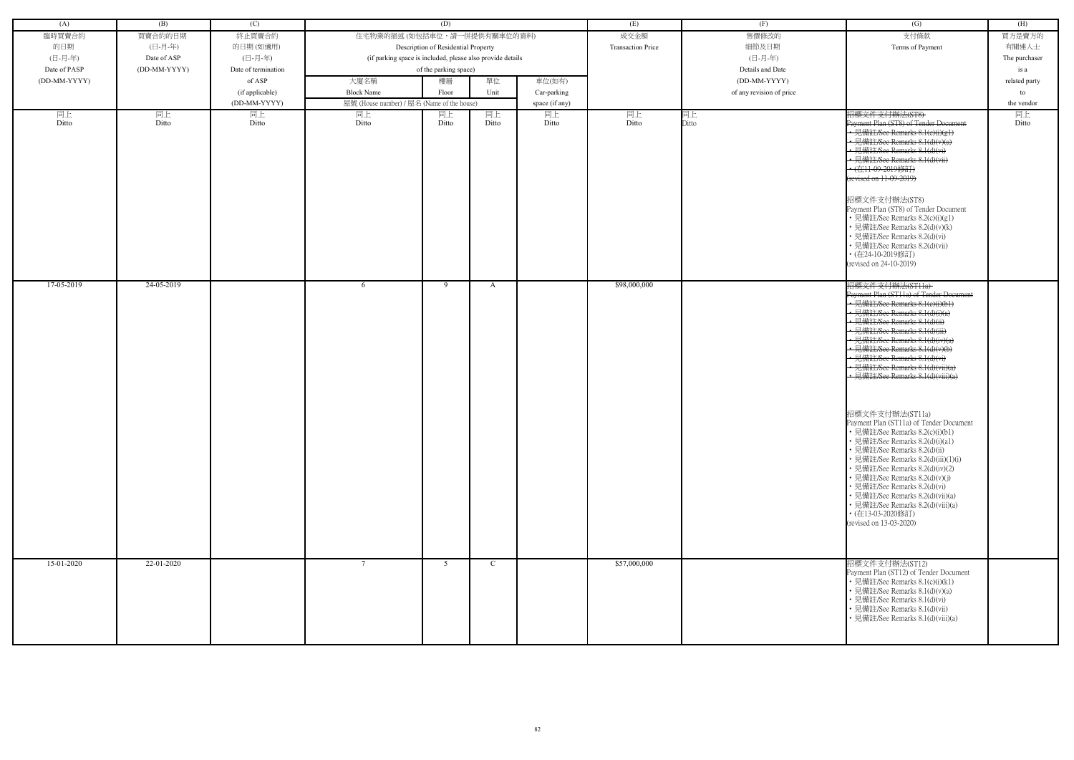| (A)          | (B)          | (C)                 |                                                            | (D)                                 |               |                | (E)                      | (F)                      | (G)                                                               | (H)           |
|--------------|--------------|---------------------|------------------------------------------------------------|-------------------------------------|---------------|----------------|--------------------------|--------------------------|-------------------------------------------------------------------|---------------|
| 臨時買賣合約       | 買賣合約的日期      | 終止買賣合約              | 住宅物業的描述 (如包括車位,請一併提供有關車位的資料)                               |                                     |               |                | 成交金額                     | 售價修改的                    | 支付條款                                                              | 買方是賣方的        |
| 的日期          | (日-月-年)      | 的日期(如適用)            |                                                            | Description of Residential Property |               |                | <b>Transaction Price</b> | 細節及日期                    | Terms of Payment                                                  | 有關連人士         |
| (日-月-年)      | Date of ASP  | (日-月-年)             | (if parking space is included, please also provide details |                                     |               |                |                          | (日-月-年)                  |                                                                   | The purchaser |
| Date of PASP | (DD-MM-YYYY) | Date of termination |                                                            | of the parking space)               |               |                |                          | Details and Date         |                                                                   | is a          |
| (DD-MM-YYYY) |              | of ASP              | 大廈名稱                                                       | 樓層                                  | 單位            | 車位(如有)         |                          | (DD-MM-YYYY)             |                                                                   | related party |
|              |              | (if applicable)     | <b>Block Name</b>                                          | Floor                               | Unit          | Car-parking    |                          | of any revision of price |                                                                   | to            |
|              |              | (DD-MM-YYYY)        | 屋號 (House number) / 屋名 (Name of the house)                 |                                     |               | space (if any) |                          |                          |                                                                   | the vendor    |
| 同上           | 同上           | 同上                  | 同上                                                         | 同上                                  | 同上            | 同上             | 同上                       | 同上                       | 招標文件支付辦法(ST8)                                                     | 同上            |
| Ditto        | Ditto        | Ditto               | Ditto                                                      | Ditto                               | Ditto         | Ditto          | Ditto                    | Ditto                    | Payment Plan (ST8) of Tender Document                             | Ditto         |
|              |              |                     |                                                            |                                     |               |                |                          |                          | • 見備註/See Remarks 8.1(e)(i)(g1)<br>• 見備註/See Remarks 8.1(d)(v)(a) |               |
|              |              |                     |                                                            |                                     |               |                |                          |                          | • 見備註/See Remarks 8.1(d)(vi)                                      |               |
|              |              |                     |                                                            |                                     |               |                |                          |                          | • 見備註/See Remarks 8.1(d)(vii)                                     |               |
|              |              |                     |                                                            |                                     |               |                |                          |                          | • (在11-09-2019修訂)                                                 |               |
|              |              |                     |                                                            |                                     |               |                |                          |                          | (revised on 11-09-2019)                                           |               |
|              |              |                     |                                                            |                                     |               |                |                          |                          | 招標文件支付辦法(ST8)                                                     |               |
|              |              |                     |                                                            |                                     |               |                |                          |                          | Payment Plan (ST8) of Tender Document                             |               |
|              |              |                     |                                                            |                                     |               |                |                          |                          | · 見備註/See Remarks 8.2(c)(i)(g1)                                   |               |
|              |              |                     |                                                            |                                     |               |                |                          |                          | • 見備註/See Remarks 8.2(d)(v)(k)                                    |               |
|              |              |                     |                                                            |                                     |               |                |                          |                          | 見備註/See Remarks 8.2(d)(vi)<br>見備註/See Remarks 8.2(d)(vii)         |               |
|              |              |                     |                                                            |                                     |               |                |                          |                          | • (在24-10-2019修訂)                                                 |               |
|              |              |                     |                                                            |                                     |               |                |                          |                          | (revised on 24-10-2019)                                           |               |
| 17-05-2019   | 24-05-2019   |                     |                                                            | - 9                                 |               |                | \$98,000,000             |                          |                                                                   |               |
|              |              |                     | -6                                                         |                                     | A             |                |                          |                          | 招標文件支付辦法(ST11a)<br>Payment Plan (ST11a) of Tender Document        |               |
|              |              |                     |                                                            |                                     |               |                |                          |                          | • 見備註/See Remarks 8.1(c)(i)(b1)                                   |               |
|              |              |                     |                                                            |                                     |               |                |                          |                          | 見備註/See Remarks 8.1(d)(i)(a)<br>• 見備註/See Remarks 8.1(d)(ii)      |               |
|              |              |                     |                                                            |                                     |               |                |                          |                          | • 見備註/See Remarks 8.1(d)(iii)                                     |               |
|              |              |                     |                                                            |                                     |               |                |                          |                          | • 見備註/See Remarks 8.1(d)(iv)(a)                                   |               |
|              |              |                     |                                                            |                                     |               |                |                          |                          | · 見備註/See Remarks 8.1(d)(v)(b)                                    |               |
|              |              |                     |                                                            |                                     |               |                |                          |                          | · 見備註/See Remarks 8.1(d)(vi)<br>• 見備註/See Remarks 8.1(d)(vii)(a)  |               |
|              |              |                     |                                                            |                                     |               |                |                          |                          | • 見備註/See Remarks 8.1(d)(viii)(a)                                 |               |
|              |              |                     |                                                            |                                     |               |                |                          |                          |                                                                   |               |
|              |              |                     |                                                            |                                     |               |                |                          |                          |                                                                   |               |
|              |              |                     |                                                            |                                     |               |                |                          |                          | 招標文件支付辦法(ST11a)                                                   |               |
|              |              |                     |                                                            |                                     |               |                |                          |                          | Payment Plan (ST11a) of Tender Document                           |               |
|              |              |                     |                                                            |                                     |               |                |                          |                          | • 見備註/See Remarks 8.2(c)(i)(b1)                                   |               |
|              |              |                     |                                                            |                                     |               |                |                          |                          | • 見備註/See Remarks 8.2(d)(i)(a1)<br>• 見備註/See Remarks 8.2(d)(ii)   |               |
|              |              |                     |                                                            |                                     |               |                |                          |                          | • 見備註/See Remarks 8.2(d)(iii)(1)(i)                               |               |
|              |              |                     |                                                            |                                     |               |                |                          |                          | · 見備註/See Remarks 8.2(d)(iv)(2)                                   |               |
|              |              |                     |                                                            |                                     |               |                |                          |                          | 見備註/See Remarks 8.2(d)(v)(j)                                      |               |
|              |              |                     |                                                            |                                     |               |                |                          |                          | • 見備註/See Remarks 8.2(d)(vi)<br>· 見備註/See Remarks 8.2(d)(vii)(a)  |               |
|              |              |                     |                                                            |                                     |               |                |                          |                          | • 見備註/See Remarks 8.2(d)(viii)(a)                                 |               |
|              |              |                     |                                                            |                                     |               |                |                          |                          | • (在13-03-2020修訂)                                                 |               |
|              |              |                     |                                                            |                                     |               |                |                          |                          | (revised on 13-03-2020)                                           |               |
|              |              |                     |                                                            |                                     |               |                |                          |                          |                                                                   |               |
|              |              |                     |                                                            |                                     |               |                |                          |                          |                                                                   |               |
| 15-01-2020   | 22-01-2020   |                     | $7\phantom{.0}$                                            | 5 <sup>5</sup>                      | $\mathcal{C}$ |                | \$57,000,000             |                          | 招標文件支付辦法(ST12)<br>Payment Plan (ST12) of Tender Document          |               |
|              |              |                     |                                                            |                                     |               |                |                          |                          | • 見備註/See Remarks 8.1(c)(i)(k1)                                   |               |
|              |              |                     |                                                            |                                     |               |                |                          |                          | • 見備註/See Remarks 8.1(d)(v)(a)                                    |               |
|              |              |                     |                                                            |                                     |               |                |                          |                          | • 見備註/See Remarks 8.1(d)(vi)                                      |               |
|              |              |                     |                                                            |                                     |               |                |                          |                          | • 見備註/See Remarks 8.1(d)(vii)<br>見備註/See Remarks 8.1(d)(viii)(a)  |               |
|              |              |                     |                                                            |                                     |               |                |                          |                          |                                                                   |               |
|              |              |                     |                                                            |                                     |               |                |                          |                          |                                                                   |               |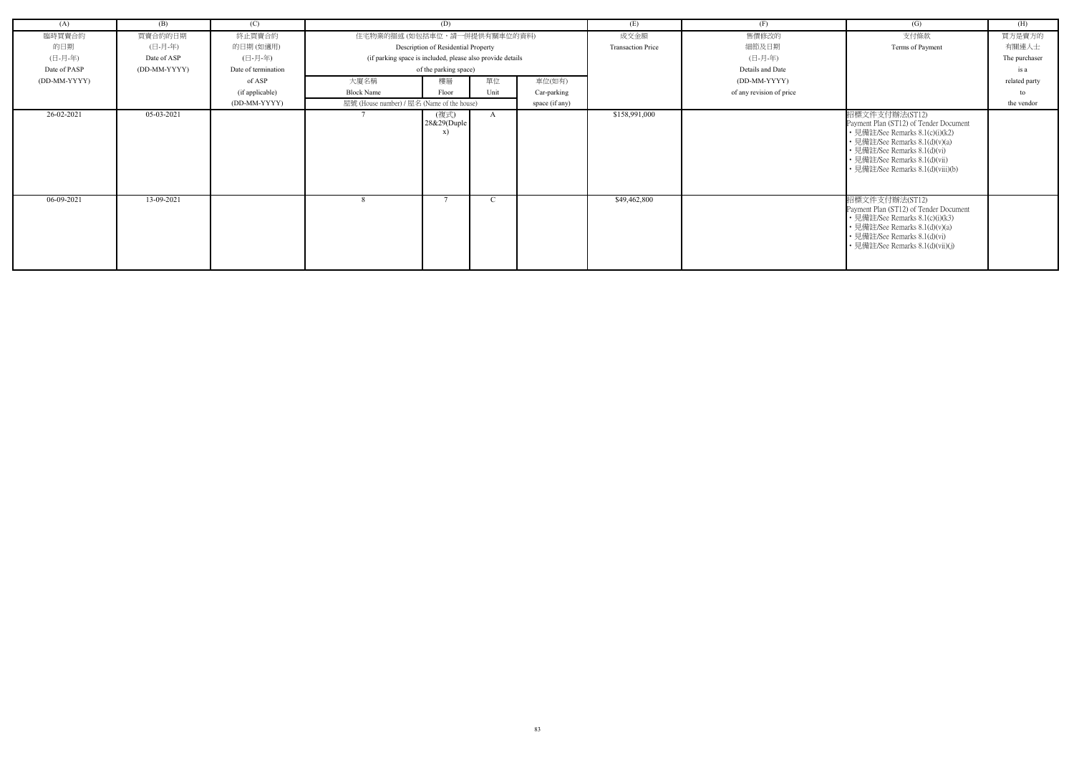| (A)          | (B)          | (C)                 |                                            | (D)                                                        |            |                | (E)                      | (F)                      | (G)                                                                                                                                                                                                                                 | (H)                     |
|--------------|--------------|---------------------|--------------------------------------------|------------------------------------------------------------|------------|----------------|--------------------------|--------------------------|-------------------------------------------------------------------------------------------------------------------------------------------------------------------------------------------------------------------------------------|-------------------------|
| 臨時買賣合約       | 買賣合約的日期      | 終止買賣合約              | 住宅物業的描述 (如包括車位,請一併提供有關車位的資料)               |                                                            |            |                | 成交金額                     | 售價修改的                    | 支付條款                                                                                                                                                                                                                                | 買方是賣方的                  |
| 的日期          | (日-月-年)      | 的日期(如適用)            |                                            | Description of Residential Property                        |            |                | <b>Transaction Price</b> | 細節及日期                    | Terms of Payment                                                                                                                                                                                                                    | 有關連人士                   |
| (日-月-年)      | Date of ASP  | (日-月-年)             |                                            | (if parking space is included, please also provide details |            |                |                          | (日-月-年)                  |                                                                                                                                                                                                                                     | The purchaser           |
| Date of PASP | (DD-MM-YYYY) | Date of termination |                                            | of the parking space)                                      |            |                |                          | Details and Date         |                                                                                                                                                                                                                                     | is a                    |
| (DD-MM-YYYY) |              | of ASP              | 大廈名稱                                       | 樓層                                                         | 單位         | 車位(如有)         |                          | (DD-MM-YYYY)             |                                                                                                                                                                                                                                     | related party           |
|              |              | (if applicable)     | <b>Block Name</b>                          | Floor                                                      | Unit       | Car-parking    |                          | of any revision of price |                                                                                                                                                                                                                                     | $\mathsf{f} \mathsf{O}$ |
|              |              | (DD-MM-YYYY)        | 屋號 (House number) / 屋名 (Name of the house) |                                                            |            | space (if any) |                          |                          |                                                                                                                                                                                                                                     | the vendor              |
| 26-02-2021   | 05-03-2021   |                     |                                            | (複式)<br>28&29(Duple<br>X)                                  | A          |                | \$158,991,000            |                          | 招標文件支付辦法(ST12)<br>Payment Plan (ST12) of Tender Document<br>• 見備註/See Remarks 8.1(c)(i)(k2)<br>• 見備註/See Remarks 8.1(d)(v)(a)<br>• 見備註/See Remarks 8.1(d)(vi)<br>• 見備註/See Remarks 8.1(d)(vii)<br>• 見備註/See Remarks 8.1(d)(viii)(b) |                         |
| 06-09-2021   | 13-09-2021   |                     | 8                                          | -                                                          | $\sqrt{ }$ |                | \$49,462,800             |                          | 招標文件支付辦法(ST12)<br>Payment Plan (ST12) of Tender Document<br>• 見備註/See Remarks 8.1(c)(i)(k3)<br>• 見備註/See Remarks 8.1(d)(v)(a)<br>• 見備註/See Remarks 8.1(d)(vi)<br>• 見備註/See Remarks 8.1(d)(vii)(j)                                   |                         |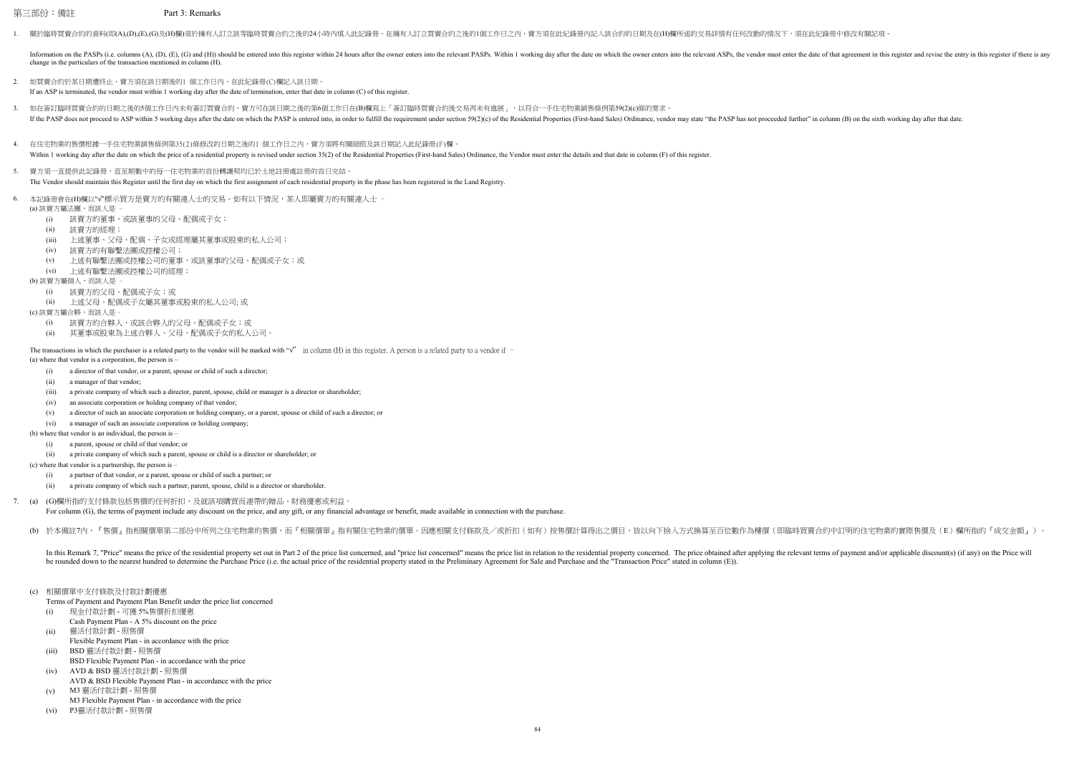第三部份:備註 Part 3: Remarks

1. 關於臨時買賣合約的資料(即(A),(D),(E),(G)及(H)欄)須於擁有人訂立該等臨時買賣合約之後的24小時內填入此記錄冊。在擁有人訂立買賣合約之後的1個工作日之內,賣方須在此紀錄冊內記入該合約的日期及在(H)欄所述的交易詳情有任何改動的情況下,須在此紀錄冊中修改有關記項。

- (i) a director of that vendor, or a parent, spouse or child of such a director;
- (iii) a private company of which such a director, parent, spouse, child or manager is a director or shareholder;
- (iv) an associate corporation or holding company of that vendor;
- (v) a director of such an associate corporation or holding company, or a parent, spouse or child of such a director; or
- 
- (b) where that vendor is an individual, the person is
	- (i) a parent, spouse or child of that vendor; or
	- (ii) a private company of which such a parent, spouse or child is a director or shareholder; or
- (c) where that vendor is a partnership, the person is
	- (i) a partner of that vendor, or a parent, spouse or child of such a partner; or
	- (ii) a private company of which such a partner, parent, spouse, child is a director or shareholder.
- 7. (a) (G)欄所指的支付條款包括售價的任何折扣,及就該項購買而連帶的贈品、財務優惠或利益。 For column (G), the terms of payment include any discount on the price, and any gift, or any financial advantage or benefit, made available in connection with the purchase.
	- (b) 於本備註7內,『售價』指相關價單第二部份中所列之住宅物業的售價,而『相關價單』指有關住宅物業的價單。因應相關支付條款及/或折扣(如有)按售價計算得出之價目,皆以向下捨入方式換算至百位數作為樓價(即臨時買賣合約中訂明的住宅物業的實際售價及(E)欄所指的『成交金額』)。

In this Remark 7, "Price" means the price of the residential property set out in Part 2 of the price list concerned, and "price list concerned" means the price list in relation to the residential property concerned. The pr be rounded down to the nearest hundred to determine the Purchase Price (i.e. the actual price of the residential property stated in the Preliminary Agreement for Sale and Purchase and the "Transaction Price" stated in colu

- (i) 該賣方的董事,或該董事的父母、配偶或子女;
- (ii) 該賣方的經理;
- (iii) 上述董事、父母、配偶、子女或經理屬其董事或股東的私人公司;
- (iv) 該賣方的有聯繫法團或控權公司;
- (v) 上述有聯繫法團或控權公司的董事,或該董事的父母、配偶或子女;或
- (vi) 上述有聯繫法團或控權公司的經理;
- (b) 該賣方屬個人,而該人是
	- (i) 該賣方的父母、配偶或子女;或
- (ii) 上述父母、配偶或子女屬其董事或股東的私人公司; 或
- (c) 該賣方屬合夥,而該人是–
	- (i) 該賣方的合夥人,或該合夥人的父母、配偶或子女;或
	- (ii) 其董事或股東為上述合夥人、父母、配偶或子女的私人公司。

The transactions in which the purchaser is a related party to the vendor will be marked with " $\sqrt{ }$ " in column (H) in this register. A person is a related party to a vendor if –

#### (a) where that vendor is a corporation, the person is  $-$

- (ii) a manager of that vendor;
	-
	-
	- (vi) a manager of such an associate corporation or holding company;

Information on the PASPs (i.e. columns (A), (D), (E), (G) and (H)) should be entered into this register within 24 hours after the owner enters into the relevant PASPs. Within 1 working day after the date on which the owner change in the particulars of the transaction mentioned in column (H).

- $2^{\circ}$ If an ASP is terminated, the vendor must within 1 working day after the date of termination, enter that date in column (C) of this register. 如買賣合約於某日期遭終止,賣方須在該日期後的1 個工作日內,在此紀錄冊(C)欄記入該日期。
- 3. 如在簽訂臨時買賣合約的日期之後的5個工作日內未有簽訂買賣合約,賣方可在該日期之後的第6個工作日在(B)欄寫上「簽訂臨時買賣合約後交易再未有進展 」,以符合一手住宅物業銷售條例第59(2)(c)條的要求。 If the PASP does not proceed to ASP within 5 working days after the date on which the PASP is entered into, in order to fulfill the requirement under section 59(2)(c) of the Residential Properties (First-hand Sales) Ordina
- 4. 在住宅物業的售價根據一手住宅物業銷售條例第35(2)條修改的日期之後的1 個工作日之內,賣方須將有關細節及該日期記入此紀錄冊(F)欄。 Within 1 working day after the date on which the price of a residential property is revised under section 35(2) of the Residential Properties (First-hand Sales) Ordinance, the Vendor must enter the details and that date in
- 5. 賣方須一直提供此記錄冊,直至期數中的每一住宅物業的首份轉讓契均已於土地註冊處註冊的首日完結。 The Vendor should maintain this Register until the first day on which the first assignment of each residential property in the phase has been registered in the Land Registry.
- 6. 本記錄冊會在(H)欄以"√"標示買方是賣方的有關連人士的交易。如有以下情況,某人即屬賣方的有關連人士 −

- (c) 相關價單中支付條款及付款計劃優惠
	- Terms of Payment and Payment Plan Benefit under the price list concerned
	- (i) 現金付款計劃 - 可獲 5%售價折扣優惠
	- Cash Payment Plan A 5% discount on the price
	- (ii) 靈活付款計劃 照售價
	- Flexible Payment Plan in accordance with the price (iii) BSD 靈活付款計劃 - 照售價
	- BSD Flexible Payment Plan in accordance with the price
	- (iv) AVD & BSD 靈活付款計劃 照售價
	- AVD & BSD Flexible Payment Plan in accordance with the price
	- $(v)$ M3 靈活付款計劃 - 照售價
	- M3 Flexible Payment Plan in accordance with the price
	- (vi) P3靈活付款計劃 照售價

(a) 該賣方屬法團,而該人是 –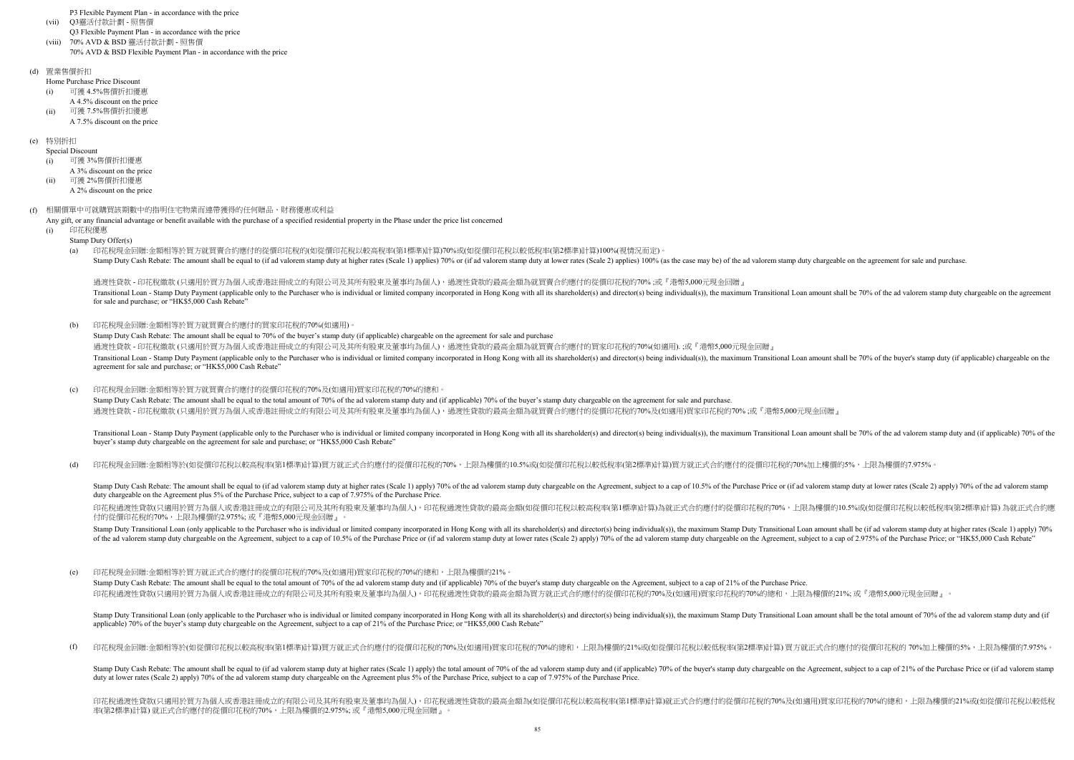P3 Flexible Payment Plan - in accordance with the price

- (vii) Q3靈活付款計劃 - 照售價
	- Q3 Flexible Payment Plan in accordance with the price
- (viii) 70% AVD & BSD Flexible Payment Plan - in accordance with the price 70% AVD & BSD 靈活付款計劃 - 照售價
- (d) 置業售價折扣

Home Purchase Price Discount

- (i) 可獲 4.5%售價折扣優惠
- A 4.5% discount on the price (ii) 可獲 7.5%售價折扣優惠
- A 7.5% discount on the price

### (e) 特別折扣

Special Discount

# (f) 相關價單中可就購買該期數中的指明住宅物業而連帶獲得的任何贈品、財務優惠或利益

Any gift, or any financial advantage or benefit available with the purchase of a specified residential property in the Phase under the price list concerned

(d) 印花稅現金回贈:金額相等於(如從價印花稅以較高稅率(第1標準)計算)買方就正式合約應付的從價印花稅的70%,上限為樓價的10.5%或(如從價印花稅以較低稅率(第2標準)計算)買方就正式合約應付的從價印花稅的70%加上樓價的5%,上限為樓價的7.975%。

- (i) 可獲 3%售價折扣優惠
- A 3% discount on the price (ii)
	- A 2% discount on the price 可獲 2%售價折扣優惠
	-

 $(h)$ 印花稅現金回贈:金額相等於買方就買賣合約應付的買家印花稅的70%(如適用)。

- (i) 印花稅優惠
	- Stamp Duty Offer(s)
	- $(a)$ Stamp Duty Cash Rebate: The amount shall be equal to (if ad valorem stamp duty at higher rates (Scale 1) applies) 70% or (if ad valorem stamp duty at lower rates (Scale 2) applies) 100% (as the case may be) of the ad valor 印花稅現金回贈:金額相等於買方就買賣合約應付的從價印花稅的(如從價印花稅以較高稅率(第1標準)計算)70%或(如從價印花稅以較低稅率(第2標準)計算)100%(視情況而定)。

Transitional Loan - Stamp Duty Payment (applicable only to the Purchaser who is individual or limited company incorporated in Hong Kong with all its shareholder(s) and director(s) being individual(s)), the maximum Transiti buyer's stamp duty chargeable on the agreement for sale and purchase; or "HK\$5,000 Cash Rebate"

Stamp Duty Cash Rebate: The amount shall be equal to 70% of the buyer's stamp duty (if applicable) chargeable on the agreement for sale and purchase 過渡性貸款 - 印花稅繳款 (只適用於買方為個人或香港註冊成立的有限公司及其所有股東及董事均為個人),過渡性貸款的最高金額為就買賣合約應付的買家印花稅的70%(如適用). ;或『港幣5,000元現金回贈』 Transitional Loan - Stamp Duty Payment (applicable only to the Purchaser who is individual or limited company incorporated in Hong Kong with all its shareholder(s) and director(s) being individual(s)), the maximum Transiti agreement for sale and purchase; or "HK\$5,000 Cash Rebate"

 $(c)$ Stamp Duty Cash Rebate: The amount shall be equal to the total amount of 70% of the ad valorem stamp duty and (if applicable) 70% of the buyer's stamp duty chargeable on the agreement for sale and purchase. 印花稅現金回贈:金額相等於買方就買賣合約應付的從價印花稅的70%及(如適用)買家印花稅的70%的總和。 過渡性貸款 - 印花稅繳款 (只適用於買方為個人或香港註冊成立的有限公司及其所有股東及董事均為個人),過渡性貸款的最高金額為就買賣合約應付的從價印花稅的70%及(如適用)買家印花稅的70% ;或『港幣5,000元現金回贈』

Stamp Duty Cash Rebate: The amount shall be equal to (if ad valorem stamp duty at higher rates (Scale 1) apply) 70% of the ad valorem stamp duty chargeable on the Agreement, subject to a cap of 10.5% of the Purchase Price duty chargeable on the Agreement plus 5% of the Purchase Price, subject to a cap of 7.975% of the Purchase Price.

過渡性貸款 - 印花稅繳款 (只適用於買方為個人或香港註冊成立的有限公司及其所有股東及董事均為個人),過渡性貸款的最高金額為就買賣合約應付的從價印花稅的70% ;或『港幣5,000元現金回贈』 Transitional Loan - Stamp Duty Payment (applicable only to the Purchaser who is individual or limited company incorporated in Hong Kong with all its shareholder(s) and director(s) being individual(s)), the maximum Transiti for sale and purchase; or "HK\$5,000 Cash Rebate"

印花稅過渡性貸款(只適用於買方為個人或香港註冊成立的有限公司及其所有股東及董事均為個人),印花稅過渡性貸款的最高金額(如從價印花稅以較高稅率(第1標準)計算)為就正式合約應付的從價印花稅的70%,上限為樓價的10.5%或(如從價印花稅以較低稅率(第2標準)計算) 為就正式合約應 付的從價印花稅的70%,上限為樓價的2.975%; 或『港幣5,000元現金回贈』。

Stamp Duty Transitional Loan (only applicable to the Purchaser who is individual or limited company incorporated in Hong Kong with all its shareholder(s) and director(s) being individual(s)), the maximum Stamp Duty Transit of the ad valorem stamp duty chargeable on the Agreement, subject to a cap of 10.5% of the Purchase Price or (if ad valorem stamp duty at lower rates (Scale 2) apply) 70% of the ad valorem stamp duty chargeable on the Agre

Stamp Duty Transitional Loan (only applicable to the Purchaser who is individual or limited company incorporated in Hong Kong with all its shareholder(s) and director(s) being individual(s)), the maximum Stamp Duty Transit applicable) 70% of the buyer's stamp duty chargeable on the Agreement, subject to a cap of 21% of the Purchase Price; or "HK\$5,000 Cash Rebate"

 $(f)$ 印花稅現金回贈:金額相等於(如從價印花稅以較高稅率(第1標準)計算)買方就正式合約應付的從價印花稅的70%及(如適用)買家印花稅的70%的總和,上限為樓價的21%或(如從價印花稅以較低稅率(第2標準)計算) 買方就正式合約應付的從價印花稅的 70%加上樓價的5%,上限為樓價的7.975%。

Stamp Duty Cash Rebate: The amount shall be equal to (if ad valorem stamp duty at higher rates (Scale 1) apply) the total amount of 70% of the ad valorem stamp duty and (if applicable) 70% of the buyer's stamp duty chargea duty at lower rates (Scale 2) apply) 70% of the ad valorem stamp duty chargeable on the Agreement plus 5% of the Purchase Price, subject to a cap of 7.975% of the Purchase Price.

印花稅過渡性貸款(只適用於買方為個人或香港註冊成立的有限公司及其所有股東及董事均為個人),印花稅過渡性貸款的最高金額為(如從價印花稅以較高稅率(第1標準)計算)就正式合約應付的從價印花稅的70%及(如適用)買家印花稅的70%的總和,上限為樓價的21%或(如從價印花稅以較低稅 率(第2標準)計算) 就正式合約應付的從價印花稅的70%,上限為樓價的2.975%; 或『港幣5,000元現金回贈』。

(e) 印花稅現金回贈:金額相等於買方就正式合約應付的從價印花稅的70%及(如適用)買家印花稅的70%的總和,上限為樓價的21%。

Stamp Duty Cash Rebate: The amount shall be equal to the total amount of 70% of the ad valorem stamp duty and (if applicable) 70% of the buyer's stamp duty chargeable on the Agreement, subject to a cap of 21% of the Purcha 印花稅過渡性貸款(只適用於買方為個人或香港註冊成立的有限公司及其所有股東及董事均為個人),印花稅過渡性貸款的最高金額為買方就正式合約應付的從價印花稅的70%及(如適用)買家印花稅的70%的總和,上限為樓價的21%; 或『港幣5,000元現金回贈』。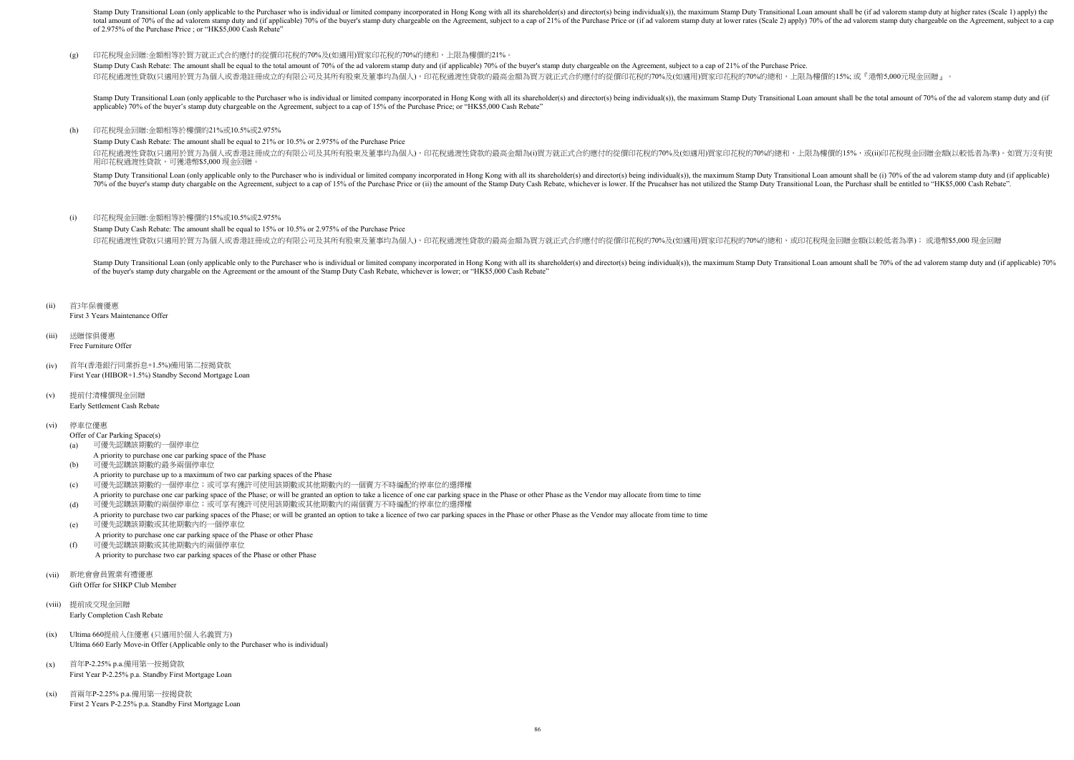Stamp Duty Cash Rebate: The amount shall be equal to 15% or 10.5% or 2.975% of the Purchase Price 印花稅過渡性貸款(只適用於買方為個人或香港註冊成立的有限公司及其所有股東及董事均為個人),印花稅過渡性貸款的最高金額為買方就正式合約應付的從價印花稅的70%及(如適用)買家印花稅的70%的總和,或印花稅現金回贈金額(以較低者為準); 或港幣\$5,000 現金回贈

Stamp Duty Cash Rebate: The amount shall be equal to 21% or 10.5% or 2.975% of the Purchase Price

First 3 Years Maintenance Offer

#### (iii) 送贈傢俱優惠 Free Furniture Offer

- (iv) 首年(香港銀行同業拆息+1.5%)備用第二按揭貸款
- First Year (HIBOR+1.5%) Standby Second Mortgage Loan
- (v) 提前付清樓價現金回贈 Early Settlement Cash Rebate

### (vi) 停車位優惠

Offer of Car Parking Space(s)

### (a) 可優先認購該期數的一個停車位

Stamp Duty Transitional Loan (only applicable to the Purchaser who is individual or limited company incorporated in Hong Kong with all its shareholder(s) and director(s) being individual(s)), the maximum Stamp Duty Transit total amount of 70% of the ad valorem stamp duty and (if applicable) 70% of the buyer's stamp duty chargeable on the Agreement, subject to a cap of 21% of the Purchase Price or (if ad valorem stamp duty at lower rates (Sca of 2.975% of the Purchase Price ; or "HK\$5,000 Cash Rebate"

#### (g) 印花稅現金回贈:金額相等於買方就正式合約應付的從價印花稅的70%及(如適用)買家印花稅的70%的總和,上限為樓價的21%。

Stamp Duty Cash Rebate: The amount shall be equal to the total amount of 70% of the ad valorem stamp duty and (if applicable) 70% of the buyer's stamp duty chargeable on the Agreement, subject to a cap of 21% of the Purcha 印花稅過渡性貸款(只適用於買方為個人或香港註冊成立的有限公司及其所有股東及董事均為個人),印花稅過渡性貸款的最高金額為買方就正式合約應付的從價印花稅的70%及(如適用)買家印花稅的70%的總和,上限為樓價的15%; 或『港幣5,000元現金回贈』。

Stamp Duty Transitional Loan (only applicable to the Purchaser who is individual or limited company incorporated in Hong Kong with all its shareholder(s) and director(s) being individual(s)), the maximum Stamp Duty Transit applicable) 70% of the buyer's stamp duty chargeable on the Agreement, subject to a cap of 15% of the Purchase Price; or "HK\$5,000 Cash Rebate"

印花稅過渡性貸款(只適用於買方為個人或香港註冊成立的有限公司及其所有股東及董事均為個人),印花稅過渡性貸款的最高金額為(i)買方就正式合約應付的從價印花稅的70%及(如適用)買家印花稅的70%的總和,上限為樓價的15%,或(ii)印花稅現金回贈金額(以較低者為準)。如買方沒有使 用印花稅過渡性貸款,可獲港幣\$5,000 現金回贈。

Stamp Duty Transitional Loan (only applicable only to the Purchaser who is individual or limited company incorporated in Hong Kong with all its shareholder(s) and director(s) being individual(s)), the maximum Stamp Duty Tr 70% of the buyer's stamp duty chargable on the Agreement, subject to a cap of 15% of the Purchase Price or (ii) the amount of the Stamp Duty Cash Rebate, whichever is lower. If the Prucahser has not utilized the Stamp Duty

#### (h) 印花稅現金回贈:金額相等於樓價的21%或10.5%或2.975%

#### (i) 印花稅現金回贈:金額相等於樓價的15%或10.5%或2.975%

Stamp Duty Transitional Loan (only applicable only to the Purchaser who is individual or limited company incorporated in Hong Kong with all its shareholder(s) and director(s) being individual(s)), the maximum Stamp Duty Tr of the buyer's stamp duty chargable on the Agreement or the amount of the Stamp Duty Cash Rebate, whichever is lower; or "HK\$5,000 Cash Rebate"

#### (ii) 首3年保養優惠

- A priority to purchase one car parking space of the Phase
- (b) 可優先認購該期數的最多兩個停車位
- A priority to purchase up to a maximum of two car parking spaces of the Phase
- (c) 可優先認購該期數的一個停車位;或可享有獲許可使用該期數或其他期數內的一個賣方不時編配的停車位的選擇權
- A priority to purchase one car parking space of the Phase; or will be granted an option to take a licence of one car parking space in the Phase or other Phase as the Vendor may allocate from time to time (d) 可優先認購該期數的兩個停車位;或可享有獲許可使用該期數或其他期數內的兩個賣方不時編配的停車位的選擇權
- A priority to purchase two car parking spaces of the Phase; or will be granted an option to take a licence of two car parking spaces in the Phase or other Phase as the Vendor may allocate from time to time (e) 可優先認購該期數或其他期數內的一個停車位
- A priority to purchase one car parking space of the Phase or other Phase
- (f) 可優先認購該期數或其他期數內的兩個停車位 A priority to purchase two car parking spaces of the Phase or other Phase
- (vii) 新地會會員置業有禮優惠 Gift Offer for SHKP Club Member
- (viii) 提前成交現金回贈 Early Completion Cash Rebate
- (ix) Ultima 660提前入住優惠 (只適用於個人名義買方) Ultima 660 Early Move-in Offer (Applicable only to the Purchaser who is individual)
- $(x)$ First Year P-2.25% p.a. Standby First Mortgage Loan 首年P-2.25% p.a.備用第一按揭貸款
- (xi) First 2 Years P-2.25% p.a. Standby First Mortgage Loan 首兩年P-2.25% p.a.備用第一按揭貸款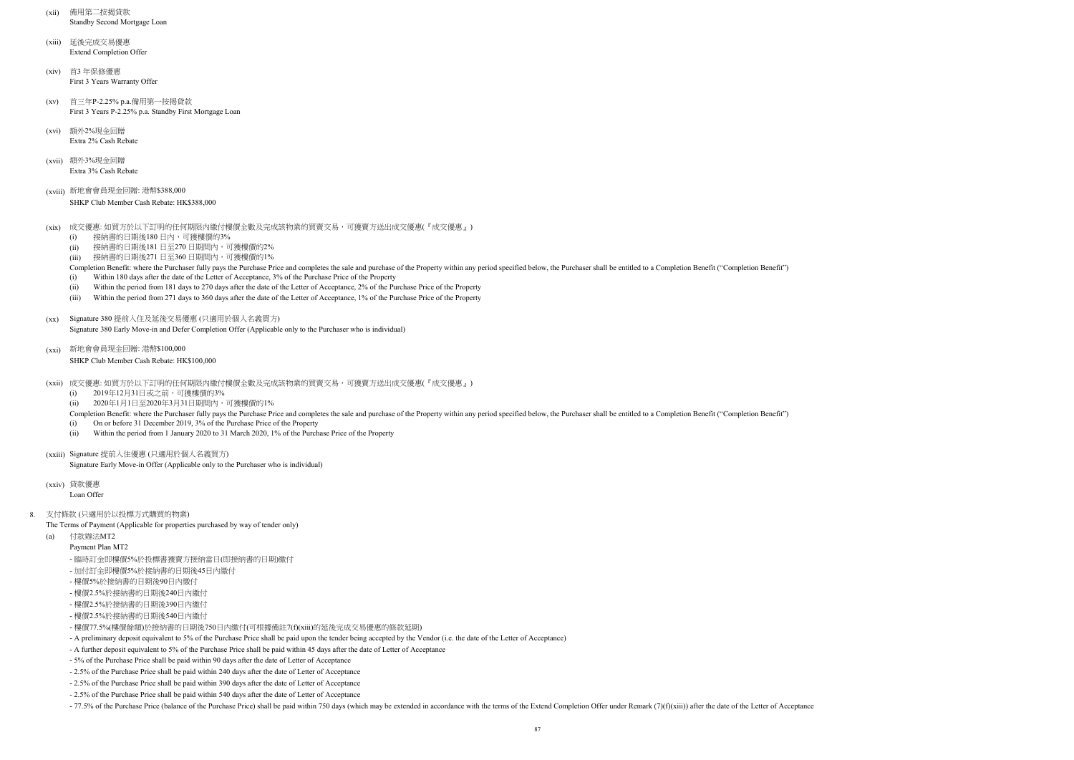- (xii) 備用第二按揭貸款 Standby Second Mortgage Loan
- (xiii) 延後完成交易優惠 Extend Completion Offer
- (xiv) 首3 年保修優惠 First 3 Years Warranty Offer
- $(xv)$ First 3 Years P-2.25% p.a. Standby First Mortgage Loan 首三年P-2.25% p.a.備用第一按揭貸款
- (xvi) Extra 2% Cash Rebate 額外2%現金回贈
- (xvii) 額外3%現金回贈 Extra 3% Cash Rebate
- (xviii) 新地會會員現金回贈: 港幣\$388,000
	- SHKP Club Member Cash Rebate: HK\$388,000
- (xix) 成交優惠: 如買方於以下訂明的任何期限内繳付樓價全數及完成該物業的買賣交易,可獲賣方送出成交優惠(『成交優惠』)
	- (i) 接納書的日期後180日內,可獲樓價的3%
	- (ii) 接納書的日期後181日至270日期間內,可獲樓價的2%
	- (iii) 接納書的日期後271 日至360 日期間內,可獲樓價的1%
	- Completion Benefit: where the Purchaser fully pays the Purchase Price and completes the sale and purchase of the Property within any period specified below, the Purchaser shall be entitled to a Completion Benefit ("Complet
	- (i) Within 180 days after the date of the Letter of Acceptance, 3% of the Purchase Price of the Property
	- (ii) Within the period from 181 days to 270 days after the date of the Letter of Acceptance, 2% of the Purchase Price of the Property
	- (iii) Within the period from 271 days to 360 days after the date of the Letter of Acceptance, 1% of the Purchase Price of the Property
- (xx) Signature 380 提前入住及延後交易優惠 (只適用於個人名義買方)
	- Signature 380 Early Move-in and Defer Completion Offer (Applicable only to the Purchaser who is individual)
- (xxi) 新地會會員現金回贈: 港幣\$100,000
	- SHKP Club Member Cash Rebate: HK\$100,000
- (xxii) 成交優惠: 如買方於以下訂明的任何期限内繳付樓價全數及完成該物業的買賣交易,可獲賣方送出成交優惠(『成交優惠』)
	- $(i)$ 2019年12月31日或之前,可獲樓價的3%
	- (ii) 2020年1月1日至2020年3月31日期間內,可獲樓價的1%
	- Completion Benefit: where the Purchaser fully pays the Purchase Price and completes the sale and purchase of the Property within any period specified below, the Purchaser shall be entitled to a Completion Benefit ("Complet
	- (i) On or before 31 December 2019, 3% of the Purchase Price of the Property
	- (ii) Within the period from 1 January 2020 to 31 March 2020, 1% of the Purchase Price of the Property
- (xxiii) Signature 提前入住優惠 (只適用於個人名義買方)
	- Signature Early Move-in Offer (Applicable only to the Purchaser who is individual)
- (xxiv) 貸款優惠
	- Loan Offer
- 8. 支付條款 (只適用於以投標方式購買的物業)
	- The Terms of Payment (Applicable for properties purchased by way of tender only)
	- (a) 付款辦法MT2
		- Payment Plan MT2
		- 臨時訂金即樓價5%於投標書獲賣方接納當日(即接納書的日期)繳付
		- 加付訂金即樓價5%於接納書的日期後45日內繳付
		- 樓價5%於接納書的日期後90日內繳付
		- 樓價2.5%於接納書的日期後240日內繳付
		- 樓價2.5%於接納書的日期後390日內繳付
		- 樓價2.5%於接納書的日期後540日內繳付
		- 樓價77.5%(樓價餘額)於接納書的日期後750日內繳付(可根據備註7(f)(xiii)的延後完成交易優惠的條款延期)
		- A preliminary deposit equivalent to 5% of the Purchase Price shall be paid upon the tender being accepted by the Vendor (i.e. the date of the Letter of Acceptance)
		- A further deposit equivalent to 5% of the Purchase Price shall be paid within 45 days after the date of Letter of Acceptance
		- 5% of the Purchase Price shall be paid within 90 days after the date of Letter of Acceptance
		- 2.5% of the Purchase Price shall be paid within 240 days after the date of Letter of Acceptance
		- 2.5% of the Purchase Price shall be paid within 390 days after the date of Letter of Acceptance
		- 2.5% of the Purchase Price shall be paid within 540 days after the date of Letter of Acceptance
		- -77.5% of the Purchase Price (balance of the Purchase Price) shall be paid within 750 days (which may be extended in accordance with the terms of the Extend Completion Offer under Remark (7)(f)(xiii)) after the date of th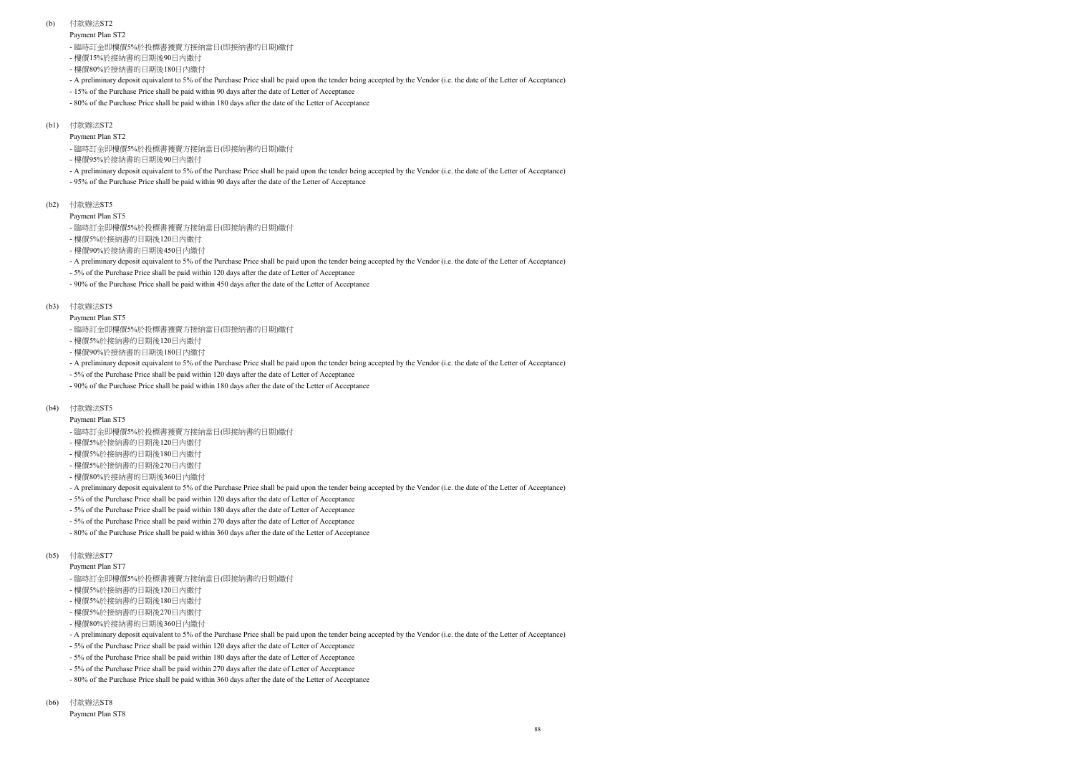Payment Plan ST2

Payment Plan ST5

#### (b) 付款辦法ST2

Payment Plan ST5

- 樓價15%於接納書的日期後90日內繳付
- 樓價80%於接納書的日期後180日內繳付
- A preliminary deposit equivalent to 5% of the Purchase Price shall be paid upon the tender being accepted by the Vendor (i.e. the date of the Letter of Acceptance)
- 15% of the Purchase Price shall be paid within 90 days after the date of Letter of Acceptance
- 80% of the Purchase Price shall be paid within 180 days after the date of the Letter of Acceptance

## (b1) 付款辦法ST2

Payment Plan ST7

- 臨時訂金即樓價5%於投標書獲賣方接納當日(即接納書的日期)繳付
- 樓價5%於接納書的日期後120日內繳付
- 樓價90%於接納書的日期後180日內繳付
- A preliminary deposit equivalent to 5% of the Purchase Price shall be paid upon the tender being accepted by the Vendor (i.e. the date of the Letter of Acceptance)
- 5% of the Purchase Price shall be paid within 120 days after the date of Letter of Acceptance
- 90% of the Purchase Price shall be paid within 180 days after the date of the Letter of Acceptance

## (b4) 付款辦法ST5

- 臨時訂金即樓價5%於投標書獲賣方接納當日(即接納書的日期)繳付
- 樓價5%於接納書的日期後120日內繳付
- 樓價5%於接納書的日期後180日內繳付
- 樓價5%於接納書的日期後270日內繳付
- 樓價80%於接納書的日期後360日內繳付
- A preliminary deposit equivalent to 5% of the Purchase Price shall be paid upon the tender being accepted by the Vendor (i.e. the date of the Letter of Acceptance)
- 5% of the Purchase Price shall be paid within 120 days after the date of Letter of Acceptance
- 5% of the Purchase Price shall be paid within 180 days after the date of Letter of Acceptance
- 5% of the Purchase Price shall be paid within 270 days after the date of Letter of Acceptance
- 80% of the Purchase Price shall be paid within 360 days after the date of the Letter of Acceptance

## (b5) 付款辦法ST7

- 臨時訂金即樓價5%於投標書獲賣方接納當日(即接納書的日期)繳付

- 樓價95%於接納書的日期後90日內繳付
- A preliminary deposit equivalent to 5% of the Purchase Price shall be paid upon the tender being accepted by the Vendor (i.e. the date of the Letter of Acceptance)
- 95% of the Purchase Price shall be paid within 90 days after the date of the Letter of Acceptance
- (b2) 付款辦法ST5
	- Payment Plan ST5
	- 臨時訂金即樓價5%於投標書獲賣方接納當日(即接納書的日期)繳付
	- 樓價5%於接納書的日期後120日內繳付
	- 樓價90%於接納書的日期後450日內繳付
	- A preliminary deposit equivalent to 5% of the Purchase Price shall be paid upon the tender being accepted by the Vendor (i.e. the date of the Letter of Acceptance)
	- 5% of the Purchase Price shall be paid within 120 days after the date of Letter of Acceptance
	- 90% of the Purchase Price shall be paid within 450 days after the date of the Letter of Acceptance
- (b3) 付款辦法ST5

- 臨時訂金即樓價5%於投標書獲賣方接納當日(即接納書的日期)繳付
- 樓價5%於接納書的日期後120日內繳付
- 樓價5%於接納書的日期後180日內繳付
- 樓價5%於接納書的日期後270日內繳付
- 樓價80%於接納書的日期後360日內繳付
- A preliminary deposit equivalent to 5% of the Purchase Price shall be paid upon the tender being accepted by the Vendor (i.e. the date of the Letter of Acceptance)
- 5% of the Purchase Price shall be paid within 120 days after the date of Letter of Acceptance
- 5% of the Purchase Price shall be paid within 180 days after the date of Letter of Acceptance
- 5% of the Purchase Price shall be paid within 270 days after the date of Letter of Acceptance
- 80% of the Purchase Price shall be paid within 360 days after the date of the Letter of Acceptance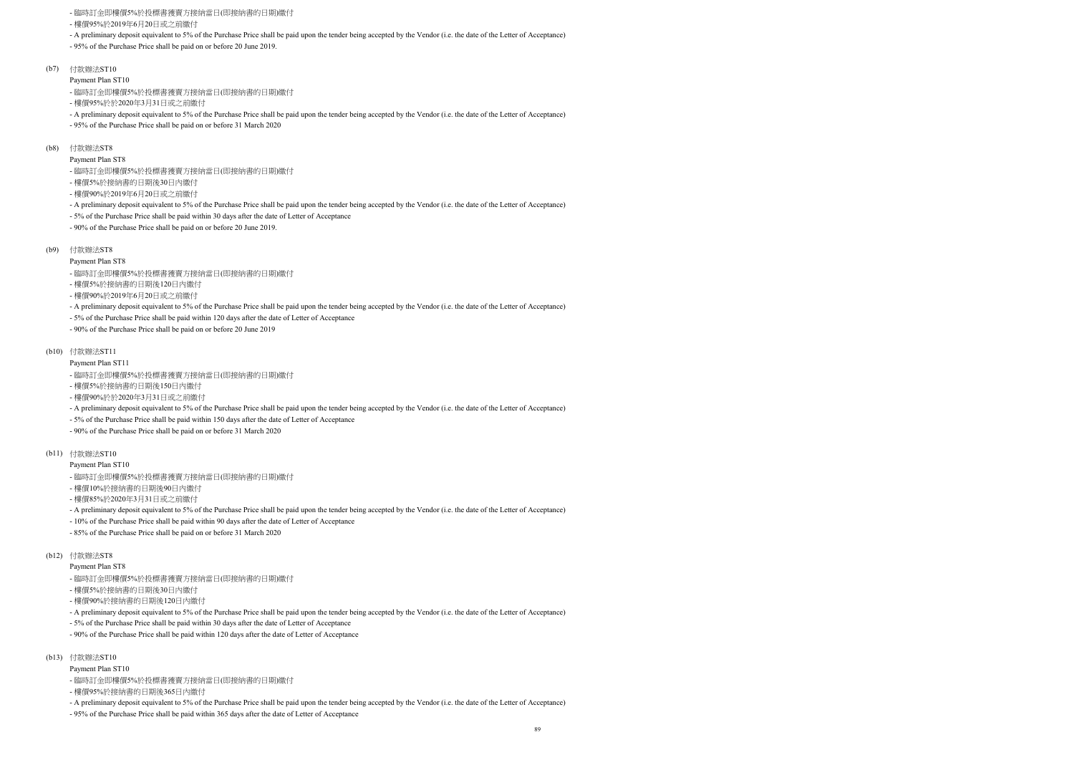- 臨時訂金即樓價5%於投標書獲賣方接納當日(即接納書的日期)繳付
- 樓價95%於2019年6月20日或之前繳付
- A preliminary deposit equivalent to 5% of the Purchase Price shall be paid upon the tender being accepted by the Vendor (i.e. the date of the Letter of Acceptance)
- 95% of the Purchase Price shall be paid on or before 20 June 2019.
- (b7) 付款辦法ST10
	- Payment Plan ST10
	- 臨時訂金即樓價5%於投標書獲賣方接納當日(即接納書的日期)繳付
	- 樓價95%於於2020年3月31日或之前繳付
	- A preliminary deposit equivalent to 5% of the Purchase Price shall be paid upon the tender being accepted by the Vendor (i.e. the date of the Letter of Acceptance)
	- 95% of the Purchase Price shall be paid on or before 31 March 2020
- (b8) 付款辦法ST8
	- Payment Plan ST8
	- 臨時訂金即樓價5%於投標書獲賣方接納當日(即接納書的日期)繳付
	- 樓價5%於接納書的日期後30日內繳付
	- 樓價90%於2019年6月20日或之前繳付
	- A preliminary deposit equivalent to 5% of the Purchase Price shall be paid upon the tender being accepted by the Vendor (i.e. the date of the Letter of Acceptance)
	- 5% of the Purchase Price shall be paid within 30 days after the date of Letter of Acceptance
	- 90% of the Purchase Price shall be paid on or before 20 June 2019.
- (b9) 付款辦法ST8
	- Payment Plan ST8
	- 臨時訂金即樓價5%於投標書獲賣方接納當日(即接納書的日期)繳付
	- 樓價5%於接納書的日期後120日內繳付
	- 樓價90%於2019年6月20日或之前繳付
	- A preliminary deposit equivalent to 5% of the Purchase Price shall be paid upon the tender being accepted by the Vendor (i.e. the date of the Letter of Acceptance)
	- 5% of the Purchase Price shall be paid within 120 days after the date of Letter of Acceptance
	- 90% of the Purchase Price shall be paid on or before 20 June 2019
- (b10) 付款辦法ST11
	- Payment Plan ST11
	- 臨時訂金即樓價5%於投標書獲賣方接納當日(即接納書的日期)繳付
	- 樓價5%於接納書的日期後150日內繳付
	- 樓價90%於於2020年3月31日或之前繳付
	- A preliminary deposit equivalent to 5% of the Purchase Price shall be paid upon the tender being accepted by the Vendor (i.e. the date of the Letter of Acceptance)
	- 5% of the Purchase Price shall be paid within 150 days after the date of Letter of Acceptance
	- 90% of the Purchase Price shall be paid on or before 31 March 2020
- (b11) 付款辦法ST10
	- Payment Plan ST10
	- 臨時訂金即樓價5%於投標書獲賣方接納當日(即接納書的日期)繳付
	- 樓價10%於接納書的日期後90日內繳付
	- 樓價85%於2020年3月31日或之前繳付
	- A preliminary deposit equivalent to 5% of the Purchase Price shall be paid upon the tender being accepted by the Vendor (i.e. the date of the Letter of Acceptance)
	- 10% of the Purchase Price shall be paid within 90 days after the date of Letter of Acceptance
	- 85% of the Purchase Price shall be paid on or before 31 March 2020
- (b12) 付款辦法ST8
	- Payment Plan ST8
	- 臨時訂金即樓價5%於投標書獲賣方接納當日(即接納書的日期)繳付
	- 樓價5%於接納書的日期後30日內繳付
	- 樓價90%於接納書的日期後120日內繳付
	- A preliminary deposit equivalent to 5% of the Purchase Price shall be paid upon the tender being accepted by the Vendor (i.e. the date of the Letter of Acceptance)
	- 5% of the Purchase Price shall be paid within 30 days after the date of Letter of Acceptance
	- 90% of the Purchase Price shall be paid within 120 days after the date of Letter of Acceptance
- (b13) 付款辦法ST10
	- Payment Plan ST10
	- 臨時訂金即樓價5%於投標書獲賣方接納當日(即接納書的日期)繳付
	- 樓價95%於接納書的日期後365日內繳付
	- A preliminary deposit equivalent to 5% of the Purchase Price shall be paid upon the tender being accepted by the Vendor (i.e. the date of the Letter of Acceptance)
	- 95% of the Purchase Price shall be paid within 365 days after the date of Letter of Acceptance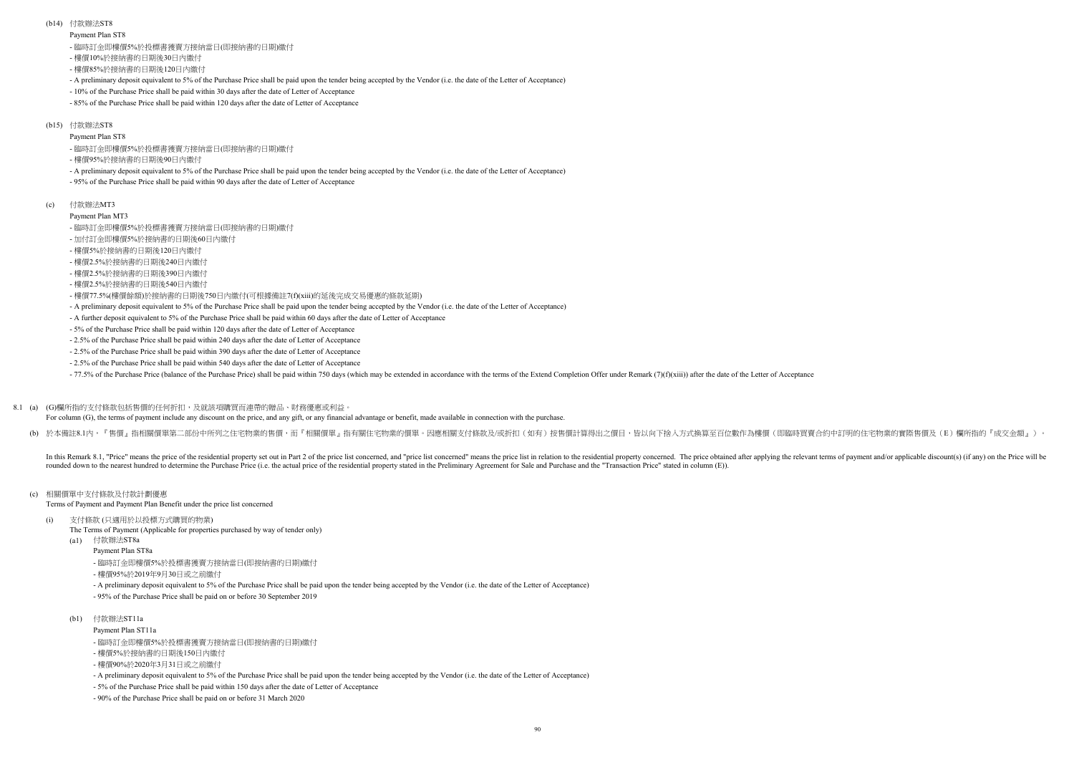Payment Plan ST8

### (b14) 付款辦法ST8

- 樓價10%於接納書的日期後30日內繳付
- 樓價85%於接納書的日期後120日內繳付
- A preliminary deposit equivalent to 5% of the Purchase Price shall be paid upon the tender being accepted by the Vendor (i.e. the date of the Letter of Acceptance)
- 10% of the Purchase Price shall be paid within 30 days after the date of Letter of Acceptance
- 85% of the Purchase Price shall be paid within 120 days after the date of Letter of Acceptance

### (b15) 付款辦法ST8

For column (G), the terms of payment include any discount on the price, and any gift, or any financial advantage or benefit, made available in connection with the purchase.

(b) 於本備註8.1內,『售價』指相關價單第二部份中所列之住宅物業的售價,而『相關價單』指有關住宅物業的價單。因應相關支付條款及/或折扣(如有)按售價計算得出之價目,皆以向下捨入方式換算至百位數作為樓價(即臨時買賣合約中訂明的住宅物業的實際售價及(E)欄所指的『成交金額』)。

In this Remark 8.1, "Price" means the price of the residential property set out in Part 2 of the price list concerned, and "price list concerned" means the price list in relation to the residential property concerned. The rounded down to the nearest hundred to determine the Purchase Price (i.e. the actual price of the residential property stated in the Preliminary Agreement for Sale and Purchase and the "Transaction Price" stated in column

## (c) 相關價單中支付條款及付款計劃優惠

Terms of Payment and Payment Plan Benefit under the price list concerned

The Terms of Payment (Applicable for properties purchased by way of tender only)

- (a1) 付款辦法ST8a
	- Payment Plan ST8a
- 樓價95%於接納書的日期後90日內繳付
- A preliminary deposit equivalent to 5% of the Purchase Price shall be paid upon the tender being accepted by the Vendor (i.e. the date of the Letter of Acceptance)
- 95% of the Purchase Price shall be paid within 90 days after the date of Letter of Acceptance
- $(c)$ 付款辦法MT3
	- Payment Plan MT3
	- 臨時訂金即樓價5%於投標書獲賣方接納當日(即接納書的日期)繳付
	- 加付訂金即樓價5%於接納書的日期後60日內繳付
	- 樓價5%於接納書的日期後120日內繳付
	- 樓價2.5%於接納書的日期後240日內繳付
	- 樓價2.5%於接納書的日期後390日內繳付
	- 樓價2.5%於接納書的日期後540日內繳付
	- 樓價77.5%(樓價餘額)於接納書的日期後750日內繳付(可根據備註7(f)(xiii)的延後完成交易優惠的條款延期)
	- A preliminary deposit equivalent to 5% of the Purchase Price shall be paid upon the tender being accepted by the Vendor (i.e. the date of the Letter of Acceptance)
	- A further deposit equivalent to 5% of the Purchase Price shall be paid within 60 days after the date of Letter of Acceptance
	- 5% of the Purchase Price shall be paid within 120 days after the date of Letter of Acceptance
	- 2.5% of the Purchase Price shall be paid within 240 days after the date of Letter of Acceptance
	- 2.5% of the Purchase Price shall be paid within 390 days after the date of Letter of Acceptance
	- 2.5% of the Purchase Price shall be paid within 540 days after the date of Letter of Acceptance

-77.5% of the Purchase Price (balance of the Purchase Price) shall be paid within 750 days (which may be extended in accordance with the terms of the Extend Completion Offer under Remark (7)(f)(xiii)) after the date of the

Payment Plan ST11a

### 8.1 (a) (G)欄所指的支付條款包括售價的任何折扣,及就該項購買而連帶的贈品、財務優惠或利益。

- 臨時訂金即樓價5%於投標書獲賣方接納當日(即接納書的日期)繳付

- 臨時訂金即樓價5%於投標書獲賣方接納當日(即接納書的日期)繳付

(i) 支付條款 (只適用於以投標方式購買的物業)

- 樓價95%於2019年9月30日或之前繳付
- A preliminary deposit equivalent to 5% of the Purchase Price shall be paid upon the tender being accepted by the Vendor (i.e. the date of the Letter of Acceptance)
- 95% of the Purchase Price shall be paid on or before 30 September 2019

## (b1) 付款辦法ST11a

- 樓價5%於接納書的日期後150日內繳付
- 樓價90%於2020年3月31日或之前繳付
- A preliminary deposit equivalent to 5% of the Purchase Price shall be paid upon the tender being accepted by the Vendor (i.e. the date of the Letter of Acceptance)
- 5% of the Purchase Price shall be paid within 150 days after the date of Letter of Acceptance
- 90% of the Purchase Price shall be paid on or before 31 March 2020

- 臨時訂金即樓價5%於投標書獲賣方接納當日(即接納書的日期)繳付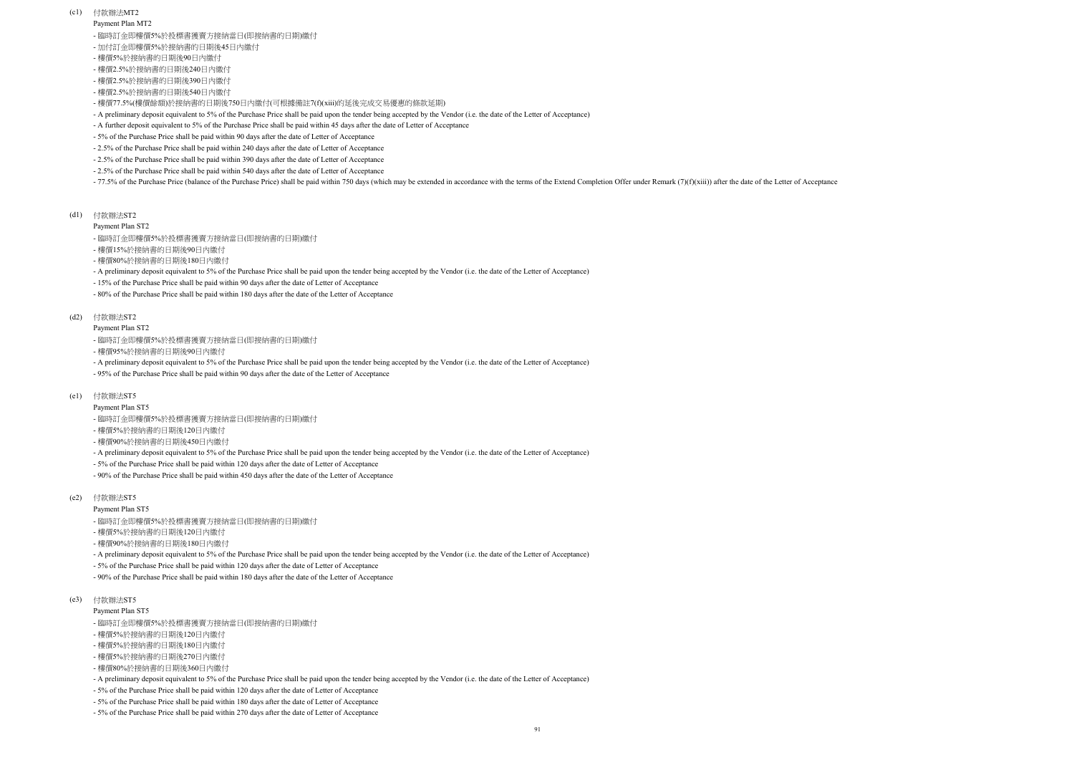- (c1) 付款辦法MT2
	- Payment Plan MT2
	- 臨時訂金即樓價5%於投標書獲賣方接納當日(即接納書的日期)繳付
	- 加付訂金即樓價5%於接納書的日期後45日內繳付
	- 樓價5%於接納書的日期後90日內繳付
	- 樓價2.5%於接納書的日期後240日內繳付
	- 樓價2.5%於接納書的日期後390日內繳付
	- 樓價2.5%於接納書的日期後540日內繳付
	- 樓價77.5%(樓價餘額)於接納書的日期後750日內繳付(可根據備註7(f)(xiii)的延後完成交易優惠的條款延期)
	- A preliminary deposit equivalent to 5% of the Purchase Price shall be paid upon the tender being accepted by the Vendor (i.e. the date of the Letter of Acceptance)
	- A further deposit equivalent to 5% of the Purchase Price shall be paid within 45 days after the date of Letter of Acceptance
	- 5% of the Purchase Price shall be paid within 90 days after the date of Letter of Acceptance
	- 2.5% of the Purchase Price shall be paid within 240 days after the date of Letter of Acceptance
	- 2.5% of the Purchase Price shall be paid within 390 days after the date of Letter of Acceptance
	- 2.5% of the Purchase Price shall be paid within 540 days after the date of Letter of Acceptance

-77.5% of the Purchase Price (balance of the Purchase Price) shall be paid within 750 days (which may be extended in accordance with the terms of the Extend Completion Offer under Remark (7)(f)(xiii)) after the date of the

### Payment Plan ST2

Payment Plan ST2

(d1) 付款辦法ST2

- 樓價15%於接納書的日期後90日內繳付
- 樓價80%於接納書的日期後180日內繳付
- A preliminary deposit equivalent to 5% of the Purchase Price shall be paid upon the tender being accepted by the Vendor (i.e. the date of the Letter of Acceptance)
- 15% of the Purchase Price shall be paid within 90 days after the date of Letter of Acceptance
- 80% of the Purchase Price shall be paid within 180 days after the date of the Letter of Acceptance

### (d2) 付款辦法ST2

Payment Plan ST5

- 樓價95%於接納書的日期後90日內繳付
- A preliminary deposit equivalent to 5% of the Purchase Price shall be paid upon the tender being accepted by the Vendor (i.e. the date of the Letter of Acceptance)
- 95% of the Purchase Price shall be paid within 90 days after the date of the Letter of Acceptance

#### (e1) 付款辦法ST5

- Payment Plan ST5
- 臨時訂金即樓價5%於投標書獲賣方接納當日(即接納書的日期)繳付
- 樓價5%於接納書的日期後120日內繳付
- 樓價90%於接納書的日期後450日內繳付
- A preliminary deposit equivalent to 5% of the Purchase Price shall be paid upon the tender being accepted by the Vendor (i.e. the date of the Letter of Acceptance)
- 5% of the Purchase Price shall be paid within 120 days after the date of Letter of Acceptance
- 90% of the Purchase Price shall be paid within 450 days after the date of the Letter of Acceptance
- (e2) 付款辦法ST5
	- Payment Plan ST5
	- 臨時訂金即樓價5%於投標書獲賣方接納當日(即接納書的日期)繳付
	- 樓價5%於接納書的日期後120日內繳付
	- 樓價90%於接納書的日期後180日內繳付
	- A preliminary deposit equivalent to 5% of the Purchase Price shall be paid upon the tender being accepted by the Vendor (i.e. the date of the Letter of Acceptance)
	- 5% of the Purchase Price shall be paid within 120 days after the date of Letter of Acceptance
	- 90% of the Purchase Price shall be paid within 180 days after the date of the Letter of Acceptance
- (e3) 付款辦法ST5

- 臨時訂金即樓價5%於投標書獲賣方接納當日(即接納書的日期)繳付
- 樓價5%於接納書的日期後120日內繳付
- 樓價5%於接納書的日期後180日內繳付
- 樓價5%於接納書的日期後270日內繳付
- 樓價80%於接納書的日期後360日內繳付
- A preliminary deposit equivalent to 5% of the Purchase Price shall be paid upon the tender being accepted by the Vendor (i.e. the date of the Letter of Acceptance)
- 5% of the Purchase Price shall be paid within 120 days after the date of Letter of Acceptance
- 5% of the Purchase Price shall be paid within 180 days after the date of Letter of Acceptance
- 5% of the Purchase Price shall be paid within 270 days after the date of Letter of Acceptance

- 臨時訂金即樓價5%於投標書獲賣方接納當日(即接納書的日期)繳付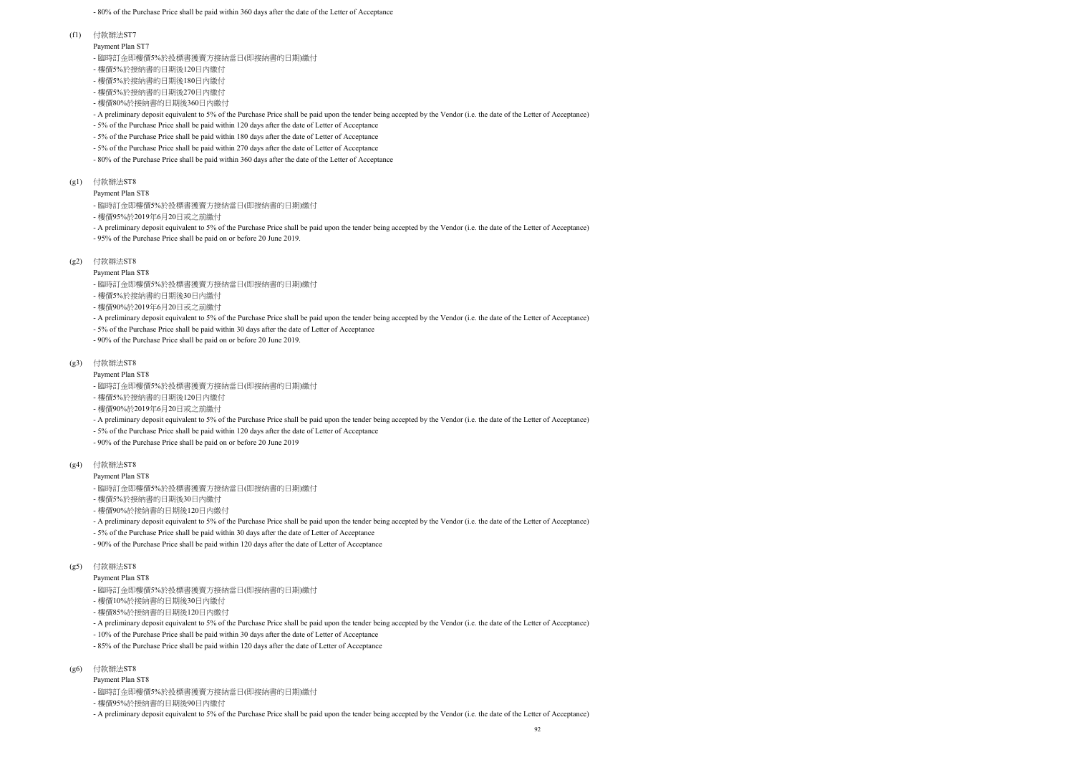- 80% of the Purchase Price shall be paid within 360 days after the date of the Letter of Acceptance

Payment Plan ST7

#### (f1) 付款辦法ST7

Payment Plan ST8

- 樓價5%於接納書的日期後120日內繳付
- 樓價5%於接納書的日期後180日內繳付
- 樓價5%於接納書的日期後270日內繳付
- 樓價80%於接納書的日期後360日內繳付
- A preliminary deposit equivalent to 5% of the Purchase Price shall be paid upon the tender being accepted by the Vendor (i.e. the date of the Letter of Acceptance)
- 5% of the Purchase Price shall be paid within 120 days after the date of Letter of Acceptance
- 5% of the Purchase Price shall be paid within 180 days after the date of Letter of Acceptance
- 5% of the Purchase Price shall be paid within 270 days after the date of Letter of Acceptance
- 80% of the Purchase Price shall be paid within 360 days after the date of the Letter of Acceptance
- $(g1)$ 付款辦法ST8
	- Payment Plan ST8
	- 臨時訂金即樓價5%於投標書獲賣方接納當日(即接納書的日期)繳付
	- 樓價95%於2019年6月20日或之前繳付
	- A preliminary deposit equivalent to 5% of the Purchase Price shall be paid upon the tender being accepted by the Vendor (i.e. the date of the Letter of Acceptance) - 95% of the Purchase Price shall be paid on or before 20 June 2019.
- (g2) 付款辦法ST8
	- Payment Plan ST8
	- 臨時訂金即樓價5%於投標書獲賣方接納當日(即接納書的日期)繳付
	- 樓價5%於接納書的日期後30日內繳付
	- 樓價90%於2019年6月20日或之前繳付
	- A preliminary deposit equivalent to 5% of the Purchase Price shall be paid upon the tender being accepted by the Vendor (i.e. the date of the Letter of Acceptance)
	- 5% of the Purchase Price shall be paid within 30 days after the date of Letter of Acceptance
	- 90% of the Purchase Price shall be paid on or before 20 June 2019.

#### (g3) 付款辦法ST8

- Payment Plan ST8
- 臨時訂金即樓價5%於投標書獲賣方接納當日(即接納書的日期)繳付
- 樓價5%於接納書的日期後120日內繳付
- 樓價90%於2019年6月20日或之前繳付
- A preliminary deposit equivalent to 5% of the Purchase Price shall be paid upon the tender being accepted by the Vendor (i.e. the date of the Letter of Acceptance)
- 5% of the Purchase Price shall be paid within 120 days after the date of Letter of Acceptance
- 90% of the Purchase Price shall be paid on or before 20 June 2019
- (g4) 付款辦法ST8

#### Payment Plan ST8

- 臨時訂金即樓價5%於投標書獲賣方接納當日(即接納書的日期)繳付
- 樓價95%於接納書的日期後90日內繳付
- A preliminary deposit equivalent to 5% of the Purchase Price shall be paid upon the tender being accepted by the Vendor (i.e. the date of the Letter of Acceptance)
- 臨時訂金即樓價5%於投標書獲賣方接納當日(即接納書的日期)繳付
- 樓價5%於接納書的日期後30日內繳付
- 樓價90%於接納書的日期後120日內繳付
- A preliminary deposit equivalent to 5% of the Purchase Price shall be paid upon the tender being accepted by the Vendor (i.e. the date of the Letter of Acceptance)
- 5% of the Purchase Price shall be paid within 30 days after the date of Letter of Acceptance
- 90% of the Purchase Price shall be paid within 120 days after the date of Letter of Acceptance
- (g5) 付款辦法ST8
	- Payment Plan ST8
	- 臨時訂金即樓價5%於投標書獲賣方接納當日(即接納書的日期)繳付
	- 樓價10%於接納書的日期後30日內繳付
	- 樓價85%於接納書的日期後120日內繳付
	- A preliminary deposit equivalent to 5% of the Purchase Price shall be paid upon the tender being accepted by the Vendor (i.e. the date of the Letter of Acceptance)
	- 10% of the Purchase Price shall be paid within 30 days after the date of Letter of Acceptance
	- 85% of the Purchase Price shall be paid within 120 days after the date of Letter of Acceptance
- $(g6)$ 付款辦法ST8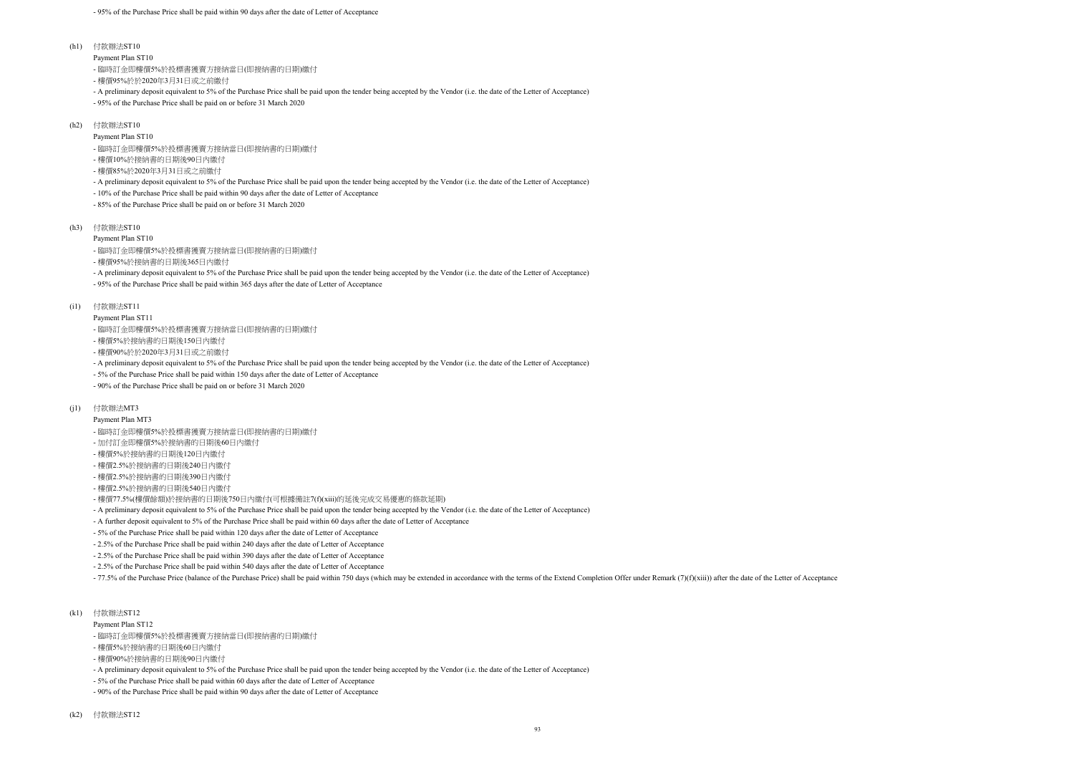#### Payment Plan ST10

Payment Plan ST10

- A preliminary deposit equivalent to 5% of the Purchase Price shall be paid upon the tender being accepted by the Vendor (i.e. the date of the Letter of Acceptance)

- 95% of the Purchase Price shall be paid within 365 days after the date of Letter of Acceptance

Payment Plan ST11

- A preliminary deposit equivalent to 5% of the Purchase Price shall be paid upon the tender being accepted by the Vendor (i.e. the date of the Letter of Acceptance)

- 5% of the Purchase Price shall be paid within 150 days after the date of Letter of Acceptance

(h1) 付款辦法ST10

- 90% of the Purchase Price shall be paid on or before 31 March 2020

- A preliminary deposit equivalent to 5% of the Purchase Price shall be paid upon the tender being accepted by the Vendor (i.e. the date of the Letter of Acceptance)
- 95% of the Purchase Price shall be paid on or before 31 March 2020
- (h2) 付款辦法ST10

### Payment Plan MT3

- A further deposit equivalent to 5% of the Purchase Price shall be paid within 60 days after the date of Letter of Acceptance

- 5% of the Purchase Price shall be paid within 120 days after the date of Letter of Acceptance

- 2.5% of the Purchase Price shall be paid within 240 days after the date of Letter of Acceptance

- 樓價10%於接納書的日期後90日內繳付
- 樓價85%於2020年3月31日或之前繳付
- A preliminary deposit equivalent to 5% of the Purchase Price shall be paid upon the tender being accepted by the Vendor (i.e. the date of the Letter of Acceptance)
- 10% of the Purchase Price shall be paid within 90 days after the date of Letter of Acceptance
- 85% of the Purchase Price shall be paid on or before 31 March 2020

(h3) 付款辦法ST10

- 2.5% of the Purchase Price shall be paid within 390 days after the date of Letter of Acceptance

- 2.5% of the Purchase Price shall be paid within 540 days after the date of Letter of Acceptance

- 77.5% of the Purchase Price (balance of the Purchase Price) shall be paid within 750 days (which may be extended in accordance with the terms of the Extend Completion Offer under Remark (7)(f)(xiii)) after the date of th

(i1) 付款辦法ST11

#### (j1) 付款辦法MT3

#### Payment Plan ST12

- A preliminary deposit equivalent to 5% of the Purchase Price shall be paid upon the tender being accepted by the Vendor (i.e. the date of the Letter of Acceptance)

- 5% of the Purchase Price shall be paid within 60 days after the date of Letter of Acceptance

- 90% of the Purchase Price shall be paid within 90 days after the date of Letter of Acceptance

- 臨時訂金即樓價5%於投標書獲賣方接納當日(即接納書的日期)繳付

- 樓價95%於於2020年3月31日或之前繳付

- 臨時訂金即樓價5%於投標書獲賣方接納當日(即接納書的日期)繳付

(k1) 付款辦法ST12

- 臨時訂金即樓價5%於投標書獲賣方接納當日(即接納書的日期)繳付

- 樓價95%於接納書的日期後365日內繳付

- 臨時訂金即樓價5%於投標書獲賣方接納當日(即接納書的日期)繳付

- 樓價5%於接納書的日期後150日內繳付

- 樓價90%於於2020年3月31日或之前繳付

- 臨時訂金即樓價5%於投標書獲賣方接納當日(即接納書的日期)繳付

- 加付訂金即樓價5%於接納書的日期後60日內繳付

- 樓價5%於接納書的日期後120日內繳付

- 樓價2.5%於接納書的日期後240日內繳付

- 樓價2.5%於接納書的日期後390日內繳付

- 樓價2.5%於接納書的日期後540日內繳付

- 樓價77.5%(樓價餘額)於接納書的日期後750日內繳付(可根據備註7(f)(xiii)的延後完成交易優惠的條款延期)

- A preliminary deposit equivalent to 5% of the Purchase Price shall be paid upon the tender being accepted by the Vendor (i.e. the date of the Letter of Acceptance)

- 臨時訂金即樓價5%於投標書獲賣方接納當日(即接納書的日期)繳付

- 樓價5%於接納書的日期後60日內繳付

- 樓價90%於接納書的日期後90日內繳付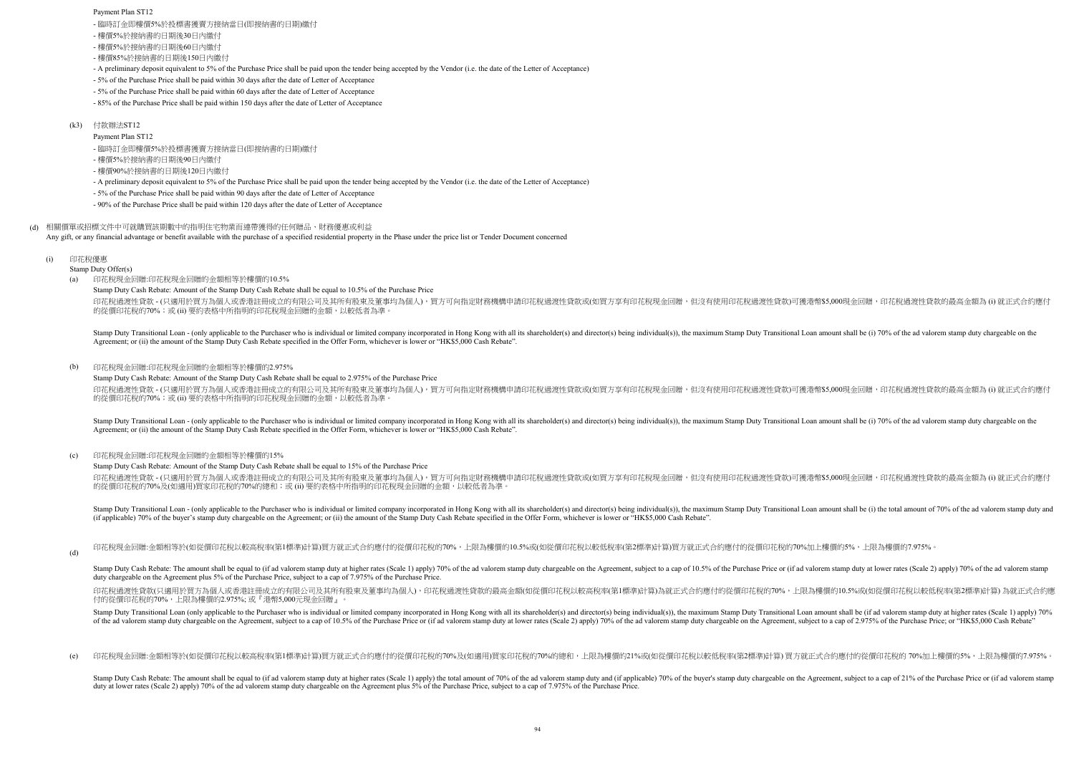- A preliminary deposit equivalent to 5% of the Purchase Price shall be paid upon the tender being accepted by the Vendor (i.e. the date of the Letter of Acceptance)

- 5% of the Purchase Price shall be paid within 30 days after the date of Letter of Acceptance

- 5% of the Purchase Price shall be paid within 60 days after the date of Letter of Acceptance

- 85% of the Purchase Price shall be paid within 150 days after the date of Letter of Acceptance

Payment Plan ST12

- A preliminary deposit equivalent to 5% of the Purchase Price shall be paid upon the tender being accepted by the Vendor (i.e. the date of the Letter of Acceptance)

Stamp Duty Cash Rebate: Amount of the Stamp Duty Cash Rebate shall be equal to 2.975% of the Purchase Price 印花稅過渡性貸款 - (只適用於買方為個人或香港註冊成立的有限公司及其所有股東及董事均為個人),買方可向指定財務機構申請印花稅過渡性貸款或(如買方享有印花稅現金回贈,但沒有使用印花稅過渡性貸款可獲港幣\$5,000現金回贈,印花稅過渡性貸款的最高金額為 (i) 就正式合約應付 的從價印花稅的70%;或(ii) 要約表格中所指明的印花稅現金回贈的金額,以較低者為準。

- 5% of the Purchase Price shall be paid within 90 days after the date of Letter of Acceptance

(d) 印花稅現金回贈:金額相等於(如從價印花稅以較高稅率(第1標準)計算)買方就正式合約應付的從價印花稅的70%,上限為樓價的10.5%或(如從價印花稅以較低稅率(第2標準)計算)買方就正式合約應付的從價印花稅的70%加上樓價的5%,上限為樓價的7.975%。

(e) 印花稅現金回贈:金額相等於(如從價印花稅以較高稅率(第1標準)計算)買方就正式合約應付的從價印花稅的70%及(如適用)買家印花稅的70%的總和,上限為樓價的21%或(如從價印花稅以較低稅率(第2標準)計算) 買方就正式合約應付的從價印花稅的 70%加上樓價的5%,上限為樓價的7.975%。

Stamp Duty Cash Rebate: The amount shall be equal to (if ad valorem stamp duty at higher rates (Scale 1) apply) the total amount of 70% of the ad valorem stamp duty and (if applicable) 70% of the buver's stamp duty chargea duty at lower rates (Scale 2) apply) 70% of the ad valorem stamp duty chargeable on the Agreement plus 5% of the Purchase Price, subject to a cap of 7.975% of the Purchase Price.

- 90% of the Purchase Price shall be paid within 120 days after the date of Letter of Acceptance

 $(a)$ 印花稅現金回贈:印花稅現金回贈的金額相等於樓價的10.5%

(d) 相關價單或招標文件中可就購買該期數中的指明住宅物業而連帶獲得的任何贈品、財務優惠或利益 Any gift, or any financial advantage or benefit available with the purchase of a specified residential property in the Phase under the price list or Tender Document concerned

### (k3) 付款辦法ST12

(i) 印花稅優惠

Stamp Duty Offer(s)

Stamp Duty Transitional Loan - (only applicable to the Purchaser who is individual or limited company incorporated in Hong Kong with all its shareholder(s) and director(s) being individual(s)), the maximum Stamp Duty Trans Agreement; or (ii) the amount of the Stamp Duty Cash Rebate specified in the Offer Form, whichever is lower or "HK\$5,000 Cash Rebate".

Stamp Duty Cash Rebate: Amount of the Stamp Duty Cash Rebate shall be equal to 10.5% of the Purchase Price

印花稅過渡性貸款 - (只適用於買方為個人或香港註冊成立的有限公司及其所有股東及董事均為個人),買方可向指定財務機構申請印花稅過渡性貸款或(如買方享有印花稅現金回贈,但沒有使用印花稅過渡性貸款可獲港幣\$5,000現金回贈,印花稅過渡性貸款的最高金額為 (i) 就正式合約應付 的從價印花稅的70%;或 (ii) 要約表格中所指明的印花稅現金回贈的金額,以較低者為準。

Stamp Duty Cash Rebate: Amount of the Stamp Duty Cash Rebate shall be equal to 15% of the Purchase Price

印花稅過渡性貸款 - (只適用於買方為個人或香港註冊成立的有限公司及其所有股東及董事均為個人),買方可向指定財務機構申請印花稅過渡性貸款或(如買方享有印花稅現金回贈,但沒有使用印花稅過渡性貸款)可獲港幣\$5,000現金回贈,印花稅過渡性貸款的最高金額為 (i) 就正式合約應付 的從價印花稅的70%及(如適用)買家印花稅的70%的總和;或 (ii) 要約表格中所指明的印花稅現金回贈的金額,以較低者為準

- 臨時訂金即樓價5%於投標書獲賣方接納當日(即接納書的日期)繳付

Stamp Duty Transitional Loan - (only applicable to the Purchaser who is individual or limited company incorporated in Hong Kong with all its shareholder(s) and director(s) being individual(s)), the maximum Stamp Duty Trans Agreement; or (ii) the amount of the Stamp Duty Cash Rebate specified in the Offer Form, whichever is lower or "HK\$5,000 Cash Rebate".

#### $(c)$ 印花稅現金回贈:印花稅現金回贈的金額相等於樓價的15%

- 樓價5%於接納書的日期後30日內繳付

- 樓價5%於接納書的日期後60日內繳付

- 樓價85%於接納書的日期後150日內繳付

- 臨時訂金即樓價5%於投標書獲賣方接納當日(即接納書的日期)繳付

- 樓價5%於接納書的日期後90日內繳付

- 樓價90%於接納書的日期後120日內繳付

#### (b) 印花稅現金回贈:印花稅現金回贈的金額相等於樓價的2.975%

Stamp Duty Transitional Loan - (only applicable to the Purchaser who is individual or limited company incorporated in Hong Kong with all its shareholder(s) and director(s) being individual(s)), the maximum Stamp Duty Trans (if applicable) 70% of the buyer's stamp duty chargeable on the Agreement; or (ii) the amount of the Stamp Duty Cash Rebate specified in the Offer Form, whichever is lower or "HK\$5,000 Cash Rebate".

Stamp Duty Cash Rebate: The amount shall be equal to (if ad valorem stamp duty at higher rates (Scale 1) apply) 70% of the ad valorem stamp duty chargeable on the Agreement, subject to a cap of 10.5% of the Purchase Price duty chargeable on the Agreement plus 5% of the Purchase Price, subject to a cap of 7.975% of the Purchase Price.

印花稅過渡性貸款(只適用於買方為個人或香港註冊成立的有限公司及其所有股東及董事均為個人),印花稅過渡性貸款的最高金額(如從價印花稅以較高稅率(第1標準)計算)為就正式合約應付的從價印花稅的70%,上限為樓價的10.5%或(如從價印花稅以較低稅率(第2標準)計算) 為就正式合約應 付的從價印花稅的70%,上限為樓價的2.975%; 或『港幣5,000元現金回贈』。

Stamp Duty Transitional Loan (only applicable to the Purchaser who is individual or limited company incorporated in Hong Kong with all its shareholder(s) and director(s) being individual(s)), the maximum Stamp Duty Transit of the ad valorem stamp duty chargeable on the Agreement, subject to a cap of 10.5% of the Purchase Price or (if ad valorem stamp duty at lower rates (Scale 2) apply) 70% of the ad valorem stamp duty chargeable on the Agre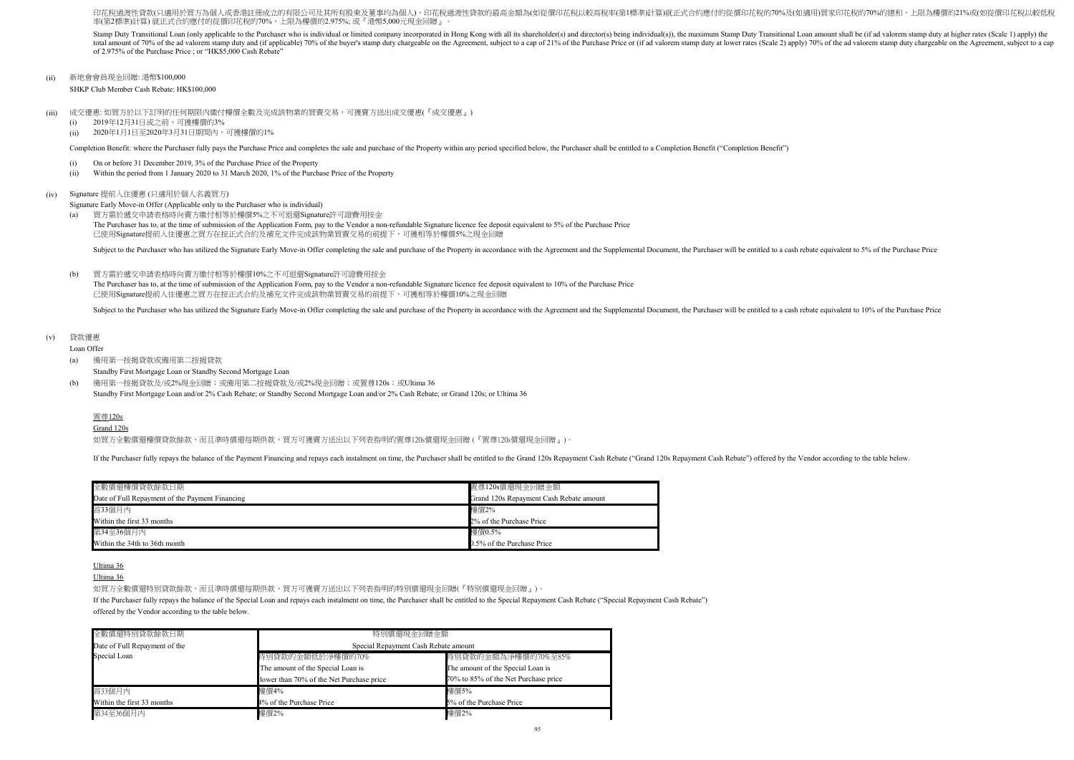SHKP Club Member Cash Rebate: HK\$100,000

- (i) On or before 31 December 2019, 3% of the Purchase Price of the Property
- (ii) Within the period from 1 January 2020 to 31 March 2020, 1% of the Purchase Price of the Property

Signature Early Move-in Offer (Applicable only to the Purchaser who is individual)

(b) Standby First Mortgage Loan and/or 2% Cash Rebate; or Standby Second Mortgage Loan and/or 2% Cash Rebate; or Grand 120s; or Ultima 36 備用第一按揭貸款及/或2%現金回贈;或備用第二按揭貸款及/或2%現金回贈;或置尊120s;或Ultima 36

## (v) 貸款優惠

Loan Offer

印花稅過渡性貸款(只適用於買方為個人或香港註冊成立的有限公司及其所有股東及董事均為個人),印花稅過渡性貸款的最高金額為(如從價印花稅以較高稅率(第1標準)計算)就正式合約應付的從價印花稅的70%及(如適用)買家印花稅的70%的總和,上限為樓價的21%或(如從價印花稅以較低稅 率(第2標準)計算) 就正式合約應付的從價印花稅的70%,上限為樓價的2.975%; 或『港幣5,000元現金回贈』。

(a) 備用第一按揭貸款或備用第二按揭貸款

Standby First Mortgage Loan or Standby Second Mortgage Loan

### Grand 120s

如買方全數償還樓價貸款餘款,而且準時償還每期供款,買方可獲賣方送出以下列表指明的置尊120s償還現金回贈 (『置尊120s償還現金回贈』)。

If the Purchaser fully repays the balance of the Payment Financing and repays each instalment on time, the Purchaser shall be entitled to the Grand 120s Repayment Cash Rebate ("Grand 120s Repayment Cash Rebate") offered by

Stamp Duty Transitional Loan (only applicable to the Purchaser who is individual or limited company incorporated in Hong Kong with all its shareholder(s) and director(s) being individual(s)), the maximum Stamp Duty Transit total amount of 70% of the ad valorem stamp duty and (if applicable) 70% of the buyer's stamp duty chargeable on the Agreement, subject to a cap of 21% of the Purchase Price or (if ad valorem stamp duty at lower rates (Sca of 2.975% of the Purchase Price ; or "HK\$5,000 Cash Rebate"

(ii) 新地會會員現金回贈: 港幣\$100,000

- (iii) 成交優惠: 如買方於以下訂明的任何期限内繳付樓價全數及完成該物業的買賣交易,可獲賣方送出成交優惠(『成交優惠』)
	- $(i)$ 2019年12月31日或之前,可獲樓價的3%
	- (ii) 2020年1月1日至2020年3月31日期間內,可獲樓價的1%

Completion Benefit: where the Purchaser fully pays the Purchase Price and completes the sale and purchase of the Property within any period specified below, the Purchaser shall be entitled to a Completion Benefit ("Complet

 $(h)$ The Purchaser has to, at the time of submission of the Application Form, pay to the Vendor a non-refundable Signature licence fee deposit equivalent to 10% of the Purchase Price 買方需於遞交申請表格時向賣方繳付相等於樓價10%之不可退還Signature許可證費用按金 已使用Signature提前入住優惠之買方在按正式合約及補充文件完成該物業買賣交易的前提下,可獲相等於樓價10%之現金回贈

Subject to the Purchaser who has utilized the Signature Early Move-in Offer completing the sale and purchase of the Property in accordance with the Agreement and the Supplemental Document, the Purchaser will be entitled to

#### (iv) Signature 提前入住優惠 (只適用於個人名義買方)

# Ultima 36

Ultima 36

如買方全數償還特別貸款餘款,而且準時償還每期供款,買方可獲賣方送出以下列表指明的特別償還現金回贈(『特別償還現金回贈』)。

(a) The Purchaser has to, at the time of submission of the Application Form, pay to the Vendor a non-refundable Signature licence fee deposit equivalent to 5% of the Purchase Price 買方需於遞交申請表格時向賣方繳付相等於樓價5%之不可退還Signature許可證費用按金 已使用Signature提前入住優惠之買方在按正式合約及補充文件完成該物業買賣交易的前提下,可獲相等於樓價5%之現金回贈

Subject to the Purchaser who has utilized the Signature Early Move-in Offer completing the sale and purchase of the Property in accordance with the Agreement and the Supplemental Document, the Purchaser will be entitled to

If the Purchaser fully repays the balance of the Special Loan and repays each instalment on time, the Purchaser shall be entitled to the Special Repayment Cash Rebate ("Special Repayment Cash Rebate") offered by the Vendor according to the table below.

| 全數償還樓價貸款餘款日期                                    | 置尊120s償還現金回贈金額                          |
|-------------------------------------------------|-----------------------------------------|
| Date of Full Repayment of the Payment Financing | Grand 120s Repayment Cash Rebate amount |
| 首33個月內                                          | 樓價2%                                    |
| Within the first 33 months                      | 2% of the Purchase Price                |
| 第34至36個月內                                       | 樓價0.5%                                  |
| Within the 34th to 36th month                   | 0.5% of the Purchase Price              |

| 全數償還特別貸款餘款日期                  | 特別償還現金回贈金額                               |                                      |  |  |  |  |  |  |
|-------------------------------|------------------------------------------|--------------------------------------|--|--|--|--|--|--|
| Date of Full Repayment of the | Special Repayment Cash Rebate amount     |                                      |  |  |  |  |  |  |
| Special Loan                  | 特別貸款的金額低於淨樓價的70%                         | 特別貸款的金額為淨樓價的70%至85%                  |  |  |  |  |  |  |
|                               | The amount of the Special Loan is        | The amount of the Special Loan is    |  |  |  |  |  |  |
|                               | lower than 70% of the Net Purchase price | 70% to 85% of the Net Purchase price |  |  |  |  |  |  |
| 首33個月內                        | 樓價4%                                     | 樓價5%                                 |  |  |  |  |  |  |
| Within the first 33 months    | 4% of the Purchase Price                 | 5% of the Purchase Price             |  |  |  |  |  |  |
| 第34至36個月內                     | 樓價2%                                     | 樓價2%                                 |  |  |  |  |  |  |

# 置尊120s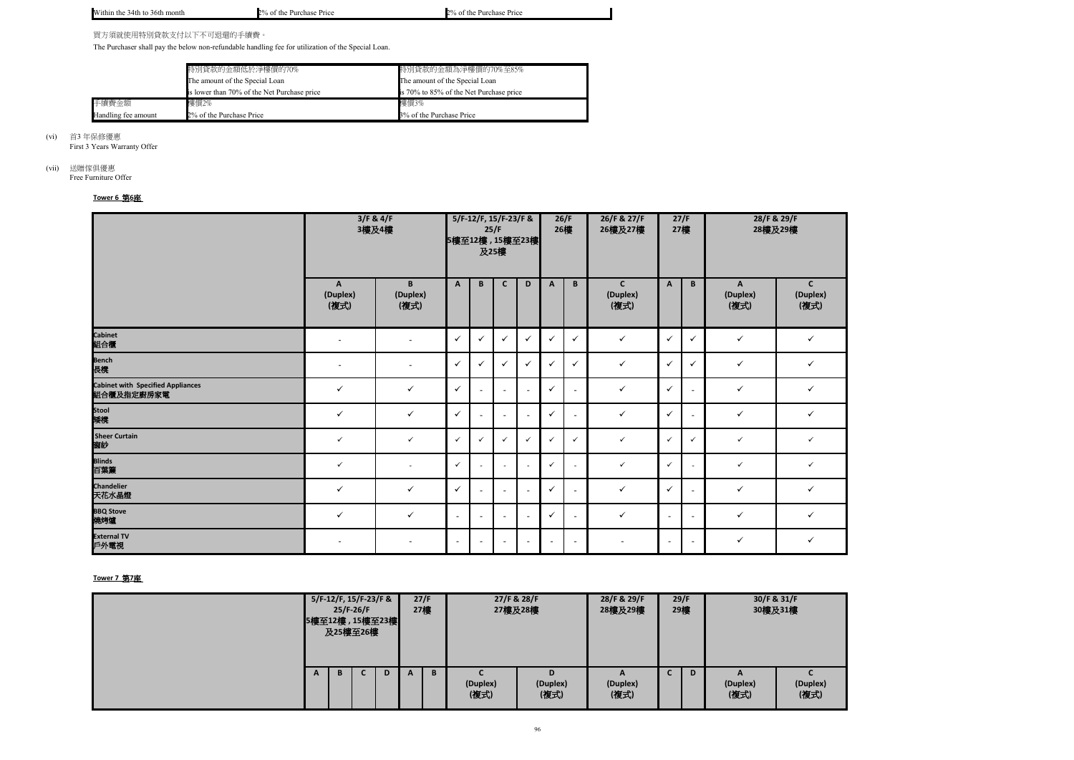

|  | NХ<br>4th<br>'ıthın the<br>month<br>36th<br>ι το | 30.<br>` the<br>Purchase Price<br>$\sim$<br>70<br>$\cdot$ | 70/<br>∵the<br>Price<br>Purchase<br>) ОІ |
|--|--------------------------------------------------|-----------------------------------------------------------|------------------------------------------|
|--|--------------------------------------------------|-----------------------------------------------------------|------------------------------------------|

買方須就使用特別貸款支付以下不可退還的手續費。

The Purchaser shall pay the below non-refundable handling fee for utilization of the Special Loan.

First 3 Years Warranty Offer

# (vii) 送贈傢俱優惠

Free Furniture Offer

|                     | 特別貸款的金額低於淨樓價的70%                            | 特別貸款的金額為淨樓價的70%至85%                     |
|---------------------|---------------------------------------------|-----------------------------------------|
|                     | The amount of the Special Loan              | The amount of the Special Loan          |
|                     | is lower than 70% of the Net Purchase price | is 70% to 85% of the Net Purchase price |
| 手續費金額               | 樓價2%                                        | 樓價3%                                    |
| Handling fee amount | 2% of the Purchase Price                    | 3% of the Purchase Price                |

(vi) 首3 年保修優惠

# **Tower 6** 第**6**座

|                                                        | 3/F & 4/F<br>3樓及4樓    |                          |              | 5/F-12/F, 15/F-23/F &<br>25/F<br>5樓至12樓, 15樓至23樓<br>及25樓 |                          |                          |              |                          | 26/F & 27/F<br>27/F<br>27樓<br>26樓及27樓 |                |                          | 28/F & 29/F<br>28樓及29樓 |                                  |  |
|--------------------------------------------------------|-----------------------|--------------------------|--------------|----------------------------------------------------------|--------------------------|--------------------------|--------------|--------------------------|---------------------------------------|----------------|--------------------------|------------------------|----------------------------------|--|
|                                                        | A<br>(Duplex)<br>(複式) | B<br>(Duplex)<br>(複式)    | $\mathsf{A}$ | B                                                        | $\mathsf{C}$             | D                        | A            | B                        | $\mathsf{C}$<br>(Duplex)<br>(複式)      | $\mathbf{A}$   | B                        | A<br>(Duplex)<br>(複式)  | $\mathsf{C}$<br>(Duplex)<br>(複式) |  |
| Cabinet<br>組合 <mark>櫃</mark>                           | $\sim$                | $\sim$                   | $\checkmark$ | $\checkmark$                                             | $\checkmark$             | $\checkmark$             | $\checkmark$ | $\checkmark$             | $\checkmark$                          | $\checkmark$   | $\checkmark$             | $\checkmark$           | $\checkmark$                     |  |
| Bench<br>長櫈                                            | $\blacksquare$        |                          | $\checkmark$ | $\checkmark$                                             | $\checkmark$             | $\checkmark$             | $\checkmark$ | $\checkmark$             | $\checkmark$                          | ✓              | $\checkmark$             | $\checkmark$           | $\checkmark$                     |  |
| <b>Cabinet with Specified Appliances</b><br>組合櫃及指定廚房家電 | $\checkmark$          | $\checkmark$             | $\checkmark$ | $\sim$                                                   | $\sim$                   | $\sim$                   | $\checkmark$ | $\sim$                   | $\checkmark$                          | $\checkmark$   |                          | $\checkmark$           | $\checkmark$                     |  |
| Stool<br>矮櫈                                            | $\checkmark$          | $\checkmark$             | $\checkmark$ |                                                          |                          | $\blacksquare$           | $\checkmark$ | $\overline{\phantom{a}}$ | $\checkmark$                          | $\checkmark$   |                          | $\checkmark$           | $\checkmark$                     |  |
| <b>Sheer Curtain</b><br>窗紗                             | $\checkmark$          | $\checkmark$             | $\checkmark$ | $\checkmark$                                             | $\checkmark$             | $\checkmark$             | $\checkmark$ | $\checkmark$             | $\checkmark$                          | $\checkmark$   | $\checkmark$             | $\checkmark$           | $\checkmark$                     |  |
| Blinds<br>百葉簾                                          | $\checkmark$          | $\sim$                   | $\checkmark$ |                                                          |                          | $\sim$                   | $\checkmark$ | $\overline{a}$           | $\checkmark$                          | $\checkmark$   |                          | $\checkmark$           | $\checkmark$                     |  |
| <b>Chandelier</b><br>天花水晶燈                             | $\checkmark$          | $\checkmark$             | $\checkmark$ | $\sim$                                                   | $\sim$                   | $\sim$                   | $\checkmark$ | $\sim$                   | $\checkmark$                          | $\checkmark$   | $\overline{\phantom{a}}$ | $\checkmark$           | $\checkmark$                     |  |
| <mark>BBQ Stove</mark><br>燒烤爐                          | $\checkmark$          | $\checkmark$             | $\sim$       | $\sim$                                                   | $\sim$                   | $\sim$                   | $\checkmark$ | $\overline{\phantom{a}}$ | $\checkmark$                          | $\sim$         | $\overline{\phantom{a}}$ | $\checkmark$           | $\checkmark$                     |  |
| <b>External TV</b><br>戶外電視                             |                       | $\overline{\phantom{a}}$ | $\sim$       |                                                          | $\overline{\phantom{0}}$ | $\overline{\phantom{a}}$ |              | $\sim$                   |                                       | $\blacksquare$ | $\overline{\phantom{a}}$ | $\checkmark$           | $\checkmark$                     |  |

|   | 及25樓至26樓 | $25/F-26/F$ | 5/F-12/F, 15/F-23/F &<br>5樓至12樓, 15樓至23樓 |   | 27/F<br>27樓 |                  | 27/F & 28/F<br>27樓及28樓 | 28/F & 29/F<br>28樓及29樓 | 29/F<br>29樓 | 30/F & 31/F<br>30樓及31樓 |                  |
|---|----------|-------------|------------------------------------------|---|-------------|------------------|------------------------|------------------------|-------------|------------------------|------------------|
| A | B        |             | D                                        | A | B           | (Duplex)<br>(複式) | D.<br>(Duplex)<br>(複式) | A<br>(Duplex)<br>(複式)  | D           | A<br>(Duplex)<br>(複式)  | (Duplex)<br>(複式) |

# **Tower 7** 第**7**座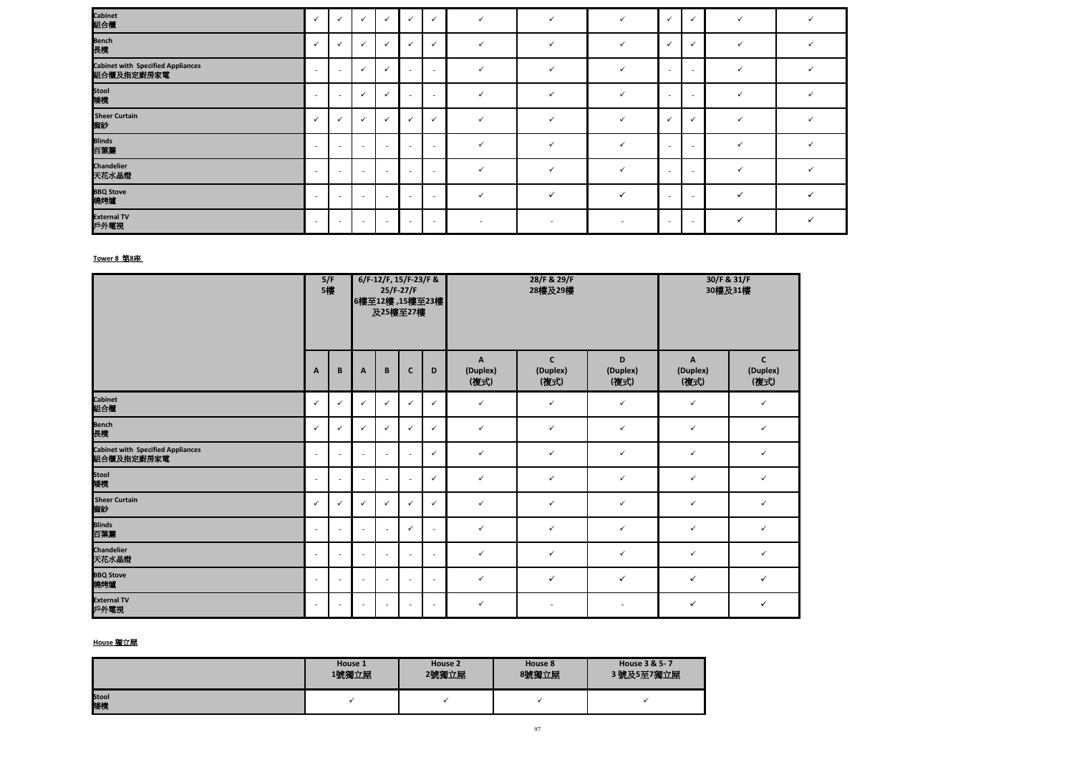| Cabinet<br>組合櫃                                  | $\checkmark$             | $\checkmark$             | $\checkmark$             | $\checkmark$             | $\checkmark$             | $\checkmark$             |              |                          |                          | $\checkmark$             | $\checkmark$             |  |
|-------------------------------------------------|--------------------------|--------------------------|--------------------------|--------------------------|--------------------------|--------------------------|--------------|--------------------------|--------------------------|--------------------------|--------------------------|--|
| ——<br>Bench<br>長櫈                               | $\checkmark$             | $\checkmark$             | $\checkmark$             | $\checkmark$             | $\checkmark$             | $\checkmark$             | $\checkmark$ | $\checkmark$             |                          | $\checkmark$             | $\checkmark$             |  |
| Cabinet with Specified Appliances<br>組合櫃及指定廚房家電 | $\sim$                   | $\sim$                   | $\checkmark$             | $\checkmark$             | $\overline{\phantom{a}}$ |                          |              |                          |                          | $\overline{a}$           | $\overline{\phantom{a}}$ |  |
| Stool<br>矮櫈                                     | $\overline{\phantom{a}}$ | $\overline{\phantom{a}}$ | $\checkmark$             | $\checkmark$             | $\overline{\phantom{a}}$ |                          |              |                          |                          | $\overline{a}$           | $\overline{\phantom{a}}$ |  |
| Sheer Curtain<br>窗紗                             | $\checkmark$             | $\checkmark$             |                          | $\checkmark$             | $\checkmark$             | $\checkmark$             |              |                          |                          | $\checkmark$             | $\checkmark$             |  |
| ─────<br>Blinds<br>百葉簾                          | $\sim$                   | $\sim$                   | $\overline{\phantom{a}}$ | $\sim$                   | $\overline{\phantom{a}}$ | $\overline{\phantom{a}}$ |              |                          |                          | $\sim$                   | $\overline{\phantom{a}}$ |  |
| Chandelier<br>天花水晶燈                             | $\overline{\phantom{a}}$ | $\overline{\phantom{a}}$ | $\overline{\phantom{a}}$ | $\overline{\phantom{a}}$ | $\sim$                   | <b>.</b>                 |              |                          |                          | $\sim$                   | $\overline{\phantom{a}}$ |  |
| BBQ Stove<br>燒烤爐                                | $\overline{\phantom{a}}$ | . .                      | $\overline{\phantom{a}}$ | $\overline{\phantom{a}}$ | $\sim$                   |                          |              |                          |                          | $\sim$                   | $\overline{\phantom{a}}$ |  |
| External TV<br>戶外電視                             | $\sim$                   | $\overline{\phantom{a}}$ | $\overline{\phantom{a}}$ | $\sim$                   | $\overline{\phantom{0}}$ | $\overline{\phantom{a}}$ | $\sim$       | $\overline{\phantom{a}}$ | $\overline{\phantom{a}}$ | $\overline{\phantom{0}}$ | $\overline{\phantom{a}}$ |  |

|                                                        |                          | 5/F<br>5樓    |                          |                | 6/F-12/F, 15/F-23/F &<br>$25/F-27/F$<br>及25樓至27樓 | 6樓至12樓, 15樓至23樓 |                                  | 28/F & 29/F<br>28樓及29樓           |                          | 30/F & 31/F<br>30樓及31樓 |                                  |  |
|--------------------------------------------------------|--------------------------|--------------|--------------------------|----------------|--------------------------------------------------|-----------------|----------------------------------|----------------------------------|--------------------------|------------------------|----------------------------------|--|
|                                                        | A                        | B            | A                        | B              | $\mathsf{C}$                                     | D               | $\mathbf{A}$<br>(Duplex)<br>(複式) | $\mathsf{C}$<br>(Duplex)<br>(複式) | D<br>(Duplex)<br>(複式)    | A<br>(Duplex)<br>(複式)  | $\mathsf{C}$<br>(Duplex)<br>(複式) |  |
| <b>Cabinet</b><br>組合櫃                                  | $\checkmark$             | $\checkmark$ | $\checkmark$             | $\checkmark$   | $\checkmark$                                     | $\checkmark$    | $\checkmark$                     | $\checkmark$                     | $\checkmark$             | $\checkmark$           | $\checkmark$                     |  |
| Bench<br>長櫈                                            | ✓                        | $\checkmark$ | ✓                        | $\checkmark$   | ✓                                                | $\checkmark$    | $\checkmark$                     | $\checkmark$                     | $\checkmark$             | $\checkmark$           | $\checkmark$                     |  |
| <b>Cabinet with Specified Appliances</b><br>組合櫃及指定廚房家電 | $\sim$                   | $\sim$       | $\overline{\phantom{a}}$ | $\sim$         | $\overline{a}$                                   | $\checkmark$    | $\checkmark$                     | $\checkmark$                     | $\checkmark$             | $\checkmark$           | $\checkmark$                     |  |
| Stool<br>矮櫈                                            | $\sim$                   | $\sim$       | $\overline{\phantom{a}}$ | $\sim$         | $\overline{\phantom{a}}$                         | $\checkmark$    | $\checkmark$                     | $\checkmark$                     | $\checkmark$             | $\checkmark$           | $\checkmark$                     |  |
| <b>Sheer Curtain</b><br>窗紗                             | $\checkmark$             | $\checkmark$ | ✓                        | $\checkmark$   | $\checkmark$                                     | $\checkmark$    | $\checkmark$                     | $\checkmark$                     | $\checkmark$             | $\checkmark$           | $\checkmark$                     |  |
| <b>Blinds</b><br>百葉簾                                   | $\sim$                   | $\sim$       | $\overline{\phantom{a}}$ | $\sim$         | $\checkmark$                                     | $\blacksquare$  | $\checkmark$                     | $\checkmark$                     | $\checkmark$             | $\checkmark$           | $\checkmark$                     |  |
| <b>Chandelier</b><br>天花水晶燈                             | $\sim$                   | $\sim$       | $\sim$                   | $\sim$         | $\sim$                                           | $\sim$          | $\checkmark$                     | $\checkmark$                     | $\checkmark$             | $\checkmark$           | $\checkmark$                     |  |
| <b>BBQ Stove</b><br>燒烤爐                                | $\overline{\phantom{a}}$ | $\sim$       | $\blacksquare$           | $\blacksquare$ | $\overline{\phantom{a}}$                         | $\sim$          | $\checkmark$                     | $\checkmark$                     | $\checkmark$             | $\checkmark$           | $\checkmark$                     |  |
| <b>External TV</b><br>戶外電視                             | $\sim$                   | $\sim$       | $\sim$                   | $\sim$         | $\sim$                                           | $\sim$          | $\checkmark$                     | $\sim$                           | $\overline{\phantom{a}}$ | $\checkmark$           | $\checkmark$                     |  |

# **Tower 8** 第**8**座

|                    | House 1 | House 2 | House 8 | House 3 & 5-7 |
|--------------------|---------|---------|---------|---------------|
|                    | 1號獨立屋   | 2號獨立屋   | 8號獨立屋   | 3號及5至7獨立屋     |
| <b>Stool</b><br>矮櫈 |         |         |         |               |

# **House** 獨立屋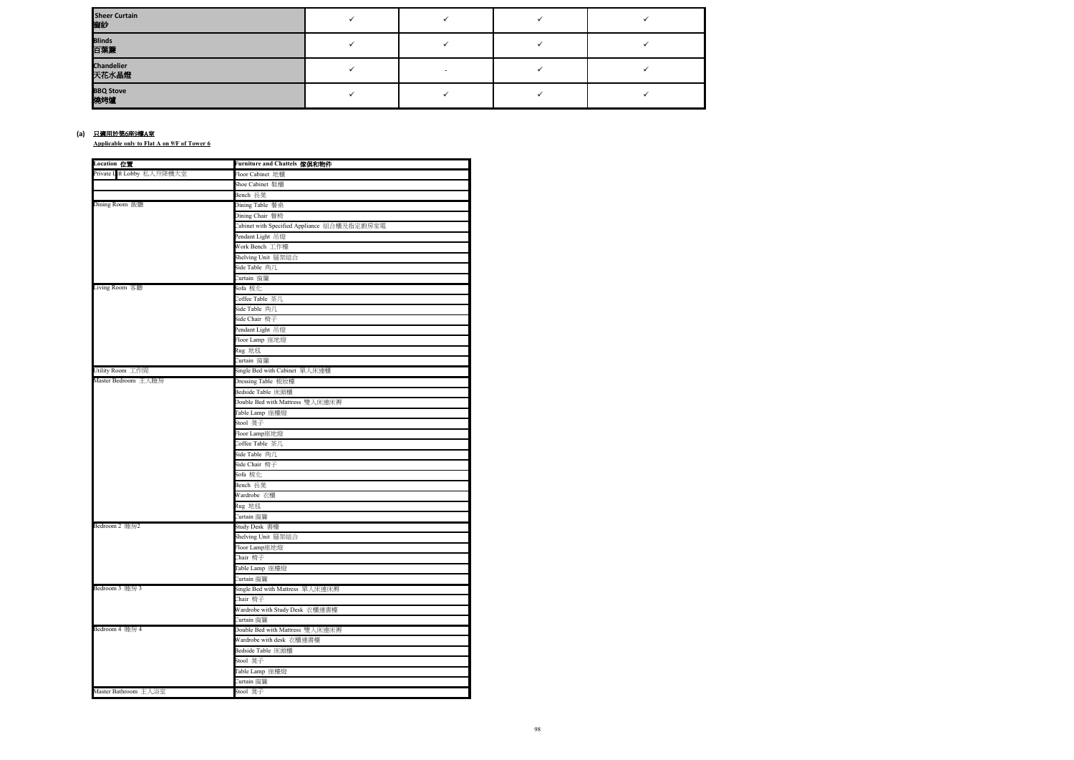**Applicable only to Flat A on 9/F of Tower 6**

| Sheer Curtain<br>窗紗 |  |  |
|---------------------|--|--|
| Blinds<br>百葉簾       |  |  |
| Chandelier<br>天花水晶燈 |  |  |
| BBQ Stove<br>燒烤爐    |  |  |

#### (a) <u>只適用於第6座9樓A室</u>

| Location 位置                | Furniture and Chattels 傢俱和物件                |
|----------------------------|---------------------------------------------|
| Private Lift Lobby 私人升降機大堂 | Floor Cabinet 地櫃                            |
|                            | Shoe Cabinet 鞋櫃                             |
|                            | Bench 長凳                                    |
| Dining Room 飯廳             | Dining Table 餐桌                             |
|                            | Dining Chair 餐椅                             |
|                            | Cabinet with Specified Appliance 組合櫃及指定廚房家電 |
|                            | Pendant Light 吊燈                            |
|                            | Work Bench 工作檯                              |
|                            | Shelving Unit 層架組合                          |
|                            | Side Table 角几                               |
|                            | Curtain 窗簾                                  |
| Living Room 客廳             | Sofa 梳化                                     |
|                            | Coffee Table 茶几                             |
|                            | Side Table 角几                               |
|                            | Side Chair 椅子                               |
|                            | Pendant Light 吊燈                            |
|                            | Floor Lamp 座地燈                              |
|                            | Rug 地毯                                      |
|                            | Curtain 窗簾                                  |
| Utility Room 工作間           | Single Bed with Cabinet 單人床連櫃               |
| Master Bedroom 主人睡房        | Dressing Table 梳妝檯                          |
|                            | Bedside Table 床頭櫃                           |
|                            | Double Bed with Mattress 雙人床連床褥             |
|                            | Table Lamp 座檯燈                              |
|                            | Stool 凳子                                    |
|                            | Floor Lamp座地燈                               |
|                            | Coffee Table 茶几                             |
|                            | Side Table 角几                               |
|                            | Side Chair 椅子                               |
|                            | Sofa 梳化                                     |
|                            | Bench 長凳                                    |
|                            | Wardrobe 衣櫃                                 |
|                            | Rug 地毯                                      |
|                            | Curtain 窗簾                                  |
| Bedroom 2 睡房2              | Study Desk 書檯                               |
|                            | Shelving Unit 層架組合                          |
|                            | Floor Lamp座地燈                               |
|                            | Chair 椅子                                    |
|                            | Table Lamp 座檯燈                              |
|                            | Curtain 窗簾                                  |
| Bedroom 3 睡房 3             | Single Bed with Mattress 單人床連床褥             |
|                            | Chair 椅子                                    |
|                            | Wardrobe with Study Desk 衣櫃連書檯              |
|                            | Curtain 窗簾                                  |
| Bedroom 4 睡房 4             | Double Bed with Mattress 雙人床連床褥             |
|                            | Wardrobe with desk 衣櫃連書檯                    |
|                            | Bedside Table 床頭櫃                           |
|                            | Stool 凳子                                    |
|                            | Table Lamp 座檯燈                              |
|                            | Curtain 窗簾                                  |
| Master Bathroom 主人浴室       | Stool 凳子                                    |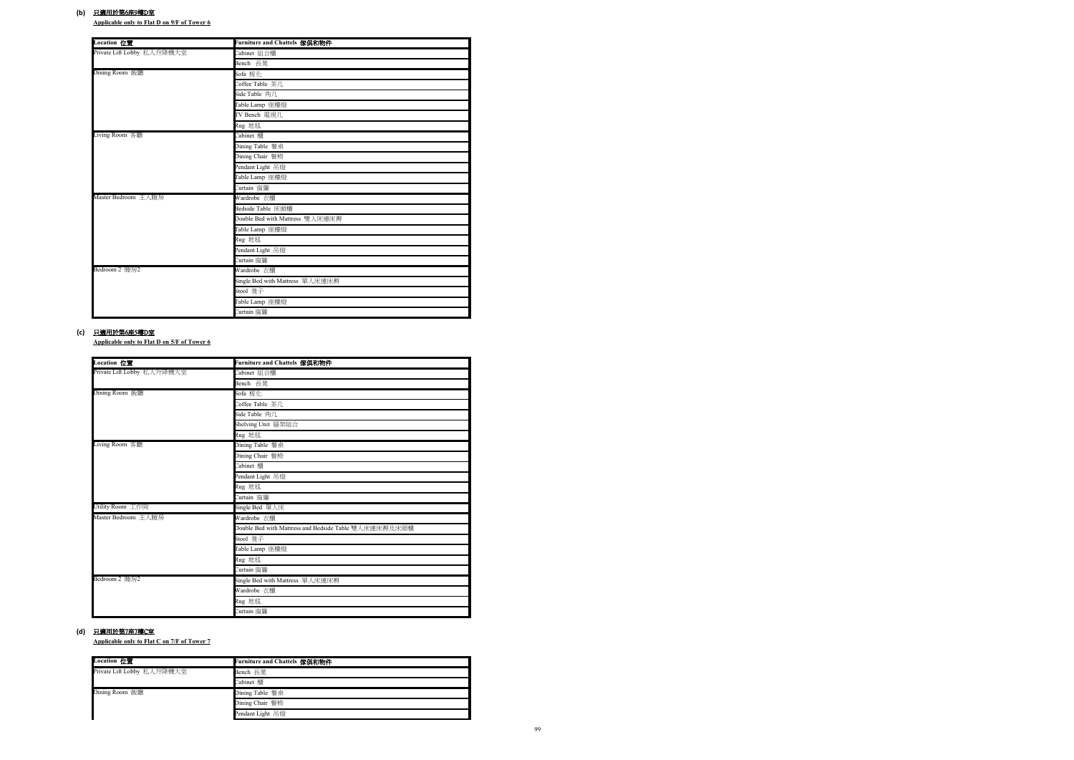**Applicable only to Flat D on 9/F of Tower 6**

**Applicable only to Flat D on 5/F of Tower 6**

#### **(b)** 只適用於第6座9樓D室

**Applicable only to Flat C on 7/F of Tower 7**

#### **(c)** 只適用於第6座5樓D室

| <b>Location</b> 位置         | Furniture and Chattels 傢俱和物件    |
|----------------------------|---------------------------------|
| Private Lift Lobby 私人升降機大堂 | Cabinet 組合櫃                     |
|                            | Bench 長凳                        |
| Dining Room 飯廳             | Sofa 梳化                         |
|                            | Coffee Table 茶几                 |
|                            | Side Table 角几                   |
|                            | Table Lamp 座檯燈                  |
|                            | TV Bench 電視几                    |
|                            | Rug 地毯                          |
| Living Room 客廳             | Cabinet 櫃                       |
|                            | Dining Table 餐桌                 |
|                            | Dining Chair 餐椅                 |
|                            | Pendant Light 吊燈                |
|                            | Table Lamp 座檯燈                  |
|                            | Curtain 窗簾                      |
| Master Bedroom 主人睡房        | Wardrobe 衣櫃                     |
|                            | Bedside Table 床頭櫃               |
|                            | Double Bed with Mattress 雙人床連床褥 |
|                            | Table Lamp 座檯燈                  |
|                            | Rug 地毯                          |
|                            | Pendant Light 吊燈                |
|                            | Curtain 窗簾                      |
| Bedroom 2 睡房2              | Wardrobe 衣櫃                     |
|                            | Single Bed with Mattress 單人床連床褥 |
|                            | Stool 凳子                        |
|                            | Table Lamp 座檯燈                  |
|                            | Curtain 窗簾                      |

#### **(d)** 只適用於第7座7樓C室

| Location 位置                | Furniture and Chattels 傢俱和物件                          |
|----------------------------|-------------------------------------------------------|
| Private Lift Lobby 私人升降機大堂 | Cabinet 組合櫃                                           |
|                            | Bench 長凳                                              |
| Dining Room 飯廳             | Sofa 梳化                                               |
|                            | Coffee Table 茶几                                       |
|                            | Side Table 角几                                         |
|                            | Shelving Unit 層架組合                                    |
|                            | Rug 地毯                                                |
| Living Room 客廳             | Dining Table 餐桌                                       |
|                            | Dining Chair 餐椅                                       |
|                            | Cabinet 櫃                                             |
|                            | Pendant Light 吊燈                                      |
|                            | Rug 地毯                                                |
|                            | Curtain 窗簾                                            |
| Utility Room 工作間           | Single Bed 單人床                                        |
| Master Bedroom 主人睡房        | Wardrobe 衣櫃                                           |
|                            | Double Bed with Mattress and Bedside Table 雙人床連床褥及床頭櫃 |
|                            | Stool 凳子                                              |
|                            | Table Lamp 座檯燈                                        |
|                            | Rug 地毯                                                |
|                            | Curtain 窗簾                                            |
| Bedroom 2 睡房2              | Single Bed with Mattress 單人床連床褥                       |
|                            | Wardrobe 衣櫃                                           |
|                            | Rug 地毯                                                |
|                            | Curtain 窗簾                                            |

| Location 位置                | Furniture and Chattels 傢俱和物件 |  |
|----------------------------|------------------------------|--|
| Private Lift Lobby 私人升降機大堂 | Bench 長凳                     |  |
|                            | Cabinet 櫃                    |  |
| Dining Room 飯廳             | Dining Table 餐桌              |  |
|                            | Dining Chair 餐椅              |  |
|                            | Pendant Light 吊燈             |  |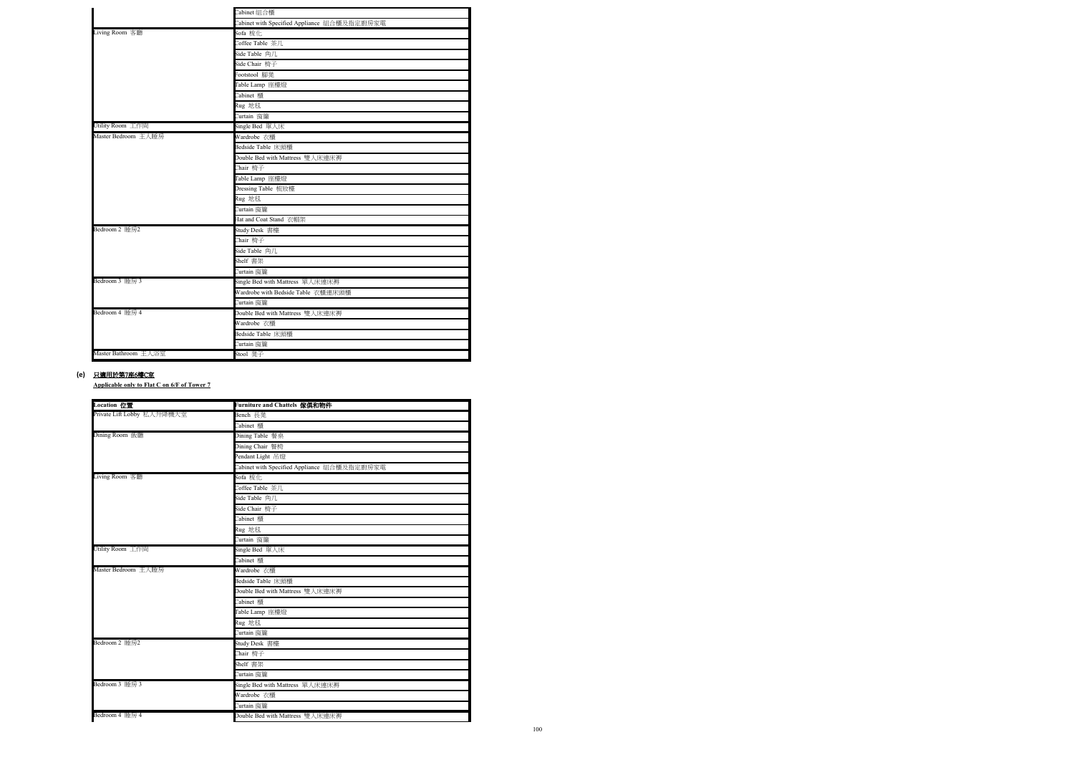**Applicable only to Flat C on 6/F of Tower 7**

#### **(e)** 只適用於第7座6樓C室

|                      | Cabinet 組合櫃                                 |  |  |
|----------------------|---------------------------------------------|--|--|
|                      | Cabinet with Specified Appliance 組合櫃及指定廚房家電 |  |  |
| Living Room 客廳       | Sofa 梳化                                     |  |  |
|                      | Coffee Table 茶几                             |  |  |
|                      | Side Table 角几                               |  |  |
|                      | Side Chair 椅子                               |  |  |
|                      | Footstool 腳凳                                |  |  |
|                      | Table Lamp 座檯燈                              |  |  |
|                      | Cabinet 櫃                                   |  |  |
|                      | Rug 地毯                                      |  |  |
|                      | Curtain 窗簾                                  |  |  |
| Utility Room 工作間     | Single Bed 單人床                              |  |  |
| Master Bedroom 主人睡房  | Wardrobe 衣櫃                                 |  |  |
|                      | Bedside Table 床頭櫃                           |  |  |
|                      | Double Bed with Mattress 雙人床連床褥             |  |  |
|                      | Chair 椅子                                    |  |  |
|                      | Table Lamp 座檯燈                              |  |  |
|                      | Dressing Table 梳妝檯                          |  |  |
|                      | Rug 地毯                                      |  |  |
|                      | Curtain <b>窗簾</b>                           |  |  |
|                      | Hat and Coat Stand 衣帽架                      |  |  |
| Bedroom 2 睡房2        | Study Desk 書檯                               |  |  |
|                      | Chair 椅子                                    |  |  |
|                      | Side Table 角几                               |  |  |
|                      | Shelf 書架                                    |  |  |
|                      | Curtain 窗簾                                  |  |  |
| Bedroom 3 睡房 3       | Single Bed with Mattress 單人床連床褥             |  |  |
|                      | Wardrobe with Bedside Table 衣櫃連床頭櫃          |  |  |
|                      | Curtain 窗簾                                  |  |  |
| Bedroom 4 睡房 4       | Double Bed with Mattress 雙人床連床褥             |  |  |
|                      | Wardrobe 衣櫃                                 |  |  |
|                      | <b>Bedside Table 床頭櫃</b>                    |  |  |
|                      | Curtain 窗簾                                  |  |  |
| Master Bathroom 主人浴室 | Stool 凳子                                    |  |  |

| Location 位置                | Furniture and Chattels 傢俱和物件                |  |  |
|----------------------------|---------------------------------------------|--|--|
| Private Lift Lobby 私人升降機大堂 | Bench 長凳                                    |  |  |
|                            | Cabinet 櫃                                   |  |  |
| Dining Room 飯廳             | Dining Table 餐桌                             |  |  |
|                            | Dining Chair 餐椅                             |  |  |
|                            | Pendant Light 吊燈                            |  |  |
|                            | Cabinet with Specified Appliance 組合櫃及指定廚房家電 |  |  |
| Living Room 客廳             | Sofa 梳化                                     |  |  |
|                            | Coffee Table 茶几                             |  |  |
|                            | Side Table 角几                               |  |  |
|                            | Side Chair 椅子                               |  |  |
|                            | Cabinet 櫃                                   |  |  |
|                            | Rug 地毯                                      |  |  |
|                            | Curtain 窗簾                                  |  |  |
| Utility Room 工作間           | Single Bed 單人床                              |  |  |
|                            | Cabinet 櫃                                   |  |  |
| Master Bedroom 主人睡房        | Wardrobe 衣櫃                                 |  |  |
|                            | Bedside Table 床頭櫃                           |  |  |
|                            | Double Bed with Mattress 雙人床連床褥             |  |  |
|                            | Cabinet 櫃                                   |  |  |
|                            | Table Lamp 座檯燈                              |  |  |
|                            | Rug 地毯                                      |  |  |
|                            | Curtain 窗簾                                  |  |  |
| Bedroom 2 睡房2              | Study Desk 書檯                               |  |  |
|                            | Chair 椅子                                    |  |  |
|                            | Shelf 書架                                    |  |  |
|                            | Curtain 窗簾                                  |  |  |
| Bedroom 3 睡房 3             | Single Bed with Mattress 單人床連床褥             |  |  |
|                            | Wardrobe 衣櫃                                 |  |  |
|                            | Curtain 窗簾                                  |  |  |
| Bedroom 4 睡房 4             | Double Bed with Mattress 雙人床連床褥             |  |  |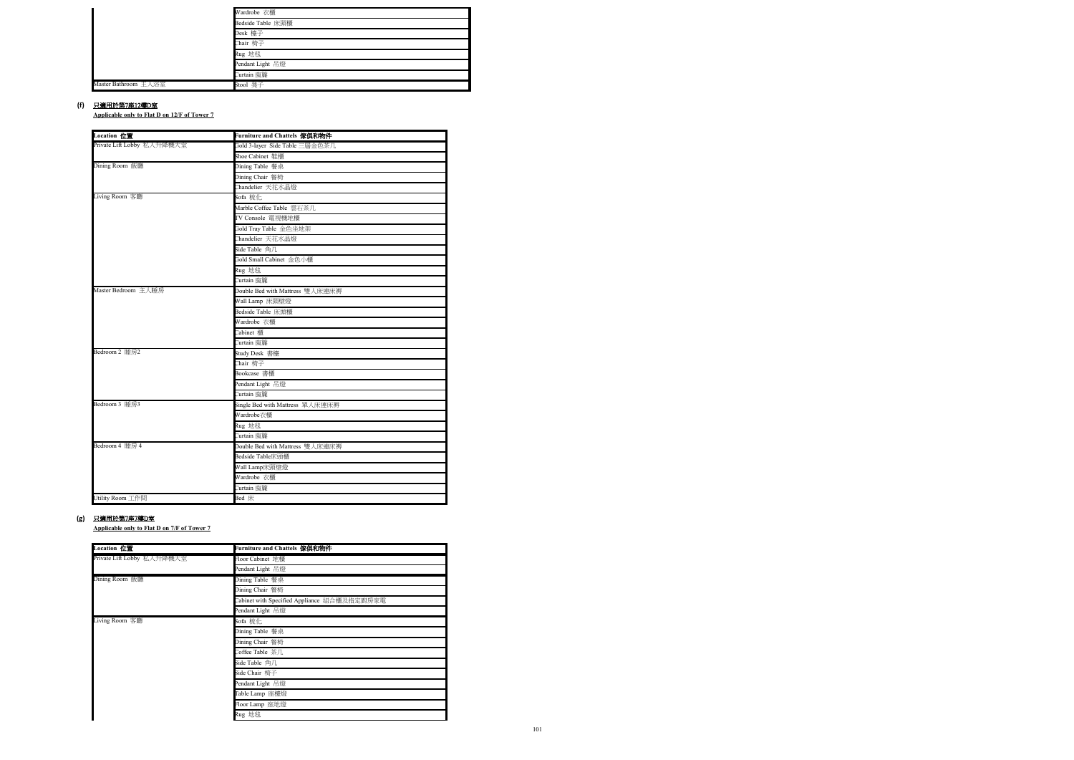**Applicable only to Flat D on 12/F of Tower 7**

**Applicable only to Flat D on 7/F of Tower 7**

#### **(f)** 只適用於第7座12樓D室

|                      | Wardrobe 衣櫃       |  |  |
|----------------------|-------------------|--|--|
|                      | Bedside Table 床頭櫃 |  |  |
|                      | Desk 檯子           |  |  |
|                      | Chair 椅子          |  |  |
|                      | Rug 地毯            |  |  |
|                      | Pendant Light 吊燈  |  |  |
|                      | Curtain 窗簾        |  |  |
| Master Bathroom 主人浴室 | Stool 凳子          |  |  |

#### **(g)** 只適用於第7座7樓D室

| <b>Location</b> 位置         | Furniture and Chattels 傢俱和物件    |  |  |
|----------------------------|---------------------------------|--|--|
| Private Lift Lobby 私人升降機大堂 | Gold 3-layer Side Table 三層金色茶几  |  |  |
|                            | Shoe Cabinet 鞋櫃                 |  |  |
| Dining Room 飯廳             | Dining Table 餐桌                 |  |  |
|                            | Dining Chair 餐椅                 |  |  |
|                            | Chandelier 天花水晶燈                |  |  |
| Living Room 客廳             | Sofa 梳化                         |  |  |
|                            | Marble Coffee Table 雲石茶几        |  |  |
|                            | TV Console 電視機地櫃                |  |  |
|                            | Gold Tray Table 金色坐地架           |  |  |
|                            | Chandelier 天花水晶燈                |  |  |
|                            | Side Table 角几                   |  |  |
|                            | Gold Small Cabinet 金色小櫃         |  |  |
|                            | Rug 地毯                          |  |  |
|                            | Curtain 窗簾                      |  |  |
| Master Bedroom 主人睡房        | Double Bed with Mattress 雙人床連床褥 |  |  |
|                            | Wall Lamp 床頭壁燈                  |  |  |
|                            | Bedside Table 床頭櫃               |  |  |
|                            | Wardrobe 衣櫃                     |  |  |
|                            | Cabinet 櫃                       |  |  |
|                            | Curtain 窗簾                      |  |  |
| Bedroom 2 睡房2              | Study Desk 書檯                   |  |  |
|                            | Chair 椅子                        |  |  |
|                            | Bookcase 書櫃                     |  |  |
|                            | Pendant Light 吊燈                |  |  |
|                            | Curtain 窗簾                      |  |  |
| Bedroom 3 睡房3              | Single Bed with Mattress 單人床連床褥 |  |  |
|                            | Wardrobe衣櫃                      |  |  |
|                            | Rug 地毯                          |  |  |
|                            | Curtain 窗簾                      |  |  |
| Bedroom 4 睡房 4             | Double Bed with Mattress 雙人床連床褥 |  |  |
|                            | Bedside Table床頭櫃                |  |  |
|                            | Wall Lamp床頭壁燈                   |  |  |
|                            | Wardrobe 衣櫃                     |  |  |
|                            | Curtain 窗簾                      |  |  |
| Utility Room 工作間           | Bed 床                           |  |  |

| Location 位置                | Furniture and Chattels 傢俱和物件                |
|----------------------------|---------------------------------------------|
| Private Lift Lobby 私人升降機大堂 | Floor Cabinet 地櫃                            |
|                            | Pendant Light 吊燈                            |
| Dining Room 飯廳             | Dining Table 餐桌                             |
|                            | Dining Chair 餐椅                             |
|                            | Cabinet with Specified Appliance 組合櫃及指定廚房家電 |
|                            | Pendant Light 吊燈                            |
| Living Room 客廳             | Sofa 梳化                                     |
|                            | Dining Table 餐桌                             |
|                            | Dining Chair 餐椅                             |
|                            | Coffee Table 茶几                             |
|                            | Side Table 角几                               |
|                            | Side Chair 椅子                               |
|                            | Pendant Light 吊燈                            |
|                            | Table Lamp 座檯燈                              |
|                            | Floor Lamp 座地燈                              |
|                            | Rug 地毯                                      |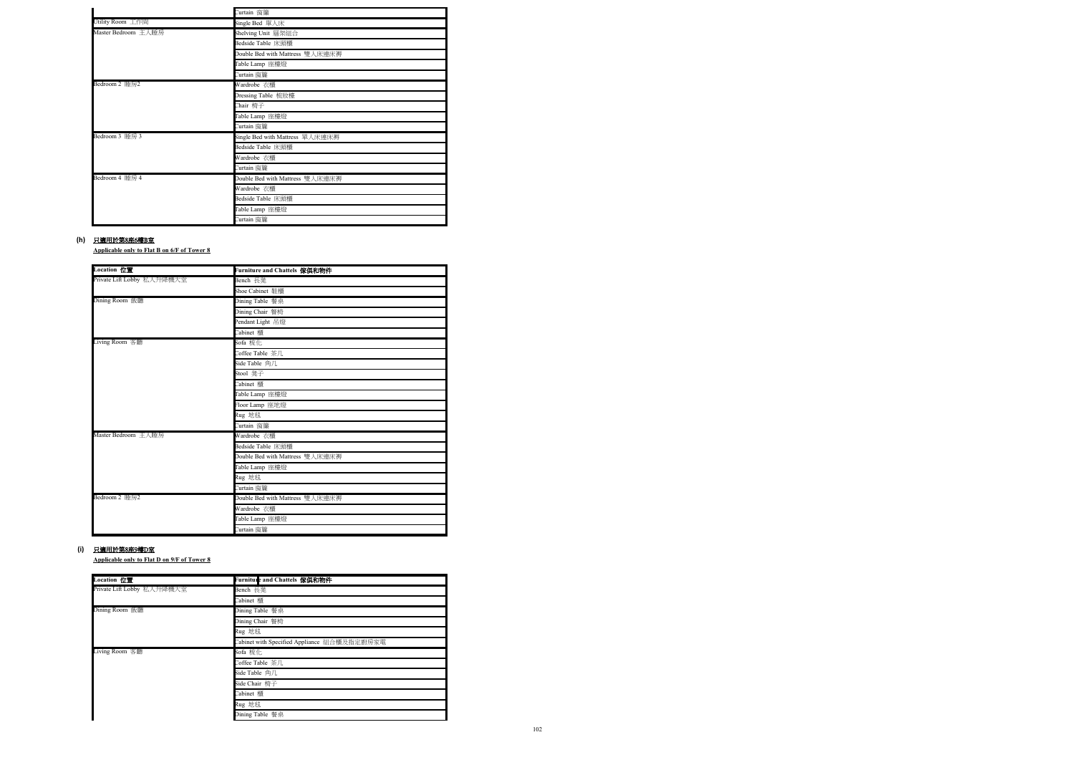**Applicable only to Flat B on 6/F of Tower 8**

**Applicable only to Flat D on 9/F of Tower 8**

#### **(h)** 只適用於第8座6樓B室

|                     | Curtain 窗簾                      |
|---------------------|---------------------------------|
| Utility Room 工作間    | Single Bed 單人床                  |
| Master Bedroom 主人睡房 | Shelving Unit 層架組合              |
|                     | Bedside Table 床頭櫃               |
|                     | Double Bed with Mattress 雙人床連床褥 |
|                     | Table Lamp 座檯燈                  |
|                     | Curtain 窗簾                      |
| Bedroom 2 睡房2       | Wardrobe 衣櫃                     |
|                     | Dressing Table 梳妝檯              |
|                     | Chair 椅子                        |
|                     | Table Lamp 座檯燈                  |
|                     | Curtain 窗簾                      |
| Bedroom 3 睡房 3      | Single Bed with Mattress 單人床連床褥 |
|                     | Bedside Table 床頭櫃               |
|                     | Wardrobe 衣櫃                     |
|                     | Curtain 窗簾                      |
| Bedroom 4 睡房 4      | Double Bed with Mattress 雙人床連床褥 |
|                     | Wardrobe 衣櫃                     |
|                     | Bedside Table 床頭櫃               |
|                     | Table Lamp 座檯燈                  |
|                     | Curtain 窗簾                      |

#### **(i)** 只適用於第8座9樓D室

| Location 位置                | Furniture and Chattels 傢俱和物件    |
|----------------------------|---------------------------------|
| Private Lift Lobby 私人升降機大堂 | Bench 長凳                        |
|                            | Shoe Cabinet 鞋櫃                 |
| Dining Room 飯廳             | Dining Table 餐桌                 |
|                            | Dining Chair 餐椅                 |
|                            | Pendant Light 吊燈                |
|                            | Cabinet 櫃                       |
| Living Room 客廳             | Sofa 梳化                         |
|                            | Coffee Table 茶几                 |
|                            | Side Table 角几                   |
|                            | Stool 凳子                        |
|                            | Cabinet 櫃                       |
|                            | Table Lamp 座檯燈                  |
|                            | Floor Lamp 座地燈                  |
|                            | Rug 地毯                          |
|                            | Curtain 窗簾                      |
| Master Bedroom 主人睡房        | Wardrobe 衣櫃                     |
|                            | Bedside Table 床頭櫃               |
|                            | Double Bed with Mattress 雙人床連床褥 |
|                            | Table Lamp 座檯燈                  |
|                            | Rug 地毯                          |
|                            | Curtain 窗簾                      |
| Bedroom 2 睡房2              | Double Bed with Mattress 雙人床連床褥 |
|                            | Wardrobe 衣櫃                     |
|                            | Table Lamp 座檯燈                  |
|                            | Curtain 窗簾                      |

| Location 位置                | Furnitule and Chattels 傢俱和物件                |  |  |
|----------------------------|---------------------------------------------|--|--|
| Private Lift Lobby 私人升降機大堂 | Bench 長凳                                    |  |  |
|                            | Cabinet 櫃                                   |  |  |
| Dining Room 飯廳             | Dining Table 餐桌                             |  |  |
|                            | Dining Chair 餐椅                             |  |  |
|                            | Rug 地毯                                      |  |  |
|                            | Cabinet with Specified Appliance 組合櫃及指定廚房家電 |  |  |
| Living Room 客廳             | Sofa 梳化                                     |  |  |
|                            | Coffee Table 茶几                             |  |  |
|                            | Side Table 角几                               |  |  |
|                            | Side Chair 椅子                               |  |  |
|                            | Cabinet 櫃                                   |  |  |
|                            | Rug 地毯                                      |  |  |
|                            | Dining Table 餐桌                             |  |  |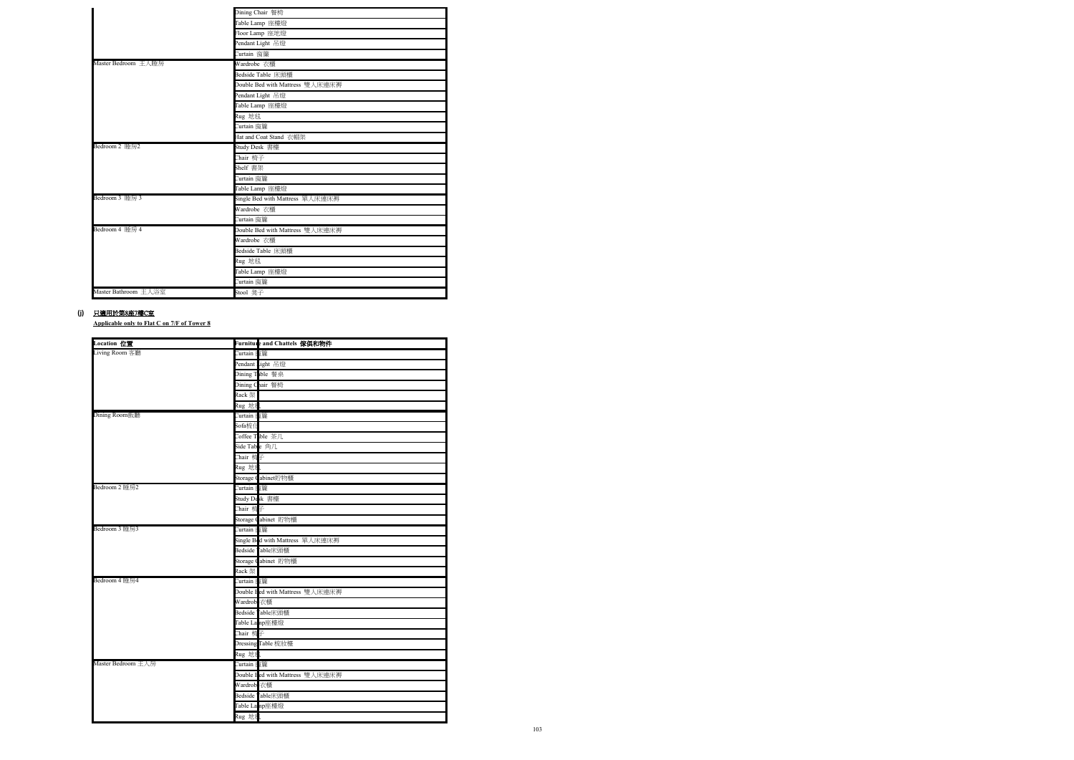**Applicable only to Flat C on 7/F of Tower 8**

|                      | Dining Chair 餐椅                 |
|----------------------|---------------------------------|
|                      | Table Lamp 座檯燈                  |
|                      | Floor Lamp 座地燈                  |
|                      | Pendant Light 吊燈                |
|                      | Curtain 窗簾                      |
| Master Bedroom 主人睡房  | Wardrobe 衣櫃                     |
|                      | Bedside Table 床頭櫃               |
|                      | Double Bed with Mattress 雙人床連床褥 |
|                      | Pendant Light 吊燈                |
|                      | Table Lamp 座檯燈                  |
|                      | Rug 地毯                          |
|                      | Curtain 窗簾                      |
|                      | Hat and Coat Stand 衣帽架          |
| Bedroom 2 睡房2        | Study Desk 書檯                   |
|                      | Chair 椅子                        |
|                      | Shelf 書架                        |
|                      | Curtain 窗簾                      |
|                      | Table Lamp 座檯燈                  |
| Bedroom 3 睡房 3       | Single Bed with Mattress 單人床連床褥 |
|                      | Wardrobe 衣櫃                     |
|                      | Curtain 窗簾                      |
| Bedroom 4 睡房 4       | Double Bed with Mattress 雙人床連床褥 |
|                      | Wardrobe 衣櫃                     |
|                      | Bedside Table 床頭櫃               |
|                      | Rug 地毯                          |
|                      | Table Lamp 座檯燈                  |
|                      | Curtain 窗簾                      |
| Master Bathroom 主人浴室 | Stool 凳子                        |

#### (j) <u>只適用於第8座7樓C室</u>

| Location 位置        |                    | Furnitule and Chattels 傢俱和物件     |
|--------------------|--------------------|----------------------------------|
| Living Room 客廳     | Curtain <b>恆</b> 簾 |                                  |
|                    |                    | Pendant Light 吊燈                 |
|                    |                    | Dining Table 餐桌                  |
|                    |                    | Dining Chair 餐椅                  |
|                    | $Rack$ 架           |                                  |
|                    | Rug 地毯             |                                  |
| Dining Room飯廳      | Curtain <b>個</b> 簾 |                                  |
|                    | Sofa梳什             |                                  |
|                    |                    | Coffee Table 茶几                  |
|                    | Side Tab e 角几      |                                  |
|                    | Chair 椅子           |                                  |
|                    | Rug 地毯             |                                  |
|                    |                    | Storage Cabinet貯物櫃               |
| Bedroom 2 睡房2      | Curtain <b>福</b> 簾 |                                  |
|                    | Study Desk 書檯      |                                  |
|                    | Chair 椅子           |                                  |
|                    |                    | Storage Cabinet 貯物櫃              |
| Bedroom 3 睡房3      | Curtain <b>個</b> 簾 |                                  |
|                    |                    | Single Bad with Mattress 單人床連床褥  |
|                    |                    | Bedside Table床頭櫃                 |
|                    |                    | Storage Cabinet 貯物櫃              |
|                    | Rack 架             |                                  |
| Bedroom 4 睡房4      | Curtain 宿簾         |                                  |
|                    |                    | Double I ed with Mattress 雙人床連床褥 |
|                    | Wardrobe衣櫃         |                                  |
|                    |                    | Bedside Table床頭櫃                 |
|                    |                    | Table La np座檯燈                   |
|                    | Chair 椅子           |                                  |
|                    |                    | Dressing Table 梳妝檯               |
|                    | Rug 地毯             |                                  |
| Master Bedroom 主人房 | Curtain <b>指</b> 簾 |                                  |
|                    |                    | Double Hed with Mattress 雙人床連床褥  |
|                    | Wardrobe衣櫃         |                                  |
|                    |                    | Bedside 「able床頭櫃                 |
|                    |                    | Table La np座檯燈                   |
|                    | Rug 地毯             |                                  |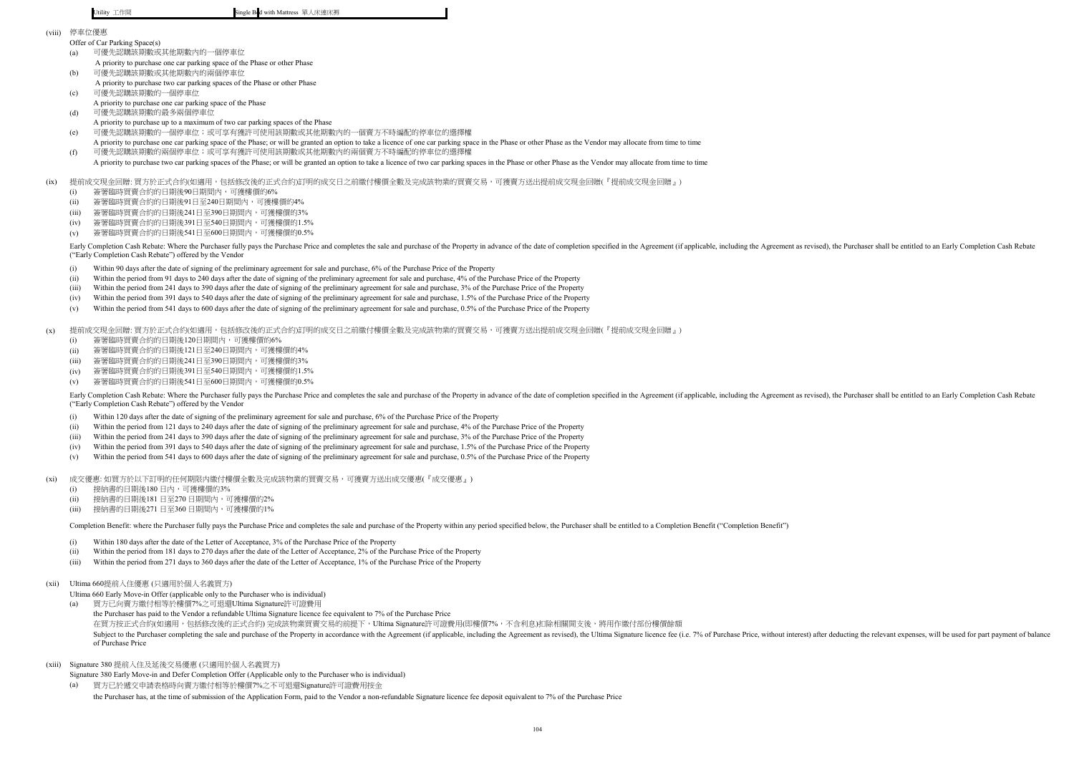Utility 工作間 Single Bed with Mattress 單人床連床褥

- (i) Within 90 days after the date of signing of the preliminary agreement for sale and purchase, 6% of the Purchase Price of the Property
- (ii) Within the period from 91 days to 240 days after the date of signing of the preliminary agreement for sale and purchase, 4% of the Purchase Price of the Property
- (iii) Within the period from 241 days to 390 days after the date of signing of the preliminary agreement for sale and purchase, 3% of the Purchase Price of the Property
- (iv) Within the period from 391 days to 540 days after the date of signing of the preliminary agreement for sale and purchase, 1.5% of the Purchase Price of the Property
- (v) Within the period from 541 days to 600 days after the date of signing of the preliminary agreement for sale and purchase, 0.5% of the Purchase Price of the Property

 $(x)$ 提前成交現金回贈: 買方於正式合約(如適用,包括修改後的正式合約)訂明的成交日之前繳付樓價全數及完成該物業的買賣交易,可獲賣方送出提前成交現金回贈(『提前成交現金回贈』)

- (viii) 停車位優惠
	- Offer of Car Parking Space(s)
	- (a) 可優先認購該期數或其他期數內的一個停車位 A priority to purchase one car parking space of the Phase or other Phase
	- (b) 可優先認購該期數或其他期數內的兩個停車位
	- A priority to purchase two car parking spaces of the Phase or other Phase (c) 可優先認購該期數的一個停車位
	- A priority to purchase one car parking space of the Phase
	- (d) 可優先認購該期數的最多兩個停車位 A priority to purchase up to a maximum of two car parking spaces of the Phase
	- (e) 可優先認購該期數的一個停車位;或可享有獲許可使用該期數或其他期數內的一個賣方不時編配的停車位的選擇權
	- A priority to purchase one car parking space of the Phase; or will be granted an option to take a licence of one car parking space in the Phase or other Phase as the Vendor may allocate from time to time (f) 可優先認購該期數的兩個停車位;或可享有獲許可使用該期數或其他期數內的兩個賣方不時編配的停車位的選擇權
	- A priority to purchase two car parking spaces of the Phase; or will be granted an option to take a licence of two car parking spaces in the Phase or other Phase as the Vendor may allocate from time to time
- $(ix)$ 提前成交現金回贈: 買方於正式合約(如適用,包括修改後的正式合約)訂明的成交日之前繳付樓價全數及完成該物業的買賣交易,可獲賣方送出提前成交現金回贈(『提前成交現金回贈』)
	- (i) 簽署臨時買賣合約的日期後90日期間內,可獲樓價的6%
	- (ii) 簽署臨時買賣合約的日期後91日至240日期間內,可獲樓價的4%
	- (iii) 簽署臨時買賣合約的日期後241日至390日期間內,可獲樓價的3%
	- $(iv)$ 簽署臨時買賣合約的日期後391日至540日期間內,可獲樓價的1.5%
	- (v) 簽署臨時買賣合約的日期後541日至600日期間內,可獲樓價的0.5%

Early Completion Cash Rebate: Where the Purchaser fully pays the Purchase Price and completes the sale and purchase of the Property in advance of the date of completion specified in the Agreement (if applicable, including ("Early Completion Cash Rebate") offered by the Vendor

- (i) Within 120 days after the date of signing of the preliminary agreement for sale and purchase, 6% of the Purchase Price of the Property
- (ii) Within the period from 121 days to 240 days after the date of signing of the preliminary agreement for sale and purchase, 4% of the Purchase Price of the Property
- (iii) Within the period from 241 days to 390 days after the date of signing of the preliminary agreement for sale and purchase, 3% of the Purchase Price of the Property
- (iv) Within the period from 391 days to 540 days after the date of signing of the preliminary agreement for sale and purchase, 1.5% of the Purchase Price of the Property
- (v) Within the period from 541 days to 600 days after the date of signing of the preliminary agreement for sale and purchase, 0.5% of the Purchase Price of the Property

Early Completion Cash Rebate: Where the Purchaser fully pays the Purchase Price and completes the sale and purchase of the Property in advance of the date of completion specified in the Agreement (if applicable, including ("Early Completion Cash Rebate") offered by the Vendor

 $(x<sub>i</sub>)$ 成交優惠: 如買方於以下訂明的任何期限内繳付樓價全數及完成該物業的買賣交易,可獲賣方送出成交優惠(『成交優惠』)

- (i) 簽署臨時買賣合約的日期後120日期間內,可獲樓價的6%
- (ii) 簽署臨時買賣合約的日期後121日至240日期間內,可獲樓價的4%
- (iii) 簽署臨時買賣合約的日期後241日至390日期間內,可獲樓價的3%
- (iv) 簽署臨時買賣合約的日期後391日至540日期間內,可獲樓價的1.5%
- (v) 簽署臨時買賣合約的日期後541日至600日期間內,可獲樓價的0.5%

Ultima 660 Early Move-in Offer (applicable only to the Purchaser who is individual)

- (i) 接納書的日期後180 日內,可獲樓價的3%
- (ii) 接納書的日期後181日至270日期間內,可獲樓價的2%
- (iii) 接納書的日期後271 日至360 日期間內,可獲樓價的1%

Completion Benefit: where the Purchaser fully pays the Purchase Price and completes the sale and purchase of the Property within any period specified below, the Purchaser shall be entitled to a Completion Benefit ("Complet

- (i) Within 180 days after the date of the Letter of Acceptance, 3% of the Purchase Price of the Property
- (ii) Within the period from 181 days to 270 days after the date of the Letter of Acceptance, 2% of the Purchase Price of the Property
- (iii) Within the period from 271 days to 360 days after the date of the Letter of Acceptance, 1% of the Purchase Price of the Property
- (xii) Ultima 660提前入住優惠 (只適用於個人名義買方)

- (a) the Purchaser has paid to the Vendor a refundable Ultima Signature licence fee equivalent to 7% of the Purchase Price 買方已向賣方繳付相等於樓價7%之可退還Ultima Signature許可證費用 在買方按正式合約(如適用,包括修改後的正式合約) 完成該物業買賣交易的前提下,Ultima Signature許可證費用(即樓價7%,不含利息)扣除相關開支後,將用作繳付部份樓價餘額 Subject to the Purchaser completing the sale and purchase of the Property in accordance with the Agreement (if applicable, including the Agreement as revised), the Ultima Signature licence fee (i.e. 7% of Purchase Price, w of Purchase Price
- (xiii) Signature 380 提前入住及延後交易優惠 (只適用於個人名義買方)
	- Signature 380 Early Move-in and Defer Completion Offer (Applicable only to the Purchaser who is individual)
	- (a) the Purchaser has, at the time of submission of the Application Form, paid to the Vendor a non-refundable Signature licence fee deposit equivalent to 7% of the Purchase Price 買方已於遞交申請表格時向賣方繳付相等於樓價7%之不可退還Signature許可證費用按金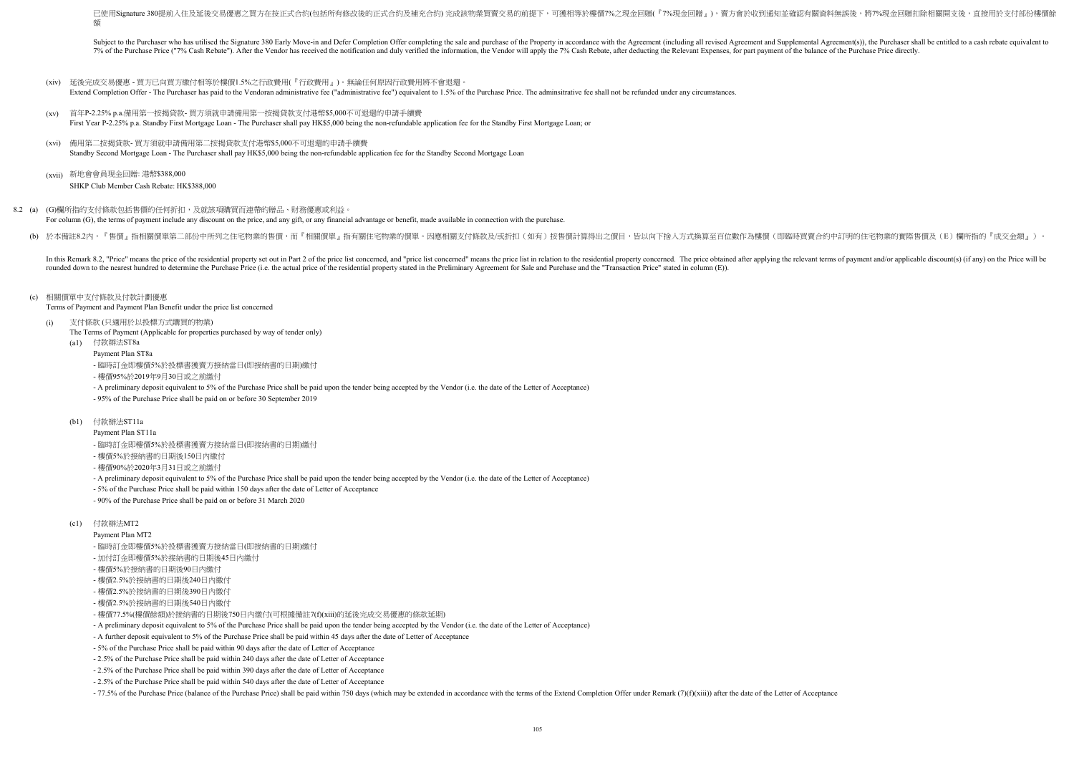- (xiv) 延後完成交易優惠 買方已向買方繳付相等於樓價1.5%之行政費用(『行政費用』)。無論任何原因行政費用將不會退還。 Extend Completion Offer - The Purchaser has paid to the Vendoran administrative fee ("administrative fee") equivalent to 1.5% of the Purchase Price. The adminsitrative fee shall not be refunded under any circumstances.
- $(xv)$ First Year P-2.25% p.a. Standby First Mortgage Loan - The Purchaser shall pay HK\$5,000 being the non-refundable application fee for the Standby First Mortgage Loan; or 首年P-2.25% p.a.備用第一按揭貸款- 買方須就申請備用第一按揭貸款支付港幣\$5,000不可退還的申請手續費
- (xvi) 備用第二按揭貸款- 買方須就申請備用第二按揭貸款支付港幣\$5,000不可退還的申請手續費 Standby Second Mortgage Loan - The Purchaser shall pay HK\$5,000 being the non-refundable application fee for the Standby Second Mortgage Loan
- (xvii) 新地會會員現金回贈: 港幣\$388,000 SHKP Club Member Cash Rebate: HK\$388,000
- 8.2 (a) (G)欄所指的支付條款包括售價的任何折扣,及就該項購買而連帶的贈品、財務優惠或利益。 For column (G), the terms of payment include any discount on the price, and any gift, or any financial advantage or benefit, made available in connection with the purchase.
	- (b) 於本備註8.2內,『售價』指相關價單第二部份中所列之住宅物業的售價,而『相關價單』指有關住宅物業的價單。因應相關支付條款及/或折扣(如有)按售價計算得出之價目,皆以向下捨入方式換算至百位數作為樓價(即臨時買賣合約中訂明的住宅物業的實際售價及(E)欄所指的『成交金額』)。

In this Remark 8.2, "Price" means the price of the residential property set out in Part 2 of the price list concerned, and "price list concerned" means the price list in relation to the residential property concerned. The rounded down to the nearest hundred to determine the Purchase Price (i.e. the actual price of the residential property stated in the Preliminary Agreement for Sale and Purchase and the "Transaction Price" stated in column

- Payment Plan MT2
- 臨時訂金即樓價5%於投標書獲賣方接納當日(即接納書的日期)繳付
- 加付訂金即樓價5%於接納書的日期後45日內繳付
- 樓價5%於接納書的日期後90日內繳付
- 樓價2.5%於接納書的日期後240日內繳付
- 樓價2.5%於接納書的日期後390日內繳付
- 樓價2.5%於接納書的日期後540日內繳付
- 樓價77.5%(樓價餘額)於接納書的日期後750日內繳付(可根據備註7(f)(xiii)的延後完成交易優惠的條款延期)
- A preliminary deposit equivalent to 5% of the Purchase Price shall be paid upon the tender being accepted by the Vendor (i.e. the date of the Letter of Acceptance)
- A further deposit equivalent to 5% of the Purchase Price shall be paid within 45 days after the date of Letter of Acceptance
- 5% of the Purchase Price shall be paid within 90 days after the date of Letter of Acceptance
- 2.5% of the Purchase Price shall be paid within 240 days after the date of Letter of Acceptance
- 2.5% of the Purchase Price shall be paid within 390 days after the date of Letter of Acceptance
- 2.5% of the Purchase Price shall be paid within 540 days after the date of Letter of Acceptance
- -77.5% of the Purchase Price (balance of the Purchase Price) shall be paid within 750 days (which may be extended in accordance with the terms of the Extend Completion Offer under Remark (7)(f)(xiii)) after the date of the

### (c) 相關價單中支付條款及付款計劃優惠

Terms of Payment and Payment Plan Benefit under the price list concerned

- (i) 支付條款 (只適用於以投標方式購買的物業)
	- The Terms of Payment (Applicable for properties purchased by way of tender only)
	- (a1) 付款辦法ST8a
		- Payment Plan ST8a
		- 臨時訂金即樓價5%於投標書獲賣方接納當日(即接納書的日期)繳付
		- 樓價95%於2019年9月30日或之前繳付
		- A preliminary deposit equivalent to 5% of the Purchase Price shall be paid upon the tender being accepted by the Vendor (i.e. the date of the Letter of Acceptance)
		- 95% of the Purchase Price shall be paid on or before 30 September 2019
	- (b1) 付款辦法ST11a
		- Payment Plan ST11a
		- 臨時訂金即樓價5%於投標書獲賣方接納當日(即接納書的日期)繳付
		- 樓價5%於接納書的日期後150日內繳付
		- 樓價90%於2020年3月31日或之前繳付
		- A preliminary deposit equivalent to 5% of the Purchase Price shall be paid upon the tender being accepted by the Vendor (i.e. the date of the Letter of Acceptance)
		- 5% of the Purchase Price shall be paid within 150 days after the date of Letter of Acceptance
		- 90% of the Purchase Price shall be paid on or before 31 March 2020

已使用Signature 380提前入住及延後交易優惠之買方在按正式合約(包括所有修改後的正式合約及補充合約)完成該物業買賣交易的前提下,可獲相等於樓價7%之現金回贈(『7%現金回贈』),賣方會於收到通知並確認有關資料無誤後,將7%現金回贈扣除相關開支後,直接用於支付部份樓價餘 額

Subject to the Purchaser who has utilised the Signature 380 Early Move-in and Defer Completion Offer completing the sale and purchase of the Property in accordance with the Agreement (including all revised Agreement and Su 7% of the Purchase Price ("7% Cash Rebate"). After the Vendor has received the notification and duly verified the information, the Vendor will apply the 7% Cash Rebate, after deducting the Relevant Expenses, for part payme

## (c1) 付款辦法MT2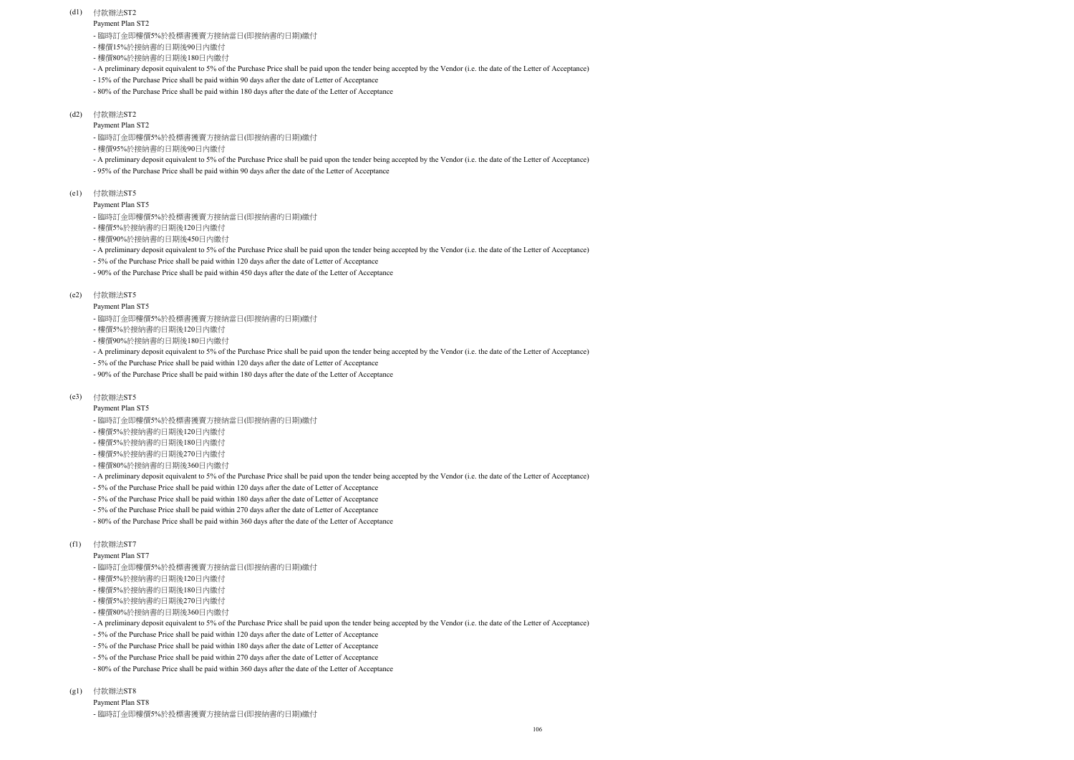Payment Plan ST2

Payment Plan ST5

### Payment Plan ST5

### (d1) 付款辦法ST2

- 樓價15%於接納書的日期後90日內繳付
- 樓價80%於接納書的日期後180日內繳付
- A preliminary deposit equivalent to 5% of the Purchase Price shall be paid upon the tender being accepted by the Vendor (i.e. the date of the Letter of Acceptance)
- 15% of the Purchase Price shall be paid within 90 days after the date of Letter of Acceptance
- 80% of the Purchase Price shall be paid within 180 days after the date of the Letter of Acceptance

#### (d2) 付款辦法ST2

#### $(g1)$ 付款辦法ST8

- 樓價95%於接納書的日期後90日內繳付
- A preliminary deposit equivalent to 5% of the Purchase Price shall be paid upon the tender being accepted by the Vendor (i.e. the date of the Letter of Acceptance)
- 95% of the Purchase Price shall be paid within 90 days after the date of the Letter of Acceptance

#### (e1) 付款辦法ST5

- Payment Plan ST5
- 臨時訂金即樓價5%於投標書獲賣方接納當日(即接納書的日期)繳付
- 樓價5%於接納書的日期後120日內繳付
- 樓價5%於接納書的日期後180日內繳付
- 樓價5%於接納書的日期後270日內繳付
- 樓價80%於接納書的日期後360日內繳付
- A preliminary deposit equivalent to 5% of the Purchase Price shall be paid upon the tender being accepted by the Vendor (i.e. the date of the Letter of Acceptance)
- 5% of the Purchase Price shall be paid within 120 days after the date of Letter of Acceptance
- 5% of the Purchase Price shall be paid within 180 days after the date of Letter of Acceptance
- 5% of the Purchase Price shall be paid within 270 days after the date of Letter of Acceptance
- 80% of the Purchase Price shall be paid within 360 days after the date of the Letter of Acceptance
- 樓價5%於接納書的日期後120日內繳付
- 樓價90%於接納書的日期後450日內繳付
- A preliminary deposit equivalent to 5% of the Purchase Price shall be paid upon the tender being accepted by the Vendor (i.e. the date of the Letter of Acceptance)
- 5% of the Purchase Price shall be paid within 120 days after the date of Letter of Acceptance
- 90% of the Purchase Price shall be paid within 450 days after the date of the Letter of Acceptance

### (e2) 付款辦法ST5

- 臨時訂金即樓價5%於投標書獲賣方接納當日(即接納書的日期)繳付
- 樓價5%於接納書的日期後120日內繳付
- 樓價90%於接納書的日期後180日內繳付
- A preliminary deposit equivalent to 5% of the Purchase Price shall be paid upon the tender being accepted by the Vendor (i.e. the date of the Letter of Acceptance)
- 5% of the Purchase Price shall be paid within 120 days after the date of Letter of Acceptance
- 90% of the Purchase Price shall be paid within 180 days after the date of the Letter of Acceptance

#### (e3) 付款辦法ST5

- Payment Plan ST7
- 臨時訂金即樓價5%於投標書獲賣方接納當日(即接納書的日期)繳付
- 樓價5%於接納書的日期後120日內繳付
- 樓價5%於接納書的日期後180日內繳付
- 樓價5%於接納書的日期後270日內繳付
- 樓價80%於接納書的日期後360日內繳付
- A preliminary deposit equivalent to 5% of the Purchase Price shall be paid upon the tender being accepted by the Vendor (i.e. the date of the Letter of Acceptance)
- 5% of the Purchase Price shall be paid within 120 days after the date of Letter of Acceptance
- 5% of the Purchase Price shall be paid within 180 days after the date of Letter of Acceptance
- 5% of the Purchase Price shall be paid within 270 days after the date of Letter of Acceptance
- 80% of the Purchase Price shall be paid within 360 days after the date of the Letter of Acceptance

## (f1) 付款辦法ST7

- 臨時訂金即樓價5%於投標書獲賣方接納當日(即接納書的日期)繳付

- 臨時訂金即樓價5%於投標書獲賣方接納當日(即接納書的日期)繳付

- 臨時訂金即樓價5%於投標書獲賣方接納當日(即接納書的日期)繳付

Payment Plan ST8 - 臨時訂金即樓價5%於投標書獲賣方接納當日(即接納書的日期)繳付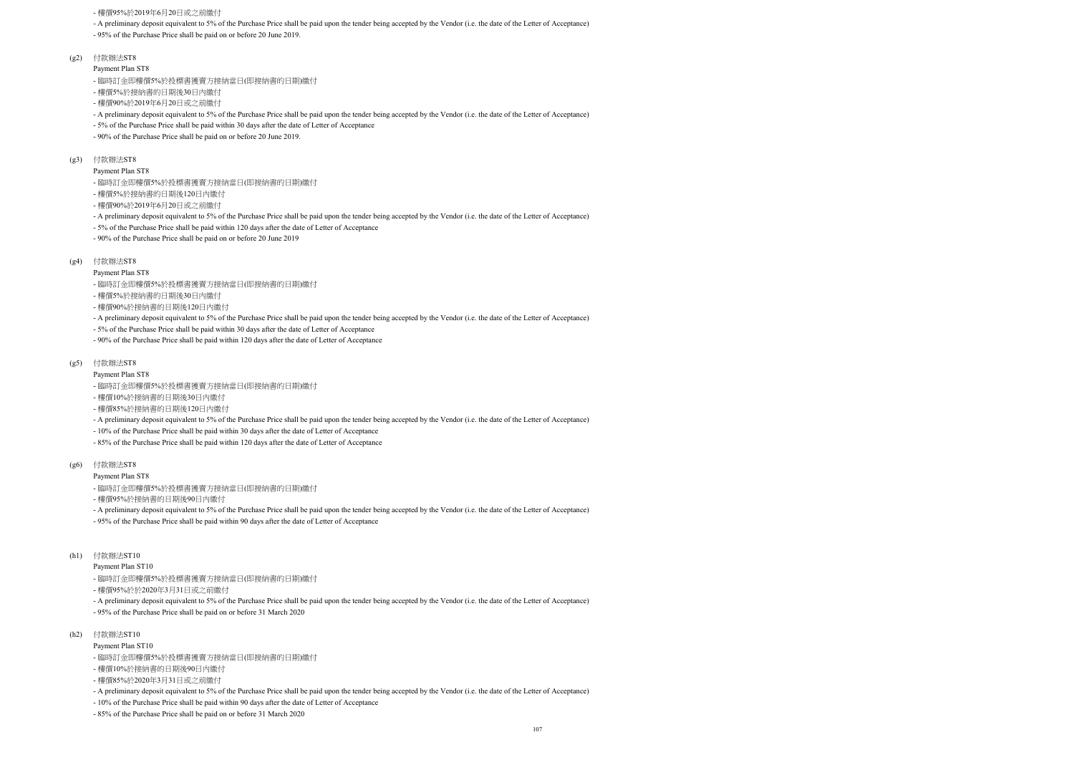- A preliminary deposit equivalent to 5% of the Purchase Price shall be paid upon the tender being accepted by the Vendor (i.e. the date of the Letter of Acceptance)

- 95% of the Purchase Price shall be paid on or before 20 June 2019.

- (g2) 付款辦法ST8
	- Payment Plan ST8

- A preliminary deposit equivalent to 5% of the Purchase Price shall be paid upon the tender being accepted by the Vendor (i.e. the date of the Letter of Acceptance)

- 5% of the Purchase Price shall be paid within 30 days after the date of Letter of Acceptance

### Payment Plan ST8

- A preliminary deposit equivalent to 5% of the Purchase Price shall be paid upon the tender being accepted by the Vendor (i.e. the date of the Letter of Acceptance)

- 5% of the Purchase Price shall be paid within 120 days after the date of Letter of Acceptance

- 90% of the Purchase Price shall be paid on or before 20 June 2019

Payment Plan ST8

- A preliminary deposit equivalent to 5% of the Purchase Price shall be paid upon the tender being accepted by the Vendor (i.e. the date of the Letter of Acceptance)

- 5% of the Purchase Price shall be paid within 30 days after the date of Letter of Acceptance

- 90% of the Purchase Price shall be paid within 120 days after the date of Letter of Acceptance

Payment Plan ST8

- A preliminary deposit equivalent to 5% of the Purchase Price shall be paid upon the tender being accepted by the Vendor (i.e. the date of the Letter of Acceptance)

- 10% of the Purchase Price shall be paid within 30 days after the date of Letter of Acceptance

- 90% of the Purchase Price shall be paid on or before 20 June 2019.
- (g3) 付款辦法ST8

- 85% of the Purchase Price shall be paid within 120 days after the date of Letter of Acceptance

Payment Plan ST8

- A preliminary deposit equivalent to 5% of the Purchase Price shall be paid upon the tender being accepted by the Vendor (i.e. the date of the Letter of Acceptance)

### (g4) 付款辦法ST8

- 95% of the Purchase Price shall be paid within 90 days after the date of Letter of Acceptance

Payment Plan ST10

- A preliminary deposit equivalent to 5% of the Purchase Price shall be paid upon the tender being accepted by the Vendor (i.e. the date of the Letter of Acceptance)

#### (g5) 付款辦法ST8

- 95% of the Purchase Price shall be paid on or before 31 March 2020

Payment Plan ST10

(g6) 付款辦法ST8

- A preliminary deposit equivalent to 5% of the Purchase Price shall be paid upon the tender being accepted by the Vendor (i.e. the date of the Letter of Acceptance)

- 10% of the Purchase Price shall be paid within 90 days after the date of Letter of Acceptance

(h1) 付款辦法ST10

- 85% of the Purchase Price shall be paid on or before 31 March 2020

- 樓價95%於2019年6月20日或之前繳付

- 臨時訂金即樓價5%於投標書獲賣方接納當日(即接納書的日期)繳付

- 樓價5%於接納書的日期後30日內繳付

(h2) 付款辦法ST10

- 樓價90%於2019年6月20日或之前繳付

- 臨時訂金即樓價5%於投標書獲賣方接納當日(即接納書的日期)繳付

- 樓價5%於接納書的日期後120日內繳付

- 樓價90%於2019年6月20日或之前繳付

- 臨時訂金即樓價5%於投標書獲賣方接納當日(即接納書的日期)繳付

- 樓價5%於接納書的日期後30日內繳付

- 樓價90%於接納書的日期後120日內繳付

- 臨時訂金即樓價5%於投標書獲賣方接納當日(即接納書的日期)繳付

- 樓價10%於接納書的日期後30日內繳付

- 樓價85%於接納書的日期後120日內繳付

- 臨時訂金即樓價5%於投標書獲賣方接納當日(即接納書的日期)繳付

- 樓價95%於接納書的日期後90日內繳付

- 臨時訂金即樓價5%於投標書獲賣方接納當日(即接納書的日期)繳付

- 樓價95%於於2020年3月31日或之前繳付

- 臨時訂金即樓價5%於投標書獲賣方接納當日(即接納書的日期)繳付

- 樓價10%於接納書的日期後90日內繳付

- 樓價85%於2020年3月31日或之前繳付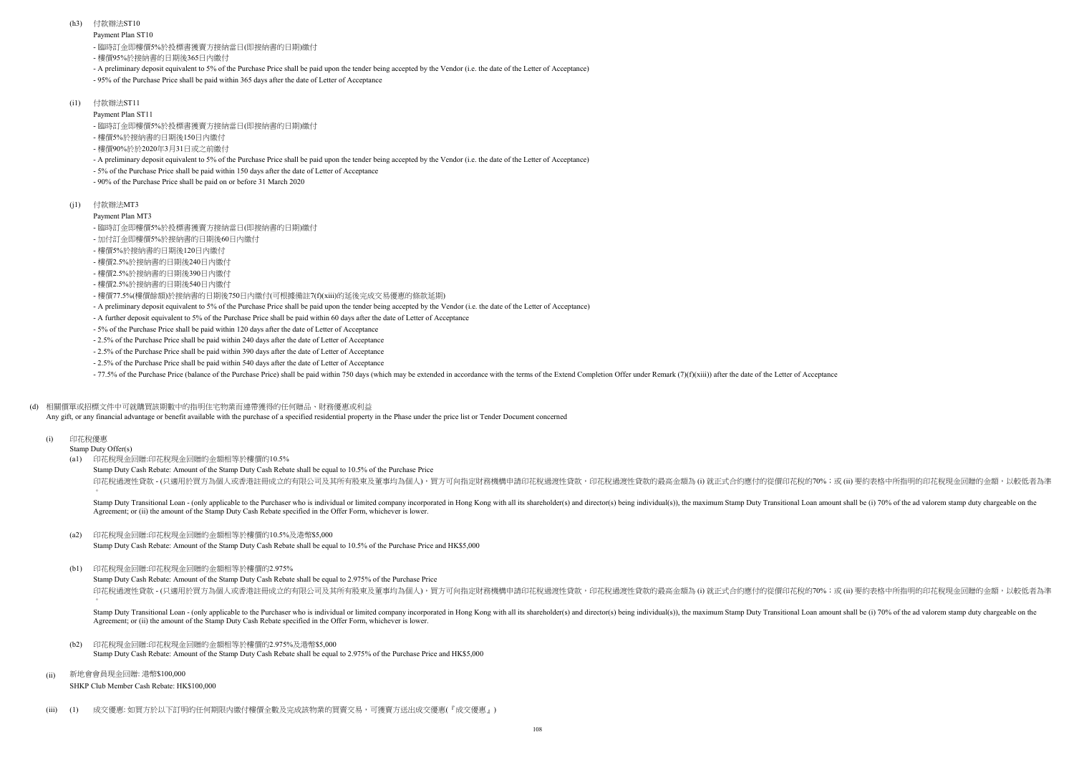- 95% of the Purchase Price shall be paid within 365 days after the date of Letter of Acceptance

Payment Plan ST11

- A preliminary deposit equivalent to 5% of the Purchase Price shall be paid upon the tender being accepted by the Vendor (i.e. the date of the Letter of Acceptance)

- 5% of the Purchase Price shall be paid within 150 days after the date of Letter of Acceptance

- 90% of the Purchase Price shall be paid on or before 31 March 2020

Payment Plan MT3

- A further deposit equivalent to 5% of the Purchase Price shall be paid within 60 days after the date of Letter of Acceptance

- 5% of the Purchase Price shall be paid within 120 days after the date of Letter of Acceptance

Stamp Duty Cash Rebate: Amount of the Stamp Duty Cash Rebate shall be equal to 10.5% of the Purchase Price 印花稅過渡性貸款 - (只適用於買方為個人或香港註冊成立的有限公司及其所有股東及董事均為個人),買方可向指定財務機構申請印花稅過渡性貸款,印花稅過渡性貸款的最高金額為 (i) 就正式合約應付的從價印花稅的70%;或 (ii) 要約表格中所指明的印花稅現金回贈的金額,以較低者為準

- 2.5% of the Purchase Price shall be paid within 240 days after the date of Letter of Acceptance

Stamp Duty Cash Rebate: Amount of the Stamp Duty Cash Rebate shall be equal to 2.975% of the Purchase Price 印花稅過渡性貸款 - (只適用於買方為個人或香港註冊成立的有限公司及其所有股東及董事均為個人),買方可向指定財務機構申請印花稅過渡性貸款,印花稅過渡性貸款的最高金額為 (i) 就正式合約應付的從價印花稅的70%;或 (ü) 要約表格中所指明的印花稅現金回贈的金額,以較低者為準

- 2.5% of the Purchase Price shall be paid within 390 days after the date of Letter of Acceptance
- 2.5% of the Purchase Price shall be paid within 540 days after the date of Letter of Acceptance

-77.5% of the Purchase Price (balance of the Purchase Price) shall be paid within 750 days (which may be extended in accordance with the terms of the Extend Completion Offer under Remark (7)( $f(xiii)$ ) after the date of the

(h3) 付款辦法ST10

 $(i1)$ 付款辦法MT3

- 樓價95%於接納書的日期後365日內繳付
- A preliminary deposit equivalent to 5% of the Purchase Price shall be paid upon the tender being accepted by the Vendor (i.e. the date of the Letter of Acceptance)

(i1) 付款辦法ST11

## (d) 相關價單或招標文件中可就購買該期數中的指明住宅物業而連帶獲得的任何贈品、財務優惠或利益

Any gift, or any financial advantage or benefit available with the purchase of a specified residential property in the Phase under the price list or Tender Document concerned

(i) 印花稅優惠

Stamp Duty Offer(s)

 $\circ$ 

 $\circ$ Stamp Duty Transitional Loan - (only applicable to the Purchaser who is individual or limited company incorporated in Hong Kong with all its shareholder(s) and director(s) being individual(s)), the maximum Stamp Duty Trans Agreement; or (ii) the amount of the Stamp Duty Cash Rebate specified in the Offer Form, whichever is lower.

Stamp Duty Transitional Loan - (only applicable to the Purchaser who is individual or limited company incorporated in Hong Kong with all its shareholder(s) and director(s) being individual(s)), the maximum Stamp Duty Trans Agreement; or (ii) the amount of the Stamp Duty Cash Rebate specified in the Offer Form, whichever is lower.

- $(h2)$ Stamp Duty Cash Rebate: Amount of the Stamp Duty Cash Rebate shall be equal to 2.975% of the Purchase Price and HK\$5,000 印花稅現金回贈:印花稅現金回贈的金額相等於樓價的2.975%及港幣\$5,000
- (ii) SHKP Club Member Cash Rebate: HK\$100,000 新地會會員現金回贈: 港幣\$100,000
- $(iii)$   $(1)$ 成交優惠: 如買方於以下訂明的任何期限内繳付樓價全數及完成該物業的買賣交易,可獲賣方送出成交優惠(『成交優惠』)

(a1) 印花稅現金回贈:印花稅現金回贈的金額相等於樓價的10.5%

- 臨時訂金即樓價5%於投標書獲賣方接納當日(即接納書的日期)繳付

- 臨時訂金即樓價5%於投標書獲賣方接納當日(即接納書的日期)繳付

- 樓價5%於接納書的日期後150日內繳付

- 樓價90%於於2020年3月31日或之前繳付

- 臨時訂金即樓價5%於投標書獲賣方接納當日(即接納書的日期)繳付

- 加付訂金即樓價5%於接納書的日期後60日內繳付
- 樓價5%於接納書的日期後120日內繳付

- 樓價2.5%於接納書的日期後240日內繳付

- 樓價2.5%於接納書的日期後390日內繳付

- 樓價2.5%於接納書的日期後540日內繳付

- 樓價77.5%(樓價餘額)於接納書的日期後750日內繳付(可根據備註7(f)(xiii)的延後完成交易優惠的條款延期)

#### (a2) Stamp Duty Cash Rebate: Amount of the Stamp Duty Cash Rebate shall be equal to 10.5% of the Purchase Price and HK\$5,000 印花稅現金回贈:印花稅現金回贈的金額相等於樓價的10.5%及港幣\$5,000

(b1) 印花稅現金回贈:印花稅現金回贈的金額相等於樓價的2.975%

- A preliminary deposit equivalent to 5% of the Purchase Price shall be paid upon the tender being accepted by the Vendor (i.e. the date of the Letter of Acceptance)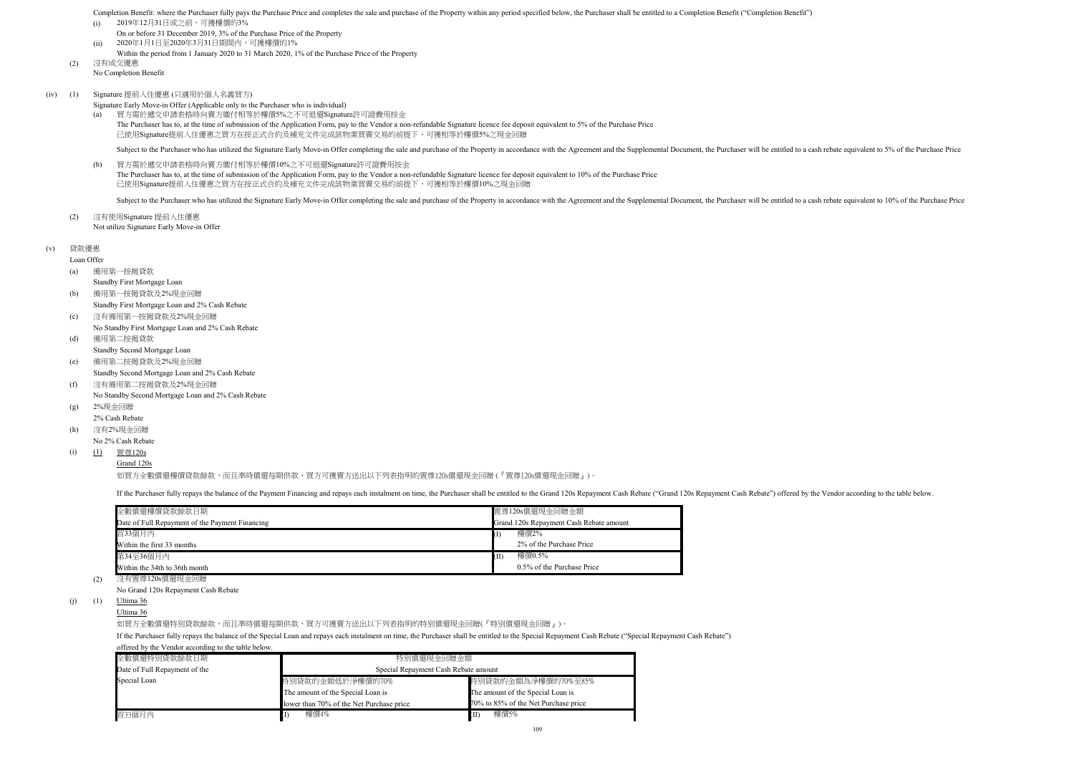(v) 貸款優惠

Loan Offer

Completion Benefit: where the Purchaser fully pays the Purchase Price and completes the sale and purchase of the Property within any period specified below, the Purchaser shall be entitled to a Completion Benefit ("Complet

- (i) 2019年12月31日或之前,可獲樓價的3%
- On or before 31 December 2019, 3% of the Purchase Price of the Property
- (ii) 2020年1月1日至2020年3月31日期間內,可獲樓價的1%
- Within the period from 1 January 2020 to 31 March 2020, 1% of the Purchase Price of the Property
- (2) 沒有成交優惠 No Completion Benefit
- (iv) (1) Signature 提前入住優惠 (只適用於個人名義買方)
	- Signature Early Move-in Offer (Applicable only to the Purchaser who is individual)
	- (a) The Purchaser has to, at the time of submission of the Application Form, pay to the Vendor a non-refundable Signature licence fee deposit equivalent to 5% of the Purchase Price 買方需於遞交申請表格時向賣方繳付相等於樓價5%之不可退還Signature許可證費用按金 已使用Signature提前入住優惠之買方在按正式合約及補充文件完成該物業買賣交易的前提下,可獲相等於樓價5%之現金回贈

Subject to the Purchaser who has utilized the Signature Early Move-in Offer completing the sale and purchase of the Property in accordance with the Agreement and the Supplemental Document, the Purchaser will be entitled to

No Standby Second Mortgage Loan and 2% Cash Rebate

- (g) 2%現金回贈
- 2% Cash Rebate
- (h) No 2% Cash Rebate 沒有2%現金回贈
- (i) (1) <u>置尊120s</u>
	- Grand 120s

如買方全數償還樓價貸款餘款,而且準時償還每期供款,買方可獲賣方送出以下列表指明的置尊120s償還現金回贈 (『置尊120s償還現金回贈 』)。

If the Purchaser fully repays the balance of the Payment Financing and repays each instalment on time, the Purchaser shall be entitled to the Grand 120s Repayment Cash Rebate ("Grand 120s Repayment Cash Rebate") offered by

(b) The Purchaser has to, at the time of submission of the Application Form, pay to the Vendor a non-refundable Signature licence fee deposit equivalent to 10% of the Purchase Price 買方需於遞交申請表格時向賣方繳付相等於樓價10%之不可退還Signature許可證費用按金 已使用Signature提前入住優惠之買方在按正式合約及補充文件完成該物業買賣交易的前提下,可獲相等於樓價10%之現金回贈

Subject to the Purchaser who has utilized the Signature Early Move-in Offer completing the sale and purchase of the Property in accordance with the Agreement and the Supplemental Document, the Purchaser will be entitled to

(2) Not utilize Signature Early Move-in Offer 沒有使用Signature 提前入住優惠

No Grand 120s Repayment Cash Rebate

(j)  $(1)$  Ultima 36

- (a) 備用第一按揭貸款
	- Standby First Mortgage Loan
- (b) Standby First Mortgage Loan and 2% Cash Rebate 備用第一按揭貸款及2%現金回贈
- $(c)$ No Standby First Mortgage Loan and 2% Cash Rebate 沒有備用第一按揭貸款及2%現金回贈
- (d) 備用第二按揭貸款
- Standby Second Mortgage Loan
- (e) Standby Second Mortgage Loan and 2% Cash Rebate 備用第二按揭貸款及2%現金回贈
- (f) 沒有備用第二按揭貸款及2%現金回贈

Ultima 36

如買方全數償還特別貸款餘款,而且準時償還每期供款,買方可獲賣方送出以下列表指明的特別償還現金回贈(『特別償還現金回贈』)。

If the Purchaser fully repays the balance of the Special Loan and repays each instalment on time, the Purchaser shall be entitled to the Special Repayment Cash Rebate ("Special Repayment Cash Rebate") offered by the Vendor according to the table below.

| 全數償還樓價貸款餘款日期                                                                | 置尊120s償還現金回贈金額                          |
|-----------------------------------------------------------------------------|-----------------------------------------|
| Date of Full Repayment of the Payment Financing                             | Grand 120s Repayment Cash Rebate amount |
| 首33個月內                                                                      | 樓價2%                                    |
| Within the first 33 months                                                  | 2% of the Purchase Price                |
| 第34至36個月內                                                                   | 樓價0.5%<br>(II                           |
| Within the 34th to 36th month                                               | 0.5% of the Purchase Price              |
| $\Delta H = 1.001$ $\Delta L = 0.001$ $\Delta L = 0.001$ $\Delta H = 0.001$ |                                         |

(2) 沒有置尊120s償還現金回贈

| 全數償還特別貸款餘款日期                  | 特別償還現金回贈金額                               |                                      |  |  |  |  |  |  |
|-------------------------------|------------------------------------------|--------------------------------------|--|--|--|--|--|--|
| Date of Full Repayment of the | Special Repayment Cash Rebate amount     |                                      |  |  |  |  |  |  |
| Special Loan                  | 特別貸款的金額低於淨樓價的70%                         | 特別貸款的金額為淨樓價的70%至85%                  |  |  |  |  |  |  |
|                               | The amount of the Special Loan is        | The amount of the Special Loan is    |  |  |  |  |  |  |
|                               | lower than 70% of the Net Purchase price | 70% to 85% of the Net Purchase price |  |  |  |  |  |  |
| 首33個月內                        | 樓價4%                                     | 樓價5%                                 |  |  |  |  |  |  |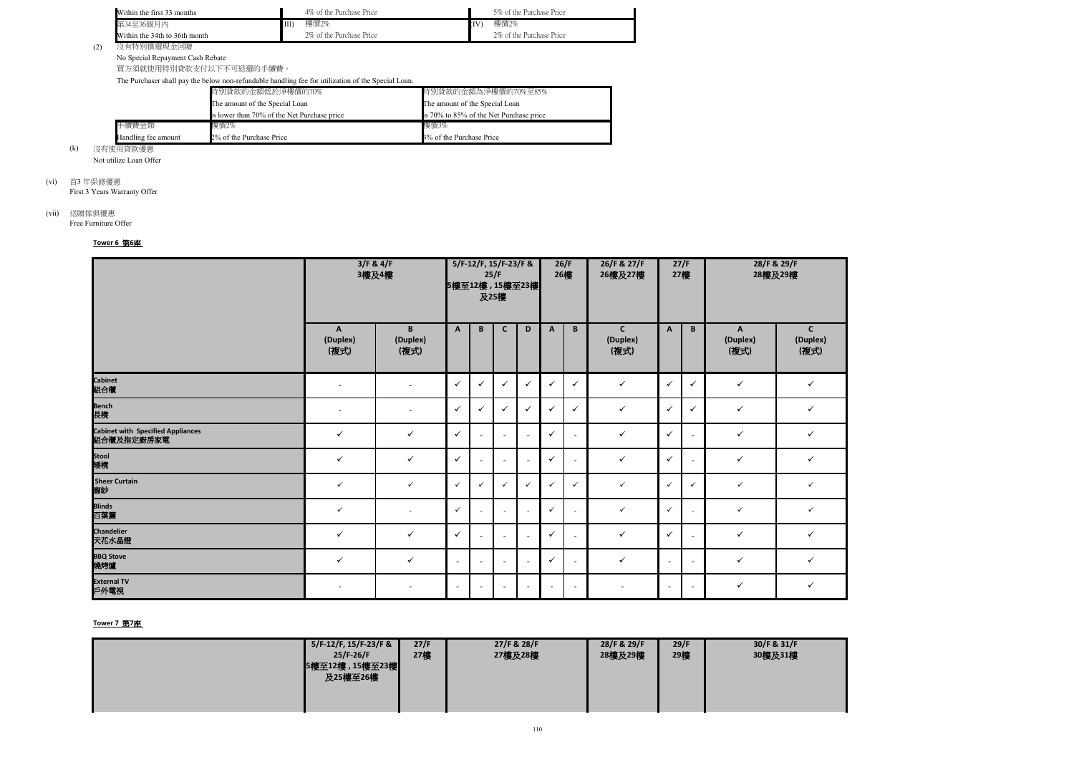

(2) 沒有特別償還現金回贈

No Special Repayment Cash Rebate

買方須就使用特別貸款支付以下不可退還的手續費。

The Purchaser shall pay the below non-refundable handling fee for utilization of the Special Loan.

| Within the first 33 months                                                                                      | 4\% of the Purchase Price |             | 5% of the Purchase Price  |
|-----------------------------------------------------------------------------------------------------------------|---------------------------|-------------|---------------------------|
| 第34至36個月內                                                                                                       | 樓價2%                      | <b>I</b> IV | 樓價2%                      |
| Within the 34th to 36th month                                                                                   | 2\% of the Purchase Price |             | 2\% of the Purchase Price |
| the contract of the contract of the contract of the contract of the contract of the contract of the contract of |                           |             |                           |

(k) 沒有使用貸款優惠 Not utilize Loan Offer

First 3 Years Warranty Offer

# (vii) 送贈傢俱優惠

Free Furniture Offer

| Handling fee amount | 2% of the Purchase Price                    | 3% of the Purchase Price                |
|---------------------|---------------------------------------------|-----------------------------------------|
| 手續費金額               | 樓價2%                                        | 樓價3%                                    |
|                     | is lower than 70% of the Net Purchase price | is 70% to 85% of the Net Purchase price |
|                     | The amount of the Special Loan              | The amount of the Special Loan          |
|                     | 特別貸款的金額低於淨樓價的70%                            | 特別貸款的金額為淨樓價的70%至85%                     |

(vi) 首3 年保修優惠

## **Tower 6** 第**6**座

|                                                        | 3/F & 4/F<br>3樓及4樓       |                       |              |                          | 5/F-12/F, 15/F-23/F &<br>25/F<br>5樓至12樓, 15樓至23樓<br>及25樓 |                |                          | 26/F<br>26樓              | 26/F & 27/F<br>26樓及27樓          | 27/F<br>27樓    |                          | 28/F & 29/F<br>28樓及29樓 |                                  |  |
|--------------------------------------------------------|--------------------------|-----------------------|--------------|--------------------------|----------------------------------------------------------|----------------|--------------------------|--------------------------|---------------------------------|----------------|--------------------------|------------------------|----------------------------------|--|
|                                                        | A<br>(Duplex)<br>(複式)    | B<br>(Duplex)<br>(複式) | $\mathsf{A}$ | B                        | $\mathsf{C}$                                             | D              | $\mathsf{A}$             | B                        | $\mathbf c$<br>(Duplex)<br>(複式) | $\mathbf{A}$   | B                        | A<br>(Duplex)<br>(複式)  | $\mathbf{C}$<br>(Duplex)<br>(複式) |  |
| <b>Cabinet</b><br>組合櫃                                  | $\overline{\phantom{a}}$ | $\sim$                | $\checkmark$ | $\checkmark$             | $\checkmark$                                             | $\checkmark$   | $\checkmark$             | $\checkmark$             | $\checkmark$                    | $\checkmark$   | $\checkmark$             | $\checkmark$           | $\checkmark$                     |  |
| <b>Bench</b><br>長櫈                                     | $\sim$                   | $\sim$                | $\checkmark$ | $\checkmark$             | $\checkmark$                                             | $\checkmark$   | ✓                        | $\checkmark$             | $\checkmark$                    | $\checkmark$   | $\checkmark$             | $\checkmark$           | $\checkmark$                     |  |
| <b>Cabinet with Specified Appliances</b><br>組合櫃及指定廚房家電 | $\checkmark$             | $\checkmark$          | $\checkmark$ | $\sim$                   | $\sim$                                                   | $\sim$         | $\checkmark$             | $\blacksquare$           | $\checkmark$                    | $\checkmark$   | ÷.                       | $\checkmark$           | $\checkmark$                     |  |
| Stool<br>矮櫈                                            | $\checkmark$             | $\checkmark$          | $\checkmark$ |                          | $\overline{\phantom{a}}$                                 | $\sim$         | $\checkmark$             | $\overline{\phantom{a}}$ | $\checkmark$                    | $\checkmark$   |                          | $\checkmark$           | $\checkmark$                     |  |
| <b>Sheer Curtain</b><br>窗紗                             | $\checkmark$             | $\checkmark$          | $\checkmark$ | $\checkmark$             | $\checkmark$                                             | $\checkmark$   | $\checkmark$             | $\checkmark$             | $\checkmark$                    | $\checkmark$   | $\checkmark$             | $\checkmark$           | $\checkmark$                     |  |
| <b>Blinds</b><br>百葉簾                                   | $\checkmark$             | $\sim$                | $\checkmark$ |                          | $\overline{\phantom{a}}$                                 | $\sim$         | $\checkmark$             | $\overline{\phantom{a}}$ | $\checkmark$                    | $\checkmark$   |                          | $\checkmark$           | $\checkmark$                     |  |
| <b>Chandelier</b><br>天花水晶燈                             | $\checkmark$             | $\checkmark$          | $\checkmark$ | $\sim$                   | $\sim$                                                   | $\sim$         | $\checkmark$             | $\overline{\phantom{a}}$ | $\checkmark$                    | $\checkmark$   | ÷.                       | $\checkmark$           | $\checkmark$                     |  |
| <b>BBQ Stove</b><br>燒烤爐                                | $\checkmark$             | $\checkmark$          | $\sim$       | $\blacksquare$           | $\sim$                                                   | $\sim$         | $\checkmark$             | $\overline{\phantom{a}}$ | $\checkmark$                    | $\sim$         | $\blacksquare$           | $\checkmark$           | $\checkmark$                     |  |
| <b>External TV</b><br>戶外電視                             | $\sim$                   | $\sim$                | $\sim$       | $\overline{\phantom{a}}$ | $\sim$                                                   | $\blacksquare$ | $\overline{\phantom{a}}$ | $\sim$                   | $\overline{\phantom{a}}$        | $\blacksquare$ | $\overline{\phantom{a}}$ | $\checkmark$           | $\checkmark$                     |  |

## **Tower 7** 第**7**座

| 5/F-12/F, 15/F-23/F &<br>$25/F-26/F$ | 27/F<br>27樓 | 27/F & 28/F<br>27樓及28樓 | 28/F & 29/F<br>28樓及29樓 | 29/F<br>29樓 | 30/F & 31/F<br>30樓及31樓 |
|--------------------------------------|-------------|------------------------|------------------------|-------------|------------------------|
| 5樓至12樓, 15樓至23樓<br>及25樓至26樓          |             |                        |                        |             |                        |
|                                      |             |                        |                        |             |                        |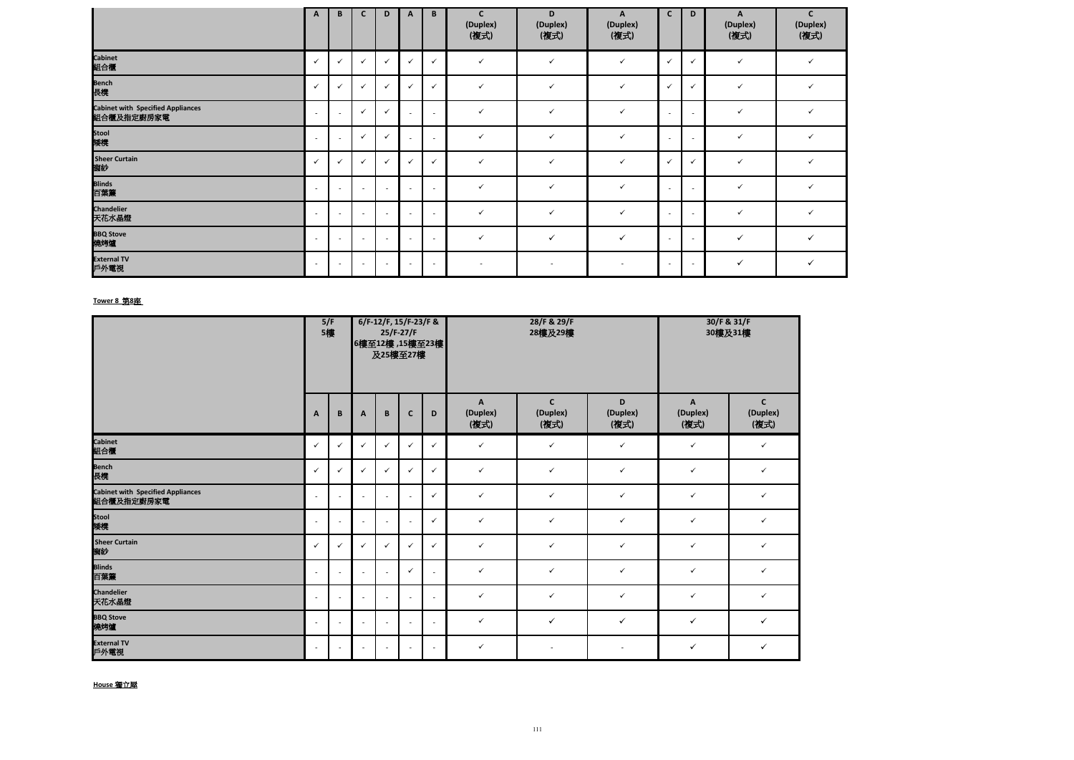|                                                 | $\mathbf{A}$             | B                        | C                        | D                        | A                        | B                        | $\mathbf c$<br>(Duplex)<br>(複式) | D<br>(Duplex)<br>(複式) | A<br>(Duplex)<br>(複式) | $\mathsf{C}$             | D                        | $\mathbf{A}$<br>(Duplex)<br>(複式) | $\mathsf{C}$<br>(Duplex)<br>(複式) |
|-------------------------------------------------|--------------------------|--------------------------|--------------------------|--------------------------|--------------------------|--------------------------|---------------------------------|-----------------------|-----------------------|--------------------------|--------------------------|----------------------------------|----------------------------------|
| Cabinet<br>組合 <mark>櫃</mark>                    | $\checkmark$             | $\checkmark$             | ✓                        | $\checkmark$             | $\checkmark$             | $\checkmark$             | $\checkmark$                    | $\checkmark$          | $\checkmark$          | $\checkmark$             | $\checkmark$             | $\checkmark$                     | $\checkmark$                     |
| ——<br>Bench<br>長櫈                               | $\checkmark$             | $\checkmark$             | $\checkmark$             | $\checkmark$             | $\checkmark$             | $\checkmark$             | $\checkmark$                    | $\checkmark$          | $\checkmark$          | $\checkmark$             | $\checkmark$             | $\checkmark$                     | $\checkmark$                     |
| Cabinet with Specified Appliances<br>組合櫃及指定廚房家電 | $\overline{\phantom{a}}$ | $\sim$                   | $\checkmark$             | $\checkmark$             |                          | $\overline{\phantom{a}}$ | $\checkmark$                    | $\checkmark$          | $\checkmark$          | $\overline{\phantom{a}}$ | $\overline{\phantom{a}}$ | $\checkmark$                     | $\checkmark$                     |
| ——<br>Stool<br>矮櫈                               | $\overline{\phantom{a}}$ | $\overline{\phantom{a}}$ | $\checkmark$             | $\checkmark$             |                          | $\overline{\phantom{a}}$ | $\checkmark$                    | $\checkmark$          | $\checkmark$          | $\sim$                   | $\overline{\phantom{a}}$ | $\checkmark$                     | $\checkmark$                     |
|                                                 | $\checkmark$             | ╰                        |                          | $\checkmark$             | v                        | $\checkmark$             | $\checkmark$                    | $\checkmark$          | $\checkmark$          | $\checkmark$             | ✓                        | $\checkmark$                     | $\checkmark$                     |
| Sheer Curtain<br>窗紗<br>Blinds<br>百葉簾            | $\overline{\phantom{a}}$ | $\overline{\phantom{a}}$ | $\sim$                   | $\sim$                   | $\overline{\phantom{a}}$ | $\sim$                   | $\checkmark$                    | $\checkmark$          | $\checkmark$          | $\sim$                   | $\overline{\phantom{a}}$ | $\checkmark$                     | $\checkmark$                     |
| Chandelier<br>天花水晶燈                             | $\overline{\phantom{a}}$ | $\sim$                   | $\overline{a}$           | $\overline{\phantom{a}}$ | $\sim$                   | $\sim$                   | $\checkmark$                    | $\checkmark$          | $\checkmark$          | $\sim$                   | $\sim$                   | $\checkmark$                     | $\checkmark$                     |
| BBQ Stove<br>燒烤爐                                | $\overline{\phantom{a}}$ | $\sim$                   | $\overline{\phantom{a}}$ | $\sim$                   | $\overline{\phantom{a}}$ | $\sim$                   | $\checkmark$                    | $\checkmark$          | $\checkmark$          | $\sim$                   | $\sim$                   | $\checkmark$                     | $\checkmark$                     |
| _______________<br>External TV<br>戶外電視          | $\overline{\phantom{a}}$ | $\overline{\phantom{a}}$ | $\overline{\phantom{a}}$ | $\overline{\phantom{a}}$ |                          | $\sim$                   |                                 |                       |                       | $\overline{\phantom{a}}$ | $\sim$                   | $\checkmark$                     | $\checkmark$                     |

|                                                        |              | 5/F<br>5樓      |                          | 6/F-12/F, 15/F-23/F &<br>$25/F-27/F$<br>6樓至12樓, 15樓至23樓<br>及25樓至27樓 |              |              |                       | 28/F & 29/F<br>28樓及29樓          | 30/F & 31/F<br>30樓及31樓 |                       |                                  |
|--------------------------------------------------------|--------------|----------------|--------------------------|---------------------------------------------------------------------|--------------|--------------|-----------------------|---------------------------------|------------------------|-----------------------|----------------------------------|
|                                                        | $\mathbf{A}$ | $\, {\bf B}$   | A                        | B                                                                   | $\mathbf c$  | D            | A<br>(Duplex)<br>(複式) | $\mathbf c$<br>(Duplex)<br>(複式) | D<br>(Duplex)<br>(複式)  | A<br>(Duplex)<br>(複式) | $\mathsf{C}$<br>(Duplex)<br>(複式) |
| <b>Cabinet</b><br>組合櫃                                  | $\checkmark$ | $\checkmark$   | $\checkmark$             | $\checkmark$                                                        | $\checkmark$ | $\checkmark$ | $\checkmark$          | $\checkmark$                    | $\checkmark$           | $\checkmark$          | $\checkmark$                     |
| <b>Bench</b><br>長櫈                                     | $\checkmark$ | $\checkmark$   | $\checkmark$             | $\checkmark$                                                        | $\checkmark$ | $\checkmark$ | $\checkmark$          | $\checkmark$                    | $\checkmark$           | $\checkmark$          | $\checkmark$                     |
| <b>Cabinet with Specified Appliances</b><br>組合櫃及指定廚房家電 | $\sim$       | $\blacksquare$ | $\sim$                   | $\sim$                                                              | $\sim$       | $\checkmark$ | $\checkmark$          | $\checkmark$                    | $\checkmark$           | $\checkmark$          | ✓                                |
| Stool<br>矮櫈                                            | $\sim$       | $\blacksquare$ | $\blacksquare$           | $\overline{\phantom{a}}$                                            | $\sim$       | $\checkmark$ | $\checkmark$          | $\checkmark$                    | $\checkmark$           | $\checkmark$          | $\checkmark$                     |
| <b>Sheer Curtain</b><br>窗紗                             | $\checkmark$ | $\checkmark$   | $\checkmark$             | $\checkmark$                                                        | $\checkmark$ | $\checkmark$ | $\checkmark$          | $\checkmark$                    | $\checkmark$           | $\checkmark$          | $\checkmark$                     |
| <b>Blinds</b><br>百葉簾                                   | $\sim$       | $\sim$         | $\blacksquare$           | $\sim$                                                              | $\checkmark$ | $\sim$       | $\checkmark$          | $\checkmark$                    | $\checkmark$           | $\checkmark$          | $\checkmark$                     |
| <b>Chandelier</b><br>天花水晶燈                             | $\sim$       | $\sim$         | $\overline{\phantom{a}}$ | $\sim$                                                              | $\sim$       | $\sim$       | $\checkmark$          | $\checkmark$                    | $\checkmark$           | $\checkmark$          | $\checkmark$                     |
| <b>BBQ Stove</b><br>燒烤爐                                | ÷.           | $\sim$         | $\sim$                   | $\sim$                                                              | $\sim$       | $\sim$       | $\checkmark$          | $\checkmark$                    | $\checkmark$           | $\checkmark$          | $\checkmark$                     |
| <b>External TV</b><br>戶外電視                             | $\sim$       | $\sim$         | $\sim$                   | $\overline{\phantom{a}}$                                            | $\sim$       | $\sim$       | $\checkmark$          | $\sim$                          | $\sim$                 | $\checkmark$          | $\checkmark$                     |

## **Tower 8** 第**8**座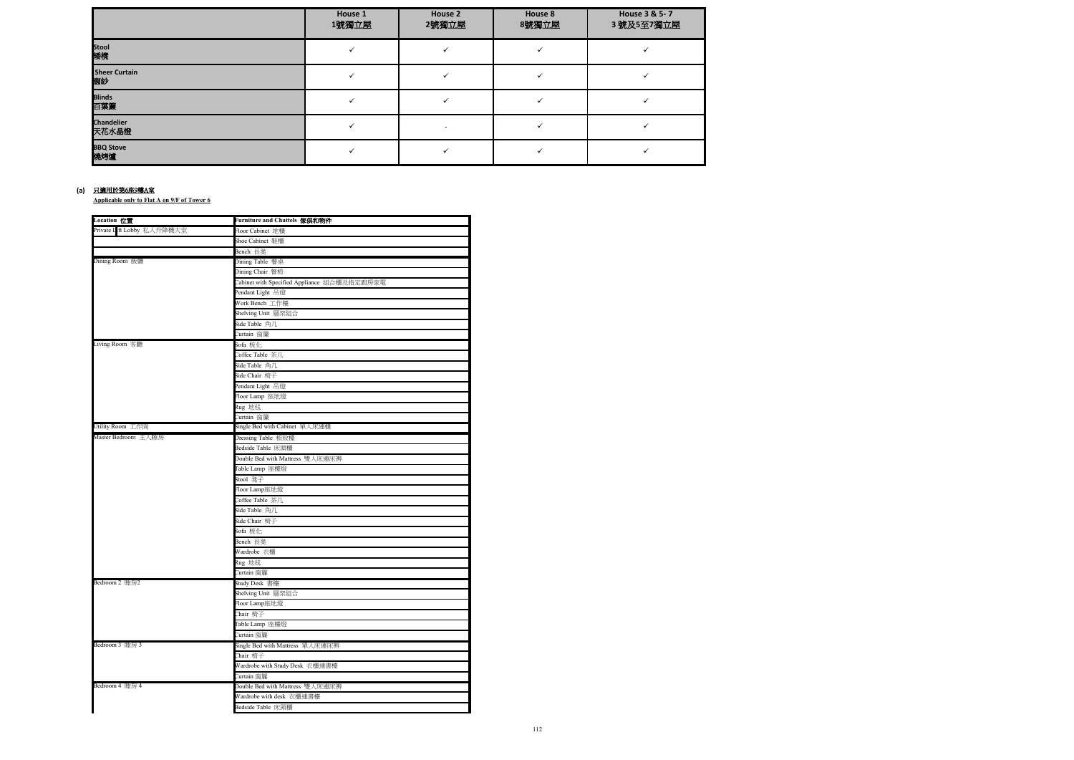**Applicable only to Flat A on 9/F of Tower 6**

|                     | House 1<br>1號獨立屋 | House 2<br>2號獨立屋 | House 8<br>8號獨立屋 | House 3 & 5-7<br>3號及5至7獨立屋 |
|---------------------|------------------|------------------|------------------|----------------------------|
| Stool<br>矮櫈         |                  |                  |                  |                            |
| Sheer Curtain<br>窗紗 |                  |                  |                  |                            |
| Blinds<br>百葉簾       |                  |                  |                  |                            |
| Chandelier<br>天花水晶燈 |                  |                  |                  |                            |
| BBQ Stove<br>燒烤爐    |                  |                  |                  |                            |

### **(a)** 只適用於第6座9樓A室

| Location 位置                               | Furniture and Chattels 傢俱和物件                |
|-------------------------------------------|---------------------------------------------|
| Private L <mark>i</mark> ft Lobby 私人升降機大堂 | Floor Cabinet 地櫃                            |
|                                           | Shoe Cabinet 鞋櫃                             |
|                                           | Bench 長凳                                    |
| Dining Room 飯廳                            | Dining Table 餐桌                             |
|                                           | Dining Chair 餐椅                             |
|                                           | Cabinet with Specified Appliance 組合櫃及指定廚房家電 |
|                                           | Pendant Light 吊燈                            |
|                                           | Work Bench 工作檯                              |
|                                           | Shelving Unit 層架組合                          |
|                                           | Side Table 角几                               |
|                                           | Curtain 窗簾                                  |
| Living Room 客廳                            | Sofa 梳化                                     |
|                                           | Coffee Table 茶几                             |
|                                           | Side Table 角几                               |
|                                           | Side Chair 椅子                               |
|                                           | Pendant Light 吊燈                            |
|                                           | Floor Lamp 座地燈                              |
|                                           | Rug 地毯                                      |
|                                           | Curtain 窗簾                                  |
| Utility Room 工作間                          | Single Bed with Cabinet 單人床連櫃               |
| Master Bedroom 主人睡房                       | Dressing Table 梳妝檯                          |
|                                           | Bedside Table 床頭櫃                           |
|                                           | Double Bed with Mattress 雙人床連床褥             |
|                                           | Table Lamp 座檯燈                              |
|                                           | Stool 凳子                                    |
|                                           | Floor Lamp座地燈                               |
|                                           | Coffee Table 茶几                             |
|                                           | Side Table 角几                               |
|                                           | Side Chair 椅子                               |
|                                           | Sofa 梳化                                     |
|                                           | Bench 長凳                                    |
|                                           | Wardrobe 衣櫃                                 |
|                                           | Rug 地毯                                      |
|                                           | Curtain 窗簾                                  |
| Bedroom 2 睡房2                             | Study Desk 書檯                               |
|                                           | Shelving Unit 層架組合                          |
|                                           | Floor Lamp座地燈                               |
|                                           | Chair 椅子                                    |
|                                           | Table Lamp 座檯燈                              |
|                                           | Curtain 窗簾                                  |
| Bedroom 3 睡房 3                            | Single Bed with Mattress 單人床連床褥             |
|                                           | Chair 椅子                                    |
|                                           | Wardrobe with Study Desk 衣櫃連書檯              |
|                                           | Curtain 窗簾                                  |
| Bedroom 4 睡房 4                            | Double Bed with Mattress 雙人床連床褥             |
|                                           | Wardrobe with desk 衣櫃連書檯                    |
|                                           | Bedside Table 床頭櫃                           |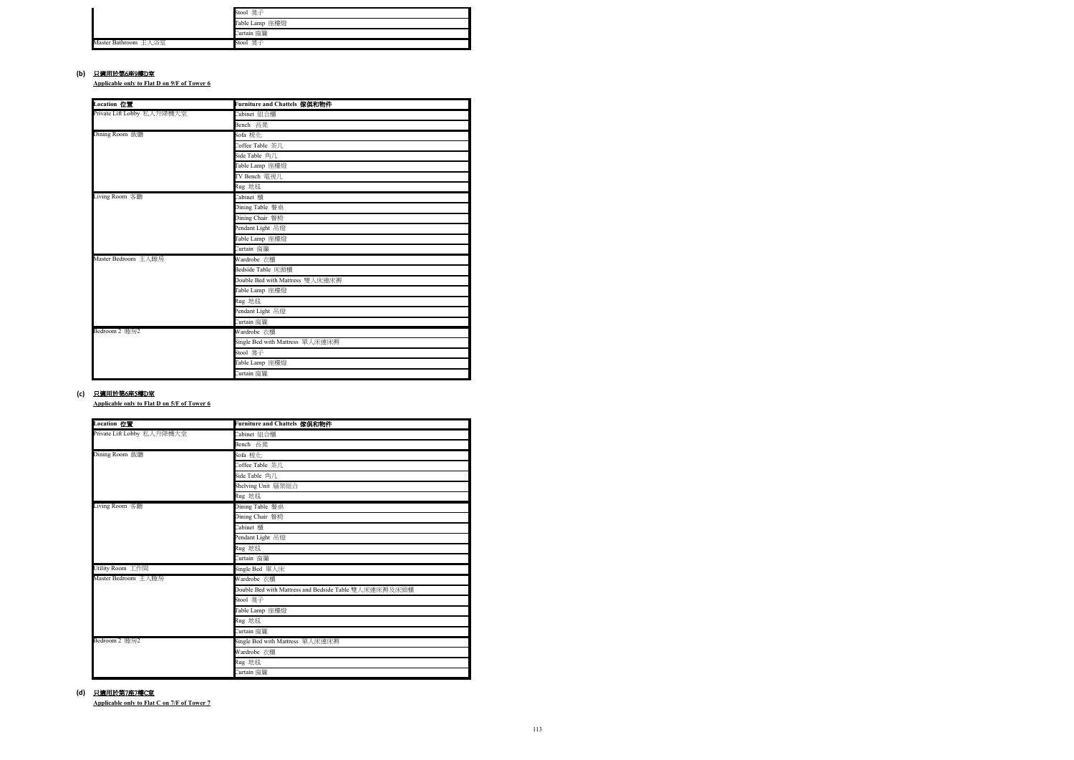**Applicable only to Flat D on 9/F of Tower 6**

**Applicable only to Flat D on 5/F of Tower 6**

#### **(b)** 只適用於第6座9樓D室

**Applicable only to Flat C on 7/F of Tower 7**

|                      | Stool 凳子       |
|----------------------|----------------|
|                      | Table Lamp 座檯燈 |
|                      | Curtain 窗簾     |
| Master Bathroom 主人浴室 | Stool 凳子       |

#### **(c)** 只適用於第6座5樓D室

| Location 位置                | Furniture and Chattels 傢俱和物件    |
|----------------------------|---------------------------------|
| Private Lift Lobby 私人升降機大堂 | Cabinet 組合櫃                     |
|                            | Bench 長凳                        |
| Dining Room 飯廳             | Sofa 梳化                         |
|                            | Coffee Table 茶几                 |
|                            | Side Table 角几                   |
|                            | Table Lamp 座檯燈                  |
|                            | TV Bench 電視几                    |
|                            | Rug 地毯                          |
| Living Room 客廳             | Cabinet 櫃                       |
|                            | Dining Table 餐桌                 |
|                            | Dining Chair 餐椅                 |
|                            | Pendant Light 吊燈                |
|                            | Table Lamp 座檯燈                  |
|                            | Curtain 窗簾                      |
| Master Bedroom 主人睡房        | Wardrobe 衣櫃                     |
|                            | Bedside Table 床頭櫃               |
|                            | Double Bed with Mattress 雙人床連床褥 |
|                            | Table Lamp 座檯燈                  |
|                            | Rug 地毯                          |
|                            | Pendant Light 吊燈                |
|                            | Curtain 窗簾                      |
| Bedroom 2 睡房2              | Wardrobe 衣櫃                     |
|                            | Single Bed with Mattress 單人床連床褥 |
|                            | Stool 凳子                        |
|                            | Table Lamp 座檯燈                  |
|                            | Curtain 窗簾                      |

### **(d)** 只適用於第7座7樓C室

| Location 位置                | Furniture and Chattels 傢俱和物件                          |
|----------------------------|-------------------------------------------------------|
| Private Lift Lobby 私人升降機大堂 | Cabinet 組合櫃                                           |
|                            | Bench 長凳                                              |
| Dining Room 飯廳             | Sofa 梳化                                               |
|                            | Coffee Table 茶几                                       |
|                            | Side Table 角几                                         |
|                            | Shelving Unit 層架組合                                    |
|                            | Rug 地毯                                                |
| Living Room 客廳             | Dining Table 餐桌                                       |
|                            | Dining Chair 餐椅                                       |
|                            | Cabinet 櫃                                             |
|                            | Pendant Light 吊燈                                      |
|                            | Rug 地毯                                                |
|                            | Curtain 窗簾                                            |
| Utility Room 工作間           | Single Bed 單人床                                        |
| Master Bedroom 主人睡房        | Wardrobe 衣櫃                                           |
|                            | Double Bed with Mattress and Bedside Table 雙人床連床褥及床頭櫃 |
|                            | Stool 凳子                                              |
|                            | Table Lamp 座檯燈                                        |
|                            | Rug 地毯                                                |
|                            | Curtain 窗簾                                            |
| Bedroom 2 睡房2              | Single Bed with Mattress 單人床連床褥                       |
|                            | Wardrobe 衣櫃                                           |
|                            | Rug 地毯                                                |
|                            | Curtain 窗簾                                            |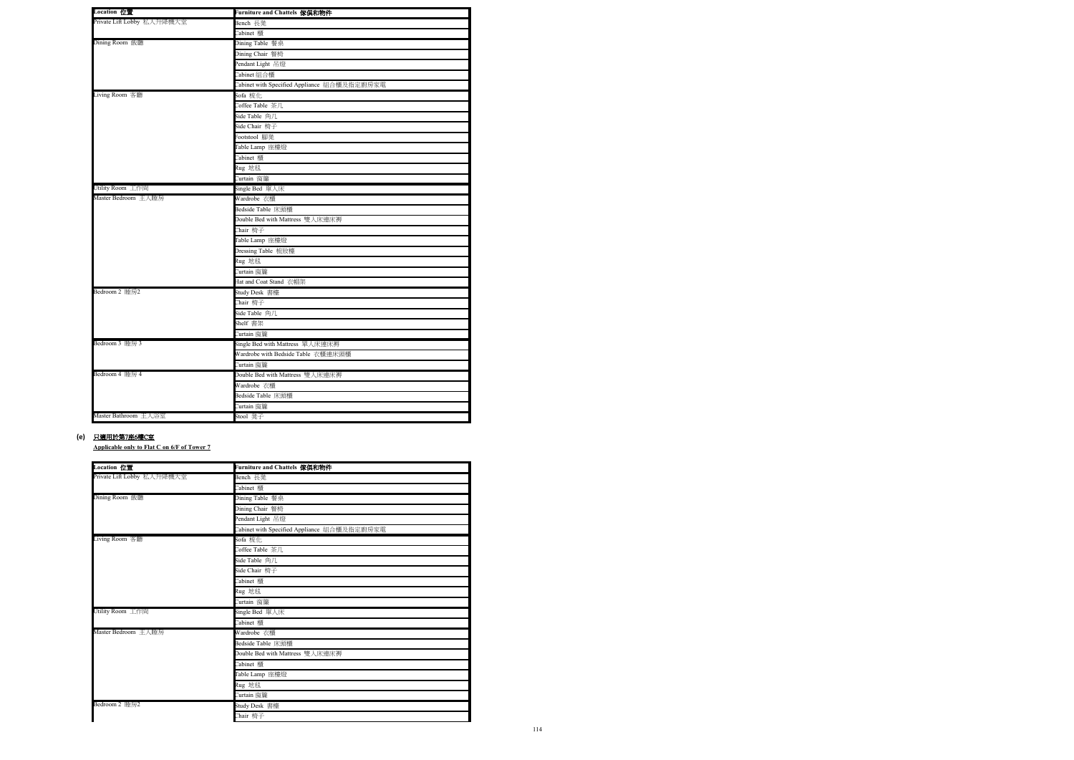**Applicable only to Flat C on 6/F of Tower 7**

### **(e)** 只適用於第7座6樓C室

| Location 位置                | Furniture and Chattels 傢俱和物件                |
|----------------------------|---------------------------------------------|
| Private Lift Lobby 私人升降機大堂 | Bench 長凳                                    |
|                            | Cabinet 櫃                                   |
| Dining Room 飯廳             | Dining Table 餐桌                             |
|                            | Dining Chair 餐椅                             |
|                            | Pendant Light 吊燈                            |
|                            | Cabinet 組合櫃                                 |
|                            | Cabinet with Specified Appliance 組合櫃及指定廚房家電 |
| Living Room 客廳             | Sofa 梳化                                     |
|                            | Coffee Table 茶几                             |
|                            | Side Table 角几                               |
|                            | Side Chair 椅子                               |
|                            | Footstool 腳凳                                |
|                            | Table Lamp 座檯燈                              |
|                            | Cabinet 櫃                                   |
|                            | Rug 地毯                                      |
|                            | Curtain 窗簾                                  |
| Utility Room 工作間           | Single Bed 單人床                              |
| Master Bedroom 主人睡房        | Wardrobe 衣櫃                                 |
|                            | Bedside Table 床頭櫃                           |
|                            | Double Bed with Mattress 雙人床連床褥             |
|                            | Chair 椅子                                    |
|                            | Table Lamp 座檯燈                              |
|                            | Dressing Table 梳妝檯                          |
|                            | Rug 地毯                                      |
|                            | Curtain 窗簾                                  |
|                            | Hat and Coat Stand 衣帽架                      |
| Bedroom 2 睡房2              | Study Desk 書檯                               |
|                            | Chair 椅子                                    |
|                            | Side Table 角几                               |
|                            | Shelf 書架                                    |
|                            | Curtain 窗簾                                  |
| Bedroom 3 睡房 3             | Single Bed with Mattress 單人床連床褥             |
|                            | Wardrobe with Bedside Table 衣櫃連床頭櫃          |
|                            | Curtain 窗簾                                  |
| Bedroom 4 睡房 4             | Double Bed with Mattress 雙人床連床褥             |
|                            | Wardrobe 衣櫃                                 |
|                            | Bedside Table 床頭櫃                           |
|                            | Curtain 窗簾                                  |
| Master Bathroom 主人浴室       | Stool 凳子                                    |

| Location 位置                | Furniture and Chattels 傢俱和物件                |
|----------------------------|---------------------------------------------|
| Private Lift Lobby 私人升降機大堂 | Bench 長凳                                    |
|                            | Cabinet 櫃                                   |
| Dining Room 飯廳             | Dining Table 餐桌                             |
|                            | Dining Chair 餐椅                             |
|                            | Pendant Light 吊燈                            |
|                            | Cabinet with Specified Appliance 組合櫃及指定廚房家電 |
| Living Room 客廳             | Sofa 梳化                                     |
|                            | Coffee Table 茶几                             |
|                            | Side Table 角几                               |
|                            | Side Chair 椅子                               |
|                            | Cabinet 櫃                                   |
|                            | Rug 地毯                                      |
|                            | Curtain 窗簾                                  |
| Utility Room 工作間           | Single Bed 單人床                              |
|                            | Cabinet 櫃                                   |
| Master Bedroom 主人睡房        | Wardrobe 衣櫃                                 |
|                            | Bedside Table 床頭櫃                           |
|                            | Double Bed with Mattress 雙人床連床褥             |
|                            | Cabinet 櫃                                   |
|                            | Fable Lamp 座檯燈                              |
|                            | Rug 地毯                                      |
|                            | Curtain 窗簾                                  |
| Bedroom 2 睡房2              | Study Desk 書檯                               |
|                            | Chair 椅子                                    |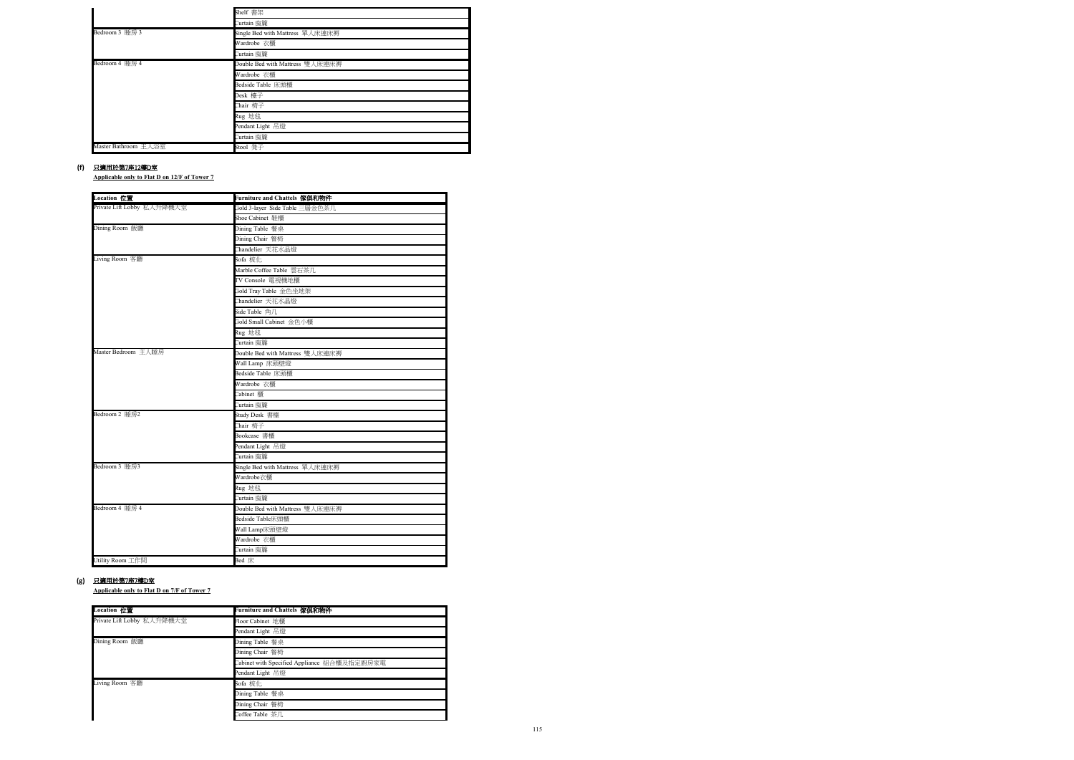**Applicable only to Flat D on 12/F of Tower 7**

**Applicable only to Flat D on 7/F of Tower 7**

### **(f)** 只適用於第7座12樓D室

|                      | Shelf 書架                        |
|----------------------|---------------------------------|
|                      | Curtain 窗簾                      |
| Bedroom 3 睡房 3       | Single Bed with Mattress 單人床連床褥 |
|                      | Wardrobe 衣櫃                     |
|                      | Curtain 窗簾                      |
| Bedroom 4 睡房 4       | Double Bed with Mattress 雙人床連床褥 |
|                      | Wardrobe 衣櫃                     |
|                      | Bedside Table 床頭櫃               |
|                      | Desk 檯子                         |
|                      | Chair 椅子                        |
|                      | Rug 地毯                          |
|                      | Pendant Light 吊燈                |
|                      | Curtain 窗簾                      |
| Master Bathroom 主人浴室 | Stool 凳子                        |

### **(g)** 只適用於第7座7樓D室

| Location 位置                | Furniture and Chattels 傢俱和物件    |
|----------------------------|---------------------------------|
| Private Lift Lobby 私人升降機大堂 | Gold 3-layer Side Table 三層金色茶几  |
|                            | Shoe Cabinet 鞋櫃                 |
| Dining Room 飯廳             | Dining Table 餐桌                 |
|                            | Dining Chair 餐椅                 |
|                            | Chandelier 天花水晶燈                |
| Living Room 客廳             | Sofa 梳化                         |
|                            | Marble Coffee Table 雲石茶几        |
|                            | TV Console 電視機地櫃                |
|                            | Gold Tray Table 金色坐地架           |
|                            | Chandelier 天花水晶燈                |
|                            | Side Table 角几                   |
|                            | Gold Small Cabinet 金色小櫃         |
|                            | Rug 地毯                          |
|                            | Curtain 窗簾                      |
| Master Bedroom 主人睡房        | Double Bed with Mattress 雙人床連床褥 |
|                            | Wall Lamp 床頭壁燈                  |
|                            | Bedside Table 床頭櫃               |
|                            | Wardrobe 衣櫃                     |
|                            | Cabinet 櫃                       |
|                            | Curtain 窗簾                      |
| Bedroom 2 睡房2              | Study Desk 書檯                   |
|                            | Chair 椅子                        |
|                            | Bookcase 書櫃                     |
|                            | Pendant Light 吊燈                |
|                            | Curtain 窗簾                      |
| Bedroom 3 睡房3              | Single Bed with Mattress 單人床連床褥 |
|                            | Wardrobe衣櫃                      |
|                            | Rug 地毯                          |
|                            | Curtain 窗簾                      |
| Bedroom 4 睡房 4             | Double Bed with Mattress 雙人床連床褥 |
|                            | Bedside Table床頭櫃                |
|                            | Wall Lamp床頭壁燈                   |
|                            | Wardrobe 衣櫃                     |
|                            | Curtain 窗簾                      |
| Utility Room 工作間           | Bed 床                           |

| Location 位置                | Furniture and Chattels 傢俱和物件                |
|----------------------------|---------------------------------------------|
| Private Lift Lobby 私人升降機大堂 | Floor Cabinet 地櫃                            |
|                            | Pendant Light 吊燈                            |
| Dining Room 飯廳             | Dining Table 餐桌                             |
|                            | Dining Chair 餐椅                             |
|                            | Cabinet with Specified Appliance 組合櫃及指定廚房家電 |
|                            | Pendant Light 吊燈                            |
| Living Room 客廳             | Sofa 梳化                                     |
|                            | Dining Table 餐桌                             |
|                            | Dining Chair 餐椅                             |
|                            | Coffee Table 茶几                             |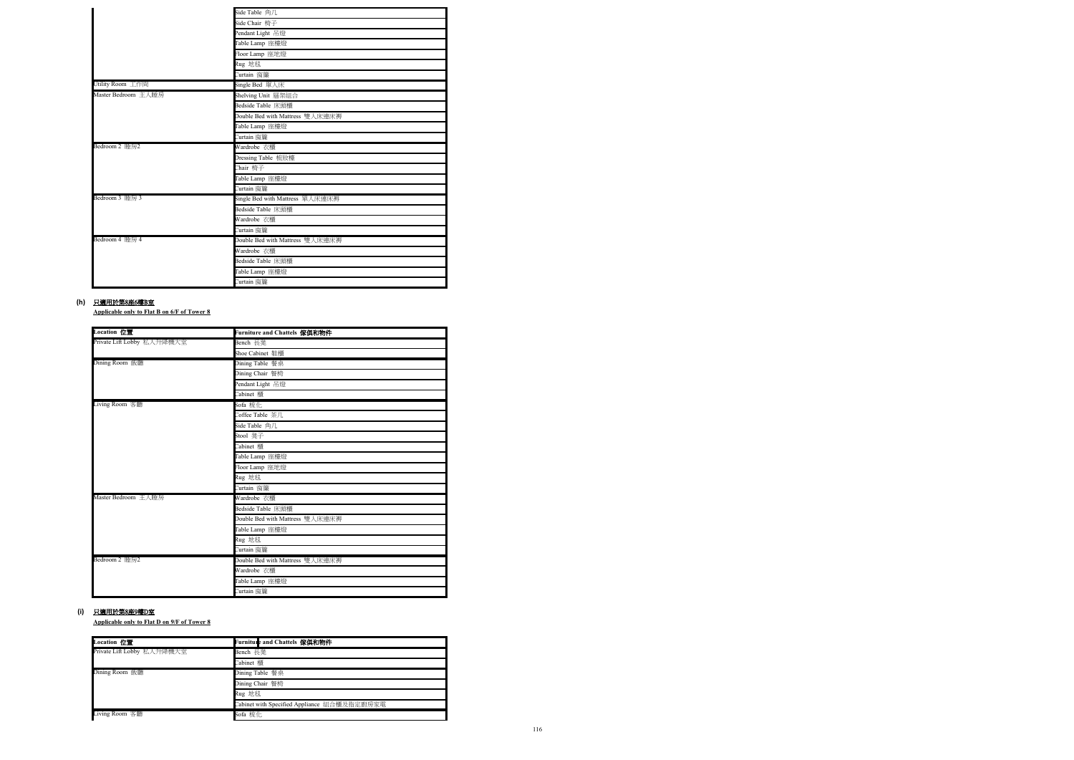**Applicable only to Flat B on 6/F of Tower 8**

**Applicable only to Flat D on 9/F of Tower 8**

## **(h)** 只適用於第8座6樓B室

|                     | Side Table 角几                   |
|---------------------|---------------------------------|
|                     | Side Chair 椅子                   |
|                     | Pendant Light 吊燈                |
|                     | Table Lamp 座檯燈                  |
|                     | Floor Lamp 座地燈                  |
|                     | Rug 地毯                          |
|                     | Curtain 窗簾                      |
| Utility Room 工作間    | Single Bed 單人床                  |
| Master Bedroom 主人睡房 | Shelving Unit 層架組合              |
|                     | Bedside Table 床頭櫃               |
|                     | Double Bed with Mattress 雙人床連床褥 |
|                     | Table Lamp 座檯燈                  |
|                     | Curtain 窗簾                      |
| Bedroom 2 睡房2       | Wardrobe 衣櫃                     |
|                     | Dressing Table 梳妝檯              |
|                     | Chair 椅子                        |
|                     | Table Lamp 座檯燈                  |
|                     | Curtain 窗簾                      |
| Bedroom 3 睡房 3      | Single Bed with Mattress 單人床連床褥 |
|                     | Bedside Table 床頭櫃               |
|                     | Wardrobe 衣櫃                     |
|                     | Curtain 窗簾                      |
| Bedroom 4 睡房 4      | Double Bed with Mattress 雙人床連床褥 |
|                     | Wardrobe 衣櫃                     |
|                     | Bedside Table 床頭櫃               |
|                     | Table Lamp 座檯燈                  |
|                     | Curtain 窗簾                      |

### **(i)** 只適用於第8座9樓D室

| <b>Location</b> 位置         | Furniture and Chattels 傢俱和物件    |
|----------------------------|---------------------------------|
| Private Lift Lobby 私人升降機大堂 | Bench 長凳                        |
|                            | Shoe Cabinet 鞋櫃                 |
| Dining Room 飯廳             | Dining Table 餐桌                 |
|                            | Dining Chair 餐椅                 |
|                            | Pendant Light 吊燈                |
|                            | Cabinet 櫃                       |
| Living Room 客廳             | Sofa 梳化                         |
|                            | Coffee Table 茶几                 |
|                            | Side Table 角几                   |
|                            | Stool 凳子                        |
|                            | Cabinet 櫃                       |
|                            | Table Lamp 座檯燈                  |
|                            | Floor Lamp 座地燈                  |
|                            | Rug 地毯                          |
|                            | Curtain 窗簾                      |
| Master Bedroom 主人睡房        | Wardrobe 衣櫃                     |
|                            | Bedside Table 床頭櫃               |
|                            | Double Bed with Mattress 雙人床連床褥 |
|                            | Table Lamp 座檯燈                  |
|                            | Rug 地毯                          |
|                            | Curtain 窗簾                      |
| Bedroom 2 睡房2              | Double Bed with Mattress 雙人床連床褥 |
|                            | Wardrobe 衣櫃                     |
|                            | Table Lamp 座檯燈                  |
|                            | Curtain 窗簾                      |

| Location 位置                | Furnitule and Chattels 傢俱和物件                |
|----------------------------|---------------------------------------------|
| Private Lift Lobby 私人升降機大堂 | Bench 長凳                                    |
|                            | Cabinet 櫃                                   |
| Dining Room 飯廳             | Dining Table 餐桌                             |
|                            | Dining Chair 餐椅                             |
|                            | Rug 地毯                                      |
|                            | Cabinet with Specified Appliance 組合櫃及指定廚房家電 |
| Living Room 客廳             | Sofa 梳化                                     |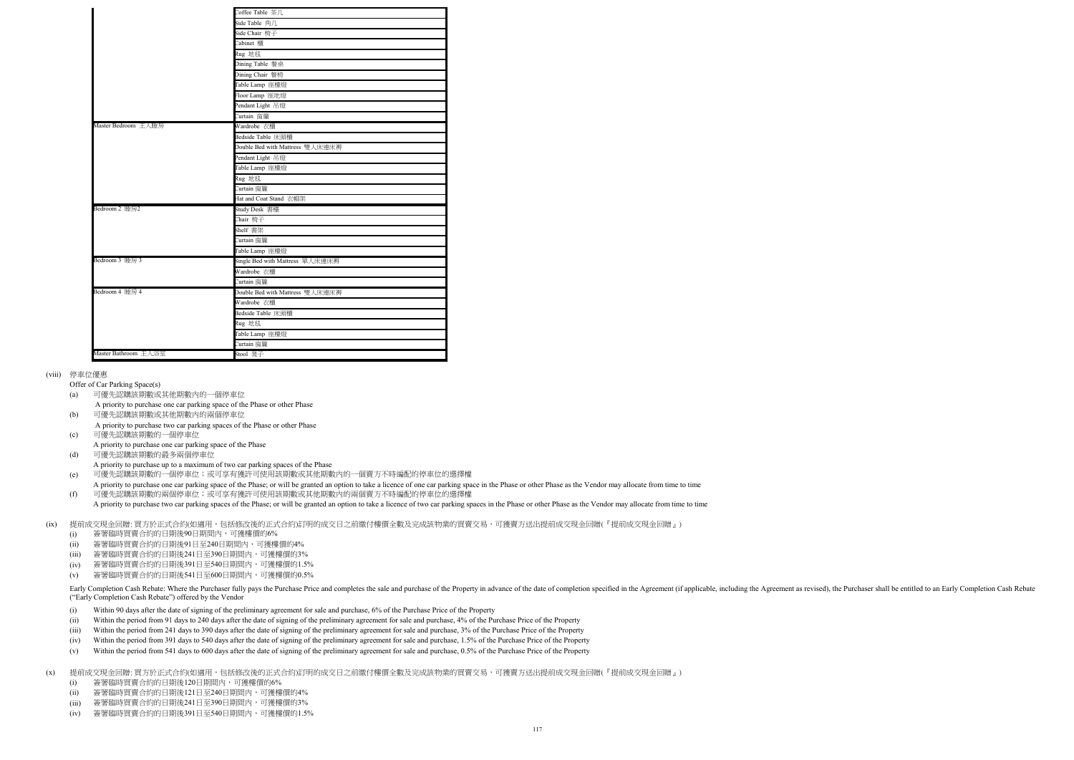### (viii) 停車位優惠

- (a) 可優先認購該期數或其他期數內的一個停車位
- A priority to purchase one car parking space of the Phase or other Phase
- (b) 可優先認購該期數或其他期數內的兩個停車位 A priority to purchase two car parking spaces of the Phase or other Phase
- (c) 可優先認購該期數的一個停車位
- A priority to purchase one car parking space of the Phase
- (d) 可優先認購該期數的最多兩個停車位
- A priority to purchase up to a maximum of two car parking spaces of the Phase
- (e) 可優先認購該期數的一個停車位;或可享有獲許可使用該期數或其他期數內的一個賣方不時編配的停車位的選擇權
- A priority to purchase one car parking space of the Phase; or will be granted an option to take a licence of one car parking space in the Phase or other Phase as the Vendor may allocate from time to time (f) 可優先認購該期數的兩個停車位;或可享有獲許可使用該期數或其他期數內的兩個賣方不時編配的停車位的選擇權
- A priority to purchase two car parking spaces of the Phase; or will be granted an option to take a licence of two car parking spaces in the Phase or other Phase as the Vendor may allocate from time to time

Offer of Car Parking Space(s)

#### (ix) 提前成交現金回贈: 買方於正式合約(如適用,包括修改後的正式合約)訂明的成交日之前繳付樓價全數及完成該物業的買賣交易,可獲賣方送出提前成交現金回贈(『提前成交現金回贈』)

(x) 提前成交現金回贈: 買方於正式合約(如適用,包括修改後的正式合約)訂明的成交日之前繳付樓價全數及完成該物業的買賣交易,可獲賣方送出提前成交現金回贈(『提前成交現金回贈』)

- (i) Within 90 days after the date of signing of the preliminary agreement for sale and purchase, 6% of the Purchase Price of the Property
- (ii) Within the period from 91 days to 240 days after the date of signing of the preliminary agreement for sale and purchase, 4% of the Purchase Price of the Property
- (iii) Within the period from 241 days to 390 days after the date of signing of the preliminary agreement for sale and purchase, 3% of the Purchase Price of the Property
- (iv) Within the period from 391 days to 540 days after the date of signing of the preliminary agreement for sale and purchase, 1.5% of the Purchase Price of the Property
- (v) Within the period from 541 days to 600 days after the date of signing of the preliminary agreement for sale and purchase, 0.5% of the Purchase Price of the Property

Early Completion Cash Rebate: Where the Purchaser fully pays the Purchase Price and completes the sale and purchase of the Property in advance of the date of completion specified in the Agreement (if applicable, including ("Early Completion Cash Rebate") offered by the Vendor

- (i) 簽署臨時買賣合約的日期後90日期間內,可獲樓價的6%
- (ii) 簽署臨時買賣合約的日期後91日至240日期間內,可獲樓價的4%
- (iii) 簽署臨時買賣合約的日期後241日至390日期間內,可獲樓價的3%
- $(iv)$ 簽署臨時買賣合約的日期後391日至540日期間內,可獲樓價的1.5%
- (v) 簽署臨時買賣合約的日期後541日至600日期間內,可獲樓價的0.5%

|                      | Coffee Table 茶几                 |
|----------------------|---------------------------------|
|                      | Side Table 角几                   |
|                      | Side Chair 椅子                   |
|                      | Cabinet 櫃                       |
|                      | Rug 地毯                          |
|                      | Dining Table 餐桌                 |
|                      | Dining Chair 餐椅                 |
|                      | Table Lamp 座檯燈                  |
|                      | Floor Lamp 座地燈                  |
|                      | Pendant Light 吊燈                |
|                      | Curtain 窗簾                      |
| Master Bedroom 主人睡房  | Wardrobe 衣櫃                     |
|                      | Bedside Table 床頭櫃               |
|                      | Double Bed with Mattress 雙人床連床褥 |
|                      | Pendant Light 吊燈                |
|                      | Table Lamp 座檯燈                  |
|                      | Rug 地毯                          |
|                      | Curtain 窗簾                      |
|                      | Hat and Coat Stand 衣帽架          |
| Bedroom 2 睡房2        | Study Desk 書檯                   |
|                      | Chair 椅子                        |
|                      | Shelf 書架                        |
|                      | Curtain 窗簾                      |
|                      | Table Lamp 座檯燈                  |
| Bedroom 3 睡房 3       | Single Bed with Mattress 單人床連床褥 |
|                      | Wardrobe 衣櫃                     |
|                      | Curtain 窗簾                      |
| Bedroom 4 睡房 4       | Double Bed with Mattress 雙人床連床褥 |
|                      | Wardrobe 衣櫃                     |
|                      | Bedside Table 床頭櫃               |
|                      | Rug 地毯                          |
|                      | Table Lamp 座檯燈                  |
|                      | Curtain 窗簾                      |
| Master Bathroom 主人浴室 | Stool 凳子                        |

- (i) 簽署臨時買賣合約的日期後120日期間內,可獲樓價的6%
- (ii) 簽署臨時買賣合約的日期後121日至240日期間內,可獲樓價的4%
- (iii) 簽署臨時買賣合約的日期後241日至390日期間內,可獲樓價的3%
- (iv) 簽署臨時買賣合約的日期後391日至540日期間內,可獲樓價的1.5%